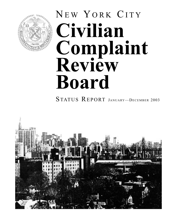

# Civilian Complaint Review Board NEW YORK CITY

STATUS REPORT JANUARY—DECEMBER <sup>2003</sup>

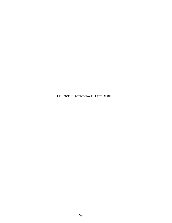THIS PAGE IS INTENTIONALLY LEFT BLANK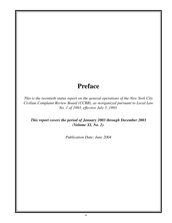# **Preface**

*This is the twentieth status report on the general operations of the New York City Civilian Complaint Review Board (CCRB), as reorganized pursuant to Local Law No. 1 of 1993, effective July 5, 1993.*

*This report covers the period of January 2003 through December 2003 (Volume XI, No. 2).*

*Publication Date: June 2004*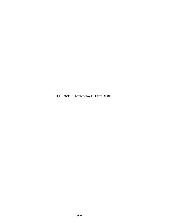THIS PAGE IS INTENTIONALLY LEFT BLANK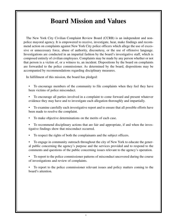# **Board Mission and Values**

The New York City Civilian Complaint Review Board (CCRB) is an independent and nonpolice mayoral agency. It is empowered to receive, investigate, hear, make findings and recommend action on complaints against New York City police officers which allege the use of excessive or unnecessary force, abuse of authority, discourtesy, or the use of offensive language. Investigations are conducted in an impartial fashion by the board's investigative staff, which is composed entirely of civilian employees. Complaints may be made by any person whether or not that person is a victim of, or a witness to, an incident. Dispositions by the board on complaints are forwarded to the police commissioner. As determined by the board, dispositions may be accompanied by recommendations regarding disciplinary measures.

In fulfillment of this mission, the board has pledged:

- To encourage members of the community to file complaints when they feel they have been victims of police misconduct.
- To encourage all parties involved in a complaint to come forward and present whatever evidence they may have and to investigate each allegation thoroughly and impartially.

• To examine carefully each investigative report and to ensure that all possible efforts have been made to resolve the complaint.

- To make objective determinations on the merits of each case.
- To recommend disciplinary actions that are fair and appropriate, if and when the investigative findings show that misconduct occurred.
- To respect the rights of both the complainants and the subject officers.

• To engage in community outreach throughout the city of New York to educate the general public concerning the agency's purpose and the services provided and to respond to the comments and questions of the public concerning issues relevant to the agency's operation.

• To report to the police commissioner patterns of misconduct uncovered during the course of investigations and review of complaints.

• To report to the police commissioner relevant issues and policy matters coming to the board's attention.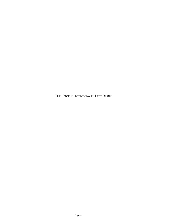THIS PAGE IS INTENTIONALLY LEFT BLANK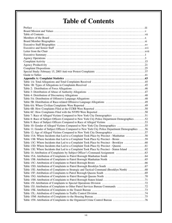# **Table of Contents**

| Table 8: Race of Subject Officers Compared to New York City Police Department Demographics 52    |  |
|--------------------------------------------------------------------------------------------------|--|
|                                                                                                  |  |
| Table 10: Gender of Alleged Victims Compared to New York City Demographics 55                    |  |
| Table 11: Gender of Subject Officers Compared to New York City Police Department Demographics 56 |  |
|                                                                                                  |  |
| Table 13A: Where Incidents that Led to a Complaint Took Place by Precinct - Manhattan 58         |  |
| Table 13B: Where Incidents that Led to a Complaint Took Place by Precinct - Bronx 59             |  |
|                                                                                                  |  |
|                                                                                                  |  |
|                                                                                                  |  |
|                                                                                                  |  |
|                                                                                                  |  |
|                                                                                                  |  |
|                                                                                                  |  |
|                                                                                                  |  |
|                                                                                                  |  |
|                                                                                                  |  |
|                                                                                                  |  |
|                                                                                                  |  |
|                                                                                                  |  |
|                                                                                                  |  |
|                                                                                                  |  |
|                                                                                                  |  |
|                                                                                                  |  |
|                                                                                                  |  |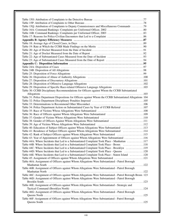| Table 15Q: Attribution of Complaints to Deputy Commissioners and Miscellaneous Commands 79                |  |
|-----------------------------------------------------------------------------------------------------------|--|
| Table 16A: Command Rankings: Complaints per Uniformed Officer, 2002 80                                    |  |
|                                                                                                           |  |
|                                                                                                           |  |
|                                                                                                           |  |
|                                                                                                           |  |
|                                                                                                           |  |
|                                                                                                           |  |
|                                                                                                           |  |
|                                                                                                           |  |
|                                                                                                           |  |
|                                                                                                           |  |
|                                                                                                           |  |
|                                                                                                           |  |
|                                                                                                           |  |
|                                                                                                           |  |
|                                                                                                           |  |
|                                                                                                           |  |
| Table 29: Disposition of Specific Race-related Offensive Language Allegations 103                         |  |
| Table 30: CCRB Disciplinary Recommendations for Officers against Whom the CCRB Substantiated              |  |
|                                                                                                           |  |
| Table 31: Police Department Dispositions for Officers against Whom the CCRB Substantiated Allegations 104 |  |
|                                                                                                           |  |
|                                                                                                           |  |
| Table 34: Police Department Action on Substantiated Cases by Year of CCRB Referral 107                    |  |
|                                                                                                           |  |
|                                                                                                           |  |
| Table 37: Gender of Victims Whose Allegations Were Substantiated 110                                      |  |
| Table 38: Gender of Officers Against Whom Allegations Were Substantiated 111                              |  |
|                                                                                                           |  |
| Table 40: Education of Subject Officers against Whom Allegations Were Substantiated 113                   |  |
| Table 41: Residence of Subject Officers against Whom Allegations Were Substantiated 114                   |  |
| Table 42: Rank of Subject Officers against Whom Allegations Were Substantiated 115                        |  |
| Table 43: Year of Appointment of Officers against Whom Allegations Were Substantiated 116                 |  |
| Table 44A: Where Incidents that Led to a Substantiated Complaint Took Place - Manhattan 117               |  |
| Table 44B: Where Incidents that Led to a Substantiated Complaint Took Place - Bronx 118                   |  |
| Table 44C: Where Incidents that Led to a Substantiated Complaint Took Place - Brooklyn 119                |  |
| Table 44D: Where Incidents that Led to a Substantiated Complaint Took Place - Queens 120                  |  |
| Table 44E: Where Incidents that Led to a Substantiated Complaint Took Place - Staten Island 120           |  |
| Table 45: Assignment of Officers against Whom Allegations Were Substantiated 121                          |  |
| Table 46A: Assignment of Officers against Whom Allegations Were Substantiated - Patrol Borough            |  |
|                                                                                                           |  |
| Table 46B: Assignment of Officers against Whom Allegations Were Substantiated - Patrol Borough            |  |
|                                                                                                           |  |
| Table 46C: Assignment of Officers against Whom Allegations Were Substantiated - Patrol Borough Bronx 123  |  |
| Table 46D: Assignment of Officers against Whom Allegations Were Substantiated - Patrol Borough            |  |
|                                                                                                           |  |
| Table 46E: Assignment of Officers against Whom Allegations Were Substantiated - Strategic and             |  |
|                                                                                                           |  |
| Table 46G: Assignment of Officers against Whom Allegations Were Substantiated - Patrol Borough            |  |
|                                                                                                           |  |
| Table 46F: Assignment of Officers against Whom Allegations Were Substantiated - Patrol Borough            |  |
|                                                                                                           |  |
|                                                                                                           |  |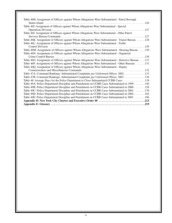| Table 46H: Assignment of Officers against Whom Allegations Were Substantiated - Patrol Borough       |
|------------------------------------------------------------------------------------------------------|
|                                                                                                      |
| Table 46I: Assignment of Officers against Whom Allegations Were Substantiated - Special              |
|                                                                                                      |
| Table 46J: Assignment of Officers against Whom Allegations Were Substantiated - Other Patrol         |
|                                                                                                      |
| Table 46K: Assignment of Officers against Whom Allegations Were Substantiated - Transit Bureau 128   |
| Table 46L: Assignment of Officers against Whom Allegations Were Substantiated - Traffic              |
|                                                                                                      |
| Table 46M: Assignment of Officers against Whom Allegations Were Substantiated - Housing Bureau  .130 |
| Table 46N: Assignment of Officers against Whom Allegations Were Substantiated - Organized            |
|                                                                                                      |
| Table 46O: Assignment of Officers against Whom Allegations Were Substantiated - Detective Bureau 131 |
| Table 46P: Assignment of Officers against Whom Allegations Were Substantiated - Other Bureaus 131    |
| Table 46Q: Assignment of Officers against Whom Allegations Were Substantiated - Deputy               |
|                                                                                                      |
| Table 47A: Command Rankings: Substantiated Complaints per Uniformed Officer, 2002 133                |
| Table 47B: Command Rankings: Substantiated Complaints per Uniformed Officer, 2003 136                |
| Table 48: Average Days for the Police Department to Close Substantiated CCRB Cases 139               |
| Table 49A: Police Department Discipline and Punishment on CCRB Cases Substantiated in 1999 140       |
| Table 49B: Police Department Discipline and Punishment on CCRB Cases Substantiated in 2000 158       |
| Table 49C: Police Department Discipline and Punishment on CCRB Cases Substantiated in 2001 170       |
| Table 49D: Police Department Discipline and Punishment on CCRB Cases Substantiated in 2002 182       |
| Table 49E: Police Department Discipline and Punishment on CCRB Cases Substantiated in 2003 196       |
|                                                                                                      |
|                                                                                                      |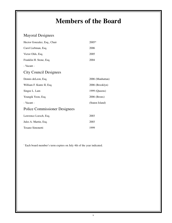# **Members of the Board**

# Mayoral Designees

| Hector Gonzalez, Esq., Chair         | $2005*$          |
|--------------------------------------|------------------|
| Carol Liebman, Esq.                  | 2006             |
| Victor Olds, Esq.                    | 2005             |
| Franklin H. Stone, Esq.              | 2004             |
| - Vacant -                           |                  |
| <b>City Council Designees</b>        |                  |
| Dennis deLeon, Esq.                  | 2006 (Manhattan) |
| William F. Kuntz II, Esq.            | 2006 (Brooklyn)  |
| Singee L. Lam                        | 1999 (Queens)    |
| Youngik Yoon, Esq.                   | 2006 (Bronx)     |
| - Vacant -                           | (Staten Island)  |
| <b>Police Commissioner Designees</b> |                  |
| Lawrence Loesch, Esq.                | 2003             |
| Jules A. Martin, Esq.                | 2003             |
| Tosano Simonetti                     | 1999             |

\* Each board member's term expires on July 4th of the year indicated.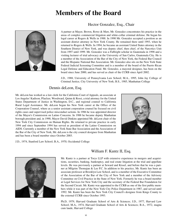# **Members of the Board**



Hector Gonzalez, Esq., Chair

A partner at Mayer, Brown, Rowe & Maw, Mr. Gonzalez concentrates his practice in the areas of complex commercial litigation and white-collar criminal defense. He began his legal career at Rogers & Wells in 1988. In 1990 Mr. Gonzalez accepted a position as an assistant district attorney in New York County. He remained there until 1993, when he returned to Rogers & Wells. In 1994, he became an assistant United States attorney in the Southern District of New York, and was deputy chief, then chief, of the Narcotics Unit from 1997 until 1999. Mr. Gonzalez was a Fulbright scholar in Guatemala in 1998 and a visiting lecturer of trial advocacy at the University of San Carlos, Guatemala City. He is a member of the Association of the Bar of the City of New York, the Federal Bar Council and the Hispanic National Bar Association. Mr. Gonzalez also sits on the New York State Federal Judicial Screening Committee and is a member of the board of the Puerto Rican Legal Defense and Education Fund. Mr. Gonzalez, a mayoral designee, has been on the board since June 2000, and has served as chair of the CCRB since April 2002.

J.D., 1988, University of Pennsylvania Law School; M.A., 1995, John Jay College of Criminal Justice, City University of New York; B.S., 1985, Manhattan College

#### Dennis deLeon, Esq.

Mr. deLeon has worked as a law clerk for the California Court of Appeals, an associate at Los Angeles' Kadison, Pfaelzer, Woodward, Quinn & Rossi, a trial attorney for the United States Department of Justice in Washington, D.C., and regional counsel to California Rural Legal Assistance. Mr. deLeon began his New York career at the Office of the Corporation Counsel, where as a senior assistant corporation counsel he focused on civil rights cases and supervised police misconduct actions. In 1986 he was appointed director of the Mayor's Commission on Latino Concerns. In 1988 he became deputy Manhattan borough president and, in 1990, Mayor David Dinkins appointed Mr. deLeon chair of the New York City Commission on Human Rights. He returned to private practice in early 1994 and since September 1994 has served as president of the Latino Commission on AIDS. Currently a member of the New York State Bar Association and the Association of the Bar of the City of New York, Mr. deLeon is the city council designee from Manhattan and has been a board member since October 2003.



J.D., 1974, Stanford Law School; B.A., 1970, Occidental College



### William F. Kuntz II, Esq.

Mr. Kuntz is a partner at Torys LLP with extensive experience in mergers and acquisitions, securities, banking, bankruptcy, and real estate litigation at the trial and appellate levels. He was previously a partner at Seward and Kissel, and before that he was a partner at Milgrim Thomajan & Lee P.C. In addition to his practice, Mr. Kuntz has been an associate professor at Brooklyn Law School, and is a member of the Executive Committee of the Association of the Bar of the City of New York and a member of the Advisory Committee on Civil Practice in the State of New York. Formerly he was a board member at Legal Services for New York City and the secretary of the Federal Bar Foundation for the Second Circuit. Mr. Kuntz was appointed to the CCRB as one of the first public members while it was part of the New York City Police Department in 1987, and served until 1992. Mr. Kuntz has been the New York City Council's designee from Kings County to the external CCRB since October 1993.

Ph.D, 1979, Harvard Graduate School of Arts & Sciences; J.D., 1977, Harvard Law School; M.A., 1974, Harvard Graduate School of Arts & Sciences; B.A., 1972, magna cum laude, Harvard College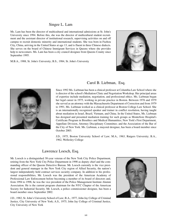### Singee L. Lam

Ms. Lam has been the director of multicultural and international admissions at St. John's University since 1994. Before this, she was the director of multicultural student recruitment and the assistant director of institutional research, supervising activities on and off campus to recruit domestic minority and international students. She was born in Fuzhou City, China, arriving in the United States at age 13, and is fluent in three Chinese dialects. She serves on the board of Chinese Immigrant Services in Queens where she provides help to newcomers. Ms. Lam has been a city council designee from Queens County since September 1995.

M.B.A., 1988, St. John's University; B.S., 1984, St. John's University







Since 1992 Ms. Liebman has been a clinical professor at Columbia Law School where she is director of the school's Mediation Clinic and Negotiation Workshop. Her principal areas of expertise include mediation, negotiation, and professional ethics. Ms. Liebman began her legal career in 1975, working in private practice in Boston. Between 1976 and 1979 she served as an attorney with the Massachusetts Department of Correction and from 1979 to 1991, Ms. Liebman worked as a clinical professor at Boston College Law School. She is an internationally recognized speaker and trainer in conflict resolution, having taught about mediation in Israel, Brazil, Vietnam, and China. In the United States, Ms. Liebman has designed and presented mediation training for such groups as Montefiore Hospital's Certificate Program in Bioethics and Medical Humanities; New York's First Department, Appellate Division, Attorney Disciplinary Committee; and the Association of the Bar of the City of New York. Ms. Liebman, a mayoral designee, has been a board member since October 2003.

J.D., 1975, Boston University School of Law; M.A., 1963, Rutgers University; B.A., 1962, Wellesley College

### Lawrence Loesch, Esq.

Mr. Loesch is a distinguished 30-year veteran of the New York City Police Department, retiring from the New York City Police Department in 1998 as deputy chief and the commanding officer of the Queens Detective Bureau. Mr. Loesch currently is the vice president and general manager in the New York City region of Allied Security, the nation's largest independently held contract services security company. In addition to his professional responsibilities, Mr. Loesch was the president of the American Academy of Professional Law Enforcement before becoming a member of its board of directors and, from 1994 to 1998, he was the vice president of the Police Management Institute Alumni Association. He is the current program chairman for the NYC Chapter of the American Society for Industrial Security. Mr. Loesch, a police commissioner designee, has been a board member since September 2002.

J.D., 1982, St. John's University School of Law; B.A., 1977, John Jay College of Criminal Justice, City University of New York; A.S., 1975, John Jay College of Criminal Justice, City University of New York

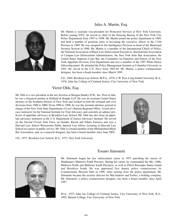### Jules A. Martin, Esq.



Mr. Martin is assistant vice-president for Protection Services at New York University. Before joining NYU, he served as chief of the Housing Bureau of the New York City Police Department from 1997 to 1998. Mr. Martin joined the police department in 1969, and held a number of positions prior to becoming the executive officer of the 113th Precinct in 1989. He was assigned to the Intelligence Division as head of the Municipal Security Section in 1990. Mr. Martin is a member of the International Chiefs of Police, the National Association of Black Law Enforcement Executives, International Association of Campus Law Enforcement Administrators, the New York State Bar Association, the United States Supreme Court Bar, the Committee on Character and Fitness of the New York Appellate Division, First Department and was a member of the 1997 White House fellowship panel. He attended the Police Management Institute at Columbia University in 1991. He served in the U.S. Navy from 1965-69. Mr. Martin, a police commissioner designee, has been a board member since March 1999.

J.D., 1984, Brooklyn Law School; M.P.A., 1979, C.W. Post, Long Island University; B.A., 1976, John Jay College of Criminal Justice, City University of New York.

#### Victor Olds, Esq.

Mr. Olds is a vice president in the law division at Morgan Stanley D.W., Inc. Prior to that, he was a litigation partner at Holland & Knight LLP. He was an assistant United States attorney in the Southern District of New York and worked in both the criminal and civil divisions from 1988 to 2000. From 1980 to 1988, he was the assistant attorney general in charge of the New York State Department of Law's Harlem Regional Office. A trial advocacy instructor for the National Institute for Trial Advocacy and currently an adjunct professor of appellate advocacy at Brooklyn Law School, Mr. Olds has also been an appellate advocacy instructor at the U.S. Department of Justice Advocacy Institute. He served on the Second Circuit Task Force on Gender, Racial and Ethnic Fairness and was a Harvard Law School Wasserstein Public Interest Law fellow, lecturing at Harvard Law School on careers in public service. Mr. Olds is a board member of the Metropolitan Black Bar Association, and, as a mayoral designee, has been a board member since June 2002.



J.D., 1977, Brooklyn Law School; B.A., 1973, New York University



### Tosano Simonetti

Mr. Simonetti began his law enforcement career in 1957 patrolling the streets of Manhattan's Midtown South Precinct. During his career, he commanded the 9th, 120th, Midtown North and Midtown South Precincts, as well as Patrol Boroughs Staten Island and Brooklyn South. He was appointed first deputy police commissioner by Commissioner Howard Safir in 1996. After retiring from the police department, Mr. Simonetti became the security director for MacAndrew and Forbes, a holding company. Mr. Simonetti, a police commissioner designee, has been a board member since April 1997.

M.A., 1975, John Jay College of Criminal Justice, City University of New York; B.A., 1965, Baruch College, City University of New York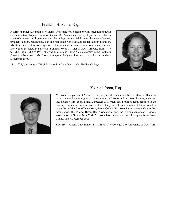### Franklin H. Stone, Esq.

A former partner at Hunton & Williams, where she was a member of its litigation-antitrust and alternative dispute resolution teams, Ms. Stone's current legal practice involves a range of commercial litigation matters including commercial disputes, insurance defense, products liability, bankruptcy, loan and real estate workouts, and lender liability litigation. Ms. Stone also lectures on litigation techniques and substantive areas of commercial law. She was an associate at Patterson, Belknap, Webb & Tyler in New York City from 1977 to 1982. From 1983 to 1987, she was an assistant United States attorney in the Southern District of New York. Ms. Stone, a mayoral designee, has been a board member since December 1998.

J.D., 1977, University of Virginia School of Law; B.A., 1974, Hollins College





### Youngik Yoon, Esq.

Mr. Yoon is a partner at Yoon & Hong, a general practice law firm in Queens. His areas of practice include immigration, matrimonial, real estate and business closings, and criminal defense. Mr. Yoon, a native speaker of Korean, has provided legal services to the diverse communities of Queens for almost ten years. He is a member of the Association of the Bar of the City of New York, Bronx County Bar Association, Queens County Bar Association, the Puerto Rican Bar Association, and the Korean American Lawyers Association of Greater New York. Mr. Yoon has been a city council designee from Bronx County since December 2003.

J.D., 1994, Albany Law School; B.A., 1991, City College, City University of New York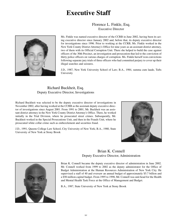# **Executive Staff**

Florence L. Finkle, Esq. Executive Director



Ms. Finkle was named executive director of the CCRB in June 2002, having been its acting executive director since January 2002 and, before that, its deputy executive director for investigations since 1996. Prior to working at the CCRB, Ms. Finkle worked in the New York County District Attorney's Office for nine years as an assistant district attorney, two of them with its Official Corruption Unit. There she helped to build the case against officers of the 30th Precinct, an investigation and prosecution that led to the conviction of thirty police officers on various charges of corruption. Ms. Finkle herself won convictions following separate jury trials of three officers who had committed perjury to cover up their illegal searches and seizures.

J.D., 1987, New York University School of Law; B.A., 1984, summa cum laude, Tufts University

# Richard Buckheit, Esq. Deputy Executive Director, Investigations

Richard Buckheit was selected to be the deputy executive director of investigations in November 2002, after having worked at the CCRB as the assistant deputy executive director of investigations since August 2001. From 1991 to 2001, Mr. Buckheit was an assistant district attorney in the New York County District Attorney's Office. There, he worked initially in the Trial Division, where he prosecuted street crimes. Subsequently, Mr. Buckheit worked in the Special Prosecutions Unit, and then in the Frauds Unit, where he prosecuted white collar crime such as embezzlement and securities fraud.

J.D., 1991, Queens College Law School, City University of New York; B.A., 1980, State University of New York at Stony Brook





Brian K. Connell became the deputy executive director of administration in June 2002. Mr. Connell worked from 1999 to 2002 as the deputy administrator for the Office of Budget Administration at the Human Resources Administration of New York City. He supervised a staff of 40 and oversaw an annual budget of approximately \$5.7 billion and a \$50 million capital budget. From 1995 to 1998, Mr. Connell was unit head for the Health and Mental Health Task Force at the Office of Management and Budget.

B.A., 1987, State University of New York at Stony Brook

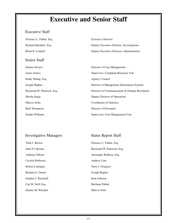# **Executive and Senior Staff**

### Executive Staff

| Florence L. Finkle. Esq. | <b>Executive Director</b>                 |
|--------------------------|-------------------------------------------|
| Richard Buckheit, Esq.   | Deputy Executive Director, Investigations |
| Brian K. Connell         | Deputy Executive Director, Administration |

# Senior Staff

Denise Alvarez Director of Case Management Kathy Huang, Esq. **Agency Counsel** Marcos Soler Coordinator of Statistics Beth Thompson Director of Personnel Sandra Williams Supervisor, Case Management Unit

Jayne Arnero Supervisor, Complaint Response Unit Joseph Hughes Director of Management Information Systems Raymond W. Patterson, Esq. Director of Communications & Dispute Resolution Sheshe Segar Deputy Director of Operations

# **Investigative Managers** Status Report Staff

Tarik J. Brown John P. Cipriano Anthony DiIorio Cecelia Holloway Robert Lonergan Richard A. Osmer Stephen J. Rackmill Carl B. Stoll, Esq. Dianne M. Weisheit

Florence L. Finkle, Esq. Raymond W. Patterson, Esq. Alexander Boldizar, Esq. Andrew Case Yuriy I. Gregorev Joseph Hughes Kate Johnson Rachana Pathak Marcos Soler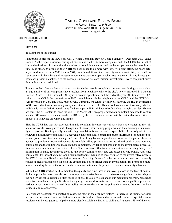

CIVILIAN COMPLAINT REVIEW BOARD 40 RECTOR STREET, 2ND FLOOR NEW YORK, NEW YORK 10006 ♦ (212) 442-8833 www.nyc.gov/ccrb

MICHAEL R. BLOOMBERG MAYOR

May 2004

To Members of the Public:

HECTOR GONZALEZ CHAIR

I am proud to present the New York City Civilian Complaint Review Board's January – December 2003 Status Report. As the report describes, during 2003 civilians filed 21% more complaints with the CCRB than in 2002. It was the third year in a row that the number of complaints went up and the largest percentage increase in that time. Like other city agencies, the CCRB has been asked to do more with less. With great effort, the board actually closed more cases in 2003 than in 2002, even though it had fewer investigators on staff. Still, we could not keep pace with the substantial increase in complaints, and our open docket rose as a result. Rising investigator caseloads present a challenge to the accomplishment of our core mission: investigating every complaint fairly, thoroughly, and expeditiously.

To date, we lack firm evidence of the reasons for the increase in complaints, but one contributing factor is clear: a large number of our complaints have resulted from telephone calls to the city's newly instituted 311 system. Between March 9, 2003, when the 311 system became operational, and the end of the year, 311 transferred 1,870 callers to the CCRB. In comparison to 2002, complaints made by telephone to the CCRB and the NYPD last year increased by 36% and 16%, respectively. Currently, we cannot definitively attribute the rise in complaints to 311. We did not track how many complaints stemmed from 311 calls and we have no way of knowing whether individuals who called 311 would have filed a complaint if 311 did not exist. It is clear, though, that New Yorkers are using the 311 system to reach the CCRB. In March 2004 we programmed our complaint database to capture whether 311 transferred a caller to the CCRB, so by the next status report we will be better able to identify the impact 311 is having on complaint filings.

That the CCRB has thus far absorbed dramatic complaint increases as well as it has is a testament to the skill and efforts of its investigative staff, the quality of investigator training programs, and the efficiency of its investigative process. But impartially investigating complaints is not our sole responsibility. As a body of citizens reviewing disciplinary complaints, we recognize that complaints contain important information for both the public and police executives and managers. Three of our key jobs, consequently, are to inform the public about the agency, to provide an open and accessible complaint filing process, and to record and publish data involving complaints and the findings we make on these complaints. Evidence gathered during the investigative process at times raises issues beyond that of individual officers' actions. Effective civilian review means using this type of information to make recommendations to the police commissioner that can affect policing policy. And since complaints like those that stem from a misunderstanding may not be ideally suited to the investigative process, the CCRB has established a mediation program. Speaking face-to-face before a neutral mediator frequently results in greater satisfaction for both the civilian and police officer than an investigation. By promoting mutual understanding between the officer and civilian, mediation can help improve police-community relations.

While the CCRB worked hard to maintain the quality and timeliness of its investigations in the face of doubledigit complaint increases, we also strove to improve our effectiveness as a citizen oversight body by focusing on the non-investigative responsibilities outlined above. In 2003, we expanded our mediation program, broadened our efforts to educate the public about the agency, continued to make improvements to our public reports, and perhaps most importantly, issued three policy recommendations to the police department, the most we have issued in any calendar year.

Last year we successfully mediated 91 cases, the most in the agency's history. To increase the number of cases we mediate, we created new mediation brochures for both civilians and officers and conducted special training sessions with investigators to help them more clearly explain mediation to civilians. As a result, 58% of the civil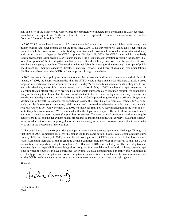ians and 67% of the officers who were offered the opportunity to mediate their complaints in 2003 accepted rates that are the highest ever. At the same time, it took an average of 4.6 months to mediate a case, a reduction from the 6.3 months it took in 2002.

In 2003 CCRB outreach staff conducted 92 presentations before social service groups, high school classes, community boards, and other organizations: the most since 2000. To all our reports we added tables depicting the rates at which the board makes specific findings (substantiated, exonerated, unfounded, unsubstantiated, etc.) with respect to each allegation the CCRB captures. On April 29, 2003, the CCRB launched its completely redesigned website. Arranged in a user-friendly manner, the site includes information regarding the agency's history, descriptions of the investigative, mediation and police disciplinary processes, and biographies of board members and agency executives. The website makes available for viewing or downloading transcripts of public board meetings, monthly executive director's statistical reports, and board studies and recommendations. Civilians can also contact the CCRB or file complaints through the website.

In 2003, we made three policy recommendations to the department and the department adopted all three. In January of 2003, the board recommended that the NYPD create a department-wide database to track a broad range of information on search warrant executions. On May 27 the department announced its willingness to create such a database, and on July 1 implemented that database. In May of 2003, we issued a report regarding the allegation that an officer refused to provide his or her shield number to a civilian upon request. We conducted a study of this allegation, found that the board substantiated it at a rate twice as high as the average, and recommended that the department consider clarifying the Patrol Guide procedure governing an officer's obligation to identify him or herself. In response, the department revised the Patrol Guide to require all officers to "[c]ourteously and clearly state your name, rank, shield number and command, or otherwise provide them, to anyone who requests you to do so." On November 20, 2003, we made our final policy recommendation of the year in a letter to the police commissioner. We recommended that the department require officers to show no-knock search warrants to occupants upon request after premises are secured. The state criminal procedure law does not require that officers do so, and the department had no procedures addressing the issue. On February 13, 2004, the department issued an interim order requiring that officers show a copy of all search warrants, when able to do so safely, to any of the occupants of the premises.

As the board looks to the next year, rising complaint rates pose its greatest operational challenge. Through the first third of 2004, complaints rose 18% in comparison to the same period in 2003. While complaints have now risen by 39% since January 1, 2003, the number of investigators the CCRB is authorized to hire has remained static. Complaint increases of this magnitude demand commensurate increases in resources so that the CCRB can continue to properly investigate complaints. An effective CCRB—one that ably fulfills it investigative and non-investigative responsibilities—is integral to strong and fair complaint and police disciplinary systems, systems in which the public can have confidence. Over time, we have demonstrated our ability and willingness to effectively perform investigative and non-investigative responsibilities. But as demand for our services increases, the CCRB needs adequate resources to maintain its effectiveness as a citizen oversight agency.

Sincerely,

Hector Longalez

Hector Gonzalez Chair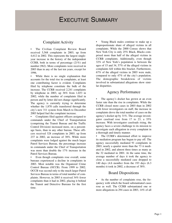# EXECUTIVE SUMMARY

#### Complaint Activity

The Civilian Complaint Review Board received 5,568 complaints in 2003, up from 4,612 in 2002. This represents the largest singleyear increase in the history of the independent CCRB, both in terms of percentage (21%) and number (962). More complaints were received in 2003 than in any of the last ten years, except for 1996.

• While there is no single explanation that accounts for the total rise in complaints, at least one contributing factor is evident. Complaints filed by telephone constitute the bulk of the increase. The CCRB received 2,241 complaints by telephone in 2003, up 36% from 1,653 in 2002, while the number of complaints filed in person and by letter did not change significantly. The agency is currently trying to determine whether the 1,870 calls transferred through the city's new 311 system from March to December 2003 helped fuel the complaint increase.

• Complaints filed against officers assigned to commands under the Chief of Transportation (comprising the Transit Bureau and the Traffic Control Division) increased more, on a percentage basis, than in any other bureau. These officers received 328 complaints in 2003, up from 237 in 2002, an increase of 38%. While more complaints were lodged against the much larger Patrol Services Bureau, the percentage increase in commands under the Chief of Transportation was more than double the 17% increase in the Patrol Services Bureau.

Even though complaints rose overall, some bureaus experienced a decline in complaints in 2003. Most notable was the Organized Crime Control Bureau (OCCB). From 1999 to 2002, OCCB was second only to the much larger Patrol Services Bureau in terms of total number of complaints. However, in 2003 it received 34% fewer complaints than it had in 2002, placing it behind the Transit and Detective Bureaus for the first time.

• Young Black males continue to make up a disproportionate share of alleged victims in all complaints. While the 2000 Census shows that New York City is only 25% Black, Blacks comprised more than half of the alleged victims in CCRB complaints. Additionally, even though 32% of New York's population is between the ages of 15 and 34, 57% of the alleged victims in complaints fell within this bracket. Furthermore, 67% of the alleged victims in 2003 were male, compared to only 47% of the city's population. The demographic breakdowns of victims involved in substantiated allegations show similar disparities.

#### Agency Performance

The agency's docket has grown at an even faster rate than the rise in complaints. While the CCRB closed more cases in 2003 than in 2002 with fewer investigators on staff, the increase in complaints drove the total number of cases on the agency's docket up by 31%. The average investigator caseload rose from 17 to 23, a 35% increase. With investigator caseloads rising, the agency faces a severe challenge to its mission to investigate each allegation in every complaint in a thorough and timely manner.

The CCRB's determined effort to improve its mediation program has begun to pay off. The agency successfully mediated 91 complaints in 2003, nearly a quarter more than the 73 it mediated in 2002, and almost three times as many as the 32 mediated in 2001. At the same time, the average number of days it took the agency to close a successfully mediated case dropped to 140 days (4.6 months) from the 193 days (6.3 months) it took in 2002, a decrease of 38%.

#### Board Dispositions

As the number of complaints rose, the frequency with which the board substantiated cases rose as well. The CCRB substantiated one or more allegations in 294 cases in 2003, 14% of all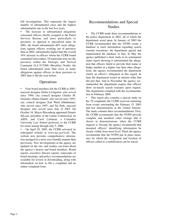full investigations. This represents the largest number of substantiated cases and the highest substantiation rate in the last five years.

The increase in substantiated allegations concerned officers chiefly assigned to the Patrol Services Bureau, and more particularly to precincts, as opposed to specialized units. In 2003, the board substantiated 48% more allegations against officers working out of precincts than in 2002, substantially higher than the overall 34% increase in officers whom the CCRB found committed misconduct. Of particular note are the precincts within the Strategic and Tactical Command (S.A.T.COM) (Brooklyn North); the board substantiated more than twice as many allegations against officers in these precincts in 2003 than it did the year before.

### **Operations**

• Four board members left the CCRB in 2003: mayoral designee Debra Livingston, who served since 1994; city council designee Charles M. Greinsky (Staten Island), who served since 1993; city council designee Earl Ward (Manhattan), who served since 1997; and Tai Park, mayoral designee who served since July of 2001. On October 16, Mayor Bloomberg appointed Dennis deLeon, president of the Latino Commission on AIDS, and Carol Liebman, a Columbia University Law School professor, to the CCRB for terms lasting through July 5, 2006.

• On April 29, 2003, the CCRB activated its redesigned website at www.nyc.gov/ccrb. The website now provides comprehensive information arranged in a more user-friendly manner than previously. New developments at the agency are updated on the site, and readers can learn about the agency's history and board members. Board reports, executive director reports, transcripts of board meetings, and policy recommendations are available for review or downloading, along with information on how to file a complaint and an online complaint form.

# Recommendations and Special **Studies**

The CCRB made three recommendations to the police department in 2003, all of which the department acted upon. In January of 2003 the CCRB recommended that the NYPD create a database to track information regarding search warrant executions; the department agreed and implemented the database in July. In May the agency published a short study in its semiannual status report showing it substantiated the allegation that officers failed to provide their name or badge number at a higher rate than other allegations; the agency recommended the department clarify an officer's obligation in this regard. In June the department issued an interim order that did just that. And in November the agency recommended the department require that officers show no-knock search warrants upon request. The department complied with the recommendation in February 2004.

This report also contains a special study on the 70 complaints the CCRB received stemming from events surrounding the February 15, 2003 anti-war demonstration at the United Nations. The study contains three recommendations. First, the CCRB recommends that the NYPD provide complete and unedited video footage that it shoots at demonstrations when the CCRB requests it. Second, the agency recommends that mounted officers' identifying information be clearly visible from street level. Third, the agency recommends that the NYPD put in place measures by which the assignment and location of officers called to a mobilization can be traced.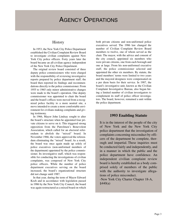# AGENCY OPERATIONS

#### **History**

In 1953, the New York City Police Department established the Civilian Complaint Review Board to investigate civilian complaints against New York City police officers. Forty years later the board became an all-civilian agency independent of the New York City Police Department.

The original review board consisted of three deputy police commissioners who were charged with the responsibility of reviewing investigative reports prepared by police department staff; the board then reported its findings and recommendations directly to the police commissioner. From 1955 to 1965 only minor administrative changes were made to the board's operation. One deputy commissioner was appointed to chair the board and the board's offices were moved from a recognized police facility to a more neutral site, a move intended to create a more comfortable environment for civilians making complaints and giving testimony.

In 1966, Mayor John Lindsay sought to alter the board's structure when he appointed four private citizens to serve on it. This triggered strong opposition from the Patrolmen's Benevolent Association, which called for an electoral referendum to abolish the "mixed" board. In November 1966, the voters approved the referendum eliminating the "mixed" board. As a result, the board was once again made up solely of police executives (non-uniformed members of the department) appointed by the police commissioner. Its investigative staff, which was responsible for conducting the investigations of civilian complaints, was composed of New York City police officers. While the number of police department executives serving on the board increased, the board's organizational structure did not change until 1987.

In that year, during the term of Mayor Edward Koch and in accordance with legislation passed in 1986 by the New York City Council, the board was again restructured as a mixed board on which

both private citizens and non-uniformed police executives served. The 1986 law changed the number of Civilian Complaint Review Board members to twelve, one of whom served as the chair. The mayor, with the advice and consent of the city council, appointed six members who were private citizens, one from each borough and one at large. From his non-uniformed executive staff, the police commissioner selected and appointed the other six members. By statute, the board members' terms were limited to two years and the mayoral designees were compensated on a per diem basis for their service. In 1987, the board's investigative unit, known as the Civilian Complaint Investigative Bureau, also began hiring a limited number of civilian investigators to complement its staff of police officer investigators. The board, however, remained a unit within the police department.

#### **1993 Enabling Statute**

It is in the interest of the people of the city of New York and the New York City police department that the investigation of complaints concerning misconduct by officers of the department be complete, thorough and impartial. These inquiries must be conducted fairly and independently, and in a manner in which the public and the police department have confidence. An independent civilian complaint review board is hereby established as a body comprised solely of members of the public with the authority to investigate allegations of police misconduct.

-New York City Charter Chapter 18-A,  $§440(a)$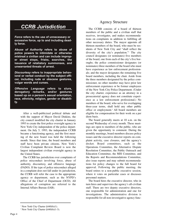# *CCRB Jurisdiction*

*Force* **refers to the use of unnecessary or excessive force, up to and including deadly force.**

*Abuse of Authority* **refers to abuse of police powers to intimidate or otherwise mistreat a civilian and can include improper street stops, frisks, searches, the issuance of retaliatory summonses, and unwarranted threats of arrest.**

*Discourtesy* **refers to inappropriate behavioral or verbal conduct by the subject officer, including rude or obscene gestures, vulgar words and curses.**

*Offensive Language* **refers to slurs, derogatory remarks, and/or gestures based up on a person's sexual orientation, race, ethnicity, religion, gender or disability.**

After a well-publicized political debate and with the support of Mayor David Dinkins, the city council modified the city charter in January 1993 to create the first police oversight agency in New York City independent of the police department. On July 5, 1993, the independent CCRB became a functioning agency, and the first meeting of the new board was held the following month. Since that time, the board members and staff have been private citizens. New York's Civilian Complaint Review Board is now the largest independent civilian oversight agency in the United States.

The CCRB has jurisdiction over complaints of police misconduct involving force, abuse of authority, discourtesy, and offensive language (FADO). If the type of police misconduct alleged in a complaint does not fall under its jurisdiction, the CCRB will refer the case to the appropriate agency or department, such as the NYPD's Office of the Chief of Department (OCD). All allegations of corruption are referred to the Internal Affairs Bureau (IAB).

### Agency Structure

The CCRB consists of a board of thirteen members of the public and a civilian staff that receives, investigates, and makes recommendations on complaints in addition to fulfilling all other necessary duties. The mayor appoints all thirteen members of the board, who must be residents of New York City and "shall reflect the diversity of the city's population."1 The city council designates (or nominates) five members of the board, one from each of the city's five boroughs; the police commissioner designates (or nominates) three members of the board who must have experience as law enforcement professionals; and the mayor designates the remaining five board members, including the chair. Aside from the three members designated by the police commissioner, no other member may have prior law enforcement experience or be former employees of the New York City Police Department. (Under the city charter, experience as an attorney in a prosecutorial agency does not constitute experience as a law enforcement professional.) No members of the board, who serve for overlapping three-year terms, shall hold any other public office or employment.<sup>2</sup> All board members are eligible for compensation for their work on a per diem basis.

The board generally meets at 10 a.m. on the second Wednesday of every month. These meetings are open to members of the public, who are given the opportunity to comment. During the monthly meetings, board members discuss policy issues and the executive director reports on complaint activity, case closures, and the agency's docket. Board committees, such as the Operations Committee, the Alternative Dispute Resolution Committee, the Public Outreach and Education Committee, the MIS Committee, and the Reports and Recommendations Committee, also issue reports and may submit recommendations for policy changes to the full board for approval. Following the public meeting, the board retires to a non-public executive session, where it votes on particular cases or discusses personnel matters.

The board hires the executive director, who in turn hires and supervises the agency's all-civilian staff. There are two deputy executive directors, one responsible for administration and one for investigations. The administrative division is responsible for all non-investigative agency func-

<sup>&</sup>lt;sup>1</sup> New York City Charter §440(b)(1).

<sup>2</sup> New York City Charter §440(b)(1-3).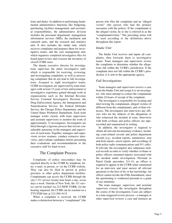tions and duties. In addition to performing fundamental administrative functions like budgeting, purchasing, facilities management, and secretarial responsibilities, the administrative division includes the personnel department, management information services (MIS), the mediation and outreach units, and the research and statistics unit. It also includes the intake unit, which receives complaints and prepares them for investigative teams, and the case management unit, which organizes completed investigative files for board panel review and oversees the inventory of closed CCRB cases.

The deputy executive director for investigations supervises the entire investigative staff, which is responsible for receiving, reviewing, and investigating complaints, as well as processing complaints that do not lead to full investigations. Assigned to eight investigative teams, CCRB investigators are supervised by team managers with at least 15 years of law enforcement or investigative experience gained through work in organizations such as the Internal Revenue Service Criminal Investigative Division, the Drug Enforcement Agency, the Immigration and Naturalization Service, the Federal Defender Service, the Chicago Police Department, and the United States Probation Department. Each team manager works closely with team supervisors and assistant supervisors to monitor the work of approximately 13 investigators. Investigators are hired through a rigorous process that invests considerable autonomy in the managers and supervisors of each team. Together, managers and supervisors review resumes, conduct extensive interviews, and evaluate candidates before presenting their evaluations and recommendations to the executive staff for final review.

#### The Complaint Process

Complaints of police misconduct may be reported directly to the CCRB by telephone, letter, e-mail, in person, or via the CCRB website. They can also be filed in person at police precincts or other police department facilities. Complainants can access the CCRB through the city's 311 service twenty-four hours a day, seven days a week. Outside of New York, the 311 service can be reached via 212-NEW-YORK; for the hearing impaired, the CCRB can be reached on a TTY/TDD line at 212-504-4115.

When a complaint is received, the CCRB makes a distinction between a "complainant" (the

person who files the complaint) and an "alleged victim" (the person who had the primary encounter with the police). If the complainant is the alleged victim, he or she is referred to as the "complainant/victim." The preceding terms will be used according to the definitions above throughout this report.

#### *Intake Unit*

The Intake Unit receives and inputs all complaints, then forwards them to investigative teams. Team managers and supervisors review the complaints to determine whether the allegations fall within the CCRB's jurisdiction. If the complaint does not fall within the CCRB's jurisdiction, it is sent to the appropriate agency.

#### *Full Investigations*

Team managers and supervisors receive a case from the Intake Unit and assign it to an investigator, who must attempt to contact the complainant within 24 hours of receipt of the complaint.

The investigator is responsible for locating and interviewing the complainant, alleged victims (if different from the complainant), and civilian witnesses. The investigator also interviews any officers who are the subjects of the allegations or who witnessed the incident at issue. Interviews with both civilians and police officers are taperecorded and summarized in writing.

In addition, the investigator is required to obtain all relevant documentary evidence, including court-related records and police department records (e.g., accident reports, summonses, stop and frisk reports, arrest reports, and recordings of both police radio communications and 911 calls). If relevant, the investigator also subpoenas medical records in order to verify whether civilians or police officers sustained injuries associated with the incident under investigation. Pursuant to Patrol Guide procedure 211-14, an officer is required to appear at the CCRB when summoned for an interview and must answer all relevant questions to the best of his or her knowledge. An officer cannot invoke the Fifth Amendment, since the questioning is conducted pursuant to a grant of use immunity.

The team manager, supervisor, and assistant supervisor oversee the investigator throughout the course of the investigation. Cases are subject to a time-triggered review process—a manager or other supervisor reviews a case and instructs an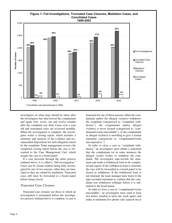

investigator on what steps should be taken after the investigator has interviewed the complainant and again four, seven, ten and twelve months after the complaint was filed. Cases over a year old and reassigned cases are reviewed monthly. When the investigation is complete, the investigator writes a closing report, which includes a summary and analysis of the evidence and recommended dispositions for each allegation raised by the complaint. Team management reviews the completed closing report before the case is forwarded to the Case Management Unit, which assigns the case to a board panel.

If a case proceeds through the entire process outlined above, it is called a "full investigation." Cases can be closed without being fully investigated for one of two reasons: either they are truncated or they are settled by mediation. Truncated cases still must be forwarded to a board panel before being closed.

#### *Truncated Case Closures*

Truncated case closures are those in which an investigation is terminated before the investigative process outlined above is complete. A case is truncated for one of three reasons: either the complainant and/or the alleged victim(s) withdraws the complaint (categorized as "complaint withdrawn"), the complainant and/or alleged victim(s) is never located (categorized as "complainant/victim unavailable"), or the complainant or alleged victim(s) is unwilling to give a formal statement (categorized as "complainant/victim uncooperative.")

In order to close a case as "complaint withdrawn," an investigator must obtain a statement that the complainant (or in some instances the alleged victim) wishes to withdraw the complaint. The investigator tape-records the statement and sends a withdrawal form to be completed and signed. If the withdrawal form is returned, the case will be forwarded to a board panel to be closed as withdrawn. If the withdrawal form is not returned, the team manager must listen to the tape-recorded statement to confirm that the complaint was withdrawn willingly before it is submitted to the board panel.

In order to close a case as "complainant/victim unavailable," an investigator must send at least two letters (mailed at least one week apart) and make at minimum five phone calls (spaced out at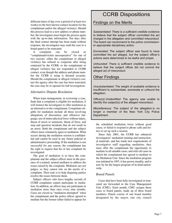different times of day over a period of at least two weeks) to the best known contact location for the complainant and/or the alleged victim(s). Should this process lead to a new address or phone number, the investigator must begin the process again with the up-to-date information. Ten days after the final contact attempt has been made without response, the investigator may send the case to a board panel to be truncated.

A complaint can be closed as "complainant/victim uncooperative" for one of two reasons: either the complainant or alleged victim(s) has refused to cooperate after being contacted by the CCRB, or the complainant or alleged victim(s) has not responded to CCRB contact, even though the address and phone number the CCRB is using is deemed accurate. Should the complainant or alleged victim(s) contact the agency after the case has been truncated, the case may be re-opened for full investigation.

#### *Alternative Dispute Resolution*

When team management, in reviewing a case, finds that a complaint is eligible for mediation, it will instruct the investigator to offer mediation as an alternative to the complainant. Complaints eligible for mediation include all those involving allegations of discourtesy and offensive language, use of minor physical force without injury, threat of arrest or summons, threat of force, and stop and question incidents that do not result in an arrest. Both the complainant and the subject officer must voluntarily agree to mediation. What occurs during the mediation session is confidential and cannot be used in any future judicial or administrative proceeding. If the mediation is not successful for any reason, the complainant has the right to request that his or her complaint be investigated.

The goal of mediation is to have the complainant and the subject officer meet in the presence of a trained, neutral mediator to address the issues raised by the complaint. Mediators are not judges, so they cannot rule on the merits of a complaint. Their task is to help disputing parties resolve the issues between them.

Subject officers who have lengthy records of CCRB complaints cannot participate in mediation. In addition, an officer may not participate in mediation more than once every nine months. Cases are closed as "mediation attempted" when the complainant and the police officer agreed to mediate but the former either failed to appear for

# CCRB Dispositions

### Findings on the Merits

*Substantiated:* There is a sufficient credible evidence to believe that the subject officer committed the act charged in the allegation and committed misconduct. The board can recommend to the police commissioner appropriate disciplinary action.

*Exonerated:* The subject officer was found to have committed the act alleged, but the subject officer's actions were determined to be lawful and proper.

*Unfounded*: There is sufficient credible evidence to believe that the subject officer did not commit the alleged act of misconduct.

### Other Findings

*Unsubstantiated*: The weight of available evidence is insufficient to substantiate, exonerate or unfound the allegation.

*Officer(s) Unidentified:* The agency was unable to identify the subject(s) of the alleged misconduct.

*Miscellaneous:* The subject of the allegation is no longer a member of the New York City Police Department.

the scheduled mediation twice without good cause, or failed to respond to phone calls and letters to set up such a session.

Since July 2001, the CCRB has enhanced investigators' mediation training and instructional materials, and has made new requirements of investigative staff regarding mediation; they must offer the complainant the opportunity to mediate in all suitable cases, and refer all cases in which the complainant has agreed to mediate to the Mediation Unit. Since the mediation program was initiated in 1997, it has grown steadily, and is now by far the largest program of its kind nationwide.

#### *Board Panels*

Cases that have been fully investigated or truncated are forwarded to the Case Management Unit (CMU). Each month, CMU assigns these cases to board panels, made up of three board members. Panels consist of one board member designated by the mayor, one city council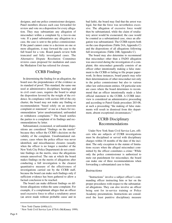designee, and one police commissioner designee. Panel members discuss each case forwarded for review and vote on a disposition for every allegation. They may substantiate any allegation of misconduct within a complaint by a two-to-one vote. If a panel substantiates any allegation in a case, the case is sent to the police commissioner. If the panel cannot come to a decision on one or more allegations, it may forward the case to the full board for a vote. Board panels review both truncated and fully investigated cases. The Alternative Dispute Resolution Committee reviews cases proposed for mediation and cases the Mediation Unit has referred for closure.

#### CCRB Findings

In determining the finding for an allegation, the board uses the preponderance of the evidence as its standard of proof. This standard, the same one used at administrative disciplinary hearings and in civil court cases, requires the board to adopt the disposition favored by the weight of the evidence. In compliance with section 440 of the city charter, the board may not make any finding or recommendation "based solely on an unsworn complaint or statement" or use as a basis for recommendation "prior unsubstantiated, unfounded or withdrawn complaints."3 The board notifies the parties to a complaint of its findings and recommendations by letter.

Substantiated, exonerated, or unfounded dispositions are considered "findings on the merits" because they reflect the CCRB's decision on the validity of the complaint. Unsubstantiated outcomes, cases where the police officer was never identified, and miscellaneous closures (usually when the officer is no longer a member of the New York City Police Department) do not constitute findings on the merits, since the allegations remain unresolved. The rate at which the board makes findings on the merits of allegations after conducting a full investigation is the clearest quantitative measure of the effectiveness of investigations carried out by the CCRB staff, because the board can make such findings only if sufficient evidence has been gathered to allow a factual conclusion to be reached.

The board can make different findings on different allegations within the same complaint. For example, if a complainant alleges that an officer used excessive force to effect a retaliatory arrest (an arrest made without probable cause and in

bad faith), the board may find that the arrest was legal, but that the force was nevertheless excessive. The allegation of excessive force would then be substantiated, while the claim of retaliatory arrest would be exonerated; the case would be counted as a substantiated case, since an allegation was substantiated. The CCRB reports both on the case dispositions (Table 24A, Appendix C) and the dispositions of all allegations following full investigations (Table 24B, Appendix C).

The board may also determine to recommend that misconduct other than a FADO allegation was uncovered during the investigation of a complaint; this misconduct generally consists of an officer either intentionally making a false statement to the CCRB or failing to file proper paperwork. In these instances, board panels may refer their determinations of other misconduct not only to the police commissioner but also to various other law enforcement entities. Of particular note are cases where the board determines to recommend that an officer intentionally made a false official statement to the CCRB. A CCRB interview is considered an administrative proceeding and according to Patrol Guide procedure 203-08, at such a proceeding "the making of false statements will result in dismissal from this department, absent exceptional circumstances."

### CCRB Disciplinary Recommendations

Under New York State Civil Service Law, officers who are subjects of CCRB investigations must be disciplined or served with disciplinary charges within 18 months of the date of the incident. The only exception to the statute of limitations occurs when the alleged misconduct committed by the officer constitutes a crime.<sup>4</sup> While only the police commissioner is authorized to mete out punishment for misconduct, the board can make one of three recommendations when forwarding a substantiated case to him.

#### *Instructions*

"Instructions" involve a subject officer's commanding officer instructing him or her on the proper procedures with respect to the substantiated allegations. They can also involve an officer being sent for in-service training or Police Academy presentations. Instructions are considered the least punitive disciplinary measure

<sup>&</sup>lt;sup>3</sup> New York Charter  $$440(c)(1)$ .

<sup>4</sup> New York Civil Service Law §75(4) (McKinney 1999).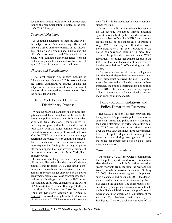because they do not result in formal proceedings, though the recommendation is noted in the officer's CCRB history.

#### *Command Discipline*

A "command discipline" is imposed directly by the subject officer's commanding officer and may vary based on the seriousness of the misconduct, the officer's disciplinary history, and the officer's performance record. The penalties associated with command discipline range from an oral warning and admonishment to a forfeiture of up to 10 days of vacation or accrued time.

#### *Charges and Specifications*

The most serious disciplinary measure is "charges and specifications." This involves lodging formal administrative charges against the subject officer who, as a result, may face loss of vacation time, suspension, or termination from the police department.

# New York Police Department Disciplinary Process

When the board substantiates one or more allegations raised by a complaint, it forwards the case to the police commissioner for his consideration and final decision. Responsibility for imposing discipline within the police department rests solely with the police commissioner, who can still make new findings of law and fact even after the CCRB and an administrative law judge determine the police officer committed misconduct. In such cases, the police commissioner must explain his findings in writing. A police officer can appeal the final adverse decisions of the police commissioner to New York State Supreme Court.

Cases in which charges are served against an officer are filed with the department's deputy commissioner for trials (DCT). The deputy commissioner for trials and his assistants, who are administrative law judges employed by the police department, preside over case conferences, negotiations, and hearings. Until January 2003, some substantiated cases were calendared at the Office of Administrative Trials and Hearings (OATH), a city tribunal. Following the First Department Appellate Division's decision in Lynch v. Giuliani,<sup>5</sup> discussed at length in the final section of this chapter, all CCRB substantiated cases are now filed with the department's deputy commissioner for trials.

Because the police commissioner is responsible for deciding whether to impose discipline against individuals, the police department considers each subject officer the CCRB found committed misconduct to be a single case. Therefore, a single CCRB case may be reflected as two or more cases after it has been forwarded to the police commissioner, resulting in more total cases at the police department than the CCRB forwarded. The police department reports to the CCRB on the final disposition of cases resolved by the commissioner's office during the prior month.

If a case contains no substantiated allegations but the board determines to recommend that other misconduct occurred, the CCRB also forwards the case to the police department. In these instances, the police department has not notified the CCRB of the action it takes, if any, against officers whom the board determined to recommend engaged in misconduct.

# Policy Recommendations and Police Department Response

The CCRB's mission statement provides that the agency will "report to the police commissioner relevant issues and policy matters coming to the board's attention." In furtherance of this goal, the CCRB has paid special attention to trends over the past year and made three recommendations to the police department stemming from issues uncovered during investigations. To date, the police department has acted on all of these recommendations.

#### *Search Warrant Database*

On January 27, 2003, the CCRB recommended that the police department develop a comprehensive database to track information regarding search warrants from the time the warrant was issued through the warrant's execution. On May 27, 2003, the department agreed to implement such a database and on July 1, 2003, the department issued an interim order announcing that it had created the database. The order requires officers to notify and provide relevant information to the Intelligence Division upon receipt of a search warrant and upon execution or expiration of the warrant. The database, maintained by the Intelligence Division, tracks key aspects of the

<sup>&</sup>lt;sup>5</sup> Lynch v. Giuliani, 755 N.Y.S.2d 6 (N.Y. App. Div. 1st Dept. 2003).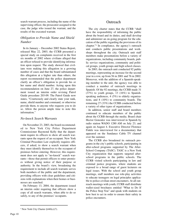search warrant process, including the name of the supervising officer, the prosecutor assigned to the case, the judge who issued the warrant, and the results of the executed warrant.

#### *Obligation to Provide Name and Shield Number*

In its January – December 2002 Status Report, released May 22, 2003, the CCRB presented a special study on complaints received in the first six months of 2002 where civilians alleged that an officer refused to provide identifying information upon request. The study showed that civilians were making this allegation in a growing number of cases and that the board substantiated this allegation at a higher rate than others; the report recommended that the police department clarify an officer's obligation to provide his or her name and shield number. Acting upon this recommendation on June 27, the police department issued an interim order revising Patrol Guide procedure 203-09. The Patrol Guide now states, "Courteously and clearly state your rank, name, shield number and command, or otherwise provide them, to anyone who requests you to do so. Allow the person ample time to note this information."

#### *No-knock Search Warrants*

On November 23, 2003, the board recommended to New York City Police Department Commissioner Raymond Kelly that the department require its officers to show all search warrants upon the request of an occupant. New York Criminal Procedure Law explicitly requires officers, if asked, to show a search warrant when they must identify themselves to the occupant of premises before entering. However, this requirement does not apply to "no-knock" search warrants—those that permit officers to enter premises without giving notice of their purpose or authority. In the board's view, broadening the requirement to include all search warrants serves both members of the public and the department, providing officers with clear guidelines and citizens with explanations when their homes or businesses are searched.

On February 13, 2004, the department issued an interim order requiring that officers show a copy of all search warrants, when able to do so safely, to any of the premises' occupants.

#### Outreach

The city charter states that the CCRB "shall have the responsibility of informing the public about the board and its duties, and shall develop and administer an on-going program for the education of the public regarding the provisions of its chapter."6 In compliance, the agency's outreach unit conducts public presentations and workshops throughout the city. Outreach unit staff members make presentations before a variety of organizations, including community boards, public service organizations, community and political groups, youth groups and high school classes.

In 2003, the outreach unit conducted 92 public meetings, representing an increase for the second year in a row, up from 56 in 2001 and 76 in 2002. Moreover, with the addition of a Spanish-speaking member to the unit, the agency was able to conduct a number of outreach meetings in Spanish. Of the 92 meetings, the CCRB made 31 (37%) to youth groups, 13 (16%) to Spanishspeaking audiences, 4 (5%) to elderly organizations, and 8 (10%) to community boards. The remaining 27 (33%) the CCRB conducted before a variety of other types of organizations.

In addition, senior staff and board members continued to educate members of the public about the CCRB through the media. Board chair Hector Gonzalez was interviewed in Spanish by radio station WADO 1280 AM on July 23, and again on August 4. Executive Director Florence Finkle was interviewed for a documentary that appeared on the Sundance Cable TV channel over the summer.

The CCRB also broadened its outreach programs in the city's public schools, participating in after-school programs supported by The After-School Company (TASC). TASC is a New York City organization that supports targeted afterschool programs in the public schools. The CCRB visited schools participating in law and criminal justice programs, where students are exposed to a broad range of guest lecturers on legal issues. With the school and youth group meetings, staff members use role-play activities to educate teenagers on legal principles applicable to police-civilian street encounters. At all outreach meetings with youth, CCRB staff distribute wallet-sized brochures entitled "What to Do If the Police Stop You" and speak with students on how best to act in order to ensure their safety in police encounters.

 $6$  New York City Charter  $§440(c)(7)$ .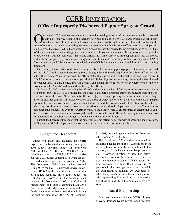# CCRB INVESTIGATION:

# **Officer Improperly Discharged Pepper Spray at Crowd**

n June 4, 2002, two women planning to attend a meeting in lower Manhattan were unable to proceed south on Broadway because of a teachers' rally taking place in City Hall Park. Police had set up barricades to control the flow of pedestrian and vehicular traffic and the women found themselves at the front of one such barricade, attempting to attract the attention of a female police officer in order to ask permission to cross the street. While the women were pressed against the barricade, the crowd began to surge. One of the women was pushed to the ground; according to both women, the female officer, in trying to control the crowd yelled, "Get the fuck back!" This same officer, the women asserted, fired pepper spray into the crowd. Hit with the pepper spray, both women sought medical treatment for burning to their eyes and ears at NYU Downtown Hospital. Medical records obtained by the CCRB documented their complaints and corresponding treatment.

The investigator was able to identify the subject officer by examining photographs of female officers listed on the rally's detail roster and comparing those photographs with the description of the subject officer provided by the women. When interviewed, the officer stated that she did not recall whether she had used the word "fuck" in trying to keep back the crowd yet admitted discharging her pepper spray, claiming that she directed the pepper spray against a single individual who was pushing others. It was not clear whether one of the two women was the "unruly" individual described by the officer.

On March 31, 2003, after comparing the officer's actions with the Patrol Guide procedure governing the use of pepper spray, the CCRB determined that the officer's discharge of pepper spray constituted the use of excessive force since the Patrol Guide instructs officers to "[a]void using pepper spray indiscriminately over a large area for disorder control." In further violation of the Patrol Guide, the officer failed to note the use of pepper spray in her memobook, failed to prepare an aided report, and did not seek medical attention for those hit by the spray. For these violations the board determined to recommend to the department that the officer committed other misconduct. However, the CCRB exonerated the officer's use of an obscenity in attempting to control the crowd based upon administrative judicial decisions that permit officers to employ obscenity in stressful apprehension situations and to gain compliance with an order or directive.

Though the board recommended that the nine-year veteran officer be served with charges and specifications, in September 2003 the department imposed a command discipline level A against her.

#### Budget and Headcount

Along with many city agencies, the CCRB experienced substantial cuts to its fiscal year 2003 budget. The final budget for fiscal year 2003, as of June 30, 2003, was \$9,000,535—representing a reduction of \$1,216,417 from the fiscal year 2003 budget contemplated when the city released its financial plan in November 2002. The fiscal year 2004 adopted budget restored \$988,000 to the CCRB's personal services budget and \$12,000 to the other than personal services budget, resulting in a total budget of \$10,566,636. However, in the financial plan released in November 2003, the Office of Management and Budget eliminated \$380,548 from the adopted budget, money that would have funded an administrative prosecution unit during the first six months of 2004. As of December

31, 2003, the total agency budget for fiscal year 2004 stood at \$10,186,088.

The fiscal year 2003 budget supported an authorized headcount of 185 (122 positions in the investigations division, 42 in the administrative division, and 21 in the administrative prosecution unit). However, litigation (as described below) has made creation of the administrative prosecution unit unnecessary; the CCRB's actual fulltime headcount as of June 30, 2003 was 166: 124 positions in the investigative division and 42 in the administrative division. On December 31, 2003, the agency's full-time headcount again was 166, representing 128 positions in the investigative division and 38 in the administrative division.

#### Board Membership

Four board members left the CCRB this year. Mayoral designee Debra Livingston, a professor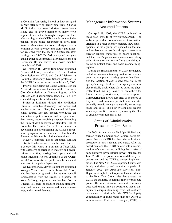at Columbia University School of Law, resigned in May after serving nearly nine years. Charles M. Greinsky, city council designee from Staten Island and an active member of many civic organizations in that borough, resigned in June after serving on the CCRB since it became independent of the police department in 1993. Earl Ward, a Manhattan city council designee and a criminal defense attorney and civil rights litigator, resigned from the board in September, after serving since 1997. Tai Park, a mayoral designee and a partner at Shearman & Sterling, resigned in December. He had served as a board member since July of 2001.

On October 16, Mayor Bloomberg appointed Dennis deLeon, president of the Latino Commission on AIDS, and Carol Liebman, a Columbia University Law School professor, to the CCRB for terms lasting through July 5, 2006.

Prior to overseeing the Latino Commission on AIDS, Mr. deLeon was the chair of the New York City Commission on Human Rights, which enforces anti-discrimination laws. He is a city council designee from Manhattan.

Professor Liebman directs the Mediation Clinic at Columbia University Law School and teaches profession of law, the required third-year ethics course. She has spoken worldwide on alternative dispute resolution and has spent more than twenty years resolving disputes, including the 1996 student takeover of Hamilton Hall at Columbia University. She will concentrate on developing and strengthening the CCRB's mediation program as a member of the board's Alternative Dispute Resolution Committee.

Mayor Bloomberg also re-appointed William F. Kuntz II, who has served on the board for over a decade. Mr. Kuntz is a partner at Torys LLP, with extensive experience in mergers and acquisitions, securities, banking, bankruptcy, and real estate litigation. He was appointed to the CCRB in 1987 as one of its first public members when it was part of the police department.

On December 22, Mayor Bloomberg appointed Youngik Yoon to serve on the board. Mr. Yoon, who had been designated to be the city council representative from the Bronx, is a partner at Yoon & Hong, a general practice law firm in Queens. His areas of practice include immigration, matrimonial, real estate and business closings, and criminal defense.

# Management Information Systems Accomplishments

On April 29, 2003, the CCRB activated its redesigned website at www.nyc.gov/ccrb. The website provides comprehensive information, arranged in a user-friendly manner. New developments at the agency are updated on the site, and readers can access board reports, executive director reports, transcripts of board meetings, and the board's policy recommendations, along with information on how to file a complaint, an online complaint form, and board member biographies.

During the first six months of 2003, the agency added an inventory tracking system to its computerized complaint tracking system that identifies the location of each closed case file in the agency's storage facilities. The agency can now electronically track where closed cases are physically stored, making it easier to locate them for future research, court cases, or other purposes. Computerization allows case files to be stored as they are closed (in non-sequential order) and still be easily found, saving dramatically on storage space and costs. The new system also records when any case file is removed, allowing the files to circulate with less risk of loss.

# Status of Administrative Prosecution Unit Status

In 2001, former Mayor Rudolph Giuliani and former Police Commissioner Bernard Kerik proposed that the CCRB be given the authority to prosecute its own substantiated cases. After the department and the CCRB entered into a memorandum of understanding outlining the transfer of administrative prosecutorial power planned for June 25, 2001, the police unions sued the city, the department, and the CCRB to prevent implementation. The New York State Supreme Court sided largely with the city, and the unions appealed. In January 2003, the Appellate Division, First Department, upheld that aspect of the amendment to the New York City's rules that granted the CCRB the authority to administratively prosecute police officers it determined committed misconduct. At the same time, the court ruled that all disciplinary charges stemming from substantiated cases must be tried before the NYPD's deputy commissioner of trials rather than the Office of Administrative Trials and Hearings (OATH), as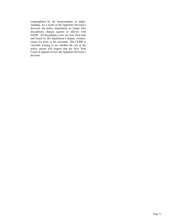contemplated by the memorandum of understanding. As a result of the Appellate Division's decision, the police department no longer files disciplinary charges against its officers with OATH. All disciplinary cases are now filed with and heard by the department's deputy commissioner for trials or his assistants. The CCRB is currently waiting to see whether the city or the police unions will request that the New York Court of Appeals review the Appellate Division's decision.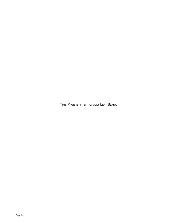THIS PAGE IS INTENTIONALLY LEFT BLANK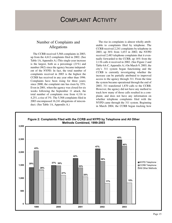# COMPLAINT ACTIVITY

### Number of Complaints and Allegations

The CCRB received 5,568 complaints in 2003, up from the 4,612 complaints filed in 2002. (See Table 1A, Appendix A.) This single-year increase is the largest, both as a percentage (21%) and number (962) since the agency became independent of the NYPD. In fact, the total number of complaints received in 2003 is the highest the CCRB has received in any year other than 1996. Complaints have been rising for three years; since 2000, the complaint rate has risen by 35%. Even in 2001, when the agency was closed for six weeks following the September 11 attack, the total number of complaints rose from 4,116 to 4,251, a rise of 3%. The 5,568 complaints filed in 2003 encompassed 16,241 allegations of misconduct. (See Table 1A, Appendix A.)

The rise in complaints is almost wholly attributable to complaints filed by telephone. The CCRB received 2,241 complaints by telephone in 2003, up 36% from 1,653 in 2002; the NYPD received 2,483 telephone complaints that it eventually forwarded to the CCRB, up 16% from the 2,136 calls it received in 2002. (See Figure 2 and Table 6A-C, Appendix A.) On March 9, 2003, the city's 311 system began functioning and the CCRB is currently investigating whether the increase can be partially attributed to improved access to the agency through 311. From the time the system became operational through the end of 2003, 311 transferred 1,870 calls to the CCRB. However, the agency did not have any method to track how many of those calls resulted in a complaint, and does not have any information on whether telephone complaints filed with the NYPD came through the 311 system. Beginning in March 2004, the CCRB began tracking how

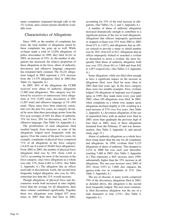many complaints originated through calls to the 311 system, and a clearer picture should be available soon.

### Characteristics of Allegations

Since 1999, as the number of complaints has risen, the total number of allegations raised by these complaints has gone up as well. While civilians made a total of 12,056 allegations of police misconduct in 1999, they filed 16,241 in 2003, an increase of 35%. As the number of allegations has increased, the relative proportion of these allegations in the force, abuse of authority, discourtesy and offensive language categories has remained fairly constant. The 16,241 allegations lodged in 2003 represent a 21% increase from the 13,379 allegations filed in 2002.(See Table 1A, Appendix A.)

In 2003, 46% of the allegations the CCRB received were abuse of authority allegations (7,488 total allegations). This category was followed by excessive or unnecessary force allegations at 31% (5,052 total), discourtesy at  $20\%$ (3,207 total) and offensive language at 3% (494 total). These ratios have been relatively consistent over the past five years; no category deviated by more than three percentage points from the five-year averages of 44% for abuse of authority, 33% for force, 20% for discourtesy, and 3% for offensive language. (See Table 1A, Appendix A.)

The proliferation of total allegations filed resulted largely from increases in some of the allegations lodged most frequently with the agency. Over the course of the past five years, for example, complaints of physical force comprised 71% of all allegations in the force category (14,635 out of a total of 20,665 force allegations). From 2002 to 2003, the number of physical force allegations filed rose by 18% (from 2,444 to 3,631), accounting for most of the increase in the force category, since force allegations as a whole rose only 13% (from 4,465 to 5,052). (See Table 2, Appendix A.) The allegation that an officer used rude or discourteous words, the second most frequently lodged allegation, also rose by 18%, somewhat less than the 21% overall increase.

Though allegations of physical force and discourteous words both increased at rates slightly lower than the average for all allegations, their sheer volume contributed significantly. Together these two allegations were lodged 937 more times in 2003 than they had been in 2002,

accounting for 33% of the total increase in allegations. (See Tables 1A, 2, and 3, Appendix A.)

A number of abuse of authority allegations increased dramatically enough to contribute to a significant portion of the rise in total allegations. Allegations that officers improperly questioned or stopped civilians rose 53% from 2002 to 2003 (from 671 to 1,027), and allegations that an officer refused to provide a name or shield number rose by 28%, from 632 to 813. Allegations that an officer improperly frisked or searched a civilian or threatened to arrest a civilian, the most frequently filed abuse of authority allegation, both rose over 25% (from 841 to 1,068 and from 842 to 1,057 respectively). (See Tables 2-5, Appendix A.)

Some allegations, while not filed often enough to have a significant impact on the increase in allegations filed, were filed far more often in 2003 than four years ago. In the force category there were two notable examples. First, civilians lodged 156 allegations of improper use of pepper spray in 1999; they made more every year until 2002, when 249 allegations were filed. In 2003, when complaints as a whole rose, pepper spray allegations declined slightly to 245, resulting in a total increase of 57% over five years. (See Table 2, Appendix A.) Seventeen allegations of the use of unjustified force with an animal were filed in 2003, more than quadruple the previous high of four filed in 2002; most of these allegations stemmed from the February 15 anti-war demonstration. (See Table 2, Appendix A, and special study, page 37.)

Abuse of authority allegations as a whole have been rising faster than the rate for all complaints and allegations. In 1999, civilians filed 5,125 allegations of abuse of authority. This dropped to 4,214 in 2000 but rose each year thereafter, reaching 7,488 in 2003. (See Table 3, Appendix A.) This represents a 46% increase since 1999, substantially higher than the 35% increase in all allegations. The one-year increase since 2002 of 26% (from 5,953 to 7,488) also outpaces the agency-wide rise in complaints of 21%. (See Table 3, Appendix A.)

The use of obscene or nasty words comprised 79% of the discourtesy allegations filed in 2003; as detailed above, this allegation is the second most frequently lodged. The next most commonly filed discourtesy allegation was the use of a rude demeanor or tone (13%). (See Table 4, Appendix A.)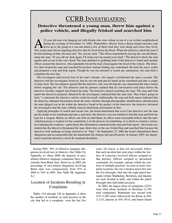# CCRB INVESTIGATION:

# **Detective threatened a young man, threw him against a police vehicle, and illegally frisked and searched him**

22-year old man was hanging out with friends who were sitting on top of a car in their neighborhood during the evening of November 14, 2001. Plainclothes officers from a Staten Island narcotics unit drove up to the group in a van and asked a few of them what they were doing and where they lived. The young man told an inquiring detective that he lived down the block. When the detective asked the man if he had anything on him, the man said, "No, not me, Jack." The officer responded by leaving the van and threatening the man, "If you call me Jack again, I'll wrap your lip around your head." The detective threw the man against and on top of the van's hood. The man admitted to grabbing hold of the detective's hand until another officer assisted the detective, who repeatedly forced the man's head against the hood of the vehicle. The detective then frisked the man and searched his pockets without finding any contraband. He took the man's wallet and prepared a stop and frisk report. Though he was not arrested or issued any summonses, the man filed a complaint the next day.

The investigator interviewed four of the man's friends, who largely corroborated the man's account. The detective told the investigator, however, that he saw the man put his hands in his waistband and take a couple of steps back. His two partners agreed that the detective, who was driving the van, mentioned the man's hands before stopping the van. The detective and his partners claimed that no conversation took place before the detective forcibly stopped and frisked the man. The detective denied searching the man. The stop and frisk report the detective prepared, obtained by the investigator, indicated that the man said, "Hey what's going on Jack," a statement the detective said he could not recall. Additionally, the stop and frisk report indicated that the detective obtained information about the man's identity through photographic identification, identification the man alleged was in the wallet the detective found in his pocket. At his interview, the detective informed the investigator that the man verbally relayed identifying information to him.

Applying principles of search and seizure law, the board determined that even if the detective saw the man put his hands in his waistband and take a step back, the detective was not entitled to forcibly stop and frisk the man for a weapon. Before an officer can frisk an individual, an officer must reasonably believe that the individual possesses a weapon (or has committed, is in the process of committing, or is about to commit a crime). In evaluating the evidence—particularly the information contained in the stop and frisk report—the board concluded that the detective threatened the man, threw him on the car, frisked him and searched him because the detective took umbrage at being referred to as "Jack." On September 27, 2002 the board substantiated these allegations and recommended that the department file charges and specifications. In January 2003, the department issued the detective a level B command discipline.

During 2003, 78% of offensive language allegations involved race or ethnicity. (See Table 5A, Appendix A.) Since 2000, the majority of racerelated offensive language complaints have consistently been Black slurs. However, in 2003, the percentage of race-related allegations involving Black slurs rose conspicuously, from 57% in 2002 to 74% in 2003. (See Table 5B, Appendix A.)

# Location of Incidents Resulting in Complaints

Tables 13A through 13E in Appendix A show the number of incidents in each precinct in the city that led to a complaint over the last five years. Of course, it does not necessarily follow that each incident that took place within the borders of a precinct involved officers assigned to that precinct. Officers assigned to specialized commands, for example, operate within the confines of multiple precincts. In order to track complaint locations, the city is broken down first into the five boroughs, then into the eight patrol boroughs (where Manhattan, Brooklyn, and Queens are each divided in half), and within the patrol boroughs into individual precincts.

In 2003, the largest share of complaints (32%) were filed about incidents in Brooklyn (1,756 total complaints). Manhattan was second with 27% (1,485 total), followed by the Bronx at 20% (1,113), Queens at 16% (873), and Staten Island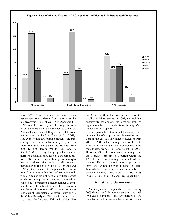

at 4% (223). None of these ratios is more than a percentage point different from ratios over the last five years. (See Tables 13A-E, Appendix C.)

When broken down by patrol borough, however, certain locations in the city begin to stand out. As stated above, since hitting a low in 2000 complaints have risen by 35% (from 4,116 to 5,568). However, within two patrol boroughs, the percentage has been substantially higher. In Manhattan South complaints rose by 63% from 2000 to 2003 (from 491 to 798), and in S.A.T.COM (covering the geographic area of northern Brooklyn) they rose by 51% (from 665 to 1,003). The increases in these patrol boroughs had an inordinate effect on the overall complaint increase. (See Tables 13A and 13C, Appendix A.)

While the number of complaints filed stemming from events within the confines of any individual precinct did not have a significant effect on the total complaint increase, certain locations consistently experience a higher number of complaints than others. In 2003, each of five precincts was the location for over 160 incidents leading to a complaint: Manhattan's Midtown South (176), the 75th in Brooklyn (169), the 44th in the Bronx (161), and the 73rd and 79th in Brooklyn (160 each). Each of these locations accounted for 3% of all complaints received in 2003, and each has consistently been among the locations with the highest number of complaints in the city. (See Tables 13A-E, Appendix A.)

Some precincts that were not the setting for a large number of complaints relative to other locations in the city still saw notable increases from 2002 to 2003. Chief among these is the 17th Precinct in Manhattan, where complaints more than tripled, from 31 in 2002 to 104 in 2003. However, 43 of the complaints stemming from the February 15th protest occurred within the 17th Precinct, accounting for much of the increase. The next largest increase in percentage terms was within the 94th Precinct in Patrol Borough Brooklyn South, where the number of complaints nearly tripled, from 11 in 2002 to 28 in 2003). (See Tables 13A and 13C, Appendix A.)

#### Arrests and Summonses

An analysis of complaints received during 2003 shows that 28% involved an arrest and 19% involved a summons. Fifty-two percent of the complaints filed did not involve an arrest or sum-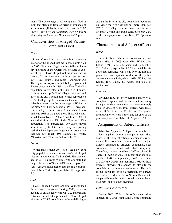mons. The percentage of all complaints filed in 2003 that stemmed from an arrest or issuance of a summons (48%) is similar to that in 2002 (47%). (See *Civilian Complaint Review Board Status Report January – December 2002*, p. 21.)

### Characteristics of Alleged Victims in Complaints Filed

#### *Race*

Race information is not available for almost a quarter of the alleged victims in complaints filed in 2003. Either the alleged victims failed to identify their race or the CCRB was not able to contact them. Of those alleged victims whose race is known, Blacks constituted the largest percentage: 52%. (See Figure 3 and Table 7, Appendix A.) This figure is disproportionately high, given that Blacks constitute only 25% of the New York City population as reflected in the 2000 U.S. Census. Latinos made up 24% of alleged victims, and 27% of the city's population. Whites represented 19% of alleged police misconduct victims, considerably lower than the percentage of Whites in the New York City population (35%). Three percent of alleged victims were Asian, while Asians make up 10% of the population. Those who classified themselves as "other" constituted 3% of alleged victims and 4% of the New York City population. The percentages for 2003 mirror almost exactly the data for the five-year reporting period, which depict an alleged victim population that was 52% Black, 25% Latino, 18% White, 2% Asian, and 3% classified as "other."

#### *Gender*

While males make up 47% of the New York City population, men comprised 67% of alleged victims in complaints filed in 2003. The percentage of CCRB alleged victims who are male has ranged between 65% and 69% over the past five years, always much higher than the male proportion of New York City. (See Table 10, Appendix A.)

*Age*

CCRB alleged victims are also younger than the average New Yorker. During 2003, the average age of an alleged victim was 32, and persons between 15 and 24 represented 31% of alleged victims in CCRB complaints, substantially higher than the 14% of the city population they make up. Over the five-year period, more than half (57%) of all alleged victims have been between 15 and 34, while this group constitutes only 32% of the city population. (See Table 12, Appendix A.)

### Characteristics of Subject Officers

#### *Race*

Subject officers whose race is known in complaints filed in 2003 were 65% White, 21% Latino, 13% Black, 2% Asian and 0.2% other. (See Table 8, Appendix A.) This racial breakdown has remained consistent over the last five years, and corresponds to that of the police department as a whole, which is 62% White, 21% Latino, 15% Black, 2% Asian, and 0.2% of another race.

#### *Gender*

Civilians filed an overwhelming majority of complaints against male officers, not surprising in a police department that is overwhelmingly male. In 2003, 85% of subject officers were male, as are 83% of all NYPD officers. The gender breakdown of officers is the same for each of the past five years. (See Table 11, Appendix A.)

### Assignments of Subject Officers

Table 14, Appendix A depicts the number of officers against whom a complaint was filed based on the subject officers' command assignments. If a complaint names multiple subject officers assigned to different commands, each command is credited with that complaint. Therefore, the total number of officers listed in Table 14 (6,368 in 2003) is higher than the total number of 2003 complaints (5,568). By the end of 2003, the CCRB had identified 3,935 of these officers, allowing the agency to attribute the complaint to a command assignment. The table breaks down the police department by bureau, and further divides the Patrol Service Bureau into the patrol boroughs (which contain the numbered precincts) and its other divisions.

#### *Patrol Services Bureau*

During 2003, 75% of the officers named as subjects in CCRB complaints whose command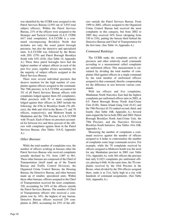was identified by the CCRB were assigned to the Patrol Services Bureau (2,955 out of 3,935 total subject officers). Within the Patrol Services Bureau, 21% of the officers were assigned to the Strategic and Tactical Command (S.A.T. COM) (617 total complaints). S.A.T.COM is a command encompassing Brooklyn North that includes not only the usual patrol borough precincts, but also the detective and specialized units. S.A.T.COM was followed by the Bronx with 20% (579) and Patrol Borough Brooklyn South with 14% (416). (See Table 14, Appendix A.) These three patrol boroughs have had the highest number of subject officers in each of the past five years, together always accounting for the majority of subject officers assigned to the Patrol Services Bureau.

There were several individual precincts that deserve mention for the high number of complaints against officers assigned to the command. The 79th precinct, in S.A.T.COM, accounted for 3% of all Patrol Services Bureau officers with complaints lodged against them (82 complaints). Other precincts with 70 or more complaints lodged against their officers in 2003 include the following: the 67th in Brooklyn South (78 officers), the 46th and 43rd in the Bronx (71 and 70 officers, respectively), and Midtown South in Manhattan and the 75th Precinct in S.A.T.COM with 70 each. Each of these six precincts accounted for between two and three percent of the officers with complaints against them in the Patrol Services Bureau. (See Tables 15A-E, Appendix A.)

#### *Other Bureaus*

While the total number of complaints rose, the number of officers working in bureaus other the Patrol Services Bureau who received complaints actually declined by 5%, from 1,007 to 961. These other bureaus are composed of the Chief of Transportation (itself made up of the Transit Bureau and Traffic Control Division), the Organized Crime Control Bureau, the Housing Bureau, the Detective Bureau, and other bureaus made up of smaller, specialized units. Within these other bureaus, officers assigned to the Chief of Transportation received the most complaints, 328, accounting for 34% of the officers outside the Patrol Services Bureau. The number of Chief of Transportaton officers who received a complaint rose by 34%, the highest of any bureau. Detective Bureau officers received 239 complaints in 2003, accounting for 25% of the officers outside the Patrol Services Bureau. From 1999 to 2002, officers assigned to the Organized Crime Control Bureau had received the most complaints in this category, but from 2002 to 2003 they received 34% fewer (dropping from 330 to 218), putting the bureau third behind the Detective Bureau and Chief of Transportation for the first time. (See Table 14, Appendix A.)

#### *Command Rankings*

The CCRB ranks the complaint activity of precincts and other relatively small commands according to a measurement called complaints per uniformed officer. This measurement is calculated by dividing the total number of complaints filed against officers in a single command by the total number of uniformed officers assigned to that command, thereby compensating for the difference in size between various commands.

With ten officers and five complaints, Manhattan North Narcotics East had the highest complaints per uniformed officer ratio in 2003, at 0.5. Patrol Borough Bronx North Anti-Crime Unit (0.48), Staten Island Gang Unit (0.41) and the 79th Precinct (0.33) ranked second, third, and fourth. (See Table 16B, Appendix A.) Several units topped the list in both 2002 and 2003: Patrol Borough Brooklyn North Anti-Crime Unit, the 79th Precinct, and the Narcotics Division Brooklyn South Initiative. (See Tables 16A-16B, Appendix A.)

Measuring the number of complaints a command receives against the number of officers assigned to it helps to contextualize the number of complaints some large commands receive. For example, while the 70 complaints received by officers assigned to Midtown South was the most for any Manhattan precinct in 2003 (see Table 15A, Appendix A), with 384 officers the precinct had only 0.1823 complaints per uniformed officer, placing it 64th. At the same time, the 70 complaints received by the 43rd Precinct in the Bronx, when divided by the 294 officers assigned there, ranks it as 21st, fairly high in a city with hundreds of command assignments. (See Table 16A, Appendix A.)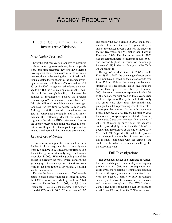# AGENCY PRODUCTIVITY

### Effect of Complaint Increase on Investigative Division

#### *Investigative Caseloads*

Over the past few years, productivity measures such as more rigorous training, better supervision, and time-triggered reviews have helped investigators close their cases in a more timely manner, thereby decreasing the size of their individual caseloads. For example, the average investigator caseload in 1997 was 29 cases and in 1998 25, but by 2002 the agency had reduced the average to 17. But the rise in complaints in 2003, coupled with the agency's inability to increase the number of investigators, pushed the average caseload up to 23, an increase of more than 35%. With six additional complaints apiece, investigators have far less time to devote to each case. Although the staff remains determined to investigate all complaints thoroughly and in a timely manner, the ballooning docket has only just begun to affect the CCRB's performance. Unless the agency receives additional resources to combat the swelling docket, the impact on productivity and timeliness will become more pronounced.

#### *Size and Age of Docket*

The rise in complaints, combined with a decline in the average number of investigators from 125 in 2002 to 121 in 2003, contributed to a docket that grew substantially larger and somewhat older in 2003. While the growing size of the docket is currently the more critical concern, the growing age of cases may present serious problems in the near future if investigative staffing levels remain static.

Despite the fact that a smaller staff of investigators closed a larger number of cases in 2003, the CCRB docket as a whole grew from 2,149 cases on December 31, 2002, to 2,816 on December 31, 2003, a 31% increase. The agency closed 4,877 cases in 2003, 52 more than in 2002

and but for the 4,948 closed in 2000, the highest number of cases in the last five years. Still, the size of the docket at year's end was the largest in the last five years, and 5% higher than it was in December 1999. The docket increase in 2003 was the largest in terms of number of cases (667) and second-highest in terms of percentage increase (31%) in the last five years. (See Table 20, Appendix B.)

The age of the docket rose in 2003 as well. From 1999 to 2002, the percentage of cases under nine months old (based on the date of report) rose from 77% to 90% as the agency implemented strategies to successfully close investigations before they aged excessively. By December 2003, however, these cases represented only 86% of the docket, the first drop in three years. (See Table 21, Appendix B.) By the end of 2002 only 146 cases were older than nine months and younger than 12, representing 7% of the docket. In one year the number of cases in this age range nearly doubled, to 290, and by December 2003 the cases in this age range constituted 10% of all open cases. Cases over one year old at the end of 2003 (113) made up only 4% of the agency's docket, just slightly more than the 3% of the docket they represented at the end of 2002 (74). (See Table 21, Appendix B.) While the proportional change in the number of cases over a year old is small, combined with the aging of the docket on the whole it presents a challenge for the upcoming year.

#### Full Investigations

The expanded docket and increased investigative caseloads began to measurably affect agency productivity in 2003, with consequences that could grow more serious if complaints continue to rise while agency resources remain fixed. Last year, the agency's ability to fully investigate cases began to show the stress of larger caseloads and increased complaints. The CCRB closed 2,040 cases after conducting a full investigation in 2003, an 8% drop from the 2,213 cases closed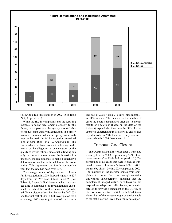#### **Figure 4: Mediations and Mediations Attempted 1999-2003**



following a full investigation in 2002. (See Table 24A, Appendix C.)

While the rise in complaints and the resulting increase in docket size remain a concern for the future, in the past year the agency was still able to conduct high-quality investigations in a timely manner. The rate at which the agency made findings on the merits in full investigations remained high, at 64%. (See Table 19, Appendix B.) The rate at which the board comes to a finding on the merits of the allegation is one measure of the quality of investigations, since such a finding can only be made in cases where the investigation uncovers enough evidence to make a conclusive determination on the facts and law of the complaint. This represents the fourth consecutive year that the rate has been over 60%.

The average number of days it took to close a full investigation in 2003 dropped slightly to 257 days from the 267 days it took in 2002. (See Table 18, Appendix B.) However, when the average time to complete a full investigation is calculated for each of the last three six-month periods, a different picture arises. For the last half of 2002 and the first half of 2003 a full investigation took on average 243 days (eight months). In the second half of 2003 it took 272 days (nine months), an 11% increase. The increase in the number of cases the board substantiated after the 18-month statute of limitations (based on the date of the incident) expired also illustrates the difficulty the agency is experiencing in its efforts to close cases expeditiously. In 2002 there were only four such cases, while in 2003 there were 11.

### Truncated Case Closures

The CCRB closed 2,687 cases after a truncated investigation in 2003, representing 55% of all case closures. (See Table 24A, Appendix B.) The percentage of all cases that were closed as truncated remained close to 50% from 1999 to 2002, but rose by almost 5% in 2003 compared to 2002. The majority of the increase comes from complaints that were closed as "complainant/victim/witness uncooperative," meaning that the complainant, alleged victim, or witness did not respond to telephone calls, letters, or emails, refused to provide a statement to the CCRB, or did not show up for multiple scheduled interviews. Part of the increase might be attributeable to the static staffing levels the agency has experi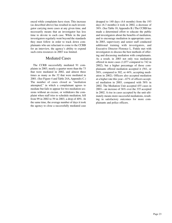enced while complaints have risen. This increase (as described above) has resulted in each investigator carrying more cases at any given time, and necessarily means that an investigator has less time to devote to each case. While in the past investigators regularly went beyond the standards they must follow in order to track down complainants who are reluctant to come to the CCRB for an interview, the agency's ability to expend such extra resources in 2003 was limited.

### Mediated Cases

The CCRB successfully mediated 91 complaints in 2003, nearly a quarter more than the 73 that were mediated in 2002, and almost three times as many as the 32 that were mediated in 2001. (See Figure 4 and Table 24A, Appendix C.) The number of cases closed as "mediation attempted," in which a complainant agrees to mediate but fails to appear for two mediation sessions without an excuse, or withdraws the complaint when staff tries to schedule mediation, fell from 99 in 2002 to 59 in 2003, a drop of 40%. At the same time, the average number of days it took the agency to close a successfully mediated case dropped to 140 days (4.6 months) from the 193 days (6.3 months) it took in 2002, a decrease of 38%. (See Table 18, Appendix B.) The CCRB has made a determined effort to educate the public and investigators about the benefits of mediation, and to encourage mediation in appropriate cases. In 2003, supervisory and senior staff conducted additional training with investigators, and Executive Director Florence L. Finkle met with investigators to discuss the best methods of offering and discussing mediation with complainants. As a result, in 2003 not only was mediation offered in more cases (1,077 compared to 742 in 2002), but a higher percentage of those complainants offered mediation accepted it (561, or 58%, compared to 302, or 44%, accepting mediation in 2002). Officers also accepted mediation at a higher rate this year—67% of officers accepted mediation in 2003, compared with 58% in 2002. The Mediation Unit accepted 455 cases in 2003—an increase of 36% over the 335 accepted in 2002. A rise in cases accepted by the unit ultimately means more successful mediations, resulting in satisfactory outcomes for more complainants and police officers.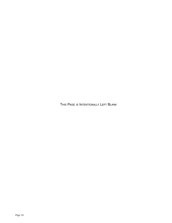THIS PAGE IS INTENTIONALLY LEFT BLANK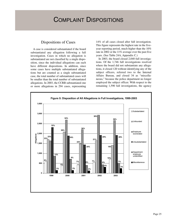# COMPLAINT DISPOSITIONS

### Dispositions of Cases

A case is considered substantiated if the board substantiated any allegation following a full investigation. Cases in which no allegation is substantiated are not classified by a single disposition, since the individual allegations can each have different dispositions. In addition, since some cases have multiple substantiated allegations but are counted as a single substantiated case, the total number of substantiated cases will be smaller than the total number of substantiated allegations. In 2003, the CCRB substantiated one or more allegations in 294 cases, representing

14% of all cases closed after full investigation. This figure represents the highest rate in the fiveyear reporting period, much higher than the 10% rate in 2002 or the 11% average over the past five years. (See Table 24A, Appendix C.)

In 2003, the board closed 2,040 full investigations. Of the 1,746 full investigations resolved where the board did not substantiate any allegations, it closed 120 without identifying any of the subject officers, referred two to the Internal Affairs Bureau, and closed 34 as "miscellaneous," because the police department no longer employed the subject officer. With respect to the remaining 1,590 full investigations, the agency

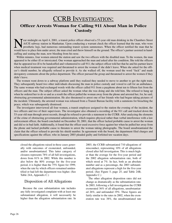# CCRB INVESTIGATION:

# **Officer Arrests Woman for Calling 911 About Man in Police Custody**

ear midnight on April 4, 2001, a transit police officer observed a 53-year old man drinking in the Chambers Street A/C/E subway station in Manhattan. Upon conducting a warrant check the officer learned that the man, who wore prosthetic legs, had numerous outstanding transit system summonses. When the officer notified the man that he would have to place him under arrest, the man cried and threw himself on the ground. The officer's partner assisted in handcuffing and seating the man, now bleeding from his nose.

Within minutes, four women entered the station and saw the two officers with the disabled man. To the women, the man appeared to be either ill or intoxicated. One woman approached the man and asked after his condition. She told the officers that he appeared too ill to be handcuffed and volunteered to call 911; the subject officer told her that he and his partner knew when medical treatment was required and threatened to arrest the woman if she didn't leave. When she asked for the officer's shield number, he allegedly refused to provide it. As she walked off, the woman used the word "fuck" and made derogatory comments about the police department. The officer pursued the group and threatened to arrest the women if they didn't leave.

The women went down to a subway platform until they realized they needed to move to another to get the right train. They subsequently heard two other individuals discussing the man in police custody and vowed to call for an ambulance. The same woman who had exchanged words with the officer called 911 from a payphone about ten to fifteen feet from the officers and the man. The subject officer asked the woman what she was doing and she told him. She refused to hang up when he ordered her to do so and as a result the officer pulled the woman away from the phone and arrested her, for, he said, obstructing governmental administration. He also threatened to arrest one of her friends who had begun taking pictures of the incident. Ultimately, the arrested woman was released from a Transit Bureau facility with a summons for breaching the peace, which was subsequently dismissed.

The investigator interviewed all four women, a transit employee assigned to the station the evening of the incident, the two officers and two of their supervisors. The investigator also obtained a recording of the 911 call and tracked down the 53-year old man through arrest records, though he refused to provide a statement to the CCRB. After analyzing the elements of the crime of obstructing governmental administration, which requires physical rather than verbal interference with a law enforcement officer, the board concluded on December 20, 2001, that the officer lacked probable cause to arrest the woman and did so in bad faith. Additionally, it found that the officer used excessive force against her when he pulled her away from the phone and lacked probable cause to threaten to arrest the woman taking photographs. The board unsubstantiated the claim that the officer refused to provide his shield number. In agreement with the board, the department filed charges and specifications against the officer, who in January 2003 pleaded guilty and forfeited ten vacation days.

closed the allegations raised in these cases generally with outcomes of exonerated, unfounded, and/or unsubstantiated. This latter category of closures represents 78% of all full investigations, down from 81% in 2002. While this number is also below the 80% average for the five-year period, it is higher than the 75% figure for 1999, when the rate by which officers remained unidentified or had left the department was higher. (See Table 24A, Appendix C.)

### Disposition of All Allegations

Because the case substantiation rate includes any fully investigated complaint with at least one substantiated allegation, it will necessarily be higher than the allegation substantiation rate. In

2003, the CCRB substantiated 710 allegations of misconduct, representing 10% of all allegations closed after full investigation. This is much higher than the average for the five-year period and the 2002 allegation substantiation rate, both of which stood at 7%. In fact, both as an absolute number and as a percentage, the 2003 substantiated allegations represent a high for the five-year period. (See Figure 5, page 25, and Table 24B, Appendix C.)

The other allegation disposition rates did not change as dramatically as the substantiation rate. In 2003, following a full investigation the CCRB exonerated 36% of all allegations, unsubstantiated 26%, and unfounded 19%. These figures are fairly similar to the rates in 2002, when the exoneration rate was 38%, the unsubstantiated rate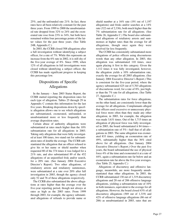25%, and the unfounded rate 21%. In fact, these rates have all been relatively constant for the past three years. From 1999 to 2000 the unsubstantiated rate dropped from 32% to 24% and the exonerated rate rose from 23% to 34%, but both have remained within four percentage points of the latter values for the past three years. (See Table 24B, Appendix C.)

In 2003, the CCRB closed 508 allegations after a full investigation without identifying a subject officer, for a rate of 7%. While this represents an increase from the 6% rate in 2002, it is still shy of the five-year average of 8%. Since 1999, when 12% of all allegations in full investigations were closed without identifying a subject officer, the CCRB has made significant progress in keeping this percentage low.

## Dispositions of Specific Allegations

In the January – June 2003 Status Report, the CCRB started reporting the disposition rates for each type of allegation. Tables 25 through 29 in Appendix C contain this information for the last five years. Breaking dispositions down by specific allegation allows one to see which allegations are substantiated, exonerated, unfounded, or unsubstantiated more or less frequently than average disposition rates.

Certain abuse of authority allegations were substantiated at rates much higher than the 10% substantiation rate for all allegations in 2003. Taking only allegations that were fully investigated at least 100 times, two stand out for substantiation rates of double the average. The CCRB substantiated the allegation that an officer refused to give his or her name or shield number when requested 80 of the 374 times it was lodged for a 21% rate, and also substantiated 89 of the 452 allegations of an unjustified frisk and/or search, for a 20% rate. (See January 2004 Executive Director's Report). Two other allegations, of retaliatory arrests and retaliatory summonses, were substantiated at a rate over 20% after full investigation in 2003, though the agency closed only 52 and 76 of these allegations respectively.

The CCRB also substantiated the above allegations at rates higher than the average over the five-year reporting period, though not always at rates as high as the 2003 rates. From 1999 through 2003, for example, the agency substantiated allegations of refusals to provide name or

shield number at a 16% rate (191 out of 1,197 allegations) and frisks and/or searches at a 14% rate (322 out of 2,336), both much higher than the 7% substantiation rate for all allegations. (See Table 26, Appendix C.) The board also substantiated allegations of retaliatory arrests and summonses at higher rates than the average for all allegations, though once again they were resolved far less frequently.

The CCRB has consistently substantiated more allegations of police officers using discourteous words than any other allegation. In 2003, this allegation was substantiated 110 times, once again placing it first in this category. Given the 1,112 times it was fully investigated, however, the allegation yields a 10% substantiation rate, exactly the average for all 2003 allegations. (See January 2004 Executive Director's Report.) This is consistent for the five-year period, where the agency substantiated 425 out of 5,703 allegations of discourteous word, for a rate of 8%, just higher than the 7% rate for all allegations. (See Table 27, Appendix C.)

The substantiation rates for force allegations, on the other hand, are consistently lower than the average for all allegations. Complainants alleged that officers used excessive or unnecessary physical force more often than they made any other allegation; in 2003, for example, the allegation was made 3,631 times. Out of the 1,715 times an allegation of physical force was fully investigated in 2003, the board substantiated it 84 times a substantiation rate of 5%—half that of all allegations in 2003. The same allegation was exonerated 833 times, yielding an exoneration rate of 49%, substantially higher than the 36% cited above for all allegations. (See January 2004 Executive Director's Report.) Over the past five years, the board substantiated the use of physical force 4% of the time and exonerated it at a rate of 44%, again a substantiation rate far below and an exoneration rate far above the five-year averages. (See Table 25, Appendix C.)

Allegations of discourtesy and offensive language, meanwhile, are more frequently unsubstantiated than other allegations. In 2003, the CCRB substantiated 130 out of 1,319 discourtesy allegations and 20 out of 206 offensive language allegations, yielding a substantiation rate of 10% in both instances, equivalent to the average for all allegations. However, the board closed 43% of all discourtesy allegations (569 out of 1,319) and 42% of offensive language allegations (86 out of 206) as unsubstantiated in 2003, rates that are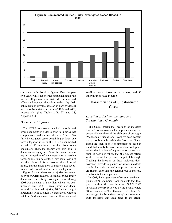

consistent with historical figures. Over the past five years while the average unsubstantiated rate for all allegations was 26%, discourtesy and offensive language allegations (which by their nature usually involve little or no hard evidence) were unsubstantiated at rates of 41% and 40%, respectively. (See Tables 24B, 27, and 28, Appendix C.)

#### *Documented Injuries*

The CCRB subpoenas medical records and other documents in order to confirm injuries that complainants and victims allege. Of the 1,096 fully investigated cases containing at least one force allegation in 2003, the CCRB documented a total of 113 injuries that resulted from police encounters. Thus, the agency was only able to document an injury in 10% of the cases containing an allegation of unnecessary or excessive force. While this percentage may seem low, not all allegations of force involve allegations of injury, and documentation of injury is not necessary in order to substantiate a force allegation.

Figure 6 shows the types of injuries documented by the CCRB in 2003. The most serious injury documented in a fully investigated case during 2003 was the death of a civilian, which was documented once. CCRB investigators also documented four internal injuries; 10 fractures; eight lacerations with stitches; 15 lacerations without stitches; 24 documented bruises; 11 instances of swelling; seven instances of redness; and 33 other injuries. (See Figure 6.)

# Characteristics of Substantiated Cases

### *Location of Incident Leading to a Substantiated Complaint*

The CCRB tracks the locations of incidents that led to substantiated complaints using the geographic confines of the eight patrol boroughs (Manhattan, Queens, and Brooklyn each contain two patrol boroughs, while the Bronx and Staten Island are each one). It is important to keep in mind that simply because an incident took place within the location of a precinct or patrol borough, it does not follow that the subject officer worked out of that precinct or patrol borough. Tracking the location of these incidents does, however, provide a picture of where incidents that lead to substantiated complaints occur and are rising faster than the general rate of increase in substantiated complaints.

In 2003, the largest share of substantiated complaints (23%) stemmed from incidents that took place within the confines of S.A.T.COM (Brooklyn North), followed by the Bronx, where 58 incidents, or 20% of the total, took place. The percentage of substantiated complaints stemming from incidents that took place in the Bronx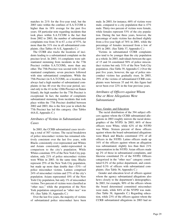matches its 21% for the five-year total, but the 2003 ratio within the confines of S.A.T.COM is higher than its 18% average for the past five years. Of particular note regarding incidents that took place within S.A.T.COM is the fact that from 2002 to 2003, the number of substantiated complaints rose from 34 to 67, a rise of 97%, far more than the 31% rise in all substantiated complaints. (See Tables 44 A-E, Appendix C.)

The CCRB also tracks the locations of incidents leading to a substantiated complaint on the precinct level. In 2003, 14 complaints were substantiated stemming from incidents in the 77th Precinct (within S.A.T.COM), more than any other. The 75th Precinct was second with 12 substantiated complaints; seven precincts followed with nine substantiated complaints. While the 75th Precinct (in S.A.T.COM), as a location, has always had a high number of substantiated complaints (it has 40 over the five-year period, second only to the 41 in the 120th Precinct on Staten Island), the high number for the 77th Precinct is exceptional. In fact, the number of complaints substantiated stemming from incidents that took place within the 77th Precinct doubled between 2002 and 2003; this is the first year in which the 77th Precinct has led this category. (See Tables 44A-E, Appendix C.)

### *Attributes of Victims in Substantiated Cases*

In 2003, the CCRB substantiated cases involving a total of 507 victims. The racial breakdown of police misconduct victims has remained relatively consistent over the last five years, with Blacks consistently over-represented and Whites and Asians consistently under-represented in comparison to the city's population. While Whites constitute 35% of the New York City population, only 21% of police misconduct victims were White in 2003. At the same time, Blacks represent 25% of the New York City population, but made up more than double that—53%—of police misconduct victims. Latinos comprised 24% of misconduct victims and 27% of the city's population. Asians represented 10% of the New York City population, but only 1% of misconduct victims. Two percent of victims were classified as "other race," while the proportion of the New York population categorized as "other race" was 4%. (See Table 35, Appendix C.)

Over the last five years, the majority of victims of substantiated police misconduct have been

male. In 2003, for instance, 68% of victims were male, compared to a city population that is 47% male. Thirty-two percent of victims were female, while females represent 53% of the city population. During the last three years, however, the percentage of male victims has declined slightly from a five-year high of 76% in 2001, while the percentage of females increased from a low of 24% in 2001. (See Table 37, Appendix C.)

Victims in substantiated CCRB complaints also tend to be younger than the city population as a whole. In 2003, individuals between the ages of 15 and 34 constituted 50% of police misconduct victims but only 31% of the New York City population. (See Table 39, Appendix C.) Over the past five years, however, the age of police misconduct victims has gradually risen. In 2003, 29% of the victims of substantiated CCRB complaints were between 35 and 44; this figure had never been over 22% in the four previous years.

### *Attributes of Officers against Whom One or More Allegations Were Substantiated*

#### Race, Gender, and Education

The racial distribution of the 394 subject officers against whom the CCRB substantiated allegations in 2003 roughly mirrors the racial demographics of the NYPD. In 2003, 66% of these officers were White, while 62% of the NYPD was White. Sixteen percent of those officers against whom the board substantiated allegations were Black and Blacks constituted 15% of all officers in the NYPD. Latino officers made up 16% of the officers against whom an allegation was substantiated, slightly less than their 21% representation in the NYPD. Asian officers made up 2% of those in substantiated complaints, and likewise constituted 2% of the NYPD. Officers categorized in the "other race" category constituted 0.2% of the police department, and constituted 0.3% of officers with substantiated complaints. (See Table 36, Appendix C.)

Gender and education level of officers against whom the agency substantiated allegations also hews closely to the department's demographics. In 2003, for example, 90% of the officers whom the board determined committed misconduct were male, while 84% of the NYPD was male. (See Table 38, Appendix C.) Regarding education, while 23% of the officers against whom the CCRB substantiated allegations in 2003 had no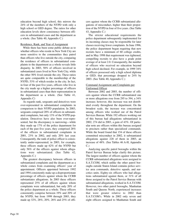education beyond high school, this mirrors the 24% of the members of the NYPD with only a high school or GED degree. The ratios for other education levels show consistency between officers in substantiated cases and the department as a whole. (See Table 40, Appendix C.)

#### Residence, Rank, and Year of Assignment

While there has been some public debate as to whether officers who reside in New York City are more sensitive to the communities they patrol than officers who live outside the city, comparing the residence of officers in substantiated complaints to the department as a whole reveals little disparity. In 2003, 50% of officers involved in substantiated cases lived in New York City, while the other 50% lived outside the city. These ratios are quite comparable to the membership of the NYPD, 53% of which resides in the city. In fact, in four of the past five years, officers who live in the city made up a higher percentage of officers in substantiated cases than their representation in the department as a whole. (See Table 41, Appendix C)

As regards rank, sergeants and detectives were over-represented in substantiated complaints in comparison to their NYPD population. In 2003, sergeants comprised 20% of officers in substantiated complaints, but only 13% of the NYPD population. Detectives have also been over-represented, but the discrepancy is narrowing—while they made up 17% of the police department for each of the past five years, they comprised 28% of the officers in substantiated complaints in 2001, 23% in 2002, and only 20% last year. Consequently, the rank of police officer is consistently under-represented; in 2003, for example, these officers made up 62% of the NYPD but only 56% of the officers against whom allegations were substantiated. (See Table 42, Appendix C.)

The greatest discrepancy between officers in substantiated complaints and the department as a whole comes from examining officers' year of appointment. Officers appointed between 1992 and 1994 consistently make up a disproportionate percentage of officers against whom the CCRB substantiates allegations. In 2003 these officers represented 25% of all officers against whom complaints were substantiated, but only 20% of the police department as a whole. These officers consistently comprise between 19% and 20% of the NYPD, but from 1999 through 2003, they made up 32%, 28%, 20%, 26% and 25% of officers against whom the CCRB substantiated allegations of misconduct, higher than their proportion of the NYPD in four of five years. (See Table 43, Appendix C.)

The stricter educational requirements the police department subsequently implemented for its incoming classes may be responsible for later classes receiving fewer complaints. In June 1996, the police department began requiring that new recruits have a minimum of 60 college credits, and in May 1998 that requirement was tightened, compelling recruits to also have a grade point average of at least 2.0. Consequently, the number of officers who received no education beyond high school declined. For example, in 1999 34% of officers possessed only a high school diploma or GED; that percentage dropped to 24% by 2003. (See Table 40, Appendix C.)

#### Command Assignment and Complaints per Uniformed Officer

Between 2002 and 2003, the number of officers against whom the CCRB substantiated one or more allegations rose from 295 to 394, a 34% increase; however, this increase was not distributed evenly throughout the department. On the broadest scale, the increase was concentrated among officers who worked out of the Patrol Services Bureau. While 192 officers working out of this bureau had allegations substantiated in 2002, 274 did in 2003, a gain of 43%. Of particular note are officers within this bureau assigned to precincts rather than specialized commands. While the board found that 154 of these officers committed misconduct in 2002, it substantiated allegations against 228 of them in 2003, an increase of 48%. (See Tables 46 A-H, Appendix  $\mathcal{C}$ )

Analyzing specific patrol boroughs within the Patrol Service Bureau helps clarify this picture. The largest number of officers against whom the CCRB substantiated allegations were assigned to S.A.T.COM, which unlike the other patrol boroughs outside Staten Island contains police service area commands, detective squads, and narcotics units. Eighty-six officers who had allegations substantiated against them, or 31% of all those assigned to the Patrol Service Bureau with substantiated allegations, worked in S.A.T.COM. However, two other patrol boroughs, Manhattan South and Queens North, experienced increases that were greater relative to 2002 than S.A.T.COM's. While in 2002 only seven and eight officers assigned to Manhattan South and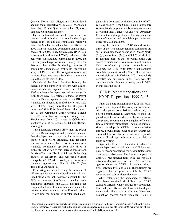Queens North had allegations substantiated against them respectively, in 2003, Manhattan South had 15 and Queens North had 21, more than double in each instance.

On the individual unit level, there are a few precincts and units that stand out for their large increases in substantiated complaints. Midtown South in Manhattan, which had no officers in 2002 with substantiated complaints against them, had eight in 2003. Police Service Area (PSA) 2, a housing unit within S.A.T.COM, had seven officers with substantiated complaints in 2003, up from only one the previous year. Finally, the 77th Precinct, cited earlier for the high number of complaints substantiated within its geographic area, had 19 separate officers against whom one or more allegations were substantiated, more than triple the six officers in 2002.

Outside of the Patrol Services Bureau, the increase in the number of officers with allegations substantiated against them from 2002 to 2003 was below the department-wide average. In 2002 there were 103 officers outside the Patrol Services Bureau against whom the CCRB substantiated an allegation; in 2003 there were 120, a rise of 17%, barely more than half the general increase of 31%. Fifty-five of these officers work out of the Organized Crime Control Bureau (OCCB), more than were assigned to any other. The increase from 2002, when the CCRB substantiated allegations against 52 OCCB officers, was slight.

Taken together, bureaus other than the Patrol Services Bureau experienced a smaller increase than the department as a whole, but increases in specific units were dramatic. The Housing Bureau, in particular, had 13 officers with substantiated complaints, up from only three in 2002. More than half of this increase comes from the six officers in PSA 7, which patrols housing projects in the Bronx. This represents a large change from 2002, when no allegations were substantiated against any officer in PSA 7. (See Table 46M, Appendix C.)

Comparing commands using the number of officers against whom an allegation was substantiated alone does not, however, account for the differing numbers of officers assigned to each command. Therefore, the CCRB also ranks the complaint activity of precincts and commands by measuring the complaints per uniformed officer. By dividing the number of substantiated com-

plaints in a command by the total number of officers assigned to it, the CCRB is able to compare substantiated complaint levels among commands of varying size. Tables 47A and 47B, Appendix C, show the rankings of individual commands in terms of substantiated complaints per uniformed officer in 2002 and 2003.

Using this measure, the 2003 data show that three of the five highest-ranking commands are anti-crime units, those operating in Queens North (1st), Queens South (3rd), and S.A.T.COM (5th).7 In addition, eight of the top twenty units were detective units and seven were narcotics units. Only one of the top twenty commands was a precinct, the 77th (with 0.0749 substantiated complaint per uniformed officer). Several units ranked high in both 2003 and 2002, particularly narcotics and anti-crime units. There was also only one precinct in the top twenty units in 2002, in this case the 113th.

### CCRB Recommendations and NYPD Dispositions 1999-2003

When the board substantiates one or more allegations in a complaint, that complaint is forwarded to the police commissioner. While only the police commissioner is authorized to mete out punishment for misconduct, the board can make disciplinary recommendations against officers it finds committed misconduct. The police commissioner can adopt the CCRB's recommendation, impose a punishment other than the CCRB recommendation, or choose not to impose punishment at all, although he is required to explain the latter in writing.

Figures A - E describe the extent to which the police department has adopted the CCRB's disciplinary recommendations for substantiated cases over the past five years. The figures compare the agency's recommendations with the NYPD's ultimate dispositions for the 1,531 officers against whom the CCRB substantiated allegations between 1999 and 2003. These figures are organized by the year in which the CCRB reviewed and substantiated the cases.

When calculating the percentage of officers who have received discipline, the CCRB excludes officers whose charges the department has filed (i.e., officers who have left the department) and officers whose cases the department has not yet resolved. As of December 31, 2003, a

<sup>7</sup> This measurement also has drawbacks because some units are small. The Patrol Borough Queens North Anti-Crime Unit, for instance, was ranked first in the number of substantiated complaints per officer in 2003, with two out of the 13 officers in the unit receiving a substantiated complaint. (Table 47B, Appendix C.)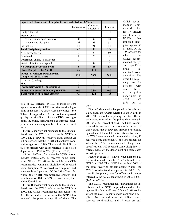| Figure A: Officers With Complaints Substantiated in 1999 (365)           |                |                         |          |
|--------------------------------------------------------------------------|----------------|-------------------------|----------|
|                                                                          | Instructions   | Command<br>Discipline   | Charges  |
| Guilty after trial                                                       | 2              | 10                      | 34       |
| Pleaded guilty                                                           |                |                         |          |
| To charges and specifications                                            | $\theta$       | 6                       | 18       |
| To command discipline                                                    | 26             | 53                      | 38       |
| Instructions                                                             | 14             | 21                      | 14       |
| <b>Total Disciplinary Action</b>                                         | 42             | 90                      | 104      |
| Not guilty after trial                                                   | $\overline{2}$ | 20                      | 69       |
| Dismissed                                                                | 1              | 7                       | 8        |
| Department unable to prosecute                                           | $\theta$       | 1                       | $\theta$ |
| Statute of limitations expired                                           | $\theta$       | $\theta$                | 6        |
| <b>No Disciplinary Action Total</b>                                      | 3              | 28                      | 83       |
| <b>Cases Completed by NYPD</b>                                           | 45             | 118                     | 187      |
| <b>Percent of Officers Disciplined in</b><br><b>Completed NYPD Cases</b> | 93%            | 76%                     | 56%      |
| No action (pending)                                                      | $\Omega$       | 1                       | $\Omega$ |
| Filed                                                                    | $\theta$       | 3                       | 11       |
| <b>Disciplinary Action Undetermined</b>                                  | $\bf{0}$       | $\overline{\mathbf{4}}$ | 11       |
| <b>Percent of Cases Still Pending at NYPD</b>                            | $0\%$          | $0.8\%$                 | $0\%$    |
| <b>Total Number of Subject Officers</b>                                  | 45             | 122                     | 198      |

CCRB recommended command discipline for 77 officers and of these, the NYPD has imposed discipline against 55 of them. Of the 125 officers for which the CCRB recommended charges and specifications, 84 received some discipline. The overall disciplinary rate for officers with cases referred to the police department in 2000 is 75% (171 out of

total of 823 officers, or 73% of those officers against whom the CCRB substantiated allegations in the past five years, were disciplined. (See Table 34, Appendix C.) Due to the improved quality and timeliness of the CCRB's investigations, the police department has imposed discipline in an increasing number of cases in recent years.

Figure A shows what happened to the substantiated cases the CCRB referred to the NYPD in 1999. The NYPD has resolved cases against all but one officer that the CCRB substantiated complaints against in 1999. The overall disciplinary rate for officers with cases referred to the police department in 1999 is 67% (236 out of 350).

Of the 45 officers for whom the CCRB recommended instructions, 42 received some discipline. Of the 122 officers for which the CCRB recommended command discipline, 90 received some discipline, 28 received no discipline, and one case is still pending. Of the 198 officers for whom the CCRB recommended charges and specifications, 104, or 53% received discipline, while 47% did not.

Figure B shows what happened to the substantiated cases the CCRB referred to the NYPD in 2000. The CCRB recommended instructions for 33 officers and of these cases the NYPD has imposed discipline against 28 of them. The

228).

Figure C shows what happened to the substantiated cases the CCRB referred to the NYPD in 2001. The overall disciplinary rate for officers with cases referred to the police department in 2001 is 77% (166 out of 216). The CCRB recommended instructions for seven officers and of these cases the NYPD has imposed discipline against six of them. Of the 60 officers for which the CCRB recommended command discipline, 53 received some discipline. Of the 166 officers for which the CCRB recommended charges and specifications, 107 received some discipline, 14 officers have left the department and three cases are still pending.

Figure D (page 34) shows what happened to the substantiated cases the CCRB referred to the NYPD in 2002. The NYPD has resolved 76% of the cases involving officers against whom the CCRB substantiated complaints in 2002. The overall disciplinary rate for officers with cases referred to the police department in 2002 is 69% (143 out of 206).

The CCRB recommended instructions for 24 officers, and the NYPD imposed some discipline against 18 of these officers. Of the 46 officers for whom the CCRB recommended command discipline, 26 received some discipline, seven received no discipline, and 19 cases are still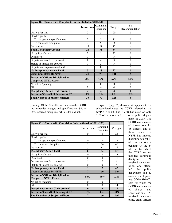| Figure B: Officers With Complaints Substantiated in 2000 (244)           |                             |                       |                         |                                  |
|--------------------------------------------------------------------------|-----------------------------|-----------------------|-------------------------|----------------------------------|
|                                                                          | <b>Instructions</b>         | Command<br>Discipline | Charges                 | N <sub>0</sub><br>Recommendation |
| Guilty after trial                                                       | $\mathcal{D}_{\mathcal{L}}$ | 3                     | 20                      | $\overline{0}$                   |
| Pleaded guilty                                                           |                             |                       |                         |                                  |
| To charges and specifications                                            | $\overline{2}$              | 3                     | 11                      | $\theta$                         |
| To command discipline                                                    | 9                           | 28                    | 36                      | $\overline{0}$                   |
| Instructions                                                             | 15                          | 21                    | 17                      | $\overline{\mathcal{L}}$         |
| <b>Total Disciplinary Action</b>                                         | 28                          | 55                    | 84                      | $\overline{\mathbf{4}}$          |
| Not guilty after trial                                                   | $\overline{2}$              | 5                     | 23                      | $\theta$                         |
| Dismissed                                                                | $\Omega$                    | 7                     | 5                       | $\Omega$                         |
| Department unable to prosecute                                           | 1                           | $\overline{4}$        | 3                       | $\overline{0}$                   |
| Statute of limitations expired                                           | $\Omega$                    | $\mathfrak{D}$        | 5                       | $\overline{0}$                   |
| Department employee unidentified                                         | $\Omega$                    | $\theta$              | 1                       | 5                                |
| <b>No Disciplinary Action Total</b>                                      | 3                           | 18                    | 37                      | 5                                |
| <b>Cases Completed By NYPD</b>                                           | 31                          | 73                    | 121                     | $\boldsymbol{9}$                 |
| <b>Percent of Officers Disciplined in</b><br><b>Completed NYPD Cases</b> | $90\%$                      | 75%                   | $69\%$                  | 44%                              |
| No action (pending)                                                      | $\theta$                    | $\Omega$              | $\Omega$                | $\Omega$                         |
| Filed                                                                    | $\mathfrak{D}$              | $\overline{4}$        | $\overline{4}$          | $\theta$                         |
| <b>Disciplinary Action Undetermined</b>                                  | $\overline{2}$              | $\boldsymbol{\Delta}$ | $\overline{\mathbf{4}}$ | $\mathbf{0}$                     |
| <b>Percent of Cases Still Pending at PD</b>                              | $0\%$                       | $0\%$                 | $0\%$                   | $0\%$                            |
| <b>Total Number of Subject Officers</b>                                  | 33                          | 77                    | 125                     | 9                                |

pending. Of the 225 officers for whom the CCRB recommended charges and specifications, 99, or 66% received discipline, while 34% did not.

Figure E (page 35) shows what happened to the substantiated cases the CCRB referred to the NYPD in 2003. The NYPD has acted on only 31% of the cases referred to the police depart-

| Figure C: Officers With Complaints Substantiated in 2001 (233)           |              |                       |                |
|--------------------------------------------------------------------------|--------------|-----------------------|----------------|
|                                                                          | Instructions | Command<br>Discipline | Charges        |
| Guilty after trial                                                       | $\theta$     | 3                     | 23             |
| Pleaded guilty                                                           |              |                       |                |
| To charges and specifications                                            | $\theta$     | $\overline{2}$        | 12             |
| To command discipline                                                    | 1            | 36                    | 46             |
| Instructions                                                             | 5            | 12                    | 26             |
| <b>Disciplinary Action Total</b>                                         | 6            | 53                    | 107            |
| Not guilty after trial                                                   | $\theta$     | $\mathfrak{D}$        | 23             |
| Dismissed                                                                | $\theta$     | 3                     | 11             |
| Department unable to prosecute                                           | 1            | $\mathfrak{D}$        | $\overline{4}$ |
| Statute of limitations expired                                           | $\theta$     | $\theta$              | 4              |
| <b>No Disciplinary Action Total</b>                                      | $\mathbf{1}$ | $\overline{7}$        | 42             |
| <b>Cases Completed by NYPD</b>                                           | 7            | 60                    | 149            |
| <b>Percent of Officers Disciplined in</b><br><b>Completed NYPD Cases</b> | 86%          | 88%                   | 72%            |
| No action (pending)                                                      | $\theta$     | $\Omega$              | 3              |
| Filed                                                                    | $\theta$     | $\theta$              | 14             |
| <b>Disciplinary Action Undetermined</b>                                  | $\bf{0}$     | $\mathbf{0}$          | 17             |
| <b>Percent of Cases Still Pending at PD</b>                              | $0\%$        | $0\%$                 | $1.8\%$        |
| <b>Total Number of Subject Officers</b>                                  | 7            | 60                    | 166            |

ment in 2003. The CCRB recommended instructions for 45 officers and of these cases the NYPD has imposed discipline against 13 of them, and one is pending. Of the 64 officers for which the CCRB recommended command discipline, 21 received some discipline, one officer left the police department and 42 cases are still pending. Of the 316 officers for which the CCRB recommended charges and specifications, 73 received some discipline, eight officers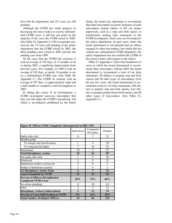have left the department and 227 cases are still pending.

Although the NYPD has made progress in decreasing the time it takes to resolve substantiated CCRB cases, it still has not acted on the majority of the cases the CCRB closed in 2003. (See Table 34, Appendix C.) Of even greater concern are the 72 cases still pending at the police department that the CCRB closed in 2002, the three pending cases closed in 2001 and the one pending case from 1999.

Of the cases that the NYPD has resolved, it took an average of 350 days, or 11 months, to do so during 2003, a significant improvement from previous years. For example, in 1999 it took an average of 542 days, or nearly 18 months, to act on a substantiated CCRB case. (See Table 48, Appendix C.) The CCRB, in contrast, took an average of 257 days, or approximately eight and a half months to complete a full investigation in 2003.

If, during the course of an investigation, a CCRB investigator uncovers misconduct that does not fall under the CCRB's jurisdiction, but which is nevertheless prohibited by the Patrol Guide, the board may determine to recommend that other misconduct occurred. Instances of such misconduct include failure to fill out proper paperwork, such as a stop and frisk report, or intentionally making false statements to the CCRB investigators. Such cases are forwarded to the police department. In past cases where the board determined to recommend that an officer engaged in other misconduct, but which did not contain any substantiated CCRB allegations, the police department has not notified the CCRB of the action it takes with respect to the officer.

Table 33, Appendix C shows the breakdown of cases in which the board determined to recommend other misconduct. During 2003, the board determined to recommend a total of ten false statements, 50 failures to prepare stop and frisk reports and 20 other types of misconduct. Over the last five years, the board determined to recommend a total of 134 false statements, 180 failures to prepare stop and frisk reports, four failures to prepare proper memo book entries, and 48 other types of misconduct. (See Table 33, Appendix C.)

| Figure D: Officers With Complaints Substantiated in 2002 (295)           |                         |                       |                |
|--------------------------------------------------------------------------|-------------------------|-----------------------|----------------|
|                                                                          | Instructions            | Command<br>Discipline | Charges        |
| Guilty after trial                                                       | $\overline{0}$          | 3                     | 15             |
| Pleaded guilty                                                           |                         |                       |                |
| To charges and specifications                                            | 1                       | 4                     | 20             |
| To command discipline                                                    | 7                       | 16                    | 42             |
| Instructions                                                             | 10                      | 3                     | 22             |
| <b>Total Disciplinary Action</b>                                         | 18                      | 26                    | 99             |
| Not guilty after trial                                                   | 1                       | $\overline{c}$        | 26             |
| Dismissed                                                                | $\overline{c}$          | 5                     | 21             |
| Department unable to prosecute                                           | $\overline{0}$          | $\theta$              | $\overline{4}$ |
| Statute of limitations expired                                           | 1                       | $\theta$              | 1              |
| <b>No Disciplinary Action Total</b>                                      | $\overline{\mathbf{4}}$ | 7                     | 52             |
| <b>Cases Completed by NYPD</b>                                           | 22                      | 33                    | 151            |
| <b>Percent of Officers Disciplined in</b><br><b>Completed NYPD Cases</b> | 82%                     | 79%                   | 66%            |
| No action (pending)                                                      | $\overline{0}$          | 10                    | 62             |
| Filed                                                                    | $\overline{c}$          | 3                     | 12             |
| <b>Disciplinary Action Undetermined</b>                                  | $\mathbf{2}$            | 13                    | 74             |
| <b>Percent of Cases Still Pending at NYPD</b>                            | $0\%$                   | 22%                   | 28%            |
| <b>Total Number of Subject Officers</b>                                  | 24                      | 46                    | 225            |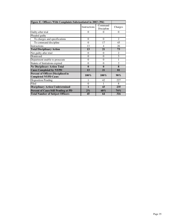| Figure E: Officers With Complaints Substantiated in 2003 (394)           |              |                       |                |  |  |  |  |  |
|--------------------------------------------------------------------------|--------------|-----------------------|----------------|--|--|--|--|--|
|                                                                          | Instructions | Command<br>Discipline | Charges        |  |  |  |  |  |
| Guilty after trial                                                       | 0            |                       | $\Omega$       |  |  |  |  |  |
| Pleaded guilty                                                           |              |                       |                |  |  |  |  |  |
| To charges and specifications                                            | $\Omega$     | $\Omega$              | $\overline{2}$ |  |  |  |  |  |
| To command discipline                                                    | $\theta$     | 17                    | 45             |  |  |  |  |  |
| Instructions                                                             | 13           | 4                     | 26             |  |  |  |  |  |
| <b>Total Disciplinary Action</b>                                         | 13           | 21                    | 73             |  |  |  |  |  |
| Not guilty after trial                                                   | $\theta$     | $\Omega$              | $\mathfrak{D}$ |  |  |  |  |  |
| Dismissed                                                                | $\theta$     | $\theta$              | 3              |  |  |  |  |  |
| Department unable to prosecute                                           | $\theta$     | $\Omega$              | 1              |  |  |  |  |  |
| Statute of limitations expired                                           | $\theta$     | $\Omega$              | $\mathfrak{D}$ |  |  |  |  |  |
| <b>No Disciplinary Action Total</b>                                      | $\bf{0}$     | $\bf{0}$              | 8              |  |  |  |  |  |
| <b>Cases Completed by NYPD</b>                                           | 13           | 21                    | 81             |  |  |  |  |  |
| <b>Percent of Officers Disciplined in</b><br><b>Completed NYPD Cases</b> | 100%         | 100%                  | $90\%$         |  |  |  |  |  |
| Disposition Pending                                                      | 1            | 42                    | 227            |  |  |  |  |  |
| Filed                                                                    | $\Omega$     |                       | 8              |  |  |  |  |  |
| <b>Disciplinary Action Undetermined</b>                                  | 1            | 43                    | 235            |  |  |  |  |  |
| <b>Percent of Cases Still Pending at PD</b>                              | 2%           | 68%                   | 74%            |  |  |  |  |  |
| <b>Total Number of Subject Officers</b>                                  | 45           | 64                    | 316            |  |  |  |  |  |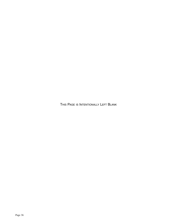THIS PAGE IS INTENTIONALLY LEFT BLANK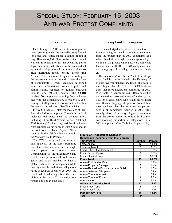# SPECIAL STUDY: FEBRUARY 15, 2003 ANTI-WAR PROTEST COMPLAINTS

### **Overview**

On February 15, 2003, a coalition of organizations operating under the umbrella group United for Peace and Justice staged a demonstration at Dag Hammarskjöld Plaza outside the United Nations. In preparation for the event, the police department assigned officers to the area and set up a series of pens (enclosures made of waisthigh interlinked metal fencing) along First Avenue. The pens were designed, according to the department, to contain and channel the flow of demonstrators. Press accounts described numerous confrontations between the police and demonstrators, reported to number between 100,000 and 400,000 people. The CCRB received 70 complaints stemming from incidents involving the demonstration, of which 54, containing 114 allegations of misconduct, fell within the agency's jurisdiction. (See Figure S.1.)

Figure S.2 (page 38) plots the locations of incidents that led to a complaint. Though the bulk of incidents took place near the demonstration, including 19 on Third Avenue between 51st and 53rd Streets (17th Precinct), peripheral incidents were reported as far north as 70th Street and as

far southwest as Times Square. (Four occurred in the 19th Precinct and one in the Midtown South Precinct.)

The CCRB designated one team to investigate all of the cases stemming from the protest and convened a single board panel to review them. Centralization of the investigative and board review processes allowed investigators and board members to have a global picture of the complaints while investigating the individual allegations raised in each. As of March 26, 2004, the board had closed a majority of the complaints (83%, or 45); investigations remain ongoing in nine cases.

### Complaint Information

Civilians lodged allegations of unauthorized force at a higher rate in complaints stemming from the protest than in 2003 complaints as a whole. In addition, a higher percentage of alleged victims in the protest complaints were White and female than in all 2003 CCRB complaints, and the average age of the alleged victims was higher.

The majority (79 of 114, or 69%) of the allegations filed in connection with the February 15 protest involved unnecessary force. This ratio is much higher than the 31% of all CCRB allegations that force allegations comprised in 2003. (See Table 1A, Appendix A.) Fifteen percent of the allegations involved abuse of authority, and 16% involved discourtesy; civilians did not lodge any offensive language allegations. Both of these rates are lower than the corresponding percentages in all complaints received in 2003. Most notably, abuse of authority allegations stemming from the protest comprised only a third of their corresponding proportion of allegations in all 2003 complaints. (See Table 1A, Appendix A.)

| <b>Figure S.1: Allegations Lodged in</b>                            |               |                |
|---------------------------------------------------------------------|---------------|----------------|
| <b>Complaints Stemming from the February</b><br><b>15th Protest</b> | <b>Number</b> | <b>Percent</b> |
|                                                                     |               |                |
| Force-Animal                                                        | 13            | 11.4%          |
| Force-Nightstick                                                    | 2             | 1.8%           |
| Force-Other Blunt Instrument                                        | 1             | 0.9%           |
| Force-Pepper Spray                                                  | 6             | 5.3%           |
| <b>Force-Physical Force</b>                                         | 57            | 50.0%          |
| <b>Force Total</b>                                                  | 79            | 69.3%          |
| Abuse-Frisk and/or Search                                           | 1             | 0.9%           |
| Abuse-Property Damage                                               | 5             | 4.4%           |
| Abuse-Refusal to Provide Name or Shield                             | 2             | 1.8%           |
| Abuse-Seizure of Property                                           | 1             | 0.9%           |
| <b>Abuse-Threat of Arrest</b>                                       | 1             | 0.9%           |
| Abuse-Threat of Force                                               | 3             | 2.6%           |
| Abuse-Other                                                         | 4             | 3.5%           |
| <b>Abuse of Authority Total</b>                                     | 17            | 14.9%          |
| Discourtesy-Tone                                                    | 5             | 4.4%           |
| Discourtesy-Word                                                    | 13            | 11.4%          |
| <b>Discourtesy Total</b>                                            | 18            | 15.8%          |
| <b>Total</b>                                                        | 114           |                |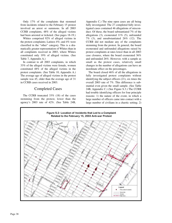Only 17% of the complaints that stemmed from incidents related to the February 15 protest involved an arrest or summons. In all 2003 CCRB complaints, 48% of the alleged victims had been arrested or ticketed. (See pages 18-19.)

Whites comprised 92% of alleged victims in the protest complaints; Latinos 4%; and 4% were classified in the "other" category. This is a dramatically greater representation of Whites than in all complaints received in 2003, where Whites constituted only 19% of alleged victims. (See Table 7, Appendix A.)

In contrast to all 2003 complaints, in which 33% of the alleged victims were female, women constituted 48% of the alleged victims in the protest complaints. (See Table 10, Appendix A.) The average age of alleged victims in the protest sample was 45, older than the average age of 31 in CCRB cases received in 2003.

### Completed Cases

The CCRB truncated 33% (18) of the cases stemming from the protest, lower than the agency's 2003 rate of 42%. (See Table 24B, Appendix C.) The nine open cases are all being fully investigated. The 27 completed fully investigated cases contained 46 allegations of misconduct. Of these, the board substantiated 7% of the allegations  $(3)$ , exonerated  $11\%$   $(5)$ , unfounded 7% (3), and unsubstantiated 26% (12). The CCRB did not mediate any of the complaints stemming from the protest. In general, the board exonerated and unfounded allegations raised by protest complaints at rates lower than in all 2003 case closures, where the board exonerated 36% and unfounded 26%. However, with a sample as small as the protest cases, relatively small changes in the number of allegations can have an inordinate effect on the percentages.

The board closed 46% of all the allegations in fully investigated protest complaints without identifying the subject officers (21), six times the overall 2003 rate of 7%. This difference is substantial even given the small sample. (See Table 24B, Appendix C.) (See Figure S.3.) The CCRB had trouble identifying officers for four principle reasons: 1) the nature of the event, in which a large number of officers came into contact with a large number of civilians in a chaotic setting; 2)

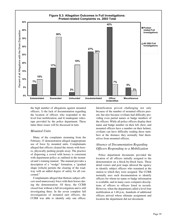

the high number of allegations against mounted officers; 3) the lack of documentation regarding the location of officers who responded to the level four mobilization; and 4) inadequate videotape provided by the police department. These latter three issues will be discussed in turn.

#### *Mounted Units*

Many of the complaints stemming from the February 15 demonstration alleged inappropriate use of force by mounted units. Complainants alleged that officers cleared the streets with horses, physically pushing people away. The practice of dispersing a crowd with horses is consistent with department policy as outlined in the mounted unit's training manual. The manual provides a description of a "wedge" formation, a "gradual shape [which] permits the clearing of the roadway with an added degree of safety for all concerned."

Complainants alleged that thirteen subject officers used unnecessary force with their horses during the demonstration. Of these, the CCRB closed four without a full investigation and is still investigating three. In the seven complete full investigations of mounted unit officers, the CCRB was able to identify only one officer. Identification proved challenging not only because of the number of mounted officers present, but also because civilians had difficulty providing even partial names or badge numbers of the officers. While all police officers display their name and badge number on their left chest, and mounted officers have a number on their helmet, civilians can have difficulty reading these numbers at the distance they normally find themselves from mounted officers.

### *Absence of Documentation Regarding Officers Responding to a Mobilization*

Police department documents provided the location of all officers initially assigned to the demonstration on a block-by-block basis. These detail rosters and post maps allowed the agency to identify subject officers who remained at the station to which they were assigned. The CCRB normally uses such documentation to identify officers for whom no name or badge information is available, and in many cases compares descriptions of officers to officers listed in records. However, when the department called a level four mobilization at 1:40 p.m., hundreds of additional officers arrived whose ultimate assignment and location the department did not document.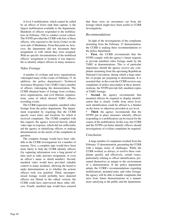A level 4 mobilization, which cannot be called by an officer of lower rank than captain, is the largest mobilization available to the department. Hundreds of officers responded to the mobilization on February 15th to conduct crowd control. The NYPD provided the CCRB with lists of these officers, who reported to the Javits Center on the west side of Manhattan. From that point on, however, the department did not document their assignment or with whom they were assigned. With no specific documentation of the mobilized officers' assignment or location, it was impossible to identify subject officers in many instances.

#### *Video Footage*

A number of civilians and news organizations videotaped many of the events of February 15. In addition, the police department's Technical Assistance Response Unit (TARU) had a number of officers videotaping the demonstration. The CCRB obtained hours of footage from civilians, news organizations, and civil liberties organizations, some of which showed TARU officers recording events.

The CCRB requested complete, unedited video footage from the police department. The department responded by requiring that the CCRB specify exact times and locations for which it received complaints. The CCRB complied with this request; the agency received heavily edited video tape in response, which did not sufficiently aid the agency in identifying officers or making determinations on the merits of the complaints in question.

The complete footage would have been valuable to the CCRB investigations for a number of reasons. First, a complete tape would have been more likely to help the CCRB identify officers (by capturing information over a long period of time such as rank, precinct assignment, or even an officer's name or shield number). Second, unedited video would have provided valuable context to many incidents, allowing the board to make determinations as to whether the actions officers took was justified. Third, uncompromised footage would probably have depicted officers not filmed in the edited version; the CCRB could have interviewed these other officers. Fourth, unedited tape would have ensured

that there were no encounters cut from the footage which might have been useful to CCRB investigations.

#### *Recommendations*

In light of the investigations of the complaints stemming from the February 15 demonstration, the CCRB is making three recommendations to the police department.

**• First**, the CCRB recommends that the NYPD comply with the agency's future requests to provide unedited video footage made by the TARU at demonstrations. This is of particular importance should the agency receive any complaints stemming from the upcoming Republican National Convention, during which a large number of people are preparing to demonstrate. It is essential that, in the event the CCRB receives any complaints of police misconduct at these demonstrations, the NYPD provide full, unedited copies of TARU footage.

**Second**, the agency recommends that mounted officers be required to display identification that is clearly visible from street level; such identification could be affixed to a blanket on the horse or otherwise provided at eye level.

**• Third**, the agency recommends that the NYPD put in place measures whereby officers responding to a mobilization can be traced for the course of the mobilization. In this way, the CCRB and the NYPD can better identify officers should investigations of civilian complaints be required.

#### *Conclusion*

A large number of complaints resulted from the February 15 demonstration, presenting the CCRB with a unique series of challenges. While the CCRB worked, as always, to resolve these complaints quickly and effectively, certain issues, particularly relating to officer identification, presented themselves as unique to the environment of a demonstration. If the police department adopts the CCRB's recommendations regarding mobilizations, mounted units, and video footage, the agency will be able to handle complaints that arise from future demonstrations in a manner more satisfying to the public and the department.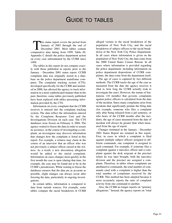# GUIDE TO TABLES

This status report covers the period from<br>January of 2003 through the end of<br>December 2003. Most tables contain<br>monarative data dating from 1999 Table 49 January of 2003 through the end of December 2003. Most tables contain comparative data dating from 1999. Table 49, Appendix C details the police department action on every case substantiated by the CCRB since 1999.

The tables in this report do not compare exactly with those published in reports prior to the January - December 2001 status report. CCRB complaint data was originally stored in a database on the police department mainframe computer. The complaint tracking system (CTS), developed specifically for the CCRB and instituted in 2000, has allowed the agency to track information in a more sophisticated manner than in the past; therefore, some tables previously published have been replaced with tables presenting information provided by the CTS.

Information on every complaint that the CCRB receives is entered into the complaint tracking system. The data reflect the information entered by the Complaint Response Unit and the Investigations Division on each case. The CTS databases were frozen on February 4, 2004. The agency waited to freeze the data in order to assure its accuracy; in the course of investigating a complaint, an investigator may discover information that changes how the complaint is listed in this report. For example, a witness may claim in the course of an interview that an officer who was not previously a subject officer cursed at the witness. As a result, a new discourtesy allegation would be added to the initial complaint. Information on cases changes most quickly in the first month the case is open (during that time, for example, the case may be found not to be in the CCRB's jurisdiction). While waiting to freeze the databases ensures that the data are as accurate as possible, slight changes can always occur after freezing the data, particularly in ongoing investigations.

In certain tables, information is compared to data from outside sources. For example, some tables compare the racial breakdown of CCRB

alleged victims to the racial breakdown of the population of New York City, and the racial breakdown of subject officers to the racial breakdown of the New York City Police Department. In all cases where information is given on the population of New York City, the data come from the 2000 United States Census Bureau. In all cases where information is provided regarding the police department, including information on police department dispositions of CCRB complaints, the data come from the department itself.

The age of cases is captured by two different methods. The CCRB tracks the age of the case as measured from the date the agency receives it (that is, how long the CCRB actually took to investigate the case). However, the statute of limitations (18 months) that governs complaints against police officers is calculated from the date of the incident. Since many complaints arise from incidents that significantly predate the filing date (for example, someone who files a complaint only after being released from a jail sentence, or who hears of the CCRB months after the incident), the age of cases measured from the date of incident will always be greater than when measured from the age of report.

Changes instituted in the January - December 2001 Status Report are retained in this report. First, in cases in which a complaint is filed against multiple subject officers assigned to different commands, one complaint is assigned to each command. For example, if someone files a complaint against a narcotics officer and a complaint against the desk sergeant at the precinct where he was later brought, both the narcotics division and the precinct are assigned a complaint. Therefore, in tables where complaints are attributed to commands, the total number of commands cited with a complaint is higher than the total number of complaints received by the CCRB. This method has been adopted because it more accurately reports the ratio of complaint activity from one command to another.

Also, the CCRB no longer reports on "primary allegations." Instead, the agency reports on "total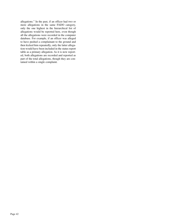allegations." In the past, if an officer had two or more allegations in the same FADO category, only the one highest in the hierarchical list of allegations would be reported here, even though all the allegations were recorded in the computer database. For example, if an officer was alleged to have pushed a complainant to the ground and then kicked him repeatedly, only the latter allegation would have been included in the status report table as a primary allegation. As it is now reported, both allegations are recorded and reported as part of the total allegations, though they are contained within a single complaint.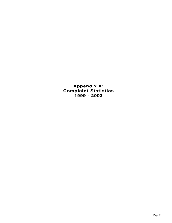**Appendix A: Complaint Statistics 1999 - 2003**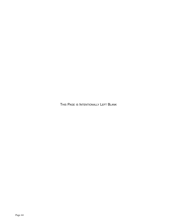THIS PAGE IS INTENTIONALLY LEFT BLANK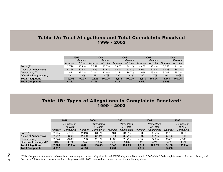# **Table 1A: Total Allegations and Total Complaints Received 1999 - 2003**

|                          | 1999   |          |               | 2000     |               | 2001     |               | 2002     |        | 2003     |
|--------------------------|--------|----------|---------------|----------|---------------|----------|---------------|----------|--------|----------|
|                          |        | Percent  |               | Percent  |               | Percent  |               | Percent  |        | Percent  |
|                          | Number | of Total | <b>Number</b> | of Total | <b>Number</b> | of Total | <b>Number</b> | of Total | Number | of Total |
| Force (F)                | 3.726  | 30.9%    | 3.547         | 33.7%    | 3.875         | 34.1%    | 4.465         | 33.4%    | 5.052  | 31.1%    |
| Abuse of Authority (A)   | 5,125  | 42.5%    | 4.485         | 42.6%    | 4,874         | 42.8%    | 5.953         | 44.5%    | 7,488  | 46.1%    |
| Discourtesy (D)          | 2.811  | 23.3%    | 2.104         | 20.0%    | 2,244         | 19.7%    | 2.599         | 19.4%    | 3.207  | 19.7%    |
| Offensive Language (O)   | 394    | 3.3%     | 389           | 3.7%     | 385           | 3.4%     | 362           | 2.7%     | 494    | 3.0%     |
| <b>Total Allegations</b> | 12.056 | 100.0%   | 10.525        | 100.0%   | 11.378        | 100.0%   | 13.379        | 100.0%   | 16.241 | 100.0%   |
| <b>Total Complaints</b>  | 4.812  |          | 4.116         |          | 4.251         |          | 4.612         |          | 5.568  |          |

## **Table 1B: Types of Allegations in Complaints Received\* 1999 - 2003**

|                          |                        | 1999       |               | 2000                   |               | 2001                   |        | 2002                   |               | 2003                   |
|--------------------------|------------------------|------------|---------------|------------------------|---------------|------------------------|--------|------------------------|---------------|------------------------|
|                          | Percentage<br>of Total |            |               | Percentage<br>of Total |               | Percentage<br>of Total |        | Percentage<br>of Total |               | Percentage<br>of Total |
|                          | <b>Number</b>          | Complaints | <b>Number</b> | Complaints             | <b>Number</b> | Complaints             | Number | Complaints             | <b>Number</b> | Complaints             |
| Force (F)                | 2.065                  | 27.1%      | 2.043         | 31.6%                  | 2.161         | 31.6%                  | 2.336  | 30.7%                  | 2.767         | 30.1%                  |
| Abuse of Authority (A)   | 2.942                  | 38.6%      | 2.400         | 37.1%                  | 2.511         | 36.7%                  | 2,897  | 38.1%                  | 3,433         | 37.4%                  |
| Discourtesy (D)          | 2.274                  | 29.8%      | 1.703         | 26.3%                  | 1.830         | 26.7%                  | 2.058  | 27.0%                  | 2.551         | 27.8%                  |
| Offensive Language (O)   | 345                    | 4.5%       | 325           | 5.0%                   | 341           | 5.0%                   | 320    | 4.2%                   | 435           | 4.7%                   |
| <b>Total Allegations</b> | 7,626                  | 100.0%     | 6.471         | 100.0%                 | 6.843         | 100.0%                 | 7,611  | 100.0%                 | 9.186         | 100.0%                 |
| <b>Total Complaints</b>  | 4.812                  |            | 4.116         |                        | 4,251         |                        | 4.612  |                        | 5,568         |                        |

\* This table presents the number of complaints containing one or more allegations in each FADO allegation. For example, 2,767 of the 5,568 complaints received between January and December 2003 contained one or more force allegations, while 3,433 contained one or more abuse of authority allegations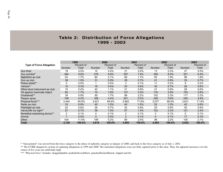## **Table 2: Distribution of Force Allegations 1999 - 2003**

|                                 |               | 1999       |               | 2000       |                | 2001       |               | 2002       |               | 2003       |
|---------------------------------|---------------|------------|---------------|------------|----------------|------------|---------------|------------|---------------|------------|
| <b>Type of Force Allegation</b> |               | Percent of |               | Percent of |                | Percent of |               | Percent of |               | Percent of |
|                                 | <b>Number</b> | Total      | <b>Number</b> | Total      | <b>Number</b>  | Total      | <b>Number</b> | Total      | <b>Number</b> | Total      |
| <b>Gun fired</b>                | 19            | 0.5%       | 15            | 0.4%       | 21             | 0.5%       | 13            | 0.3%       | 27            | 0.5%       |
| Gun pointed*                    | 364           | 9.8%       | 378           | 9.9%       | 297            | 7.4%       | 358           | 8.0%       | 321           | 6.4%       |
| Nightstick as club              | 63            | 1.7%       | 80            | 2.1%       | 69             | 1.7%       | 83            | 1.9%       | 98            | 1.9%       |
| Gun as club                     | 38            | 1.0%       | 31            | 0.8%       | 29             | 0.7%       | 41            | 0.9%       | 35            | 0.7%       |
| Police shield**                 | 0             | $0.0\%$    |               | 0.0%       | 3              | 0.1%       | 11            | 0.2%       | 9             | 0.2%       |
| Vehicle**                       | 10            | 0.3%       | 16            | 0.4%       | 24             | 0.6%       | 30            | 0.7%       | 28            | 0.6%       |
| Other blunt instrument as club  | 15            | 0.4%       | 42            | 1.1%       | 31             | 0.8%       | 41            | 0.9%       | 28            | 0.6%       |
| Hit against inanimate object    | 62            | 1.7%       | 74            | 1.9%       | 137            | 3.4%       | 176           | 3.9%       | 193           | 3.8%       |
| Chokehold**                     | 34            | 0.9%       | 65            | 1.7%       | 89             | 2.2%       | 102           | 2.3%       | 117           | 2.3%       |
| Pepper spray                    | 156           | 4.2%       | 168           | 4.4%       | 201            | 5.0%       | 249           | 5.6%       | 245           | 4.8%       |
| Physical force***               | 2,444         | 65.6%      | 2,621         | 68.6%      | 2,862          | 71.6%      | 3,077         | 68.9%      | 3,631         | 71.9%      |
| Radio as club                   | 33            | 0.9%       | 40            | 1.0%       | 40             | 1.0%       | 52            | 1.2%       | 42            | 0.8%       |
| Flashlight as club              | 24            | $0.6\%$    | 26            | 0.7%       | 32             | 0.8%       | 25            | 0.6%       | 30            | 0.6%       |
| Handcuffs too tight**           | 27            | 0.7%       | 58            | 1.5%       | 57             | 1.4%       | 102           | 2.3%       | 121           | 2.4%       |
| Nonlethal restraining device**  | 2             | 0.1%       | 4             | $0.1\%$    | $\overline{2}$ | 0.1%       | 3             | 0.1%       | 5             | 0.1%       |
| Animal                          |               | $0.0\%$    | 0             | $0.0\%$    | $\overline{2}$ | 0.1%       | 4             | 0.1%       | 17            | 0.3%       |
| Other                           | 434           | 11.6%      | 199           | 5.2%       | 99             | 2.5%       | 98            | 2.2%       | 105           | 2.1%       |
| <b>Total</b>                    | 3,726         | 100.0%     | 3,818         | 100.0%     | 3,995          | 100.0%     | 4,465         | 100.0%     | 5,052         | 100.0%     |

\* "Gun pointed" was moved from the force category to the abuse of authority category in January of 2000, and back to the force category as of July 1, 2001.

\*\* The CCRB changed its system of capturing allegations in 1999 and 2000. The asterisked allegations were not fully captured prior to this time. Thus, the apparent increases over the course of five years are artificially high.

\*\*\* "Physical force" includes: dragged/pulled, pushed/shoved/threw, punched/kicked/kneed, slapped and bit.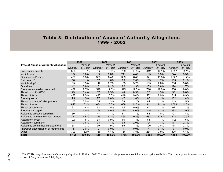# **Table 3: Distribution of Abuse of Authority Allegations 1999 - 2003**

|                                              |               | 1999     |               | 2000     |               | 2001     |                | 2002     | 2003          |          |
|----------------------------------------------|---------------|----------|---------------|----------|---------------|----------|----------------|----------|---------------|----------|
| <b>Type of Abuse of Authority Allegation</b> |               | Percent  |               | Percent  |               | Percent  |                | Percent  |               | Percent  |
|                                              | <b>Number</b> | of Total | <b>Number</b> | of Total | <b>Number</b> | of Total | <b>Number</b>  | of Total | <b>Number</b> | of Total |
| Frisk and/or search                          | 820           | 16.0%    | 782           | 18.6%    | 739           | 15.5%    | 842            | 14.1%    | 1,057         | 14.1%    |
| Vehicle search                               | 182           | 3.6%     | 162           | 3.8%     | 211           | 4.4%     | 195            | 3.3%     | 244           | 3.3%     |
| Question and/or stop                         | 426           | 8.3%     | 353           | 8.4%     | 399           | 8.4%     | 671            | 11.3%    | 1,027         | 13.7%    |
| Strip search*                                | 58            | 1.1%     | 67            | 1.6%     | 93            | 2.0%     | 103            | 1.7%     | 155           | 2.1%     |
| Vehicle stop*                                | 65            | 1.3%     | 112           | 2.7%     | 153           | 3.2%     | 165            | 2.8%     | 286           | 3.8%     |
| Gun drawn                                    | 42            | 0.8%     | 6             | 0.1%     | 90            | 1.9%     | 153            | 2.6%     | 124           | 1.7%     |
| Premises entered or searched                 | 499           | 9.7%     | 529           | 12.6%    | 595           | 12.5%    | 716            | 12.0%    | 656           | 8.8%     |
| Threat to notify ACS*                        | 23            | 0.4%     | 37            | 0.9%     | 44            | 0.9%     | 77             | 1.3%     | 58            | 0.8%     |
| Threat of force                              | 488           | 9.5%     | 447           | 10.6%    | 448           | 9.4%     | 532            | 8.9%     | 515           | 6.9%     |
| Property seized                              | 75            | 1.5%     | 27            | 0.6%     | 47            | 1.0%     | 65             | 1.1%     | 102           | 1.4%     |
| Threat to damage/seize property              | 103           | $2.0\%$  | 55            | 1.3%     | 58            | 1.2%     | 64             | 1.1%     | 113           | 1.5%     |
| Threat of arrest                             | 842           | 16.4%    | 634           | 15.0%    | 688           | 14.5%    | 841            | 14.1%    | 1,068         | 14.3%    |
| Threat of summons                            | 91            | 1.8%     | 62            | 1.5%     | 44            | 0.9%     | 67             | 1.1%     | 92            | 1.2%     |
| Property damaged                             | 204           | 4.0%     | 168           | 4.0%     | 220           | 4.6%     | 245            | 4.1%     | 292           | 3.9%     |
| Refusal to process complaint*                | 69            | 1.3%     | 48            | 1.1%     | 51            | 1.1%     | 58             | 1.0%     | 103           | 1.4%     |
| Refusal to give name/shield number*          | 231           | 4.5%     | 349           | 8.3%     | 468           | 9.8%     | 632            | 10.6%    | 813           | 10.9%    |
| Retaliatory arrest                           | 92            | 1.8%     | 38            | 0.9%     | 60            | 1.3%     | 65             | 1.1%     | 112           | 1.5%     |
| Retaliatory summons                          | 43            | 0.8%     | 73            | 1.7%     | 95            | 2.0%     | 104            | 1.7%     | 171           | 2.3%     |
| Refusal to obtain medical treatment          | 68            | 1.3%     | 79            | 1.9%     | 85            | 1.8%     | 120            | 2.0%     | 174           | 2.3%     |
| Improper dissemination of medical info       | 1             | 0.0%     | $\mathbf{0}$  | 0.0%     |               | $0.0\%$  | $\overline{4}$ | 0.1%     | $\mathbf 0$   | 0.0%     |
| Other                                        | 703           | 13.7%    | 186           | 4.4%     | 166           | 3.5%     | 234            | 3.9%     | 326           | 4.4%     |
| <b>Total</b>                                 | 5,125         | 100.0%   | 4,214         | 100.0%   | 4,755         | 100.0%   | 5,953          | 100.0%   | 7,488         | 100.0%   |

\* The CCRB changed its system of capturing allegations in 1999 and 2000. The asterisked allegations were not fully captured prior to this time. Thus, the apparent increases over the course of five years are artificially high.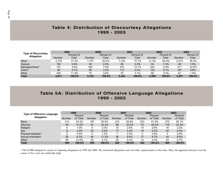## **Table 4: Distribution of Discourtesy Allegations 1999 - 2003**

| <b>Type of Discourtesy</b> | 1999          |            |        | 2000       |               | 2001       |        | 2002       |        | 2003       |  |
|----------------------------|---------------|------------|--------|------------|---------------|------------|--------|------------|--------|------------|--|
| <b>Allegation</b>          |               | Percent of |        | Percent of |               | Percent of |        | Percent of |        | Percent of |  |
|                            | <b>Number</b> | Total      | Number | Total      | <b>Number</b> | Total      | Number | Total      | Number | Total      |  |
| Word                       | 2.176         | 77.4%      | 1.757  | 83.5%      | 1.744         | 77.7%      | 2.130  | 82.0%      | 2.513  | 78.4%      |  |
| Gesture                    | 152           | 5.4%       | 43     | 2.0%       | 46            | 2.0%       | 34     | 1.3%       | 49     | $1.5\%$    |  |
| Demeanor/tone*             | 101           | 3.6%       | 160    | 7.6%       | 272           | 12.1%      | 243    | 9.3%       | 411    | 12.8%      |  |
| Action*                    | 58            | 2.1%       | 69     | 3.3%       | 112           | 5.0%       | 133    | 5.1%       | 187    | 5.8%       |  |
| Other                      | 324           | 11.5%      | 75     | 3.6%       | 70            | 3.1%       | 59     | 2.3%       | 47     | 1.5%       |  |
| <b>Total</b>               | 2,811         | 100.0%     | 2,104  | 100.0%     | 2.244         | 100.0%     | 2,599  | 100.0%     | 3,207  | 100.0%     |  |

# **Table 5A: Distribution of Offensive Language Allegations 1999 - 2003**

| <b>Type of Offensive Language</b> | 1999   |          |        | 2000     |               | 2001     |        | 2002     |               | 2003     |  |
|-----------------------------------|--------|----------|--------|----------|---------------|----------|--------|----------|---------------|----------|--|
| <b>Allegation</b>                 |        | Percent  |        | Percent  |               | Percent  |        | Percent  |               | Percent  |  |
|                                   | Number | of Total | Number | of Total | <b>Number</b> | of Total | Number | of Total | <b>Number</b> | of Total |  |
| Race                              | 214    | 54.3%    | 197    | 50.6%    | 215           | 55.8%    | 223    | 61.6%    | 272           | 55.1%    |  |
| Ethnicity                         | 56     | 14.2%    | 91     | 23.4%    | 86            | 22.3%    | 74     | 20.4%    | 115           | 23.3%    |  |
| Religion                          | 4      | 1.0%     | 9      | 2.3%     | 10            | 2.6%     | 14     | 3.9%     | 16            | 3.2%     |  |
| <b>Sex</b>                        | 8      | 2.0%     | 23     | 5.9%     | 17            | 4.4%     | 19     | 5.2%     | 20            | 4.0%     |  |
| Physical disability*              | ◠      | 0.5%     | 5      | $1.3\%$  |               | 0.3%     | 3      | 0.8%     | 4             | 0.8%     |  |
| Sexual orientation                | 25     | 6.3%     | 44     | 11.3%    | 36            | 9.4%     | 17     | 4.7%     | 44            | 8.9%     |  |
| Other                             | 85     | 21.6%    | 20     | 5.1%     | 20            | 5.2%     | 12     | 3.3%     | 23            | 4.7%     |  |
| <b>Total</b>                      | 394    | 100.0%   | 389    | 100.0%   | 385           | 100.0%   | 362    | 100.0%   | 494           | 100.0%   |  |

\* The CCRB changed its system of capturing allegations in 1999 and 2000. The asterisked allegations were not fully captured prior to this time. Thus, the apparent increases over the course of five years are artificially high.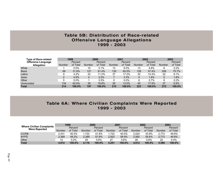# **Table 5B: Distribution of Race-related Offensive Language Allegations 1999 - 2003**

| <b>Type of Race-related</b> |               | 1999     | 2000          |          | 2001   |          | 2002          |          | 2003          |          |
|-----------------------------|---------------|----------|---------------|----------|--------|----------|---------------|----------|---------------|----------|
| <b>Offensive Language</b>   |               | Percent  |               | Percent  |        | Percent  |               | Percent  |               | Percent  |
| <b>Allegation</b>           | <b>Number</b> | of Total | <b>Number</b> | of Total | Number | of Total | <b>Number</b> | of Total | <b>Number</b> | of Total |
| White                       |               | $0.5\%$  | 10            | 5.1%     | 13     | 6.0%     | 13            | 5.8%     | 6             | 2.2%     |
| <b>Black</b>                | 68            | 31.8%    | 121           | 61.4%    | 130    | 60.5%    | 128           | 57.4%    | 206           | 75.7%    |
| Latino                      | 9             | 4.2%     | 22            | 11.2%    | 37     | 17.2%    | 32            | 14.3%    | 22            | 8.1%     |
| Asian                       |               | 0.9%     | 4             | 2.0%     |        | 3.3%     | 4             | 1.8%     | 5             | 1.8%     |
| Other                       |               | $0.0\%$  |               | 0.5%     | 0      | $0.0\%$  | 6             | 2.7%     | 6             | 2.2%     |
| Unrecorded                  | 134           | 62.6%    | 39            | 19.8%    | 28     | 13.0%    | 40            | 17.9%    | 27            | 9.9%     |
| <b>Total</b>                | 214           | 100.0%   | 197           | 100.0%   | 215    | 100.0%   | 223           | 100.0%   | 272           | 100.0%   |

# **Table 6A: Where Civilian Complaints Were Reported 1999 - 2003**

| <b>Where Civilian Complaints</b> |        | 1999     |        | 2000     |        | 2001     |               | 2002     | 2003   |          |
|----------------------------------|--------|----------|--------|----------|--------|----------|---------------|----------|--------|----------|
| <b>Were Reported</b>             |        | Percent  |        | Percent  |        | Percent  |               | Percent  |        | Percent  |
|                                  | Number | of Total | Number | of Total | Number | of Total | <b>Number</b> | of Total | Number | of Total |
| <b>CCRB</b>                      | 2.431  | 50.5%    | 1.722  | 41.8%    | 1.722  | 40.5%    | 2.024         | 43.9%    | 2.773  | 49.8%    |
| <b>NYPD</b>                      | 2.369  | 49.2%    | 2.369  | 57.6%    | 2.502  | 58.9%    | 2.562         | 55.6%    | 2.773  | 49.8%    |
| Other                            | 12     | $0.2\%$  | 25     | 0.6%     | 27     | $0.6\%$  | 26            | 0.6%     | 22     | $0.4\%$  |
| <b>Total</b>                     | 4.812  | 100.0%   | 4.116  | 100.0%   | 4.251  | 100.0%   | 4.612         | 100.0%   | 5.568  | 100.0%   |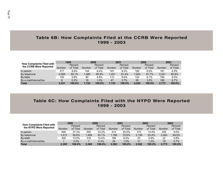# **Table 6B: How Complaints Filed at the CCRB Were Reported 1999 - 2003**

| <b>How Complaints Filed with</b> | 1999          |          | 2000          |          | 2001   |          | 2002          |          | 2003   |          |
|----------------------------------|---------------|----------|---------------|----------|--------|----------|---------------|----------|--------|----------|
| the CCRB Were Reported           |               | Percent  |               | Percent  |        | Percent  |               | Percent  |        | Percent  |
|                                  | <b>Number</b> | of Total | <b>Number</b> | of Total | Number | of Total | <b>Number</b> | of Total | Number | of Total |
| In person                        | 217           | 8.9%     | 144           | 8.4%     | 161    | 9.3%     | 182           | $9.0\%$  | 181    | 6.5%     |
| By telephone                     | 2.068         | 85.1%    | 1.480         | 85.9%    | 1.401  | 81.4%    | 1.653         | 81.7%    | 2.241  | 80.8%    |
| By letter                        | 140           | 5.8%     | 80            | 4.6%     | 113    | 6.6%     | 124           | 6.1%     | 165    | 6.0%     |
| By e-mail/internet/fax           |               | 0.2%     | 18            | 1.0%     | 47     | 2.7%     | 65            | 3.2%     | 186    | 6.7%     |
| <b>Total</b>                     | 2.431         | 100.0%   | 1.722         | 100.0%   | 1.722  | 100.0%   | 2.024         | 100.0%   | 2.773  | 100.0%   |

# **Table 6C: How Complaints Filed with the NYPD Were Reported 1999 - 2003**

| <b>How Complaints Filed with</b> | 1999          |          | 2000   |          | 2001   |          | 2002   |          | 2003   |          |
|----------------------------------|---------------|----------|--------|----------|--------|----------|--------|----------|--------|----------|
| the NYPD Were Reported           |               | Percent  |        | Percent  |        | Percent  |        | Percent  |        | Percent  |
|                                  | <b>Number</b> | of Total | Number | of Total | Number | of Total | Number | of Total | Number | of Total |
| In person                        | 646           | 27.3%    | 550    | 23.2%    | 513    | 20.5%    | 372    | 14.5%    | 249    | 9.0%     |
| By telephone                     | 1.413         | 59.6%    | .494   | 63.1%    | 1.766  | 70.6%    | 2.136  | 83.4%    | 2.483  | 89.5%    |
| By letter                        | 309           | 13.0%    | 318    | 13.4%    | 199    | $8.0\%$  | 23     | 0.9%     | 22     | 0.8%     |
| By e-mail/internet/fax           |               | 0.0%     |        | 0.3%     | 24     | $1.0\%$  | 31     | 1.2%     | 19     | 0.7%     |
| <b>Total</b>                     | 2.369         | 100.0%   | 2.369  | 100.0%   | 2.502  | 100.0%   | 2,562  | 100.0%   | 2.773  | 100.0%   |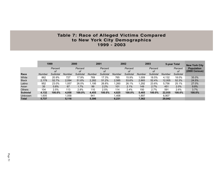# **Table 7: Race of Alleged Victims Compared to New York City Demographics 1999 - 2003**

|                 |        | 1999          |        | 2000          |        | 2001          |        | 2002          |        | 2003          |        | 5-year Total  | <b>New York City</b>                      |
|-----------------|--------|---------------|--------|---------------|--------|---------------|--------|---------------|--------|---------------|--------|---------------|-------------------------------------------|
|                 |        | Percent<br>оf |        | Percent<br>оf |        | Percent<br>оf |        | Percent<br>оf |        | Percent<br>οf |        | Percent<br>οf | <b>Population</b><br><b>(2000 Census)</b> |
| Race            | Number | Subtotal      | Number | Subtotal      | Number | Subtotal      | Number | Subtotal      | Number | Subtotal      | Number | Subtotal      |                                           |
| White           | 862    | 20.9%         | 727    | 17.9%         | 769    | 17.3%         | 765    | 15.9%         | 1.009  | 18.5%         | 4.132  | 18.0%         | 35.0%                                     |
| <b>Black</b>    | 2,179  | 52.7%         | 2,094  | 51.6%         | 2,282  | 51.2%         | 2,585  | 53.6%         | 2,865  | 52.4%         | 12,005 | 52.3%         | 24.5%                                     |
| Latino          | 952    | 23.0%         | 1,057  | 26.0%         | .195   | 26.8%         | 260.   | 26.1%         | 1,292  | 23.6%         | 5,756  | 25.1%         | 27.0%                                     |
| Asian           | 35     | 0.8%          | 67     | 1.7%          | 99     | 2.2%          | 101    | 2.1%          | 149    | 2.7%          | 451    | 2.0%          | 9.8%                                      |
| <b>Others</b>   | 104    | 2.5%          | 113    | 2.8%          | 110    | 2.5%          | 114    | 2.4%          | 150    | 2.7%          | 591    | 2.6%          | 3.7%                                      |
| <b>Subtotal</b> | 4,132  | 100.0%        | 4,058  | 100.0%        | 4,455  | 100.0%        | 4,825  | 100.0%        | 5,465  | 100.0%        | 22,935 | 100.0%        | 100.0%                                    |
| <b>Unknown</b>  | .605   |               | 1.058  |               | 941    |               | 1,406  |               | 1,897  |               | 6,907  |               |                                           |
| <b>Total</b>    | 5,737  |               | 5,116  |               | 5,396  |               | 6,231  |               | 7,362  |               | 29,842 |               |                                           |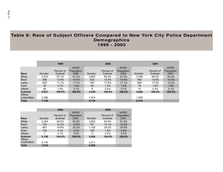# **Table 8: Race of Subject Officers Compared to New York City Police Department Demographics 1999 - 2003**

|                            |               | 1999                   |                                   |               | 2000                   |                                   | 2001          |                        |                                   |  |
|----------------------------|---------------|------------------------|-----------------------------------|---------------|------------------------|-----------------------------------|---------------|------------------------|-----------------------------------|--|
| Race                       | <b>Number</b> | Percent of<br>Subtotal | <b>NYPD</b><br>Population<br>1999 | <b>Number</b> | Percent of<br>Subtotal | <b>NYPD</b><br>Population<br>2000 | <b>Number</b> | Percent of<br>Subtotal | <b>NYPD</b><br>Population<br>2001 |  |
| White                      | 3,270         | 67.7%                  | 67.2%                             | 2.903         | 68.5%                  | 67.9%                             | 3,169         | 68.2%                  | 64.8%                             |  |
| <b>Black</b>               | 658           | 13.6%                  | 13.4%                             | 532           | 12.5%                  | 13.5%                             | 583           | 12.6%                  | 14.0%                             |  |
| Latino                     | 825           | 17.1%                  | 17.7%                             | 740           | 17.5%                  | 17.1%                             | 806           | 17.4%                  | 19.2%                             |  |
| Asian                      | 32            | 0.7%                   | 1.6%                              | 56            | 1.3%                   | 1.4%                              | 76            | 1.6%                   | 1.9%                              |  |
| <b>Others</b>              | 46            | $1.0\%$                | 0.1%                              | 9             | 0.2%                   | 0.1%                              | 10            | 0.2%                   | 0.1%                              |  |
| <b>Subtotal</b><br>Officer | 4,831         | 100.0%                 | 100.0%                            | 4,240         | 100.0%                 | 100.0%                            | 4,644         | 100.0%                 | 100.0%                            |  |
| unidentified               | 2,298         |                        |                                   | 1.914         |                        |                                   | 1,835         |                        |                                   |  |
| <b>Total</b>               | 7,129         |                        |                                   | 6,154         |                        |                                   | 6,479         |                        |                                   |  |

|                 |               | 2002       |             | 2003          |            |             |  |  |
|-----------------|---------------|------------|-------------|---------------|------------|-------------|--|--|
|                 |               |            | <b>NYPD</b> |               |            | <b>NYPD</b> |  |  |
|                 |               | Percent of | Population  |               | Percent of | Population  |  |  |
| Race            | <b>Number</b> | Subtotal   | 2002        | <b>Number</b> | Subtotal   | 2003        |  |  |
| White           | 3,354         | 65.0%      | 62.8%       | 3,863         | 64.9%      | 61.6%       |  |  |
| <b>Black</b>    | 733           | 14.2%      | 14.6%       | 781           | 13.1%      | 15.0%       |  |  |
| Latino          | 961           | 18.6%      | 20.2%       | 1,192         | 20.0%      | 20.8%       |  |  |
| Asian           | 103           | 2.0%       | 2.2%        | 105           | 1.8%       | 2.4%        |  |  |
| <b>Others</b>   | 7             | 0.1%       | 0.2%        | 13            | 0.2%       | 0.2%        |  |  |
| <b>Subtotal</b> | 5,158         | 100.0%     | 100.0%      | 5,954         | 100.0%     | 100.0%      |  |  |
| <b>Officer</b>  |               |            |             |               |            |             |  |  |
| unidentified    | 2,116         |            |             | 2,311         |            |             |  |  |
| <b>Total</b>    | 7,274         |            |             | 8,265         |            |             |  |  |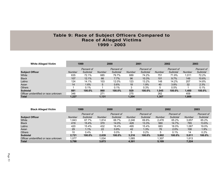# **Table 9: Race of Subject Officers Compared to Race of Alleged Victims 1999 - 2003**

| <b>White Alleged Victim</b>          |               | 1999                   |               | 2000                   |               | 2001                   |               | 2002                   |               | 2003                   |
|--------------------------------------|---------------|------------------------|---------------|------------------------|---------------|------------------------|---------------|------------------------|---------------|------------------------|
| <b>Subject Officer</b>               | <b>Number</b> | Percent of<br>Subtotal | <b>Number</b> | Percent of<br>Subtotal | <b>Number</b> | Percent of<br>Subtotal | <b>Number</b> | Percent of<br>Subtotal | <b>Number</b> | Percent of<br>Subtotal |
| White                                | 635           | 72.1%                  | 685           | 79.7%                  | 689           | 74.2%                  | 751           | 71.9%                  | 1,011         | 72.2%                  |
| <b>Black</b>                         | 107           | 12.1%                  | 66            | 7.7%                   | 96            | 10.3%                  | 101           | 9.7%                   | 149           | 10.6%                  |
| Latino                               | 124           | 14.1%                  | 103           | 12.0%                  | 123           | 13.2%                  | 148           | 14.2%                  | 207           | 14.8%                  |
| Asian                                | 14            | 1.6%                   | 5             | 0.6%                   | 18            | 1.9%                   | 40            | 3.8%                   | 32            | 2.3%                   |
| <b>Others</b>                        |               | 0.1%                   |               | 0.1%                   |               | 0.3%                   | 5             | 0.5%                   |               | 0.1%                   |
| <b>Subtotal</b>                      | 881           | 100.0%                 | 860           | 100.0%                 | 929           | 100.0%                 | 1.045         | 100.0%                 | 1,400         | 100.0%                 |
| Officer unidentified or race unknown | 346           |                        | 271           |                        | 275           |                        | 262           |                        | 409           |                        |
| <b>Total</b>                         | 1.227         |                        | 1,131         |                        | 1.204         |                        | 1,307         |                        | 1.809         |                        |

| <b>Black Alleged Victim</b>          | 1999          |            | 2000          |            | 2001          |            | 2002          |            | 2003          |            |
|--------------------------------------|---------------|------------|---------------|------------|---------------|------------|---------------|------------|---------------|------------|
|                                      |               | Percent of |               | Percent of |               | Percent of |               | Percent of |               | Percent of |
| <b>Subject Officer</b>               | <b>Number</b> | Subtotal   | <b>Number</b> | Subtotal   | <b>Number</b> | Subtotal   | <b>Number</b> | Subtotal   | <b>Number</b> | Subtotal   |
| White                                | 1,843         | 67.7%      | 1.814         | 68.7%      | 2.246         | 69.8%      | 2,478         | 65.2%      | 3,657         | 65.2%      |
| <b>Black</b>                         | 419           | 15.4%      | 370           | 14.0%      | 428           | 13.3%      | 560           | 14.7%      | 765           | 13.6%      |
| Latino                               | 420           | 15.4%      | 432           | 16.4%      | 495           | 15.4%      | 683           | 18.0%      | .067          | 19.0%      |
| Asian                                | 29            | $1.1\%$    | 22            | $0.8\%$    | 42            | $1.3\%$    | 76            | 2.0%       | 108           | 1.9%       |
| <b>Others</b>                        | 10            | 0.4%       |               | $0.0\%$    | 5             | 0.2%       |               | 0.1%       | 14            | 0.2%       |
| <b>Subtotal</b>                      | 2.721         | 100.0%     | 2,639         | 100.0%     | 3,216         | 100.0%     | 3,802         | 100.0%     | 5,611         | 100.0%     |
| Officer unidentified or race unknown | 1,077         |            | 1.034         |            | 1.085         |            | 307, ا        |            | 1.613         |            |
| <b>Total</b>                         | 3.798         |            | 3,673         |            | 4,301         |            | 5,109         |            | 7,224         |            |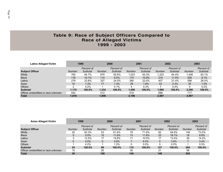# **Table 9: Race of Subject Officers Compared to Race of Alleged Victims 1999 - 2003**

| <b>Latino Alleged Victim</b>         |        | 1999                   |               | 2000                   |               | 2001                   |        | 2002                   |               | 2003                   |
|--------------------------------------|--------|------------------------|---------------|------------------------|---------------|------------------------|--------|------------------------|---------------|------------------------|
| <b>Subject Officer</b>               | Number | Percent of<br>Subtotal | <b>Number</b> | Percent of<br>Subtotal | <b>Number</b> | Percent of<br>Subtotal | Number | Percent of<br>Subtotal | <b>Number</b> | Percent of<br>Subtotal |
| White                                | 760    | 64.7%                  | 875           | 65.6%                  | 1.023         | 64.3%                  | 1,223  | 64.4%                  | 1,446         | 63.1%                  |
| <b>Black</b>                         | 118    | 10.1%                  | 114           | 8.5%                   | 174           | 10.9%                  | 219    | 11.5%                  | 209           | 9.1%                   |
| Latino                               | 279    | 23.8%                  | 327           | 24.5%                  | 360           | 22.6%                  | 407    | 21.4%                  | 596           | 26.0%                  |
| Asian                                | 15     | 1.3%                   | 17            | $1.3\%$                | 29            | $1.8\%$                | 43     | 2.3%                   | 35            | 1.5%                   |
| <b>Others</b>                        | ◠      | 0.2%                   |               | 0.1%                   |               | 0.3%                   |        | 0.4%                   |               | 0.2%                   |
| <b>Subtotal</b>                      | 1.174  | 100.0%                 | 1,334         | $100.0\%$              | 590.ا         | $100.0\%$              | 1,899  | 100.0%                 | 2.290         | $100.0\%$              |
| Officer unidentified or race unknown | 442    |                        | 512           |                        | 516           |                        | 688    |                        | 717           |                        |
| <b>Total</b>                         | 1,616  |                        | 1.846         |                        | 2.106         |                        | 2,587  |                        | 3,007         |                        |

| <b>Asian Alleged Victim</b>          |        | 1999       |               | 2000       |               | 2001       |               | 2002       |               | 2003       |
|--------------------------------------|--------|------------|---------------|------------|---------------|------------|---------------|------------|---------------|------------|
|                                      |        | Percent of |               | Percent of |               | Percent of |               | Percent of |               | Percent of |
| <b>Subject Officer</b>               | Number | Subtotal   | <b>Number</b> | Subtotal   | <b>Number</b> | Subtotal   | <b>Number</b> | Subtotal   | <b>Number</b> | Subtotal   |
| White                                | 20     | 83.3%      | 53            | 61.6%      | 79            | 71.8%      | 82            | 64.6%      | 149           | 73.0%      |
| <b>Black</b>                         |        | 0.0%       | 10            | 11.6%      | 13            | 11.8%      | 23            | 18.1%      | 18            | 8.8%       |
| Latino                               |        | 12.5%      | 17            | 19.8%      | 11            | 10.0%      | 17            | 13.4%      | 29            | 14.2%      |
| Asian                                |        | 0.0%       | 5             | 5.8%       |               | 6.4%       | 5             | 3.9%       |               | 3.4%       |
| <b>Others</b>                        |        | 4.2%       |               | $1.2\%$    |               | $0.0\%$    |               | $0.0\%$    |               | 0.5%       |
| <b>Subtotal</b>                      | 24     | 100.0%     | 86            | 100.0%     | 110           | 100.0%     | 127           | 100.0%     | 204           | 100.0%     |
| Officer unidentified or race unknown | 15     |            | 20            |            | 30            |            | 21            |            | 58            |            |
| <b>Total</b>                         | 39     |            | 106           |            | 140           |            | 148           |            | 262           |            |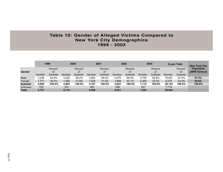# **Table 10: Gender of Alleged Victims Compared to New York City Demographics 1999 - 2003**

|                 |        | 1999                      |        | 2000                      |               | 2001                                 |               | 2002                      |               | 2003                      |               | 5-year Total                         | <b>New York City</b>                      |
|-----------------|--------|---------------------------|--------|---------------------------|---------------|--------------------------------------|---------------|---------------------------|---------------|---------------------------|---------------|--------------------------------------|-------------------------------------------|
| Gender          | Number | Percent<br>оf<br>Subtotal | Number | Percent<br>οf<br>Subtotal | <b>Number</b> | Percent<br><sup>of</sup><br>Subtotal | <b>Number</b> | Percent<br>of<br>Subtotal | <b>Number</b> | Percent<br>0f<br>Subtotal | <b>Number</b> | Percent<br><sup>of</sup><br>Subtotal | <b>Population</b><br><b>(2000 Census)</b> |
| Male            | 3,238  | 64.6%                     | 3.320  | 68.2%                     | 3,563         | 68.6%                                | 3,975         | 66.9%                     | 4,755         | 66.8%                     | 18.851        | 67.0%                                | 47.4%                                     |
| Female          | 1.771  | 35.4%                     | .545   | 31.8%                     | .628          | 31.4%                                | 1.968         | 33.1%                     | 2.360         | 33.2%                     | 9,272         | 33.0%                                | 52.6%                                     |
| <b>Subtotal</b> | 5,009  | 100.0%                    | 4.865  | 100.0%                    | 5,191         | 100.0%                               | 5,943         | 100.0%                    | 7,115         | 100.0%                    | 28,123        | 100.0%                               | 100.0%                                    |
| <b>Unknown</b>  | 728    |                           | 251    |                           | 205           |                                      | 288           |                           | 247           |                           | 1.719         |                                      |                                           |
| <b>Total</b>    | 5,737  |                           | 5.116  |                           | 5,396         |                                      | 6,231         |                           | 7,362         |                           | 29,842        |                                      |                                           |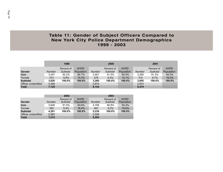## **Table 11: Gender of Subject Officers Compared to New York City Police Department Demographics 1999 - 2003**

|                      |               | 1999       |             |               | 2000       |             |               | 2001       |             |
|----------------------|---------------|------------|-------------|---------------|------------|-------------|---------------|------------|-------------|
|                      |               | Percent of | <b>NYPD</b> |               | Percent of | <b>NYPD</b> |               | Percent of | <b>NYPD</b> |
| Gender               | <b>Number</b> | Subtotal   | Population  | <b>Number</b> | Subtotal   | Population  | <b>Number</b> | Subtotal   | Population  |
| Male                 | 3.447         | 90.2%      | 84.7%       | 3.001         | 91.5%      | 84.9%       | 3,290         | 91.3%      | 84.0%       |
| Female               | 373           | 9.8%       | 15.3%       | 279           | 8.5%       | 15.1%       | 315           | 8.7%       | 16.0%       |
| <b>Subtotal</b>      | 3.820         | 100.0%     | 100.0%      | 3,280         | 100.0%     | 100.0%      | 3,605         | 100.0%     | 100.0%      |
| Officer unidentified | 3,309         |            |             | 2.874         |            |             | 2.874         |            |             |
| <b>Total</b>         | 7.129         |            |             | 6.154         |            |             | 6,479         |            |             |

|                      |               | 2002       |             |               | 2003       |             |  |
|----------------------|---------------|------------|-------------|---------------|------------|-------------|--|
|                      |               | Percent of | <b>NYPD</b> |               | Percent of | <b>NYPD</b> |  |
| Gender               | <b>Number</b> | Subtotal   | Population  | <b>Number</b> | Subtotal   | Population  |  |
| Male                 | 3.928         | 91.5%      | 83.6%       | 4.758         | 90.8%      | 83.4%       |  |
| Female               | 363           | 8.5%       | 16.4%       | 481           | 9.2%       | 16.6%       |  |
| <b>Subtotal</b>      | 4.291         | 100.0%     | 100.0%      | 5.239         | 100.0%     | 100.0%      |  |
| Officer unidentified | 2,983         |            |             | 3,026         |            |             |  |
| <b>Total</b>         | 7.274         |            |             | 8,265         |            |             |  |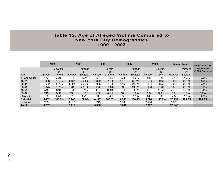## **Table 12: Age of Alleged Victims Compared to New York City Demographics 1999 - 2003**

|                 |        | 1999                     |        | 2000          |               | 2001                     |               | 2002          |               | 2003                     |               | 5-year Total  | <b>New York City</b>               |
|-----------------|--------|--------------------------|--------|---------------|---------------|--------------------------|---------------|---------------|---------------|--------------------------|---------------|---------------|------------------------------------|
|                 |        | Percent<br><sub>of</sub> |        | Percent<br>0f |               | Percent<br><sub>of</sub> |               | Percent<br>οf |               | Percent<br><sub>of</sub> |               | Percent<br>0f | <b>Population</b><br>(2000 Census) |
| Age             | Number | Subtotal                 | Number | Subtotal      | <b>Number</b> | Subtotal                 | <b>Number</b> | Subtotal      | <b>Number</b> | Subtotal                 | <b>Number</b> | Subtotal      |                                    |
| 14 and Under    | 173    | 3.2%                     | 174    | 4.6%          | 174           | 4.2%                     | 231           | 5.0%          | 218           | 4.2%                     | 970           | 4.2%          | 19.3%                              |
| $15 - 24$       | 1,388  | 25.3%                    | 1,137  | 30.4%         | 1,302         | 31.4%                    | 1,513         | 32.4%         | 1,596         | 30.6%                    | 6,936         | 29.8%         | 14.3%                              |
| 25-34           | 1,652  | 30.1%                    | 1,007  | 26.9%         | 1,025         | 24.7%                    | 1,160         | 24.9%         | 1,384         | 26.5%                    | 6,228         | 26.8%         | 17.4%                              |
| $35 - 44$       | 1.375  | 25.1%                    | 884    | 23.6%         | 966           | 23.3%                    | 990           | 21.2%         | 1.138         | 21.8%                    | 5,353         | 23.0%         | 15.3%                              |
| 45-54           | 543    | 9.9%                     | 341    | 9.1%          | 451           | 10.9%                    | 514           | 11.0%         | 601           | 11.5%                    | 2.450         | 10.5%         | 10.6%                              |
| 55-64           | 215    | 3.9%                     | 135    | 3.6%          | 169           | 4.1%                     | 168           | 3.6%          | 203           | 3.9%                     | 890           | 3.8%          | 8.8%                               |
| 65 and Over     | 136    | 2.5%                     | 65     | 1.7%          | 60            | $1.4\%$                  | 87            | 1.9%          | 84            | 1.6%                     | 432           | 1.9%          | 14.3%                              |
| <b>Subtotal</b> | 5,482  | 100.0%                   | 3,743  | 100.0%        | 4,147         | 100.0%                   | 4,663         | 100.0%        | 5,224         | 100.0%                   | 23,259        | 100.0%        | 100.0%                             |
| Unknown         | 255    |                          | 1,373  |               | 1,249         |                          | 1,568         |               | 2,138         |                          | 6,583         |               |                                    |
| <b>Total</b>    | 5,737  |                          | 5,116  |               | 5,396         |                          | 6,231         |               | 7,362         |                          | 29,842        |               |                                    |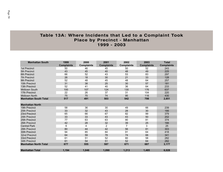#### **Table 13A: Where Incidents that Led to a Complaint Took Place by Precinct - Manhattan 1999 - 2003**

| <b>Manhattan South</b>       | 1999              | 2000              | 2001              | 2002              | 2003              | <b>Total</b>      |
|------------------------------|-------------------|-------------------|-------------------|-------------------|-------------------|-------------------|
|                              | <b>Complaints</b> | <b>Complaints</b> | <b>Complaints</b> | <b>Complaints</b> | <b>Complaints</b> | <b>Complaints</b> |
| 1st Precinct                 | 50                | 46                | 45                | 50                | 52                | 243               |
| 5th Precinct                 | 43                | 45                | 40                | 48                | 49                | 225               |
| 6th Precinct                 | 66                | 52                | 43                | 53                | 83                | 297               |
| <b>7th Precinct</b>          | 26                | 18                | 30                | 21                | 33                | 128               |
| 9th Precinct                 | 52                | 48                | 45                | 48                | 64                | 257               |
| 10th Precinct                | 31                | 38                | 25                | 30                | 57                | 181               |
| 13th Precinct                | 52                | 41                | 40                | 36                | 64                | 233               |
| <b>Midtown South</b>         | 100               | 107               | 124               | 130               | 176               | 637               |
| 17th Precinct                | 22                | 26                | 37                | 31                | 104               | 220               |
| <b>Midtown North</b>         | 75                | 70                | 74                | 95                | 116               | 430               |
| <b>Manhattan South Total</b> | 517               | 491               | 503               | 542               | 798               | 2,851             |
|                              |                   |                   |                   |                   |                   |                   |
| <b>Manhattan North</b>       |                   |                   |                   |                   |                   |                   |
| 19th Precinct                | 58                | 36                | 30                | 49                | 66                | 239               |
| 20th Precinct                | 33                | 32                | 43                | 28                | 30                | 166               |
| 23rd Precinct                | 65                | 66                | 67                | 82                | 99                | 379               |
| 24th Precinct                | 33                | 33                | 43                | 43                | 50                | 202               |
| 25th Precinct                | 77                | 63                | 63                | 90                | 81                | 374               |
| 26th Precinct                | 42                | 28                | 32                | 39                | 25                | 166               |
| <b>Central Park</b>          | 9                 | 4                 | $\overline{2}$    | $\overline{7}$    | 3                 | 25                |
| 28th Precinct                | 80                | 44                | 42                | 56                | 81                | 303               |
| 30th Precinct                | 94                | 85                | 84                | 91                | 64                | 418               |
| 32nd Precinct                | 64                | 59                | 78                | 74                | 66                | 341               |
| 33rd Precinct                | 61                | 51                | 52                | 60                | 58                | 282               |
| 34th Precinct                | 61                | 54                | 51                | 52                | 64                | 282               |
| <b>Manhattan North Total</b> | 677               | 555               | 587               | 671               | 687               | 3,177             |
|                              |                   |                   |                   |                   |                   |                   |
| <b>Manhattan Total</b>       | 1,194             | 1.046             | 1,090             | 1,213             | 1.485             | 6,028             |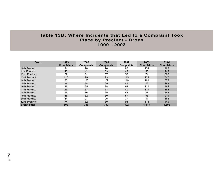### **Table 13B: Where Incidents that Led to a Complaint Took Place by Precinct - Bronx 1999 - 2003**

| <b>Bronx</b>       | 1999<br><b>Complaints</b> | 2000<br><b>Complaints</b> | 2001<br><b>Complaints</b> | 2002<br><b>Complaints</b> | 2003<br><b>Complaints</b> | <b>Total</b><br><b>Complaints</b> |
|--------------------|---------------------------|---------------------------|---------------------------|---------------------------|---------------------------|-----------------------------------|
| 40th Precinct      | 94                        | 78                        | 70                        | 86                        | 134                       | 462                               |
| 41st Precinct      | 40                        | 42                        | 63                        | 42                        | 55                        | 242                               |
| 42nd Precinct      | 59                        | 61                        | 57                        | 55                        | 74                        | 306                               |
| 43rd Precinct      | 116                       | 99                        | 93                        | 115                       | 124                       | 547                               |
| 44th Precinct      | 80                        | 103                       | 109                       | 119                       | 161                       | 572                               |
| 45th Precinct      | 38                        | 38                        | 29                        | 46                        | 42                        | 193                               |
| 46th Precinct      | 98                        | 85                        | 98                        | 92                        | 111                       | 484                               |
| 47th Precinct      | 65                        | 63                        | 73                        | 80                        | 111                       | 392                               |
| 48th Precinct      | 66                        | 76                        | 65                        | 68                        | 87                        | 362                               |
| 49th Precinct      | 45                        | 32                        | 30                        | 57                        | 55                        | 219                               |
| 50th Precinct      | 34                        | 27                        | 25                        | 37                        | 41                        | 164                               |
| 52nd Precinct      | 74                        | 82                        | 80                        | 95                        | 118                       | 449                               |
| <b>Bronx Total</b> | 809                       | 786                       | 792                       | 892                       | 1.113                     | 4.392                             |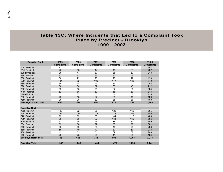#### **Table 13C: Where Incidents that Led to a Complaint Took Place by Precinct - Brooklyn 1999 - 2003**

| <b>Brooklyn South</b>       | 1999              | 2000              | 2001              | 2002              | 2003              | <b>Total</b>      |
|-----------------------------|-------------------|-------------------|-------------------|-------------------|-------------------|-------------------|
|                             | <b>Complaints</b> | <b>Complaints</b> | <b>Complaints</b> | <b>Complaints</b> | <b>Complaints</b> | <b>Complaints</b> |
| 60th Precinct               | 73                | 41                | 54                | 62                | 52                | 282               |
| 61st Precinct               | 46                | 38                | 44                | 43                | 61                | 232               |
| 62nd Precinct               | 39                | 47                | 37                | 38                | 57                | 218               |
| 63rd Precinct               | 37                | 32                | 53                | 50                | 49                | 221               |
| 66th Precinct               | 30                | 22                | 28                | 28                | 22                | 130               |
| 67th Precinct               | 104               | 82                | 109               | 117               | 130               | 542               |
| 68th Precinct               | 50                | 48                | 29                | 39                | 42                | 208               |
| 69th Precinct               | 50                | 30                | 52                | 35                | 45                | 212               |
| <b>70th Precinct</b>        | 69                | 55                | 78                | 92                | 90                | 384               |
| <b>71st Precinct</b>        | 52                | 66                | 69                | 58                | 69                | 314               |
| <b>72nd Precinct</b>        | 42                | 37                | 53                | 46                | 57                | 235               |
| <b>76th Precinct</b>        | 22                | 18                | 22                | 25                | 43                | 130               |
| <b>78th Precinct</b>        | 29                | 25                | 32                | 38                | 36                | 160               |
| <b>Brooklyn South Total</b> | 643               | 541               | 660               | 671               | 753               | 3,268             |
|                             |                   |                   |                   |                   |                   |                   |
| <b>Brooklyn North</b>       |                   |                   |                   |                   |                   |                   |
| <b>73rd Precinct</b>        | 103               | 92                | 88                | 122               | 160               | 565               |
| <b>75th Precinct</b>        | 152               | 121               | 172               | 172               | 169               | 786               |
| <b>77th Precinct</b>        | 92                | 85                | 85                | 104               | 117               | 483               |
| 79th Precinct               | 99                | 86                | 87                | 134               | 160               | 566               |
| 81st Precinct               | 67                | 55                | 66                | 78                | 83                | 349               |
| 83rd Precinct               | 63                | 66                | 77                | 65                | 90                | 361               |
| 84th Precinct               | 60                | 42                | 56                | 46                | 79                | 283               |
| 88th Precinct               | 55                | 40                | 42                | 37                | 59                | 233               |
| 90th Precinct               | 42                | 53                | 51                | 39                | 58                | 243               |
| 94th Precinct               | 20                | 25                | 20                | 11                | 28                | 104               |
| <b>Brooklyn North Total</b> | 753               | 665               | 744               | 808               | 1,003             | 3,973             |
|                             |                   |                   |                   |                   |                   |                   |
| <b>Brooklyn Total</b>       | 1,396             | 1,206             | 1,404             | 1,479             | 1,756             | 7,241             |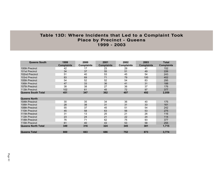#### **Table 13D: Where Incidents that Led to a Complaint Took Place by Precinct - Queens 1999 - 2003**

| <b>Queens South</b>       | 1999              | 2000              | 2001              | 2002              | 2003              | <b>Total</b>      |
|---------------------------|-------------------|-------------------|-------------------|-------------------|-------------------|-------------------|
|                           | <b>Complaints</b> | <b>Complaints</b> | <b>Complaints</b> | <b>Complaints</b> | <b>Complaints</b> | <b>Complaints</b> |
| 100th Precinct            | 42                | 17                | 23                | 29                | 41                | 152               |
| 101st Precinct            | 34                | 37                | 55                | 51                | 49                | 226               |
| 102nd Precinct            | 51                | 40                | 53                | 45                | 54                | 243               |
| 103rd Precinct            | 83                | 69                | 71                | 79                | 100               | 402               |
| 105th Precinct            | 54                | 52                | 52                | 54                | 83                | 295               |
| 106th Precinct            | 47                | 33                | 36                | 41                | 31                | 188               |
| 107th Precinct            | 38                | 38                | 27                | 36                | 37                | 176               |
| 113th Precinct            | 102               | 61                | 45                | 72                | 97                | 377               |
| <b>Queens South Total</b> | 451               | 347               | 362               | 407               | 492               | 2,059             |
|                           |                   |                   |                   |                   |                   |                   |
| <b>Queens North</b>       |                   |                   |                   |                   |                   |                   |
| 104th Precinct            | 30                | 35                | 34                | 36                | 40                | 175               |
| 108th Precinct            | 28                | 38                | 31                | 31                | 33                | 161               |
| 109th Precinct            | 55                | 37                | 45                | 51                | 54                | 242               |
| 110th Precinct            | 45                | 58                | 63                | 56                | 53                | 275               |
| 111th Precinct            | 31                | 13                | 25                | 21                | 26                | 116               |
| 112th Precinct            | 23                | 24                | 21                | 22                | 24                | 114               |
| 114th Precinct            | 76                | 71                | 62                | 75                | 93                | 377               |
| 115th Precinct            | 61                | 40                | 43                | 53                | 58                | 255               |
| <b>Queens North Total</b> | 349               | 316               | 324               | 345               | 381               | 1,715             |
|                           |                   |                   |                   |                   |                   |                   |
| <b>Queens Total</b>       | 800               | 663               | 686               | 752               | 873               | 3,774             |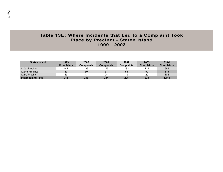#### **Table 13E: Where Incidents that Led to a Complaint Took Place by Precinct - Staten Island 1999 - 2003**

| <b>Staten Island</b>       | 1999              | 2000              | 2001              | 2002              | 2003              | Total             |
|----------------------------|-------------------|-------------------|-------------------|-------------------|-------------------|-------------------|
|                            | <b>Complaints</b> | <b>Complaints</b> | <b>Complaints</b> | <b>Complaints</b> | <b>Complaints</b> | <b>Complaints</b> |
| 120th Precinct             | 141               | 133               | 153               | 133               | 135               | 695               |
| 122nd Precinct             | 83                | 60                | 57                | 56                | 59                | 315               |
| 123rd Precinct             | 19                | 13                | 24                | 19                | 29                | 104               |
| <b>Staten Island Total</b> | 243               | 206               | 234               | 208               | 223               | 1.114             |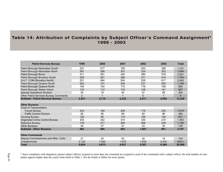## **Table 14: Attribution of Complaints by Subject Officer's Command Assignment\* 1999 - 2003**

| <b>Patrol Services Bureau</b>                | 1999           | 2000  | 2001  | 2002  | 2003  | <b>Total</b> |
|----------------------------------------------|----------------|-------|-------|-------|-------|--------------|
| Patrol Borough Manhattan South               | 231            | 217   | 192   | 203   | 308   | 1,151        |
| Patrol Borough Manhattan North               | 367            | 299   | 301   | 324   | 353   | 1,644        |
| Patrol Borough Bronx                         | 411            | 391   | 420   | 480   | 579   | 2,281        |
| Patrol Borough Brooklyn South                | 359            | 281   | 366   | 371   | 416   | 1,793        |
| S.A.T. COM (Brooklyn North)                  | 531            | 464   | 504   | 529   | 617   | 2,645        |
| Patrol Borough Queens South                  | 263            | 181   | 200   | 231   | 293   | 1,168        |
| Patrol Borough Queens North                  | 194            | 154   | 175   | 178   | 189   | 890          |
| Patrol Borough Staten Island                 | 133            | 112   | 133   | 138   | 141   | 657          |
| <b>Special Operations Division</b>           | 30             | 19    | 40    | 57    | 58    | 204          |
| <b>Other Patrol Services Bureau Commands</b> | $\overline{2}$ | 1     |       | 0     | 1     | 5            |
| <b>Subtotal - Patrol Services Bureau</b>     | 2,521          | 2,119 | 2,332 | 2,511 | 2,955 | 12,438       |
|                                              |                |       |       |       |       |              |
| <b>Other Bureaus</b>                         |                |       |       |       |       |              |
| <b>Chief of Transportation</b>               |                |       |       |       |       |              |
| <b>Transit Bureau</b>                        | 243            | 160   | 200   | 175   | 232   | 1,010        |
| <b>Traffic Control Division</b>              | 92             | 65    | 69    | 62    | 96    | 384          |
| <b>Housing Bureau</b>                        | 120            | 90    | 116   | 149   | 146   | 621          |
| Organized Crime Control Bureau               | 303            | 332   | 310   | 330   | 218   | 1,493        |
| Detective Bureau                             | 176            | 211   | 260   | 268   | 239   | 1,154        |
| <b>Other Bureaus</b>                         | 28             | 27    | 27    | 23    | 30    | 135          |
| <b>Subtotal - Other Bureaus</b>              | 962            | 885   | 982   | 1,007 | 961   | 4,797        |
|                                              |                |       |       |       |       |              |
| <b>Other Commands</b>                        |                |       |       |       |       |              |
| Deputy Commissioners and Misc. Units         | 21             | 24    | 45    | 34    | 19    | 143          |
| Undetermined                                 | 2,120          | 1,645 | 1,578 | 1,835 | 2,433 | 9,611        |
| <b>Total</b>                                 | 5,624          | 4,673 | 4.937 | 5,387 | 6,368 | 26.989       |

\* Since complaints with allegations against subject officers assigned to more than one command are assigned to each of the commands with a subject officer, the total number of complaints appears higher than the yearly totals listed in Table 1. See the Guide to Tables for more details.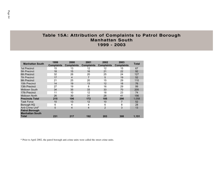#### **Table 15A: Attribution of Complaints to Patrol Borough Manhattan South 1999 - 2003**

| <b>Manhattan South</b>                          | 1999<br><b>Complaints</b> | 2000<br><b>Complaints</b> | 2001<br><b>Complaints</b> | 2002<br><b>Complaints</b> | 2003<br><b>Complaints</b> | <b>Total</b> |
|-------------------------------------------------|---------------------------|---------------------------|---------------------------|---------------------------|---------------------------|--------------|
| 1st Precinct                                    | 15                        | 13                        | 12                        | 12                        | 15                        | 67           |
| 5th Precinct                                    | 18                        | 15                        | 16                        | 21                        | 22                        | 92           |
| 6th Precinct                                    | 32                        | 26                        | 20                        | 25                        | 24                        | 127          |
| <b>7th Precinct</b>                             | 17                        | $\overline{4}$            | $\overline{7}$            | 5                         | 19                        | 52           |
| 9th Precinct                                    | 21                        | 25                        | 20                        | 15                        | 29                        | 110          |
| 10th Precinct                                   | 14                        | 19                        | 13                        | 12                        | 18                        | 76           |
| 13th Precinct                                   | 27                        | 19                        | 8                         | 16                        | 29                        | 99           |
| Midtown South                                   | 34                        | 35                        | 33                        | 33                        | 70                        | 205          |
| 17th Precinct                                   | 11                        | 10                        | 12                        | 18                        | 23                        | 74           |
| Midtown North                                   | 26                        | 30                        | 31                        | 28                        | 41                        | 156          |
| <b>Precincts Total</b>                          | 215                       | 196                       | 172                       | 185                       | 290                       | 1,058        |
| <b>Task Force</b>                               | 10                        | 13                        | 12                        | 10                        | 7                         | 52           |
| Borough HQ                                      | 6                         | 4                         | 4                         | 6                         | 8                         | 28           |
| Anti-Crime Unit*                                | 0                         | 4                         | 4                         | $\overline{2}$            | 3                         | 13           |
| <b>Patrol Borough</b><br><b>Manhattan South</b> |                           |                           |                           |                           |                           |              |
| Total                                           | 231                       | 217                       | 192                       | 203                       | 308                       | 1,151        |

\* Prior to April 2002, the patrol borough anti-crime units were called the street crime units.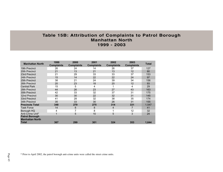#### **Table 15B: Attribution of Complaints to Patrol Borough Manhattan North 1999 - 2003**

| <b>Manhattan North</b>                          | 1999<br><b>Complaints</b> | 2000<br><b>Complaints</b> | 2001<br><b>Complaints</b> | 2002<br><b>Complaints</b> | 2003<br><b>Complaints</b> | <b>Total</b> |
|-------------------------------------------------|---------------------------|---------------------------|---------------------------|---------------------------|---------------------------|--------------|
| 19th Precinct                                   | 26                        | 24                        | 14                        | 26                        | 37                        | 127          |
| 20th Precinct                                   | 21                        | 13                        | 21                        | 13                        | 12                        | 80           |
| 23rd Precinct                                   | 21                        | 29                        | 33                        | 33                        | 37                        | 153          |
| 24th Precinct                                   | 15                        | 14                        | 22                        | 22                        | 24                        | 97           |
| 25th Precinct                                   | 38                        | 21                        | 24                        | 39                        | 34                        | 156          |
| 26th Precinct                                   | 20                        | 23                        | 18                        | 20                        | 12                        | 93           |
| <b>Central Park</b>                             | 15                        | 5                         | 4                         |                           | 4                         | 29           |
| 28th Precinct                                   | 44                        | 26                        | 23                        | 27                        | 43                        | 163          |
| 30th Precinct                                   | 42                        | 33                        | 32                        | 37                        | 31                        | 175          |
| 32nd Precinct                                   | 30                        | 30                        | 22                        | 32                        | 31                        | 145          |
| 33rd Precinct                                   | 41                        | 28                        | 32                        | 38                        | 35                        | 174          |
| 34th Precinct                                   | 35                        | 33                        | 30                        | 26                        | 31                        | 155          |
| <b>Precincts Total</b>                          | 348                       | 279                       | 275                       | 314                       | 331                       | 1.547        |
| Task Force                                      | 14                        | 8                         | 8                         | $\overline{4}$            | $\overline{7}$            | 41           |
| Borough HQ                                      | 4                         | 7                         | 8                         |                           | 12                        | 32           |
| Anti-Crime Unit*                                | 1                         | 5                         | 10                        | 5                         | 3                         | 24           |
| <b>Patrol Borough</b><br><b>Manhattan North</b> |                           |                           |                           |                           |                           |              |
| <b>Total</b>                                    | 367                       | 299                       | 301                       | 324                       | 353                       | 1,644        |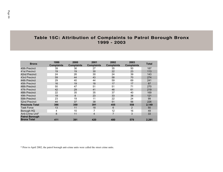## **Table 15C: Attribution of Complaints to Patrol Borough Bronx 1999 - 2003**

| <b>Bronx</b>           | 1999              | 2000              | 2001              | 2002              | 2003              | <b>Total</b> |
|------------------------|-------------------|-------------------|-------------------|-------------------|-------------------|--------------|
|                        | <b>Complaints</b> | <b>Complaints</b> | <b>Complaints</b> | <b>Complaints</b> | <b>Complaints</b> |              |
| 40th Precinct          | 39                | 36                | 27                | 35                | 50                | 187          |
| 41st Precinct          | 19                | 19                | 30                | 22                | 23                | 113          |
| 42nd Precinct          | 24                | 26                | 30                | 24                | 39                | 143          |
| 43rd Precinct          | 59                | 44                | 43                | 58                | 70                | 274          |
| 44th Precinct          | 29                | 40                | 44                | 59                | 69                | 241          |
| 45th Precinct          | 16                | 19                | 18                | 17                | 17                | 87           |
| 46th Precinct          | 50                | 47                | 51                | 51                | 71                | 270          |
| 47th Precinct          | 42                | 29                | 41                | 46                | 61                | 219          |
| 48th Precinct          | 22                | 35                | 35                | 37                | 40                | 169          |
| 49th Precinct          | 19                | 8                 | 23                | 33                | 38                | 121          |
| 50th Precinct          | 23                | 19                | 11                | 22                | 24                | 99           |
| 52nd Precinct          | 44                | 37                | 38                | 51                | 56                | 226          |
| <b>Precincts Total</b> | 386               | 359               | 391               | 455               | 558               | 2,149        |
| <b>Task Force</b>      | 13                | 11                | 18                | 6                 | 2                 | 50           |
| Borough HQ             | 4                 | 10                | 7                 | 12                | 16                | 49           |
| Anti-Crime Unit*       | 8                 | 11                | $\overline{4}$    | 7                 | 3                 | 33           |
| <b>Patrol Borough</b>  |                   |                   |                   |                   |                   |              |
| <b>Bronx Total</b>     | 411               | 391               | 420               | 480               | 579               | 2,281        |

\* Prior to April 2002, the patrol borough anti-crime units were called the street crime units.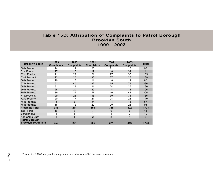### **Table 15D: Attribution of Complaints to Patrol Borough Brooklyn South 1999 - 2003**

| <b>Brooklyn South</b>                                | 1999<br><b>Complaints</b> | 2000<br><b>Complaints</b> | 2001<br><b>Complaints</b> | 2002<br><b>Complaints</b> | 2003<br><b>Complaints</b> | Total |
|------------------------------------------------------|---------------------------|---------------------------|---------------------------|---------------------------|---------------------------|-------|
| 60th Precinct                                        | 24                        | 14                        | 20                        | 21                        | 17                        | 96    |
| 61st Precinct                                        | 27                        | 15                        | 17                        | 18                        | 34                        | 111   |
| 62nd Precinct                                        | 21                        | 29                        | 21                        | 27                        | 37                        | 135   |
| 63rd Precinct                                        | 23                        | 20                        | 33                        | 37                        | 26                        | 139   |
| 66th Precinct                                        | 20                        | 17                        | 11                        | 18                        | 14                        | 80    |
| 67th Precinct                                        | 51                        | 40                        | 62                        | 65                        | 78                        | 296   |
| 68th Precinct                                        | 31                        | 28                        | 21                        | 24                        | 26                        | 130   |
| 69th Precinct                                        | 25                        | 20                        | 29                        | 14                        | 18                        | 106   |
| <b>70th Precinct</b>                                 | 39                        | 25                        | 47                        | 46                        | 48                        | 205   |
| <b>71st Precinct</b>                                 | 29                        | 26                        | 45                        | 30                        | 35                        | 165   |
| <b>72nd Precinct</b>                                 | 20                        | 17                        | 21                        | 24                        | 28                        | 110   |
| <b>76th Precinct</b>                                 | 8                         | 8                         | 9                         | 14                        | 18                        | 57    |
| <b>78th Precinct</b>                                 | 18                        | 12                        | 20                        | 20                        | 23                        | 93    |
| <b>Precincts Total</b>                               | 336                       | 271                       | 356                       | 358                       | 402                       | 1,723 |
| <b>Task Force</b>                                    | 16                        | 8                         | 7                         | 6                         | 6                         | 43    |
| Borough HQ                                           | 5                         |                           |                           | 5                         | $\overline{7}$            | 19    |
| Anti-Crime Unit*                                     | $\overline{2}$            |                           | $\overline{2}$            | $\overline{2}$            | $\mathbf 1$               | 8     |
| <b>Patrol Borough</b><br><b>Brooklyn South Total</b> | 359                       | 281                       | 366                       | 371                       | 416                       | 1,793 |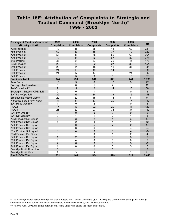## **Table 15E: Attribution of Complaints to Strategic and Tactical Command (Brooklyn North)\* 1999 - 2003**

| <b>Strategic &amp; Tactical Command</b> | 1999              | 2000                     | 2001              | 2002              | 2003              |                |
|-----------------------------------------|-------------------|--------------------------|-------------------|-------------------|-------------------|----------------|
| (Brooklyn North)                        | <b>Complaints</b> | <b>Complaints</b>        | <b>Complaints</b> | <b>Complaints</b> | <b>Complaints</b> | <b>Total</b>   |
| <b>73rd Precinct</b>                    | 40                | 45                       | 35                | 41                | 60                | 221            |
| 75th Precinct                           | 60                | 47                       | 68                | 77                | 70                | 322            |
| 77th Precinct                           | 56                | 45                       | 48                | 55                | 60                | 264            |
| 79th Precinct                           | 49                | 41                       | 36                | 67                | 82                | 275            |
| 81st Precinct                           | 38                | 21                       | 37                | 32                | 45                | 173            |
| 83rd Precinct                           | 29                | 28                       | 32                | 27                | 38                | 154            |
| 84th Precinct                           | 20                | 14                       | 15                | 13                | 37                | 99             |
| 88th Precinct                           | 21                | 19                       | 19                | 14                | 16                | 89             |
| 90th Precinct                           | 21                | 17                       | 17                | 9                 | 21                | 85             |
| 94th Precinct                           | 10                | 17                       | 9                 | 6                 | 15                | 57             |
| <b>Precincts Total</b>                  | 344               | 294                      | 316               | 341               | 444               | 1,739          |
| <b>Task Force</b>                       | 15                | 5                        | 8                 | 10                | $\boldsymbol{9}$  | 47             |
| <b>Borough Headquarters</b>             | 6                 | 0                        | 1                 | $\overline{4}$    | $\mathbf{1}$      | 12             |
| Anti-Crime Unit**                       | 9                 | 5                        | 9                 | 14                | 13                | 50             |
| Strategic & Tactical CMD B/N            | 0                 | 0                        | 1                 | 1                 | $\mathbf 0$       | $\overline{2}$ |
| SAT Narc Ops B/N                        | 29                | 33                       | 38                | 32                | 16                | 148            |
| <b>Brooklyn Narcotics District</b>      | 20                | 20                       | 15                | 13                | 6                 | 74             |
| Narcotics Boro Brklyn North             | 34                | 41                       | 37                | 20                | 17                | 149            |
| SAT Hous Ops B/N                        | 1                 | 0                        | $\overline{2}$    | 1                 | $\mathbf 0$       | $\overline{4}$ |
| PSA <sub>2</sub>                        | 17                | 13                       | 22                | 29                | 41                | 122            |
| PSA <sub>3</sub>                        | 25                | 20                       | 27                | 33                | 37                | 142            |
| SAT Pat Ops B/N                         | 0                 | $\mathbf 0$              | $\mathbf 0$       | $\mathbf 0$       | $\pmb{0}$         | $\mathsf 0$    |
| SAT Det Ops B/N                         | 0                 | 1                        | 1                 | 0                 | 1                 | 3              |
| 73rd Precinct Det Squad                 | 5                 | 3                        | $\overline{2}$    | $\overline{4}$    | 3                 | 17             |
| 75th Precinct Det Squad                 | 1                 | 2                        | 4                 | 4                 | 1                 | 12             |
| 77th Precinct Det Squad                 | 3                 | $\mathbf 0$              | 5                 | $\overline{7}$    | $\overline{2}$    | 17             |
| 79th Precinct Det Squad                 | 5                 | 6                        | 6                 | 3                 | 4                 | 24             |
| 81st Precinct Det Squad                 | $6\phantom{1}6$   | $\overline{\mathcal{A}}$ | 3                 | $6\phantom{1}$    | $\overline{4}$    | 23             |
| 83rd Precinct Det Squad                 | $\mathbf 0$       | 1                        | $\mathbf 0$       | 1                 | $\overline{2}$    | $\overline{4}$ |
| 84th Precinct Det Squad                 | 1                 | $\overline{2}$           | $\mathbf 0$       | 0                 | $\overline{5}$    | 8              |
| 88th Precinct Det Squad                 | $\overline{0}$    | $\overline{4}$           | $\mathbf 0$       | 1                 | $\overline{0}$    | 5              |
| 90th Precinct Det Squad                 | $\overline{7}$    | 6                        | 3                 | $\mathbf 1$       | 5                 | 22             |
| 94th Precinct Det Squad                 | 1                 | 0                        | $\mathbf 0$       | 3                 | 3                 | $\overline{7}$ |
| <b>Brooklyn North Homicide</b>          | 0                 | $\overline{1}$           | $\overline{1}$    | 0                 | $\overline{1}$    | 3              |
| <b>Brooklyn North Vice</b>              | $\overline{2}$    | 3                        | 3                 | 1                 | $\overline{2}$    | 11             |
| <b>S.A.T. COM Total</b>                 | 531               | 464                      | 504               | 529               | 617               | 2,645          |

\*\* Prior to April 2002, the patrol borough anti-crime units were called the street crime units.

<sup>\*</sup> The Brooklyn North Patrol Borough is called Strategic and Tactical Command (S.A.T.COM) and combines the usual patrol borough commands with two police service area commands, the detective squads, and the narcotics units.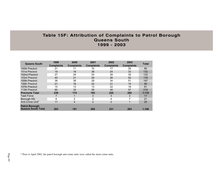## **Table 15F: Attribution of Complaints to Patrol Borough Queens South 1999 - 2003**

| <b>Queens South</b>                                | 1999<br><b>Complaints</b> | 2000<br><b>Complaints</b> | 2001<br><b>Complaints</b> | 2002<br><b>Complaints</b> | 2003<br><b>Complaints</b> | <b>Total</b> |
|----------------------------------------------------|---------------------------|---------------------------|---------------------------|---------------------------|---------------------------|--------------|
| 100th Precinct                                     | 21                        | 11                        | 10                        | 17                        | 26                        | 85           |
| 101st Precinct                                     | 19                        | 18                        | 38                        | 24                        | 33                        | 132          |
| 102nd Precinct                                     | 27                        | 24                        | 24                        | 28                        | 30                        | 133          |
| 103rd Precinct                                     | 40                        | 21                        | 29                        | 36                        | 52                        | 178          |
| 105th Precinct                                     | 36                        | 38                        | 28                        | 34                        | 51                        | 187          |
| 106th Precinct                                     | 21                        | 16                        | 22                        | 21                        | 15                        | 95           |
| 107th Precinct                                     | 15                        | 13                        | 13                        | 22                        | 18                        | 81           |
| 113th Precinct                                     | 60                        | 33                        | 29                        | 40                        | 57                        | 219          |
| <b>Precincts Total</b>                             | 239                       | 174                       | 193                       | 222                       | 282                       | 1,110        |
| <b>Task Force</b>                                  | 7                         |                           | 3                         | 3                         | 3                         | 17           |
| Borough HQ                                         | 6                         | 2                         | $\overline{2}$            | 4                         | 7                         | 21           |
| Anti-Crime Unit*                                   | 11                        | 4                         | $\overline{2}$            | 2                         |                           | 20           |
| <b>Patrol Borough</b><br><b>Queens South Total</b> | 263                       | 181                       | 200                       | 231                       | 293                       | 1.168        |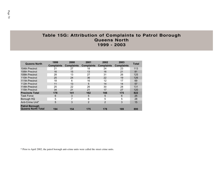## **Table 15G: Attribution of Complaints to Patrol Borough Queens North 1999 - 2003**

| <b>Queens North</b>                                | 1999<br><b>Complaints</b> | 2000<br><b>Complaints</b> | 2001<br><b>Complaints</b> | 2002<br><b>Complaints</b> | 2003<br><b>Complaints</b> | Total |
|----------------------------------------------------|---------------------------|---------------------------|---------------------------|---------------------------|---------------------------|-------|
| 104th Precinct                                     | 21                        | 27                        | 18                        | 24                        | 23                        | 113   |
| 108th Precinct                                     | 16                        | 15                        | 13                        | 16                        | 21                        | 81    |
| 109th Precinct                                     | 28                        | 13                        | 27                        | 31                        | 26                        | 125   |
| 110th Precinct                                     | 25                        | 24                        | 36                        | 22                        | 19                        | 126   |
| 111th Precinct                                     | 18                        | 6                         | 16                        | 12                        | 17                        | 69    |
| 112th Precinct                                     | 11                        | 13                        | 5                         | 14                        | 14                        | 57    |
| 114th Precinct                                     | 25                        | 22                        | 26                        | 30                        | 28                        | 131   |
| 115th Precinct                                     | 34                        | 21                        | 21                        | 17                        | 27                        | 120   |
| <b>Precincts Total</b>                             | 178                       | 141                       | 162                       | 166                       | 175                       | 822   |
| <b>Task Force</b>                                  | 6                         | 3                         | 5                         | 5                         | 6                         | 25    |
| Borough HQ                                         | 5                         |                           | 6                         | 5                         | 5                         | 28    |
| Anti-Crime Unit*                                   | 5                         | 3                         | $\overline{2}$            | $\overline{2}$            | 3                         | 15    |
| <b>Patrol Borough</b><br><b>Queens North Total</b> | 194                       | 154                       | 175                       | 178                       | 189                       | 890   |

\* Prior to April 2002, the patrol borough anti-crime units were called the street crime units.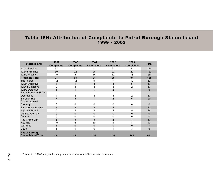# **Table 15H: Attribution of Complaints to Patrol Borough Staten Island 1999 - 2003**

| <b>Staten Island</b>       | 1999              | 2000              | 2001              | 2002              | 2003              | <b>Total</b> |
|----------------------------|-------------------|-------------------|-------------------|-------------------|-------------------|--------------|
|                            | <b>Complaints</b> | <b>Complaints</b> | <b>Complaints</b> | <b>Complaints</b> | <b>Complaints</b> |              |
| 120th Precinct             | 37                | 41                | 51                | 61                | 54                | 244          |
| 122nd Precinct             | 30                | 22                | 26                | 22                | 22                | 122          |
| 123rd Precinct             | 10                | 5                 | 14                | 12                | 18                | 59           |
| <b>Precincts Total</b>     | 77                | 68                | 91                | 95                | 94                | 425          |
| <b>Task Force</b>          | 12                | 12                | 9                 | 7                 | 12                | 52           |
| 120th Detective            | $\overline{4}$    | $\mathbf{1}$      | 3                 | 4                 | 5                 | 17           |
| 122nd Detective            | 2                 | 4                 | 4                 | 5                 | $\overline{2}$    | 17           |
| 123rd Detective            | 1                 | $\mathbf{1}$      | 1                 | $\overline{2}$    | $\mathbf{1}$      | 6            |
| Patrol Borough SI Det.     |                   |                   |                   |                   |                   |              |
| Operations                 | 4                 | 4                 | 4                 | 3                 | 2                 | 17           |
| Borough HQ                 | 7                 | 5                 | 1                 | $\overline{2}$    | 5                 | 20           |
| Crimes against             |                   |                   |                   |                   |                   |              |
| Property                   | $\Omega$          | 0                 | $\mathbf{0}$      | 0                 | 0                 | 0            |
| <b>Emergency Service</b>   | 3                 | $\overline{2}$    | $\overline{2}$    | 4                 | 1                 | 12           |
| <b>Highway Patrol</b>      | 5                 | 5                 | 5                 | 4                 | 5                 | 24           |
| <b>District Attorney</b>   | $\mathbf 0$       | 0                 | $\mathbf 0$       | 0                 | 0                 | 0            |
| Person                     | 0                 | 0                 | 0                 | 0                 | 0                 | 0            |
| Anti-Crime Unit*           | 6                 | 3                 | 3                 | $\overline{2}$    | 3                 | 17           |
| Housing                    | 10                | 6                 | 10                | 9                 | 8                 | 43           |
| Warrants                   | 1                 | 0                 | $\mathbf 0$       | 0                 | $\mathbf{0}$      |              |
| Court                      |                   |                   | 0                 |                   | 3                 | 6            |
| <b>Patrol Borough</b>      |                   |                   |                   |                   |                   |              |
| <b>Staten Island Total</b> | 133               | 112               | 133               | 138               | 141               | 657          |

\* Prior to April 2002, the patrol borough anti-crime units were called the street crime units.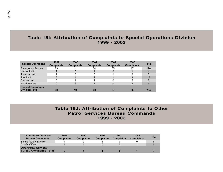#### **Table 15I: Attribution of Complaints to Special Operations Division 1999 - 2003**

| <b>Special Operations</b>                          | 1999<br><b>Complaints</b> | 2000<br><b>Complaints</b> | 2001<br><b>Complaints</b> | 2002<br><b>Complaints</b> | 2003<br><b>Complaints</b> | <b>Total</b> |
|----------------------------------------------------|---------------------------|---------------------------|---------------------------|---------------------------|---------------------------|--------------|
| <b>Emergency Service</b>                           | 23                        |                           | 34                        | 55                        | 47                        | 170          |
| <b>Harbor Unit</b>                                 |                           |                           |                           |                           |                           |              |
| <b>Aviation Unit</b>                               |                           |                           |                           |                           |                           | 3            |
| Taxi Unit                                          |                           | 4                         |                           |                           |                           | 13           |
| <b>Canine Unit</b>                                 |                           |                           |                           |                           |                           | 8            |
| <b>Headquarters</b>                                |                           | 3                         |                           |                           | ◠                         | 6            |
| <b>Special Operations</b><br><b>Division Total</b> | 30                        | 19                        | 40                        |                           | 58                        | 204          |

**Table 15J: Attribution of Complaints to Other Patrol Services Bureau Commands 1999 - 2003**

| <b>Other Patrol Services</b><br><b>Bureau Commands</b>       | 1999<br><b>Complaints</b> | 2000<br><b>Complaints</b> | 2001<br><b>Complaints</b> | 2002<br><b>Complaints</b> | 2003<br><b>Complaints</b> | Total |
|--------------------------------------------------------------|---------------------------|---------------------------|---------------------------|---------------------------|---------------------------|-------|
| <b>School Safety Division</b><br>Chief's Office              |                           |                           |                           |                           |                           |       |
| <b>Other Patrol Services</b><br><b>Bureau Commands Total</b> |                           |                           |                           |                           |                           |       |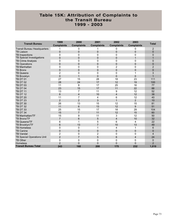### **Table 15K: Attribution of Complaints to the Transit Bureau 1999 - 2003**

| <b>Transit Bureau</b>              | 1999              | 2000              | 2001              | 2002              | 2003              | <b>Total</b>            |
|------------------------------------|-------------------|-------------------|-------------------|-------------------|-------------------|-------------------------|
|                                    | <b>Complaints</b> | <b>Complaints</b> | <b>Complaints</b> | <b>Complaints</b> | <b>Complaints</b> |                         |
| <b>Transit Bureau Headquarters</b> |                   | 0                 | 1                 | 0                 | 0                 | $\overline{2}$          |
| <b>TB Liaison</b>                  | $\mathbf 0$       | $\pmb{0}$         | $\pmb{0}$         | $\mathsf 0$       | 0                 | $\overline{0}$          |
| <b>TB</b> Inspections              | 0                 | 0                 | 0                 | 0                 | 0                 | $\mathbf{0}$            |
| <b>TB Special Investigations</b>   | 0                 | 0                 | 0                 | $\mathsf 0$       | $\mathbf{1}$      | 1                       |
| <b>TB Crime Analysis</b>           | 0                 | 0                 | $\mathbf 0$       | 0                 | 0                 | $\overline{0}$          |
| <b>TB Operations</b>               | 0                 | 0                 | 0                 | 0                 | 0                 | 0                       |
| <b>TB Manhattan</b>                | 0                 | 0                 | 0                 | $\overline{2}$    | 0                 | $\overline{2}$          |
| <b>TB Bronx</b>                    | 0                 | 0                 | $\pmb{0}$         | $\mathsf 0$       | 0                 | $\mathbf 0$             |
| <b>TB Queens</b>                   | 2                 | 0                 | 0                 | 0                 | 1                 | 3                       |
| <b>TB Brooklyn</b>                 | $\pmb{0}$         | $\mathbf{1}$      | $\pmb{0}$         | $\mathsf 0$       | $\mathsf 0$       | $\mathbf{1}$            |
| TB DT 01                           | 27                | 15                | 28                | 18                | 23                | 111                     |
| TB DT 02                           | 28                | 24                | 17                | 12                | 19                | 100                     |
| TB DT 03                           | 11                | 8                 | 17                | 25                | 16                | 77                      |
| TB DT 04                           | 23                | 15                | 17                | 11                | 22                | 88                      |
| <b>TB DT 11</b>                    | 13                | 7                 | 11                | 9                 | 12                | 52                      |
| <b>TB DT 12</b>                    | 8                 | $\overline{4}$    | 10                | $\overline{4}$    | 12                | 38                      |
| <b>TB DT 20</b>                    | 11                | 7                 | 4                 | 6                 | 12                | 40                      |
| <b>TB DT 23</b>                    | $\overline{2}$    | $\overline{2}$    | 3                 | $\mathbf{1}$      | $\overline{2}$    | 10                      |
| TB DT 30                           | 26                | 13                | 15                | 12                | 15                | 81                      |
| TB DT 32                           | 11                | 6                 | 13                | 12                | 9                 | 51                      |
| TB DT 33                           | 25                | 15                | 17                | 18                | 29                | 104                     |
| TB DT 34                           | 15                | $\overline{7}$    | 11                | 12                | 15                | 60                      |
| <b>TB Manhattan/TF</b>             | 15                | 9                 | 11                | 3                 | 12                | 50                      |
| TB Bronx/TF                        | $\overline{7}$    | 6                 | 5                 | 4                 | 10                | 32                      |
| <b>TB Queens/TF</b>                | 6                 | 1                 | 5                 | 6                 | 4                 | 22                      |
| TB Brooklyn/TF                     | 6                 | 13                | 7                 | 10                | 13                | 49                      |
| <b>TB Homeless</b>                 | 0                 | 0                 | 1                 | 4                 | 1                 | 6                       |
| <b>TB Canine</b>                   | 0                 | 0                 | 0                 | 0                 | 0                 | $\overline{0}$          |
| <b>TB Vandal</b>                   | 2                 | 0                 | $\overline{2}$    | 0                 | 0                 | $\overline{\mathbf{4}}$ |
| TB Special Operations Unit         | $\overline{c}$    | $\overline{7}$    | 5                 | 6                 | 4                 | 24                      |
| <b>TB Other</b>                    | 0                 | 0                 | 0                 | 0                 | 0                 | 0                       |
| Homeless                           | $\overline{2}$    | 0                 | $\overline{0}$    | 0                 | $\overline{0}$    | $\overline{2}$          |
| <b>Transit Bureau Total</b>        | 243               | 160               | 200               | 175               | 232               | 1,010                   |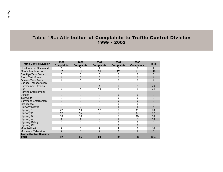## **Table 15L: Attribution of Complaints to Traffic Control Division 1999 - 2003**

| <b>Traffic Control Division</b> | 1999<br><b>Complaints</b> | 2000<br><b>Complaints</b> | 2001<br><b>Complaints</b> | 2002<br><b>Complaints</b> | 2003<br><b>Complaints</b> | <b>Total</b> |
|---------------------------------|---------------------------|---------------------------|---------------------------|---------------------------|---------------------------|--------------|
| <b>Headquarters Command</b>     | O                         |                           |                           |                           |                           | 2            |
| <b>Manhattan Task Force</b>     | 17                        | 11                        | 20                        | 27                        | 41                        | 116          |
| <b>Brooklyn Task Force</b>      | O                         | 0                         | 0                         | 0                         | 0                         |              |
| <b>Bronx Task Force</b>         |                           | 0                         | 0                         | $\mathbf 0$               | $\overline{0}$            |              |
| Queens Task Force               |                           | 0                         | 0                         | $\mathbf{0}$              | 0                         |              |
| <b>Surface Transportation</b>   |                           |                           |                           |                           |                           |              |
| <b>Enforcement Division</b>     | 8                         | 6                         | $\overline{4}$            | $6\,$                     | $\overline{2}$            | 26           |
| <b>Bus</b>                      |                           | 4                         | 10                        | 3                         | 0                         | 24           |
| <b>Parking Enforcement</b>      |                           |                           |                           |                           |                           |              |
| <b>District</b>                 | $\Omega$                  | 0                         | 0                         | $\mathbf 0$               | 0                         | 0            |
| <b>Tow Units</b>                |                           | 0                         | 0                         | 0                         | 0                         |              |
| <b>Summons Enforcement</b>      | 0                         | 0                         | 0                         | 0                         | 0                         | 0            |
| Intelligence                    | 0                         | 0                         | 0                         | 0                         | 0                         |              |
| <b>Highway District</b>         | $\Omega$                  | 2                         | 0                         |                           |                           | 4            |
| Highway 1                       | 22                        | 10                        | 12                        | 8                         | 11                        | 63           |
| Highway 2                       | 12                        | 15                        | $\overline{7}$            | 6                         | 17                        | 57           |
| Highway 3                       | 16                        | 13                        | 8                         | 6                         | 13                        | 56           |
| Highway 4                       | 4                         | 4                         | $\overline{2}$            | 1                         | 2                         | 13           |
| <b>Highway Safety</b>           | 0                         | 0                         | 0                         | 0                         | 0                         | 0            |
| Highway/SEU                     | 0                         | 0                         | 0                         | $\mathbf 0$               | $\mathbf{0}$              | 0            |
| <b>Mounted Unit</b>             | $\overline{2}$            | 0                         | 2                         | 4                         | 8                         | 16           |
| Movie and Television            | $\mathfrak{p}$            | 0                         | $\overline{2}$            | $\mathbf{0}$              |                           | 5            |
| <b>Traffic Control Division</b> |                           |                           |                           |                           |                           |              |
| Total                           | 92                        | 65                        | 69                        | 62                        | 96                        | 384          |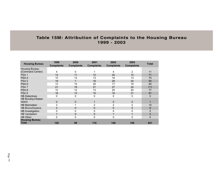# **Table 15M: Attribution of Complaints to the Housing Bureau 1999 - 2003**

| <b>Housing Bureau</b>  | 1999<br><b>Complaints</b> | 2000<br><b>Complaints</b> | 2001<br><b>Complaints</b> | 2002<br><b>Complaints</b> | 2003<br><b>Complaints</b> | <b>Total</b> |
|------------------------|---------------------------|---------------------------|---------------------------|---------------------------|---------------------------|--------------|
| Housing Bureau         |                           |                           |                           |                           |                           |              |
| (Command Center)       | 4                         | 0                         |                           | 4                         | 2                         | 11           |
| PSA <sub>1</sub>       | 13                        | 11                        | 12                        | 20                        | 15                        | 71           |
| PSA <sub>4</sub>       | 15                        | 13                        | 13                        | 16                        | 13                        | 70           |
| PSA <sub>5</sub>       | 19                        | $\overline{7}$            | 18                        | 26                        | 24                        | 94           |
| PSA <sub>6</sub>       | 13                        | 15                        | 20                        | 17                        | 19                        | 84           |
| PSA <sub>7</sub>       | 21                        | 18                        | 21                        | 27                        | 24                        | 111          |
| PSA <sub>8</sub>       | 12                        | 12                        | 13                        | 20                        | 20                        | 77           |
| PSA <sub>9</sub>       | 16                        | 13                        | 15                        | 16                        | 21                        | 81           |
| <b>HB</b> Detectives   | 0                         | 0                         | 0                         | 0                         | 0                         | $\mathbf 0$  |
| HB Brooklyn/Staten     |                           |                           |                           |                           |                           |              |
| Island                 | 0                         | 0                         |                           | 0                         | 0                         |              |
| <b>HB</b> Manhattan    | 3                         |                           | 2                         | 2                         | $\overline{2}$            | 10           |
| <b>HB Bronx/Queens</b> | 3                         | 0                         | 0                         | 0                         | 5                         | 8            |
| HB Investigation       | 0                         | 0                         | 0                         | $\Omega$                  | ი                         | 0            |
| <b>HB Vandalism</b>    |                           | 0                         | 0                         |                           |                           | 3            |
| <b>HB Other</b>        | $\Omega$                  | 0                         | 0                         | 0                         | 0                         | $\Omega$     |
| <b>Housing Bureau</b>  |                           |                           |                           |                           |                           |              |
| Total                  | 120                       | 90                        | 116                       | 149                       | 146                       | 621          |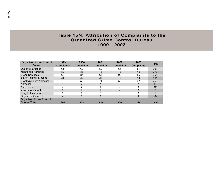### **Table 15N: Attribution of Complaints to the Organized Crime Control Bureau 1999 - 2003**

| <b>Organized Crime Control</b><br><b>Bureau</b>       | 1999<br><b>Complaints</b> | 2000<br><b>Complaints</b> | 2001<br><b>Complaints</b> | 2002<br><b>Complaints</b> | 2003<br><b>Complaints</b> | <b>Total</b> |
|-------------------------------------------------------|---------------------------|---------------------------|---------------------------|---------------------------|---------------------------|--------------|
| Queens Narcotics                                      | 61                        | 62                        | 52                        | 65                        | 51                        | 291          |
| <b>Manhattan Narcotics</b>                            | 89                        | 88                        | 73                        | 78                        | 45                        | 373          |
| <b>Bronx Narcotics</b>                                | 65                        | 87                        | 64                        | 90                        | 55                        | 361          |
| <b>Staten Island Narcotics</b>                        | 31                        | 30                        | 34                        | 16                        | 13                        | 124          |
| <b>Brooklyn South Narcotics</b>                       | 40                        | 50                        | 71                        | 58                        | 37                        | 256          |
| <b>Narcotics</b>                                      | 4                         | $\overline{2}$            |                           | 6                         | $\overline{4}$            | 17           |
| Auto Crime                                            | 4                         | ⌒                         |                           | 2                         | 4                         | 12           |
| <b>Vice Enforcement</b>                               | 5                         | 6                         | 9                         |                           | 4                         | 31           |
| Drug Enforcement                                      | 0                         | O                         |                           | 3                         |                           | 5            |
| Organized Crime HQ                                    |                           | 5                         | 5                         | 5                         |                           | 23           |
| <b>Organized Crime Control</b><br><b>Bureau Total</b> | 303                       | 332                       | 310                       | 330                       | 218                       | 1.493        |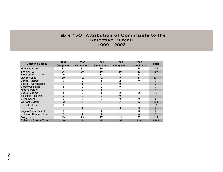#### **Table 15O: Attribution of Complaints to the Detective Bureau 1999 - 2003**

| <b>Detective Bureau</b>       | 1999              | 2000              | 2001              | 2002              | 2003              | Total |
|-------------------------------|-------------------|-------------------|-------------------|-------------------|-------------------|-------|
|                               | <b>Complaints</b> | <b>Complaints</b> | <b>Complaints</b> | <b>Complaints</b> | <b>Complaints</b> |       |
| <b>Manhattan Units</b>        | 33                | 32                | 39                | 48                | 43                | 195   |
| <b>Bronx Units</b>            | 24                | 29                | 30                | 39                | 37                | 159   |
| <b>Brooklyn South Units</b>   | 25                | 23                | 37                | 44                | 49                | 178   |
| Queens Units                  | 30                | 42                | 42                | 46                | 41                | 201   |
| <b>Central Robbery</b>        | 0                 | O                 |                   | 2                 |                   |       |
| Special Investigations        |                   |                   |                   | 0                 |                   |       |
| <b>Career Criminals</b>       | ◠                 | 0                 |                   |                   |                   |       |
| Missing Person                |                   | $\Omega$          |                   |                   |                   |       |
| <b>Special Victims</b>        | 4                 | 3                 |                   |                   |                   | 12    |
| Scientific Research           | 0                 | 0                 | 0                 | 0                 |                   |       |
| Crime Scene                   | 0                 | 0                 |                   |                   |                   |       |
| <b>Warrant Division</b>       | 32                | 51                | 77                | 61                | 37                | 258   |
| Juvenile Crime                | 3                 | 3                 | 3                 |                   |                   | 14    |
| <b>Cold Cases</b>             | $\overline{2}$    |                   | 0                 | 0                 | 0                 | 3     |
| <b>Fugitive Enforcement</b>   | 0                 |                   |                   |                   |                   |       |
| Detective Headquarters        | $\mathbf 0$       |                   |                   |                   |                   |       |
| <b>Gang Units</b>             | 19                | 25                | 27                | 19                | 25                | 115   |
| <b>Detective Bureau Total</b> | 176               | 211               | 260               | 268               | 239               | 1,154 |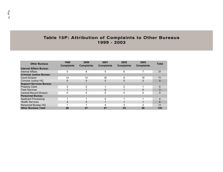#### **Table 15P: Attribution of Complaints to Other Bureaus 1999 - 2003**

| <b>Other Bureaus</b>           | 1999              | 2000              | 2001              | 2002              | 2003              | <b>Total</b> |
|--------------------------------|-------------------|-------------------|-------------------|-------------------|-------------------|--------------|
|                                | <b>Complaints</b> | <b>Complaints</b> | <b>Complaints</b> | <b>Complaints</b> | <b>Complaints</b> |              |
| <b>Internal Affairs Bureau</b> |                   |                   |                   |                   |                   |              |
| <b>Internal Affairs</b>        | 5                 | 8                 | 5                 | 6                 |                   | 31           |
| <b>Criminal Justice Bureau</b> |                   |                   |                   |                   |                   |              |
| <b>Court Division</b>          | 14                | 14                | 16                | 9                 | 18                | 71           |
| Criminal Justice HQ            | 0                 | Ω                 | 0                 | 0                 | 0                 | 0            |
| <b>Support Services Bureau</b> |                   |                   |                   |                   |                   |              |
| <b>Property Clerk</b>          | 3                 | 2                 |                   | າ                 |                   | 9            |
| <b>Fleet Services</b>          |                   |                   | 0                 |                   |                   | 3            |
| <b>Central Record Division</b> | 0                 |                   | 0                 |                   |                   | 0            |
| <b>Personnel Bureau</b>        |                   |                   |                   |                   |                   |              |
| <b>Applicant Processing</b>    |                   |                   | U                 |                   |                   | 4            |
| <b>Health Services</b>         |                   | 0                 |                   |                   |                   | 6            |
| Personnel Bureau HQ            |                   |                   |                   |                   |                   |              |
| <b>Other Bureaus Total</b>     | 28                | 27                | 27                | 23                | 30                | 135          |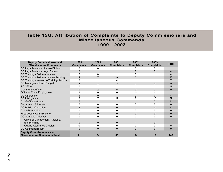## **Table 15Q: Attribution of Complaints to Deputy Commissioners and Miscellaneous Commands 1999 - 2003**

| <b>Deputy Commissioners and</b><br><b>Miscellaneous Commands</b>       | 1999<br><b>Complaints</b> | 2000<br><b>Complaints</b> | 2001<br><b>Complaints</b> | 2002<br><b>Complaints</b> | 2003<br><b>Complaints</b> | <b>Total</b> |
|------------------------------------------------------------------------|---------------------------|---------------------------|---------------------------|---------------------------|---------------------------|--------------|
| DC Legal Matters - License Division                                    |                           |                           |                           |                           |                           |              |
| DC Legal Matters - Legal Bureau                                        |                           |                           |                           |                           |                           |              |
| DC Training - Police Academy                                           |                           |                           |                           |                           |                           |              |
| DC Training - Police Academy Training                                  |                           |                           |                           |                           |                           | 23           |
| DC Training - In-service Training Section                              |                           |                           |                           |                           |                           |              |
| DC Management and Budget                                               |                           |                           |                           |                           |                           |              |
| PC Office                                                              |                           |                           |                           |                           |                           |              |
| <b>Community Affairs</b>                                               |                           |                           |                           |                           |                           |              |
| Office of Equal Employment                                             |                           |                           |                           |                           |                           |              |
| <b>DC Operations</b>                                                   |                           |                           |                           |                           | 0                         |              |
| DC Intelligence                                                        |                           |                           | 17                        |                           | 10                        | 57           |
| <b>Chief of Department</b>                                             | 6                         | 2                         |                           |                           | 3                         | 14           |
| <b>Department Advocate</b>                                             |                           |                           |                           |                           |                           |              |
| DC Public Information                                                  |                           | 0                         | $\mathbf{0}$              |                           | 0                         |              |
| <b>Crime Prevention</b>                                                |                           |                           |                           |                           |                           |              |
| <b>First Deputy Commissioner</b>                                       |                           |                           |                           |                           |                           |              |
| DC Strategic Initiatives                                               |                           |                           |                           |                           |                           |              |
| Office of Management, Analysis,                                        |                           |                           |                           |                           |                           |              |
| and Planning                                                           |                           |                           |                           |                           |                           |              |
| <b>Quality Assurance Division</b>                                      |                           |                           |                           |                           |                           |              |
| <b>DC Counterterrorism</b>                                             |                           |                           |                           |                           |                           |              |
| <b>Deputy Commissioners and</b><br><b>Miscellaneous Commands Total</b> | 21                        | 24                        | 45                        | 34                        | 19                        | 143          |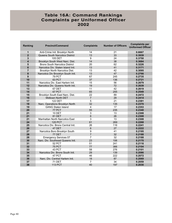# **Table 16A: Command Rankings Complaints per Uniformed Officer**

| Ranking                 | <b>Precinct/Command</b>                | <b>Complaints</b> | <b>Number of Officers</b> | <b>Complaints per</b><br><b>Uniformed Officer</b> |
|-------------------------|----------------------------------------|-------------------|---------------------------|---------------------------------------------------|
| 1                       | Anti-Crime Init. Brooklyn North        | 14                | 21                        | 0.6667                                            |
| $\overline{2}$          | <b>Queens South Narcotics District</b> | 13                | 33                        | 0.3939                                            |
| 3                       | 105 DET                                | 9                 | 24                        | 0.3750                                            |
| $\overline{\mathbf{4}}$ | Brooklyn South West Narc. Dist.        | 14                | 38                        | 0.3684                                            |
| 5                       | <b>Bronx South Narcotics District</b>  | 20                | 62                        | 0.3226                                            |
| $6\phantom{1}$          | Narcotics Div. Staten Island Init.     | 13                | 41                        | 0.3171                                            |
| $\overline{7}$          | Brooklyn North Narcotics Dist.         | 13                | 42                        | 0.3095                                            |
| 8                       | Narcotics Div Brooklyn South Init.     | 13                | 47                        | 0.2766                                            |
| 9                       | 79 PCT                                 | 67                | 245                       | 0.2735                                            |
| 10                      | 63 PCT                                 | 37                | 136                       | 0.2721                                            |
| 11                      | Narcotics Div. East Harlem Init.       | 15                | 56                        | 0.2679                                            |
| 12                      | Narcotics Div. Queens North Init.      | 19                | 72                        | 0.2639                                            |
| 13                      | 67 DET                                 | 11                | 42                        | 0.2619                                            |
| 14                      | 67 PCT                                 | 65                | 255                       | 0.2549                                            |
| 15                      | Brooklyn South East Narc. Dist.        | 22                | 89                        | 0.2472                                            |
| 16                      | Midtown North DET                      | $\overline{7}$    | 29                        | 0.2414                                            |
| 17                      | <b>122 DET</b>                         | $\overline{5}$    | 21                        | 0.2381                                            |
| 18                      | Narc. Operations Brooklyn North        | 32                | 135                       | 0.2370                                            |
| 19                      | <b>GANG Staten Island</b>              | $\overline{4}$    | 17                        | 0.2353                                            |
| 20                      | 77 PCT                                 | 55                | 235                       | 0.2340                                            |
| 21                      | 10 DET                                 | $\overline{3}$    | 13                        | 0.2308                                            |
| 21                      | 81 DET                                 | 6                 | 26                        | 0.2308                                            |
| 21                      | Manhattan North Narcotics East         | $\overline{3}$    | 13                        | 0.2308                                            |
| 24                      | <b>120 PCT</b>                         | 61                | 269                       | 0.2268                                            |
| 25                      | Narcotics Div. Bronx Central Init.     | 26                | 116                       | 0.2241                                            |
| 26                      | 47 DET                                 | $6\phantom{1}$    | 27                        | 0.2222                                            |
| 27                      | Narcotics Boro Brooklyn South          | 9                 | 41                        | 0.2195                                            |
| 28                      | 77 DET                                 | $\overline{7}$    | 32                        | 0.2188                                            |
| 28                      | <b>Emergency Services 07</b>           | $\overline{7}$    | 32                        | 0.2188                                            |
| 30                      | Narc. Div. Southeast Queens Init.      | 23                | 106                       | 0.2170                                            |
| 31                      | 52 PCT                                 | 51                | 241                       | 0.2116                                            |
| 32                      | <b>75 PCT</b>                          | 77                | 366                       | 0.2104                                            |
| 33                      | 43 PCT                                 | 58                | 276                       | 0.2101                                            |
| 34                      | Narcotics Div. Bronx South Init.       | 29                | 139                       | 0.2086                                            |
| 35                      | 47 PCT                                 | 46                | 222                       | 0.2072                                            |
| 36                      | Narc. Div. Central Harlem Init.        | 18                | 87                        | 0.2069                                            |
| 37                      | <b>71 DET</b>                          | $\overline{7}$    | 34                        | 0.2059                                            |
| 38                      | <b>113 PCT</b>                         | 40                | 197                       | 0.2030                                            |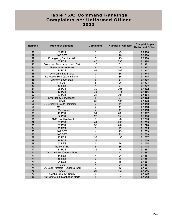# **Table 16A: Command Rankings Complaints per Uniformed Officer**

| Ranking | <b>Precinct/Command</b>          | <b>Complaints</b> | <b>Number of Officers</b> | <b>Complaints per</b><br><b>Uniformed Officer</b> |
|---------|----------------------------------|-------------------|---------------------------|---------------------------------------------------|
| 39      | 60 DET                           | $\overline{5}$    | 25                        | 0.2000                                            |
| 39      | 108 DET                          | $\overline{4}$    | 20                        | 0.2000                                            |
| 39      | <b>Emergency Services 09</b>     | 5                 | 25                        | 0.2000                                            |
| 42      | <b>70 PCT</b>                    | 46                | 233                       | 0.1974                                            |
| 43      | Downtown Manhattan Narc. Dist.   | 10                | 51                        | 0.1961                                            |
| 44      | Narcotics Boro Bronx             | $\boldsymbol{9}$  | 46                        | 0.1957                                            |
| 45      | 44 PCT                           | 59                | 303                       | 0.1947                                            |
| 46      | Anti-Crimi Init. Bronx           | $\overline{7}$    | 36                        | 0.1944                                            |
| 46      | Narcotics Boro Queens North      | $\overline{7}$    | 36                        | 0.1944                                            |
| 48      | Midtown South DET                | $\,6$             | 31                        | 0.1935                                            |
| 49      | <b>114 DET</b>                   | $\overline{5}$    | 26                        | 0.1923                                            |
| 50      | 49 DET                           | $\overline{4}$    | 21                        | 0.1905                                            |
| 51      | 25 PCT                           | 39                | 205                       | 0.1902                                            |
| 52      | 49 PCT                           | 33                | 175                       | 0.1886                                            |
| 53      | 33 PCT                           | 38                | 205                       | 0.1854                                            |
| 54      | <b>Emergency Services 04</b>     | 5                 | 27                        | 0.1852                                            |
| 55      | PSA <sub>3</sub>                 | 33                | 181                       | 0.1823                                            |
| 56      | DB Brooklyn South Homicide TF    | $\overline{2}$    | 11                        | 0.1818                                            |
| 56      | 123 DET                          | $\overline{2}$    | 11                        | 0.1818                                            |
| 56      | <b>TB Manhattan</b>              | $\overline{2}$    | 11                        | 0.1818                                            |
| 59      | 46 PCT                           | 51                | 283                       | 0.1802                                            |
| 60      | 62 PCT                           | 27                | 150                       | 0.1800                                            |
| 61      | <b>GANG Brooklyn North</b>       | 5                 | 28                        | 0.1786                                            |
| 62      | 73 PCT                           | 41                | 230                       | 0.1783                                            |
| 63      | 30 PCT                           | 37                | 209                       | 0.1770                                            |
| 64      | 25 DET                           | $\mathbf{3}$      | 17                        | 0.1765                                            |
| 65      | <b>102 DET</b>                   | $\overline{4}$    | 23                        | 0.1739                                            |
| 65      | 106 DET                          | $\overline{4}$    | 23                        | 0.1739                                            |
| 67      | 23 PCT                           | 33                | 190                       | 0.1737                                            |
| 68      | 48 PCT                           | 37                | 214                       | 0.1729                                            |
| 69      | <b>70 DET</b>                    | $\overline{5}$    | 29                        | 0.1724                                            |
| 70      | <b>Traffic STED</b>              | $\,$ 6 $\,$       | 35                        | 0.1714                                            |
| 71      | 81 PCT                           | 32                | 192                       | 0.1667                                            |
| 71      | Anti-Crimi Init. Queens North    | $\overline{2}$    | 12                        | 0.1667                                            |
| 71      | 34 DET                           | $\overline{4}$    | 24                        | 0.1667                                            |
| 71      | 45 DET                           | $\overline{3}$    | 18                        | 0.1667                                            |
| 71      | 94 DET                           | $\overline{3}$    | 18                        | 0.1667                                            |
| 71      | 110 DET                          | $\overline{4}$    | 24                        | 0.1667                                            |
| 71      | DC Legal Matters - Legal Bureau  | $\overline{2}$    | 12                        | 0.1667                                            |
| 78      | PSA <sub>5</sub>                 | 26                | 158                       | 0.1646                                            |
| 79      | <b>GANG Brooklyn South</b>       | $\,6\,$           | 37                        | 0.1622                                            |
| 80      | Anti-Crime Init. Manhattan North | 5                 | 31                        | 0.1613                                            |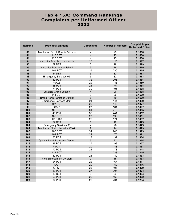# **Table 16A: Command Rankings Complaints per Uniformed Officer**

| Ranking | <b>Precinct/Command</b>               | <b>Complaints</b> | <b>Number of Officers</b> | <b>Complaints per</b><br><b>Uniformed Officer</b> |
|---------|---------------------------------------|-------------------|---------------------------|---------------------------------------------------|
| 81      | Manhattan South Special Victims       | 4                 | 25                        | 0.1600                                            |
| 81      | <b>115 DET</b>                        | $\overline{4}$    | 25                        | 0.1600                                            |
| 81      | <b>120 DET</b>                        | 4                 | 25                        | 0.1600                                            |
| 84      | Narcotics Boro Brooklyn North         | 20                | 126                       | 0.1587                                            |
| 85      | 69 DET                                | 3                 | 19                        | 0.1579                                            |
| 85      | Narcotics Boro Staten Island          | $\overline{3}$    | 19                        | 0.1579                                            |
| 87      | 103 PCT                               | 36                | 230                       | 0.1565                                            |
| 88      | 44 DET                                | 5                 | 32                        | 0.1563                                            |
| 88      | <b>Emergency Services 02</b>          | $\overline{5}$    | 32                        | 0.1563                                            |
| 90      | 32 PCT                                | 32                | 205                       | 0.1561                                            |
| 91      | PSA <sub>2</sub>                      | 29                | 186                       | 0.1559                                            |
| 92      | 68 PCT                                | 24                | 154                       | 0.1558                                            |
| 93      | 71 PCT                                | 30                | 195                       | 0.1538                                            |
| 93      | Juvenile Crime Section                | $\overline{4}$    | 26                        | 0.1538                                            |
| 95      | <b>111 DET</b>                        | $\overline{3}$    | 20                        | 0.1500                                            |
| 95      | <b>Bronx North Narcotics District</b> | $6\phantom{a}$    | 40                        | 0.1500                                            |
| 97      | <b>Emergency Services Unit</b>        | 21                | 141                       | 0.1489                                            |
| 98      | <b>107 PCT</b>                        | 22                | 149                       | 0.1477                                            |
| 99      | PSA <sub>7</sub>                      | 27                | 184                       | 0.1467                                            |
| 100     | <b>109 PCT</b>                        | 31                | 213                       | 0.1455                                            |
| 101     | 40 PCT                                | 35                | 241                       | 0.1452                                            |
| 102     | <b>102 PCT</b>                        | 28                | 193                       | 0.1451                                            |
| 103     | TB DT03                               | 25                | 174                       | 0.1437                                            |
| 104     | 52 DET                                | $\,6\,$           | 42                        | 0.1429                                            |
| 104     | <b>Emergency Services 05</b>          | $\overline{4}$    | 28                        | 0.1429                                            |
| 104     | Manhattan North Narcotics West        | $\overline{2}$    | 14                        | 0.1429                                            |
| 107     | <b>105 PCT</b>                        | 34                | 243                       | 0.1399                                            |
| 108     | <b>104 PCT</b>                        | 24                | 175                       | 0.1371                                            |
| 109     | 66 PCT                                | 18                | 132                       | 0.1364                                            |
| 109     | Queens North Narcotics District       | $\overline{3}$    | 22                        | 0.1364                                            |
| 111     | 28 PCT                                | 27                | 199                       | 0.1357                                            |
| 112     | PSA <sub>8</sub>                      | 20                | 148                       | 0.1351                                            |
| 113     | 72 PCT                                | 24                | 178                       | 0.1348                                            |
| 114     | <b>114 PCT</b>                        | 30                | 223                       | 0.1345                                            |
| 115     | 42 PCT                                | $\overline{24}$   | 180                       | 0.1333                                            |
| 115     | <b>Vice Enforcement Division</b>      | $\overline{2}$    | 15                        | 0.1333                                            |
| 117     | 24 PCT                                | 22                | 167                       | 0.1317                                            |
| 118     | PSA <sub>1</sub>                      | 20                | 152                       | 0.1316                                            |
| 119     | 6 PCT                                 | 25                | 191                       | 0.1309                                            |
| 120     | 83 PCT                                | 27                | 207                       | 0.1304                                            |
| 120     | 30 DET                                | $\overline{3}$    | 23                        | 0.1304                                            |
| 122     | 50 PCT                                | 22                | 169                       | 0.1302                                            |
| 123     | 34 PCT                                | 26                | 201                       | 0.1294                                            |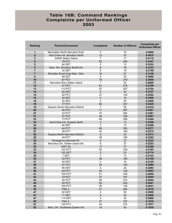# **Table 16B: Command Rankings Complaints per Uniformed Officer**

| Ranking                 | <b>Precinct/Command</b>            | <b>Complaints</b>       | <b>Number of Officers</b> | <b>Complaints per</b><br><b>Uniformed Officer</b> |
|-------------------------|------------------------------------|-------------------------|---------------------------|---------------------------------------------------|
| 1                       | Manhattan North Narcotics East     | $\overline{5}$          | 10                        | 0.5000                                            |
| $\overline{2}$          | Anti-Crime Init. Brooklyn North    | 13                      | 27                        | 0.4815                                            |
| 3                       | <b>GANG Staten Island</b>          | $\overline{7}$          | 17                        | 0.4118                                            |
| $\overline{\mathbf{4}}$ | <b>79 PCT</b>                      | 82                      | 245                       | 0.3347                                            |
| $5\phantom{.0}$         | 84 DET                             | 5                       | 15                        | 0.3333                                            |
| 5                       | Narc. Div. Brooklyn South Init.    | $6\phantom{1}$          | 18                        | 0.3333                                            |
| $\overline{7}$          | 32 DET                             | 6                       | 19                        | 0.3158                                            |
| $\overline{7}$          | Brooklyn South East Narc. Dist.    | 18                      | 57                        | 0.3158                                            |
| 9                       | 69 DET                             | 6                       | 20                        | 0.3000                                            |
| 10                      | 67 PCT                             | 78                      | 278                       | 0.2806                                            |
| 11                      | Narcotics Boro Staten Island       | $\overline{7}$          | 25                        | 0.2800                                            |
| 12                      | 47 PCT                             | 61                      | 218                       | 0.2798                                            |
| 13                      | 113 PCT                            | 57                      | 207                       | 0.2754                                            |
| 14                      | <b>52 DET</b>                      | $\boldsymbol{9}$        | 33                        | 0.2727                                            |
| 15                      | 62 PCT                             | 37                      | 145                       | 0.2552                                            |
| 16                      | 20 DET                             | $\overline{4}$          | 16                        | 0.2500                                            |
| 16                      | 30 DET                             | $\overline{5}$          | 20                        | 0.2500                                            |
| 18                      | 77 PCT                             | 60                      | 247                       | 0.2429                                            |
| 19                      | Queens South Narcotics District    | $\overline{7}$          | 29                        | 0.2414                                            |
| 20                      | 46 PCT                             | 71                      | 297                       | 0.2391                                            |
| 21                      | 43 PCT                             | 70                      | 294                       | 0.2381                                            |
| 21                      | 81 PCT                             | 45                      | 189                       | 0.2381                                            |
| 23                      | 73 PCT                             | 60                      | 256                       | 0.2344                                            |
| 24                      | Anti-Crime Init. Queens North      | 3                       | 13                        | 0.2308                                            |
| 24                      | 94 DET                             | $\overline{3}$          | 13                        | 0.2308                                            |
| 26                      | 44 PCT                             | 69                      | 303                       | 0.2277                                            |
| 27                      | 28 PCT                             | 43                      | 189                       | 0.2275                                            |
| 28                      | Queens North Narcotics District    | 5                       | 22                        | 0.2273                                            |
| 29                      | 49 PCT                             | 38                      | 168                       | 0.2262                                            |
| 30                      | <b>Emergency Services 04</b>       | $\,6$                   | 27                        | 0.2222                                            |
| 30                      | Narcotics Div. Staten Island Init. | 6                       | 27                        | 0.2222                                            |
| 32                      | <b>HWY 02</b>                      | 17                      | 77                        | 0.2208                                            |
| 33                      | 103 PCT                            | 52                      | 238                       | 0.2185                                            |
| 34                      | 102 DET                            | 5                       | 23                        | 0.2174                                            |
| 35                      | 7 DET                              | $\overline{3}$          | 14                        | 0.2143                                            |
| 36                      | 42 PCT                             | 39                      | 185                       | 0.2108                                            |
| 37                      | 49 DET                             | $\overline{\mathbf{4}}$ | 19                        | 0.2105                                            |
| 38                      | 61 PCT                             | 34                      | 163                       | 0.2086                                            |
| 39                      | 90 DET                             | 5                       | 24                        | 0.2083                                            |
| 40                      | 63 PCT                             | 26                      | 126                       | 0.2063                                            |
| 41                      | <b>105 PCT</b>                     | 51                      | 248                       | 0.2056                                            |
| 42                      | 23 PCT                             | 37                      | 181                       | 0.2044                                            |
| 43                      | 52 PCT                             | 56                      | 274                       | 0.2044                                            |
| 44                      | 40 PCT                             | 50                      | 245                       | 0.2041                                            |
| 45                      | 100 PCT                            | 26                      | 128                       | 0.2031                                            |
| 46                      | PSA <sub>2</sub>                   | 41                      | 204                       | 0.2010                                            |
| 47                      | 62 DET                             | $\overline{4}$          | 20                        | 0.2000                                            |
| 47                      | <b>71 DET</b>                      | $\,6$                   | 30                        | 0.2000                                            |
| 47                      | <b>114 DET</b>                     | $\overline{5}$          | 25                        | 0.2000                                            |
| 50                      | PSA <sub>3</sub>                   | 37                      | 187                       | 0.1979                                            |
| 51                      | <b>120 PCT</b>                     | 54                      | 274                       | 0.1971                                            |
| 52                      | Narc. Div. Southeast Queen Init.   | 18                      | 93                        | 0.1935                                            |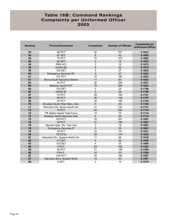# **Table 16B: Command Rankings Complaints per Uniformed Officer**

| Ranking | <b>Precinct/Command</b>               | <b>Complaints</b> | <b>Number of Officers</b> | <b>Complaints per</b><br><b>Uniformed Officer</b> |
|---------|---------------------------------------|-------------------|---------------------------|---------------------------------------------------|
| 53      | 48 PCT                                | 40                | 207                       | 0.1932                                            |
| 54      | 67 DET                                | 8                 | 42                        | 0.1905                                            |
| 55      | 75 PCT                                | 70                | 372                       | 0.1882                                            |
| 56      | 68 DET                                | 3                 | 16                        | 0.1875                                            |
| 56      | <b>PBSI ACI</b>                       | $\overline{3}$    | 16                        | 0.1875                                            |
| 56      | <b>GANG BX</b>                        | 6                 | 32                        | 0.1875                                            |
| 59      | <b>105 DET</b>                        | 5                 | 27                        | 0.1852                                            |
| 59      | <b>Emergency Services 09</b>          | 5                 | 27                        | 0.1852                                            |
| 61      | <b>101 PCT</b>                        | 33                | 180                       | 0.1833                                            |
| 61      | <b>Bronx South Narcotics District</b> | 11                | 60                        | 0.1833                                            |
| 63      | 83 PCT                                | 38                | 208                       | 0.1827                                            |
| 64      | Midtown South PCT                     | 70                | 384                       | 0.1823                                            |
| 65      | <b>120 DET</b>                        | 5                 | 28                        | 0.1786                                            |
| 65      | <b>GANG M</b>                         | 5                 | 28                        | 0.1786                                            |
| 67      | 72 PCT                                | 28                | 159                       | 0.1761                                            |
| 68      | 68 PCT                                | 26                | 148                       | 0.1757                                            |
| 69      | 25 PCT                                | 34                | 195                       | 0.1744                                            |
| 70      | Brooklyn South West Narc. Dist.       | 5                 | 29                        | 0.1724                                            |
| 71      | Narcotics Div. Bronx South Init.      | 21                | 122                       | 0.1721                                            |
| 72      | <b>70 PCT</b>                         | 48                | 280                       | 0.1714                                            |
| 72      | PB Staten Island Task Force           | 12                | 70                        | 0.1714                                            |
| 72      | Brooklyn North Narcotics Dist.        | $6\phantom{a}$    | 35                        | 0.1714                                            |
| 75      | 033 PCT                               | 35                | 207                       | 0.1691                                            |
| 76      | 34 PCT                                | 31                | 186                       | 0.1667                                            |
| 76      | Special Oper. Div. Taxi Unit          | $\overline{3}$    | 18                        | 0.1667                                            |
| 76      | <b>Emergency Services 07</b>          | 5                 | 30                        | 0.1667                                            |
| 79      | 78 PCT                                | 23                | 141                       | 0.1631                                            |
| 80      | TB DT33                               | 29                | 179                       | 0.1620                                            |
| 81      | Narcotics Div. Queens North Init.     | 11                | 68                        | 0.1618                                            |
| 82      | 47 DET                                | $\overline{4}$    | 25                        | 0.1600                                            |
| 82      | 103 DET                               | $\overline{4}$    | 25                        | 0.1600                                            |
| 84      | 9 PCT                                 | 29                | 182                       | 0.1593                                            |
| 85      | 30 PCT                                | 31                | 195                       | 0.1590                                            |
| 86      | PSA <sub>5</sub>                      | 24                | 151                       | 0.1589                                            |
| 87      | 102 PCT                               | 30                | 189                       | 0.1587                                            |
| 87      | Narcotics Boro Queens North           | 10                | 63                        | 0.1587                                            |
| 89      | 9 DET                                 | $\overline{3}$    | 19                        | 0.1579                                            |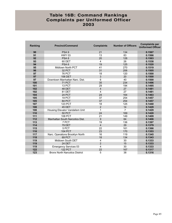# **Table 16B: Command Rankings Complaints per Uniformed Officer**

| Ranking | <b>Precinct/Command</b>               | <b>Complaints</b> | <b>Number of Officers</b> | <b>Complaints per</b><br><b>Uniformed Officer</b> |
|---------|---------------------------------------|-------------------|---------------------------|---------------------------------------------------|
| 90      | PSA <sub>9</sub>                      | 21                | 134                       | 0.1567                                            |
| 91      | <b>HWY 03</b>                         | 13                | 83                        | 0.1566                                            |
| 92      | PSA <sub>8</sub>                      | 20                | 128                       | 0.1563                                            |
| 93      | 60 DET                                | 4                 | 26                        | 0.1538                                            |
| 94      | PSA <sub>6</sub>                      | 19                | 125                       | 0.1520                                            |
| 95      | Midtown North PCT                     | 41                | 270                       | 0.1519                                            |
| 96      | 32 PCT                                | 31                | 206                       | 0.1505                                            |
| 97      | <b>76 PCT</b>                         | 18                | 120                       | 0.1500                                            |
| 97      | <b>106 DET</b>                        | 3                 | 20                        | 0.1500                                            |
| 97      | Downtown Manhattan Narc. Dist.        | $6\overline{6}$   | 40                        | 0.1500                                            |
| 100     | <b>71 PCT</b>                         | 35                | 234                       | 0.1496                                            |
| 101     | 13 PCT                                | 29                | 194                       | 0.1495                                            |
| 102     | 48 DET                                | $\overline{4}$    | 27                        | 0.1481                                            |
| 102     | 81 DET                                | $\overline{4}$    | 27                        | 0.1481                                            |
| 104     | 24 PCT                                | 24                | 164                       | 0.1463                                            |
| 105     | 19 PCT                                | 37                | 254                       | 0.1457                                            |
| 105     | 84 PCT                                | 37                | 254                       | 0.1457                                            |
| 107     | <b>123 PCT</b>                        | 18                | 125                       | 0.1440                                            |
| 108     | 45 DET                                | $\overline{2}$    | 14                        | 0.1429                                            |
| 108     | Housing Elevator Vandalism Unit       | 1                 | 7                         | 0.1429                                            |
| 110     | <b>50 PCT</b>                         | 24                | 169                       | 0.1420                                            |
| 111     | <b>108 PCT</b>                        | 21                | 149                       | 0.1409                                            |
| 112     | Manhattan South Narcotics Dist.       | 9                 | 64                        | 0.1406                                            |
| 113     | 7 PCT                                 | 19                | 136                       | 0.1397                                            |
| 114     | <b>79 DET</b>                         | $\overline{4}$    | 29                        | 0.1379                                            |
| 115     | 5 PCT                                 | 22                | 161                       | 0.1366                                            |
| 116     | <b>104 PCT</b>                        | 23                | 170                       | 0.1353                                            |
| 117     | Narc. Operations Brooklyn North       | 16                | 119                       | 0.1345                                            |
| 118     | 69 PCT                                | 18                | 134                       | 0.1343                                            |
| 119     | Midtown South DET                     | 4                 | 30                        | 0.1333                                            |
| 119     | <b>24 DET</b>                         | $\overline{2}$    | 15                        | 0.1333                                            |
| 119     | <b>Emergency Services 03</b>          | 4                 | 30                        | 0.1333                                            |
| 122     | <b>122 PCT</b>                        | 22                | 167                       | 0.1317                                            |
| 123     | <b>Bronx North Narcotics District</b> | 5                 | 38                        | 0.1316                                            |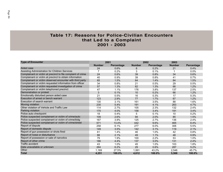#### **Table 17: Reasons for Police-Civilian Encounters that Led to a Complaint 2001 - 2003**

| <b>Type of Encounter</b>                                     | 2001          |            | 2002          |                   | 2003          |                   |
|--------------------------------------------------------------|---------------|------------|---------------|-------------------|---------------|-------------------|
|                                                              | <b>Number</b> | Percentage | <b>Number</b> | <b>Percentage</b> | <b>Number</b> | <b>Percentage</b> |
| Aided case                                                   | 24            | 0.6%       | 8             | 0.2%              | 21            | 0.4%              |
| Assisting Administration for Children Services               | 7             | 0.2%       | 3             | 0.1%              | 1             | 0.0%              |
| Complainant or victim at precinct to file complaint of crime | 24            | 0.6%       | 39            | 0.8%              | 34            | 0.6%              |
| Complainant or victim at precinct to obtain information      | 40            | 0.9%       | 39            | 0.8%              | 41            | 0.7%              |
| Complainant or victim observed encounter with third party    | 65            | 1.5%       | 64            | 1.4%              | 84            | 1.5%              |
| Complainant or victim requested information from officer     | 34            | 0.8%       | 21            | 0.5%              | 29            | 0.5%              |
| Complainant or victim requested investigation of crime       | 57            | 1.3%       | 62            | 1.3%              | 66            | 1.2%              |
| Complainant or victim telephoned precinct                    | 47            | 1.1%       | 176           | 3.8%              | 137           | 2.5%              |
| Demonstration or protest                                     | 3             | 0.1%       | 10            | 0.2%              | 66            | 1.2%              |
| Emotionally disturbed person aided case                      | 21            | 0.5%       | 16            | 0.3%              | 17            | 0.3%              |
| Execution of arrest or bench warrant                         | 123           | 2.9%       | 77            | 1.7%              | 67            | 1.2%              |
| Execution of search warrant                                  | 130           | 3.1%       | 161           | 3.5%              | 88            | 1.6%              |
| Moving violation                                             | 230           | 5.4%       | 191           | 4.1%              | 263           | 4.7%              |
| Other violation of Vehicle and Traffic Law                   | 114           | 2.7%       | 105           | 2.3%              | 132           | 2.4%              |
| Parking violation                                            | 170           | 4.0%       | 158           | 3.4%              | 191           | 3.4%              |
| Police auto checkpoint                                       | 18            | 0.4%       | 5             | 0.1%              | 10            | 0.2%              |
| Police suspected complainant or victim of crime/auto         | 109           | 2.6%       | 94            | 2.0%              | 85            | 1.5%              |
| Police suspected complainant or victim of crime/bldg         | 167           | 3.9%       | 125           | 2.7%              | 136           | 2.4%              |
| Police suspected complainant or victim of crime/street       | 571           | 13.4%      | 442           | 9.6%              | 465           | 8.4%              |
| Report of dispute                                            | 258           | 6.1%       | 277           | 6.0%              | 306           | 5.5%              |
| Report of domestic dispute                                   | 149           | 3.5%       | 142           | 3.1%              | 119           | 2.1%              |
| Report of gun possession or shots fired                      | 61            | 1.4%       | 46            | 1.0%              | 42            | 0.8%              |
| Report of noise or disturbance                               | 88            | 2.1%       | 49            | 1.1%              | 48            | 0.9%              |
| Report of possession or sale of narcotics                    | 79            | 1.9%       | 100           | 2.2%              | 53            | 1.0%              |
| Report of other crime                                        | 186           | 4.4%       | 137           | 3.0%              | 131           | 2.4%              |
| Traffic accident                                             | 43            | 1.0%       | 45            | 1.0%              | 103           | 1.8%              |
| Data unavailable or unknown                                  | 264           | 6.2%       | 29            | 0.6%              | 287           | 5.2%              |
| Other                                                        | 1,169         | 27.5%      | 1,991         | 43.2%             | 2,546         | 45.7%             |
| <b>Total</b>                                                 | 4,251         | 100.0%     | 4,612         | 100.0%            | 5,568         | 100.0%            |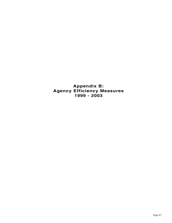**Appendix B: Agency Efficiency Measures 1999 - 2003**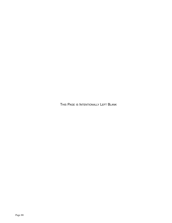THIS PAGE IS INTENTIONALLY LEFT BLANK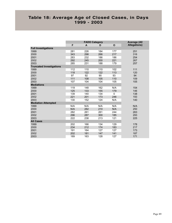#### **Table 18: Average Age of Closed Cases, in Days 1999 - 2003**

|                                 |     | <b>FADO Category</b> | <b>Average (All</b> |              |                     |
|---------------------------------|-----|----------------------|---------------------|--------------|---------------------|
|                                 | F   | A                    | D                   | $\mathbf{o}$ | <b>Allegations)</b> |
| <b>Full Investigations</b>      |     |                      |                     |              |                     |
| 1999                            | 281 | 226                  | 184                 | 177          | 251                 |
| 2000                            | 343 | 298                  | 266                 | 217          | 316                 |
| 2001                            | 283 | 232                  | 186                 | 186          | 254                 |
| 2002                            | 292 | 245                  | 200                 | 221          | 267                 |
| 2003                            | 285 | 231                  | 188                 | 179          | 257                 |
| <b>Truncated Investigations</b> |     |                      |                     |              |                     |
| 1999                            | 112 | 110                  | 110                 | 102          | 111                 |
| 2000                            | 118 | 122                  | 122                 | 113          | 120                 |
| 2001                            | 97  | 92                   | 90                  | 93           | 94                  |
| 2002                            | 111 | 108                  | 105                 | 110          | 109                 |
| 2003                            | 107 | 104                  | 104                 | 105          | 105                 |
| <b>Mediations</b>               |     |                      |                     |              |                     |
| 1999                            | 119 | 148                  | 162                 | N/A          | 154                 |
| 2000                            | 125 | 133                  | 155                 | 179          | 146                 |
| 2001                            | 139 | 140                  | 134                 | $\mathbf 0$  | 138                 |
| 2002                            | 221 | 201                  | 173                 | 246          | 193                 |
| 2003                            | 130 | 152                  | 124                 | N/A          | 140                 |
| <b>Mediation Attempted</b>      |     |                      |                     |              |                     |
| 1999                            | N/A | N/A                  | N/A                 | N/A          | N/A                 |
| 2000                            | N/A | 282                  | 210                 | N/A          | 250                 |
| 2001                            | 282 | 261                  | 261                 | 244          | 263                 |
| 2002                            | 296 | 287                  | 300                 | 185          | 293                 |
| 2003                            | 222 | 238                  | 213                 | 121          | 225                 |
| <b>All Cases</b>                |     |                      |                     |              |                     |
| 1999                            | 202 | 166                  | 134                 | 129          | 178                 |
| 2000                            | 234 | 212                  | 174                 | 183          | 217                 |
| 2001                            | 191 | 164                  | 127                 | 127          | 173                 |
| 2002                            | 202 | 181                  | 147                 | 141          | 187                 |
| 2003                            | 189 | 163                  | 128                 | 127          | 171                 |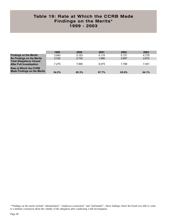#### **Table 19: Rate at Which the CCRB Made Findings on the Merits\* 1999 - 2003**

|                                                                     | 1999  | 2000  | 2001  | 2002  | 2003  |
|---------------------------------------------------------------------|-------|-------|-------|-------|-------|
| <b>Findings on the Merits</b>                                       | 3.943 | 5.153 | 4.115 | 5.121 | 4.779 |
| <b>No Findings on the Merits</b>                                    | 3.332 | 2.742 | 1.960 | 2,667 | 2,672 |
| <b>Total Allegations Closed</b>                                     |       |       |       |       |       |
| <b>After Full Investigation</b>                                     | 7.275 | 7.895 | 6.075 | 7.788 | 7.451 |
| <b>Rate at Which the CCRB</b><br><b>Made Findings on the Merits</b> |       |       |       |       |       |
|                                                                     | 54.2% | 65.3% | 67.7% | 65.8% | 64.1% |

\* Findings on the merits include "substantiated," "employee exonerated," and "unfounded"—those findings where the board was able to come to a definite conclusion about the validity of the allegation after conducting a full investigation.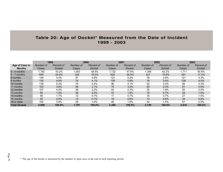# **Table 20: Age of Docket\* Measured from the Date of Incident 1999 - 2003**

|                     |           | 1999       |           | 2000       |           | 2001       |           | 2002       |           | 2003       |
|---------------------|-----------|------------|-----------|------------|-----------|------------|-----------|------------|-----------|------------|
| Age of Case in      | Number of | Percent of | Number of | Percent of | Number of | Percent of | Number of | Percent of | Number of | Percent of |
| <b>Months</b>       | Cases     | Docket     | Cases     | Docket     | Cases     | Docket     | Cases     | Docket     | Cases     | Docket     |
| $0 - 4$ months      | 1.162     | 43.2%      | 1,053     | 58.6%      | 1,132     | 47.8%      | 1,358     | 63.2%      | 1.711     | 60.8%      |
| $5 - 7$ months      | 645       | 24.0%      | 324       | 18.0%      | 628       | 26.5%      | 421       | 19.6%      | 491       | 17.4%      |
| 8 months            | 146       | 5.4%       | 87        | 4.8%       | 123       | 5.2%       | 78        | 3.6%       | 121       | 4.3%       |
| 9 months            | 130       | 4.8%       | 74        | 4.1%       | 139       | 5.9%       | 78        | 3.6%       | 128       | 4.5%       |
| 10 months           | 139       | 5.2%       | 76        | 4.2%       | 96        | 4.1%       | 52        | 2.4%       | 92        | 3.3%       |
| 11 months           | 103       | 3.8%       | 56        | 3.1%       | 75        | 3.2%       | 50        | 2.3%       | 81        | 2.9%       |
| 12 months           | 107       | 4.0%       | 39        | 2.2%       | 54        | 2.3%       | 35        | 1.6%       | 55        | 2.0%       |
| 13 months           | 50        | 1.9%       | 36        | 2.0%       | 37        | 1.6%       | 16        | 0.7%       | 29        | $1.0\%$    |
| 14 months           | 46        | 1.7%       | 12        | 0.7%       | 17        | 0.7%       | 16        | 0.7%       | 27        | 1.0%       |
| 15 months           | 55        | 2.0%       | 12        | 0.7%       | 19        | 0.8%       | 13        | 0.6%       | 24        | 0.9%       |
| 16 or older         | 105       | 3.9%       | 28        | 1.6%       | 46        | 1.9%       | 32        | 1.5%       | 57        | 2.0%       |
| <b>Total Docket</b> | 2.688     | 100.0%     | 1,797     | 100.0%     | 2.366     | 100.0%     | 2.149     | 100.0%     | 2.816     | 100.0%     |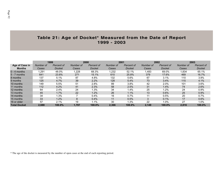# **Table 21: Age of Docket\* Measured from the Date of Report 1999 - 2003**

|                     | 1999      |            |           | 2000       |           | 2001       |           | 2002       |           | 2003       |
|---------------------|-----------|------------|-----------|------------|-----------|------------|-----------|------------|-----------|------------|
| Age of Case in      | Number of | Percent of | Number of | Percent of | Number of | Percent of | Number of | Percent of | Number of | Percent of |
| <b>Months</b>       | Cases     | Docket     | Cases     | Docket     | Cases     | Docket     | Cases     | Docket     | Cases     | Docket     |
| $0 - 4$ months      | 1.291     | 48.0%      | 1,228     | 68.3%      | 1,232     | 52.1%      | 1,483     | 69.0%      | .834      | 65.1%      |
| $5 - 7$ months      | 641       | 23.8%      | 271       | 15.1%      | 610       | 25.8%      | 379       | 17.6%      | 469       | 16.7%      |
| 8 months            | 137       | 5.1%       | 87        | 4.8%       | 132       | 5.6%       | 67        | $3.1\%$    | 110       | 3.9%       |
| 9 months            | 125       | 4.7%       | 39        | 2.2%       | 128       | 5.4%       | 73        | 3.4%       | 115       | 4.1%       |
| 10 months           | 149       | 5.5%       | 51        | 2.8%       | 89        | $3.8\%$    | 42        | $2.0\%$    | 101       | 3.6%       |
| 11 months           | 112       | 4.2%       | 41        | 2.3%       | 58        | 2.5%       | 31        | 1.4%       | 74        | 2.6%       |
| 12 months           | 64        | 2.4%       | 24        | 1.3%       | 34        | 1.4%       | 25        | 1.2%       | 24        | 0.9%       |
| 13 months           | 45        | $1.7\%$    | 22        | $1.2\%$    | 26        | 1.1%       | 13        | 0.6%       | 25        | 0.9%       |
| 14 months           | 34        | $.3\%$     |           | 0.4%       | 16        | 0.7%       | 11        | 0.5%       | 20        | 0.7%       |
| 15 months           | 33        | 1.2%       | 8         | 0.4%       | 11        | 0.5%       | 3         | 0.1%       | 17        | 0.6%       |
| 16 or older         | 57        | 2.1%       | 19        | $1.1\%$    | 30        | 1.3%       | 22        | $1.0\%$    | 27        | 1.0%       |
| <b>Total Docket</b> | 2.688     | 100.0%     | 1,797     | 100.0%     | 2.366     | 100.0%     | 2,149     | 100.0%     | 2.816     | 100.0%     |

\* The age of the docket is measured by the number of open cases at the end of each reporting period.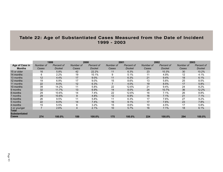# **Table 22: Age of Substantiated Cases Measured from the Date of Incident 1999 - 2003**

|                                      |                | 1999       |           | 2000       | 2001           |            |           | 2002       |           | 2003       |
|--------------------------------------|----------------|------------|-----------|------------|----------------|------------|-----------|------------|-----------|------------|
| Age of Case in                       | Number of      | Percent of | Number of | Percent of | Number of      | Percent of | Number of | Percent of | Number of | Percent of |
| <b>Months</b>                        | Cases          | Docket     | Cases     | Docket     | Cases          | Docket     | Cases     | Docket     | Cases     | Docket     |
| 15 or older                          | 16             | 5.8%       | 42        | 22.2%      | 11             | 6.3%       | 23        | 10.3%      | 30        | 10.2%      |
| 14 months                            | 6              | $2.2\%$    | 19        | 10.1%      | 9              | 5.1%       | 11        | 4.9%       | 12        | 4.1%       |
| 13 months                            | 12             | 4.4%       | 17        | $9.0\%$    | 11             | 6.3%       | 21        | 9.4%       | 18        | 6.1%       |
| 12 months                            | 19             | 6.9%       | 17        | $9.0\%$    | 15             | 8.6%       | 13        | 5.8%       | 25        | 8.5%       |
| 11 months                            | 22             | 8.0%       | 12        | 6.3%       | $\overline{7}$ | 4.0%       | 19        | 8.5%       | 17        | 5.8%       |
| 10 months                            | 39             | 14.2%      | 11        | 5.8%       | 22             | 12.6%      | 21        | 9.4%       | 24        | 8.2%       |
| 9 months                             | 32             | 11.7%      | 13        | 6.9%       | 14             | 8.0%       | 24        | 10.7%      | 36        | 12.2%      |
| 8 months                             | 29             | 10.6%      | 14        | 7.4%       | 22             | 12.6%      | 16        | 7.1%       | 26        | 8.8%       |
| 7 months                             | 29             | 10.6%      | 9         | 4.8%       | 12             | 6.9%       | 16        | 7.1%       | 21        | 7.1%       |
| 6 months                             | 26             | 9.5%       | 11        | 5.8%       | 11             | 6.3%       | 17        | 7.6%       | 27        | 9.2%       |
| 5 months                             | 22             | 8.0%       | 14        | 7.4%       | 16             | 9.1%       | 17        | 7.6%       | 23        | 7.8%       |
| 4 months                             | 15             | 5.5%       | 6         | 3.2%       | 15             | 8.6%       | 10        | 4.5%       | 17        | 5.8%       |
| 3 or younger                         | $\overline{ }$ | 2.6%       | 4         | 2.1%       | 10             | 5.7%       | 16        | 7.1%       | 18        | 6.1%       |
| <b>Total</b>                         |                |            |           |            |                |            |           |            |           |            |
| <b>Substantiated</b><br><b>Cases</b> | 274            | 100.0%     | 189       | 100.0%     | 175            | 100.0%     | 224       | 100.0%     | 294       | 100.0%     |
|                                      |                |            |           |            |                |            |           |            |           |            |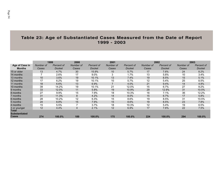# **Table 23: Age of Substantiated Cases Measured from the Date of Report 1999 - 2003**

|                      |           | 1999       | 2000      |            | 2001           |            |           | 2002       |           | 2003       |
|----------------------|-----------|------------|-----------|------------|----------------|------------|-----------|------------|-----------|------------|
| Age of Case in       | Number of | Percent of | Number of | Percent of | Number of      | Percent of | Number of | Percent of | Number of | Percent of |
| <b>Months</b>        | Cases     | Docket     | Cases     | Docket     | Cases          | Docket     | Cases     | Docket     | Cases     | Docket     |
| 15 or older          | 13        | 4.7%       | 30        | 15.9%      | 10             | 5.7%       | 17        | 7.6%       | 24        | 8.2%       |
| 14 months            |           | 2.6%       | 17        | $9.0\%$    | 3              | $1.7\%$    | 13        | 5.8%       | 10        | 3.4%       |
| 13 months            | 10        | 3.6%       | 19        | 10.1%      | 13             | 7.4%       | 19        | 8.5%       | 15        | 5.1%       |
| 12 months            | 17        | 6.2%       | 19        | 10.1%      | 10             | 5.7%       | 12        | 5.4%       | 25        | 8.5%       |
| 11 months            | 18        | 6.6%       | 13        | 6.9%       | $\overline{7}$ | 4.0%       | 21        | 9.4%       | 14        | 4.8%       |
| 10 months            | 39        | 14.2%      | 19        | 10.1%      | 21             | 12.0%      | 15        | 6.7%       | 27        | 9.2%       |
| 9 months             | 33        | 12.0%      | 11        | 5.8%       | 19             | 10.9%      | 29        | 12.9%      | 31        | 10.5%      |
| 8 months             | 27        | 9.9%       | 15        | 7.9%       | 18             | 10.3%      | 16        | $7.1\%$    | 36        | 12.2%      |
| 7 months             | 31        | 11.3%      | 8         | 4.2%       | 14             | 8.0%       | 15        | 6.7%       | 17        | 5.8%       |
| 6 months             | 28        | 10.2%      | 12        | 6.3%       | 15             | 8.6%       | 19        | 8.5%       | 31        | 10.5%      |
| 5 months             | 24        | 8.8%       | 15        | 7.9%       | 15             | 8.6%       | 19        | 8.5%       | 23        | 7.8%       |
| 4 months             | 15        | 5.5%       |           | 3.7%       | 18             | 10.3%      | 12        | 5.4%       | 19        | 6.5%       |
| 3 or younger         | 12        | 4.4%       | 4         | 2.1%       | 12             | 6.9%       | 17        | 7.6%       | 22        | 7.5%       |
| <b>Total</b>         |           |            |           |            |                |            |           |            |           |            |
| <b>Substantiated</b> |           |            |           |            |                |            |           |            |           |            |
| <b>Cases</b>         | 274       | 100.0%     | 189       | 100.0%     | 175            | 100.0%     | 224       | 100.0%     | 294       | 100.0%     |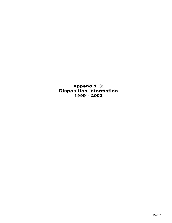**Appendix C: Disposition Information 1999 - 2003**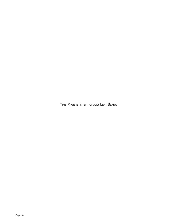THIS PAGE IS INTENTIONALLY LEFT BLANK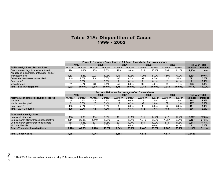# **Table 24A: Disposition of Cases 1999 - 2003**

|                                           |               | Percents Below are Percentages of All Cases Closed after Full Investigations |               |         |                |         |                |         |               |         |                        |                |  |  |
|-------------------------------------------|---------------|------------------------------------------------------------------------------|---------------|---------|----------------|---------|----------------|---------|---------------|---------|------------------------|----------------|--|--|
|                                           | 1999          |                                                                              |               | 2000    |                | 2001    |                | 2002    |               | 2003    | <b>Five-year Total</b> |                |  |  |
| <b>Full Investigations - Dispositions</b> | <b>Number</b> | Percent                                                                      | <b>Number</b> | Percent | <b>Number</b>  | Percent | Number         | Percent | <b>Number</b> | Percent | <b>Number</b>          | <b>Percent</b> |  |  |
| One or more allegations substantiated     | 274           | 13.4%                                                                        | 189           | 7.8%    | 175            | 9.8%    | 224            | 10.1%   | 294           | 14.4%   | 1,156                  | 11.0%          |  |  |
| Allegations exonerated, unfounded, and/or |               |                                                                              |               |         |                |         |                |         |               |         |                        |                |  |  |
| unsubstantiated                           | 1,537         | 75.4%                                                                        | 2.001         | 82.8%   | 1,467          | 82.3%   | .796           | 81.2%   | 1.590         | 77.9%   | 8.391                  | 80.0%          |  |  |
| Department employee unidentified          | 149           | 7.3%                                                                         | 144           | 6.0%    | 80             | 4.5%    | 99             | 4.5%    | 120           | 5.9%    | 592                    | 5.6%           |  |  |
| Refer to IAB                              |               | 0.0%                                                                         |               | 0.0%    | $\overline{2}$ | 0.1%    | $\overline{2}$ | 0.1%    | 2             | 0.1%    | 8                      | 0.1%           |  |  |
| <b>Miscellaneous</b>                      | 77            | 3.8%                                                                         | 81            | 3.4%    | 59             | 3.3%    | 92             | 4.2%    | 34            | 1.7%    | 343                    | 3.3%           |  |  |
| <b>Total - Full Investigations</b>        | 2.038         | 100.0%                                                                       | 2.416         | 100.0%  | 1.783          | 100.0%  | 2.213          | 100.0%  | 2.040         | 100.0%  | 10.490                 | 100.0%         |  |  |

|                                                |               |         |        | <b>Percents Below are Percentages of All Closed Cases</b> |        |         |               |         |               |         |                        |                |
|------------------------------------------------|---------------|---------|--------|-----------------------------------------------------------|--------|---------|---------------|---------|---------------|---------|------------------------|----------------|
|                                                |               | 1999    |        | 2000                                                      |        | 2001    |               | 2002    |               | 2003    | <b>Five-year Total</b> |                |
| <b>Alternative Dispute Resolution Closures</b> | <b>Number</b> | Percent | Number | Percent                                                   | Number | Percent | <b>Number</b> | Percent | <b>Number</b> | Percent | <b>Number</b>          | <b>Percent</b> |
| Mediated                                       | 29            | 0.7%    | 43     | 0.9%                                                      | 32     | 0.9%    | 73            | l.5%    | 91            | 1.9%    | 268                    | 1.2%           |
| Mediation attempted                            | $\Omega$      | 0.0%    | 20     | 0.4%                                                      | 19     | 0.5%    | 99            | 2.0%    | 59            | 1.2%    | 197                    | 0.9%           |
| Conciliated *                                  | 100           | 2.3%    |        | $0.0\%$                                                   | 0      | $0.0\%$ | $\Omega$      | $0.0\%$ | 0             | $0.0\%$ | 101                    | 0.4%           |
| <b>Total - ADR Closures</b>                    | 129           | 3.0%    | 64     | 1.3%                                                      | 51     | 1.4%    | 172           | 3.6%    | 150           | 3.1%    | 566                    | 2.5%           |
|                                                |               |         |        |                                                           |        |         |               |         |               |         |                        |                |
| <b>Truncated Investigations</b>                |               |         |        |                                                           |        |         |               |         |               |         |                        |                |
| Complaint withdrawn                            | 485           | 11.3%   | 484    | 9.8%                                                      | 481    | 13.1%   | 615           | 12.7%   | 717           | 14.7%   | 2.782                  | 12.3%          |
| Complainant/victim/witness uncooperative       | 1,147         | 26.8%   | 1,410  | 28.5%                                                     | 974    | 26.4%   | 1,249         | 25.8%   | .387          | 28.4%   | 6,167                  | 27.3%          |
| Complainant/victim/witness unavailable         | 488           | 11.4%   | 574    | 11.6%                                                     | 394    | 10.7%   | 581           | 12.0%   | 576           | 11.8%   | 2.613                  | 11.5%          |
| Victim unidentified                            |               | $0.0\%$ | 0      | $0.0\%$                                                   | 0      | $0.0\%$ | 2             | $0.0\%$ |               | 0.1%    | 9                      | 0.0%           |
| <b>Total - Truncated Investigations</b>        | 2,120         | 49.5%   | 2,468  | 49.9%                                                     | 1,849  | 50.2%   | 2,447         | 50.6%   | 2,687         | 55.1%   | 11,571                 | 51.1%          |
|                                                |               |         |        |                                                           |        |         |               |         |               |         |                        |                |
| <b>Total Closed Cases</b>                      | 4.287         |         | 4,948  |                                                           | 3,683  |         | 4,832         |         | 4,877         |         | 22.627                 |                |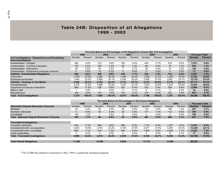#### **Table 24B: Disposition of all Allegations 1999 - 2003**

|                                                                                      |              | 1999    |        | 2000    | 2001     |         |               | 2002    |        | 2003    | <b>Five-year Total</b> |                |
|--------------------------------------------------------------------------------------|--------------|---------|--------|---------|----------|---------|---------------|---------|--------|---------|------------------------|----------------|
| <b>Full Investigations - Dispositions and Disciplinary</b><br><b>Recommendations</b> | Number       | Percent | Number | Percent | Number   | Percent | <b>Number</b> | Percent | Number | Percent | <b>Number</b>          | <b>Percent</b> |
| Substantiated - Charges                                                              | 360          | 4.9%    | 219    | 2.8%    | 333      | 5.5%    | 445           | $5.7\%$ | 618    | 8.3%    | 1,975                  | 5.4%           |
| Substantiated - Command discipline                                                   | 179          | 2.5%    | 108    | 1.4%    | 90       | 1.5%    | 69            | 0.9%    | 78     | 1.0%    | 524                    | 1.4%           |
| Substantiated - Instructions                                                         | 55           | $0.8\%$ | 40     | 0.5%    |          | 0.1%    | 29            | 0.4%    | 14     | $0.2\%$ | 145                    | 0.4%           |
| Substantiated - Department employee unknown                                          | $\mathbf{0}$ | 0.0%    | 13     | 0.2%    | $\Omega$ | 0.0%    | $\mathbf{0}$  | $0.0\%$ | 0      | 0.0%    | 13                     | 0.0%           |
| <b>Subtotal - Substantiated Allegations</b>                                          | 594          | 8.2%    | 380    | 4.8%    | 430      | 7.1%    | 543           | 7.0%    | 710    | 9.5%    | 2,657                  | 7.3%           |
| Unfounded                                                                            | 1.709        | 23.5%   | 2,084  | 26.4%   | 1.485    | 24.4%   | 1.650         | 21.2%   | 1,408  | 18.9%   | 8.336                  | 22.8%          |
| Employee exonerated                                                                  | .640         | 22.5%   | 2,689  | 34.1%   | 2,200    | 36.2%   | 2,928         | 37.6%   | 2,661  | 35.7%   | 12.118                 | 33.2%          |
| <b>Subtotal - Findings on the Merits</b>                                             | 3,943        | 54.2%   | 5,153  | 65.3%   | 4,115    | 67.7%   | 5,121         | 65.8%   | 4,779  | 64.1%   | 23,111                 | 63.3%          |
| Unsubstantiated                                                                      | 2.316        | 31.8%   | 1,888  | 23.9%   | 1,437    | 23.7%   | 1,919         | 24.6%   | 1.919  | 25.8%   | 9,479                  | 26.0%          |
| Department employee unidentified                                                     | 869          | 11.9%   | 706    | 8.9%    | 391      | 6.4%    | 432           | 5.5%    | 508    | 6.8%    | 2,906                  | 8.0%           |
| Refer to IAB                                                                         |              | $0.0\%$ |        | $0.0\%$ | 5        | 0.1%    | 6             | 0.1%    | 3      | $0.0\%$ | 16                     | $0.0\%$        |
| <b>Miscellaneous</b>                                                                 | 146          | 2.0%    | 147    | 1.9%    | 127      | 2.1%    | 310           | 4.0%    | 242    | 3.2%    | 972                    | 2.7%           |
| <b>Total - Full Investigations</b>                                                   | 7,275        | 100.0%  | 7,895  | 100.0%  | 6.075    | 100.0%  | 7,788         | 100.0%  | 7,451  | 100.0%  | 36,484                 | 100.0%         |

|                                                      |        |         |               |         |               |         | <b>Percents Below are Percentages of All Closed Allegations</b> |         |        |         |                        |                |
|------------------------------------------------------|--------|---------|---------------|---------|---------------|---------|-----------------------------------------------------------------|---------|--------|---------|------------------------|----------------|
|                                                      |        | 1999    |               | 2000    |               | 2001    |                                                                 | 2002    |        | 2003    | <b>Five-year Total</b> |                |
| <b>Alternative Dispute Resolution Closures</b>       | Number | Percent | <b>Number</b> | Percent | <b>Number</b> | Percent | <b>Number</b>                                                   | Percent | Number | Percent | <b>Number</b>          | <b>Percent</b> |
| Mediated                                             | 44     | $0.4\%$ | 63            | 0.5%    | 50            | 0.5%    | 116                                                             | $0.9\%$ | 168    | 1.3%    | 441                    | 0.7%           |
| Mediation attempted                                  | 0      | 0.0%    | 34            | 0.3%    | 33            | 0.3%    | 171                                                             | 1.3%    | 112    | 0.8%    | 350                    | 0.6%           |
| Conciliated*                                         | 149    | 1.3%    |               | $0.0\%$ | 0             | $0.0\%$ | 0                                                               | $0.0\%$ |        | $0.0\%$ | 150                    | 0.2%           |
| <b>Total - Alternate Dispute Resolution Closures</b> | 193    | 1.7%    | 98            | 0.8%    | 83            | 0.8%    | 287                                                             | 2.2%    | 280    | 2.1%    | 941                    | 1.6%           |
|                                                      |        |         |               |         |               |         |                                                                 |         |        |         |                        |                |
| <b>Truncated Investigations</b>                      |        |         |               |         |               |         |                                                                 |         |        |         |                        |                |
| Complaint withdrawn                                  | 832    | 7.3%    | 864           | 6.9%    | 888           | 9.0%    | 1.175                                                           | 8.9%    | 1,257  | 9.5%    | 5.016                  | 8.3%           |
| Complainant/victim uncooperative                     | 2,253  | 19.8%   | 2,793         | 22.2%   | 2.150         | 21.9%   | 2.871                                                           | 21.8%   | 3,259  | 24.5%   | 13,326                 | 22.1%          |
| Complainant/victim unavailable                       | 805    | 7.1%    | 918           | 7.3%    | 640           | 6.5%    | 1.050                                                           | $8.0\%$ | 1,026  | 7.7%    | 4,439                  | 7.4%           |
| Victim unidentified                                  | 0      | $0.0\%$ | 0             | $0.0\%$ | $\Omega$      | $0.0\%$ | 4                                                               | $0.0\%$ | 13     | 0.1%    | 17                     | $0.0\%$        |
| <b>Total - Truncated Investigations</b>              | 3,890  | 34.2%   | 4,575         | 36.4%   | 3,678         | 37.4%   | 5,100                                                           | 38.7%   | 5,555  | 41.8%   | 22,798                 | 37.9%          |
|                                                      |        |         |               |         |               |         |                                                                 |         |        |         |                        |                |
| <b>Total Closed Allegations</b>                      | 11.358 |         | 12.568        |         | 9.836         |         | 13.175                                                          |         | 13.286 |         | 60.223                 |                |

\* The CCRB discontinued conciliation in May 1999 to expand the mediation program.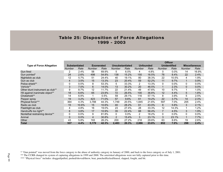#### **Table 25: Disposition of Force Allegations 1999 - 2003**

|                                  |                      |         |                   |       |                        |         |                  |       | <b>Officer</b>      |         |                      |         |
|----------------------------------|----------------------|---------|-------------------|-------|------------------------|---------|------------------|-------|---------------------|---------|----------------------|---------|
| <b>Type of Force Allegation</b>  | <b>Substantiated</b> |         | <b>Exonerated</b> |       | <b>Unsubstantiated</b> |         | <b>Unfounded</b> |       | <b>Unidentified</b> |         | <b>Miscellaneous</b> |         |
|                                  | Number               | Rate    | <b>Number</b>     | Rate  | <b>Number</b>          | Rate    | Number           | Rate  | <b>Number</b>       | Rate    | <b>Number</b>        | Rate    |
| <b>Gun fired</b>                 | 2                    | 2.4%    | 58                | 69.9% | 5                      | 6.0%    | 4                | 4.8%  | 0                   | $0.0\%$ | 14                   | 16.9%   |
| Gun pointed*                     | 24                   | 2.6%    | 498               | 54.8% | 138                    | 15.2%   | 150              | 16.5% | 76                  | 8.4%    | 22                   | 2.4%    |
| Nightstick as club               | 12                   | 5.7%    | 51                | 24.4% | 40                     | 19.1%   | 80               | 38.3% | 22                  | 10.5%   | 4                    | 1.9%    |
| Gun as club                      | 4                    | 3.5%    | 15                | 13.3% | 23                     | 20.4%   | 59               | 52.2% | 11                  | 9.7%    |                      | 0.9%    |
| Police shield**                  | 0                    | 0.0%    | 8                 | 53.3% | 5                      | 33.3%   | 2                | 13.3% | 0                   | $0.0\%$ | $\mathbf{0}$         | $0.0\%$ |
| Vehicle**                        | 3                    | 7.0%    | 6                 | 14.0% | 13                     | 30.2%   | 20               | 46.5% | $\mathbf{1}$        | 2.3%    | $\Omega$             | $0.0\%$ |
| Other blunt instrument as club** | 9                    | 8.7%    | 12                | 11.7% | 22                     | 21.4%   | 49               | 47.6% | 10                  | $9.7\%$ |                      | 1.0%    |
| Hit against inanimate object**   | 18                   | 6.6%    | 65                | 23.9% | 72                     | 26.5%   | 100              | 36.8% | 12                  | 4.4%    | 5                    | 1.8%    |
| Chokehold**                      | 14                   | 6.9%    |                   | 0.5%  | 59                     | 29.1%   | 116              | 57.1% | 8                   | 3.9%    | 5                    | 2.5%    |
| Pepper spray                     | 19                   | 3.2%    | 423               | 71.0% | 57                     | 9.6%    | 61               | 10.2% | 22                  | 3.7%    | 14                   | 2.3%    |
| Physical force***                | 364                  | 4.3%    | 3.788             | 44.3% | 1,749                  | 20.5%   | 1,845            | 21.6% | 597                 | 7.0%    | 205                  | 2.4%    |
| Radio as club                    | 15                   | 10.6%   | 15                | 10.6% | 40                     | 28.2%   | 61               | 43.0% | 8                   | 5.6%    | 3                    | 2.1%    |
| Flashlight as club               | 4                    | 4.8%    | 16                | 19.0% | 23                     | 27.4%   | 28               | 33.3% | 12                  | 14.3%   |                      | 1.2%    |
| Handcuffs too tight**            | 6                    | 3.8%    | 17                | 10.9% | 35                     | 22.4%   | 88               | 56.4% | $\overline{7}$      | 4.5%    | 3                    | 1.9%    |
| Nonlethal restraining device**   | 0                    | $0.0\%$ | 9                 | 81.8% | 0                      | $0.0\%$ | $\overline{2}$   | 18.2% | 0                   | $0.0\%$ | $\mathbf{0}$         | $0.0\%$ |
| Animal                           | 0                    | $0.0\%$ | 4                 | 30.8% | $\overline{2}$         | 15.4%   | 3                | 23.1% | 3                   | 23.1%   |                      | 7.7%    |
| Other                            | 43                   | 5.8%    | 193               | 26.2% | 200                    | 27.2%   | 218              | 29.6% | 63                  | $8.6\%$ | 19                   | 2.6%    |
| <b>Total</b>                     | 537                  | 4.4%    | 5,179             | 42.3% | 2,483                  | 20.3%   | 2,886            | 23.6% | 852                 | 7.0%    | 298                  | 2.4%    |

\* "Gun pointed" was moved from the force category to the abuse of authority category in January of 2000, and back to the force category as of July 1, 2001.

\*\* The CCRB changed its system of capturing allegations in 1999 and 2000. The asterisked allegations were not fully captured prior to this time.

\*\*\* "Physical force" includes: dragged/pulled, pushed/shoved/threw, beat, punched/kicked/kneed, slapped, fought, and bit.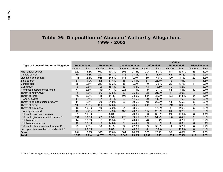# **Table 26: Disposition of Abuse of Authority Allegations 1999 - 2003**

|                                              |                      |       |                   |         |                        | <b>Officer</b> |                  |         |                     |       |                      |         |  |
|----------------------------------------------|----------------------|-------|-------------------|---------|------------------------|----------------|------------------|---------|---------------------|-------|----------------------|---------|--|
| <b>Type of Abuse of Authority Allegation</b> | <b>Substantiated</b> |       | <b>Exonerated</b> |         | <b>Unsubstantiated</b> |                | <b>Unfounded</b> |         | <b>Unidentified</b> |       | <b>Miscellaneous</b> |         |  |
|                                              | Number               | Rate  | <b>Number</b>     | Rate    | Number                 | Rate           | <b>Number</b>    | Rate    | <b>Number</b>       | Rate  | <b>Number</b>        | Rate    |  |
| Frisk and/or search                          | 322                  | 13.8% | 942               | 40.3%   | 505                    | 21.6%          | 204              | 8.7%    | 318                 | 13.6% | 45                   | 1.9%    |  |
| Vehicle search                               | 79                   | 13.3% | 227               | 38.3%   | 136                    | 23.0%          | 81               | 13.7%   | 54                  | 9.1%  | 15                   | 2.5%    |  |
| Question and/or stop                         | 185                  | 12.4% | 958               | 64.5%   | 144                    | $9.7\%$        | 59               | 4.0%    | 120                 | 8.1%  | 20                   | 1.3%    |  |
| Strip search <sup>*</sup>                    | 31                   | 11.9% | 82                | 31.4%   | 65                     | 24.9%          | 67               | 25.7%   | $12 \overline{ }$   | 4.6%  | 4                    | 1.5%    |  |
| Vehicle stop*                                | 38                   | 9.8%  | 267               | 69.2%   | 38                     | $9.8\%$        | 10               | $2.6\%$ | 22                  | 5.7%  | 11                   | 2.8%    |  |
| Gun drawn                                    | 6                    | 2.6%  | 129               | 55.4%   | 36                     | 15.5%          | 43               | 18.5%   | 12                  | 5.2%  |                      | 3.0%    |  |
| Premises entered or searched                 | 71                   | 3.8%  | 1,334             | 71.1%   | 224                    | 11.9%          | 134              | 7.1%    | 64                  | 3.4%  | 50                   | $2.7\%$ |  |
| Threat to notify ACS*                        | 2                    | 1.6%  | 56                | 43.8%   | 33                     | 25.8%          | 28               | 21.9%   | 5                   | 3.9%  | 4                    | 3.1%    |  |
| Threat of force                              | 109                  | 7.3%  | 145               | $9.7\%$ | 503                    | 33.6%          | 514              | 34.3%   | 173                 | 11.5% | 54                   | $3.6\%$ |  |
| Property seized                              | 14                   | 8.1%  | 101               | 58.4%   | 25                     | 14.5%          | 20               | 11.6%   | 8                   | 4.6%  | 5                    | 2.9%    |  |
| Threat to damage/seize property              | 14                   | 6.5%  | 69                | 31.9%   | 66                     | 30.6%          | 48               | 22.2%   | 14                  | 6.5%  | 5                    | 2.3%    |  |
| Threat of arrest                             | 103                  | 4.8%  | 909               | 42.3%   | 578                    | 26.9%          | 344              | 16.0%   | 149                 | 6.9%  | 64                   | 3.0%    |  |
| Threat of summons                            | 16                   | 10.5% | 49                | 32.2%   | 51                     | 33.6%          | 27               | 17.8%   | 4                   | 2.6%  | 5                    | $3.3\%$ |  |
| Property damaged                             | 16                   | 2.4%  | 231               | 34.9%   | 137                    | 20.7%          | 197              | 29.8%   | 61                  | 9.2%  | 20                   | 3.0%    |  |
| Refusal to process complaint                 | 21                   | 11.6% | 9                 | 5.0%    | 53                     | 29.3%          | 66               | 36.5%   | 24                  | 13.3% | 8                    | 4.4%    |  |
| Refusal to give name/shield number*          | 191                  | 16.0% | 27                | 2.3%    | 473                    | 39.5%          | 373              | 31.2%   | 100                 | 8.4%  | 33                   | 2.8%    |  |
| <b>Retaliatory arrest</b>                    | 44                   | 16.3% | 131               | 48.5%   | 55                     | 20.4%          | 28               | 10.4%   | $\overline{2}$      | 0.7%  | 10                   | 3.7%    |  |
| <b>Retaliatory summons</b>                   | 40                   | 13.9% | 128               | 44.6%   | 73                     | 25.4%          | 39               | 13.6%   |                     | 0.3%  | 6                    | 2.1%    |  |
| Refusal to obtain medical treatment*         | 23                   | 7.8%  | 18                | 6.1%    | 67                     | 22.8%          | 167              | 56.8%   | 11                  | 3.7%  | 8                    | 2.7%    |  |
| Improper dissemination of medical info*      | 1                    | 20.0% | $\mathbf{0}$      | $0.0\%$ | 2                      | 40.0%          | $\Omega$         | 0.0%    | 2                   | 40.0% | $\mathbf{0}$         | 0.0%    |  |
| Other                                        | 204                  | 13.9% | 395               | 27.0%   | 381                    | 26.0%          | 350              | 23.9%   | 99                  | 6.8%  | 36                   | 2.5%    |  |
| <b>Total</b>                                 | 1,530                | 9.7%  | 6,207             | 39.2%   | 3,645                  | 23.0%          | 2,799            | 17.7%   | 1,255               | 7.9%  | 410                  | 2.6%    |  |

\* The CCRB changed its system of capturing allegations in 1999 and 2000. The asterisked allegations were not fully captured prior to this time.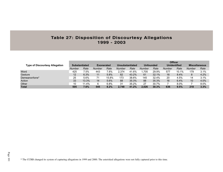# **Table 27: Disposition of Discourtesy Allegations 1999 - 2003**

|                                       |                      |       |                   |       |                 |       |        |                  | <b>Officer</b>      |         |                      |         |
|---------------------------------------|----------------------|-------|-------------------|-------|-----------------|-------|--------|------------------|---------------------|---------|----------------------|---------|
| <b>Type of Discourtesy Allegation</b> | <b>Substantiated</b> |       | <b>Exonerated</b> |       | Unsubstantiated |       |        | <b>Unfounded</b> | <b>Unidentified</b> |         | <b>Miscellaneous</b> |         |
|                                       | Number               | Rate  | Number            | Rate  | <b>Number</b>   | Rate  | Number | Rate             | Number              | Rate    | <b>Number</b>        | Rate    |
| Word                                  | 425                  | 7.5%  | 443               | 7.8%  | 2.374           | 41.6% | .705   | 29.9%            | 577                 | 10.1%   | 179                  | 3.1%    |
| Gesture                               | 12                   | 6.3%  | 11                | 5.8%  | 82              | 43.2% | 61     | 32.1%            | 16                  | 8.4%    | 8                    | 4.2%    |
| Demeanor/tone*                        | 25                   | 5.6%  |                   | 15.8% | 173             | 38.6% | 145    | 32.4%            | 20                  | 4.5%    | 14                   | 3.1%    |
| Action                                | 33                   | 13.3% | 14                | 5.6%  | 88              | 35.3% | 88     | 35.3%            | 16                  | 6.4%    | 10                   | 4.0%    |
| Other                                 | 10                   | 11.4% |                   | 6.8%  | 31              | 35.2% | 27     | 30.7%            |                     | $8.0\%$ |                      | $8.0\%$ |
| <b>Total</b>                          | 505                  | 7.6%  | 545               | 8.2%  | 2.748           | 41.2% | 2.026  | 30.3%            | 636                 | 9.5%    | 218                  | 3.3%    |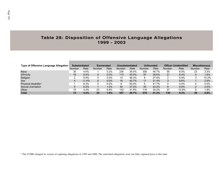# **Table 28: Disposition of Offensive Language Allegations 1999 - 2003**

| <b>Type of Offensive Language Allegation</b> | <b>Substantiated</b> |       | <b>Exonerated</b> |         | <b>Unsubstantiated</b> |       |        | <b>Unfounded</b> |               | <b>Officer Unidentified</b> |                | <b>Miscellaneous</b> |
|----------------------------------------------|----------------------|-------|-------------------|---------|------------------------|-------|--------|------------------|---------------|-----------------------------|----------------|----------------------|
|                                              | Number               | Rate  | Number            | Rate    | Number                 | Rate  | Number | Rate             | <b>Number</b> | Rate                        | <b>Number</b>  | Rate                 |
| Race                                         | 30                   | 4.6%  |                   | 0.2%    | 236                    | 36.0% | 306    | 46.7%            | 59            | $9.0\%$                     | 23             | 3.5%                 |
| Ethnicity                                    | 16                   | 6.4%  | 0                 | $0.0\%$ | 113                    | 45.0% | 97     | 38.6%            | 21            | 8.4%                        | $\overline{4}$ | 1.6%                 |
| Religion                                     | റ                    | 6.9%  | 0                 | $0.0\%$ | 14                     | 48.3% | 8      | 27.6%            | 2             | $6.9\%$                     | 3              | 10.3%                |
| <b>Sex</b>                                   |                      | 11.4% | 0                 | 0.0%    | 16                     | 45.7% | 11     | 31.4%            | 3             | 8.6%                        |                | 2.9%                 |
| Physical disability*                         |                      | 8.3%  | 0                 | $0.0\%$ | 6                      | 50.0% | 5      | 41.7%            | 0             | $0.0\%$                     |                | $0.0\%$              |
| Sexual orientation                           |                      | 6.2%  |                   | $1.2\%$ | 30                     | 37.0% | 35     | 43.2%            | 8             | 9.9%                        | 2              | 2.5%                 |
| Other                                        | 15                   | 4.4%  | 23                | 6.8%    | 142                    | 41.9% | 116    | 34.2%            | 37            | 10.9%                       | 6              | $1.8\%$              |
| <b>Total</b>                                 | 73                   | 5.2%  | 25                | $1.8\%$ | 557                    | 39.7% | 578    | 41.2%            | 130           | 9.3%                        | 39             | 2.8%                 |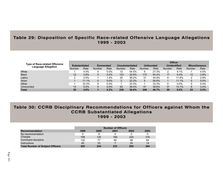# **Table 29: Disposition of Specific Race-related Offensive Language Allegations 1999 - 2003**

| <b>Type of Race-related Offensive</b><br><b>Language Allegation</b> | <b>Substantiated</b> |       | <b>Exonerated</b> |         | <b>Unsubstantiated</b> |       |               | <b>Unfounded</b> | <b>Officer</b><br><b>Unidentified</b> |         | <b>Miscellaneous</b> |         |
|---------------------------------------------------------------------|----------------------|-------|-------------------|---------|------------------------|-------|---------------|------------------|---------------------------------------|---------|----------------------|---------|
|                                                                     | <b>Number</b>        | Rate  | Number            | Rate    | Number                 | Rate  | <b>Number</b> | Rate             | <b>Number</b>                         | Rate    | Number               | Rate    |
| White                                                               |                      | 4.5%  |                   | 0.0%    | 12                     | 54.5% | 6             | 27.3%            | っ                                     | 9.1%    |                      | 4.5%    |
| <b>Black</b>                                                        | 12                   | 3.8%  | 0                 | 0.0%    | 103                    | 32.6% | 172           | 54.4%            | 17                                    | 5.4%    | 12                   | 3.8%    |
| Latino                                                              | ◠                    | 2.9%  |                   | .4%     | 25                     | 36.2% | 31            | 44.9%            | 8                                     | 11.6%   | ົ                    | 2.9%    |
| Asian                                                               |                      | 11.1% |                   | $0.0\%$ | $\overline{2}$         | 22.2% | 5             | 55.6%            |                                       | 11.1%   | 0                    | 0.0%    |
| Other                                                               |                      | 33.3% |                   | $0.0\%$ |                        | 33.3% |               | 33.3%            |                                       | $0.0\%$ |                      | $0.0\%$ |
| Unrecorded                                                          | 13                   | 5.5%  |                   | 0.0%    | 93                     | 39.4% | 91            | 38.6%            | 31                                    | 13.1%   | 8                    | 3.4%    |
| <b>Total</b>                                                        | 30                   | 4.6%  |                   | 0.2%    | 236                    | 36.0% | 306           | 46.7%            | 59                                    | 9.0%    | 23                   | 3.5%    |

**Table 30: CCRB Disciplinary Recommendations for Officers against Whom the CCRB Substantiated Allegations 1999 - 2003**

|                                         | <b>Number of Officers</b> |      |      |      |      |  |  |  |
|-----------------------------------------|---------------------------|------|------|------|------|--|--|--|
| <b>Recommendation</b>                   | 1999                      | 2000 | 2001 | 2002 | 2003 |  |  |  |
| No recommendation                       |                           | 9    |      |      |      |  |  |  |
| Charges                                 | 198                       | 125  | 166  | 225  | 316  |  |  |  |
| Command discipline                      | 122                       | 77   | 60   | 46   | 64   |  |  |  |
| <b>Instructions</b>                     | 45                        | 33   |      | 24   | 14   |  |  |  |
| <b>Total Number of Subject Officers</b> | 365                       | 244  | 233  | 295  | 394  |  |  |  |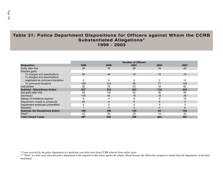# **Table 31: Police Department Dispositions for Officers against Whom the CCRB Substantiated Allegations\* 1999 - 2003**

|                                         |      |      | <b>Number of Officers</b> |      |      |
|-----------------------------------------|------|------|---------------------------|------|------|
| <b>Disposition</b>                      | 1999 | 2000 | 2001                      | 2002 | 2003 |
| Guilty after trial                      | 36   | 75   | 56                        | 16   | 40   |
| Pleaded guilty                          |      |      |                           |      |      |
| To charges and specifications           | 36   | 44   | 14                        | 12   | 19   |
| To charges and specifications           |      |      |                           |      |      |
| negotiated as command discipline        | 0    |      |                           |      | 12   |
| To command discipline                   | 189  | 143  | 80                        | 71   | 109  |
| <b>Instructions</b>                     | 36   | 72   | 53                        | 33   | 62   |
| <b>Subtotal - Disciplinary Action</b>   | 297  | 334  | 203                       | 134  | 242  |
| Not guilty after trial                  | 29   | 130  | 92                        | 30   | 50   |
| <b>Dismissed</b>                        | 104  | 54   | 16                        | 16   | 39   |
| Statute of limitations expired          | 9    |      | 9                         |      | 10   |
| Department unable to prosecute          | 25   | 4    | 8                         | 8    | 3    |
| Department employee unidentified        | 0    | h    |                           |      |      |
| Mediated                                |      |      |                           |      | O    |
| <b>Subtotal: No Disciplinary Action</b> | 168  | 198  | 125                       | 54   | 102  |
| Filed**                                 | 22   | 24   | 20                        | 14   | 23   |
| <b>Total Closed Cases</b>               | 487  | 556  | 348                       | 202  | 367  |

\* Cases resolved by the police department in a particular year often stem from CCRB referrals from earlier years.

<sup>\*\* &</sup>quot;Filed" is a term used when the police department is not required to take action against the subject officer because the officer has resigned or retired from the department, or has been terminated.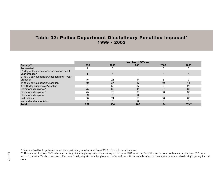#### **Table 32: Police Department Disciplinary Penalties Imposed\* 1999 - 2003**

|                                             | <b>Number of Officers</b> |      |      |      |       |  |  |  |  |
|---------------------------------------------|---------------------------|------|------|------|-------|--|--|--|--|
| Penalty**                                   | 1999                      | 2000 | 2001 | 2002 | 2003  |  |  |  |  |
| Terminated                                  |                           |      |      |      |       |  |  |  |  |
| 31 day or longer suspension/vacation and 1  |                           |      |      |      |       |  |  |  |  |
| year probation                              |                           | 0    |      |      |       |  |  |  |  |
| 21 to 30 day suspension/vacation and 1 year |                           |      |      |      |       |  |  |  |  |
| probation                                   | 15                        | 24   | 14   |      |       |  |  |  |  |
| 11 to 20 day suspension/vacation            | 19                        | 37   | 17   | 10   | 14    |  |  |  |  |
| 1 to 10 day suspension/vacation             | 31                        | 53   | 37   |      | 23    |  |  |  |  |
| Command discipline A                        | 75                        | 65   | 44   | 37   | 88    |  |  |  |  |
| Command discipline B                        | 75                        | 78   | 36   | 36   | 33    |  |  |  |  |
| Command discipline                          | 39                        |      | 0    |      |       |  |  |  |  |
| Instructions                                | 38                        | 74   | 53   | 36   | 68    |  |  |  |  |
| Warned and admonished                       |                           |      |      |      |       |  |  |  |  |
| Total                                       | 297                       | 334  | 203  | 134  | 239** |  |  |  |  |

\* Cases resolved by the police department in a particular year often stem from CCRB referrals from earlier years.

\*\* The number of officers (242) who were the subject of disciplinary action from January to December 2003 shown on Table 31 is not the same as the number of officers (239) who received penalties. This is because one officer was found guilty after trial but given no penalty, and two officers, each the subject of two separate cases, received a single penalty for both cases.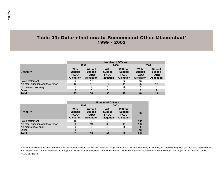#### **Table 33: Determinations to Recommend Other Misconduct\* 1999 - 2003**

|                                    | <b>Number of Officers</b>                                        |                                                                     |                                                                  |                                                                     |                                                                  |                                                                     |  |  |
|------------------------------------|------------------------------------------------------------------|---------------------------------------------------------------------|------------------------------------------------------------------|---------------------------------------------------------------------|------------------------------------------------------------------|---------------------------------------------------------------------|--|--|
|                                    |                                                                  | 1999                                                                |                                                                  | 2000                                                                |                                                                  | 2001                                                                |  |  |
| <b>Category</b>                    | <b>With</b><br><b>Subbed</b><br><b>FADO</b><br><b>Allegation</b> | <b>Without</b><br><b>Subbed</b><br><b>FADO</b><br><b>Allegation</b> | <b>With</b><br><b>Subbed</b><br><b>FADO</b><br><b>Allegation</b> | <b>Without</b><br><b>Subbed</b><br><b>FADO</b><br><b>Allegation</b> | <b>With</b><br><b>Subbed</b><br><b>FADO</b><br><b>Allegation</b> | <b>Without</b><br><b>Subbed</b><br><b>FADO</b><br><b>Allegation</b> |  |  |
| False statement                    | 53                                                               | 17                                                                  | 12                                                               | 6                                                                   | 13                                                               | 5                                                                   |  |  |
| No stop, question and frisk report | 16                                                               | 11                                                                  | 17                                                               | 11                                                                  | 25                                                               | 12                                                                  |  |  |
| No memo book entry                 |                                                                  | ົ                                                                   |                                                                  | 0                                                                   | 0                                                                | 0                                                                   |  |  |
| Other                              | 5                                                                | 6                                                                   | 0                                                                | $\mathcal{P}$                                                       | 2                                                                | 2                                                                   |  |  |
| <b>Total</b>                       | 75                                                               | 36                                                                  | 30                                                               | 19                                                                  | 40                                                               | 19                                                                  |  |  |

|                                    |                                                                  | 2002                                                                | 2003                                                             |                                                                     |              |
|------------------------------------|------------------------------------------------------------------|---------------------------------------------------------------------|------------------------------------------------------------------|---------------------------------------------------------------------|--------------|
| <b>Category</b>                    | <b>With</b><br><b>Subbed</b><br><b>FADO</b><br><b>Allegation</b> | <b>Without</b><br><b>Subbed</b><br><b>FADO</b><br><b>Allegation</b> | <b>With</b><br><b>Subbed</b><br><b>FADO</b><br><b>Allegation</b> | <b>Without</b><br><b>Subbed</b><br><b>FADO</b><br><b>Allegation</b> | <b>Total</b> |
| False statement                    | 15                                                               | 3                                                                   | 3                                                                |                                                                     | 134          |
| No stop, question and frisk report | 28                                                               | 10                                                                  | 35                                                               | 15                                                                  | 180          |
| No memo book entry                 | 0                                                                | 0                                                                   | 0                                                                | 0                                                                   | 4            |
| Other                              | 8                                                                | 3                                                                   | 16                                                               | 4                                                                   | 48           |
| <b>Total</b>                       | 51                                                               | 16                                                                  | 54                                                               | 26                                                                  | 366          |

\* When a determination to recommend other misconduct occurs in a case in which an allegation of force, abuse of authority, discourtesy, or offensive language (FADO) was substantiated, it is categorized as "with subbed FADO allegation." When such an allegation is not substantiated, the determination to recommend other misconduct is categorized as "without subbed FADO allegation."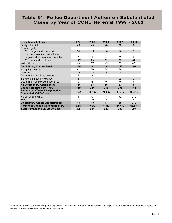# **Table 34: Police Department Action on Substantiated Cases by Year of CCRB Referral 1999 - 2003**

| <b>Disciplinary Actions</b>                                              | 1999     | 2000           | 2001           | 2002     | 2003           |
|--------------------------------------------------------------------------|----------|----------------|----------------|----------|----------------|
| Guilty after trial                                                       | 46       | 25             | 26             | 18       | $\Omega$       |
| Pleaded quilty                                                           |          |                |                |          |                |
| To charges and specifications                                            | 24       | 15             | 10             | 18       | 2              |
| To charges and specifications                                            |          |                |                |          |                |
| negotiated as command discipline                                         | $\Omega$ |                | 4              | 7        | 0              |
| To command discipline                                                    | 117      | 73             | 83             | 65       | 62             |
| Instructions                                                             | 49       | 57             | 43             | 35       | 43             |
| <b>Disciplinary Actions Total</b>                                        | 236      | 171            | 166            | 143      | 107            |
| Not guilty after trial                                                   | 91       | 30             | 25             | 29       | 2              |
| Dismissed                                                                | 16       | 12             | 14             | 28       | 3              |
| Department unable to prosecute                                           |          | 8              | 7              | 4        | 1              |
| Statute of limitations expired                                           | 6        | $\overline{7}$ | $\overline{4}$ | 2        | $\overline{2}$ |
| Department employee unidentified                                         | $\Omega$ | 6              | O              | $\Omega$ | 0              |
| <b>No Disciplinary Action Total</b>                                      | 114      | 63             | 50             | 63       | 8              |
| <b>Cases Completed by NYPD</b>                                           | 350      | 234            | 216            | 206      | 115            |
| <b>Percent of Officers Disciplined in</b><br><b>Completed NYPD Cases</b> | 67.4%    | 73.1%          | 76.9%          | 69.4%    | 93.0%          |
| No action (pending)                                                      |          | $\Omega$       | 3              | 72       | 270            |
| Filed*                                                                   | 14       | 10             | 14             | 17       | 9              |
| <b>Disciplinary Action Undetermined</b>                                  | 15       | 10             | 17             | 89       | 279            |
| <b>Percent of Cases Still Pending at PD</b>                              | 0.3%     | $0.0\%$        | 1.3%           | 24.4%    | 68.5%          |
| <b>Total Number of Subject Officers</b>                                  | 365      | 244            | 233            | 295      | 394            |

\* "Filed" is a term used when the police department is not required to take action against the subject officer because the officer has resigned or retired from the department, or has been terminated.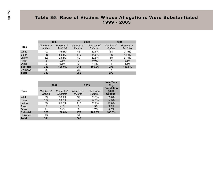# <sub>দু</sub><br>ৢ Table 35: Race of Victims Whose Allegations Were Substantiated **1999 - 2003**

|                 |                             | 1999                   |                             | 2000                   | 2001                        |                        |  |
|-----------------|-----------------------------|------------------------|-----------------------------|------------------------|-----------------------------|------------------------|--|
| Race            | Number of<br><b>Victims</b> | Percent of<br>Subtotal | Number of<br><b>Victims</b> | Percent of<br>Subtotal | Number of<br><b>Victims</b> | Percent of<br>Subtotal |  |
| White           | 42                          | 16.6%                  | 45                          | 20.6%                  | 58                          | 21.5%                  |  |
| <b>Black</b>    | 138                         | 54.5%                  | 119                         | 54.6%                  | 116                         | 43.0%                  |  |
| Latino          | 62                          | 24.5%                  | 49                          | 22.5%                  | 85                          | 31.5%                  |  |
| Asian           | 2                           | 0.8%                   | 2                           | 0.9%                   |                             | 2.6%                   |  |
| Other           | 9                           | 3.6%                   | 3                           | 1.4%                   | 4                           | 1.5%                   |  |
| <b>Subtotal</b> | 253                         | 100.0%                 | 218                         | 100.0%                 | 270                         | 100.0%                 |  |
| Unknown         | 86                          |                        | 38                          |                        |                             |                        |  |
| <b>Total</b>    | 339                         |                        | 256                         |                        | 277                         |                        |  |

|                 |                             | 2002                   |                             | 2003                   | <b>New York</b><br>City                |
|-----------------|-----------------------------|------------------------|-----------------------------|------------------------|----------------------------------------|
| Race            | Number of<br><b>Victims</b> | Percent of<br>Subtotal | Number of<br><b>Victims</b> | Percent of<br>Subtotal | <b>Population</b><br>(2000)<br>Census) |
| White           | 59                          | 18.1%                  | 97                          | 20.5%                  | 35.0%                                  |
| <b>Black</b>    | 164                         | 50.3%                  | 249                         | 52.6%                  | 24.5%                                  |
| Latino          | 83                          | 25.5%                  | 113                         | 23.9%                  | 27.0%                                  |
| Asian           | 9                           | 2.8%                   | 6                           | 1.3%                   | 9.8%                                   |
| Other           | 11                          | 3.4%                   | 8                           | $1.7\%$                | 3.7%                                   |
| <b>Subtotal</b> | 326                         | 100.0%                 | 473                         | 100.0%                 | 100.0%                                 |
| Unknown         | 15                          |                        | 34                          |                        |                                        |
| <b>Total</b>    | 341                         |                        | 507                         |                        |                                        |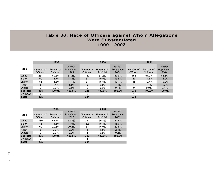# **Table 36: Race of Officers against Whom Allegations Were Substantiated 1999 - 2003**

|                 |                              | 1999                   |                                   |                              | 2000                   |                                   | 2001                         |                        |                                   |
|-----------------|------------------------------|------------------------|-----------------------------------|------------------------------|------------------------|-----------------------------------|------------------------------|------------------------|-----------------------------------|
| Race            | Number of<br><b>Officers</b> | Percent of<br>Subtotal | <b>NYPD</b><br>Population<br>1999 | Number of<br><b>Officers</b> | Percent of<br>Subtotal | <b>NYPD</b><br>Population<br>2000 | Number of<br><b>Officers</b> | Percent of<br>Subtotal | <b>NYPD</b><br>Population<br>2001 |
| White           | 254                          | 69.6%                  | 67.2%                             | 160                          | 67.2%                  | 67.9%                             | 156                          | 67.2%                  | 64.8%                             |
| <b>Black</b>    | 50                           | 13.7%                  | 13.4%                             | 37                           | 15.5%                  | 13.5%                             | 27                           | 11.6%                  | 14.0%                             |
| Latino          | 56                           | 15.3%                  | 17.7%                             | 37                           | 15.5%                  | 17.1%                             | 45                           | 19.4%                  | 19.2%                             |
| Asian           | 5                            | 1.4%                   | 1.6%                              | $\mathcal{P}$                | 0.8%                   | 1.4%                              | $\overline{4}$               | 1.7%                   | 1.9%                              |
| <b>Others</b>   | 0                            | $0.0\%$                | 0.1%                              | $\mathcal{P}$                | 0.8%                   | 0.1%                              | 0                            | $0.0\%$                | 0.1%                              |
| <b>Subtotal</b> | 365                          | 100.0%                 | 100.0%                            | 238                          | 100.0%                 | 100.0%                            | 232                          | 100.0%                 | 100.0%                            |
| <b>Unknown</b>  | $\Omega$                     |                        |                                   | 6                            |                        |                                   |                              |                        |                                   |
| <b>Total</b>    | 365                          |                        |                                   | 244                          |                        |                                   | 233                          |                        |                                   |

|                 |                              | 2002                   |                    | 2003                         |                        |                    |  |  |
|-----------------|------------------------------|------------------------|--------------------|------------------------------|------------------------|--------------------|--|--|
|                 |                              |                        | <b>NYPD</b>        |                              |                        | <b>NYPD</b>        |  |  |
| Race            | Number of<br><b>Officers</b> | Percent of<br>Subtotal | Population<br>2002 | Number of<br><b>Officers</b> | Percent of<br>Subtotal | Population<br>2003 |  |  |
| White           | 186                          | 63.1%                  | 62.8%              | 261                          | 66.4%                  | 61.6%              |  |  |
| <b>Black</b>    | 43                           | 14.6%                  | 14.6%              | 62                           | 15.8%                  | 15.0%              |  |  |
| Latino          | 60                           | 20.3%                  | 20.2%              | 63                           | 16.0%                  | 20.8%              |  |  |
| Asian           | 6                            | 2.0%                   | 2.2%               | 6                            | 1.5%                   | 2.4%               |  |  |
| <b>Others</b>   | 0                            | $0.0\%$                | 0.2%               | 4                            | 0.3%                   | 0.2%               |  |  |
| <b>Subtotal</b> | 295                          | 100.0%                 | 100.0%             | 393                          | 100.0%                 | 100.0%             |  |  |
| Unknown         | 0                            |                        |                    |                              |                        |                    |  |  |
| <b>Total</b>    | 295                          |                        |                    | 394                          |                        |                    |  |  |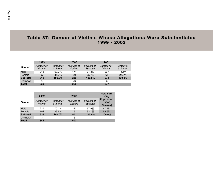# **Table 37: Gender of Victims Whose Allegations Were Substantiated 1999 - 2003**

|                 | 1999                        |                        | 2000                        |                        | 2001                        |                        |  |  |
|-----------------|-----------------------------|------------------------|-----------------------------|------------------------|-----------------------------|------------------------|--|--|
| Gender          | Number of<br><b>Victims</b> | Percent of<br>Subtotal | Number of<br><b>Victims</b> | Percent of<br>Subtotal | Number of<br><b>Victims</b> | Percent of<br>Subtotal |  |  |
| Male            | 216                         | 69.0%                  | 171                         | 74.3%                  | 207                         | 75.5%                  |  |  |
| Female          | 97                          | 31.0%                  | 59                          | 25.7%                  | 67                          | 24.5%                  |  |  |
| <b>Subtotal</b> | 313                         | 100.0%                 | 230                         | 100.0%                 | 274                         | 100.0%                 |  |  |
| <b>Unknown</b>  | 26                          |                        | 26                          |                        | 3                           |                        |  |  |
| <b>Total</b>    | 339                         |                        | 256                         |                        | 277                         |                        |  |  |

|                 | 2002                        |                        | 2003                        |                        | <b>New York</b><br>City                |
|-----------------|-----------------------------|------------------------|-----------------------------|------------------------|----------------------------------------|
| Gender          | Number of<br><b>Victims</b> | Percent of<br>Subtotal | Number of<br><b>Victims</b> | Percent of<br>Subtotal | <b>Population</b><br>(2000)<br>Census) |
| Male            | 237                         | 70.1%                  | 340                         | 67.9%                  | 47.4%                                  |
| Female          | 101                         | 29.9%                  | 161                         | 32.1%                  | 52.6%                                  |
| <b>Subtotal</b> | 338                         | 100.0%                 | 501                         | 100.0%                 | 100.0%                                 |
| Unknown         | 3                           |                        | 6                           |                        |                                        |
| <b>Total</b>    | 341                         |                        | 507                         |                        |                                        |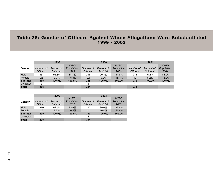# **Table 38: Gender of Officers Against Whom Allegations Were Substantiated 1999 - 2003**

|                 |                              | 1999                   |                                   |                              | 2000                   |                                          | 2001                         |                        |                                   |  |
|-----------------|------------------------------|------------------------|-----------------------------------|------------------------------|------------------------|------------------------------------------|------------------------------|------------------------|-----------------------------------|--|
| Gender          | Number of<br><b>Officers</b> | Percent of<br>Subtotal | <b>NYPD</b><br>Population<br>1999 | Number of<br><b>Officers</b> | Percent of<br>Subtotal | <b>NYPD</b><br>Population<br><b>2000</b> | Number of<br><b>Officers</b> | Percent of<br>Subtotal | <b>NYPD</b><br>Population<br>2001 |  |
| Male            | 337                          | 92.3%                  | 84.7%                             | 216                          | 90.8%                  | 84.9%                                    | 213                          | 91.8%                  | 84.0%                             |  |
| Female          | 28                           | 7.7%                   | 15.3%                             | 22                           | 9.2%                   | 15.1%                                    | 19                           | 8.2%                   | 16.0%                             |  |
| <b>Subtotal</b> | 365                          | 100.0%                 | 100.0%                            | 238                          | 100.0%                 | 100.0%                                   | 232                          | 100.0%                 | 100.0%                            |  |
| Unknown         | 0                            |                        |                                   | 6                            |                        |                                          |                              |                        |                                   |  |
| <b>Total</b>    | 365                          |                        |                                   | 244                          |                        |                                          | 233                          |                        |                                   |  |

|                 |                 | 2002       |             | 2003            |            |             |  |  |  |
|-----------------|-----------------|------------|-------------|-----------------|------------|-------------|--|--|--|
|                 |                 |            | <b>NYPD</b> |                 |            | <b>NYPD</b> |  |  |  |
| Gender          | Number of       | Percent of | Population  | Number of       | Percent of | Population  |  |  |  |
|                 | <b>Officers</b> | Subtotal   | 2002        | <b>Officers</b> | Subtotal   | 2003        |  |  |  |
| Male            | 270             | 91.5%      | 83.6%       | 352             | 89.6%      | 83.4%       |  |  |  |
| Female          | 25              | 8.5%       | 16.4%       | 41              | 10.4%      | 16.6%       |  |  |  |
| <b>Subtotal</b> | 295             | 100.0%     | 100.0%      | 393             | 100.0%     | 100.0%      |  |  |  |
| Unknown         | 0               |            |             |                 |            |             |  |  |  |
| <b>Total</b>    | 295             |            |             | 394             |            |             |  |  |  |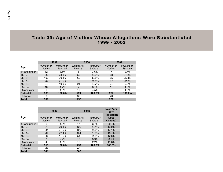# **Table 39: Age of Victims Whose Allegations Were Substantiated 1999 - 2003**

|                 |                             | 1999                   |                             | 2000                   |                             | 2001                   |  |  |
|-----------------|-----------------------------|------------------------|-----------------------------|------------------------|-----------------------------|------------------------|--|--|
| Age             | Number of<br><b>Victims</b> | Percent of<br>Subtotal | Number of<br><b>Victims</b> | Percent of<br>Subtotal | Number of<br><b>Victims</b> | Percent of<br>Subtotal |  |  |
| 14 and under    | 12                          | 3.5%                   | 8                           | 3.6%                   | 7                           | 2.7%                   |  |  |
| $15 - 24$       | 96                          | 28.3%                  | 58                          | 25.9%                  | 88                          | 34.2%                  |  |  |
| $25 - 34$       | 102                         | 30.1%                  | 69                          | 30.8%                  | 65                          | 25.3%                  |  |  |
| $35 - 44$       | 73                          | 21.5%                  | 48                          | 21.4%                  | 57                          | 22.2%                  |  |  |
| $45 - 54$       | 34                          | 10.0%                  | 24                          | 10.7%                  | 24                          | 9.3%                   |  |  |
| $55 - 64$       | 16                          | 4.7%                   | 7                           | 3.1%                   | 11                          | 4.3%                   |  |  |
| 65 and over     | 6                           | 1.8%                   | 10                          | 4.5%                   | 5                           | 1.9%                   |  |  |
| <b>Subtotal</b> | 339                         | 100.0%                 | 224                         | 100.0%                 | 257                         | 100.0%                 |  |  |
| Unknown         | $\Omega$                    |                        | 32                          |                        | 20                          |                        |  |  |
| <b>Total</b>    | 339                         |                        | 256                         |                        | 277                         |                        |  |  |

|                 |                             | 2002                   |                             | 2003                   |                                        |  |  |  |
|-----------------|-----------------------------|------------------------|-----------------------------|------------------------|----------------------------------------|--|--|--|
| Age             | Number of<br><b>Victims</b> | Percent of<br>Subtotal | Number of<br><b>Victims</b> | Percent of<br>Subtotal | <b>Population</b><br>(2000)<br>Census) |  |  |  |
| 14 and under    | 6                           | 1.9%                   | 17                          | 3.7%                   | 20.4%                                  |  |  |  |
| $15 - 24$       | 91                          | 29.1%                  | 129                         | 28.1%                  | 13.9%                                  |  |  |  |
| $25 - 34$       | 99                          | 31.6%                  | 100                         | 21.8%                  | 17.1%                                  |  |  |  |
| $35 - 44$       | 70                          | 22.4%                  | 131                         | 28.5%                  | 15.7%                                  |  |  |  |
| $45 - 54$       | 36                          | 11.5%                  | 54                          | 11.8%                  | 12.6%                                  |  |  |  |
| $55 - 64$       | 7                           | 2.2%                   | 18                          | 3.9%                   | 8.5%                                   |  |  |  |
| 65 and over     | 4                           | 1.3%                   | 10                          | 2.2%                   | 11.8%                                  |  |  |  |
| <b>Subtotal</b> | 313                         | 100.0%                 | 459                         | 100.0%                 | 100.0%                                 |  |  |  |
| <b>Unknown</b>  | 28                          |                        | 48                          |                        |                                        |  |  |  |
| <b>Total</b>    | 341                         |                        | 507                         |                        |                                        |  |  |  |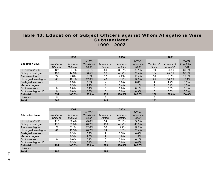# **Table 40: Education of Subject Officers against Whom Allegations Were Substantiated 1999 - 2003**

|                        | 1999                         |                        |                    |                              | 2000                   |                    |                              | 2001                   |                           |
|------------------------|------------------------------|------------------------|--------------------|------------------------------|------------------------|--------------------|------------------------------|------------------------|---------------------------|
|                        |                              |                        | <b>NYPD</b>        |                              |                        | <b>NYPD</b>        |                              |                        | <b>NYPD</b>               |
| <b>Education Level</b> | Number of<br><b>Officers</b> | Percent of<br>Subtotal | Population<br>1999 | Number of<br><b>Officers</b> | Percent of<br>Subtotal | Population<br>2000 | Number of<br><b>Officers</b> | Percent of<br>Subtotal | <b>Population</b><br>2001 |
| HS diploma/GED         | 123                          | 34.7%                  | 34.1%              | 80                           | 33.9%                  | 33.1%              | 80                           | 34.8%                  | 30.2%                     |
| College - no degree    | 159                          | 44.9%                  | 36.5%              | 96                           | 40.7%                  | 36.4%              | 104                          | 45.2%                  | 38.8%                     |
| Associate degree       | 27                           | 7.6%                   | 9.8%               | 17                           | $7.2\%$                | 10.4%              | 16                           | $7.0\%$                | 10.9%                     |
| Undergraduate degree   | 43                           | 12.1%                  | 17.3%              | 40                           | 16.9%                  | 17.8%              | 25                           | 10.9%                  | 18.1%                     |
| Post-graduate work     |                              | 0.3%                   | 0.8%               | 2                            | 0.8%                   | 0.8%               | 4                            | $1.7\%$                | 0.6%                      |
| Master's degree        |                              | 0.3%                   | 1.1%               |                              | 0.4%                   | 1.1%               |                              | 0.4%                   | 1.0%                      |
| Doctorate work         | 0                            | $0.0\%$                | 0.1%               | 0                            | $0.0\%$                | 0.1%               | 0                            | $0.0\%$                | 0.1%                      |
| Doctorate degree/JD    | $\Omega$                     | $0.0\%$                | 0.3%               | $\Omega$                     | $0.0\%$                | 0.3%               | $\Omega$                     | $0.0\%$                | 0.3%                      |
| <b>Subtotal</b>        | 354                          | 100.0%                 | 100.0%             | 236                          | 100.0%                 | 100.0%             | 230                          | 100.0%                 | 100.0%                    |
| <b>Unknown</b>         | 11                           |                        |                    | 8                            |                        |                    | 3                            |                        |                           |
| <b>Total</b>           | 365                          |                        |                    | 244                          |                        |                    | 233                          |                        |                           |

|                        |                              | 2002                   |                    | 2003                         |                        |                    |  |  |
|------------------------|------------------------------|------------------------|--------------------|------------------------------|------------------------|--------------------|--|--|
|                        |                              |                        | <b>NYPD</b>        |                              |                        | <b>NYPD</b>        |  |  |
| <b>Education Level</b> | Number of<br><b>Officers</b> | Percent of<br>Subtotal | Population<br>2002 | Number of<br><b>Officers</b> | Percent of<br>Subtotal | Population<br>2003 |  |  |
| HS diploma/GED         | 113                          | 38.4%                  | 23.8%              | 94                           | 23.9%                  | 22.5%              |  |  |
| College - no degree    | 116                          | 39.5%                  | 40.2%              | 166                          | 42.2%                  | 40.8%              |  |  |
| Associate degree       | 21                           | $7.1\%$                | 12.6%              | 50                           | 12.7%                  | 12.7%              |  |  |
| Undergraduate degree   | 41                           | 13.9%                  | 20.7%              | 74                           | 18.8%                  | 21.4%              |  |  |
| Post-graduate work     | 1                            | 0.3%                   | 0.7%               | $\mathfrak{p}$               | 0.5%                   | 0.6%               |  |  |
| Master's degree        |                              | 0.3%                   | 1.5%               | 7                            | 1.8%                   | 1.5%               |  |  |
| Doctorate work         | 0                            | $0.0\%$                | 0.1%               | 0                            | $0.0\%$                | 0.1%               |  |  |
| Doctorate degree/JD    |                              | 0.3%                   | $0.4\%$            | $\Omega$                     | $0.0\%$                | $0.4\%$            |  |  |
| <b>Subtotal</b>        | 294                          | 100.0%                 | 100.0%             | 393                          | $100.0\%$              | 100.0%             |  |  |
| <b>Unknown</b>         |                              |                        |                    |                              |                        |                    |  |  |
| <b>Total</b>           | 295                          |                        |                    | 394                          |                        |                    |  |  |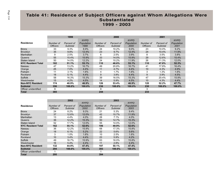# Page 114 **Table 41: Residence of Subject Officers against Whom Allegations Were Substantiated Substantiated 1999 - 2003**

|                      | 1999            |            |             |                 | 2000       |             |                 | 2001       |             |
|----------------------|-----------------|------------|-------------|-----------------|------------|-------------|-----------------|------------|-------------|
|                      |                 |            | <b>NYPD</b> |                 |            | <b>NYPD</b> |                 |            | <b>NYPD</b> |
| Residence            | Number of       | Percent of | Population  | Number of       | Percent of | Population  | Number of       | Percent of | Population  |
|                      | <b>Officers</b> | Subtotal   | 1999        | <b>Officers</b> | Subtotal   | <b>2000</b> | <b>Officers</b> | Subtotal   | 2001        |
| Bronx                | 33              | 9.3%       | 8.9%        | 24              | 10.2%      | 9.0%        | 23              | 10.0%      | 9.2%        |
| <b>Brooklyn</b>      | 35              | 9.8%       | 12.4%       | 23              | 9.7%       | 12.4%       | 24              | 10.4%      | 11.9%       |
| Manhattan            | 9               | 2.5%       | 3.7%        | 6               | 2.5%       | 3.9%        | 8               | 3.5%       | 3.8%        |
| Queens               | 55              | 15.4%      | 15.9%       | 33              | 14.0%      | 15.9%       | 29              | 12.6%      | 15.4%       |
| Staten Island        | 50              | 14.0%      | 12.2%       | 24              | 10.2%      | 11.9%       | 26              | 11.3%      | 12.0%       |
| NYC Resident Total   | 182             | 51.1%      | 53.1%       | 110             | 46.6%      | 53.1%       | 110             | 47.8%      | 52.3%       |
| Nassau               | 47              | 13.2%      | 16.7%       | 49              | 20.8%      | 16.7%       | 41              | 17.8%      | 16.4%       |
| Orange               | 25              | 7.0%       | 4.4%        | 11              | 4.7%       | 4.4%        | 10              | 4.3%       | 4.9%        |
| Putnam               | 11              | $3.1\%$    | 1.6%        | 4               | 1.7%       | 1.6%        | 3               | 1.3%       | 1.6%        |
| Rockland             | 18              | 5.1%       | 4.4%        | 9               | 3.8%       | 4.4%        | 9               | 3.9%       | 4.5%        |
| Suffolk              | 58              | 16.3%      | 15.3%       | 39              | 16.5%      | 15.3%       | 47              | 20.4%      | 15.9%       |
| Westchester          | 15              | 4.2%       | 4.5%        | 14              | 5.9%       | 4.5%        | 10              | 4.3%       | 4.4%        |
| Non-NYC Resident     | 174             | 48.9%      | 46.9%       | 126             | 53.4%      | 46.9%       | 120             | 52.2%      | 47.7%       |
| Subtotal             | 356             | 100.0%     | 100.0%      | 236             | 100.0%     | 100.0%      | 230             | 100.0%     | 100.0%      |
| Officer unidentified | 9               |            |             | 8               |            |             | 3               |            |             |
| Total                | 365             |            |             | 244             |            |             | 233             |            |             |
|                      |                 |            |             |                 |            |             |                 |            |             |

|                           |                              | 2003                   |                    |                              |                        |                    |
|---------------------------|------------------------------|------------------------|--------------------|------------------------------|------------------------|--------------------|
|                           |                              |                        | <b>NYPD</b>        |                              |                        | <b>NYPD</b>        |
| <b>Residence</b>          | Number of<br><b>Officers</b> | Percent of<br>Subtotal | Population<br>2002 | Number of<br><b>Officers</b> | Percent of<br>Subtotal | Population<br>2003 |
| <b>Bronx</b>              | 24                           | 8.2%                   | 9.3%               | 21                           | 5.3%                   | 9.4%               |
| <b>Brooklyn</b>           | 37                           | 12.6%                  | 12.0%              | 42                           | 10.7%                  | 11.9%              |
| Manhattan                 | 13                           | 4.4%                   | 4.0%               | 28                           | 7.1%                   | 4.0%               |
| Queens                    | 36                           | 12.2%                  | 15.3%              | 50                           | 12.7%                  | 15.3%              |
| Staten Island             | 52                           | 17.7%                  | 12.0%              | 55                           | 14.0%                  | 12.0%              |
| <b>NYC Resident Total</b> | 162                          | 55.1%                  | 52.6%              | 196                          | 49.9%                  | 52.6%              |
| Nassau                    | 36                           | 12.2%                  | 15.9%              | 68                           | 17.3%                  | 15.8%              |
| Orange                    | 18                           | 6.1%                   | 5.2%               | 22                           | 5.6%                   | 5.6%               |
| Putnam                    | 3                            | 1.0%                   | 1.6%               | 10                           | 2.5%                   | 1.6%               |
| Rockland                  | 10                           | 3.4%                   | 4.4%               | 23                           | 5.9%                   | 4.2%               |
| <b>Suffolk</b>            | 49                           | 16.7%                  | 15.9%              | 63                           | 16.0%                  | 15.8%              |
| Westchester               | 16                           | 5.4%                   | 4.4%               | 11                           | 2.8%                   | 4.4%               |
| <b>Non-NYC Resident</b>   | 132                          | 44.9%                  | 47.4%              | 197                          | 50.1%                  | 47.4%              |
| <b>Subtotal</b>           | 294                          | 100.0%                 | 100.0%             | 393                          | 100.0%                 | 100.0%             |
| Officer unidentified      |                              |                        |                    |                              |                        |                    |
| Total                     | 295                          |                        |                    | 394                          |                        |                    |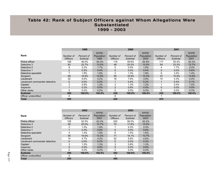# **Table 42: Rank of Subject Officers against Whom Allegations Were Substantiated 1999 - 2003**

|                                | 1999                         |                        |                                   |                              | 2000                   |                                          | 2001                         |                        |                                   |
|--------------------------------|------------------------------|------------------------|-----------------------------------|------------------------------|------------------------|------------------------------------------|------------------------------|------------------------|-----------------------------------|
| Rank                           | Number of<br><b>Officers</b> | Percent of<br>Subtotal | <b>NYPD</b><br>Population<br>1999 | Number of<br><b>Officers</b> | Percent of<br>Subtotal | <b>NYPD</b><br>Population<br><b>2000</b> | Number of<br><b>Officers</b> | Percent of<br>Subtotal | <b>NYPD</b><br>Population<br>2001 |
| Police officer                 | 168                          | 46.0%                  | 64.0%                             | 118                          | 49.6%                  | 64.9%                                    | 117                          | 50.4%                  | 63.3%                             |
| Detective 3                    | 83                           | 22.7%                  | 13.0%                             | 48                           | 20.2%                  | 13.0%                                    | 54                           | 23.3%                  | 12.7%                             |
| Detective 2                    | 8                            | 2.2%                   | 1.7%                              | 0                            | $0.0\%$                | 1.6%                                     | 4                            | 1.7%                   | 2.0%                              |
| Detective 1                    | $\overline{2}$               | 0.5%                   | 0.4%                              | $\Omega$                     | $0.0\%$                | 0.4%                                     | $\Omega$                     | 0.0%                   | 0.6%                              |
| Detective specialist           | –                            | 1.9%                   | 1.8%                              | 3                            | 1.3%                   | 1.8%                                     | 8                            | $3.4\%$                | 1.4%                              |
| Sergeant                       | 69                           | 18.9%                  | 12.8%                             | 45                           | 18.9%                  | 12.3%                                    | 37                           | 15.9%                  | 13.6%                             |
| Lieutenant                     | 24                           | 6.6%                   | 4.2%                              | 18                           | 7.6%                   | 3.9%                                     | 10                           | 4.3%                   | 4.0%                              |
| Lieutenant commander detective | $\mathbf 0$                  | 0.0%                   | 0.2%                              |                              | 0.4%                   | 0.2%                                     |                              | 0.4%                   | 0.1%                              |
| Captain                        | 3                            | 0.8%                   | 1.2%                              | 3                            | $1.3\%$                | 1.2%                                     |                              | 0.4%                   | 1.5%                              |
| Inspector                      |                              | 0.3%                   | 0.5%                              | 2                            | 0.8%                   | 0.5%                                     | $\Omega$                     | 0.0%                   | 0.5%                              |
| Other ranks                    | $\mathbf{0}$                 | 0.0%                   | 0.2%                              | $\Omega$                     | $0.0\%$                | 0.2%                                     |                              | $0.0\%$                | 0.3%                              |
| <b>Subtotal</b>                | 365                          | 100.0%                 | 100.0%                            | 238                          | 100.0%                 | 100.0%                                   | 232                          | 100.0%                 | 100.0%                            |
| Officer unidentified           | $\mathbf 0$                  |                        |                                   | 6                            |                        |                                          |                              |                        |                                   |
| Total                          | 365                          |                        |                                   | 244                          |                        |                                          | 233                          |                        |                                   |

|                                |                 | 2002       |             |                 | 2003       |             |  |  |
|--------------------------------|-----------------|------------|-------------|-----------------|------------|-------------|--|--|
|                                |                 |            | <b>NYPD</b> |                 |            | <b>NYPD</b> |  |  |
| Rank                           | Number of       | Percent of | Population  | Number of       | Percent of | Population  |  |  |
|                                | <b>Officers</b> | Subtotal   | 2002        | <b>Officers</b> | Subtotal   | 2003        |  |  |
| Police officer                 | 155             | 52.5%      | 63.3%       | 220             | 56.0%      | 62.2%       |  |  |
| Detective 3                    | 59              | 20.0%      | 12.7%       | 70              | 17.8%      | 13.0%       |  |  |
| Detective 2                    | 3               | 1.0%       | 1.9%        |                 | 0.3%       | 2.0%        |  |  |
| Detective 1                    |                 | 0.3%       | 0.6%        | $\Omega$        | 0.0%       | 0.6%        |  |  |
| Detective specialist           | 4               | 1.4%       | 1.8%        | 6               | 1.5%       | 1.6%        |  |  |
| Sergeant                       | 56              | 19.0%      | 13.2%       | 71              | 18.1%      | 13.7%       |  |  |
| Lieutenant                     | 14              | 4.7%       | 4.2%        | 22              | 5.6%       | 4.6%        |  |  |
| Lieutenant commander detective | 0               | $0.0\%$    | 0.2%        | $\mathbf{0}$    | 0.0%       | 0.2%        |  |  |
| Captain                        | 3               | 1.0%       | 1.3%        | 3               | 0.8%       | 1.3%        |  |  |
| Inspector                      | 0               | 0.0%       | 0.6%        | $\mathbf{0}$    | 0.0%       | 0.6%        |  |  |
| Other ranks                    | 0               | $0.0\%$    | 0.2%        | $\Omega$        | $0.0\%$    | 0.2%        |  |  |
| <b>Subtotal</b>                | 295             | 100.0%     | 100.0%      | 393             | 100.0%     | 100.0%      |  |  |
| Officer unidentified           | 0               |            |             |                 |            |             |  |  |
| <b>Total</b>                   | 295             |            |             | 394             |            |             |  |  |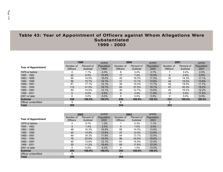# **Table 43: Year of Appointment of Officers against Whom Allegations Were Substantiated 1999 - 2003**

|                            |                              | 1999                   | <b>NYPD</b>               |                              | 2000                   | <b>NYPD</b>        |                              | 2001                   | <b>NYPD</b>        |
|----------------------------|------------------------------|------------------------|---------------------------|------------------------------|------------------------|--------------------|------------------------------|------------------------|--------------------|
| <b>Year of Appointment</b> | Number of<br><b>Officers</b> | Percent of<br>Subtotal | <b>Population</b><br>1999 | Number of<br><b>Officers</b> | Percent of<br>Subtotal | Population<br>2000 | Number of<br><b>Officers</b> | Percent of<br>Subtotal | Population<br>2001 |
| 1979 or before             | 4                            | $1.1\%$                | 4.0%                      | 8                            | 3.4%                   | 3.7%               |                              | 0.4%                   | 2.0%               |
| 1980 - 1982                | 23                           | 6.5%                   | 10.4%                     | 17                           | 7.2%                   | 10.0%              | 6                            | 2.6%                   | 6.8%               |
| 1983 - 1985                | 50                           | 14.0%                  | 18.0%                     | 43                           | 18.2%                  | 17.3%              | 33                           | 14.3%                  | 17.1%              |
| 1986 - 1988                | 56                           | 15.7%                  | 14.1%                     | 31                           | 13.1%                  | 13.6%              | 44                           | 19.0%                  | 13.6%              |
| 1989 - 1991                | 61                           | 17.1%                  | 12.1%                     | 34                           | 14.4%                  | 11.7%              | 45                           | 19.5%                  | 11.7%              |
| 1992 - 1994                | 112                          | 31.5%                  | 19.7%                     | 65                           | 27.5%                  | 19.1%              | 47                           | 20.3%                  | 19.2%              |
| 1995 - 1997                | 50                           | 14.0%                  | 13.1%                     | 30                           | 12.7%                  | 12.6%              | 42                           | 18.2%                  | 12.2%              |
| 1998 - 2001                | 0                            | $0.0\%$                | 8.5%                      | 8                            | 3.4%                   | 11.9%              | 13                           | 5.6%                   | 17.4%              |
| 2001 or later              | 0                            | $0.0\%$                | $0.0\%$                   | 0                            | $0.0\%$                | $0.0\%$            | $\Omega$                     | $0.0\%$                | $0.0\%$            |
| <b>Subtotal</b>            | 356                          | 100.0%                 | 100.0%                    | 236                          | 100.0%                 | 100.0%             | 231                          | 100.0%                 | 100.0%             |
| Officer unidentified       | 9                            |                        |                           | 8                            |                        |                    | າ                            |                        |                    |
| <b>Total</b>               | 365                          |                        |                           | 244                          |                        |                    | 233                          |                        |                    |

|                            |                 | 2002       | <b>NYPD</b> |                 | 2003       | <b>NYPD</b> |
|----------------------------|-----------------|------------|-------------|-----------------|------------|-------------|
|                            | Number of       | Percent of | Population  | Number of       | Percent of | Population  |
| <b>Year of Appointment</b> | <b>Officers</b> | Subtotal   | 2002        | <b>Officers</b> | Subtotal   | 2003        |
| 1979 or before             | 2               | $0.7\%$    | 1.2%        |                 | 0.3%       | 1.1%        |
| 1980 - 1982                | $\overline{4}$  | 1.4%       | 2.3%        | 4               | 1.0%       | 2.0%        |
| 1983 - 1985                | 48              | 16.3%      | 16.8%       | 55              | 14.0%      | 13.6%       |
| 1986 - 1988                | 44              | 14.9%      | 13.8%       | 47              | 12.0%      | 13.9%       |
| 1989 - 1991                | 48              | 16.3%      | 11.8%       | 54              | 13.7%      | 12.0%       |
| 1992 - 1994                | 76              | 25.8%      | 19.4%       | 98              | 24.9%      | 19.6%       |
| 1995 - 1997                | 40              | 13.6%      | 12.1%       | 61              | 15.5%      | 12.4%       |
| 1998 - 2001                | 33              | 11.2%      | 16.4%       | 69              | 17.6%      | 12.5%       |
| 2001 or later              | $\Omega$        | $0.0\%$    | 6.2%        | 4               | $1.0\%$    | 13.0%       |
| <b>Subtotal</b>            | 295             | 100.0%     | 100.0%      | 393             | $100.0\%$  | 100.0%      |
| Officer unidentified       | 0               |            |             |                 |            |             |
| <b>Total</b>               | 295             |            |             | 394             |            |             |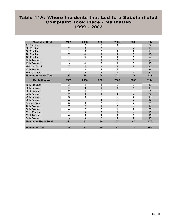#### **Table 44A: Where Incidents that Led to a Substantiated Complaint Took Place - Manhattan 1999 - 2003**

| <b>Manhattan South</b>       | 1999           | 2000           | 2001           | 2002            | 2003           | <b>Total</b>   |
|------------------------------|----------------|----------------|----------------|-----------------|----------------|----------------|
| 1st Precinct                 | 1              | 2              | 2              |                 | 3              | 9              |
| 5th Precinct                 | 2              | 3              | 3              | $\mathbf 0$     | $\overline{2}$ | 10             |
| 6th Precinct                 | $\overline{c}$ | 5              | 0              | $\overline{c}$  | $\overline{2}$ | 11             |
| <b>7th Precinct</b>          | $\overline{7}$ | $\overline{4}$ | 1              | 1               | $\mathbf 0$    | 13             |
| 9th Precinct                 | 1              | 0              | 3              |                 | 3              | 8              |
| 10th Precinct                | $\overline{2}$ | 1              | 1              | $\mathbf 0$     | $\mathbf 0$    | 4              |
| 13th Precinct                | 3              | 4              | 2              |                 | 3              | 13             |
| <b>Midtown South</b>         | $\overline{7}$ | 4              | 8              | $\overline{7}$  | 9              | 35             |
| 17th Precinct                | 1              | 0              | 2              | 2               |                | 6              |
| <b>Midtown North</b>         | 3              | 6              | $\overline{2}$ | $6\phantom{1}6$ | 7              | 24             |
| <b>Manhattan South Total</b> | 29             | 29             | 24             | 21              | 30             | 133            |
| <b>Manhattan North</b>       | 1999           | 2000           | 2001           | 2002            | 2003           | <b>Total</b>   |
| 19th Precinct                | 3              | 4              | 1              | $\overline{2}$  | $\overline{2}$ | 12             |
| 20th Precinct                | $\overline{4}$ | $\overline{0}$ | $\mathbf 1$    | $\mathbf{1}$    | 4              | 10             |
| 23rd Precinct                | $\overline{2}$ | 4              | 3              | 3               | 9              | 21             |
| 24th Precinct                | $\overline{2}$ | 0              | 1              | $\overline{4}$  | $\overline{2}$ | 9              |
| 25th Precinct                | 3              | 3              | 3              | $\overline{2}$  | 4              | 15             |
| 26th Precinct                | 4              | 1              | 4              | 3               | $\overline{2}$ | 14             |
| <b>Central Park</b>          | 0              | 0              | 0              | $\Omega$        | $\overline{2}$ | $\overline{2}$ |
| 28th Precinct                | 7              | $\overline{2}$ | 1              | $\mathbf 0$     | 4              | 14             |
| 30th Precinct                | 8              | 7              | 5              | 4               | 9              | 33             |
| 32nd Precinct                | $\overline{2}$ | 3              | $\overline{2}$ | $\overline{4}$  | 4              | 15             |
| 33rd Precinct                | 6              | 5              | 2              | $\overline{c}$  | 3              | 18             |
| 34th Precinct                | 3              | 3              | 3              | $\overline{2}$  | $\overline{2}$ | 13             |
| <b>Manhattan North Total</b> | 44             | 32             | 26             | 27              | 47             | 176            |
|                              |                |                |                |                 |                |                |
| <b>Manhattan Total</b>       | 73             | 61             | 50             | 48              | 77             | 309            |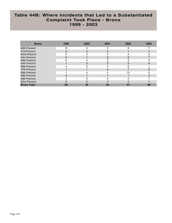#### **Table 44B: Where Incidents that Led to a Substantiated Complaint Took Place - Bronx 1999 - 2003**

| <b>Bronx</b>       | 1999 | 2000 | 2001 | 2002 | 2003 |
|--------------------|------|------|------|------|------|
| 40th Precinct      | 12   |      |      | հ    |      |
| 41st Precinct      |      |      |      |      |      |
| 42nd Precinct      |      |      |      |      | 5    |
| 43rd Precinct      | 6    |      |      |      |      |
| 44th Precinct      |      |      |      |      |      |
| 45th Precinct      |      |      |      |      |      |
| 46th Precinct      |      | 6    |      |      |      |
| 47th Precinct      |      |      | 5    |      | 8    |
| 48th Precinct      |      |      |      | 10   | ิค   |
| 49th Precinct      |      |      |      |      |      |
| 50th Precinct      | ⌒    |      |      |      |      |
| 52nd Precinct      |      |      |      |      |      |
| <b>Bronx Total</b> | 50   | 35   | 34   | 57   | 58   |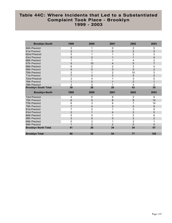#### **Table 44C: Where Incidents that Led to a Substantiated Complaint Took Place - Brooklyn 1999 - 2003**

| <b>Brooklyn South</b>       | 1999           | 2000           | 2001           | 2002           | 2003           |
|-----------------------------|----------------|----------------|----------------|----------------|----------------|
| 60th Precinct               | 3              | 1              | 0              | 2              | 5              |
| 61st Precinct               | $\overline{2}$ | 1              | $\mathbf 0$    | $\overline{2}$ | $\overline{0}$ |
| 62nd Precinct               | 3              | 1              |                | $\overline{2}$ | 3              |
| 63rd Precinct               | $\mathbf 0$    | $\overline{2}$ |                | $\mathbf{1}$   | 4              |
| 66th Precinct               | 1              | 1              |                | 4              | 2              |
| 67th Precinct               | 5              | 10             | 4              | 5              | $\overline{7}$ |
| 68th Precinct               | 6              | 2              | 2              | 3              | 4              |
| 69th Precinct               | $\overline{4}$ | $\mathbf 0$    | 3              | $\mathbf 0$    | $\overline{2}$ |
| 70th Precinct               | $\overline{2}$ | 1              | $\overline{2}$ | 10             | 3              |
| <b>71st Precinct</b>        | $\overline{7}$ | 3              | 3              | 5              | $\overline{2}$ |
| <b>72nd Precinct</b>        | $\overline{2}$ | 4              |                | 3              | 0              |
| 76th Precinct               | 1              | $\mathbf 0$    |                | $\overline{2}$ | $\mathbf 1$    |
| 78th Precinct               | 3              | 0              |                | 4              | $\overline{2}$ |
| <b>Brooklyn South Total</b> | 39             | 26             | 20             | 43             | 35             |
| <b>Brooklyn North</b>       | 1999           | 2000           | 2001           | 2002           | 2003           |
| <b>73rd Precinct</b>        | 4              | 5              | 8              | $\overline{2}$ | 9              |
| <b>75th Precinct</b>        | 6              | 5              | 8              | 9              | 12             |
| 77th Precinct               | 6              | 3              | 6              |                | 14             |
| 79th Precinct               | $\overline{7}$ | 4              | 3              | 5              | 9              |
| 81st Precinct               | 7              | $\overline{c}$ |                | 3              | 9              |
| 83rd Precinct               | $\overline{2}$ | $\mathbf{1}$   | 4              | $\overline{2}$ | 5              |
| 84th Precinct               | 5              | 0              |                | $\overline{2}$ | 6              |
| 88th Precinct               | 3              | $\mathbf 0$    | 0              | $\overline{2}$ | 2              |
| 90th Precinct               | 0              | 3              |                | $\overline{2}$ | 1              |
| 94th Precinct               |                | 3              | $\overline{2}$ | $\mathbf{0}$   | 0              |
| <b>Brooklyn North Total</b> | 41             | 26             | 34             | 34             | 67             |
|                             |                |                |                |                |                |
| <b>Brooklyn Total</b>       | 80             | 52             | 54             | 77             | 102            |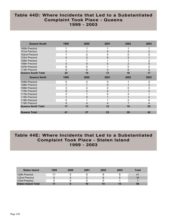#### **Table 44D: Where Incidents that Led to a Substantiated Complaint Took Place - Queens 1999 - 2003**

| <b>Queens South</b>       | 1999 | 2000           | 2001 | 2002 | 2003           |
|---------------------------|------|----------------|------|------|----------------|
| 100th Precinct            |      |                |      |      |                |
| 101st Precinct            | 3    | 1              | 0    | 3    | 3              |
| 102nd Precinct            |      | $\overline{2}$ | 4    | 0    | 2              |
| 103rd Precinct            | 4    | 3              | 6    | 5    | 1              |
| 105th Precinct            |      |                |      |      | $\overline{c}$ |
| 106th Precinct            | 3    | $\mathbf 0$    | 0    | 2    | $\mathbf 0$    |
| 107th Precinct            | 6    | 0              |      | 0    | $\overline{2}$ |
| 113th Precinct            | 5    | 6              | 0    | 6    | 6              |
| <b>Queens South Total</b> | 24   | 14             | 13   | 18   | 17             |
| <b>Queens North</b>       | 1999 | 2000           | 2001 | 2002 | 2003           |
| 104th Precinct            | 0    | 2              | 0    |      | 2              |
| 108th Precinct            |      | 1              | 0    |      | 3              |
| 109th Precinct            | 3    | 2              | 2    |      | 3              |
| 110th Precinct            | 0    | $\overline{2}$ | 4    |      | 4              |
| 111th Precinct            | 3    |                | Ω    | 3    |                |
| 112th Precinct            |      | $\mathbf 0$    |      |      | 2              |
| 114th Precinct            | 5    |                |      |      | 6              |
| 115th Precinct            |      | 4              | 4    |      | 4              |
| <b>Queens North Total</b> | 17   | 13             | 12   | 10   | 25             |
|                           |      |                |      |      |                |
| <b>Queens Total</b>       | 41   | 27             | 25   | 28   | 42             |

#### **Table 44E: Where Incidents that Led to a Substantiated Complaint Took Place - Staten Island 1999 - 2003**

| <b>Staten Island</b>       | 1999 | 2000 | 2001 | 2002 | 2003 | Total |
|----------------------------|------|------|------|------|------|-------|
| 120th Precinct             |      |      |      |      |      | 41    |
| 122nd Precinct             |      |      |      |      |      | 16    |
| 123rd Precinct             |      |      |      |      |      |       |
| <b>Staten Island Total</b> |      |      | 10   | 14   | 15   | 58    |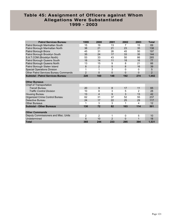# **Table 45: Assignment of Officers against Whom Allegations Were Substantiated 1999 - 2003**

| <b>Patrol Services Bureau</b>                | 1999           | 2000           | 2001           | 2002        | 2003           | <b>Total</b>   |
|----------------------------------------------|----------------|----------------|----------------|-------------|----------------|----------------|
| Patrol Borough Manhattan South               | 15             | 19             | 13             | 7           | 15             | 69             |
| Patrol Borough Manhattan North               | 38             | 21             | 21             | 23          | 35             | 138            |
| Patrol Borough Bronx                         | 45             | 31             | 26             | 45          | 50             | 197            |
| Patrol Borough Brooklyn South                | 35             | 24             | 17             | 33          | 35             | 144            |
| S.A.T.COM (Brooklyn North)                   | 53             | 33             | 43             | 50          | 86             | 265            |
| Patrol Borough Queens South                  | 18             | 14             | 11             | 18          | 16             | 77             |
| Patrol Borough Queens North                  | 13             | 15             | 9              | 8           | 21             | 66             |
| Patrol Borough Staten Island                 | 8              | $\overline{2}$ | 5              | 8           | 16             | 39             |
| <b>Special Operations Division</b>           | 1              | 1              | 3              | 0           | $\Omega$       | 5              |
| <b>Other Patrol Services Bureau Commands</b> | $\overline{2}$ | $\overline{0}$ | $\Omega$       | $\mathbf 0$ | $\Omega$       | $\overline{2}$ |
| <b>Subtotal - Patrol Services Bureau</b>     | 228            | 160            | 148            | 192         | 274            | 1,002          |
|                                              |                |                |                |             |                |                |
| <b>Other Bureaus</b>                         |                |                |                |             |                |                |
| <b>Chief of Transportation</b>               |                |                |                |             |                |                |
| Transit Bureau                               | 20             | 9              | 8              | 17          | 11             | 65             |
| <b>Traffic Control Division</b>              | 10             | 8              | 3              | 5           | $\overline{2}$ | 28             |
| Housing Bureau                               | 13             | 4              | 9              | 3           | 13             | 42             |
| Organized Crime Control Bureau               | 62             | 31             | 37             | 52          | 55             | 237            |
| Detective Bureau                             | 24             | 17             | 22             | 25          | 29             | 117            |
| <b>Other Bureaus</b>                         | 1              | 3              | 3              | 1           | 4              | 12             |
| <b>Subtotal - Other Bureaus</b>              | 130            | 72             | 82             | 103         | 114            | 501            |
|                                              |                |                |                |             |                |                |
| <b>Other Commands</b>                        |                |                |                |             |                |                |
| Deputy Commissioners and Misc. Units         | 2              | $\overline{2}$ | 1              | 0           | 5              | 10             |
| Undetermined                                 | 5              | 10             | $\mathfrak{p}$ | 0           | 1              | 18             |
| <b>Total</b>                                 | 365            | 244            | 233            | 295         | 394            | 1,531          |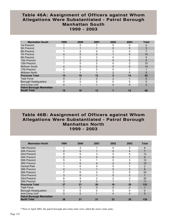#### **Table 46A: Assignment of Officers against Whom Allegations Were Substantiated - Patrol Borough Manhattan South 1999 - 2003**

| <b>Manhattan South</b>          | 1999 | 2000 | 2001 | 2002 | 2003 | <b>Total</b> |
|---------------------------------|------|------|------|------|------|--------------|
| 1st Precinct                    |      |      |      |      |      |              |
| 5th Precinct                    |      |      |      |      |      |              |
| 6th Precinct                    |      |      | 0    |      |      |              |
| <b>7th Precinct</b>             |      | 5    | 0    |      |      | 10           |
| 9th Precinct                    |      |      | 3    |      |      |              |
| 10th Precinct                   |      |      | 2    |      |      | 5            |
| 13th Precinct                   |      | 5    | ኅ    |      |      | 10           |
| Midtown South                   |      |      | 2    |      | 8    | 14           |
| 17th Precinct                   |      |      |      |      |      |              |
| <b>Midtown North</b>            |      |      |      |      |      | 5            |
| <b>Precincts Total</b>          | 15   | 16   | 12   |      | 14   | 62           |
| <b>Task Force</b>               |      | 2    | 0    |      |      | 5            |
| <b>Borough Headquarters</b>     |      |      |      |      |      |              |
| Anti-Crime Unit*                |      |      |      | O    |      | 2            |
| <b>Patrol Borough Manhattan</b> |      |      |      |      |      |              |
| <b>South Total</b>              | 15   | 19   |      |      | 15   | 69           |

# **Table 46B: Assignment of Officers against Whom Allegations Were Substantiated - Patrol Borough Manhattan North 1999 - 2003**

| <b>Manhattan North</b>                                | 1999          | 2000 | 2001     | 2002 | 2003 | <b>Total</b> |
|-------------------------------------------------------|---------------|------|----------|------|------|--------------|
| 19th Precinct                                         |               | 3    |          | 0    | 3    | 8            |
| 20th Precinct                                         | 2             | 0    |          | 0    | 4    |              |
| 23rd Precinct                                         | U             |      |          | 5    | 5    | 13           |
| 24th Precinct                                         | $\mathcal{P}$ | 0    | O        | 6    |      | 9            |
| 25th Precinct                                         | 5             | 3    |          | 0    | 3    | 12           |
| 26th Precinct                                         |               | 0    | 4        | 2    | 3    | 10           |
| <b>Central Park</b>                                   |               |      |          |      |      | 2            |
| 28th Precinct                                         | 4             |      |          | 0    | 3    | 9            |
| 30th Precinct                                         |               | 6    | 3        | 3    | 5    | 24           |
| 32nd Precinct                                         | 3             | 0    |          | 0    | 3    | 7            |
| 33rd Precinct                                         | 8             | 5    |          | 2    | 3    | 20           |
| 34th Precinct                                         | 3             | 3    | 3        |      |      | 11           |
| <b>Precincts Total</b>                                | 37            | 21   | 20       | 19   | 35   | 132          |
| <b>Task Force</b>                                     |               | 0    | $\Omega$ | 0    | 0    |              |
| <b>Borough Headquarters</b>                           | 0             |      |          |      |      |              |
| Anti-Crime Unit*                                      | 0             | 0    |          | 4    | 0    | 5            |
| <b>Patrol Borough Manhattan</b><br><b>North Total</b> | 38            | 21   | 21       | 23   | 35   | 138          |

\* Prior to April 2002, the patrol borough anti-crime units were called the street crime units.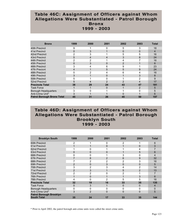#### **Table 46C: Assignment of Officers against Whom Allegations Were Substantiated - Patrol Borough Bronx 1999 - 2003**

| <b>Bronx</b>                      | 1999           | 2000 | 2001 | 2002 | 2003 | <b>Total</b>   |
|-----------------------------------|----------------|------|------|------|------|----------------|
| 40th Precinct                     | 9              |      | ŋ    | 5    | 3    | 18             |
| 41st Precinct                     | $\Omega$       | 3    |      | 0    | 0    | $\overline{4}$ |
| 42nd Precinct                     | 2              | 3    |      | 5    | 5    | 16             |
| 43rd Precinct                     | 5              | 4    | 4    | 3    | 8    | 24             |
| 44th Precinct                     | $\overline{2}$ | 2    |      |      |      | 16             |
| 45th Precinct                     | $\Omega$       | 3    | ი    | 2    |      | 6              |
| 46th Precinct                     | 3              |      | 6    | 9    |      | 23             |
| 47th Precicnt                     | 4              |      | 5    | 5    | 9    | 24             |
| 48th Precinct                     | ŋ              | 2    | 4    | 6    | 4    | 16             |
| 49th Precinct                     | 3              |      | O    |      | 3    | 8              |
| 50th Precinct                     | 5              |      |      |      | 2    | 9              |
| 52nd Precinct                     | 5              | 4    | 2    | 2    | 4    | 17             |
| <b>Precincts Total</b>            | 38             | 29   | 24   | 43   | 47   | 181            |
| <b>Task Force</b>                 |                |      | 0    |      | 2    | 5              |
| <b>Borough Headquarters</b>       | 3              |      |      |      | ი    | 5              |
| Anti-Crime Unit*                  |                |      |      |      |      | 6              |
| <b>Patrol Borough Bronx Total</b> | 45             | 31   | 26   | 45   | 50   | 197            |

#### **Table 46D: Assignment of Officers against Whom Allegations Were Substantiated - Patrol Borough Brooklyn South 1999 - 2003**

| <b>Brooklyn South</b>                                | 1999           | 2000           | 2001     | 2002     | 2003         | Total |
|------------------------------------------------------|----------------|----------------|----------|----------|--------------|-------|
| 60th Precinct                                        | 2              |                | 0        | 2        |              | 6     |
| 61st Precinct                                        |                |                | 0        |          | 0            | 3     |
| 62nd Precinct                                        |                | 0              |          |          | 4            |       |
| 63rd Precinct                                        | 0              | 0              | 0        |          | 5            | 6     |
| 66th Precinct                                        |                | 0              |          |          | 0            |       |
| 67th Precinct                                        |                | 8              | 2        | 6        | 9            | 32    |
| 68th Precinct                                        |                | 2              | 2        | 2        | 3            | 16    |
| 69th Precinct                                        | 2              | 0              | 3        | 0        | $\mathbf{0}$ | 5     |
| <b>70th Precinct</b>                                 | 3              | 2              | 3        | 4        | 2            | 14    |
| <b>71st Precinct</b>                                 | $\overline{2}$ | 3              |          | 5        | 2            | 13    |
| <b>72nd Precinct</b>                                 | $\mathfrak{p}$ | $\overline{2}$ |          |          |              |       |
| <b>76th Precinct</b>                                 |                | 0              |          |          | 3            | 6     |
| <b>78th Precinct</b>                                 |                | 0              | 2        | 5        | 5            | 16    |
| <b>Precincts Total</b>                               | 32             | 19             | 16       | 33       | 35           | 135   |
| <b>Task Force</b>                                    | 0              | 3              |          | $\Omega$ | $\mathbf 0$  | 4     |
| <b>Borough Headquarters</b>                          | 0              | 0              |          |          | 0            |       |
| Anti-Crime Unit*                                     | 3              | $\overline{2}$ | $\Omega$ | $\Omega$ | $\Omega$     | 5     |
| <b>Patrol Borough Brooklyn</b><br><b>South Total</b> | 35             | 24             | 17       | 33       | 35           | 144   |

\* Prior to April 2002, the patrol borough anti-crime units were called the street crime units.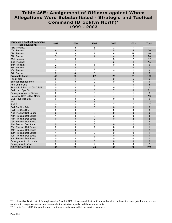#### **Table 46E: Assignment of Officers against Whom Allegations Were Substantiated - Strategic and Tactical Command (Brooklyn North)\* 1999 - 2003**

| <b>Strategic &amp; Tactical Command</b><br>(Brooklyn North) | 1999           | 2000           | 2001           | 2002           | 2003           | <b>Total</b>   |
|-------------------------------------------------------------|----------------|----------------|----------------|----------------|----------------|----------------|
| <b>73rd Precinct</b>                                        | 1              | 2              | 5              | 2              | 7              | 17             |
| 75th Precinct                                               | 9              | 6              | 5              | 5              | 5              | 30             |
| 77th Precinct                                               | 11             | 3              | 1              | 6              | 19             | 40             |
| 79th Precinct                                               | 5              | $\overline{c}$ | $\overline{4}$ | $\overline{4}$ | 5              | 20             |
| 81st Precinct                                               | 4              | 3              | 0              | 3              | 7              | 17             |
| 83rd Precinct                                               | $\overline{4}$ | $\mathbf{1}$   | 3              | 3              | $\overline{4}$ | 15             |
| 84th Precinct                                               | $\overline{2}$ | 0              | 1              | $\mathbf 0$    | 3              | 6              |
| 88th Precinct                                               | 6              | $\mathbf 0$    | 0              | $\mathbf{1}$   | $\mathbf 0$    | $\overline{7}$ |
| 90th Precinct                                               | 0              | $\overline{2}$ | 0              | 0              | 1              | 3              |
| 94th Precinct                                               | $\mathbf 0$    | $\overline{4}$ | 3              | $\mathbf 1$    | 0              | 8              |
| <b>Precincts Total</b>                                      | 42             | 23             | 22             | 25             | 51             | 163            |
| <b>Task Force</b>                                           | $\mathbf 0$    | $\mathbf{1}$   | $\overline{0}$ | $\mathbf 0$    | 5              | 6              |
| <b>Borough Headquarters</b>                                 | 0              | 0              | 0              | 0              | $\mathbf{0}$   | $\mathbf 0$    |
| Anti-Crime Unit**                                           | $\mathbf{0}$   | $\mathbf 1$    | $\overline{0}$ |                | 3              | 5              |
| Strategic & Tactical CMD B/N                                | $\mathbf{0}$   | 0              | 0              | 0              | 1              | 1              |
| SAT Narc Ops B/N                                            | $\mathbf{0}$   | $\overline{0}$ | 8              | $\overline{7}$ | 6              | 21             |
| <b>Brooklyn Narcotics District</b>                          | $\overline{2}$ | 2              | 0              | 1              | 1              | 6              |
| Narcotics Boro Brklyn North                                 | 3              | $\mathbf{1}$   | $\overline{7}$ | $\overline{4}$ | 1              | 16             |
| SAT Hous Ops B/N                                            | 0              | 0              | 0              | $\mathbf 0$    | $\mathbf 0$    | $\mathbf{0}$   |
| PSA <sub>2</sub>                                            | $\overline{2}$ | $\overline{2}$ | 1              | $\mathbf{1}$   | $\overline{7}$ | 13             |
| PSA <sub>3</sub>                                            | 0              | $\overline{2}$ | 1              | 7              | $\overline{7}$ | 17             |
| SAT Pat Ops B/N                                             | $\mathbf 0$    | $\pmb{0}$      | 0              | $\mathbf 0$    | $\mathbf 0$    | $\mathbf 0$    |
| SAT Det Ops B/N                                             | 0              | 0              | 0              | $\Omega$       | $\Omega$       | $\mathbf 0$    |
| 73rd Precinct Det Squad                                     | $\mathbf 0$    | 0              | $\mathbf{0}$   | 0              | 0              | $\overline{0}$ |
| 75th Precinct Det Squad                                     | 1              | $\Omega$       | 0              | $\overline{2}$ | $\mathbf{0}$   | 3              |
| 77th Precinct Det Squad                                     | 0              | 0              | 0              | 0              | $\overline{2}$ | $\overline{2}$ |
| 79th Precinct Det Squad                                     | 1              | 0              | 1              | $\overline{2}$ | 1              | 5              |
| 81st Precinct Det Squad                                     | $\mathbf 0$    | $\mathbf{0}$   | 0              | $\mathbf 0$    | $\mathbf 0$    | $\overline{0}$ |
| 83rd Precinct Det Squad                                     | 0              | 0              | 1              | 0              | 0              | 1              |
| 84th Precinct Det Squad                                     | 1              | $\overline{0}$ | $\overline{0}$ | $\mathbf 0$    | 1              | $\overline{2}$ |
| 88th Precinct Det Squad                                     | 1              | 0              | 0              | 0              | 0              |                |
| 90th Precinct Det Squad                                     | $\mathbf 0$    | 1              | $\overline{0}$ | $\mathbf 0$    | $\mathbf 0$    | 1              |
| 94th Precinct Det Squad                                     | 0              | 0              | 0              | 0              | 0              | 0              |
| <b>Brooklyn North Homicide</b>                              | $\mathbf 0$    | $\mathbf 0$    | 0              | $\mathbf 0$    | $\mathbf 0$    | $\mathbf 0$    |
| <b>Brooklyn North Vice</b>                                  | 0              | 0              | 2              | 0              | 0              | $\overline{2}$ |
| <b>S.A.T. COM Total</b>                                     | 53             | 33             | 43             | 50             | 86             | 265            |

\* The Brooklyn North Patrol Borough is called S.A.T. COM (Strategic and Tactical Command) and it combines the usual patrol borough commands with two police service area commands, the detective squads, and the narcotics units. \*\* Prior to April 2002, the patrol borough anti-crime units were called the street crime units.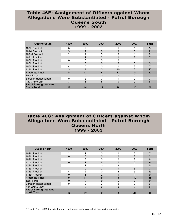#### **Table 46F: Assignment of Officers against Whom Allegations Were Substantiated - Patrol Borough Queens South 1999 - 2003**

| <b>Queens South</b>          | 1999 | 2000 | 2001 | 2002 | 2003 | <b>Total</b> |
|------------------------------|------|------|------|------|------|--------------|
| 100th Precinct               |      | 2    |      |      |      | 5            |
| 101st Precinct               | 3    | 2    | 0    | 3    | 3    | 11           |
| 102nd Precinct               | າ    | っ    |      |      |      | 8            |
| 103rd Precinct               |      |      | 2    |      | 2    |              |
| 105th Precinct               |      |      | ი    |      |      |              |
| 106th Precinct               |      | 0    |      | ⌒    |      |              |
| 107th Precinct               |      |      |      |      | 3    |              |
| 113th Precinct               |      |      | ი    | 10   | 3    | 20           |
| <b>Precincts Total</b>       | 14   | 11   |      | 17   | 14   | 62           |
| <b>Task Force</b>            |      | 0    | 0    | 0    | O    |              |
| <b>Borough Headquarters</b>  |      | ◠    | n    |      |      |              |
| Anti-Crime Unit*             |      |      | 5    |      | 2    | 11           |
| <b>Patrol Borough Queens</b> |      |      |      |      |      |              |
| <b>South Total</b>           | 18   | 14   | 11   | 18   | 16   | 77           |

#### **Table 46G: Assignment of Officers against Whom Allegations Were Substantiated - Patrol Borough Queens North 1999 - 2003**

| <b>Queens North</b>          | 1999     | 2000           | 2001 | 2002     | 2003          | <b>Total</b> |
|------------------------------|----------|----------------|------|----------|---------------|--------------|
| 104th Precinct               | 2        |                | U    |          | 3             |              |
| 108th Precinct               | $\Omega$ | O              | 0    | $\Omega$ | 2             | 2            |
| 109th Precinct               |          | 3              |      |          | 2             | 6            |
| 110th Precinct               |          |                | 5    |          | $\mathcal{P}$ | 9            |
| 111th Precinct               |          |                |      | 2        |               | 5            |
| 112th Precinct               |          | 0              | າ    |          | 3             |              |
| 114th Precinct               |          | ⌒              |      |          | 5             | 13           |
| 115th Precinct               |          | 5              |      |          |               | 9            |
| <b>Precincts Total</b>       | 9        | 13             |      |          | 19            | 58           |
| <b>Task Force</b>            |          | O              |      |          | ი             |              |
| <b>Borough Headquarters</b>  |          |                |      |          |               |              |
| Anti-Crime Unit*             | 4        | $\mathfrak{p}$ |      | O        | 2             | 8            |
| <b>Patrol Borough Queens</b> |          |                |      |          |               |              |
| <b>North Total</b>           | 13       | 15             |      |          | 21            | 66           |

\* Prior to April 2002, the patrol borough anti-crime units were called the street crime units.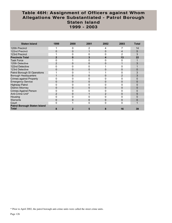#### **Table 46H: Assignment of Officers against Whom Allegations Were Substantiated - Patrol Borough Staten Island 1999 - 2003**

| <b>Staten Island</b>                | 1999           | 2000 | 2001 | 2002     | 2003     | <b>Total</b> |
|-------------------------------------|----------------|------|------|----------|----------|--------------|
| 120th Precinct                      |                | O    | 2    | 4        | 7        | 14           |
| 122nd Precinct                      |                | O    |      | $\Omega$ | 4        | 5            |
| 123rd Precinct                      |                |      |      |          | 2        | 3            |
| <b>Precincts Total</b>              |                |      | 3    | Δ        | 13       | 22           |
| Task Force                          |                |      |      |          | ი        |              |
| 120th Detective                     | 2              | 0    | 0    | 0        |          | 3            |
| 122nd Detective                     |                |      |      |          |          |              |
| 123rd Detective                     |                |      | 0    |          | 0        |              |
| Patrol Borough SI Operations        |                |      |      |          | 0        |              |
| <b>Borough Headquarters</b>         |                |      | 0    | 0        | 2        | 3            |
| <b>Crimes against Property</b>      |                |      | ი    |          | 0        |              |
| <b>Emergency Service</b>            | 0              | 0    | 0    | 0        | 0        |              |
| <b>Highway Patrol</b>               | U              |      | ი    |          | 0        |              |
| <b>District Attorney</b>            | 0              | O    | 0    | $\Omega$ | $\Omega$ |              |
| <b>Crimes Against Person</b>        | ი              |      |      |          | 0        |              |
| Anti-Crime Unit*                    | $\overline{2}$ | 0    |      | 2        | $\Omega$ | 5            |
| Housing                             | ŋ              |      |      |          |          |              |
| Warrants                            | 0              |      | 0    | 0        | 0        |              |
| Court                               |                |      | ი    |          | 0        |              |
| <b>Patrol Borough Staten Island</b> |                |      |      |          |          |              |
| <b>Total</b>                        |                |      | 5    | 8        | 16       | 39           |

\* Prior to April 2002, the patrol borough anti-crime units were called the street crime units.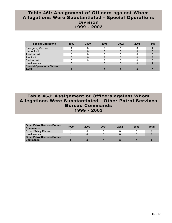#### **Table 46I: Assignment of Officers against Whom Allegations Were Substantiated - Special Operations Division 1999 - 2003**

| <b>Special Operations</b>          | 1999 | 2000 | 2001 | 2002 | 2003 | <b>Total</b> |
|------------------------------------|------|------|------|------|------|--------------|
| <b>Emergency Service</b>           |      |      |      |      |      |              |
| <b>Harbor Unit</b>                 |      |      |      |      |      |              |
| <b>Aviation Unit</b>               |      |      |      |      |      |              |
| Taxi Unit                          |      |      |      |      |      |              |
| <b>Canine Unit</b>                 |      |      |      |      |      |              |
| Headquarters                       |      |      |      |      |      |              |
| <b>Special Operations Division</b> |      |      |      |      |      |              |
| <b>Total</b>                       |      |      |      |      |      |              |

**Table 46J: Assignment of Officers against Whom Allegations Were Substantiated - Other Patrol Services Bureau Commands 1999 - 2003**

| <b>Other Patrol Services Bureau</b><br><b>Commands</b> | 1999 | 2000 | 2001 | 2002 | 2003 | <b>Total</b> |
|--------------------------------------------------------|------|------|------|------|------|--------------|
| <b>School Safety Division</b>                          |      |      |      |      |      |              |
| <b>Headquarters</b>                                    |      |      |      |      |      |              |
| <b>Other Patrol Services Bureau</b>                    |      |      |      |      |      |              |
| <b>Commands</b>                                        |      |      |      |      |      |              |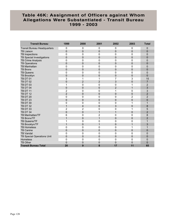# **Table 46K: Assignment of Officers against Whom Allegations Were Substantiated - Transit Bureau 1999 - 2003**

| <b>Transit Bureau</b>              | 1999           | 2000           | 2001           | 2002           | 2003           | <b>Total</b>   |
|------------------------------------|----------------|----------------|----------------|----------------|----------------|----------------|
| <b>Transit Bureau Headquarters</b> | 0              | 0              | 0              | 0              | 0              | 0              |
| <b>TB Liaison</b>                  | $\overline{0}$ | 0              | $\pmb{0}$      | $\overline{0}$ | $\overline{0}$ | $\overline{0}$ |
| <b>TB</b> Inspections              | 0              | 0              | 0              | 0              | 0              | 0              |
| TB Special Investigations          | $\mathbf 0$    | 0              | 0              | $\mathbf{0}$   | $\overline{0}$ | $\overline{0}$ |
| <b>TB Crime Analysis</b>           | $\mathbf 0$    | 0              | 0              | 0              | $\mathbf 0$    | 0              |
| <b>TB Operations</b>               | 0              | 0              | $\pmb{0}$      | $\overline{0}$ | $\mathbf 0$    | 0              |
| <b>TB Manhattan</b>                | 0              | 0              | 0              | 0              | 0              | 0              |
| <b>TB Bronx</b>                    | $\mathbf 0$    | 0              | 0              | $\overline{0}$ | 0              | $\overline{0}$ |
| <b>TB Queens</b>                   | 0              | 0              | 0              | $\mathbf 0$    | 0              | 0              |
| <b>TB Brooklyn</b>                 | $\overline{0}$ | 0              | 0              | $\overline{0}$ | 0              | $\overline{0}$ |
| TB DT 01                           | 3              | 1              | 1              | 7              | 3              | 15             |
| TB DT 02                           | $\mathbf 0$    | $\overline{2}$ | $\overline{2}$ | $\mathfrak{S}$ | $\mathbf 0$    | $\overline{7}$ |
| TB DT 03                           | 1              | 0              | 0              | $\mathbf 0$    | 1              | $\overline{2}$ |
| TB DT 04                           | $\mathbf 0$    | 0              | 0              | $\overline{2}$ | $\mathbf{1}$   | 3              |
| <b>TB DT 11</b>                    | $\overline{2}$ | 0              | 0              | 1              | $\mathbf 0$    | 3              |
| <b>TB DT 12</b>                    | $\overline{2}$ | 0              | 0              | $\overline{0}$ | 0              | $\overline{2}$ |
| <b>TB DT 20</b>                    | 0              | 0              | 0              | 0              | $\overline{2}$ | $\overline{2}$ |
| <b>TB DT 23</b>                    | $\mathbf 0$    | 0              | 0              | $\Omega$       | 0              | $\overline{0}$ |
| TB DT 30                           | 0              | 0              | 0              | 0              | 1              | 1              |
| <b>TB DT 32</b>                    | $\mathbf{1}$   | 4              | $\pmb{0}$      | 3              | $\mathbf 0$    | 8              |
| TB DT 33                           | $\overline{c}$ | 2              | 0              | 0              | 1              | 5              |
| TB DT 34                           | $\overline{0}$ | 0              | 1              | $\mathbf{1}$   | $\mathbf 0$    | $\overline{2}$ |
| TB Manhattan/TF                    | 6              | 0              | $\overline{2}$ | 0              | 0              | 8              |
| TB Bronx/TF                        | 1              | 0              | $\overline{1}$ | 0              | 0              | $\overline{2}$ |
| <b>TB Queens/TF</b>                | 1              | 0              | 0              | 0              | 0              | $\mathbf{1}$   |
| TB Brooklyn/TF                     | $\mathbf{1}$   | 0              | $\mathbf{1}$   | $\mathbf 0$    | $\mathbf{1}$   | 3              |
| <b>TB Homeless</b>                 | 0              | 0              | 0              | 0              | 1              | 1              |
| <b>TB Canine</b>                   | 0              | 0              | 0              | $\overline{0}$ | 0              | 0              |
| <b>TB Vandal</b>                   | 0              | 0              | 0              | 0              | 0              | 0              |
| TB Special Operations Unit         | $\mathbf 0$    | 0              | 0              | $\Omega$       | $\mathbf 0$    | 0              |
| Homeless                           | 0              | 0              | 0              | 0              | $\mathbf 0$    | 0              |
| <b>TB Other</b>                    | $\overline{0}$ | 0              | 0              | $\mathbf{0}$   | $\overline{0}$ | $\overline{0}$ |
| <b>Transit Bureau Total</b>        | 20             | 9              | 8              | 17             | 11             | 65             |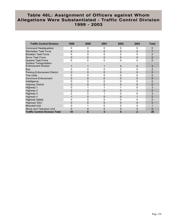# **Table 46L: Assignment of Officers against Whom Allegations Were Substantiated - Traffic Control Division 1999 - 2003**

| <b>Traffic Control Division</b>       | 1999           | 2000         | 2001 | 2002 | 2003     | <b>Total</b> |
|---------------------------------------|----------------|--------------|------|------|----------|--------------|
| <b>Command Headquarters</b>           | ი              | U            | 0    | O    | 0        |              |
| <b>Manhattan Task Force</b>           | 4              | 3            | 0    | 0    | 0        |              |
| <b>Brooklyn Task Force</b>            | ი              |              | 0    | 2    | 0        |              |
| <b>Bronx Task Force</b>               | 0              | 0            | 0    | 0    | $\Omega$ |              |
| Queens Task Force                     | 0              |              | ი    | ი    | 0        |              |
| <b>Surface Transportation</b>         |                |              |      |      |          |              |
| <b>Enforcement Division</b>           |                |              |      | O    | 0        | 3            |
| <b>Bus</b>                            |                |              |      |      | 0        |              |
| <b>Parking Enforcement District</b>   | O              |              | 0    | O    | $\Omega$ | $\mathbf{0}$ |
| <b>Tow Units</b>                      |                |              | 0    |      | 0        |              |
| <b>Summons Enforcement</b>            | 0              |              | 0    | 0    | 0        |              |
| Intelligence                          |                |              |      |      | 0        |              |
| <b>Highway District</b>               | 0              | $\mathbf{0}$ | 0    | O    | 0        |              |
| Highway 1                             |                |              |      |      |          |              |
| Highway 2                             | $\overline{2}$ | 2            | O    | 0    |          | 5            |
| Highway 3                             |                |              |      |      |          |              |
| Highway 4                             |                |              | 0    | 0    |          | 2            |
| <b>Highway Safety</b>                 |                |              |      |      | ი        |              |
| Highway/ SEU                          |                |              | 0    |      | 0        |              |
| <b>Mounted Unit</b>                   |                |              |      |      |          |              |
| Movie and Television Unit             |                |              |      |      |          |              |
| <b>Traffic Control Division Total</b> | 10             |              | 3    | 5    |          | 28           |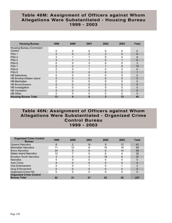# **Table 46M: Assignment of Officers against Whom Allegations Were Substantiated - Housing Bureau 1999 - 2003**

| <b>Housing Bureau</b>       | 1999 | 2000 | 2001 | 2002 | 2003        | <b>Total</b> |
|-----------------------------|------|------|------|------|-------------|--------------|
| Housing Bureau (Command     |      |      |      |      |             |              |
| Center)                     |      |      | 0    |      | 0           |              |
| PSA <sub>1</sub>            | 2    | 0    | 2    | 2    | $\mathbf 0$ | 6            |
| PSA <sub>4</sub>            | 3    |      |      |      | 3           | 8            |
| PSA <sub>5</sub>            | 3    |      |      | 0    |             | 6            |
| PSA <sub>6</sub>            | 0    |      | 3    |      | 0           | 3            |
| PSA <sub>7</sub>            | 2    | 2    |      |      | 6           | 12           |
| PSA <sub>8</sub>            | 2    |      |      |      | 3           | 6            |
| PSA <sub>9</sub>            |      | 0    | 0    | 0    | 0           |              |
| <b>HB Detectives</b>        |      |      | 0    |      | 0           |              |
| HB Brooklyn/Staten Island   | O    | 0    | 0    | 0    | 0           |              |
| <b>HB</b> Manhattan         |      |      | 0    |      |             |              |
| <b>HB Bronx/Queens</b>      | 0    | 0    | 0    | 0    | 0           |              |
| HB Investigation            |      |      | 0    |      |             |              |
| <b>HB Vandalism</b>         | 0    | 0    | 0    | 0    | 0           |              |
| HB Other                    |      |      |      |      | U           |              |
| <b>Housing Bureau Total</b> | 13   |      | 9    | 3    | 13          | 42           |

#### **Table 46N: Assignment of Officers against Whom Allegations Were Substantiated - Organized Crime Control Bureau 1999 - 2003**

| <b>Organized Crime Control</b><br><b>Bureau</b> | 1999 | 2000          | 2001 | 2002 | 2003 | <b>Total</b> |
|-------------------------------------------------|------|---------------|------|------|------|--------------|
| Queens Narcotics                                | 8    | $\mathcal{P}$ | 10   | 9    | 12   | 41           |
| <b>Manhattan Narcotics</b>                      | 11   | 12            | 8    | 10   | 18   | 59           |
| <b>Bronx Narcotics</b>                          | 24   | 5             | 9    | 6    | 14   | 58           |
| <b>Staten Island Narcotics</b>                  | 12   |               | 5    |      |      | 36           |
| <b>Brooklyn South Narcotics</b>                 | 3    | 5             | 4    | 19   | 6    | 37           |
| <b>Narcotics</b>                                |      |               |      |      |      |              |
| Auto Crime                                      |      |               |      |      |      |              |
| Vice Enforcement                                |      |               |      |      |      |              |
| Drug Enforcement                                |      |               | 0    |      |      | $\Omega$     |
| Organized Crime HQ                              |      |               |      |      |      |              |
| <b>Organized Crime Control</b>                  |      |               |      |      |      |              |
| <b>Bureau Total</b>                             | 62   |               | 37   | 52   | 55   | 237          |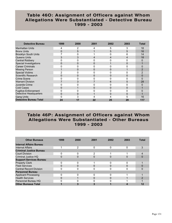#### **Table 46O: Assignment of Officers against Whom Allegations Were Substantiated - Detective Bureau 1999 - 2003**

| <b>Detective Bureau</b>       | 1999 | 2000 | 2001 | 2002 | 2003 | <b>Total</b> |
|-------------------------------|------|------|------|------|------|--------------|
| <b>Manhattan Units</b>        |      | 2    |      | 5    | 3    | 18           |
| <b>Bronx Units</b>            | O    | 5    |      | 5    | 5    | 16           |
| <b>Brooklyn South Units</b>   |      |      |      |      | 6    | 14           |
| Queens Units                  | 3    | 3    |      |      | 4    | 18           |
| <b>Central Robbery</b>        |      |      |      |      |      |              |
| <b>Special Investigations</b> |      | 0    | O    |      | O    |              |
| <b>Career Criminals</b>       |      |      |      |      |      |              |
| <b>Missing Person</b>         |      |      |      |      |      |              |
| <b>Special Victims</b>        | ⌒    |      |      |      |      | 2            |
| Scientific Research           |      | 0    | 0    | 0    | 0    |              |
| Crime Scene                   |      |      |      |      |      |              |
| <b>Warrant Division</b>       |      | 3    |      | 6    | 5    | 28           |
| Juvenile Crime                |      |      |      |      | 0    |              |
| Cold Cases                    | 0    |      | 0    | 0    | 0    |              |
| <b>Fugitive Enforcement</b>   |      |      |      |      |      |              |
| <b>Detective Headquarters</b> |      | 0    |      |      | 0    |              |
| <b>Gang Units</b>             |      |      |      |      | 5    | 16           |
| <b>Detective Bureau Total</b> | 24   |      | 22   | 25   | 29   | 117          |

# **Table 46P: Assignment of Officers against Whom Allegations Were Substantiated - Other Bureaus 1999 - 2003**

| <b>Other Bureaus</b>           | 1999     | 2000         | 2001 | 2002 | 2003     | Total |
|--------------------------------|----------|--------------|------|------|----------|-------|
| <b>Internal Affairs Bureau</b> |          |              |      |      |          |       |
| Internal Affairs               |          | 2            | 0    | 0    | 0        | 3     |
| <b>Criminal Justice Bureau</b> |          |              |      |      |          |       |
| <b>Court Division</b>          |          |              | ∩    |      |          |       |
| <b>Criminal Justice HQ</b>     | $\Omega$ |              | 0    |      |          | 0     |
| <b>Support Services Bureau</b> |          |              |      |      |          |       |
| <b>Property Clerk</b>          |          |              |      |      |          |       |
| <b>Fleet Services</b>          | O        | $\mathbf{0}$ | 0    |      | $\Omega$ | O     |
| <b>Central Record Division</b> |          |              |      |      |          |       |
| <b>Personnel Bureau</b>        |          |              |      |      |          |       |
| <b>Applicant Processing</b>    | U        |              | n    |      |          |       |
| <b>Health Services</b>         |          |              | O    |      |          |       |
| Personnel Bureau HQ            |          |              |      |      |          |       |
| <b>Other Bureaus Total</b>     |          |              |      |      |          |       |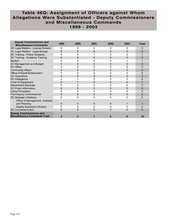### **Table 46Q: Assignment of Officers against Whom Allegations Were Substantiated - Deputy Commissioners and Miscellaneous Commands 1999 - 2003**

| <b>Deputy Commissioners and</b><br><b>Miscellaneous Commands</b>       | 1999     | 2000        | 2001 | 2002 | 2003 | <b>Total</b> |
|------------------------------------------------------------------------|----------|-------------|------|------|------|--------------|
| DC Legal Matters - License Division                                    | 0        | 0           | O    | Ω    | n    |              |
| DC Legal Matters - Legal Bureau                                        | $\Omega$ | $\mathbf 0$ | 0    | 0    | 0    |              |
| DC Training - Police Academy                                           | O        | 0           |      | 0    |      |              |
| DC Training - Academy Training                                         | $\Omega$ | $\Omega$    | 0    | 0    |      |              |
| Section                                                                | U        | 0           |      | 0    |      |              |
| DC Management and Budget                                               | 0        | 0           | 0    | 0    |      |              |
| PC Office                                                              | ŋ        | 0           |      | 0    |      |              |
| <b>Community Affairs</b>                                               | $\Omega$ | $\mathbf 0$ | 0    | 0    | O    |              |
| Office of Equal Employment                                             | ი        | 0           |      | 0    |      |              |
| <b>DC Operations</b>                                                   | 0        | 0           | 0    | 0    | O    |              |
| DC Intelligence                                                        |          |             |      | 0    |      | h            |
| <b>Chief of Department</b>                                             | 0        |             | 0    | 0    | 0    |              |
| <b>Department Advocate</b>                                             | O        | 0           |      |      |      |              |
| <b>DC Public Information</b>                                           | 0        | $\mathbf 0$ | 0    | 0    | 0    | 0            |
| <b>Crime Prevention</b>                                                | O        | 0           |      | O    |      |              |
| <b>First Deputy Commissioner</b>                                       | $\Omega$ | 0           | 0    | 0    |      |              |
| DC Strategic Initiatives                                               | ი        | ი           |      |      |      |              |
| Office of Management, Analysis,                                        |          |             |      |      |      |              |
| and Planning                                                           | 0        | 0           | 0    | 0    |      |              |
| <b>Quality Assurance Division</b>                                      |          | 0           |      |      |      |              |
| <b>DC Counterterrorism</b>                                             |          |             |      |      |      |              |
| <b>Deputy Commissioners and</b><br><b>Miscellaneous Commands Total</b> |          |             |      |      |      | 10           |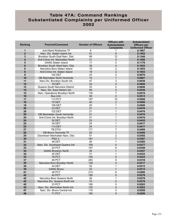# **Table 47A: Command Rankings Substantiated Complaints per Uniformed Officer**

|                |                                   |                           | <b>Officers with</b>    | <b>Substantiated</b>     |
|----------------|-----------------------------------|---------------------------|-------------------------|--------------------------|
| Ranking        | <b>Precinct/Command</b>           | <b>Number of Officers</b> | <b>Substantiated</b>    | <b>Officers per</b>      |
|                |                                   |                           | <b>Complaints</b>       | <b>Uniformed Officer</b> |
| 1              | Joint Bank Robberies TF           | 6                         | 1                       | 0.1667                   |
| $\overline{2}$ | Narc. Div. Staten Island Init.    | 41                        | $6\phantom{1}$          | 0.1463                   |
| 3              | Brooklyn South East Narc. Dist.   | 89                        | 12                      | 0.1348                   |
| 4              | Anti-Crime Init. Manhattan North  | 31                        | $\overline{4}$          | 0.1290                   |
| 5              | <b>GANG Staten Island</b>         | 17                        | $\overline{2}$          | 0.1176                   |
| 6              | Brooklyn South West Narc. Dist.   | 38                        | $\overline{\mathbf{4}}$ | 0.1053                   |
| 6              | Narcotics Boro Staten Island      | 19                        | $\overline{2}$          | 0.1053                   |
| 6              | Anti-Crime Init. Staten Island    | 19                        | $\overline{2}$          | 0.1053                   |
| 9              | 102 DET                           | 23                        | $\overline{2}$          | 0.0870                   |
| 10             | DB Manhattan North Homicide       | 15                        | $\mathbf{1}$            | 0.0667                   |
| 11             | Narc.Div. Brooklyn South Init.    | 47                        | $\overline{3}$          | 0.0638                   |
| 12             | <b>79 DET</b>                     | 33                        | $\overline{2}$          | 0.0606                   |
| 12             | Queens South Narcotics District   | 33                        | $\overline{2}$          | 0.0606                   |
| 14             | Narc. Div. East Harlem Init.      | 56                        | $\mathbf{3}$            | 0.0536                   |
| 15             | Narc. Operations Brooklyn North   | 135                       | $\overline{7}$          | 0.0519                   |
| 16             | <b>Bus Unit</b>                   | 39                        | $\overline{2}$          | 0.0513                   |
| 17             | 113 PCT                           | 197                       | 10                      | 0.0508                   |
| 18             | <b>75 DET</b>                     | 40                        | $\overline{2}$          | 0.0500                   |
| 18             | 108 DET                           | 20                        | 1                       | 0.0500                   |
| 20             | 23 DET                            | 21                        | $\mathbf{1}$            | 0.0476                   |
| 20             | <b>122 DET</b>                    | 21                        | 1                       | 0.0476                   |
| 20             | DB Manhattan South Homicide       | 21                        | $\mathbf{1}$            | 0.0476                   |
| 20             | Anti-Crime Init. Brooklyn North   | 21                        | 1                       | 0.0476                   |
| 24             | 32 DET                            | 23                        | $\mathbf{1}$            | 0.0435                   |
| 25             | <b>34 DET</b>                     | 24                        | 1                       | 0.0417                   |
| 25             | 113 DET                           | 24                        | $\mathbf{1}$            | 0.0417                   |
| 27             | TB DT01                           | 171                       | $\overline{7}$          |                          |
|                |                                   | 25                        |                         | 0.0409                   |
| 28             | DB Bronx Homicide TF              |                           | $\mathbf{1}$            | 0.0400                   |
| 29             | Downtown Manhattan Narc. Dist.    | 51                        | $\overline{2}$          | 0.0392                   |
| 30             | PSA <sub>3</sub>                  | 181                       | $\overline{7}$          | 0.0387                   |
| 31             | 48 DET                            | 26                        | 1                       | 0.0385                   |
| 32             | Narc. Div. Southeast Queens Init. | 106                       | $\overline{4}$          | 0.0377                   |
| 33             | 24 PCT                            | 167                       | 6                       | 0.0359                   |
| 34             | <b>GANG Brooklyn North</b>        | 28                        | $\mathbf{1}$            | 0.0357                   |
| 35             | 40 DET                            | 31                        | 1                       | 0.0323                   |
| 35             | <b>78 PCT</b>                     | 155                       | 5                       | 0.0323                   |
| 37             | 46 PCT                            | 283                       | 9                       | 0.0318                   |
| 38             | Narcotics Boro Brooklyn North     | 126                       | 4                       | 0.0317                   |
| 39             | 44 DET                            | 32                        | 1                       | 0.0313                   |
| 39             | <b>GANG Bronx</b>                 | 32                        | $\mathbf{1}$            | 0.0313                   |
| 41             | 48 PCT                            | 214                       | 6                       | 0.0280                   |
| 42             | 42 PCT                            | 180                       | $\sqrt{5}$              | 0.0278                   |
| 42             | Narcotics Boro Queens North       | 36                        | 1                       | 0.0278                   |
| 42             | Narcotics Div. Queens North Init. | 72                        | $\overline{2}$          | 0.0278                   |
| 45             | 23 PCT                            | 190                       | $\overline{5}$          | 0.0263                   |
| 45             | Narc. Div. Manhattan North Init.  | 152                       | $\overline{\mathbf{4}}$ | 0.0263                   |
| 47             | Narc. Div. Bronx Central Init.    | 116                       | 3                       | 0.0259                   |
| 48             | <b>71 PCT</b>                     | 195                       | $\overline{5}$          | 0.0256                   |
|                |                                   |                           |                         |                          |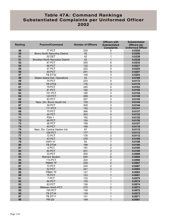# **Table 47A: Command Rankings Substantiated Complaints per Uniformed Officer**

| Ranking  | <b>Precinct/Command</b>                  | <b>Number of Officers</b> | <b>Officers with</b><br><b>Substantiated</b><br><b>Complaints</b> | <b>Substantiated</b><br><b>Officers</b> per<br><b>Uniformed Officer</b> |
|----------|------------------------------------------|---------------------------|-------------------------------------------------------------------|-------------------------------------------------------------------------|
| 49       | 77 PCT                                   | 235                       | 6                                                                 | 0.0255                                                                  |
| 50       | <b>Bronx North Narcotics District</b>    | 40                        | $\mathbf{1}$                                                      | 0.0250                                                                  |
| 51       | <b>52 DET</b>                            | 42                        | 1                                                                 | 0.0238                                                                  |
| 51       | <b>Brooklyn North Narcotics District</b> | 42                        | $\mathbf{1}$                                                      | 0.0238                                                                  |
| 53       | 67 PCT                                   | 255                       | 6                                                                 | 0.0235                                                                  |
| 54       | 66 PCT                                   | 132                       | 3                                                                 | 0.0227                                                                  |
| 55       | 47 PCT                                   | 222                       | 5                                                                 | 0.0225                                                                  |
| 56       | 40 PCT                                   | 241                       | 5                                                                 | 0.0207                                                                  |
| 57       | TB DT32                                  | 148                       | $\overline{3}$                                                    | 0.0203                                                                  |
| 58       | Staten Island Det. Operations            | 53                        | $\mathbf{1}$                                                      | 0.0189                                                                  |
| 59       | 70 PCT                                   | 233                       | $\overline{\mathbf{4}}$                                           | 0.0172                                                                  |
| 60       | TB DT02                                  | 176                       | $\mathbf{3}$                                                      | 0.0170                                                                  |
| 61       | 79 PCT                                   | 245                       | 4                                                                 | 0.0163                                                                  |
| 62       | 81 PCT                                   | 192                       | $\mathfrak{S}$                                                    | 0.0156                                                                  |
| 63       | <b>101 PCT</b>                           | 195                       | $\overline{3}$                                                    | 0.0154                                                                  |
| 64       | <b>120 PCT</b>                           | 269                       | $\overline{\mathbf{4}}$                                           | 0.0149                                                                  |
| 65       | 83 PCT                                   | 207                       | $\overline{3}$                                                    | 0.0145                                                                  |
| 66       | Narc. Div. Bronx South Init.             | 139                       | $\overline{2}$                                                    | 0.0144                                                                  |
|          | 30 PCT                                   | 209                       | $\overline{3}$                                                    | 0.0144                                                                  |
| 67<br>68 | <b>111 PCT</b>                           | 142                       | $\overline{2}$                                                    | 0.0141                                                                  |
| 69       | 75 PCT                                   | 366                       | $\overline{5}$                                                    | 0.0137                                                                  |
| 70       | 44 PCT                                   | 303                       | $\overline{\mathbf{4}}$                                           | 0.0132                                                                  |
| 71       | PSA <sub>1</sub>                         | 152                       | $\overline{2}$                                                    | 0.0132                                                                  |
| 72       | 68 PCT                                   | 154                       | $\overline{2}$                                                    | 0.0130                                                                  |
| 73       |                                          | 158                       | $\overline{2}$                                                    |                                                                         |
| 74       | 26 PCT<br>45 PCT                         | 169                       | $\overline{2}$                                                    | 0.0127<br>0.0118                                                        |
|          |                                          |                           |                                                                   |                                                                         |
| 75<br>76 | Narc. Div. Central Harlem Init.          | 87                        | 1                                                                 | 0.0115                                                                  |
|          | <b>106 PCT</b>                           | 177                       | $\overline{2}$<br>$\overline{2}$                                  | 0.0113                                                                  |
| 77<br>78 | 72 PCT                                   | 178<br>276                | $\mathbf{3}$                                                      | 0.0112<br>0.0109                                                        |
|          | 43 PCT                                   |                           |                                                                   |                                                                         |
| 79<br>80 | <b>HWY 01</b>                            | 93                        | 1<br>$\overline{2}$                                               | 0.0108                                                                  |
|          | TB DT04                                  | 188                       |                                                                   | 0.0106                                                                  |
| 81       | 6 PCT                                    | 191                       | $\overline{2}$<br>$\overline{2}$                                  | 0.0105                                                                  |
| 82       | 60 PCT                                   | 201                       | $\overline{2}$                                                    | 0.0100                                                                  |
| 83       | 33 PCT                                   | 205                       | $\,6$                                                             | 0.0098                                                                  |
| 84       | <b>Warrant Section</b>                   | 640                       |                                                                   | 0.0094                                                                  |
| 85       | <b>114 PCT</b>                           | 223                       | $\overline{2}$                                                    | 0.0090                                                                  |
| 86       | <b>PBMS TF</b>                           | 229                       | $\overline{c}$                                                    | 0.0087                                                                  |
| 87       | 73 PCT                                   | 230                       | $\overline{c}$                                                    | 0.0087                                                                  |
| 88       | 52 PCT                                   | 241                       | $\overline{2}$                                                    | 0.0083                                                                  |
| 89       | <b>PBBX TF</b>                           | 121                       | 1                                                                 | 0.0083                                                                  |
| 90       | <b>76 PCT</b>                            | 123                       | $\mathbf{1}$                                                      | 0.0081                                                                  |
| 91       | 7 PCT                                    | 133                       | 1                                                                 | 0.0075                                                                  |
| 92       | 94 PCT                                   | 135                       | $\mathbf{1}$                                                      | 0.0074                                                                  |
| 93       | 63 PCT                                   | 136                       | 1                                                                 | 0.0074                                                                  |
| 94       | Midtown North PCT                        | 275                       | $\overline{c}$                                                    | 0.0073                                                                  |
| 95       | 100 PCT                                  | 139                       | 1                                                                 | 0.0072                                                                  |
| 95       | TB DT34                                  | 139                       | $\mathbf{1}$                                                      | 0.0072                                                                  |
| 97       | TB DT11                                  | 141                       | 1                                                                 | 0.0071                                                                  |
| 98       | PB QS                                    | 149                       | $\overline{1}$                                                    | 0.0067                                                                  |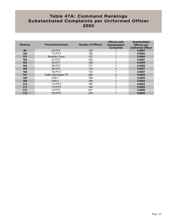#### **Table 47A: Command Rankings Substantiated Complaints per Uniformed Officer**

| Ranking | <b>Precinct/Command</b>     | <b>Number of Officers</b> | <b>Officers with</b><br><b>Substantiated</b><br><b>Complaints</b> | <b>Substantiated</b><br><b>Officers per</b><br><b>Uniformed Officer</b> |
|---------|-----------------------------|---------------------------|-------------------------------------------------------------------|-------------------------------------------------------------------------|
| 99      | 62 PCT                      | 150                       |                                                                   | 0.0067                                                                  |
| 100     | 112 PCT                     | 156                       |                                                                   | 0.0064                                                                  |
| 101     | <b>Brooklyn Court</b>       | 157                       |                                                                   | 0.0064                                                                  |
| 102     | 61 PCT                      | 163                       |                                                                   | 0.0061                                                                  |
| 103     | 50 PCT                      | 169                       |                                                                   | 0.0059                                                                  |
| 104     | 88 PCT                      | 171                       |                                                                   | 0.0058                                                                  |
| 105     | 49 PCT                      | 175                       |                                                                   | 0.0057                                                                  |
| 105     | 104 PCT                     | 175                       |                                                                   | 0.0057                                                                  |
| 107     | <b>Traffic Manhattan TF</b> | 365                       | 2                                                                 | 0.0055                                                                  |
| 108     | PSA <sub>7</sub>            | 184                       |                                                                   | 0.0054                                                                  |
| 109     | PSA <sub>2</sub>            | 186                       |                                                                   | 0.0054                                                                  |
| 110     | <b>110 PCT</b>              | 187                       |                                                                   | 0.0053                                                                  |
| 111     | <b>115 PCT</b>              | 194                       |                                                                   | 0.0052                                                                  |
| 112     | 34 PCT                      | 201                       |                                                                   | 0.0050                                                                  |
| 113     | 103 PCT                     | 230                       |                                                                   | 0.0043                                                                  |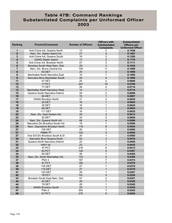# **Table 47B: Command Rankings Substantiated Complaints per Uniformed Officer**

|                |                                                      |                           | <b>Officers with</b>                      | <b>Substantiated</b>                            |
|----------------|------------------------------------------------------|---------------------------|-------------------------------------------|-------------------------------------------------|
| Ranking        | <b>Precinct/Command</b>                              | <b>Number of Officers</b> | <b>Substantiated</b><br><b>Complaints</b> | <b>Officers per</b><br><b>Uniformed Officer</b> |
| 1              | Anti-Crime Init. Queens North                        | 13                        | 2                                         | 0.1538                                          |
| $\overline{2}$ | Narc. Div. Staten Island Init.                       | 27                        | $\overline{4}$                            | 0.1481                                          |
| 3              | Anti-Crime Init. Queens South                        | 16                        | $\overline{c}$                            | 0.1250                                          |
| 4              | <b>GANG Staten Island</b>                            | 17                        | $\overline{2}$                            | 0.1176                                          |
| 5              | Anti-Crime Init. Brooklyn North                      | 27                        | 3                                         | 0.1111                                          |
| 6              | Brooklyn South West Narc. Dist.                      | 29                        | 3                                         | 0.1034                                          |
| $\overline{7}$ | Narc. Div. Bronx Central Init.                       | 109                       | 11                                        | 0.1009                                          |
| 8              | 62 DET                                               | 20                        | $\overline{2}$                            | 0.1000                                          |
| 8              | Manhattan North Narcotics East                       | 10                        | 1                                         | 0.1000                                          |
| 8              | Narcotics Boro Manhattan South                       | 40                        | $\overline{4}$                            | 0.1000                                          |
| 11             | 47 DET                                               | 25                        | $\overline{2}$                            | 0.0800                                          |
| 12             | 77 PCT                                               | 247                       | 19                                        | 0.0769                                          |
| 13             | <b>77 DET</b>                                        | 28                        | $\overline{2}$                            | 0.0714                                          |
| 13             | <b>Manhattan North Narcotics West</b>                | 14                        | $\mathbf{1}$                              | 0.0714                                          |
| 15             | Queens South Narcotics District                      | 29                        | $\overline{2}$                            | 0.0690                                          |
| 16             | <b>84 DET</b>                                        | 15                        | $\mathbf{1}$                              | 0.0667                                          |
| 17             | <b>GANG Brooklyn North</b>                           | 31                        | $\overline{2}$                            | 0.0645                                          |
| 18             | 20 DET                                               | 16                        | $\mathbf{1}$                              | 0.0625                                          |
| 18             | 26 DET                                               | 16                        | 1                                         | 0.0625                                          |
| 18             | 68 DET                                               | 16                        | $\mathbf{1}$                              | 0.0625                                          |
| 18             | <b>111 DET</b>                                       | 16                        | 1                                         | 0.0625                                          |
| 22             | Narc. Div. East Harlem Init.                         | 49                        | 3                                         | 0.0612                                          |
| 23             | <b>52 DET</b>                                        | 33                        | $\overline{2}$                            | 0.0606                                          |
| 24             | Narc. Div. Queens North Init.                        | 68                        | $\overline{4}$                            | 0.0588                                          |
| 25             | Narcotics Div Brooklyn South Init.                   | 18                        | 1                                         | 0.0556                                          |
| 26             | Narc. Operations Brooklyn North                      | 119                       | 6                                         | 0.0504                                          |
| 27             | <b>106 DET</b>                                       | 20                        | 1                                         | 0.0500                                          |
| 27             | <b>PBBN TF</b>                                       | 100                       | 5                                         | 0.0500                                          |
|                | Vice Enf.Div Brooklyn South & SI                     | 20                        | 1                                         |                                                 |
| 27<br>30       | Narcotics Boro Queens North                          | 63                        | 3                                         | 0.0500<br>0.0476                                |
| 31             |                                                      | 22                        | 1                                         |                                                 |
| 32             | Queens North Narcotics District                      | 23                        | $\mathbf{1}$                              | 0.0455<br>0.0435                                |
|                | <b>HWY 04</b>                                        |                           |                                           |                                                 |
| 33             | 47 PCT<br>63 PCT                                     | 218                       | 9                                         | 0.0413                                          |
| 34             | 60 DET                                               | 126<br>26                 | 5<br>1                                    | 0.0397                                          |
| 35<br>35       |                                                      |                           |                                           | 0.0385                                          |
| 37             | Narc. Div. North Manhattan Init.<br>PSA <sub>3</sub> | 130<br>187                | 5<br>7                                    | 0.0385<br>0.0374                                |
| 38             | 81 PCT                                               | 189                       | $\overline{7}$                            |                                                 |
| 38             | 105 DET                                              | 27                        | 1                                         | 0.0370<br>0.0370                                |
| 38             |                                                      |                           |                                           |                                                 |
|                | 115 DET                                              | 27                        | 1                                         | 0.0370                                          |
| 41             | <b>120 DET</b>                                       | 28                        | 1                                         | 0.0357                                          |
| 42             | <b>78 PCT</b>                                        | 141                       | 5                                         | 0.0355                                          |
| 43             | Brooklyn South East Narc. Dist.                      | 57                        | $\overline{2}$                            | 0.0351                                          |
| 44             | 43 DET                                               | 29                        | $\mathbf{1}$                              | 0.0345                                          |
| 44             | <b>79 DET</b>                                        | 29                        | 1                                         | 0.0345                                          |
| 44             | <b>GANG Brooklyn South</b>                           | 29                        | $\mathbf{1}$                              | 0.0345                                          |
| 47             | PSA <sub>2</sub>                                     | 204                       | $\overline{7}$                            | 0.0343                                          |
| 48             | 67 PCT                                               | 278                       | $\boldsymbol{9}$                          | 0.0324                                          |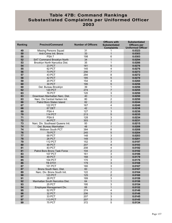# **Table 47B: Command Rankings Substantiated Complaints per Uniformed Officer**

| <b>Uniformed Officer</b><br><b>Complaints</b><br>49<br>Missing Persons Squad<br>31<br>0.0323<br>1<br>33<br>$\mathbf{1}$<br>50<br>Anti-Crime Init. Bronx<br>0.0303<br>50<br>PSA <sub>7</sub><br>198<br>6<br>0.0303<br>34<br>0.0294<br>52<br>SAT Command Brooklyn North<br>1<br>53<br>35<br>Brooklyn North Narcotics Dist.<br>1<br>0.0286<br>54<br>5<br>23 PCT<br>181<br>0.0276<br>145<br>55<br>62 PCT<br>4<br>0.0276<br>256<br>$\overline{7}$<br>56<br>0.0273<br>73 PCT<br>294<br>57<br>43 PCT<br>8<br>0.0272<br>5<br>58<br>185<br>42 PCT<br>0.0270<br>59<br>20 PCT<br>154<br>4<br>0.0260<br>5<br>195<br>60<br>30 PCT<br>0.0256<br>39<br>1<br>60<br>Det. Bureau Brooklyn<br>0.0256<br>$\overline{7}$<br>62<br><b>120 PCT</b><br>274<br>0.0255<br>$\overline{3}$<br>63<br><b>76 PCT</b><br>120<br>0.0250<br>63<br>$\mathbf{1}$<br>40<br>0.0250<br>Downtown Manhattan Narc. Dist.<br>$\overline{2}$<br>63<br>80<br>0.0250<br>Narc. Div Central Harlem Init.<br>$\overline{2}$<br>82<br>66<br>0.0244<br>Patrol Boro Staten Island<br>167<br>67<br><b>122 PCT</b><br>4<br>0.0240<br>$\overline{1}$<br>68<br>67 DET<br>42<br>0.0238<br>69<br>PSA <sub>4</sub><br>127<br>3<br>0.0236<br>5<br>70<br>213<br><b>114 PCT</b><br>0.0235<br>$\overline{3}$<br>71<br>128<br>PSA <sub>8</sub><br>0.0234<br>$\overline{7}$<br>72<br>44 PCT<br>303<br>0.0231<br>$\overline{2}$<br>73<br>93<br>Narc. Div. Southeast Queens Init.<br>0.0215<br>74<br>48<br>$\mathbf{1}$<br>0.0208<br>Det. Bureau Manhattan<br>384<br>74<br>8<br>0.0208<br>Midtown South PCT<br>5<br>76<br>245<br>0.0204<br><b>79 PCT</b><br>68 PCT<br>148<br>3<br>77<br>0.0203<br>3<br>78<br>149<br>26 PCT<br>0.0201<br>79<br><b>112 PCT</b><br>152<br>3<br>0.0197<br>207<br>$\overline{\mathbf{4}}$<br>80<br>48 PCT<br>0.0193<br>83 PCT<br>208<br>4<br>81<br>0.0192<br>$\overline{2}$<br>104<br>81<br>Patrol Boro Bronx Task Force<br>0.0192<br>161<br>$\overline{3}$<br>83<br><b>107 PCT</b><br>0.0186<br>3<br>84<br>49 PCT<br>168<br>0.0179<br>85<br>170<br>3<br><b>104 PCT</b><br>0.0176<br>3<br>86<br>179<br>0.0168<br>TB DT01<br>180<br>3<br>101 PCT<br>87<br>0.0167<br>87<br>60<br>$\mathbf{1}$<br>0.0167<br>Bronx South Narc. Dist.<br>122<br>$\overline{2}$<br>89<br>0.0164<br>Narc. Div. Bronx South Init.<br>$\overline{2}$<br>125<br>90<br><b>123 PCT</b><br>0.0160<br>$\overline{3}$<br>91<br>28 PCT<br>189<br>0.0159<br>92<br>Manhattan South Narcotics Dist.<br>64<br>$\mathbf{1}$<br>0.0156<br>$\overline{3}$<br>93<br>25 PCT<br>195<br>0.0154<br>$\mathbf{1}$<br>94<br>66<br>Employee Management Div.<br>0.0152<br>274<br>95<br>52 PCT<br>4<br>0.0146<br>96<br>206<br>$\overline{3}$<br>32 PCT<br>0.0146 | Ranking | <b>Precinct/Command</b> | <b>Number of Officers</b> | <b>Officers with</b><br><b>Substantiated</b> | <b>Substantiated</b><br><b>Officers per</b> |
|------------------------------------------------------------------------------------------------------------------------------------------------------------------------------------------------------------------------------------------------------------------------------------------------------------------------------------------------------------------------------------------------------------------------------------------------------------------------------------------------------------------------------------------------------------------------------------------------------------------------------------------------------------------------------------------------------------------------------------------------------------------------------------------------------------------------------------------------------------------------------------------------------------------------------------------------------------------------------------------------------------------------------------------------------------------------------------------------------------------------------------------------------------------------------------------------------------------------------------------------------------------------------------------------------------------------------------------------------------------------------------------------------------------------------------------------------------------------------------------------------------------------------------------------------------------------------------------------------------------------------------------------------------------------------------------------------------------------------------------------------------------------------------------------------------------------------------------------------------------------------------------------------------------------------------------------------------------------------------------------------------------------------------------------------------------------------------------------------------------------------------------------------------------------------------------------------------------------------------------------------------------------------------------------------------------------------------------------------------------------------------------------------------------------------------------------------------------------------------------------------------------------------------------------------------------------------------------------------------------------------------------------------------------------|---------|-------------------------|---------------------------|----------------------------------------------|---------------------------------------------|
|                                                                                                                                                                                                                                                                                                                                                                                                                                                                                                                                                                                                                                                                                                                                                                                                                                                                                                                                                                                                                                                                                                                                                                                                                                                                                                                                                                                                                                                                                                                                                                                                                                                                                                                                                                                                                                                                                                                                                                                                                                                                                                                                                                                                                                                                                                                                                                                                                                                                                                                                                                                                                                                                        |         |                         |                           |                                              |                                             |
|                                                                                                                                                                                                                                                                                                                                                                                                                                                                                                                                                                                                                                                                                                                                                                                                                                                                                                                                                                                                                                                                                                                                                                                                                                                                                                                                                                                                                                                                                                                                                                                                                                                                                                                                                                                                                                                                                                                                                                                                                                                                                                                                                                                                                                                                                                                                                                                                                                                                                                                                                                                                                                                                        |         |                         |                           |                                              |                                             |
|                                                                                                                                                                                                                                                                                                                                                                                                                                                                                                                                                                                                                                                                                                                                                                                                                                                                                                                                                                                                                                                                                                                                                                                                                                                                                                                                                                                                                                                                                                                                                                                                                                                                                                                                                                                                                                                                                                                                                                                                                                                                                                                                                                                                                                                                                                                                                                                                                                                                                                                                                                                                                                                                        |         |                         |                           |                                              |                                             |
|                                                                                                                                                                                                                                                                                                                                                                                                                                                                                                                                                                                                                                                                                                                                                                                                                                                                                                                                                                                                                                                                                                                                                                                                                                                                                                                                                                                                                                                                                                                                                                                                                                                                                                                                                                                                                                                                                                                                                                                                                                                                                                                                                                                                                                                                                                                                                                                                                                                                                                                                                                                                                                                                        |         |                         |                           |                                              |                                             |
|                                                                                                                                                                                                                                                                                                                                                                                                                                                                                                                                                                                                                                                                                                                                                                                                                                                                                                                                                                                                                                                                                                                                                                                                                                                                                                                                                                                                                                                                                                                                                                                                                                                                                                                                                                                                                                                                                                                                                                                                                                                                                                                                                                                                                                                                                                                                                                                                                                                                                                                                                                                                                                                                        |         |                         |                           |                                              |                                             |
|                                                                                                                                                                                                                                                                                                                                                                                                                                                                                                                                                                                                                                                                                                                                                                                                                                                                                                                                                                                                                                                                                                                                                                                                                                                                                                                                                                                                                                                                                                                                                                                                                                                                                                                                                                                                                                                                                                                                                                                                                                                                                                                                                                                                                                                                                                                                                                                                                                                                                                                                                                                                                                                                        |         |                         |                           |                                              |                                             |
|                                                                                                                                                                                                                                                                                                                                                                                                                                                                                                                                                                                                                                                                                                                                                                                                                                                                                                                                                                                                                                                                                                                                                                                                                                                                                                                                                                                                                                                                                                                                                                                                                                                                                                                                                                                                                                                                                                                                                                                                                                                                                                                                                                                                                                                                                                                                                                                                                                                                                                                                                                                                                                                                        |         |                         |                           |                                              |                                             |
|                                                                                                                                                                                                                                                                                                                                                                                                                                                                                                                                                                                                                                                                                                                                                                                                                                                                                                                                                                                                                                                                                                                                                                                                                                                                                                                                                                                                                                                                                                                                                                                                                                                                                                                                                                                                                                                                                                                                                                                                                                                                                                                                                                                                                                                                                                                                                                                                                                                                                                                                                                                                                                                                        |         |                         |                           |                                              |                                             |
|                                                                                                                                                                                                                                                                                                                                                                                                                                                                                                                                                                                                                                                                                                                                                                                                                                                                                                                                                                                                                                                                                                                                                                                                                                                                                                                                                                                                                                                                                                                                                                                                                                                                                                                                                                                                                                                                                                                                                                                                                                                                                                                                                                                                                                                                                                                                                                                                                                                                                                                                                                                                                                                                        |         |                         |                           |                                              |                                             |
|                                                                                                                                                                                                                                                                                                                                                                                                                                                                                                                                                                                                                                                                                                                                                                                                                                                                                                                                                                                                                                                                                                                                                                                                                                                                                                                                                                                                                                                                                                                                                                                                                                                                                                                                                                                                                                                                                                                                                                                                                                                                                                                                                                                                                                                                                                                                                                                                                                                                                                                                                                                                                                                                        |         |                         |                           |                                              |                                             |
|                                                                                                                                                                                                                                                                                                                                                                                                                                                                                                                                                                                                                                                                                                                                                                                                                                                                                                                                                                                                                                                                                                                                                                                                                                                                                                                                                                                                                                                                                                                                                                                                                                                                                                                                                                                                                                                                                                                                                                                                                                                                                                                                                                                                                                                                                                                                                                                                                                                                                                                                                                                                                                                                        |         |                         |                           |                                              |                                             |
|                                                                                                                                                                                                                                                                                                                                                                                                                                                                                                                                                                                                                                                                                                                                                                                                                                                                                                                                                                                                                                                                                                                                                                                                                                                                                                                                                                                                                                                                                                                                                                                                                                                                                                                                                                                                                                                                                                                                                                                                                                                                                                                                                                                                                                                                                                                                                                                                                                                                                                                                                                                                                                                                        |         |                         |                           |                                              |                                             |
|                                                                                                                                                                                                                                                                                                                                                                                                                                                                                                                                                                                                                                                                                                                                                                                                                                                                                                                                                                                                                                                                                                                                                                                                                                                                                                                                                                                                                                                                                                                                                                                                                                                                                                                                                                                                                                                                                                                                                                                                                                                                                                                                                                                                                                                                                                                                                                                                                                                                                                                                                                                                                                                                        |         |                         |                           |                                              |                                             |
|                                                                                                                                                                                                                                                                                                                                                                                                                                                                                                                                                                                                                                                                                                                                                                                                                                                                                                                                                                                                                                                                                                                                                                                                                                                                                                                                                                                                                                                                                                                                                                                                                                                                                                                                                                                                                                                                                                                                                                                                                                                                                                                                                                                                                                                                                                                                                                                                                                                                                                                                                                                                                                                                        |         |                         |                           |                                              |                                             |
|                                                                                                                                                                                                                                                                                                                                                                                                                                                                                                                                                                                                                                                                                                                                                                                                                                                                                                                                                                                                                                                                                                                                                                                                                                                                                                                                                                                                                                                                                                                                                                                                                                                                                                                                                                                                                                                                                                                                                                                                                                                                                                                                                                                                                                                                                                                                                                                                                                                                                                                                                                                                                                                                        |         |                         |                           |                                              |                                             |
|                                                                                                                                                                                                                                                                                                                                                                                                                                                                                                                                                                                                                                                                                                                                                                                                                                                                                                                                                                                                                                                                                                                                                                                                                                                                                                                                                                                                                                                                                                                                                                                                                                                                                                                                                                                                                                                                                                                                                                                                                                                                                                                                                                                                                                                                                                                                                                                                                                                                                                                                                                                                                                                                        |         |                         |                           |                                              |                                             |
|                                                                                                                                                                                                                                                                                                                                                                                                                                                                                                                                                                                                                                                                                                                                                                                                                                                                                                                                                                                                                                                                                                                                                                                                                                                                                                                                                                                                                                                                                                                                                                                                                                                                                                                                                                                                                                                                                                                                                                                                                                                                                                                                                                                                                                                                                                                                                                                                                                                                                                                                                                                                                                                                        |         |                         |                           |                                              |                                             |
|                                                                                                                                                                                                                                                                                                                                                                                                                                                                                                                                                                                                                                                                                                                                                                                                                                                                                                                                                                                                                                                                                                                                                                                                                                                                                                                                                                                                                                                                                                                                                                                                                                                                                                                                                                                                                                                                                                                                                                                                                                                                                                                                                                                                                                                                                                                                                                                                                                                                                                                                                                                                                                                                        |         |                         |                           |                                              |                                             |
|                                                                                                                                                                                                                                                                                                                                                                                                                                                                                                                                                                                                                                                                                                                                                                                                                                                                                                                                                                                                                                                                                                                                                                                                                                                                                                                                                                                                                                                                                                                                                                                                                                                                                                                                                                                                                                                                                                                                                                                                                                                                                                                                                                                                                                                                                                                                                                                                                                                                                                                                                                                                                                                                        |         |                         |                           |                                              |                                             |
|                                                                                                                                                                                                                                                                                                                                                                                                                                                                                                                                                                                                                                                                                                                                                                                                                                                                                                                                                                                                                                                                                                                                                                                                                                                                                                                                                                                                                                                                                                                                                                                                                                                                                                                                                                                                                                                                                                                                                                                                                                                                                                                                                                                                                                                                                                                                                                                                                                                                                                                                                                                                                                                                        |         |                         |                           |                                              |                                             |
|                                                                                                                                                                                                                                                                                                                                                                                                                                                                                                                                                                                                                                                                                                                                                                                                                                                                                                                                                                                                                                                                                                                                                                                                                                                                                                                                                                                                                                                                                                                                                                                                                                                                                                                                                                                                                                                                                                                                                                                                                                                                                                                                                                                                                                                                                                                                                                                                                                                                                                                                                                                                                                                                        |         |                         |                           |                                              |                                             |
|                                                                                                                                                                                                                                                                                                                                                                                                                                                                                                                                                                                                                                                                                                                                                                                                                                                                                                                                                                                                                                                                                                                                                                                                                                                                                                                                                                                                                                                                                                                                                                                                                                                                                                                                                                                                                                                                                                                                                                                                                                                                                                                                                                                                                                                                                                                                                                                                                                                                                                                                                                                                                                                                        |         |                         |                           |                                              |                                             |
|                                                                                                                                                                                                                                                                                                                                                                                                                                                                                                                                                                                                                                                                                                                                                                                                                                                                                                                                                                                                                                                                                                                                                                                                                                                                                                                                                                                                                                                                                                                                                                                                                                                                                                                                                                                                                                                                                                                                                                                                                                                                                                                                                                                                                                                                                                                                                                                                                                                                                                                                                                                                                                                                        |         |                         |                           |                                              |                                             |
|                                                                                                                                                                                                                                                                                                                                                                                                                                                                                                                                                                                                                                                                                                                                                                                                                                                                                                                                                                                                                                                                                                                                                                                                                                                                                                                                                                                                                                                                                                                                                                                                                                                                                                                                                                                                                                                                                                                                                                                                                                                                                                                                                                                                                                                                                                                                                                                                                                                                                                                                                                                                                                                                        |         |                         |                           |                                              |                                             |
|                                                                                                                                                                                                                                                                                                                                                                                                                                                                                                                                                                                                                                                                                                                                                                                                                                                                                                                                                                                                                                                                                                                                                                                                                                                                                                                                                                                                                                                                                                                                                                                                                                                                                                                                                                                                                                                                                                                                                                                                                                                                                                                                                                                                                                                                                                                                                                                                                                                                                                                                                                                                                                                                        |         |                         |                           |                                              |                                             |
|                                                                                                                                                                                                                                                                                                                                                                                                                                                                                                                                                                                                                                                                                                                                                                                                                                                                                                                                                                                                                                                                                                                                                                                                                                                                                                                                                                                                                                                                                                                                                                                                                                                                                                                                                                                                                                                                                                                                                                                                                                                                                                                                                                                                                                                                                                                                                                                                                                                                                                                                                                                                                                                                        |         |                         |                           |                                              |                                             |
|                                                                                                                                                                                                                                                                                                                                                                                                                                                                                                                                                                                                                                                                                                                                                                                                                                                                                                                                                                                                                                                                                                                                                                                                                                                                                                                                                                                                                                                                                                                                                                                                                                                                                                                                                                                                                                                                                                                                                                                                                                                                                                                                                                                                                                                                                                                                                                                                                                                                                                                                                                                                                                                                        |         |                         |                           |                                              |                                             |
|                                                                                                                                                                                                                                                                                                                                                                                                                                                                                                                                                                                                                                                                                                                                                                                                                                                                                                                                                                                                                                                                                                                                                                                                                                                                                                                                                                                                                                                                                                                                                                                                                                                                                                                                                                                                                                                                                                                                                                                                                                                                                                                                                                                                                                                                                                                                                                                                                                                                                                                                                                                                                                                                        |         |                         |                           |                                              |                                             |
|                                                                                                                                                                                                                                                                                                                                                                                                                                                                                                                                                                                                                                                                                                                                                                                                                                                                                                                                                                                                                                                                                                                                                                                                                                                                                                                                                                                                                                                                                                                                                                                                                                                                                                                                                                                                                                                                                                                                                                                                                                                                                                                                                                                                                                                                                                                                                                                                                                                                                                                                                                                                                                                                        |         |                         |                           |                                              |                                             |
|                                                                                                                                                                                                                                                                                                                                                                                                                                                                                                                                                                                                                                                                                                                                                                                                                                                                                                                                                                                                                                                                                                                                                                                                                                                                                                                                                                                                                                                                                                                                                                                                                                                                                                                                                                                                                                                                                                                                                                                                                                                                                                                                                                                                                                                                                                                                                                                                                                                                                                                                                                                                                                                                        |         |                         |                           |                                              |                                             |
|                                                                                                                                                                                                                                                                                                                                                                                                                                                                                                                                                                                                                                                                                                                                                                                                                                                                                                                                                                                                                                                                                                                                                                                                                                                                                                                                                                                                                                                                                                                                                                                                                                                                                                                                                                                                                                                                                                                                                                                                                                                                                                                                                                                                                                                                                                                                                                                                                                                                                                                                                                                                                                                                        |         |                         |                           |                                              |                                             |
|                                                                                                                                                                                                                                                                                                                                                                                                                                                                                                                                                                                                                                                                                                                                                                                                                                                                                                                                                                                                                                                                                                                                                                                                                                                                                                                                                                                                                                                                                                                                                                                                                                                                                                                                                                                                                                                                                                                                                                                                                                                                                                                                                                                                                                                                                                                                                                                                                                                                                                                                                                                                                                                                        |         |                         |                           |                                              |                                             |
|                                                                                                                                                                                                                                                                                                                                                                                                                                                                                                                                                                                                                                                                                                                                                                                                                                                                                                                                                                                                                                                                                                                                                                                                                                                                                                                                                                                                                                                                                                                                                                                                                                                                                                                                                                                                                                                                                                                                                                                                                                                                                                                                                                                                                                                                                                                                                                                                                                                                                                                                                                                                                                                                        |         |                         |                           |                                              |                                             |
|                                                                                                                                                                                                                                                                                                                                                                                                                                                                                                                                                                                                                                                                                                                                                                                                                                                                                                                                                                                                                                                                                                                                                                                                                                                                                                                                                                                                                                                                                                                                                                                                                                                                                                                                                                                                                                                                                                                                                                                                                                                                                                                                                                                                                                                                                                                                                                                                                                                                                                                                                                                                                                                                        |         |                         |                           |                                              |                                             |
|                                                                                                                                                                                                                                                                                                                                                                                                                                                                                                                                                                                                                                                                                                                                                                                                                                                                                                                                                                                                                                                                                                                                                                                                                                                                                                                                                                                                                                                                                                                                                                                                                                                                                                                                                                                                                                                                                                                                                                                                                                                                                                                                                                                                                                                                                                                                                                                                                                                                                                                                                                                                                                                                        |         |                         |                           |                                              |                                             |
|                                                                                                                                                                                                                                                                                                                                                                                                                                                                                                                                                                                                                                                                                                                                                                                                                                                                                                                                                                                                                                                                                                                                                                                                                                                                                                                                                                                                                                                                                                                                                                                                                                                                                                                                                                                                                                                                                                                                                                                                                                                                                                                                                                                                                                                                                                                                                                                                                                                                                                                                                                                                                                                                        |         |                         |                           |                                              |                                             |
|                                                                                                                                                                                                                                                                                                                                                                                                                                                                                                                                                                                                                                                                                                                                                                                                                                                                                                                                                                                                                                                                                                                                                                                                                                                                                                                                                                                                                                                                                                                                                                                                                                                                                                                                                                                                                                                                                                                                                                                                                                                                                                                                                                                                                                                                                                                                                                                                                                                                                                                                                                                                                                                                        |         |                         |                           |                                              |                                             |
|                                                                                                                                                                                                                                                                                                                                                                                                                                                                                                                                                                                                                                                                                                                                                                                                                                                                                                                                                                                                                                                                                                                                                                                                                                                                                                                                                                                                                                                                                                                                                                                                                                                                                                                                                                                                                                                                                                                                                                                                                                                                                                                                                                                                                                                                                                                                                                                                                                                                                                                                                                                                                                                                        |         |                         |                           |                                              |                                             |
|                                                                                                                                                                                                                                                                                                                                                                                                                                                                                                                                                                                                                                                                                                                                                                                                                                                                                                                                                                                                                                                                                                                                                                                                                                                                                                                                                                                                                                                                                                                                                                                                                                                                                                                                                                                                                                                                                                                                                                                                                                                                                                                                                                                                                                                                                                                                                                                                                                                                                                                                                                                                                                                                        |         |                         |                           |                                              |                                             |
|                                                                                                                                                                                                                                                                                                                                                                                                                                                                                                                                                                                                                                                                                                                                                                                                                                                                                                                                                                                                                                                                                                                                                                                                                                                                                                                                                                                                                                                                                                                                                                                                                                                                                                                                                                                                                                                                                                                                                                                                                                                                                                                                                                                                                                                                                                                                                                                                                                                                                                                                                                                                                                                                        |         |                         |                           |                                              |                                             |
|                                                                                                                                                                                                                                                                                                                                                                                                                                                                                                                                                                                                                                                                                                                                                                                                                                                                                                                                                                                                                                                                                                                                                                                                                                                                                                                                                                                                                                                                                                                                                                                                                                                                                                                                                                                                                                                                                                                                                                                                                                                                                                                                                                                                                                                                                                                                                                                                                                                                                                                                                                                                                                                                        |         |                         |                           |                                              |                                             |
|                                                                                                                                                                                                                                                                                                                                                                                                                                                                                                                                                                                                                                                                                                                                                                                                                                                                                                                                                                                                                                                                                                                                                                                                                                                                                                                                                                                                                                                                                                                                                                                                                                                                                                                                                                                                                                                                                                                                                                                                                                                                                                                                                                                                                                                                                                                                                                                                                                                                                                                                                                                                                                                                        |         |                         |                           |                                              |                                             |
|                                                                                                                                                                                                                                                                                                                                                                                                                                                                                                                                                                                                                                                                                                                                                                                                                                                                                                                                                                                                                                                                                                                                                                                                                                                                                                                                                                                                                                                                                                                                                                                                                                                                                                                                                                                                                                                                                                                                                                                                                                                                                                                                                                                                                                                                                                                                                                                                                                                                                                                                                                                                                                                                        |         |                         |                           |                                              |                                             |
|                                                                                                                                                                                                                                                                                                                                                                                                                                                                                                                                                                                                                                                                                                                                                                                                                                                                                                                                                                                                                                                                                                                                                                                                                                                                                                                                                                                                                                                                                                                                                                                                                                                                                                                                                                                                                                                                                                                                                                                                                                                                                                                                                                                                                                                                                                                                                                                                                                                                                                                                                                                                                                                                        |         |                         |                           |                                              |                                             |
|                                                                                                                                                                                                                                                                                                                                                                                                                                                                                                                                                                                                                                                                                                                                                                                                                                                                                                                                                                                                                                                                                                                                                                                                                                                                                                                                                                                                                                                                                                                                                                                                                                                                                                                                                                                                                                                                                                                                                                                                                                                                                                                                                                                                                                                                                                                                                                                                                                                                                                                                                                                                                                                                        |         |                         |                           |                                              |                                             |
|                                                                                                                                                                                                                                                                                                                                                                                                                                                                                                                                                                                                                                                                                                                                                                                                                                                                                                                                                                                                                                                                                                                                                                                                                                                                                                                                                                                                                                                                                                                                                                                                                                                                                                                                                                                                                                                                                                                                                                                                                                                                                                                                                                                                                                                                                                                                                                                                                                                                                                                                                                                                                                                                        |         |                         |                           |                                              |                                             |
|                                                                                                                                                                                                                                                                                                                                                                                                                                                                                                                                                                                                                                                                                                                                                                                                                                                                                                                                                                                                                                                                                                                                                                                                                                                                                                                                                                                                                                                                                                                                                                                                                                                                                                                                                                                                                                                                                                                                                                                                                                                                                                                                                                                                                                                                                                                                                                                                                                                                                                                                                                                                                                                                        |         |                         |                           |                                              |                                             |
|                                                                                                                                                                                                                                                                                                                                                                                                                                                                                                                                                                                                                                                                                                                                                                                                                                                                                                                                                                                                                                                                                                                                                                                                                                                                                                                                                                                                                                                                                                                                                                                                                                                                                                                                                                                                                                                                                                                                                                                                                                                                                                                                                                                                                                                                                                                                                                                                                                                                                                                                                                                                                                                                        |         |                         |                           |                                              |                                             |
|                                                                                                                                                                                                                                                                                                                                                                                                                                                                                                                                                                                                                                                                                                                                                                                                                                                                                                                                                                                                                                                                                                                                                                                                                                                                                                                                                                                                                                                                                                                                                                                                                                                                                                                                                                                                                                                                                                                                                                                                                                                                                                                                                                                                                                                                                                                                                                                                                                                                                                                                                                                                                                                                        |         |                         |                           |                                              |                                             |
| 97<br>207<br>3<br>33 PCT<br>0.0145                                                                                                                                                                                                                                                                                                                                                                                                                                                                                                                                                                                                                                                                                                                                                                                                                                                                                                                                                                                                                                                                                                                                                                                                                                                                                                                                                                                                                                                                                                                                                                                                                                                                                                                                                                                                                                                                                                                                                                                                                                                                                                                                                                                                                                                                                                                                                                                                                                                                                                                                                                                                                                     |         |                         |                           |                                              |                                             |
| $\mathbf{3}$<br>97<br>207<br><b>113 PCT</b><br>0.0145                                                                                                                                                                                                                                                                                                                                                                                                                                                                                                                                                                                                                                                                                                                                                                                                                                                                                                                                                                                                                                                                                                                                                                                                                                                                                                                                                                                                                                                                                                                                                                                                                                                                                                                                                                                                                                                                                                                                                                                                                                                                                                                                                                                                                                                                                                                                                                                                                                                                                                                                                                                                                  |         |                         |                           |                                              |                                             |
| 99<br>372<br>5<br>0.0134<br><b>75 PCT</b>                                                                                                                                                                                                                                                                                                                                                                                                                                                                                                                                                                                                                                                                                                                                                                                                                                                                                                                                                                                                                                                                                                                                                                                                                                                                                                                                                                                                                                                                                                                                                                                                                                                                                                                                                                                                                                                                                                                                                                                                                                                                                                                                                                                                                                                                                                                                                                                                                                                                                                                                                                                                                              |         |                         |                           |                                              |                                             |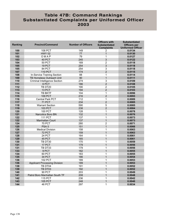# **Table 47B: Command Rankings Substantiated Complaints per Uniformed Officer**

| Ranking | <b>Precinct/Command</b>              | <b>Number of Officers</b> | <b>Officers with</b><br><b>Substantiated</b><br><b>Complaints</b> | <b>Substantiated</b><br><b>Officers per</b><br><b>Uniformed Officer</b> |
|---------|--------------------------------------|---------------------------|-------------------------------------------------------------------|-------------------------------------------------------------------------|
| 100     | 108 PCT                              | 149                       | 2                                                                 | 0.0134                                                                  |
| 101     | <b>HWY 02</b>                        | 77                        | $\mathbf{1}$                                                      | 0.0130                                                                  |
| 102     | OMAP                                 | 79                        | $\overline{1}$                                                    | 0.0127                                                                  |
| 103     | 40 PCT                               | 245                       | $\mathfrak{S}$                                                    | 0.0122                                                                  |
| 104     | 50 PCT                               | 169                       | $\overline{2}$                                                    | 0.0118                                                                  |
| 105     | 19 PCT                               | 254                       | $\overline{3}$                                                    | 0.0118                                                                  |
| 105     | 84 PCT                               | 254                       | $\overline{3}$                                                    | 0.0118                                                                  |
| 107     | <b>110 PCT</b>                       | 174                       | $\overline{2}$                                                    | 0.0115                                                                  |
| 108     | In-Service Training Section          | 88                        | 1                                                                 | 0.0114                                                                  |
| 109     | TB Homeless Outreach Unit            | 90                        | $\mathbf{1}$                                                      | 0.0111                                                                  |
| 110     | <b>Criminal Intelligence Section</b> | 274                       | 3                                                                 | 0.0109                                                                  |
| 111     | 6 PCT                                | 186                       | 2                                                                 | 0.0108                                                                  |
| 112     | TB DT20                              | 190                       | $\overline{2}$                                                    | 0.0105                                                                  |
| 113     | 13 PCT                               | 194                       | $\overline{2}$                                                    | 0.0103                                                                  |
| 114     | <b>TB BKTF</b>                       | 104                       | 1                                                                 | 0.0096                                                                  |
| 115     | <b>109 PCT</b>                       | 216                       | $\overline{2}$                                                    | 0.0093                                                                  |
| 116     | <b>Central Park PCT</b>              | 112                       | 1                                                                 | 0.0089                                                                  |
| 117     | 71 PCT                               | 234                       | $\overline{2}$                                                    | 0.0085                                                                  |
| 118     | <b>Warrant Section</b>               | 590                       | $\overline{5}$                                                    | 0.0085                                                                  |
| 119     | 103 PCT                              | 238                       | $\overline{2}$                                                    | 0.0084                                                                  |
| 120     | <b>100 PCT</b>                       | 128                       | $\overline{1}$                                                    | 0.0078                                                                  |
| 121     | Narcotics Boro BN                    | 132                       | $\overline{1}$                                                    | 0.0076                                                                  |
| 122     | <b>111 PCT</b>                       | 137                       | 1                                                                 | 0.0073                                                                  |
| 122     | Manhattan Court                      | 137                       | $\overline{1}$                                                    | 0.0073                                                                  |
| 124     | 70 PCT                               | 280                       | $\overline{2}$                                                    | 0.0071                                                                  |
| 125     | PSA <sub>5</sub>                     | 151                       | $\mathbf{1}$                                                      | 0.0066                                                                  |
| 126     | <b>Medical Division</b>              | 158                       | 1                                                                 | 0.0063                                                                  |
| 127     | 72 PCT                               | 159                       | $\overline{1}$                                                    | 0.0063                                                                  |
| 128     | 24 PCT                               | 164                       | $\overline{1}$                                                    | 0.0061                                                                  |
| 129     | 45 PCT                               | 165                       | $\overline{1}$                                                    | 0.0061                                                                  |
| 130     | TB DT30                              | 170                       | 1                                                                 | 0.0059                                                                  |
| 131     | 17 PCT                               | 179                       | $\overline{1}$                                                    | 0.0056                                                                  |
| 131     | TB DT33                              | 179                       | 1                                                                 | 0.0056                                                                  |
| 133     | 9 PCT                                | 182                       | $\mathbf{1}$                                                      | 0.0055                                                                  |
| 134     | 60 PCT                               | 183                       | 1                                                                 | 0.0055                                                                  |
| 135     | 34 PCT                               | 186                       | $\overline{1}$                                                    | 0.0054                                                                  |
| 136     | <b>102 PCT</b>                       | 189                       | $\overline{1}$                                                    | 0.0053                                                                  |
| 136     | <b>Applicant Processing Division</b> | 189                       | $\mathbf{1}$                                                      | 0.0053                                                                  |
| 138     | TB DT04                              | 191                       | $\overline{1}$                                                    | 0.0052                                                                  |
| 139     | TB DT03                              | 192                       | $\mathbf{1}$                                                      | 0.0052                                                                  |
| 140     | 90 PCT                               | 203                       | 1                                                                 | 0.0049                                                                  |
| 141     | Patrol Boro Manhattan South TF       | 208                       | $\overline{1}$                                                    | 0.0048                                                                  |
| 142     | <b>115 PCT</b>                       | 236                       | 1                                                                 | 0.0042                                                                  |
| 143     | 105 PCT                              | 248                       | $\overline{1}$                                                    | 0.0040                                                                  |
| 144     | 46 PCT                               | 297                       | 1                                                                 | 0.0034                                                                  |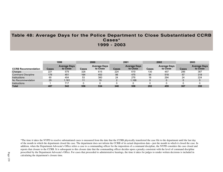# **Table 48: Average Days for the Police Department to Close Substantiated CCRB Cases\*1999 - 2003**

|                            |       | 1999                            |              | 2000                            |              | 2001                            |              | 2002                            |       | 2003                            |
|----------------------------|-------|---------------------------------|--------------|---------------------------------|--------------|---------------------------------|--------------|---------------------------------|-------|---------------------------------|
| <b>CCRB Recommendation</b> | Cases | <b>Average Days</b><br>to Close | <b>Cases</b> | <b>Average Days</b><br>to Close | <b>Cases</b> | <b>Average Days</b><br>to Close | <b>Cases</b> | <b>Average Days</b><br>to Close | Cases | <b>Average Days</b><br>to Close |
| Charges                    | 221   | 579                             | 328          | 615                             | 224          | 619                             | 130          | 457                             | 286   | 367                             |
| <b>Command Discipline</b>  | 176   | 451                             | 164          | 453                             | 98           | 475                             | 54           | 518                             | 57    | 318                             |
| Instructions               | 60    | 404                             | 53           | 360                             | 24           | 276                             | 18           | 294                             | 24    | 224                             |
| No Recommendation          | 29    | 1.161                           |              | 19                              |              | 1.168                           |              |                                 |       |                                 |
| Instructions               |       | 717                             |              |                                 |              |                                 |              |                                 |       |                                 |
| <b>Total</b>               | 487   | 542                             | 556          | 534                             | 348          | 558                             | 202          | 459                             | 367   | 350                             |

\*The time it takes the NYPD to resolve substantiated cases is measured from the date that the CCRB physically transferred the case file to the department until the last day of the month in which the department closed the case. The department does not inform the CCRB of its actual disposition date—just the month in which it closed the case. In addition, when the Department Advocate's Office refers a case to a commanding officer for the imposition of a command discipline, the NYPD considers the case closed and reports that closure to the CCRB. It is subsequent to this closure date that the commanding officer decides upon a penalty consistent with the level of command discipline proscribed by the Department Advocate's Office. For cases that proceeded to administrative hearings, the time it takes for judges to render written decisions is included in calculating the department's closure time.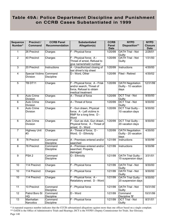| <b>Sequence</b><br>Number* | Precinct /<br><b>Command</b>               | <b>CCRB Panel</b><br><b>Recommendation</b> | <b>Substantiated</b><br>Allegation(s)                                                                      | <b>CCRB</b><br><b>Panel</b> | <b>NYPD</b><br>Disposition**                            | <b>NYPD</b><br><b>Closure</b> |
|----------------------------|--------------------------------------------|--------------------------------------------|------------------------------------------------------------------------------------------------------------|-----------------------------|---------------------------------------------------------|-------------------------------|
|                            |                                            |                                            |                                                                                                            | <b>Date</b>                 |                                                         | <b>Date</b>                   |
| 1                          | 26 Precinct                                | Charges                                    | F - Physical force                                                                                         | 1/20/99                     | <b>OATH Trial - Not</b><br>Guilty                       | 2/28/01                       |
| $\overline{2}$             | 40 Precinct                                | Charges                                    | F - Physical force; A -<br>Threat of arrest, Refusal to<br>give name/shield number                         | 1/20/99                     | <b>OATH Trial - Not</b><br>Guilty                       | 1/31/00                       |
| 3                          | 20 Precinct                                | Instructions                               | A - Unauthorized closing of<br>taxi driver's trip sheet                                                    | 1/20/99                     | Instructions                                            | 4/30/00                       |
| $\overline{4}$             | <b>Special Victims Command</b><br>Division | <b>Discipline</b>                          | D - Word, Other                                                                                            | 1/20/99                     | <b>Filed - Retired</b>                                  | 4/30/02                       |
| $\overline{5}$             | TB DT11                                    | Charges                                    | F - Physical force; A - Frisk<br>and/or search, Threat of<br>force, Refusal to obtain<br>medical treatment | 1/20/99                     | <b>OATH Negotiation</b><br>Guilty - 10 vacation<br>days | 12/31/99                      |
| $6\overline{6}$            | <b>Auto Crime</b><br>Division              | Charges                                    | A - Threat of force                                                                                        | 1/20/99                     | <b>DCT Trial - Not</b><br>Guilty                        | 9/30/00                       |
| $\overline{6}$             | <b>Auto Crime</b><br><b>Division</b>       | Charges                                    | A - Threat of force                                                                                        | 1/20/99                     | <b>DCT Trial - Not</b><br>Guilty                        | 9/30/00                       |
| 6                          | <b>Auto Crime</b><br>Division              | Charges                                    | F - Gun drawn, Physical<br>force; A - Left victims in<br>RMP for a long time; D -<br>Word                  | 1/20/99                     | <b>DCT Trial Guilty -</b><br>10 vacation days           | 9/30/00                       |
| 6                          | <b>Auto Crime</b><br>Division              | Charges                                    | F - Gun as club, Gun drawn,<br>Physical force; A - Threat of<br>arrest; D - Word                           | 1/20/99                     | <b>DCT Trial Guilty -</b><br>20 vacation days           | 9/30/00                       |
| $\overline{7}$             | <b>Highway Unit</b><br>#3                  | Charges                                    | A - Threat of force; D -<br>Word; O - Ethnicity                                                            | 1/20/99                     | <b>OATH Negotiation</b><br>Guilty - 20 vacation<br>days | 4/30/00                       |
| 8                          | <b>78 Precinct</b>                         | Command<br><b>Discipline</b>               | A - Premises entered and/or<br>searched                                                                    | 1/21/99                     | Instructions                                            | 9/30/99                       |
| $\overline{8}$             | <b>78 Precinct</b>                         | Command<br>Discipline                      | A - Premises entered and/or<br>searched, Property<br>damaged                                               | 1/21/99                     | Instructions                                            | 9/30/99                       |
| $\overline{9}$             | PSA <sub>2</sub>                           | Command<br><b>Discipline</b>               | O - Ethnicity                                                                                              | 1/21/99                     | <b>OATH Trial Guilty -</b><br>15 suspension days        | 3/31/01                       |
| 10                         | 114 Precinct                               | Charges                                    | F - Physical force                                                                                         | 1/21/99                     | <b>OATH Trial - Not</b><br>Guilty                       | 9/30/00                       |
| 10                         | 114 Precinct                               | Charges                                    | F - Physical force                                                                                         | 1/21/99                     | <b>OATH Trial - Not</b><br>Guilty                       | 9/30/00                       |
| 10                         | 114 Precinct                               | Charges                                    | F - Physical force; A -<br>Retaliatory arrest; D - Word                                                    | 1/21/99                     | <b>OATH Trial Guilty -</b><br>20 suspension days        | 9/30/00                       |
| 11                         | 10 Precinct                                | Command<br>Discipline                      | F - Physical force                                                                                         | 1/21/99                     | <b>OATH Trial - Not</b><br>Guilty                       | 10/31/00                      |
| $\overline{12}$            | Patrol Boro SI<br>HQ                       | Command<br><b>Discipline</b>               | D - Word                                                                                                   | 1/21/99                     | Command<br>Discipline 'B'                               | 10/31/99                      |
| 13                         | Manhattan<br><b>Narcotics</b>              | Command<br><b>Discipline</b>               | F - Physical force                                                                                         | 1/21/99                     | <b>DCT Trial - Not</b><br><b>Guilty</b>                 | 8/31/01                       |

\* A repeated sequence number indicates that the CCCB substantiated allegations against more than one officer based on a single complant. \*\* OATH is the Office of Administrative Trials and Hearings; DCT is the NYPD's Deputy Commissioner for Trials. See Glossary.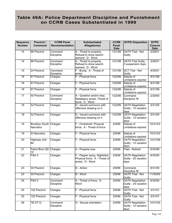| <b>Sequence</b><br><b>Number</b> | Precinct /<br>Command                      | <b>CCRB Panel</b><br><b>Recommendation</b> | <b>Substantiated</b><br>Allegation(s)                                              | <b>CCRB</b><br><b>Panel</b><br><b>Date</b> | <b>NYPD Disposition</b>                                 | <b>NYPD</b><br><b>Closure</b><br><b>Date</b> |
|----------------------------------|--------------------------------------------|--------------------------------------------|------------------------------------------------------------------------------------|--------------------------------------------|---------------------------------------------------------|----------------------------------------------|
| 14                               | 88 Precinct                                | Command<br><b>Discipline</b>               | A - Threat to property,<br>Refusal to show search<br>warrant; D - Word             | 1/21/99                                    | <b>OATH Trial - Not</b><br>Guilty                       | 2/28/01                                      |
| 14                               | 88 Precinct                                | Command<br><b>Discipline</b>               | A - Threat to property,<br>Refusal to show search<br>warrant; D - Word             | 1/21/99                                    | <b>OATH Trial Guilty -</b><br>3 suspension days         | 2/28/01                                      |
| 15                               | 24 Precinct                                | Command<br>Discipline                      | F - Bump; A - Threat of<br>arrest                                                  | 1/21/99                                    | <b>DCT Trial - Not</b><br>Guilty                        | 4/30/01                                      |
| 16                               | 67 Precinct                                | Charges                                    | F - Physical force                                                                 | 1/22/99                                    | Statute of<br>Limitations expired                       | 8/31/99                                      |
| 16                               | 67 Precinct                                | Charges                                    | F - Physical force                                                                 | 1/22/99                                    | Statute of<br>Limitations expired                       | 8/31/99                                      |
| 16                               | 67 Precinct                                | Charges                                    | F - Physical force                                                                 | 1/22/99                                    | Statute of<br>Limitations expired                       | 8/31/99                                      |
| 17                               | 50 Precinct                                | Command<br><b>Discipline</b>               | A - Question and/or stop,<br>Retaliatory arrest, Threat of<br>force; D - Word      | 1/22/99                                    | Command<br>Discipline 'B'                               | 2/29/00                                      |
| $\overline{18}$                  | 52 Precinct                                | Charges                                    | D - Issued summons with<br>offensive drawing on it                                 | 1/22/99                                    | <b>OATH Negotiation</b><br>Guilty - 10 vacation<br>days | 5/31/00                                      |
| 18                               | 52 Precinct                                | Charges                                    | D - Issued summons with<br>offensive drawing on it                                 | 1/22/99                                    | <b>OATH Negotiation</b><br>Guilty - 10 vacation<br>days | 5/31/00                                      |
| 19                               | <b>Brooklyn South Charges</b><br>Narcotics |                                            | F - Chokehold, Physical<br>force; A - Threat of force                              | 2/9/99                                     | Statute of<br>Limitations expired                       | 10/31/03                                     |
| 19                               | SI Narcotics                               | Charges                                    | F - Physical force                                                                 | 2/9/99                                     | Statute of<br>Limitations expired                       | 10/31/03                                     |
| 20                               | <b>Highway Unit</b><br>#4                  | Charges                                    | F - Physical force                                                                 | 2/9/99                                     | <b>OATH Negotiation</b><br>Guilty - 10 vacation<br>days | 12/31/99                                     |
| $\overline{21}$                  | Patrol Boro QS Charges<br>TF               |                                            | A - Property loss                                                                  | 2/9/99                                     | <b>Filed - Retired</b>                                  | 6/30/99                                      |
| $\overline{22}$                  | PSA <sub>5</sub>                           | Charges                                    | F - Pepper spray, Nightstick,<br>Physical force; A - Threat of<br>arrest; D - Word | 2/9/99                                     | <b>OATH Negotiation</b><br>Guilty - 25 vacation<br>days | 6/30/00                                      |
| 23                               | 30 Precinct                                | Charges                                    | D - Action                                                                         | 2/9/99                                     | Command<br>Discipline 'B'                               | 8/31/00                                      |
| 23                               | 30 Precinct                                | Charges                                    | D - Word                                                                           | 2/9/99                                     | <b>OATH Trial - Not</b><br>Guilty                       | 11/30/00                                     |
| 24                               | PSA <sub>5</sub>                           | Command<br><b>Discipline</b>               | A - Threat of force; D -<br>Word                                                   | 2/9/99                                     | <b>OATH Negotiation</b><br>Guilty - 25 vacation<br>days | 6/30/00                                      |
| 25                               | 102 Precinct                               | Charges                                    | F - Physical force                                                                 | 2/9/99                                     | <b>OATH Trial - Not</b><br>Guilty                       | 3/31/01                                      |
| 25                               | 102 Precinct                               | Charges                                    | F - Physical force                                                                 | 2/9/99                                     | <b>OATH Trial - Not</b><br>Guilty                       | 3/31/01                                      |
| 26                               | TB DT12                                    | Command<br><b>Discipline</b>               | O - Sexual orientation                                                             | 2/9/99                                     | <b>OATH Negotiation</b><br>Guilty - 10 vacation<br>days | 10/31/00                                     |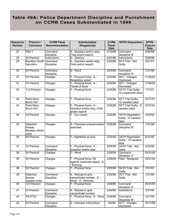| <b>Sequence</b><br><b>Number</b> | Precinct /<br><b>Command</b>                                 | <b>CCRB Panel</b><br><b>Recommendation</b> | <b>Substantiated</b><br>Allegation(s)                                   | <b>CCRB</b><br>Panel<br><b>Date</b> | <b>NYPD Disposition</b>                                 | <b>NYPD</b><br><b>Closure</b><br><b>Date</b> |
|----------------------------------|--------------------------------------------------------------|--------------------------------------------|-------------------------------------------------------------------------|-------------------------------------|---------------------------------------------------------|----------------------------------------------|
| 27                               | PSA <sub>1</sub>                                             | Command<br><b>Discipline</b>               | A - Question and/or stop,<br>Frisk and/or search                        | 2/10/99                             | Command<br>Discipline 'B'                               | 6/30/99                                      |
| 28                               | 25 Precinct                                                  | Instructions                               | D - Gesture                                                             | 2/23/99                             | Instructions                                            | 9/30/99                                      |
| 29                               | <b>Brooklyn South Command</b><br><b>Narcotics</b>            | <b>Discipline</b>                          | A - Question and/or stop,<br>Frisk and/or search                        | 2/23/99                             | <b>DCT Trial - Not</b><br>Guilty                        | 8/31/01                                      |
| 30                               | 84 Precinct                                                  | Command<br><b>Discipline</b>               | D - Word                                                                | 2/23/99                             | Command<br>Discipline 'A'                               | 7/31/99                                      |
| 31                               | <b>75 Precinct</b>                                           | Charges                                    | F - Physical force; A -<br>Retaliatory arrest                           | 2/23/99                             | <b>DCT</b> - Charges<br><b>Dismissed</b>                | 11/30/02                                     |
| 31                               | 75 Precinct                                                  | Charges                                    | F - Physical force; A -<br>Threat of force                              | 2/23/99                             | <b>DCT</b> - Charges<br><b>Dismissed</b>                | 11/30/02                                     |
| 32                               | 112 Precinct                                                 | Charges                                    | F - Physical force                                                      | 2/25/99                             | <b>OATH Trial Guilty -</b><br>10 suspension days        | 1/31/01                                      |
| 33                               | Patrol Boro<br><b>Bronx ACI</b>                              | Charges                                    | F - Physical force                                                      | 2/25/99                             | <b>DCT Trial Guilty -</b><br>10 vacation days           | 12/31/01                                     |
| 33                               | Patrol Boro<br><b>Bronx ACI</b>                              | Charges                                    | F - Physical force; A -<br>Question and/or stop, Frisk<br>and/or search | 2/25/99                             | <b>DCT Trial Guilty - 5</b><br>vacation days            | 12/31/01                                     |
| 34                               | 33 Precinct                                                  | Charges                                    | F - Gun drawn                                                           | 2/25/99                             | <b>OATH Negotiation</b><br>Guilty- 15 vacation<br>days  | 4/30/00                                      |
| 35                               | Detective<br><b>Bureau</b><br><b>Brooklyn South</b><br>Units | Charges                                    | A - Premises entered and/or<br>searched                                 | 2/25/99                             | Command<br>Discipline 'B'                               | 7/31/99                                      |
| 36                               | 69 Precinct                                                  | Charges                                    | F - Nightstick as club                                                  | 2/25/99                             | <b>OATH Negotiation</b><br>Guilty - 10 vacation<br>days | 8/31/00                                      |
| $\overline{37}$                  | 72 Precinct                                                  | Command<br>Discipline                      | F - Physical force; A -<br>Question and/or stop                         | 2/25/99                             | <b>OATH Trial - Not</b><br>Guilty                       | 4/30/00                                      |
| 38                               | 44 Precinct                                                  | Charges                                    | D - Word                                                                | 2/25/99                             | Command<br>Discipline 'A'                               | 10/31/00                                     |
| 38                               | 52 Precinct                                                  | Charges                                    | F - Physical force, Hit<br>against inanimate object; O<br>- Ethnicity   | 2/25/99                             | Filed - Resigned                                        | 10/31/00                                     |
| 38                               | 52 Precinct                                                  | Charges                                    | F - Physical force                                                      | 2/25/99                             | <b>OATH Trial - Not</b><br>Guilty                       | 7/31/01                                      |
| 39                               | <b>Detective</b><br><b>Bureau</b><br>Queens Units            | Command<br>Discipline                      | A - Refusal to give<br>name/shield number; D -<br>Word; O - Ethnicity   | 2/25/99                             | <b>DCT Trial - Not</b><br>Guilty                        | 1/31/00                                      |
| 40                               | 123 Precinct                                                 | Charges                                    | F - Physical force                                                      | 2/26/99                             | Command<br>Discipline 'A'                               | 10/31/00                                     |
| 41                               | 25 Precinct                                                  | Command<br>Discipline                      | A - Refusal to give<br>name/shield number                               | 2/26/99                             | Instructions                                            | 3/31/00                                      |
| 42                               | TB DT33                                                      | Charges                                    | F - Physical force; D - Word                                            | 2/26/99                             | Command<br>Discipline 'B'                               | 3/31/00                                      |
| 43                               | 33 Precinct                                                  | Command<br><b>Discipline</b>               | A - Improper instructions                                               | 3/4/99                              | <b>DCT</b> - Charges<br><b>Dismissed</b>                | 10/31/99                                     |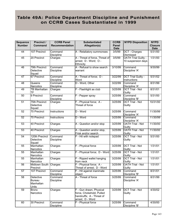| Sequence<br><b>Number</b> | Precinct /<br><b>Command</b>                     | <b>CCRB Panel</b><br><b>Recommendation</b>          | <b>Substantiated</b><br>Allegation(s)                                                               | <b>CCRB</b><br>Panel<br><b>Date</b> | <b>NYPD Disposition</b>                          | <b>NYPD</b><br><b>Closure</b><br><b>Date</b> |
|---------------------------|--------------------------------------------------|-----------------------------------------------------|-----------------------------------------------------------------------------------------------------|-------------------------------------|--------------------------------------------------|----------------------------------------------|
| 44                        | 107 Precinct                                     | Command<br><b>Discipline</b>                        | A - Retaliatory summonses                                                                           | 3/5/99                              | DCT - Charges<br><b>Dismissed</b>                | 5/31/00                                      |
| 45                        | 20 Precinct                                      | Charges                                             | A - Threat of force, Threat of<br>arrest; D - Word; O -<br>Ethnicity                                | 3/5/99                              | <b>OATH Trial Guilty -</b><br>10 suspension days | 1/31/00                                      |
| 46                        | <b>79th Precinct</b><br>Detective<br>Squad       | Command<br><b>Discipline</b>                        | A - Refusal to show search<br>warrant                                                               | 3/10/99                             | Command<br>Discipline 'A'                        | 9/30/99                                      |
| 47                        | 67 Precinct                                      | Command<br>Discipline                               | A - Threat of force; D -<br>Word                                                                    | 3/22/99                             | <b>DCT Trial Guilty -</b><br>Instructions        | 5/31/02                                      |
| 48                        | Queens<br><b>Narcotics</b>                       | Command<br>Discipline                               | D - Word, Other                                                                                     | 3/22/99                             | Command<br>Discipline 'A'                        | 8/31/99                                      |
| 49                        | <b>TB Manhattan</b><br>TF                        | Charges                                             | F - Flashlight as club                                                                              | 3/25/99                             | <b>DCT Trial - Not</b><br>Guilty                 | 8/31/01                                      |
| 50                        | 9 Precinct                                       | $\overline{\mathrm{Com}}$ mand<br><b>Discipline</b> | F - Pepper spray                                                                                    | 3/25/99                             | Command<br>Discipline 'B'                        | 5/31/00                                      |
| 51                        | 75th Precinct<br>Detective<br>Squad              | Charges                                             | F - Physical force; A -<br>Threat of force                                                          | 3/25/99                             | <b>DCT Trial - Not</b><br>Guilty                 | 10/31/00                                     |
| 52                        | 70 Precinct                                      | Instructions                                        | D - Word                                                                                            | 3/25/99                             | $\overline{\mathrm{Command}}$<br>Discipline 'A'  | 11/30/99                                     |
| 52                        | <b>70 Precinct</b>                               | Instructions                                        | D - Word                                                                                            | 3/25/99                             | Command<br>Discipline 'A'                        | 11/30/99                                     |
| 53                        | 40 Precinct                                      | Charges                                             | A - Question and/or stop                                                                            | 3/25/99                             | <b>OATH Trial - Not</b><br>Guilty                | 11/30/00                                     |
| 53                        | 40 Precinct                                      | Charges                                             | A - Question and/or stop,<br>Frisk and/or search                                                    | 3/25/99                             | <b>OATH Trial - Not</b><br>Guilty                | 11/30/00                                     |
| 54                        | 120th Precinct<br>Detective<br>Squad             | Command<br>Discipline                               | F - Hit with notepad                                                                                | 3/25/99                             | <b>DCT Trial - Not</b><br>Guilty                 | 5/31/00                                      |
| 55                        | Manhattan<br><b>Narcotics</b>                    | Charges                                             | F - Physical force                                                                                  | 3/25/99                             | <b>DCT Trial - Not</b><br>Guilty                 | 1/31/01                                      |
| 55                        | Manhattan<br><b>Narcotics</b>                    | Charges                                             | F - Physical force; D - Word                                                                        | 3/25/99                             | <b>DCT Trial - Not</b><br>Guilty                 | 1/31/01                                      |
| 55                        | Manhattan<br>Narcotics                           | Charges                                             | F - Ripped wallet hanging<br>from neck                                                              | 3/25/99                             | <b>DCT Trial - Not</b><br>Guilty                 | 1/31/01                                      |
| 56                        | Midtown South Charges<br>Precinct                |                                                     | F - Physical force; A -<br>Threat of arrest; D - Word                                               | 3/25/99                             | <b>OATH Trial - Not</b><br>Guilty                | 1/31/01                                      |
| 57                        | 107 Precinct                                     | Command<br><b>Discipline</b>                        | F - Hit against inanimate<br>object                                                                 | 3/25/99                             | Command<br>Discipline 'B'                        | 8/31/01                                      |
| 58                        | Detective<br><b>Bureau</b><br>Manhattan<br>Units | Command<br>Discipline                               | A - Threat of force                                                                                 | 3/25/99                             | Command<br>Discipline 'A'                        | 8/31/99                                      |
| 59                        | <b>Bronx</b><br>Narcotics                        | Charges                                             | F - Gun drawn, Physical<br>force, Chokehold, Pulled<br>handcuffs; A - Threat of<br>arrest; D - Word | 3/25/99                             | <b>DCT Trial - Not</b><br>Guilty                 | 4/30/02                                      |
| 60                        | 30 Precinct                                      | Command<br>Discipline                               | F - Physical force                                                                                  | 3/25/99                             | Command<br>Discipline 'B'                        | 4/30/00                                      |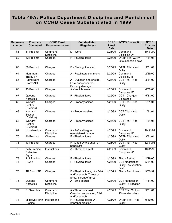| <b>Sequence</b> | Precinct /                          | <b>CCRB Panel</b>            | <b>Substantiated</b>                                                                 | <b>CCRB</b>                 | <b>NYPD Disposition</b>                                | <b>NYPD</b>                   |
|-----------------|-------------------------------------|------------------------------|--------------------------------------------------------------------------------------|-----------------------------|--------------------------------------------------------|-------------------------------|
| <b>Number</b>   | <b>Command</b>                      | <b>Recommendation</b>        | <b>Allegation(s)</b>                                                                 | <b>Panel</b><br><b>Date</b> |                                                        | <b>Closure</b><br><b>Date</b> |
| 61              | 81 Precinct                         | Command<br><b>Discipline</b> | D - Word                                                                             | 3/25/99                     | Command<br>Discipline 'A'                              | 10/31/00                      |
| 62              | 62 Precinct                         | Charges                      | F - Physical force                                                                   | 3/25/99                     | <b>OATH Trial Guilty -</b><br>20 suspension days       | 7/31/01                       |
| 63              | 60 Precinct                         | Charges                      | F - Flashlight as club                                                               | 3/25/99                     | <b>OATH Trial - Not</b><br>Guilty                      | 5/31/01                       |
| 64              | Manhattan<br><b>Traffic TF</b>      | Charges                      | A - Retaliatory summons                                                              | 3/25/99                     | Command<br>Discipline 'B'                              | 2/29/00                       |
| 65              | Patrol Boro<br><b>Bronx ACI</b>     | Charges                      | A - Question and/or stop,<br>Frisk and/or search,<br>Property damaged                | 4/26/99                     | <b>DCT Trial - Not</b><br>Guilty                       | 3/31/02                       |
| 66              | 43 Precinct                         | Charges                      | A - Vehicle search                                                                   | 4/26/99                     | Command<br>Discipline 'B'                              | 6/30/00                       |
| 67              | Queens<br>Narcotics                 | Charges                      | F - Physical force                                                                   | 4/26/99                     | <b>DCT</b> - Charges<br><b>Dismissed</b>               | 5/31/00                       |
| 68              | Warrant<br>Section<br>(Division)    | Charges                      | A - Property seized                                                                  | 4/26/99                     | <b>DCT Trial - Not</b><br>Guilty                       | 1/31/01                       |
| 68              | Warrant<br>Section<br>(Division)    | Charges                      | A - Property seized                                                                  | 4/26/99                     | <b>DCT Trial - Not</b><br>Guilty                       | 1/31/01                       |
| 68              | Warrant<br>Section<br>(Division)    | Charges                      | A - Property seized                                                                  | 4/26/99                     | <b>DCT Trial - Not</b><br>Guilty                       | 1/31/01                       |
| 69              | Undetermined                        | Command<br>Discipline        | A - Refusal to give<br>name/shield number                                            | 4/26/99                     | Command<br>Discipline 'B'                              | 10/31/99                      |
| $\overline{70}$ | 40 Precinct                         | Charges                      | F - Physical force                                                                   | 4/26/99                     | <b>OATH Trial - Not</b><br>Guilty                      | 3/31/01                       |
| $\overline{71}$ | 43 Precinct                         | Charges                      | F - Lifted by the chain of<br>handcuffs                                              | 4/26/99                     | <b>DCT</b> Trial - Not<br>Guilty                       | 12/31/01                      |
| 72              | 84th Precinct<br>Detective<br>Squad | Instructions                 | A - Threat of arrest                                                                 | 4/26/99                     | Command<br>Discipline 'A'                              | 10/31/99                      |
| 73              | 111 Precinct                        | Charges                      | F - Physical force                                                                   | 4/26/99                     | Filed - Retired                                        | 2/29/00                       |
| $\overline{74}$ | PSA <sub>7</sub>                    | Charges                      | F - Physical force                                                                   | 4/26/99                     | <b>DCT Negotiation</b><br>Guilty - 15 vacation<br>days | 5/31/00                       |
| $\overline{75}$ | <b>TB Bronx TF</b>                  | Charges                      | F - Physical force; A - Frisk<br>and/or search, Threat of<br>force, Threat of arrest | 4/26/99                     | Filed - Terminated                                     | 9/30/99                       |
| 76              | Queens<br><b>Narcotics</b>          | Command<br>Discipline        | $\overline{A}$ - Strip search                                                        | 4/28/99                     | <b>DCT Negotiation</b><br>Guilty - 5 vacation<br>days  | 7/31/00                       |
| 77              | <b>SI Narcotics</b>                 | Command<br><b>Discipline</b> | A - Threat of arrest,<br>Question and/or stop, Frisk<br>and/or search                | 4/28/99                     | <b>DCT Trial Guilty -</b><br>25 vacation days          | 3/31/01                       |
| 78              | <b>Midtown North</b><br>Precinct    | Instructions                 | F - Physical force; A -<br>Improper ejection                                         | 4/28/99                     | <b>OATH Trial - Not</b><br>Guilty                      | 9/30/00                       |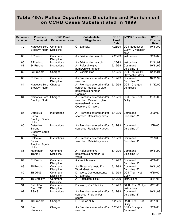| <b>Sequence</b><br><b>Number</b> | Precinct /<br><b>Command</b>                                        | <b>CCRB Panel</b><br><b>Recommendation</b> | <b>Substantiated</b><br>Allegation(s)                                                                 | <b>CCRB</b><br><b>Panel</b><br><b>Date</b> | <b>NYPD Disposition</b>                               | <b>NYPD</b><br><b>Closure</b><br><b>Date</b> |
|----------------------------------|---------------------------------------------------------------------|--------------------------------------------|-------------------------------------------------------------------------------------------------------|--------------------------------------------|-------------------------------------------------------|----------------------------------------------|
| 79                               | Narcotics Boro<br><b>Brooklyn North</b>                             | Command<br><b>Discipline</b>               | O - Ethnicity                                                                                         | 4/28/99                                    | <b>DCT Negotiation</b><br>Guilty - 7 vacation<br>days | 10/31/00                                     |
| 80                               | 7 Precinct                                                          | Command<br><b>Discipline</b>               | A - Frisk and/or search                                                                               | 4/28/99                                    | Instructions                                          | 9/30/02                                      |
| 80                               | 7 Precinct                                                          | Instructions                               | A - Frisk and/or search                                                                               | 4/28/99                                    | Instructions                                          | 12/31/99                                     |
| 81                               | 84 Precinct                                                         | Instructions                               | A - Refusal to give<br>name/shield number                                                             | 5/12/99                                    | Command<br>Discipline 'B'                             | 10/31/99                                     |
| 82                               | 33 Precinct                                                         | Charges                                    | A - Vehicle stop                                                                                      | 5/12/99                                    | <b>DCT Trial Guilty -</b><br>30 vacation days         | 12/31/01                                     |
| 83                               | 81 Precinct                                                         | Command<br><b>Discipline</b>               | A - Premises entered and/or<br>searched                                                               | 5/12/99                                    | Command<br>Discipline 'B'                             | 10/31/99                                     |
| 84                               | Narcotics Boro<br><b>Brooklyn North</b>                             | Charges                                    | A - Premises entered and/or<br>searched, Refusal to give<br>name/shield number,<br>Coercion           | 5/12/99                                    | DCT - Charges<br>Dismissed                            | 11/30/00                                     |
| 84                               | Narcotics Boro<br><b>Brooklyn North</b>                             | Charges                                    | A - Premises entered and/or<br>searched, Refusal to give<br>name/shield number,<br>Coercion; D - Word | 5/12/99                                    | <b>DCT Trial - Not</b><br>Guilty                      | 11/30/00                                     |
| 85                               | Detective<br><b>Bureau</b><br><b>Brooklyn South</b><br>Units        | Instructions                               | A - Premises entered and/or<br>searched, Retaliatory arrest                                           | 5/12/99                                    | Command<br>Discipline 'A'                             | 2/29/00                                      |
| 85                               | Detective<br><b>Bureau</b><br><b>Brooklyn South</b><br><b>Units</b> | Instructions                               | A - Premises entered and/or<br>searched, Retaliatory arrest                                           | 5/12/99                                    | Command<br>Discipline 'A'                             | 2/29/00                                      |
| 85                               | <b>Detective</b><br><b>Bureau</b><br><b>Brooklyn South</b><br>Units | Instructions                               | A - Premises entered and/or<br>searched, Retaliatory arrest                                           | 5/12/99                                    | Command<br>Discipline 'A'                             | 2/29/00                                      |
| 86                               | Manhattan<br><b>Traffic TF</b>                                      | Command<br>Discipline                      | A - Refusal to give<br>name/shield number, D -<br>Word                                                | 5/12/99                                    | Command<br>Discipline 'B'                             | 10/31/99                                     |
| 87                               | 81 Precinct                                                         | Command<br><b>Discipline</b>               | A - Vehicle search                                                                                    | 5/12/99                                    | Command<br>Discipline 'A'                             | 4/30/00                                      |
| 88                               | 25 Precinct                                                         | Command<br>Discipline                      | A - Threat of arrest; D -<br>Word, Gesture                                                            | 5/12/99                                    | Command<br>Discipline 'B'                             | 10/31/00                                     |
| 89                               | TB DT03                                                             | Command<br><b>Discipline</b>               | D - Word, Demeanor/tone;<br>O - Ethnicity                                                             | 5/12/99                                    | <b>DCT Trial - Not</b><br>Guilty                      | 6/30/00                                      |
| 90                               | <b>TB Brooklyn TF</b>                                               | Command<br><b>Discipline</b>               | A - Retaliatory ticket                                                                                | 5/12/99                                    | Instructions                                          | 8/31/01                                      |
| 91                               | Patrol Boro<br><b>Bronx TF</b>                                      | Command<br>Discipline                      | D - Word; O - Ethnicity                                                                               | 5/12/99                                    | <b>OATH Trial Guilty -</b><br>Instructions            | 8/31/00                                      |
| 92                               | PSA <sub>9</sub>                                                    | Instructions                               | A - Premises entered and/or<br>searched, Frisk and/or<br>search                                       | 5/12/99                                    | Command<br>Discipline 'B'                             | 10/31/99                                     |
| 93                               | 40 Precinct                                                         | Charges                                    | F - Gun as club                                                                                       | 5/20/99                                    | <b>OATH Trial - Not</b><br>Guilty                     | 8/31/00                                      |
| 94                               | <b>Bronx</b><br>Narcotics                                           | Charges                                    | A - Premises entered and/or<br>searched                                                               | 5/20/99                                    | DCT - Charges<br>Dismissed                            | 9/30/00                                      |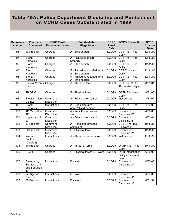| <b>Sequence</b><br><b>Number</b> | Precinct /<br><b>Command</b>                      | <b>CCRB Panel</b><br><b>Recommendation</b> | <b>Substantiated</b><br>Allegation(s)           | <b>CCRB</b><br><b>Panel</b> | <b>NYPD Disposition</b>                                | <b>NYPD</b><br><b>Closure</b> |
|----------------------------------|---------------------------------------------------|--------------------------------------------|-------------------------------------------------|-----------------------------|--------------------------------------------------------|-------------------------------|
|                                  |                                                   |                                            |                                                 | <b>Date</b>                 |                                                        | <b>Date</b>                   |
| $\overline{95}$                  | 43 Precinct                                       | Charges                                    | A - Strip search                                | 5/20/99                     | <b>DCT Trial - Not</b><br>Guilty                       | 12/31/00                      |
| 95                               | <b>Bronx</b><br><b>Narcotics</b>                  | Charges                                    | A - Failure to secure<br>property               | 5/20/99                     | <b>DCT</b> Trial - Not<br>Guilty                       | 12/31/00                      |
| 95                               | <b>Bronx</b><br><b>Narcotics</b>                  | Charges                                    | A - Strip search                                | 5/20/99                     | DCT Trial - Not<br>Guilty                              | 12/31/00                      |
| 95                               | <b>Bronx</b><br><b>Narcotics</b>                  | Charges                                    | F - Raised handcuffed arms;<br>A - Strip search | 5/20/99                     | <b>DCT Trial - Not</b><br>Guilty                       | 12/31/00                      |
| $\overline{95}$                  | <b>Bronx</b><br><b>Narcotics</b>                  | Charges                                    | F - Raised handcuffed arms;<br>A - Strip search | 5/20/99                     | <b>DCT</b> Trial - Not<br>Guilty                       | 12/31/00                      |
| 96                               | <b>Special Victims</b><br><b>Division</b>         | Charges                                    | A - Threat of force                             | 5/20/99                     | <b>DCT Trial Guilty -</b><br>10 vacation days          | 8/31/01                       |
| $\overline{97}$                  | TB DT32                                           | Charges                                    | F - Physical force                              | 5/20/99                     | <b>OATH Trial - Not</b><br>Guilty                      | 8/31/00                       |
| 98                               | Brooklyn Narc.<br><b>District</b>                 | Command<br><b>Discipline</b>               | A - Frisk and/or search                         | 5/20/99                     | Instructions                                           | 3/31/00                       |
| 99                               | <b>Bronx</b><br><b>Narcotics</b>                  | Instructions                               | A - Refusal to give<br>name/shield number       | 5/20/99                     | <b>DCT Trial - Not</b><br>Guilty                       | 4/30/02                       |
| 100                              | <b>TB Manhattan</b><br>TF                         | Command<br><b>Discipline</b>               | A - Vehicle stop and/or<br>search               | 5/20/99                     | Command<br>Discipline 'B'                              | 4/30/00                       |
| 101                              | <b>Highway Unit</b><br>#3                         | Command<br><b>Discipline</b>               | A - Frisk and/or search                         | 5/20/99                     | Command<br>Discipline 'B'                              | 8/31/01                       |
| 102                              | 47 Precinct                                       | Command<br><b>Discipline</b>               | A - Refusal to process<br>complaint             | 5/20/99                     | DCT - Charges<br>Dismissed                             | 10/31/00                      |
| 103                              | 60 Precinct                                       | Command<br>Discipline                      | F - Physical force                              | 5/20/99                     | Command<br>Discipline 'A'                              | 12/31/00                      |
| 104                              | Warrant<br>Section<br>(Division)                  | Instructions                               | A - Threat of property loss                     | 5/20/99                     | Instructions                                           | 11/30/99                      |
| 105                              | 40 Precinct                                       | Charges                                    | A - Threat of force                             | 5/20/99                     | <b>OATH Trial - Not</b><br>Guilty                      | 10/31/00                      |
| 106                              | PSA <sub>1</sub>                                  | Charges                                    | F - Physical force; D - Word                    | 5/20/99                     | <b>OATH Negotiation</b><br>Guilty - 5 vacation<br>days | 6/30/00                       |
| 107                              | Emergency<br>Services Unit<br>and Squads 1-<br>10 | Instructions                               | D - Word                                        | 5/20/99                     | Command<br>Discipline 'A'                              | 4/30/00                       |
| 108                              | Intelligence<br><b>Division</b>                   | Instructions                               | D - Word                                        | 5/20/99                     | Command<br>Discipline 'A'                              | 4/30/00                       |
| 109                              | <b>70 Precinct</b>                                | Instructions                               | D - Word                                        | 5/20/99                     | Command<br>Discipline 'A'                              | 8/31/99                       |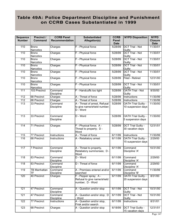| <b>Sequence</b><br><b>Number</b> | Precinct /<br><b>Command</b>     | <b>CCRB Panel</b><br><b>Recommendation</b> | <b>Substantiated</b><br>Allegation(s)                                    | <b>CCRB</b><br><b>Panel</b><br><b>Date</b> | <b>NYPD Disposition</b>                          | <b>NYPD</b><br><b>Closure</b><br><b>Date</b> |
|----------------------------------|----------------------------------|--------------------------------------------|--------------------------------------------------------------------------|--------------------------------------------|--------------------------------------------------|----------------------------------------------|
| 110                              | <b>Bronx</b><br>Narcotics        | Charges                                    | F - Physical force                                                       | 5/28/99                                    | <b>DCT Trial - Not</b><br>Guilty                 | 11/30/01                                     |
| 110                              | <b>Bronx</b><br>Narcotics        | Charges                                    | F - Physical force                                                       | 5/28/99                                    | <b>DCT Trial - Not</b><br>Guilty                 | 11/30/01                                     |
| 110                              | <b>Bronx</b><br>Narcotics        | Charges                                    | F - Physical force                                                       | 5/28/99                                    | <b>DCT Trial - Not</b><br>Guilty                 | 11/30/01                                     |
| 110                              | <b>Bronx</b><br>Narcotics        | Charges                                    | F - Physical force                                                       | 5/28/99                                    | <b>DCT Trial - Not</b><br>Guilty                 | 11/30/01                                     |
| 110                              | <b>Bronx</b><br><b>Narcotics</b> | Charges                                    | F - Physical force                                                       | 5/28/99                                    | <b>DCT Trial - Not</b><br>Guilty                 | 11/30/01                                     |
| 110                              | <b>Bronx</b><br>Narcotics        | Charges                                    | F - Physical force                                                       | 5/28/99                                    | <b>Filed - Retired</b>                           | 12/31/00                                     |
| 110                              | <b>Bronx</b><br>Narcotics        | Charges                                    | F - Physical force                                                       | 5/28/99                                    | <b>DCT Trial - Not</b><br>Guilty                 | 11/30/01                                     |
| 111                              | 103 Precinct                     | Command<br><b>Discipline</b>               | F - Handcuffs too tight                                                  | 5/28/99                                    | OATH Trial - Not<br>Guilty                       | 9/30/00                                      |
| 112                              | 68 Precinct                      | Charges                                    | A - Threat of force                                                      | 5/28/99                                    | Instructions                                     | 11/30/99                                     |
| 112                              | 68 Precinct                      | Charges                                    | A - Threat of force                                                      | 5/28/99                                    | Instructions                                     | 11/30/99                                     |
| 113                              | 33 Precinct                      | Command<br><b>Discipline</b>               | A - Threat of arrest, Refusal<br>to give name/shield number;<br>D - Word | 5/28/99                                    | <b>OATH Trial Guilty -</b><br>10 suspension days | 11/30/00                                     |
| $\overline{113}$                 | 33 Precinct                      | Command<br><b>Discipline</b>               | D - Word                                                                 | 5/28/99                                    | <b>OATH Trial Guilty -</b><br>5 suspension days  | 11/30/00                                     |
| 114                              | 71 Precinct                      | Charges                                    | F - Physical force; A -<br>Threat to property; D -<br>Word               | 5/28/99                                    | <b>DCT Trial Guilty -</b><br>30 vacation days    | 12/31/01                                     |
| 115                              | 77 Precinct                      | Instructions                               | A - Threat of force                                                      | 6/11/99                                    | Instructions                                     | 11/30/99                                     |
| 116                              | 68 Precinct                      | Instructions                               | A - Retaliatory arrest                                                   | 6/11/99                                    | OATH Trial Guilty -<br>15 suspension days        | 2/29/00                                      |
| 117                              | 7 Precinct                       | Command<br>Discipline                      | A - Threat to property,<br>Retaliatory summonses; D -<br>Word            | 6/11/99                                    | Command<br>Discipline 'A'                        | 10/31/00                                     |
| 118                              | 83 Precinct                      | Command<br><b>Discipline</b>               | D - Word                                                                 | 6/11/99                                    | Command<br>Discipline 'A'                        | 2/29/00                                      |
| 118                              | 83 Precinct                      | Command<br><b>Discipline</b>               | D - Threat of force                                                      | 6/11/99                                    | Command<br>Discipline 'A'                        | 2/29/00                                      |
| 119                              | <b>TB Manhattan</b><br>ΙTΕ       | Command<br><b>Discipline</b>               | A - Premises entered and/or<br>searched                                  | 6/11/99                                    | Command<br>Discipline 'B'                        | 11/30/99                                     |
| 120                              | 40 Precinct                      | Charges                                    | F - Pepper spray; A -<br>Refusal to give name/shield<br>number; D - Word | 6/11/99                                    | <b>OATH Trial Guilty -</b><br>20 suspension days | 8/31/00                                      |
| 121                              | 47 Precinct                      | Command<br><b>Discipline</b>               | A - Question and/or stop                                                 | 6/11/99                                    | <b>DCT Trial - Not</b><br>Guilty                 | 10/31/00                                     |
| 121                              | 47 Precinct                      | Command<br>Discipline                      | A - Question and/or stop; D<br>- Word                                    | 6/11/99                                    | <b>DCT Trial - Not</b><br>Guilty                 | 10/31/00                                     |
| 122                              | 77 Precinct                      | Instructions                               | A - Question and/or stop,<br>Frisk and/or search                         | 6/11/99                                    | Instructions                                     | 8/31/01                                      |
| 123                              | 68 Precinct                      | Charges                                    | A - Question and/or stop                                                 | 6/18/99                                    | <b>DCT Trial Guilty -</b><br>15 vacation days    | 12/31/01                                     |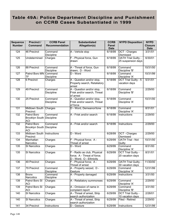| <b>Sequence</b><br><b>Number</b> | Precinct /<br><b>Command</b>                                  | <b>CCRB Panel</b><br><b>Recommendation</b>         | <b>Substantiated</b><br>Allegation(s)                                                 | <b>CCRB</b><br><b>Panel</b><br><b>Date</b> | <b>NYPD Disposition</b>                          | <b>NYPD</b><br><b>Closure</b><br><b>Date</b> |
|----------------------------------|---------------------------------------------------------------|----------------------------------------------------|---------------------------------------------------------------------------------------|--------------------------------------------|--------------------------------------------------|----------------------------------------------|
| 124                              | 46 Precinct                                                   | Command<br>Discipline                              | A - Vehicle stop                                                                      | 6/18/99                                    | <b>DCT</b> - Charges<br><b>Dismissed</b>         | 3/31/01                                      |
| 125                              | Undetermined                                                  | Charges                                            | F - Physical force, Gun<br>drawn                                                      | 6/18/99                                    | <b>OATH Trial Guilty -</b><br>25 suspension days | 6/30/01                                      |
| 126                              | 88 Precinct                                                   | $\overline{\mathrm{Command}}$<br><b>Discipline</b> | A - Threat of force, Gun<br>drawn; D - Word                                           | 6/18/99                                    | Command<br>Discipline 'B'                        | 10/31/00                                     |
| 127                              | Patrol Boro MN<br>ΠF                                          | Command<br>Discipline                              | D - Word                                                                              | 6/18/99                                    | Command<br>Discipline 'A'                        | 10/31/99                                     |
| 128                              | 6 Precinct                                                    | Charges                                            | A - Question and/or stop,<br>Property search, Retaliatory<br>arrest                   | 6/18/99                                    | <b>DCT Trial Guilty - 5</b><br>vacation days     | 5/31/01                                      |
| 129                              | 49 Precinct                                                   | Command<br><b>Discipline</b>                       | A - Question and/or stop,<br>Frisk and/or search, Threat<br>of arrest                 | 6/18/99                                    | Command<br>Discipline 'B'                        | 2/29/00                                      |
| 130                              | 25 Precinct                                                   | Command<br><b>Discipline</b>                       | A - Question and/or stop,<br>Frisk and/or search, Threat<br>of force                  | 6/18/99                                    | Command<br>Discipline 'A'                        | 10/31/00                                     |
| 131                              | <b>Midtown South</b><br>Precinct                              | Charges                                            | D - Word, Demeanor/tone                                                               | 6/18/99                                    | Command<br>Discipline 'A'                        | 8/31/01                                      |
| 132                              | Patrol Boro<br><b>Brooklyn South Discipline</b><br><b>ACI</b> | Command                                            | A - Frisk and/or search                                                               | 6/18/99                                    | Instructions                                     | 2/29/00                                      |
| 132                              | Patrol Boro<br>Brooklyn South Discipline<br><b>ACI</b>        | Command                                            | A - Frisk and/or search                                                               | 6/18/99                                    | Instructions                                     | 2/29/00                                      |
| 133                              | Midtown South<br>Precinct                                     | Instructions                                       | D - Word                                                                              | 6/28/99                                    | <b>DCT</b> - Charges<br><b>Dismissed</b>         | 2/29/00                                      |
| 134                              | Manhattan<br>Narcotics                                        | Charges                                            | F - Physical force; A -<br>Threat of arrest                                           | 6/29/99                                    | <b>OATH Trial - Not</b><br>Guilty                | 10/31/00                                     |
| 135                              | <b>SI Narcotics</b>                                           | Charges                                            | D - Word                                                                              | 6/29/99                                    | Command<br>Discipline 'A'                        | 8/31/00                                      |
| 135                              | <b>SI Narcotics</b>                                           | Charges                                            | F - Radio as club, Physical<br>force; A - Threat of force;<br>D - Word; O - Ethnicity | 6/29/99                                    | <b>DCT Trial Guilty -</b><br>20 vacation days    | 8/31/01                                      |
| 136                              | 49 Precinct                                                   | Charges                                            | F - Physical force; A -<br>Threat of arrest                                           | 6/29/99                                    | <b>OATH Trial Guilty -</b><br>30 vacation days   | 11/30/00                                     |
| 137                              | 79 Precinct                                                   | Command<br><b>Discipline</b>                       | A - Property seized; D -<br>Gesture                                                   | 6/29/99                                    | Command<br>Discipline 'A'                        | 12/31/99                                     |
| 138                              | <b>Bronx</b><br><b>Narcotics</b>                              | Command<br>Discipline                              | A - Property damaged                                                                  | 6/29/99                                    | Instructions                                     | 3/31/00                                      |
| 139                              | Patrol Boro SI<br><b>ACI</b>                                  | Charges                                            | A - Retaliatory summonses                                                             | 6/29/99                                    | Command<br>Discipline 'A'                        | 2/29/00                                      |
| 139                              | Patrol Boro SI<br><b>ACI</b>                                  | Charges                                            | A - Omission of name in<br>complaint report                                           | 6/29/99                                    | Command<br>Discipline 'B'                        | 3/31/00                                      |
| 140                              | <b>SI Narcotics</b>                                           | Charges                                            | A - Threat of arrest, Strip<br>search authorization                                   | 6/29/99                                    | <b>DCT Trial Guilty -</b><br>10 vacation days    | 2/28/01                                      |
| 140                              | <b>SI Narcotics</b>                                           | Charges                                            | A - Threat of arrest, Strip<br>search authorization                                   | 6/29/99                                    | Filed - Retired                                  | 2/29/00                                      |
| 141                              | 34 Precinct                                                   | Instructions                                       | D - Gesture                                                                           | 6/29/99                                    | Instructions                                     | 12/31/99                                     |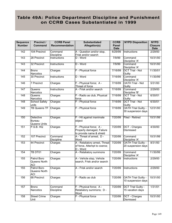| <b>Sequence</b><br><b>Number</b> | Precinct /<br><b>Command</b>                      | <b>CCRB Panel</b><br><b>Recommendation</b> | <b>Substantiated</b><br>Allegation(s)                                            | <b>CCRB</b><br>Panel<br><b>Date</b> | <b>NYPD Disposition</b>                          | <b>NYPD</b><br><b>Closure</b><br><b>Date</b> |
|----------------------------------|---------------------------------------------------|--------------------------------------------|----------------------------------------------------------------------------------|-------------------------------------|--------------------------------------------------|----------------------------------------------|
| 142                              | 104 Precinct                                      | Command<br><b>Discipline</b>               | A - Question and/or stop,<br>Frisk and/or search                                 | 6/29/99                             | Instructions                                     | 2/29/00                                      |
| 143                              | 28 Precinct                                       | Instructions                               | D - Word                                                                         | 7/9/99                              | Command<br>Discipline 'A'                        | 10/31/00                                     |
| 143                              | 32 Precinct                                       | Instructions                               | D - Word                                                                         | 7/9/99                              | Command<br>Discipline 'A'                        | 10/31/00                                     |
| 144                              | <b>Bronx</b><br>Narcotics                         | Charges                                    | F - Physical force                                                               | 7/16/99                             | <b>DCT Trial - Not</b><br>Guilty                 | 11/30/01                                     |
| 145                              | 30 Precinct                                       | Instructions                               | D - Word                                                                         | 7/16/99                             | Command<br>Discipline 'A'                        | 11/30/99                                     |
| 146                              | 7 Precinct                                        | Charges                                    | F - Physical force; A -<br>Threat of force                                       | 7/16/99                             | <b>OATH Trial - Not</b><br>Guilty                | 5/31/00                                      |
| 147                              | Queens<br><b>Narcotics</b>                        | Instructions                               | A - Frisk and/or search                                                          | 7/16/99                             | Command<br>Discipline 'B'                        | 2/29/00                                      |
| 148                              | Queens<br><b>Narcotics</b>                        | Charges                                    | F - Radio as club, Physical<br>force                                             | 7/16/99                             | <b>DCT Trial - Not</b><br>Guilty                 | 6/30/01                                      |
| 148                              | <b>School Safety</b><br>units                     | Charges                                    | F - Physical force                                                               | 7/16/99                             | <b>DCT</b> Trial - Not<br>Guilty                 | 6/30/01                                      |
| 149                              | <b>TB Queens TF</b>                               | Charges                                    | F - Physical force                                                               | 7/16/99                             | OATH Trial Guilty -<br>30 suspension days        | 12/31/00                                     |
| 150                              | <b>Detective</b><br><b>Bureau</b><br>Queens Units | Charges                                    | F - Hit against inanimate<br>object                                              | 7/20/99                             | <b>Filed - Retired</b>                           | 10/31/99                                     |
| 151                              | P.S.B. HQ                                         | Charges                                    | F - Physical force; A -<br>Property damaged, Failure<br>to provide name & shield | 7/20/99                             | <b>DCT</b> - Charges<br>Dismissed                | 4/30/00                                      |
| 152                              | 107 Precinct                                      | Command<br><b>Discipline</b>               | A - Threat of arrest; D -<br>Word                                                | 7/20/99                             | Command<br>Discipline 'A'                        | 10/31/99                                     |
| 153                              | 44 Precinct                                       | Charges                                    | A - Retaliatory arrest, Threat<br>of force, Attempt to coerce;<br>D - Word       | 7/20/99                             | <b>OATH Trial Guilty -</b><br>20 suspension days | 8/31/00                                      |
| 154                              | TB DT01                                           | Charges                                    | A - Retaliatory summons                                                          | 7/20/99                             | Command<br>Discipline 'A'                        | 11/30/99                                     |
| 155                              | Patrol Boro<br>Queens North<br><b>ACI</b>         | Charges                                    | A - Vehicle stop, Vehicle<br>search, Frisk and/or search                         | 7/20/99                             | Instructions                                     | 2/29/00                                      |
| 155                              | Patrol Boro<br>Queens North<br><b>ACI</b>         | Charges                                    | A - Frisk and/or search                                                          | 7/20/99                             | Instructions                                     | 2/29/00                                      |
| 156                              | 68 Precinct                                       | Charges                                    | F - Radio as club                                                                | 7/20/99                             | <b>OATH Trial Guilty -</b><br>10 suspension days | 10/31/00                                     |
| 157                              | <b>Bronx</b><br><b>Narcotics</b>                  | Command<br>Discipline                      | F - Physical force; A -<br>Retaliatory summons; D -<br>Word                      | 7/20/99                             | <b>DCT Trial Guilty -</b><br>15 vacation days    | 1/31/01                                      |
| 158                              | <b>Street Crime</b><br>Unit                       | Charges                                    | F - Physical force                                                               | 7/20/99                             | <b>DCT</b> - Charges<br><b>Dismissed</b>         | 10/31/00                                     |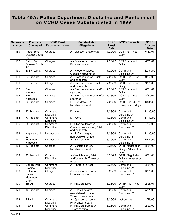| <b>Sequence</b><br><b>Number</b> | Precinct /<br>Command                            | <b>CCRB Panel</b><br><b>Recommendation</b> | <b>Substantiated</b><br>Allegation(s)                                   | <b>CCRB</b><br>Panel<br><b>Date</b> | <b>NYPD Disposition</b>                                 | <b>NYPD</b><br><b>Closure</b><br><b>Date</b> |
|----------------------------------|--------------------------------------------------|--------------------------------------------|-------------------------------------------------------------------------|-------------------------------------|---------------------------------------------------------|----------------------------------------------|
| 159                              | Patrol Boro<br>Queens South<br><b>ACI</b>        | Charges                                    | A - Question and/or stop                                                | 7/20/99                             | <b>DCT Trial - Not</b><br>Guilty                        | 6/30/01                                      |
| 159                              | Patrol Boro<br>Queens South<br><b>ACI</b>        | Charges                                    | A - Question and/or stop,<br>Frisk and/or search                        | 7/20/99                             | <b>DCT Trial - Not</b><br>Guilty                        | 6/30/01                                      |
| 160                              | 101 Precinct                                     | Charges                                    | A - Property seized,<br>Question and/or stop                            | 7/20/99                             | Command<br>Discipline 'A'                               | 12/31/00                                     |
| 161                              | 67 Precinct                                      | Charges                                    | A - Premise search, Frisk<br>and/or search                              | 7/28/99                             | <b>OATH Trial - Not</b><br>Guilty                       | 9/30/00                                      |
| 161                              | 67 Precinct                                      | Charges                                    | A - Premise search, Frisk<br>and/or search                              | 7/28/99                             | <b>OATH Trial - Not</b><br>Guilty                       | 9/30/00                                      |
| 162                              | <b>Bronx</b><br>Narcotics                        | Charges                                    | A - Premises entered and/or<br>searched                                 | 7/28/99                             | <b>DCT Trial - Not</b><br>Guilty                        | 8/31/01                                      |
| 162                              | <b>Bronx</b><br>Narcotics                        | Charges                                    | A - Premises entered and/or<br>searched                                 | 7/28/99                             | <b>DCT Trial - Not</b><br>Guilty                        | 8/31/01                                      |
| 163                              | 33 Precinct                                      | Charges                                    | F - Gun drawn; A -<br>Retaliatory arrest                                | 7/28/99                             | <b>OATH Trial Guilty -</b><br>7 suspension days         | 10/31/00                                     |
| 164                              | 77 Precinct                                      | Command<br>Discipline                      | D - Word                                                                | 7/28/99                             | Command<br>Discipline 'A'                               | 11/30/99                                     |
| 164                              | 77 Precinct                                      | Command<br>Discipline                      | D - Word                                                                | 7/28/99                             | Command<br>Discipline 'A'                               | 11/30/99                                     |
| 165                              | 28 Precinct                                      | Command<br>Discipline                      | F - Physical force; A -<br>Question and/or stop, Frisk<br>and/or search | 7/28/99                             | Command<br>Discipline 'B'                               | 4/30/00                                      |
| 166                              | <b>Highway Unit</b><br>#2                        | Instructions                               | A - Refusal to give<br>name/shield number                               | 7/28/99                             | Command<br>Discipline 'B'                               | 11/30/99                                     |
| 167                              | Manhattan<br><b>Narcotics</b>                    | Instructions                               | A - Strip search                                                        | 8/26/99                             | Command<br>Discipline 'B'                               | 10/31/99                                     |
| 168                              | 42 Precinct                                      | Charges                                    | A - Vehicle search,<br>Retaliatory arrest                               | 8/26/99                             | <b>OATH Negotiation</b><br>Guilty - 10 vacation<br>days | 8/31/00                                      |
| 168                              | 42 Precinct                                      | Command<br>Discipline                      | A - Vehicle stop, Frisk<br>and/or search, Threat of<br>arrest           | 8/26/99                             | <b>OATH Negotiation</b><br>Guilty - 10 vacation<br>days | 8/31/00                                      |
| 169                              | <b>Central Park</b><br>Precinct                  | Command<br>Discipline                      | A - Threat of arrest                                                    | 8/26/99                             | Command<br>Discipline 'A'                               | 3/31/00                                      |
| 169                              | Detective<br><b>Bureau</b><br>Manhattan<br>Units | Charges                                    | A - Question and/or stop,<br>Frisk and/or search                        | 8/26/99                             | Command<br>Discipline 'B'                               | 3/31/00                                      |
| 170                              | TB DT11                                          | Charges                                    | F - Physical force                                                      | 8/26/99                             | <b>OATH Trial - Not</b><br>Guilty                       | 2/28/01                                      |
| 171                              | 43 Precinct                                      | Charges                                    | A - Refusal to give<br>name/shield number,<br>Threat of summons         | 8/26/99                             | Command<br>Discipline 'B'                               | 5/31/00                                      |
| 172                              | PSA <sub>4</sub>                                 | Command<br><b>Discipline</b>               | A - Question and/or stop,<br>Frisk and/or search                        | 8/26/99                             | Instructions                                            | 2/29/00                                      |
| 173                              | PSA <sub>5</sub>                                 | Command<br>Discipline                      | F - Physical Force; A -<br>Threat of force                              | 8/26/99                             | Command<br>Discipline 'B'                               | 2/29/00                                      |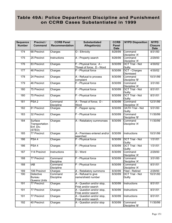| <b>Sequence</b><br><b>Number</b> | Precinct /<br><b>Command</b>                     | <b>CCRB Panel</b><br><b>Recommendation</b> | <b>Substantiated</b><br>Allegation(s)                | <b>CCRB</b><br>Panel<br><b>Date</b> | <b>NYPD Disposition</b>                  | <b>NYPD</b><br><b>Closure</b><br><b>Date</b> |
|----------------------------------|--------------------------------------------------|--------------------------------------------|------------------------------------------------------|-------------------------------------|------------------------------------------|----------------------------------------------|
| 174                              | 68 Precinct                                      | Charges                                    | O - Ethnicity                                        | 8/26/99                             | Command<br>Discipline 'A'                | 8/31/00                                      |
| 175                              | 25 Precinct                                      | Instructions                               | A - Property search                                  | 8/26/99                             | Command<br>Discipline 'A'                | 2/29/00                                      |
| 176                              | 83 Precinct                                      | Charges                                    | F - Physical force; A -<br>Threat of force; D - Word | 8/30/99                             | <b>DCT Trial - Not</b><br>Guilty         | 4/30/02                                      |
| 177                              | 46 Precinct                                      | Charges                                    | F - Physical force                                   | 8/30/99                             | <b>DCT</b> - Charges<br><b>Dismissed</b> | 4/30/02                                      |
| 178                              | 24 Precinct                                      | Charges                                    | A - Refusal to process<br>complaint                  | 8/30/99                             | Command<br>Discipline 'B'                | 10/31/99                                     |
| 179                              | 46 Precinct                                      | Charges                                    | F - Physical force                                   | 8/30/99                             | Command<br>Discipline 'A'                | 3/31/00                                      |
| 180                              | 75 Precinct                                      | Charges                                    | F - Physical force                                   | 8/30/99                             | <b>DCT Trial - Not</b><br>Guilty         | 8/31/01                                      |
| 180                              | <b>75 Precinct</b>                               | Charges                                    | F - Physical force                                   | 8/30/99                             | <b>DCT</b> Trial - Not<br>Guilty         | 8/31/01                                      |
| 181                              | PSA <sub>2</sub>                                 | Command<br><b>Discipline</b>               | A - Threat of force; D -<br>Word                     | 8/30/99                             | Command<br>Discipline 'A'                | 12/31/99                                     |
| 182                              | 81 Precinct                                      | Charges                                    | F - Pepper spray                                     | 8/30/99                             | <b>OATH Trial - Not</b><br>Guilty        | 5/31/00                                      |
| 183                              | 32 Precinct                                      | Charges                                    | F - Physical force                                   | 8/30/99                             | Command<br>Discipline 'B'                | 11/30/99                                     |
| 184                              | Surface<br>Transportation<br>Enf. Div.<br>(STED) | Charges                                    | A - Retaliatory summonses                            | 8/30/99                             | Command<br>Discipline 'A'                | 11/30/99                                     |
| 185                              | <b>77 Precinct</b>                               | Charges                                    | A - Premises entered and/or<br>searched              | 8/30/99                             | Instructions                             | 10/31/99                                     |
| 186                              | PSA <sub>4</sub>                                 | Charges                                    | F - Physical force                                   | 8/30/99                             | <b>DCT Trial - Not</b><br>Guilty         | 1/31/01                                      |
| 186                              | PSA <sub>4</sub>                                 | Charges                                    | F - Physical force                                   | 8/30/99                             | <b>DCT Trial - Not</b><br>Guilty         | 1/31/01                                      |
| 187                              | 114 Precinct                                     | Instructions                               | D - Word                                             | 8/30/99                             | Command<br>Discipline 'A'                | 2/29/00                                      |
| 188                              | 77 Precinct                                      | Command<br>Discipline                      | F - Physical force                                   | 8/30/99                             | Command<br>Discipline 'A'                | 3/31/00                                      |
| 188                              | <b>IAB</b>                                       | Command<br><b>Discipline</b>               | F - Physical force                                   | 8/30/99                             | Command<br>Discipline 'A'                | 8/31/01                                      |
| 189                              | 106 Precinct                                     | Charges                                    | A - Retaliatory summons                              | 8/30/99                             | <b>Filed - Retired</b>                   | 2/29/00                                      |
| 190                              | <b>Detective</b>                                 | Command                                    | A - Refusal to give                                  | 8/30/99                             | <b>DCT Trial - Not</b>                   | 10/31/00                                     |
|                                  | <b>Bureau</b>                                    | Discipline                                 | name/shield number                                   |                                     | Guilty                                   |                                              |
|                                  | Queens Units                                     |                                            |                                                      |                                     |                                          |                                              |
| 191                              | <b>77 Precinct</b>                               | Charges                                    | A - Question and/or stop,<br>Frisk and/or search     | 8/30/99                             | Instructions                             | 8/31/01                                      |
| 191                              | <b>77 Precinct</b>                               | Charges                                    | A - Question and/or stop,<br>Frisk and/or search     | 8/30/99                             | Instructions                             | 8/31/01                                      |
| 191                              | 77 Precinct                                      | Charges                                    | A - Question and/or stop,<br>Frisk and/or search     | 8/30/99                             | Instructions                             | 8/31/01                                      |
| 192                              | 40 Precinct                                      | Charges                                    | A - Question and/or stop                             | 8/30/99                             | Command<br>Discipline 'B'                | 11/30/99                                     |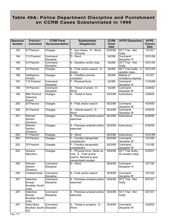| <b>Sequence</b><br><b>Number</b> | Precinct /<br><b>Command</b>                                 | <b>CCRB Panel</b><br><b>Recommendation</b> | <b>Substantiated</b><br>Allegation(s)                                                                   | <b>CCRB</b><br>Panel<br><b>Date</b> | <b>NYPD Disposition</b>                       | <b>NYPD</b><br><b>Closure</b><br><b>Date</b> |
|----------------------------------|--------------------------------------------------------------|--------------------------------------------|---------------------------------------------------------------------------------------------------------|-------------------------------------|-----------------------------------------------|----------------------------------------------|
| 193                              | 47 Precinct                                                  | Charges                                    | F - Gun drawn; D - Word;<br>O - Ethnicity                                                               | 8/30/99                             | <b>DCT Trial - Not</b><br>Guilty              | 1/31/01                                      |
| 194                              | 113 Precinct                                                 | Command<br><b>Discipline</b>               | D - Word                                                                                                | 9/2/99                              | Command<br>Discipline 'A'                     | 10/31/99                                     |
| 195                              | 33 Precinct                                                  | Command<br><b>Discipline</b>               | A - Question and/or stop                                                                                | 9/2/99                              | <b>DCT Trial - Not</b><br>Guilty              | 10/31/00                                     |
| 195                              | 33 Precinct                                                  | Charges                                    | A - Frisk and/or search; D -<br>Action                                                                  | 9/2/99                              | <b>DCT Trial Guilty - 5</b><br>vacation days  | 10/31/00                                     |
| 196                              | Intelligence<br><b>Division</b>                              | Charges                                    | A - Falsified criminal<br>complaint                                                                     | 9/2/99                              | Statute of<br>Limitations expired             | 1/31/01                                      |
| 197                              | 113 Precinct                                                 | Command<br><b>Discipline</b>               | F - Physical force                                                                                      | 9/2/99                              | Command<br>Discipline 'A'                     | 11/30/99                                     |
| 198                              | 19 Precinct                                                  | Command<br><b>Discipline</b>               | A - Threat of arrest; D -<br>Word                                                                       | 9/2/99                              | Command<br>Discipline 'B'                     | 2/29/00                                      |
| 199                              | 88th Precinct<br>Detective<br>Squad                          | Charges                                    | A - Threat of force                                                                                     | 9/23/99                             | Instructions                                  | 2/29/00                                      |
| 200                              | 30 Precinct                                                  | Charges                                    | A - Frisk and/or search                                                                                 | 9/23/99                             | Command<br>Discipline 'B'                     | 4/30/00                                      |
| 200                              | 30 Precinct                                                  | Charges                                    | A - Vehicle search; D -<br>Word                                                                         | 9/23/99                             | Command<br>Discipline 'B'                     | 4/30/00                                      |
| 201                              | Warrant<br>Section<br>(Division)                             | Charges                                    | A - Premises entered and/or<br>searched                                                                 | 9/23/99                             | Instructions                                  | 6/30/00                                      |
| 201                              | Warrant<br>Section<br>(Division)                             | Charges                                    | A - Premises entered and/or<br>searched                                                                 | 9/23/99                             | Instructions                                  | 6/30/00                                      |
| 202                              | <b>71 Precinct</b>                                           | Charges                                    | D - Word                                                                                                | 9/23/99                             | Instructions                                  | 12/31/99                                     |
| 203                              | <b>79 Precinct</b>                                           | Charges                                    | F - Forcibly transported<br>complainant                                                                 | 9/23/99                             | Command<br>Discipline 'B'                     | 1/31/00                                      |
| $\overline{203}$                 | <b>79 Precinct</b>                                           | Charges                                    | F - Forcibly transported<br>complainant                                                                 | 9/23/99                             | Command<br>Discipline 'B'                     | 1/31/00                                      |
| 204                              | Queens<br><b>Narcotics</b>                                   | Charges                                    | F - Physical force, Radio as<br>club; A - Frisk and/or<br>search, Refusal to give<br>name/shield number | 9/24/99                             | <b>DCT Trial Guilty -</b><br>20 vacation days | 6/30/01                                      |
| 205                              | Warrant<br>Section<br>(Division)                             | Command<br><b>Discipline</b>               | D - Word                                                                                                | 9/24/99                             | Command<br>Discipline 'A'                     | 3/31/00                                      |
| 206                              | Undetermined                                                 | Command<br><b>Discipline</b>               | A - Frisk and/or search                                                                                 | 9/24/99                             | Command<br>Discipline 'B'                     | 3/31/00                                      |
| 207                              | Detective<br><b>Bureau</b><br><b>Brooklyn South</b><br>Units | Command<br><b>Discipline</b>               | A - Premises entered and/or<br>searched                                                                 | 9/24/99                             | <b>DCT Trial - Not</b><br>Guilty              | 8/31/01                                      |
| 207                              | Detective<br><b>Bureau</b><br><b>Brooklyn South</b><br>Units | Command<br><b>Discipline</b>               | A - Premises entered and/or<br>searched                                                                 | 9/24/99                             | <b>DCT Trial - Not</b><br>Guilty              | 8/31/01                                      |
| 207                              | Patrol Boro<br><b>Brooklyn South Discipline</b><br>ACI       | Command                                    | A - Threat to property; D -<br>Word                                                                     | 9/24/99                             | Command<br>Discipline 'B'                     | 2/29/00                                      |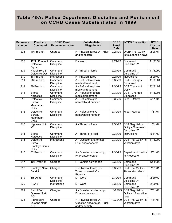| <b>Sequence</b><br><b>Number</b> | Precinct /<br><b>Command</b>                                   | <b>CCRB Panel</b><br><b>Recommendation</b> | <b>Substantiated</b><br>Allegation(s)                                   | <b>CCRB</b><br><b>Panel</b><br><b>Date</b> | <b>NYPD Disposition</b>                                      | <b>NYPD</b><br><b>Closure</b><br><b>Date</b> |
|----------------------------------|----------------------------------------------------------------|--------------------------------------------|-------------------------------------------------------------------------|--------------------------------------------|--------------------------------------------------------------|----------------------------------------------|
| 208                              | 40 Precinct                                                    | Charges                                    | F - Physical force; A - Frisk<br>and/or search                          | 9/24/99                                    | <b>OATH Trial Guilty -</b><br>30 suspension days             | 2/28/01                                      |
| 209                              | 120th Precinct<br>Detective<br>Squad                           | Command<br><b>Discipline</b>               | $\overline{D}$ - Word                                                   | 9/24/99                                    | Command<br>Discipline 'A'                                    | 11/30/99                                     |
| 209                              | Patrol Boro SI<br>Detective Ops                                | Command<br><b>Discipline</b>               | A - Threat of force                                                     | 9/24/99                                    | Command<br>Discipline 'A'                                    | 11/30/99                                     |
| 210                              | 88 Precinct                                                    | Instructions                               | F - Physical force                                                      | 9/24/99                                    | Instructions                                                 | 2/29/00                                      |
| 211                              | <b>76 Precinct</b>                                             | Command                                    | A - Refusal to obtain                                                   | 9/30/99                                    | <b>DCT</b> - Charges                                         | 11/30/01                                     |
|                                  |                                                                | Discipline                                 | medical treatment                                                       |                                            | Dismissed                                                    |                                              |
| $\overline{211}$                 | 79 Precinct                                                    | Command<br><b>Discipline</b>               | A - Refusal to obtain<br>medical treatment                              | 9/30/99                                    | <b>DCT Trial - Not</b><br>Guilty                             | 12/31/01                                     |
| $\overline{211}$                 | <b>Bronx</b>                                                   | Command                                    | A - Refusal to obtain                                                   | 9/30/99                                    | <b>DCT</b> - Charges                                         | 11/30/01                                     |
|                                  | Narcotics                                                      | <b>Discipline</b>                          | medical treatment                                                       |                                            | Dismissed                                                    |                                              |
| 212                              | <b>Detective</b><br><b>Bureau</b><br>Manhattan<br><b>Units</b> | Command<br><b>Discipline</b>               | A - Refusal to give<br>name/shield number                               | 9/30/99                                    | Filed - Retired                                              | 5/31/01                                      |
| $\overline{212}$                 | Detective<br><b>Bureau</b><br>Manhattan<br>Units               | Command<br><b>Discipline</b>               | A - Refusal to give<br>name/shield number                               | 9/30/99                                    | <b>Filed - Retired</b>                                       | 7/31/01                                      |
| 213                              | <b>Highway Unit</b><br>#2                                      | Command<br><b>Discipline</b>               | A - Threat of force                                                     | 9/30/99                                    | <b>DCT Negotiation</b><br>Guilty - Command<br>Discipline 'B' | 1/31/04                                      |
| $\overline{214}$                 | <b>Bronx</b><br><b>Narcotics</b>                               | Command<br><b>Discipline</b>               | A - Threat of arrest                                                    | 9/30/99                                    | Instructions                                                 | 5/31/00                                      |
| 215                              | Detective<br><b>Bureau</b><br><b>Brooklyn South</b><br>Units   | <b>Instructions</b>                        | A - Question and/or stop,<br>Frisk and/or search                        | 9/30/99                                    | <b>DCT Trial Guilty - 5</b><br>vacation days                 | 11/30/00                                     |
| 216                              | 52 Precinct                                                    | Command<br><b>Discipline</b>               | A - Question and/or stop,<br>Frisk and/or search                        | 9/30/99                                    | <b>Department Unable</b><br>to Prosecute                     | 5/31/00                                      |
| 217                              | 104 Precinct                                                   | Charges                                    | F - Vehicle as weapon                                                   | 9/30/99                                    | Command<br>Discipline 'A'                                    | 12/31/00                                     |
| 218                              | Brooklyn Narc.<br><b>District</b>                              | Charges                                    | F - Physical force; D -<br>Threat of arrest; O -<br>Ethnicity           | 9/30/99                                    | <b>DCT Trial Guilty -</b><br>20 vacation days                | 7/31/01                                      |
| 219                              | TB DT33                                                        | Command<br><b>Discipline</b>               | D - Word                                                                | 9/30/99                                    | Command<br>Discipline 'A'                                    | 2/29/00                                      |
| 220                              | PSA <sub>7</sub>                                               | Instructions                               | D - Word                                                                | 9/30/99                                    | Command<br>Discipline 'A'                                    | 2/29/00                                      |
| 221                              | Patrol Boro<br>Queens North<br>ACI                             | Charges                                    | A - Question and/or stop,<br>Frisk and/or search                        | 10/22/99                                   | <b>DCT Negotiation</b><br>Guilty - 15 vacation<br>days       | 7/31/01                                      |
| 221                              | Patrol Boro<br>Queens North<br>ACI                             | Charges                                    | F - Physical force; A -<br>Question and/or stop, Frisk<br>and/or search | 10/22/99                                   | <b>DCT Trial Guilty - 5</b><br>vacation days                 | 7/31/01                                      |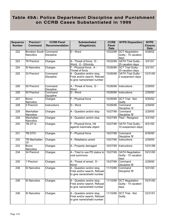| <b>Sequence</b><br><b>Number</b> | Precinct /<br><b>Command</b>                      | <b>CCRB Panel</b><br>Recommendation | <b>Substantiated</b><br>Allegation(s)                                                   | <b>CCRB</b><br><b>Panel</b> | <b>NYPD Disposition</b>                                 | <b>NYPD</b><br><b>Closure</b> |
|----------------------------------|---------------------------------------------------|-------------------------------------|-----------------------------------------------------------------------------------------|-----------------------------|---------------------------------------------------------|-------------------------------|
|                                  |                                                   |                                     |                                                                                         | <b>Date</b>                 |                                                         | <b>Date</b>                   |
| 222                              | <b>Brooklyn South Command</b><br><b>Narcotics</b> | <b>Discipline</b>                   | D - Word                                                                                | 10/22/99                    | <b>DCT Negotiation</b><br>Guilty - 10 vacation<br>days  | 6/28/02                       |
| 223                              | <b>78 Precinct</b>                                | Charges                             | A - Threat of force; D -<br>Word; O - Ethnicity                                         | 10/22/99                    | <b>OATH Trial Guilty -</b><br>25 vacation days          | 3/31/01                       |
| 224                              | <b>SI Narcotics</b>                               | Charges                             | F - Physical force; A -<br>Threat of force                                              | 10/26/99                    | <b>DCT Trial Guilty -</b><br>25 vacation days           | 3/31/01                       |
| 225                              | 33 Precinct                                       | Command<br><b>Discipline</b>        | A - Question and/or stop,<br>Frisk and/or search, Refusal<br>to give name/shield number | 10/26/99                    | OATH Trial Guilty -<br>2 suspension days                | 12/31/00                      |
| 226                              | 50 Precinct                                       | Command<br>Discipline               | A - Threat of force; D -<br>Word                                                        | 10/26/99                    | Instructions                                            | 2/29/00                       |
| 226                              | 50 Precinct                                       | Command<br>Discipline               | D - Word                                                                                | 10/26/99                    | Instructions                                            | 2/29/00                       |
| 227                              | <b>Bronx</b><br><b>Narcotics</b>                  | Charges                             | F - Physical force                                                                      | 10/26/99                    | <b>DCT Trial - Not</b><br>Guilty                        | 9/30/02                       |
| 228                              | 5 Precinct                                        | Instructions                        | D - Word                                                                                | 10/26/99                    | Command<br>Discipline 'A'                               | 2/29/00                       |
| 229                              | Manhattan<br><b>Narcotics</b>                     | Charges                             | A - Question and/or stop                                                                | 10/27/99                    | Command<br>Discipline 'B'                               | 2/29/00                       |
| 229                              | Manhattan<br><b>Narcotics</b>                     | Charges                             | A - Question and/or stop                                                                | 10/27/99                    | Filed - Resigned                                        | 3/31/00                       |
| 230                              | TB DT12                                           | Charges                             | F - Physical force, Hit<br>against inanimate object                                     | 10/27/99                    | <b>OATH Trial Guilty -</b><br>10 suspension days        | 8/31/00                       |
| 231                              | TB DT01                                           | Charges                             | F - Physical force                                                                      | 10/27/99                    | Command<br>Discipline 'B'                               | 6/30/00                       |
| 232                              | <b>TB Manhattan</b><br>ΠF                         | Charges                             | A - Retaliatory arrest                                                                  | 10/27/99                    | Instructions                                            | 2/29/00                       |
| 233                              | <b>Bronx</b><br><b>Narcotics</b>                  | Charges                             | A - Property damaged                                                                    | 10/27/99                    | Instructions                                            | 12/31/99                      |
| 234                              | 34 Precinct                                       | Charges                             | A - Tried to use PD status to<br>void summons                                           | 10/27/99                    | <b>OATH Negotiation</b><br>Guilty - 10 vacation<br>days | 10/31/00                      |
| 235                              | 1 Precinct                                        | Charges                             | A - Threat of arrest; D -<br>Word                                                       | 10/27/99                    | Command<br>Discipline 'B'                               | 2/29/00                       |
| 236                              | <b>SI Narcotics</b>                               | Charges                             | A - Question and/or stop,<br>Frisk and/or search, Refusal<br>to give name/shield number | 11/10/99                    | Command<br>Discipline 'B'                               | 5/31/00                       |
| 236                              | <b>SI Narcotics</b>                               | Charges                             | A - Question and/or stop,<br>Frisk and/or search, Refusal<br>to give name/shield number | 11/10/99                    | <b>DCT Negotiation</b><br>Guilty - 15 vacation<br>days  | 10/31/00                      |
| 236                              | <b>SI Narcotics</b>                               | Charges                             | A - Question and/or stop,<br>Frisk and/or search, Refusal<br>to give name/shield number | 11/10/99                    | <b>DCT Trial - Not</b><br>Guilty                        | 12/31/01                      |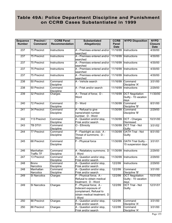| <b>Sequence</b><br><b>Number</b> | Precinct /<br><b>Command</b>     | <b>CCRB Panel</b><br><b>Recommendation</b> | <b>Substantiated</b><br>Allegation(s)                                                                             | <b>CCRB</b><br><b>Panel</b><br><b>Date</b> | <b>NYPD Disposition</b>                                  | <b>NYPD</b><br><b>Closure</b><br><b>Date</b> |
|----------------------------------|----------------------------------|--------------------------------------------|-------------------------------------------------------------------------------------------------------------------|--------------------------------------------|----------------------------------------------------------|----------------------------------------------|
| 237                              | 75 Precinct                      | Instructions                               | A - Premises entered and/or<br>searched                                                                           | 11/16/99                                   | Instructions                                             | 4/30/00                                      |
| 237                              | <b>75 Precinct</b>               | Instructions                               | A - Premises entered and/or<br>searched                                                                           | 11/16/99                                   | Instructions                                             | 4/30/00                                      |
| 237                              | <b>75 Precinct</b>               | Instructions                               | A - Premises entered and/or<br>searched                                                                           | 11/16/99                                   | Instructions                                             | 4/30/00                                      |
| 237                              | 75 Precinct                      | Instructions                               | A - Premises entered and/or<br>searched                                                                           | 11/16/99                                   | Instructions                                             | 4/30/00                                      |
| 237                              | <b>75 Precinct</b>               | Instructions                               | A - Premises entered and/or<br>searched                                                                           | 11/16/99                                   | Instructions                                             | 4/30/00                                      |
| 238                              | 50 Precinct                      | Command<br><b>Discipline</b>               | A - Vehicle search                                                                                                | 11/16/99                                   | Command<br>Discipline 'A'                                | 3/31/00                                      |
| 238                              | 50 Precinct                      | Command<br><b>Discipline</b>               | A - Frisk and/or search                                                                                           | 11/16/99                                   | Instructions                                             | 2/29/00                                      |
| 239                              | 32 Precinct                      | Charges                                    | A - Threat of force; D -<br>Word                                                                                  |                                            | 11/16/99 DCT Negotiation<br>Guilty - 15 vacation<br>days | 11/30/00                                     |
| 240                              | 72 Precinct                      | Command<br><b>Discipline</b>               | D - Word                                                                                                          | 11/30/99                                   | Command<br>Discipline 'B'                                | 8/31/00                                      |
| 241                              | 34 Precinct                      | Command<br><b>Discipline</b>               | A - Refusal to give<br>name/shield number<br>number; D - Word                                                     | 11/30/99                                   | Command<br>Discipline 'B'                                | 2/29/00                                      |
| 242                              | 113 Precinct                     | Command<br><b>Discipline</b>               | A - Question and/or stop,<br>Frisk and/or search                                                                  |                                            | 11/30/99 DCT - Charges<br>Dismissed                      | 10/31/00                                     |
| 243                              | TB DT01                          | Command<br><b>Discipline</b>               | O - Ethnicity                                                                                                     | 11/30/99                                   | <b>DCT Trial - Not</b><br>Guilty                         | 3/31/02                                      |
| 244                              | 77 Precinct                      | Command<br>Discipline                      | F - Flashlight as club; A -<br>Threat of summons; D -<br>Word                                                     | 11/30/99                                   | <b>OATH Trial - Not</b><br>Guilty                        | 8/31/00                                      |
| 245                              | 68 Precinct                      | Command<br>Discipline                      | F - Physical force                                                                                                | 11/30/99                                   | <b>OATH Trial Guilty -</b><br>15 suspension days         | 3/31/01                                      |
| $\frac{1}{246}$                  | Manhattan<br><b>Traffic TF</b>   | Command<br><b>Discipline</b>               | A - Retaliatory summons; D<br>· Word                                                                              | 11/30/99                                   | Instructions                                             | 2/29/00                                      |
| 247                              | 13 Precinct                      | Command<br>Discipline                      | A - Question and/or stop,<br>Frisk and/or search                                                                  | 11/30/99                                   | Instructions                                             | 2/29/00                                      |
| $\overline{248}$                 | <b>Bronx</b><br><b>Narcotics</b> | Command<br><b>Discipline</b>               | A - Question and/or stop,<br>Frisk and/or search                                                                  | 12/2/99                                    | Instructions                                             | 2/29/00                                      |
| 248                              | Manhattan<br><b>Narcotics</b>    | Command<br>Discipline                      | A - Question and/or stop,<br>Frisk and/or search                                                                  | 12/2/99                                    | Command<br>Discipline 'B'                                | 3/31/00                                      |
| 249                              | <b>SI Narcotics</b>              | Charges                                    | F - Physical force; A -<br>Refusal to obtain medical<br>treatment; D - Word                                       | 12/2/99                                    | <b>DCT Negotiation</b><br>Guilty - 15 vacation<br>days   | 10/31/00                                     |
| 249                              | <b>SI Narcotics</b>              | Charges                                    | F - Physical force; A -<br>Indecent exposure of<br>complainant, Refusal to<br>obtain medical treatment; D<br>Word | 12/2/99                                    | <b>DCT Trial - Not</b><br>Guilty                         | 12/31/01                                     |
| 250                              | 88 Precinct                      | Charges                                    | A - Question and/or stop,<br>Frisk and/or search                                                                  | 12/2/99                                    | Command<br>Discipline 'A'                                | 3/31/00                                      |
| 250                              | 88 Precinct                      | Charges                                    | A - Question and/or stop,<br>Frisk and/or search                                                                  | 12/2/99                                    | Command<br>Discipline 'A'                                | 3/31/00                                      |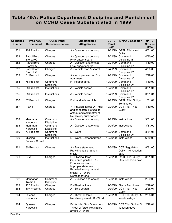| <b>Sequence</b><br><b>Number</b> | Precinct /<br>Command          | <b>CCRB Panel</b><br><b>Recommendation</b> | <b>Substantiated</b><br>Allegation(s)                                                                                                                       | <b>CCRB</b><br><b>Panel</b><br><b>Date</b> | <b>NYPD Disposition</b>                                | <b>NYPD</b><br><b>Closure</b><br><b>Date</b> |
|----------------------------------|--------------------------------|--------------------------------------------|-------------------------------------------------------------------------------------------------------------------------------------------------------------|--------------------------------------------|--------------------------------------------------------|----------------------------------------------|
| 251                              | 109 Precinct                   | Charges                                    | A - Question and/or stop                                                                                                                                    | $\overline{12}/21/99$                      | <b>OATH Trial - Not</b><br>Guilty                      | 8/31/00                                      |
| 252                              | Patrol Boro<br><b>Bronx HQ</b> | Charges                                    | A - Question and/or stop,<br>Frisk and/or search                                                                                                            | 12/21/99                                   | Command<br>Discipline 'B'                              | 4/30/00                                      |
| 252                              | Patrol Boro<br><b>Bronx HQ</b> | Charges                                    | A - Question and/or stop,<br>Frisk and/or search                                                                                                            | 12/21/99                                   | Command<br>Discipline 'B'                              | 4/30/00                                      |
| 252                              | Patrol Boro<br><b>Bronx HQ</b> | Charges                                    | A - Vehicle stop & search                                                                                                                                   | 12/21/99                                   | Command<br>Discipline 'B'                              | 4/30/00                                      |
| 253                              | 61 Precinct                    | Charges                                    | A - Improper eviction from<br>apartment                                                                                                                     | 12/21/99                                   | Command<br>Discipline 'A'                              | 2/29/00                                      |
| 254                              | 78 Precinct                    | Command<br><b>Discipline</b>               | F - Pepper spray                                                                                                                                            | 12/29/99                                   | Command<br>Discipline 'A'                              | 4/30/00                                      |
| 255                              | 28 Precinct                    | Instructions                               | A - Vehicle search                                                                                                                                          | 12/29/99                                   | Command<br>Discipline 'B'                              | 3/31/01                                      |
| 255                              | 28 Precinct                    | Instructions                               | A - Vehicle search                                                                                                                                          | 12/29/99                                   | Command<br>Discipline 'B'                              | 3/31/01                                      |
| 256                              | 67 Precinct                    | Charges                                    | F - Handcuffs as club                                                                                                                                       | 12/29/99                                   | <b>OATH Trial Guilty -</b><br>Terminated               | 1/31/01                                      |
| $\overline{257}$                 | PSA <sub>8</sub>               | Charges                                    | F - Physical force; A - Frisk<br>and/or search, Refusal to<br>obtain medical treatment,<br>Retaliatory summonses                                            | 12/29/99                                   | <b>DCT Trial - Not</b><br>Guilty                       | 4/30/02                                      |
| 258                              | Manhattan<br>Narcotics         | Command<br>Discipline                      | A - Question and/or stop                                                                                                                                    | 12/29/99                                   | Instructions                                           | 3/31/00                                      |
| 258                              | Manhattan<br>Narcotics         | Command<br><b>Discipline</b>               | A - Question and/or stop                                                                                                                                    | 12/29/99                                   | Instructions                                           | 3/31/00                                      |
| 259                              | 77 Precinct                    | Command<br><b>Discipline</b>               | D - Word                                                                                                                                                    | 12/29/99                                   | Command<br>Discipline 'A'                              | 8/31/01                                      |
| 260                              | Missing<br>Persons Squad       | Instructions                               | D - Word, Demeanor/tone                                                                                                                                     | 12/29/99                                   | Instructions                                           | 6/30/00                                      |
| 261                              | 30 Precinct                    | Charges                                    | A - False statement,<br>Providing false name &<br>shield                                                                                                    | 12/30/99                                   | <b>DCT Negotiation</b><br>Guilty - 10 vacation<br>days | 8/31/00                                      |
| 261                              | PSA <sub>8</sub>               | Charges                                    | F - Physical force,<br>Squeezed genitals; A -<br>Frisk and/or search,<br>Improper statement,<br>Provided wrong name &<br>shield; D - Word,<br>Demeanor/tone | 12/30/99                                   | <b>OATH Trial Guilty -</b><br>20 suspension days       | 8/31/01                                      |
| 262                              | Manhattan<br>Traffic TF        | Command<br><b>Discipline</b>               | A - Question and/or stop                                                                                                                                    | 12/30/99                                   | Instructions                                           | 2/29/00                                      |
| 263                              | 120 Precinct                   | Charges                                    | F - Physical force                                                                                                                                          | 12/30/99                                   | Filed - Terminated                                     | 2/29/00                                      |
| 264                              | 107 Precinct                   | Charges                                    | A - Strip search                                                                                                                                            | 12/30/99                                   | <b>DCT Trial - Not</b><br>Guilty                       | 2/28/01                                      |
| 264                              | Queens<br><b>Narcotics</b>     | Charges                                    | A - Threat of force,<br>Retaliatory arrest; D - Word                                                                                                        | 12/30/99                                   | <b>DCT Trial Guilty - 5</b><br>vacation days           | 2/28/01                                      |
| 264                              | Queens<br><b>Narcotics</b>     | Charges                                    | F- Vehicle, Gun Drawn; A -<br>Threat of force, Retaliatory<br>arrest; D - Word                                                                              | 12/30/99                                   | DCT Trial Guilty - 5<br>vacation days                  | 2/28/01                                      |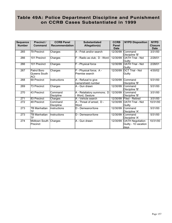| <b>Sequence</b><br><b>Number</b> | Precinct /<br>Command              | <b>CCRB Panel</b><br><b>Recommendation</b> | <b>Substantiated</b><br>Allegation(s)         | <b>CCRB</b><br>Panel<br><b>Date</b> | <b>NYPD Disposition</b>                                 | <b>NYPD</b><br><b>Closure</b><br><b>Date</b> |
|----------------------------------|------------------------------------|--------------------------------------------|-----------------------------------------------|-------------------------------------|---------------------------------------------------------|----------------------------------------------|
| 265                              | 79 Precinct                        | Charges                                    | A - Frisk and/or search                       | 12/30/99                            | Command<br>Discipline 'B'                               | 3/31/00                                      |
| 266                              | 101 Precinct                       | Charges                                    | F - Radio as club; D - Word                   | 12/30/99                            | <b>IOATH Trial - Not</b><br>Guilty                      | 2/28/01                                      |
| 266                              | 101 Precinct                       | Charges                                    | F - Physical force                            | 12/30/99                            | <b>OATH Trial - Not</b><br>Guilty                       | 2/28/01                                      |
| 267                              | Patrol Boro<br>Queens South<br>ACI | Charges                                    | F - Physical force; A -<br>Premise search     | 12/30/99                            | <b>DCT Trial - Not</b><br>Guilty                        | 4/30/02                                      |
| 268                              | 69 Precinct                        | Instructions                               | A - Refusal to give<br>name/shield number     | 12/30/99                            | Command<br>Discipline 'B'                               | $\overline{5/31/00}$                         |
| 269                              | 73 Precinct                        | Charges                                    | A - Gun drawn                                 | 12/30/99                            | Command<br>Discipline 'B'                               | 5/31/00                                      |
| 270                              | 43 Precinct                        | Command<br><b>Discipline</b>               | A - Retaliatory summons; D<br>- Word, Gesture | 12/30/99                            | Command<br>Discipline 'B'                               | 3/31/00                                      |
| 271                              | 83 Precinct                        | Charges                                    | A - Vehicle search                            | 12/30/99                            | <b>Filed - Retired</b>                                  | 3/31/00                                      |
| 272                              | 49 Precinct                        | Command<br><b>Discipline</b>               | A - Threat of arrest; D -<br>Word             | 12/30/99                            | <b>OATH Trial - Not</b><br>Guilty                       | 10/31/00                                     |
| 273                              | TB Manhattan<br>lTF                | Instructions                               | D - Demeanor/tone                             | 12/30/99                            | Command<br>Discipline 'A'                               | 5/31/00                                      |
| 273                              | <b>TB Manhattan</b><br>lTF         | Instructions                               | D - Demeanor/tone                             | 12/30/99                            | Command<br>Discipline 'A'                               | 5/31/00                                      |
| 274                              | Midtown South<br>Precinct          | Charges                                    | A - Gun drawn                                 | 12/30/99                            | <b>OATH Negotiation</b><br>Guilty - 10 vacation<br>days | 10/31/00                                     |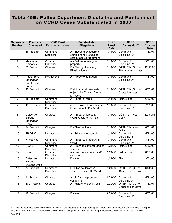| <b>Sequence</b><br>Number* | Precinct /<br>Command                            | <b>CCRB Panel</b><br><b>Recommendation</b> | <b>Substantiated</b><br>Allegation(s)                                           | <b>CCRB</b><br><b>Panel</b><br><b>Date</b> | <b>NYPD</b><br>Disposition**                     | <b>NYPD</b><br><b>Closure</b><br><b>Date</b> |
|----------------------------|--------------------------------------------------|--------------------------------------------|---------------------------------------------------------------------------------|--------------------------------------------|--------------------------------------------------|----------------------------------------------|
| 1                          | 68 Precinct                                      | Command<br><b>Discipline</b>               | A - Indecent exposure of<br>complainant, Refusal to<br>obtain medical treatment | 1/11/00                                    | Command<br>Discipline 'B'                        | 4/30/01                                      |
| $\overline{2}$             | Manhattan<br>Narcotics                           | Command<br><b>Discipline</b>               | A - Failure to safeguard<br>property                                            | 1/11/00                                    | Command<br>Discipline 'A'                        | 3/31/00                                      |
| $\overline{3}$             | 33 Precinct                                      | Charges                                    | F - Flashlight as club,<br>Physical force                                       | 1/11/00                                    | <b>OATH Trial Guilty -</b><br>20 suspension days | 12/31/00                                     |
| 4                          | Patrol Boro<br>Manhattan<br>South Task<br>Force  | Instructions                               | A - Property damaged                                                            | 1/11/00                                    | Command<br>Discipline 'A'                        | 3/31/00                                      |
| $\overline{5}$             | 49 Precinct                                      | Charges                                    | F - Hit against inanimate<br>object; A - Threat of force;<br>D - Word           | 1/11/00                                    | <b>OATH Trial Guilty -</b><br>5 vacation days    | 6/30/01                                      |
| $\overline{6}$             | <b>48 Precinct</b>                               | Command<br><b>Discipline</b>               | A - Threat of force                                                             | 1/11/00                                    | Instructions                                     | 6/30/02                                      |
| $\overline{7}$             | 115 Precinct                                     | Command<br><b>Discipline</b>               | A - Removal of complainant<br>from precinct; D - Word                           | 1/11/00                                    | Command<br>Discipline 'B'                        | 7/31/00                                      |
| 8                          | Detective<br><b>Bureau</b><br>Manhattan<br>Units | Charges                                    | A - Threat of force; D -<br>Word, Gesture; O - Sex                              | 1/11/00                                    | <b>DCT Trial - Not</b><br>Guilty                 | 12/31/01                                     |
| $\overline{9}$             | 94 Precinct                                      | Charges                                    | F - Physical force                                                              | 1/11/00                                    | <b>OATH Trial - Not</b><br>Guilty                | 8/31/01                                      |
| 10                         | TB DT32                                          | Instructions                               | A - Frisk and/or search                                                         | 1/11/00                                    | Command<br>Discipline 'B'                        | 5/31/00                                      |
| 11                         | 7 Precinct                                       | Command<br><b>Discipline</b>               | A - Threat to property; D -<br>Word                                             | 1/11/00                                    | Command<br>Discipline 'A'                        | 8/31/00                                      |
| $\overline{12}$            | PSA <sub>3</sub>                                 | Command<br><b>Discipline</b>               | A - Premises entered and/or<br>searched                                         | 1/21/00                                    | <b>Instructions</b>                              | 6/30/00                                      |
| 12                         | PSA <sub>3</sub>                                 | Command<br><b>Discipline</b>               | A - Premises entered and/or<br>searched                                         | 1/21/00                                    | Instructions                                     | 6/30/00                                      |
| 13                         | Detective<br><b>Bureau</b><br>Queens Units       | Instructions                               | D - Word                                                                        | 1/21/00                                    | Filed                                            | 3/31/00                                      |
| 14                         | 77 Precinct                                      | Command<br>Discipline                      | F - Physical force; A -<br>Threat of force; D - Word                            | 1/21/00                                    | <b>OATH Trial Guilty -</b><br>18 suspension days | 10/31/00                                     |
| 15                         | 41 Precinct                                      | Charges                                    | A - Refusal to process<br>complaint                                             | 2/22/00                                    | Command<br>Discipline 'A'                        | 5/31/00                                      |
| 16                         | 102 Precinct                                     | Charges                                    | A - Failure to identify self                                                    | 2/22/00                                    | OATH Trial Guilty -<br>2 suspension days         | 4/30/01                                      |
| 17                         | 28 Precinct                                      | Charges                                    | D - Word                                                                        | 2/22/00                                    | Command<br>Discipline 'A'                        | 6/30/00                                      |

Page 158 \* A repeated sequence number indicates that the CCCB substantiated allegations against more than one officer based on a single complant. \*\* OATH is the Office of Administrative Trials and Hearings; DCT is the NYPD's Deputy Commissioner for Trials. See Glossary.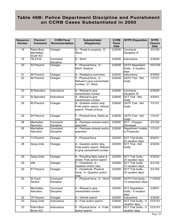| <b>Sequence</b><br><b>Number</b> | Precinct /<br><b>Command</b>          | <b>CCRB Panel</b><br><b>Recommendation</b> | <b>Substantiated</b><br>Allegation(s)                                                   | <b>CCRB</b><br><b>Panel</b><br><b>Date</b> | <b>NYPD Disposition</b>                                | <b>NYPD</b><br><b>Closure</b><br><b>Date</b> |
|----------------------------------|---------------------------------------|--------------------------------------------|-----------------------------------------------------------------------------------------|--------------------------------------------|--------------------------------------------------------|----------------------------------------------|
| 18                               | Patrol Boro<br>Manhattan<br>South ACI | Charges                                    | A - Threat to property; D -<br>Word                                                     | 2/25/00                                    | Command<br>Discipline 'A'                              | 3/31/00                                      |
| 19                               | TB DT32                               | Command<br><b>Discipline</b>               | D - Word                                                                                | 2/25/00                                    | Instructions                                           | 4/30/00                                      |
| 20                               | 52 Precinct                           | Charges                                    | F - Physical force; D -<br>Word, Gesture                                                | 2/25/00                                    | <b>OATH Negotiation</b><br>Guilty - 5 vacation<br>days | 10/31/00                                     |
| $\overline{21}$                  | 90 Precinct                           | Charges                                    | A - Retaliatory summons                                                                 | 2/25/00                                    | Instructions                                           | 6/30/00                                      |
| 22                               | 94 Precinct                           | Charges                                    | F - Physical force; A -<br>Refusal to give name/shield<br>number; D - Word              | 2/25/00                                    | <b>OATH Trial - Not</b><br>Guilty                      | 1/31/01                                      |
| 23                               | <b>SI Narcotics</b>                   | Instructions                               | A - Refusal to give<br>name/shield number                                               | 2/28/00                                    | Command<br>Discipline 'B'                              | 6/30/00                                      |
| 23                               | <b>SI Narcotics</b>                   | Instructions                               | A - Refusal to give<br>name/shield number                                               | 2/28/00                                    | <b>DCT Trial - Not</b><br>Guilty                       | 4/30/01                                      |
| 24                               | 60 Precinct                           | Charges                                    | A - Question and/or stop,<br>Frisk and/or search, Vehicle<br>search, Threat of force    | 2/28/00                                    | <b>OATH Trial - Not</b><br>Guilty                      | 7/31/01                                      |
| 25                               | 94 Precinct                           | Charges                                    | F - Physical force, Radio as<br>club                                                    | 2/28/00                                    | <b>OATH Trial - Not</b><br>Guilty                      | 1/31/01                                      |
| 26                               | Manhattan<br>Narcotics                | Command<br>Discipline                      | A - Premises entered and/or<br>searched                                                 | 2/28/00                                    | <b>DCT</b> - Charges<br><b>Dismissed</b>               | 3/31/02                                      |
| $\overline{26}$                  | Manhattan<br><b>Narcotics</b>         | Command<br>Discipline                      | A - Premises entered and/or<br>searched                                                 | 2/28/00                                    | <b>Department Unable</b><br>to Prosecute               | 1/31/01                                      |
| 27                               | 13 Precinct                           | Charges                                    | F - Physical force                                                                      | 3/20/00                                    | <b>DCT Trial Guilty -</b><br>20 vacation days          | 6/30/01                                      |
| 28                               | <b>Gang Units</b>                     | Charges                                    | A - Question and/or stop,<br>Frisk and/or search, Refusal<br>to give name/shield number | 3/20/00                                    | <b>DCT Trial - Not</b><br>Guilty                       | 4/30/02                                      |
| 28                               | <b>Gang Units</b>                     | Charges                                    | A - Providing false name &<br>shield, Frisk and/or search                               | 3/20/00                                    | <b>DCT Trial Guilty -</b><br>20 vacation days          | 4/30/02                                      |
| 29                               | IAB                                   | Charges                                    | F - Chokehold; A -<br>Question and/or stop                                              | 3/20/00                                    | <b>DCT Trial Guilty -</b><br>15 vacation days          | 5/31/02                                      |
| 29                               | 67 Precinct                           | Charges                                    | F - Chokehold, Physical<br>force; A - Question and/or<br>stop                           | 3/20/00                                    | <b>DCT Trial Guilty -</b><br>25 vacation days          | 5/31/02                                      |
| 30                               | SI Court<br>Section                   | Command<br>Discipline                      | F - Physical force; D - Word                                                            | 3/20/00                                    | <b>OATH Trial Guilty -</b><br>12 suspension days       | 11/30/00                                     |
| 31                               | Manhattan<br>Narcotics                | Command<br>Discipline                      | A - Refusal to give<br>name/shield number                                               | 3/20/00                                    | <b>DCT Negotiation</b><br>Guilty - 5 vacation<br>days  | 2/28/01                                      |
| 32                               | 75 Precinct                           | Charges                                    | A - Vehicle search                                                                      | 3/20/00                                    | Instructions                                           | 4/30/00                                      |
| 33                               | <b>Gang Units</b>                     | Instructions                               | A - Frisk and/or search                                                                 | 3/28/00                                    | DCT Trial Guilty - 5<br>vacation days                  | 12/31/01                                     |
| 33                               | Patrol Boro<br><b>Bronx ACI</b>       | Instructions                               | F - Physical force; A - Frisk<br>and/or search                                          | 3/28/00                                    | DCT Trial Guilty - 5<br>vacation days                  | 12/31/01                                     |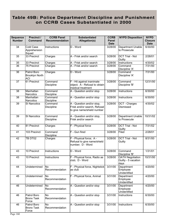| <b>Sequence</b><br><b>Number</b> | Precinct /<br><b>Command</b>                       | <b>CCRB Panel</b><br>Recommendation | <b>Substantiated</b><br>Allegation(s)                                                   | <b>CCRB</b><br><b>Panel</b><br><b>Date</b> | <b>NYPD Disposition</b>                                | <b>NYPD</b><br><b>Closure</b><br><b>Date</b> |
|----------------------------------|----------------------------------------------------|-------------------------------------|-----------------------------------------------------------------------------------------|--------------------------------------------|--------------------------------------------------------|----------------------------------------------|
| 34                               | <b>Cold Case</b><br>Apprehension<br>Squad          | Instructions                        | D - Word                                                                                | 3/28/00                                    | <b>Department Unable</b><br>to Prosecute               | 6/30/00                                      |
| 35                               | 33 Precinct                                        | Charges                             | A - Frisk and/or search                                                                 | 3/28/00                                    | <b>DCT Trial - Not</b><br>Guilty                       | 2/28/01                                      |
| 35                               | 33 Precinct                                        | Charges                             | A - Frisk and/or search                                                                 | 3/28/00                                    | Instructions                                           | 4/30/02                                      |
| 36                               | <b>75 Precinct</b>                                 | Charges                             | A - Frisk and/or search                                                                 | 3/28/00                                    | Command<br>Discipline 'A'                              | 7/31/00                                      |
| 36                               | Patrol Boro<br><b>Brooklyn North</b><br><b>ACI</b> | Charges                             | D - Word                                                                                | 3/28/00                                    | Command<br>Discipline 'A'                              | 7/31/00                                      |
| $\overline{37}$                  | 61 Precinct                                        | Command<br>Discipline               | F - Hit against inanimate<br>object; A - Refusal to obtain<br>medical treatment         | 3/28/00                                    | Command<br>Discipline 'B'                              | 12/31/00                                     |
| 38                               | <b>Manhattan</b><br><b>Narcotics</b>               | Command<br>Discipline               | A - Question and/or stop                                                                | 3/28/00                                    | Instructions                                           | 6/30/00                                      |
| $\overline{38}$                  | Manhattan<br><b>Narcotics</b>                      | Command<br><b>Discipline</b>        | A - Question and/or stop                                                                | 3/28/00                                    | Instructions                                           | 6/30/00                                      |
| $\overline{39}$                  | <b>SI Narcotics</b>                                | Command<br><b>Discipline</b>        | A - Question and/or stop,<br>Frisk and/or search, Refusal<br>to give name/shield number | 3/28/00                                    | DCT - Charges<br><b>Dismissed</b>                      | 4/30/02                                      |
| 39                               | <b>SI Narcotics</b>                                | Command<br>Discipline               | A - Question and/or stop,<br>Frisk and/or search                                        | 3/28/00                                    | <b>Department Unable</b><br>to Prosecute               | 10/31/02                                     |
| 40                               | 81 Precinct                                        | Charges                             | F - Physical force                                                                      | 3/28/00                                    | <b>DCT Trial - Not</b><br>Guilty                       | 7/31/02                                      |
| 41                               | 103 Precinct                                       | Command<br>Discipline               | F - Gun fired                                                                           | 3/28/00                                    | Filed                                                  | 2/28/01                                      |
| 42                               | TB DT02                                            | Charges                             | F - Physical force; A -<br>Refusal to give name/shield<br>number; D - Word              | 3/28/00                                    | <b>DCT Trial - Not</b><br>Guilty                       | 8/31/00                                      |
| 43                               | 10 Precinct                                        | Instructions                        | D - Word                                                                                | 3/28/00                                    | Command<br>Discipline 'B'                              | 1/31/01                                      |
| 43                               | 10 Precinct                                        | Instructions                        | F - Physical force, Radio as<br>club; D - Word                                          | 3/28/00                                    | <b>OATH Negotiation</b><br>Guilty - 5 vacation<br>days | 10/31/00                                     |
| 44                               | Undetermined                                       | <b>No</b><br>Recommendation         | F - Physical force, Nightstick<br>as club                                               | 3/31/00                                    | Department<br>Employee<br>Unidentified                 | 4/20/00                                      |
| 45                               | Undetermined                                       | <b>No</b><br>Recommendation         | F - Physical force, Animal                                                              | 3/31/00                                    | Department<br>Employee<br>Unidentified                 | 4/20/00                                      |
| 46                               | Undetermined                                       | <b>No</b><br>Recommendation         | A - Question and/or stop                                                                | 3/31/00                                    | Department<br>Employee<br>Unidentified                 | 4/20/00                                      |
| 46                               | Patrol Boro<br><b>Bronx Task</b><br>Force          | <b>No</b><br>Recommendation         | A - Question and/or stop                                                                | 3/31/00                                    | Instructions                                           | 6/30/00                                      |
| 46                               | Patrol Boro<br><b>Bronx Task</b><br>Force          | <b>No</b><br>Recommendation         | A - Question and/or stop                                                                | 3/31/00                                    | Instructions                                           | 6/30/00                                      |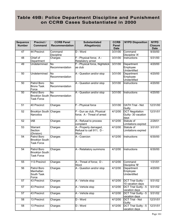| <b>Sequence</b><br><b>Number</b> | Precinct /<br><b>Command</b>                              | <b>CCRB Panel</b><br><b>Recommendation</b> | <b>Substantiated</b><br>Allegation(s)                     | <b>CCRB</b><br><b>Panel</b><br><b>Date</b> | <b>NYPD Disposition</b>                               | <b>NYPD</b><br><b>Closure</b><br><b>Date</b> |
|----------------------------------|-----------------------------------------------------------|--------------------------------------------|-----------------------------------------------------------|--------------------------------------------|-------------------------------------------------------|----------------------------------------------|
| 47                               | 44 Precinct                                               | Command<br><b>Discipline</b>               | D - Word                                                  | 3/31/00                                    | Command<br>Discipline 'A'                             | 9/30/00                                      |
| 48                               | Chief of<br>Department                                    | Charges                                    | F - Physical force; A -<br>Retaliatory arrest             | 3/31/00                                    | Instructions                                          | 5/31/00                                      |
| 49                               | Undetermined                                              | No<br>Recommendation                       | F - Physical force, Nightstick<br>as club                 | 3/31/00                                    | <b>Department</b><br>Employee<br>Unidentified         | 4/20/00                                      |
| 50                               | <b>Undetermined</b>                                       | <b>No</b><br>Recommendation                | A - Question and/or stop                                  | 3/31/00                                    | Department<br>Employee<br>Unidentified                | 4/20/00                                      |
| 50                               | Patrol Boro<br><b>Bronx Task</b><br>Force                 | No<br>Recommendation                       | A - Question and/or stop                                  | 3/31/00                                    | Instructions                                          | 4/20/00                                      |
| 50                               | <b>Patrol Boro</b><br><b>Task Force</b>                   | No<br>Brooklyn South Recommendation        | A - Question and/or stop                                  | 3/31/00                                    | Instructions                                          | 4/20/00                                      |
| 51                               | 40 Precinct                                               | Charges                                    | F - Physical force                                        | 3/31/00                                    | <b>OATH Trial - Not</b><br>Guilty                     | 12/31/00                                     |
| 52                               | <b>Brooklyn South Charges</b><br><b>Narcotics</b>         |                                            | F - Gun as club, Physical<br>force; A - Threat of arrest  | 4/12/00                                    | <b>DCT Negotiation</b><br>Guilty- 30 vacation<br>days | 12/31/01                                     |
| 52                               | $\overline{IAB}$                                          | Charges                                    | A - Refusal to process<br>complaint                       | 4/12/00                                    | Statute of<br>Limitations expired                     | 2/28/01                                      |
| 53                               | Warrant<br>Section<br>(Division)                          | Charges                                    | A - Property damaged,<br>Refusal to call 911; D -<br>Word | 4/12/00                                    | Statute of<br>Limitations expired                     | 3/31/01                                      |
| 54                               | Patrol Boro<br><b>Brooklyn South</b><br><b>Task Force</b> | Charges                                    | A - Coercion                                              | 4/12/00                                    | Instructions                                          | 6/30/00                                      |
| 54                               | Patrol Boro<br><b>Brooklyn South</b><br><b>Task Force</b> | Charges                                    | A - Retaliatory summons                                   | 4/12/00                                    | Instructions                                          | 6/30/00                                      |
| 55                               | 113 Precinct                                              | Charges                                    | A - Threat of force; D -<br>Word                          | 4/12/00                                    | Command<br>Discipline 'B'                             | 1/31/01                                      |
| 56                               | Patrol Boro<br>Manhattan<br>South Task<br>Force           | Charges                                    | A - Question and/or stop                                  | 4/12/00                                    | Department<br>Employee<br>Unidentified                | 4/20/00                                      |
| 57                               | 43 Precinct                                               | Charges                                    | A - Vehicle stop                                          | 4/12/00                                    | <b>DCT Trial Guilty -</b><br>10 vacation days         | 5/31/02                                      |
| 57                               | 43 Precinct                                               | Charges                                    | A - Vehicle stop                                          | 4/12/00                                    | DCT Trial Guilty - 5<br>vacation days                 | 5/31/02                                      |
| 57                               | 43 Precinct                                               | Charges                                    | A - Vehicle stop                                          | 4/12/00                                    | <b>DCT Trial Guilty - 5</b><br>vacation days          | 5/31/02                                      |
| 58                               | 13 Precinct                                               | Charges                                    | D - Word                                                  | 4/12/00                                    | <b>DCT Trial - Not</b><br>Guilty                      | 12/31/01                                     |
| 58                               | 13 Precinct                                               | Charges                                    | D - Word                                                  | 4/12/00                                    | <b>DCT Trial Guilty - 5</b><br>vacation days          | 12/31/01                                     |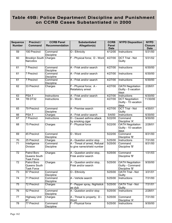| <b>Sequence</b><br><b>Number</b> | Precinct /<br><b>Command</b>                      | <b>CCRB Panel</b><br><b>Recommendation</b> | <b>Substantiated</b><br><b>Allegation(s)</b>                | <b>CCRB</b><br><b>Panel</b><br><b>Date</b> | <b>NYPD Disposition</b>                                       | <b>NYPD</b><br><b>Closure</b><br><b>Date</b> |
|----------------------------------|---------------------------------------------------|--------------------------------------------|-------------------------------------------------------------|--------------------------------------------|---------------------------------------------------------------|----------------------------------------------|
| 59                               | 100 Precinct                                      | Command<br><b>Discipline</b>               | O - Ethnicity                                               | 4/12/00                                    | Instructions                                                  | 5/31/00                                      |
| 60                               | <b>Brooklyn South Charges</b><br><b>Narcotics</b> |                                            | F - Physical force; D - Word                                | 4/27/00                                    | <b>DCT Trial - Not</b><br>Guilty                              | 5/31/02                                      |
| 61                               | 7 Precinct                                        | Command<br>Discipline                      | A - Frisk and/or search                                     | 4/27/00                                    | Instructions                                                  | 6/30/00                                      |
| 61                               | <b>7 Precinct</b>                                 | Command<br>Discipline                      | A - Frisk and/or search                                     | 4/27/00                                    | Instructions                                                  | 6/30/00                                      |
| 61                               | 7 Precinct                                        | Command<br><b>Discipline</b>               | A - Frisk and/or search                                     | 4/27/00                                    | Instructions                                                  | 6/30/00                                      |
| 62                               | 33 Precinct                                       | Charges                                    | F - Physical force; A -<br>Retaliatory arrest               | 4/27/00                                    | <b>OATH Negotiation</b><br>Guilty - 5 vacation<br>days        | 2/28/01                                      |
| 63                               | PSA <sub>7</sub>                                  | Instructions                               | A - Frisk and/or search                                     | 4/27/00                                    | Instructions                                                  | 6/30/00                                      |
| 64                               | TB DT32                                           | Instructions                               | D - Word                                                    | 4/27/00                                    | <b>DCT Negotiation</b><br>Guilty - 15 vacation<br>days        | 11/30/00                                     |
| 65                               | 79 Precinct                                       | Command<br><b>Discipline</b>               | A - Premise search                                          | 4/27/00                                    | <b>DCT Trial - Not</b><br>Guilty                              | 4/30/01                                      |
| 66                               | PSA <sub>7</sub>                                  | Charges                                    | A - Frisk and/or search                                     | 5/4/00                                     | Instructions                                                  | 6/30/00                                      |
| 67                               | 7 Precinct                                        | Instructions                               | D - Caused asthma attack<br>by smoking cigar                | 5/22/00                                    | Command<br>Discipline 'A'                                     | 9/30/00                                      |
| 68                               | 75 Precinct                                       | Charges                                    | F - Physical force                                          | 5/22/00                                    | <b>OATH Negotiation</b><br>Guilty - 10 vacation<br>days       | 2/28/01                                      |
| 69                               | 45 Precinct                                       | Command<br><b>Discipline</b>               | D - Word                                                    | 5/22/00                                    | Command<br>Discipline 'B'                                     | 8/31/00                                      |
| 70                               | 25 Precinct                                       | Charges                                    | A - Question and/or stop                                    | 5/25/00                                    | Instructions                                                  | 7/31/00                                      |
| 71                               | Intelligence<br><b>Division</b>                   | Command<br><b>Discipline</b>               | A - Threat of arrest, Refusal<br>to give name/shield number | 5/25/00                                    | Command<br>Discipline 'B'                                     | 8/31/00                                      |
| 72                               | Patrol Boro<br>Queens South<br><b>Task Force</b>  | Charges                                    | A - Question and/or stop,<br>Frisk and/or search            | 5/25/00                                    | Command<br>Discipline 'B'                                     | 1/31/03                                      |
| $\overline{72}$                  | Patrol Boro<br>Queens South<br><b>Task Force</b>  | Charges                                    | A - Question and/or stop,<br>Frisk and/or search            | 5/25/00                                    | <b>OATH Negotiation</b><br>Guilty - Command<br>Discipline 'B' | 9/30/00                                      |
| 73                               | 67 Precinct                                       | Command<br>Discipline                      | O - Ethnicity                                               | 5/25/00                                    | <b>OATH Trial - Not</b><br>Guilty                             | 3/31/01                                      |
| 74                               | 71 Precinct                                       | Command<br><b>Discipline</b>               | A - Vehicle search                                          | 5/25/00                                    | Instructions                                                  | 7/31/00                                      |
| 75                               | <b>72 Precinct</b>                                | Charges                                    | F - Pepper spray, Nightstick<br>as club                     | 5/25/00                                    | <b>OATH Trial - Not</b><br>Guilty                             | 7/31/01                                      |
| 76                               | 52 Precinct                                       | Command<br><b>Discipline</b>               | A - Question and/or stop                                    | 5/25/00                                    | Instructions                                                  | 2/28/01                                      |
| 77                               | <b>Highway Unit</b><br>#1                         | Charges                                    | A - Threat to property; D -<br>Word                         | 5/25/00                                    | Command<br>Discipline 'A'                                     | 7/31/00                                      |
| $\overline{78}$                  | 77 Precinct                                       | Command<br><b>Discipline</b>               | F - Physical force                                          | 5/25/00                                    | Instructions                                                  | 9/30/00                                      |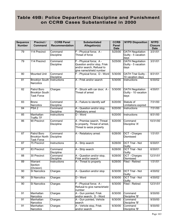| <b>Sequence</b><br><b>Number</b> | Precinct /<br><b>Command</b>                              | <b>CCRB Panel</b><br><b>Recommendation</b> | <b>Substantiated</b><br>Allegation(s)                                                                          | <b>CCRB</b><br><b>Panel</b><br><b>Date</b> | <b>NYPD Disposition</b>                                 | <b>NYPD</b><br><b>Closure</b><br><b>Date</b> |
|----------------------------------|-----------------------------------------------------------|--------------------------------------------|----------------------------------------------------------------------------------------------------------------|--------------------------------------------|---------------------------------------------------------|----------------------------------------------|
| 79                               | 114 Precinct                                              | Command<br><b>Discipline</b>               | F - Physical force; A -<br>Threat of force                                                                     | 5/25/00                                    | <b>OATH Negotiation</b><br>Guilty - 5 vacation<br>days  | 3/31/01                                      |
| $\overline{79}$                  | 114 Precinct                                              | Command<br><b>Discipline</b>               | F - Physical force; A -<br>Question and/or stop, Frisk<br>and/or search, Refusal to<br>give name/shield number | 5/25/00                                    | <b>OATH Negotiation</b><br>Guilty - 5 vacation<br>days  | 3/31/01                                      |
| 80                               | Mounted Unit                                              | Command<br><b>Discipline</b>               | F - Physical force; D - Word                                                                                   | 5/30/00                                    | <b>OATH Trial Guilty -</b><br>10 vacation days          | 8/31/01                                      |
| 81                               | <b>Brooklyn South Instructions</b><br><b>Narcotics</b>    |                                            | A - Frisk and/or search                                                                                        | 5/30/00                                    | Instructions                                            | 6/30/02                                      |
| 82                               | Patrol Boro<br><b>Brooklyn South</b><br><b>Task Force</b> | Charges                                    | F - Struck with car door; A -<br>Threat of arrest                                                              | 5/30/00                                    | <b>OATH Negotiation</b><br>Guilty - 10 vacation<br>days | 4/30/01                                      |
| 83                               | <b>Bronx</b><br>Narcotics                                 | Command<br><b>Discipline</b>               | A - Failure to identify self                                                                                   | 6/20/00                                    | Statute of<br>Limitations expired                       | 7/31/00                                      |
| 84                               | PSA <sub>2</sub>                                          | Command<br><b>Discipline</b>               | A - Question and/or stop,<br>Retaliatory arrest                                                                | 6/20/00                                    | Instructions                                            | 7/31/00                                      |
| 85                               | Manhattan<br><b>Traffic TF</b>                            | Instructions                               | D - Word                                                                                                       | 6/20/00                                    | Instructions                                            | 8/31/00                                      |
| 86                               | 90 Precinct                                               | Command<br><b>Discipline</b>               | A - Premise search, Threat<br>to property, Threat of arrest,<br>Threat to seize property                       | 6/20/00                                    | Command<br>Discipline 'A'                               | 10/31/00                                     |
| 87                               | Patrol Boro<br><b>Brooklyn North</b><br><b>Task Force</b> | Command<br><b>Discipline</b>               | A - Retaliatory arrest                                                                                         | 6/26/00                                    | <b>DCT</b> - Charges<br>Dismissed                       | 1/31/01                                      |
| $\overline{87}$                  | 75 Precinct                                               | Instructions                               | A - Strip search                                                                                               | 6/26/00                                    | <b>DCT Trial - Not</b><br>Guilty                        | 6/30/01                                      |
| 87                               | 83 Precinct                                               | Command<br><b>Discipline</b>               | A - Strip search                                                                                               | 6/26/00                                    | <b>DCT Trial - Not</b><br>Guilty                        | 6/30/01                                      |
| 88                               | 30 Precinct                                               | Command<br><b>Discipline</b>               | A - Question and/or stop,<br>Frisk and/or search                                                               | 6/26/00                                    | <b>DCT</b> - Charges<br><b>Dismissed</b>                | 12/31/01                                     |
| 89                               | Warrant<br>Section<br>(Division)                          | Instructions                               | A - Threat to property                                                                                         | 6/26/00                                    | <b>Filed - Retired</b>                                  | 1/31/01                                      |
| 90                               | <b>SI Narcotics</b>                                       | Charges                                    | A - Question and/or stop                                                                                       | 6/30/00                                    | <b>DCT Trial - Not</b><br>Guilty                        | 4/30/02                                      |
| 90                               | <b>SI Narcotics</b>                                       | Charges                                    | D - Word                                                                                                       | 6/30/00                                    | <b>DCT Trial - Not</b><br>Guilty                        | 4/30/02                                      |
| 90                               | <b>SI Narcotics</b>                                       | Charges                                    | F - Physical force; A -<br>Refusal to give name/shield<br>number                                               | 6/30/00                                    | <b>Filed - Retired</b>                                  | 12/31/01                                     |
| 91                               | Manhattan<br><b>Narcotics</b>                             | Charges                                    | A - Gun pointed, Frisk<br>and/or search; D - Word                                                              | 6/30/00                                    | Command<br>Discipline 'B'                               | 9/30/00                                      |
| 91                               | Manhattan<br>Narcotics                                    | Charges                                    | A - Gun pointed, Vehicle<br>search                                                                             | 6/30/00                                    | Command<br>Discipline 'B'                               | 9/30/00                                      |
| 91                               | Manhattan<br>Narcotics                                    | Charges                                    | A - Vehicle stop, Frisk<br>and/or search                                                                       | 6/30/00                                    | Command<br>Discipline 'B'                               | 9/30/00                                      |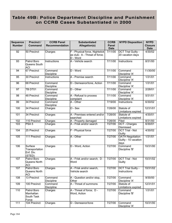| <b>Sequence</b><br><b>Number</b> | Precinct /<br><b>Command</b>                     | <b>CCRB Panel</b><br><b>Recommendation</b> | <b>Substantiated</b><br>Allegation(s)                                       | <b>CCRB</b><br>Panel<br><b>Date</b> | <b>NYPD Disposition</b>                                 | <b>NYPD</b><br><b>Closure</b><br><b>Date</b> |
|----------------------------------|--------------------------------------------------|--------------------------------------------|-----------------------------------------------------------------------------|-------------------------------------|---------------------------------------------------------|----------------------------------------------|
| 92                               | 50 Precinct                                      | Charges                                    | F - Physical force, Nightstick<br>as club; A - Threat of force;<br>D - Word | 7/11/00                             | <b>DCT Trial Guilty -</b><br>20 vacation days           | 4/30/02                                      |
| 93                               | Patrol Boro<br>Queens South<br><b>ACI</b>        | Instructions                               | A - Vehicle search                                                          | 7/11/00                             | Instructions                                            | 8/31/00                                      |
| 94                               | 67 Precinct                                      | Command<br><b>Discipline</b>               | D - Word                                                                    | 7/11/00                             | Command<br>Discipline 'A'                               | 11/30/00                                     |
| 95                               | 30 Precinct                                      | Instructions                               | A - Premise search                                                          | 7/11/00                             | Command<br>Discipline 'A'                               | 1/31/01                                      |
| 96                               | 68 Precinct                                      | Command<br><b>Discipline</b>               | D - Demeanor/tone, Action                                                   | 7/11/00                             | Command<br>Discipline 'A'                               | 1/31/01                                      |
| 97                               | TB DT01                                          | Command<br>Discipline                      | D - Other                                                                   | 7/11/00                             | Command<br>Discipline 'A'                               | 2/28/01                                      |
| 98                               | 48 Precinct                                      | Command<br><b>Discipline</b>               | A - Refusal to process<br>complaint                                         | 7/11/00                             | Command<br>Discipline 'A'                               | 5/31/01                                      |
| 99                               | 34 Precinct                                      | Command<br><b>Discipline</b>               | A - Other                                                                   | 7/19/00                             | Instructions                                            | 6/30/02                                      |
| 100                              | 34 Precinct                                      | Charges                                    | O - Sex                                                                     | 7/26/00                             | Statute of<br>Limitations expired                       | 12/31/01                                     |
| 101                              | 34 Precinct                                      | Charges                                    | A - Premises entered and/or<br>searched                                     | 7/26/00                             | Statute of<br>Limitations expired                       | 4/30/01                                      |
| 102                              | 110 Precinct                                     | Charges                                    | A - Property damaged                                                        | 7/26/00                             | Filed                                                   | 8/31/00                                      |
| 103                              | PSA <sub>5</sub>                                 | Charges                                    | A - Frisk and/or search                                                     | 7/27/00                             | <b>DCT</b> - Charges<br>Dismissed                       | 6/30/01                                      |
| 104                              | 25 Precinct                                      | Charges                                    | F - Physical force                                                          | 7/27/00                             | <b>DCT Trial - Not</b><br>Guilty                        | 4/30/02                                      |
| 105                              | 111 Precinct                                     | Charges                                    | A - Other                                                                   | 7/27/00                             | <b>OATH Negotiation</b><br>Guilty - 10 vacation<br>days | 1/31/01                                      |
| 106                              | Surface<br>Transportation<br>Enf. Div.<br>(STED) | Charges                                    | D - Word, Action                                                            | 7/27/00                             | Command<br>Discipline 'B'                               | 10/31/00                                     |
| 107                              | Patrol Boro<br>Queens North<br><b>ACI</b>        | Charges                                    | A - Frisk and/or search; D -<br>Word                                        | 7/27/00                             | <b>DCT Trial - Not</b><br>Guilty                        | 10/31/02                                     |
| 107                              | Patrol Boro<br>Queens North<br><b>ACI</b>        | Charges                                    | A - Frisk and/or search,<br>Vehicle search                                  | 7/27/00                             | <b>DCT Trial Guilty -</b><br>Instructions               | 10/31/02                                     |
| 108                              | 13 Precinct                                      | Command<br><b>Discipline</b>               | A - Question and/or stop,<br>Other                                          | 7/27/00                             | Command<br>Discipline 'A'                               | 9/30/00                                      |
| 109                              | 100 Precinct                                     | Command<br>Discipline                      | A - Threat of summons                                                       | 7/27/00                             | Statute of<br>Limitations expired                       | 12/31/01                                     |
| 110                              | Patrol Boro<br>Manhattan<br>South Task<br>Force  | Charges                                    | A - Threat of force; D -<br>Word, Action                                    | 7/27/00                             | Command<br>Discipline 'B'                               | 1/31/01                                      |
| 111                              | 104 Precinct                                     | Charges                                    | D - Demeanor/tone                                                           | 7/27/00                             | Command<br>Discipline 'A'                               | 10/31/00                                     |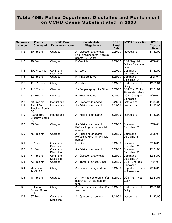| <b>Sequence</b><br><b>Number</b> | Precinct /<br><b>Command</b>                       | <b>CCRB Panel</b><br><b>Recommendation</b> | <b>Substantiated</b><br>Allegation(s)                                         | <b>CCRB</b><br>Panel<br><b>Date</b> | <b>NYPD Disposition</b>                               | <b>NYPD</b><br><b>Closure</b><br><b>Date</b> |
|----------------------------------|----------------------------------------------------|--------------------------------------------|-------------------------------------------------------------------------------|-------------------------------------|-------------------------------------------------------|----------------------------------------------|
| 112                              | 30 Precinct                                        | Charges                                    | A - Question and/or stop,<br>Frisk and/or search, Vehicle<br>search; D - Word | 7/27/00                             | Instructions                                          | 11/30/00                                     |
| $\overline{113}$                 | 46 Precinct                                        | Charges                                    | F - Vehicle                                                                   | 7/27/00                             | <b>DCT Negotiation</b><br>Guilty - 5 vacation<br>days | 4/30/01                                      |
| 114                              | 109 Precinct                                       | Command<br><b>Discipline</b>               | D - Word                                                                      | 7/27/00                             | Command<br>Discipline 'B'                             | 11/30/00                                     |
| 115                              | 52 Precinct                                        | Charges                                    | F - Physical force                                                            | 8/21/00                             | Command<br>Discipline 'B'                             | 2/28/01                                      |
| 116                              | 113 Precinct                                       | Charges                                    | A - Other                                                                     | 8/21/00                             | <b>DCT Trial - Not</b><br>Guilty                      | 12/31/01                                     |
| 116                              | 113 Precinct                                       | Charges                                    | F - Pepper spray; A - Other                                                   | 8/21/00                             | <b>DCT Trial Guilty -</b><br>10 vacation days         | 12/31/01                                     |
| 117                              | 33 Precinct                                        | Charges                                    | F - Physical force                                                            | 8/21/00                             | <b>DCT</b> - Charges<br><b>Dismissed</b>              | 4/30/02                                      |
| 118                              | 79 Precinct                                        | Instructions                               | A - Property damaged                                                          | 8/21/00                             | Instructions                                          | 11/30/00                                     |
| 119                              | Patrol Boro<br><b>Brooklyn South</b><br><b>ACI</b> | Instructions                               | A - Frisk and/or search                                                       | 8/21/00                             | Instructions                                          | 11/30/00                                     |
| 119                              | Patrol Boro<br><b>Brooklyn South</b><br>ACI        | Instructions                               | A - Frisk and/or search                                                       | 8/21/00                             | Instructions                                          | 11/30/00                                     |
| 120                              | <b>75 Precinct</b>                                 | Charges                                    | A - Frisk and/or search,<br>Refusal to give name/shield<br>number             | 8/21/00                             | Command<br>Discipline 'B'                             | 2/28/01                                      |
| 120                              | 75 Precinct                                        | Charges                                    | A - Frisk and/or search,<br>Refusal to give name/shield<br>number             | 8/21/00                             | Command<br>Discipline 'B'                             | 2/28/01                                      |
| 121                              | 6 Precinct                                         | Command<br>Discipline                      | D - Other                                                                     | 8/21/00                             | Command<br>Discipline 'A'                             | 2/28/01                                      |
| 122                              | <b>71 Precinct</b>                                 | Command<br><b>Discipline</b>               | A - Frisk and/or search                                                       | 8/21/00                             | Command<br>Discipline 'A'                             | 12/31/00                                     |
| 122                              | <b>71 Precinct</b>                                 | Command<br><b>Discipline</b>               | A - Question and/or stop                                                      | 8/21/00                             | Command<br>Discipline 'A'                             | 12/31/00                                     |
| 123                              | 73 Precinct                                        | Charges                                    | A - Threat of arrest, Other                                                   | 8/21/00                             | <b>DCT</b> - Charges<br>Dismissed                     | 7/31/01                                      |
| 124                              | Manhattan<br><b>Traffic TF</b>                     | Charges                                    | A - Gun pointed/gun drawn                                                     | 8/21/00                             | <b>Department Unable</b><br>to Prosecute              | 6/30/01                                      |
| 125                              | 46 Precinct                                        | Charges                                    | A - Premises entered and/or<br>searched; D - Demeanor<br>tone                 | 8/21/00                             | <b>DCT Trial - Not</b><br>Guilty                      | 12/31/01                                     |
| 125                              | Detective<br><b>Bureau Bronx</b><br>Units          | Charges                                    | A - Premises entered and/or<br>searched                                       | 8/21/00                             | <b>DCT Trial - Not</b><br>Guilty                      | 12/31/01                                     |
| 126                              | 67 Precinct                                        | Command<br><b>Discipline</b>               | A - Question and/or stop                                                      | 8/21/00                             | Instructions                                          | 11/30/00                                     |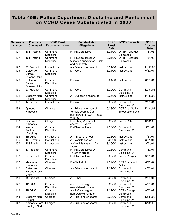| <b>Sequence</b><br><b>Number</b> | Precinct /<br><b>Command</b>                             | <b>CCRB Panel</b><br><b>Recommendation</b> | <b>Substantiated</b><br>Allegation(s)                                                    | <b>CCRB</b><br><b>Panel</b><br><b>Date</b> | <b>NYPD Disposition</b>                       | <b>NYPD</b><br><b>Closure</b><br><b>Date</b> |
|----------------------------------|----------------------------------------------------------|--------------------------------------------|------------------------------------------------------------------------------------------|--------------------------------------------|-----------------------------------------------|----------------------------------------------|
| 127                              | 101 Precinct                                             | Command<br><b>Discipline</b>               | F - Physical force                                                                       | 8/21/00                                    | OATH - Charges<br>Dismissed                   | 1/31/03                                      |
| 127                              | 101 Precinct                                             | Command<br><b>Discipline</b>               | F - Physical force; A -<br>Question and/or stop, Frisk<br>and/or search                  | 8/21/00                                    | OATH - Charges<br>Dismissed                   | 1/31/03                                      |
| 128                              | <b>77 Precinct</b>                                       | Instructions                               | A - Frisk and/or search                                                                  | 8/21/00                                    | Instructions                                  | 11/30/00                                     |
| 129                              | <b>Detective</b><br><b>Bureau</b><br><b>Queens Units</b> | Command<br><b>Discipline</b>               | D - Word                                                                                 | 8/21/00                                    | Instructions                                  | 6/30/01                                      |
| 129                              | Detective<br><b>Bureau</b><br>Queens Units               | Command<br><b>Discipline</b>               | D - Word                                                                                 | 8/21/00                                    | Instructions                                  | 6/30/01                                      |
| 130                              | 67 Precinct                                              | Command<br><b>Discipline</b>               | D - Word                                                                                 | 8/25/00                                    | Command<br>Discipline 'B'                     | 12/31/01                                     |
| 131                              | Brooklyn Narc.<br><b>District</b>                        | Command<br><b>Discipline</b>               | A - Question and/or stop                                                                 | 8/25/00                                    | Instructions                                  | 11/30/00                                     |
| 132                              | 44 Precinct                                              | Instructions                               | D - Word                                                                                 | 8/25/00                                    | Command<br>Discipline 'A'                     | 2/28/01                                      |
| 133                              | Queens<br><b>Narcotics</b>                               | Charges                                    | A - Frisk and/or search,<br>Vehicle search, Gun<br>pointed/gun drawn, Threat<br>of force | 9/28/00                                    | <b>DCT Trial Guilty -</b><br>10 vacation days | 12/31/01                                     |
| 133                              | Queens<br><b>Narcotics</b>                               | Charges                                    | F - Other; A - Vehicle<br>search; D - Word                                               | 9/28/00                                    | <b>Filed - Retired</b>                        | 12/31/00                                     |
| 134                              | Warrant<br>Section<br>(Division)                         | Command<br><b>Discipline</b>               | F - Physical force                                                                       | 9/28/00                                    | Command<br>Discipline 'B'                     | 5/31/01                                      |
| 135                              | TB DT02                                                  | Instructions                               | A - Threat of arrest                                                                     | 9/28/00                                    | Instructions                                  | 1/31/01                                      |
| 136                              | 109 Precinct                                             | Instructions                               | A - Vehicle search                                                                       | 9/28/00                                    | Instructions                                  | 3/31/01                                      |
| 136                              | 109 Precinct                                             | Instructions                               | A - Vehicle search; D -<br>Word                                                          | 9/28/00                                    | Instructions                                  | 3/31/01                                      |
| 137                              | 13 Precinct                                              | Command<br>Discipline                      | F - Physical force; A -<br>Threat of arrest                                              | 9/28/00                                    | Command<br>Discipline 'B'                     | 4/30/01                                      |
| 138                              | 67 Precinct                                              | Command<br><b>Discipline</b>               | F - Physical force                                                                       | 9/28/00                                    | Filed - Resigned                              | 3/31/01                                      |
| 139                              | Manhattan<br>Narcotics                                   | Charges                                    | F - Chokehold                                                                            | 9/29/00                                    | <b>DCT Trial - Not</b><br>Guilty              | 6/28/02                                      |
| 140                              | <b>Detective</b><br><b>Bureau Bronx</b><br>Units         | Charges                                    | A - Frisk and/or search                                                                  | 9/29/00                                    | Command<br>Discipline 'B'                     | 4/30/01                                      |
| 141                              | 45 Precinct                                              | Charges                                    | A - Other                                                                                | 9/29/00                                    | Command<br>Discipline 'A'                     | 2/28/01                                      |
| 142                              | TB DT33                                                  | Command<br><b>Discipline</b>               | A - Refusal to give<br>name/shield number                                                | 9/29/00                                    | Command<br>Discipline 'B'                     | 4/30/01                                      |
| 142                              | TB DT33                                                  | Command<br><b>Discipline</b>               | A - Refusal to give<br>name/shield number                                                | 9/29/00                                    | DCT - Charges<br>Dismissed                    | 8/30/02                                      |
| 143                              | Brooklyn Narc.<br><b>District</b>                        | Charges                                    | A - Frisk and/or search                                                                  | 9/29/00                                    | Command<br>Discipline 'A'                     | 12/31/00                                     |
| 143                              | Narcotics Boro<br><b>Brooklyn North</b>                  | Charges                                    | A - Frisk and/or search                                                                  | 9/29/00                                    | Command<br>Discipline 'A'                     | 12/31/00                                     |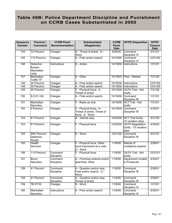| <b>Sequence</b><br><b>Number</b> | Precinct /<br><b>Command</b>                            | <b>CCRB Panel</b><br><b>Recommendation</b> | <b>Substantiated</b><br><b>Allegation(s)</b>                              | <b>CCRB</b><br><b>Panel</b><br><b>Date</b> | <b>NYPD Disposition</b>                                 | <b>NYPD</b><br><b>Closure</b><br><b>Date</b> |
|----------------------------------|---------------------------------------------------------|--------------------------------------------|---------------------------------------------------------------------------|--------------------------------------------|---------------------------------------------------------|----------------------------------------------|
| 144                              | <b>72 Precinct</b>                                      | Charges                                    | A - Threat of arrest; D -<br>Word                                         | 9/29/00                                    | Command<br>Discipline 'A'                               | 3/31/01                                      |
| 145                              | 115 Precinct                                            | Charges                                    | A - Frisk and/or search                                                   | 10/19/00                                   | Command<br>Discipline 'A'                               | 12/31/00                                     |
| 146                              | <b>Detective</b><br><b>Bureau</b><br>Manhattan<br>Units | Instructions                               | D - Action                                                                | 10/19/00                                   | Instructions                                            | 1/31/01                                      |
| 147                              | Manhattan<br><b>Traffic TF</b>                          | Charges                                    | A - Other                                                                 | 10/19/00                                   | <b>Filed - Retired</b>                                  | 7/31/02                                      |
| 148                              | 30 Precinct                                             | Charges                                    | A - Frisk and/or search                                                   | 10/19/00                                   | Instructions                                            | 12/31/00                                     |
| 148                              | 30 Precinct                                             | Charges                                    | A - Frisk and/or search                                                   | 10/19/00                                   | Instructions                                            | 12/31/00                                     |
| 149                              | 30 Precinct                                             | Charges                                    | F - Physical force; A -<br>Threat of arrest                               | 10/19/00                                   | <b>OATH Trial - Not</b><br>Guilty                       | 7/31/02                                      |
| 150                              | S.O.D. HQ                                               | Charges                                    | A - Frisk and/or search                                                   | 10/19/00                                   | Command<br>Discipline 'B'                               | 1/31/01                                      |
| 151                              | Manhattan<br><b>Narcotics</b>                           | Charges                                    | F - Radio as club                                                         |                                            | 10/19/00 DCT Trial - Not<br>Guilty                      | 7/31/01                                      |
| 152                              | 5 Precinct                                              | Charges                                    | F - Physical force; A -<br>Threat of arrest, Threat of<br>force; D - Word | 10/19/00                                   | Command<br>Discipline 'B'                               | 4/30/01                                      |
| 153                              | 81 Precinct                                             | Charges                                    | A - Vehicle stop                                                          | 10/25/00                                   | <b>DCT Trial Guilty -</b><br>10 vacation days           | 5/31/03                                      |
| 153                              | 81 Precinct                                             | Charges                                    | F - Physical force                                                        | 10/25/00                                   | <b>OATH Negotiation</b><br>Guilty - 15 vacation<br>days | 4/30/02                                      |
| 154                              | 90th Precinct<br>Detective<br>Squad                     | Charges                                    | D - Word                                                                  | 10/31/00                                   | Command<br>Discipline 'B'                               | 5/31/01                                      |
| 155                              | <b>Health</b><br><b>Services</b>                        | Charges                                    | F - Physical force, Other<br>blunt instrument as a club;<br>D - Word      | 11/8/00                                    | Statute of<br>Limitations expired                       | 2/28/01                                      |
| 156                              | 113 Precinct                                            | Command<br><b>Discipline</b>               | F - Physical force                                                        | 11/8/00                                    | <b>OATH Trial - Not</b><br>Guilty                       | 12/31/01                                     |
| 157                              | <b>Bronx</b><br><b>Narcotics</b>                        | Command<br><b>Discipline</b>               | A - Premises entered and/or<br>searched, Other                            | 11/8/00                                    | Department Unable<br>to Prosecute                       | 4/30/01                                      |
| 158                              | 41 Precinct                                             | Command<br><b>Discipline</b>               | A - Question and/or stop,<br>Frisk and/or search; O -<br>Word             | 11/8/00                                    | Command<br>Discipline 'B'                               | 2/28/01                                      |
| 158                              | 41 Precinct                                             | Command<br>Discipline                      | A - Question and/or stop,<br>Threat of arrest                             | 11/8/00                                    | Command<br>Discipline 'B'                               | 2/28/01                                      |
| 159                              | TB DT32                                                 | Charges                                    | D - Word                                                                  | 11/8/00                                    | Command<br>Discipline 'A'                               | 1/31/01                                      |
| 160                              | Manhattan<br>Narcotics                                  | Instructions                               | A - Frisk and/or search                                                   | 11/8/00                                    | Command<br>Discipline 'A'                               | 6/30/01                                      |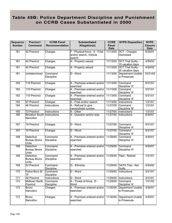| <b>Sequence</b><br><b>Number</b> | Precinct /<br><b>Command</b>                            | <b>CCRB Panel</b><br><b>Recommendation</b> | <b>Substantiated</b><br>Allegation(s)                             | <b>CCRB</b><br><b>Panel</b><br><b>Date</b> | <b>NYPD Disposition</b>                       | <b>NYPD</b><br><b>Closure</b><br><b>Date</b> |
|----------------------------------|---------------------------------------------------------|--------------------------------------------|-------------------------------------------------------------------|--------------------------------------------|-----------------------------------------------|----------------------------------------------|
| 161                              | 42 Precinct                                             | Charges                                    | F - Physical force; A - Frisk<br>and/or search, Vehicle<br>search | 11/13/00                                   | DCT - Charges<br><b>Dismissed</b>             | 6/30/01                                      |
| 161                              | 42 Precinct                                             | Charges                                    | A - Property seized                                               | 11/13/00                                   | <b>DCT Trial Guilty -</b><br>10 vacation days | 4/30/02                                      |
| 161                              | 42 Precinct                                             | Charges                                    | A - Property seized                                               | 11/13/00                                   | <b>DCT Trial Guilty -</b><br>20 vacation days | 4/30/02                                      |
| 161                              | Undetermined                                            | Command<br><b>Discipline</b>               | D - Word                                                          | 11/13/00                                   | Department Unable<br>to Prosecute             | 10/31/02                                     |
| 162                              | 115 Precinct                                            | Charges                                    | A - Premises entered and/or<br>searched                           | 11/13/00                                   | Command<br>Discipline 'A'                     | 5/31/01                                      |
| 162                              | 115 Precinct                                            | Charges                                    | A - Premises entered and/or<br>searched                           | 11/13/00                                   | Command<br>Discipline 'A'                     | 5/31/01                                      |
| 162                              | 115 Precinct                                            | Charges                                    | A - Premises entered and/or<br>searched                           | 11/13/00                                   | Command<br>Discipline 'A'                     | 5/31/01                                      |
| 163                              | 67 Precinct                                             | Charges                                    | A - Frisk and/or search                                           |                                            | 11/13/00 Instructions                         | 1/31/01                                      |
| 164                              | 46 Precinct                                             | Instructions                               | A - Refusal to give<br>name/shield number                         | 11/27/00                                   | Command<br>Discipline 'B'                     | 1/31/01                                      |
| 165                              | 73 Precinct                                             | Instructions                               | A - Other                                                         | 11/27/00                                   | Instructions                                  | 1/31/01                                      |
| 166                              | <b>Brooklyn South</b><br><b>Narcotics</b>               | Instructions                               | A - Question and/or stop                                          | 11/27/00                                   | Instructions                                  | 6/30/01                                      |
| 167                              | 19 Precinct                                             | Charges                                    | D - Word                                                          | 11/27/00                                   | Command<br>Discipline 'A'                     | 5/31/01                                      |
| 167                              | 19 Precinct                                             | Charges                                    | D - Word                                                          | 11/27/00                                   | Command<br>Discipline 'A'                     | 5/31/01                                      |
| 168                              | <b>Detective</b><br><b>Bureau Bronx</b><br>Units        | Command<br><b>Discipline</b>               | A - Premises entered and/or<br>searched                           | 11/29/00                                   | Command<br>Discipline 'A'                     | 4/30/01                                      |
| 168                              | <b>Detective</b><br><b>Bureau Bronx</b><br><b>Units</b> | Command<br><b>Discipline</b>               | A - Premises entered and/or<br>searched                           | 11/29/00                                   | Command<br>Discipline 'A'                     | 4/30/01                                      |
| 168                              | <b>Detective</b><br><b>Bureau Bronx</b><br>Units        | Command<br><b>Discipline</b>               | A - Premises entered and/or<br>searched                           | 11/29/00                                   | <b>Filed - Retired</b>                        | 1/31/01                                      |
| 169                              | 52 Precinct                                             | Command<br><b>Discipline</b>               | O - Ethnicity                                                     |                                            | 11/29/00 OATH Trial - Not<br>Guilty           | 4/30/02                                      |
| 170                              | Patrol Boro SI<br>ΙTF                                   | Command<br><b>Discipline</b>               | D - Word                                                          | 11/29/00                                   | Instructions                                  | 3/31/01                                      |
| 171                              | 46 Precinct                                             | Instructions                               | D - Word                                                          | 11/29/00                                   | Instructions                                  | 3/31/01                                      |
| 172                              | Midtown North<br>Precinct                               | Command<br><b>Discipline</b>               | A - Threat of force; D -<br>Word                                  | 11/29/00                                   | Command<br>Discipline 'A'                     | 1/31/02                                      |
| 173                              | <b>Bronx</b><br><b>Narcotics</b>                        | Charges                                    | A - Premises entered and/or<br>searched                           | 11/30/00                                   | <b>Department Unable</b><br>to Prosecute      | 4/30/01                                      |
| 173                              | <b>Bronx</b><br><b>Narcotics</b>                        | Charges                                    | A - Premises entered and/or<br>searched                           | 11/30/00                                   | <b>Department Unable</b><br>to Prosecute      | 4/30/01                                      |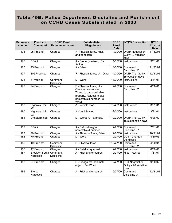| <b>Sequence</b><br><b>Number</b> | Precinct /<br><b>Command</b>              | <b>CCRB Panel</b><br><b>Recommendation</b> | <b>Substantiated</b><br>Allegation(s)                                                                                                      | <b>CCRB</b><br><b>Panel</b><br><b>Date</b> | <b>NYPD Disposition</b>                                | <b>NYPD</b><br><b>Closure</b><br><b>Date</b> |
|----------------------------------|-------------------------------------------|--------------------------------------------|--------------------------------------------------------------------------------------------------------------------------------------------|--------------------------------------------|--------------------------------------------------------|----------------------------------------------|
| 174                              | 25 Precinct                               | Charges                                    | F - Physical force, Frisk<br>and/or search                                                                                                 | 11/30/00                                   | <b>OATH Negotiation</b><br>Guilty - 9 vacation<br>days | 11/30/01                                     |
| 175                              | PSA <sub>4</sub>                          | Charges                                    | A - Property seized; D -<br>Action                                                                                                         | 11/30/00                                   | Instructions                                           | 3/31/01                                      |
| 176                              | 45 Precinct                               | Charges                                    | A - Other                                                                                                                                  | 11/30/00                                   | Command<br>Discipline 'A'                              | 11/30/01                                     |
| 177                              | 102 Precinct                              | Charges                                    | F - Physical force; A - Other                                                                                                              | 11/30/00                                   | <b>OATH Trial Guilty -</b><br>15 vacation days         | 12/31/01                                     |
| 178                              | 6 Precinct                                | Command<br><b>Discipline</b>               | D - Word                                                                                                                                   | 11/30/00                                   | Instructions                                           | 3/31/01                                      |
| 179                              | 94 Precinct                               | Charges                                    | F - Physical force; A -<br>Question and/or stop,<br>Threat to damage/seize<br>property, Refusal to give<br>name/shield number; D -<br>Word | 12/20/00                                   | Command<br>Discipline 'B'                              | 4/30/01                                      |
| 180                              | <b>Highway Unit</b><br>#2                 | Charges                                    | A - Vehicle stop                                                                                                                           | 12/20/00                                   | Instructions                                           | 3/31/01                                      |
| 180                              | <b>Highway Unit</b><br>#2                 | Charges                                    | A - Vehicle stop                                                                                                                           | 12/20/00                                   | Instructions                                           | 3/31/01                                      |
| 181                              | Undetermined                              | Charges                                    | D - Word; O - Ethnicity                                                                                                                    | 12/20/00                                   | <b>OATH Trial Guilty -</b><br>15 suspension days       | 6/28/02                                      |
| 182                              | PSA <sub>2</sub>                          | Charges                                    | A - Refusal to give<br>name/shield number                                                                                                  | 12/20/00                                   | Command<br>Discipline 'B'                              | 7/31/01                                      |
| 183                              | 70 Precinct                               | Charges                                    | A - Threat of force, Other                                                                                                                 | 12/20/00                                   | Instructions                                           | 10/31/01                                     |
| 184                              | <b>70 Precinct</b>                        | Charges                                    | D - Word                                                                                                                                   |                                            | 12/27/00 DCT - Charges<br><b>Dismissed</b>             | 4/30/03                                      |
| 185                              | 19 Precinct                               | Command<br><b>Discipline</b>               | F - Physical force                                                                                                                         | 12/27/00                                   | Command<br>Discipline 'A'                              | 4/30/01                                      |
| 186                              | 47 Precinct                               | Charges                                    | A - Retaliatory arrest                                                                                                                     | 12/27/00                                   | Instructions                                           | 6/30/01                                      |
| 187                              | <b>Brooklyn South</b><br><b>Narcotics</b> | Command<br><b>Discipline</b>               | A - Frisk and/or search                                                                                                                    | 12/27/00                                   | Filed - Retired                                        | 7/31/01                                      |
| 188                              | 67 Precinct                               | Charges                                    | F - Hit against inanimate<br>object; D - Word                                                                                              | 12/27/00                                   | <b>DCT Negotiation</b><br>Guilty - 20 vacation<br>days | 9/30/02                                      |
| 189                              | <b>Bronx</b><br><b>Narcotics</b>          | Charges                                    | A - Frisk and/or search                                                                                                                    | 12/27/00                                   | Command<br>Discipline 'A'                              | 12/31/01                                     |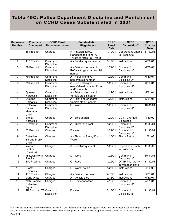| <b>Sequence</b><br>Number* | Precinct /<br><b>Command</b>                     | <b>CCRB Panel</b><br><b>Recommendation</b> | <b>Substantiated</b><br>Allegation(s)                                        | <b>CCRB</b><br><b>Panel</b><br><b>Date</b> | <b>NYPD</b><br>Disposition**                   | <b>NYPD</b><br><b>Closure</b><br><b>Date</b> |
|----------------------------|--------------------------------------------------|--------------------------------------------|------------------------------------------------------------------------------|--------------------------------------------|------------------------------------------------|----------------------------------------------|
| 1                          | 68 Precinct                                      | Charges                                    | F - Physical force,<br>Handcuffs too tight; A -<br>Threat of force; D - Word | 1/10/01                                    | <b>Department Unable</b><br>to Prosecute       | 11/30/01                                     |
| $\overline{2}$             | 110 Precinct                                     | Command<br><b>Discipline</b>               | A - Retaliatory summons                                                      | 1/19/01                                    | Instructions                                   | 4/30/01                                      |
| $\overline{3}$             | <b>79 Precinct</b>                               | Command<br><b>Discipline</b>               | A - Frisk and/or search,<br>Refusal to give name/shield<br>number            | 1/22/01                                    | Command<br>Discipline 'A'                      | 6/30/01                                      |
| $\overline{3}$             | 79 Precinct                                      | Command<br>Discipline                      | A - Refusal to give<br>name/shield number                                    | 1/22/01                                    | Command<br>Discipline 'A'                      | 6/30/01                                      |
| $\overline{3}$             | <b>79 Precinct</b>                               | Command<br><b>Discipline</b>               | A - Refusal to give<br>name/shield number, Frisk<br>and/or search            | 1/22/01                                    | Command<br>Discipline 'A'                      | 6/30/01                                      |
| $\overline{4}$             | Queens<br>Narcotics                              | Command<br><b>Discipline</b>               | A - Frisk and/or search,<br>Vehicle stop & search                            | 1/22/01                                    | Instructions                                   | 5/31/01                                      |
| $\overline{4}$             | Queens<br>Narcotics                              | Command<br><b>Discipline</b>               | A - Frisk and/or search,<br>Vehicle stop & search                            | 1/22/01                                    | Instructions                                   | 5/31/01                                      |
| 5                          | Detective<br><b>Bureau</b><br>Manhattan<br>Units | Command<br><b>Discipline</b>               | D - Word                                                                     | 1/22/01                                    | Command<br>Discipline 'A'                      | 10/31/01                                     |
| 6                          | <b>Bronx</b><br>Narcotics                        | Charges                                    | A - Strip search                                                             | 1/22/01                                    | DCT - Charges<br>Dismissed                     | 4/30/02                                      |
| $\overline{7}$             | 9 Precinct                                       | Command<br><b>Discipline</b>               | A - Threat of arrest                                                         | 1/22/01                                    | Command<br>Discipline 'B'                      | 11/30/01                                     |
| $\overline{8}$             | 62 Precinct                                      | Charges                                    | D - Word                                                                     | 1/22/01                                    | Command<br>Discipline 'A'                      | 11/30/01                                     |
| $\overline{9}$             | <b>Detective</b><br><b>Bureau Bronx</b><br>Units | Charges                                    | A - Threat of force; D -<br>Word                                             | 1/25/01                                    | <b>Filed - Retired</b>                         | 1/31/03                                      |
| 10                         | Warrant<br>Section<br>(Division)                 | Charges                                    | A - Retaliatory arrest                                                       | 1/25/01                                    | <b>Department Unable</b><br>to Prosecute       | 11/30/03                                     |
| 11                         | <b>Midtown North</b><br>Precinct                 | Charges                                    | D - Word                                                                     | 1/25/01                                    | Command<br>Discipline 'A'                      | 10/31/01                                     |
| 12                         | 100 Precinct                                     | Charges                                    | O - Race                                                                     | 1/25/01                                    | <b>OATH Trial Guilty -</b><br>10 vacation days | 11/30/01                                     |
| 13                         | <b>Bronx</b><br>Narcotics                        | Charges                                    | D - Word, Action                                                             | 1/25/01                                    | Instructions                                   | 4/30/02                                      |
| 14                         | 115 Precinct                                     | Charges                                    | A - Frisk and/or search                                                      | 2/13/01                                    | Instructions                                   | 5/31/01                                      |
| 15                         | <b>Gang Units</b>                                | Charges                                    | A - Vehicle stop                                                             | 2/13/01                                    | Instructions                                   | 6/30/01                                      |
| 16                         | 79th Precinct<br>Detective<br>Squad              | Charges                                    | D - Demeanor/tone                                                            | 2/13/01                                    | Command<br>Discipline 'A'                      | 5/31/01                                      |
| 17                         | <b>TB Brooklyn TF Command</b>                    | <b>Discipline</b>                          | D - Word                                                                     | 2/13/01                                    | Command<br>Discipline 'B'                      | 11/30/01                                     |

\* A repeated sequence number indicates that the CCCB substantiated allegations against more than one officer based on a single complant. \*\* OATH is the Office of Administrative Trials and Hearings; DCT is the NYPD's Deputy Commissioner for Trials. See Glossary.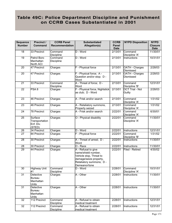| <b>Sequence</b><br><b>Number</b> | Precinct /<br><b>Command</b>                            | <b>CCRB Panel</b><br><b>Recommendation</b> | <b>Substantiated</b><br>Allegation(s)                                                                                                        | <b>CCRB</b><br>Panel<br><b>Date</b> | <b>NYPD Disposition</b>                   | <b>NYPD</b><br><b>Closure</b><br><b>Date</b> |
|----------------------------------|---------------------------------------------------------|--------------------------------------------|----------------------------------------------------------------------------------------------------------------------------------------------|-------------------------------------|-------------------------------------------|----------------------------------------------|
| 18                               | 33 Precinct                                             | Command<br><b>Discipline</b>               | D - Word                                                                                                                                     | 2/13/01                             | Command<br>Discipline 'A'                 | 11/30/01                                     |
| 19                               | <b>Patrol Boro</b><br>Manhattan<br>North ACI            | Command<br>Discipline                      | D - Word                                                                                                                                     | 2/13/01                             | Instructions                              | 10/31/01                                     |
| 20                               | 47 Precinct                                             | Charges                                    | F - Physical force                                                                                                                           | 2/13/01                             | OATH - Charges<br><b>Dismissed</b>        | 2/28/03                                      |
| 20                               | 47 Precinct                                             | Charges                                    | F - Physical force; A -<br>Question and/or stop; D -<br>Word                                                                                 | 2/13/01                             | <b>OATH - Charges</b><br><b>Dismissed</b> | 2/28/03                                      |
| $\overline{21}$                  | 33 Precinct                                             | Command<br>Discipline                      | A - Threat of force; D -<br>Word                                                                                                             | 2/13/01                             | Command<br>Discipline 'B'                 | 12/31/01                                     |
| 22                               | PSA 8                                                   | Charges                                    | F - Physical force, Nightstick<br>as club; D - Word                                                                                          | 2/13/01                             | <b>DCT Trial - Not</b><br>Guilty          | 2/28/03                                      |
| 23                               | <b>46 Precinct</b>                                      | Charges                                    | A - Frisk and/or search                                                                                                                      | 2/13/01                             | Command<br>Discipline 'A'                 | 1/31/02                                      |
| 23                               | 46 Precinct                                             | Charges                                    | A - Retaliatory summons,<br>Property seized                                                                                                  | 2/13/01                             | Command<br>Discipline 'A'                 | 1/31/02                                      |
| 24                               | 78 Precinct                                             | Charges                                    | A - Frisk and/or search                                                                                                                      | 2/22/01                             | Command<br>Discipline 'A'                 | 6/30/01                                      |
| 25                               | Surface<br>Transportation<br>Enf. Div.<br>(STED)        | Charges                                    | O - Physical disability                                                                                                                      | 2/22/01                             | Command<br>Discipline 'A'                 | 11/30/01                                     |
| 26                               | 34 Precinct                                             | Charges                                    | D - Word                                                                                                                                     | 2/22/01                             | Instructions                              | 12/31/01                                     |
| 27                               | 84 Precinct                                             | Charges                                    | F - Physical force                                                                                                                           | 2/22/01                             | Command<br>Discipline 'B'                 | 1/31/02                                      |
| 28                               | <b>30 Precinct</b>                                      | Charges                                    | A - Threat of arrest; D -<br>Word                                                                                                            | 2/22/01                             | Instructions                              | 11/30/01                                     |
| 28                               | 30 Precinct                                             | Charges                                    | O - Race                                                                                                                                     | 2/22/01                             | Instructions                              | 11/30/01                                     |
| 29                               | 44 Precinct                                             | Charges                                    | A - Refusal to give<br>name/shield number,<br>Vehicle stop, Threat to<br>damage/seize property,<br>Retaliatory summons; D -<br>Demeanor/tone | 2/22/01                             | Filed - Retired                           | 4/30/02                                      |
| 30                               | <b>Highway Unit</b><br>#1                               | Command<br><b>Discipline</b>               | D - Word                                                                                                                                     | 2/28/01                             | Command<br>Discipline 'A'                 | 10/31/01                                     |
| 31                               | <b>Detective</b><br><b>Bureau</b><br>Manhattan<br>Units | Charges                                    | A - Other                                                                                                                                    | 2/28/01                             | Instructions                              | 11/30/01                                     |
| 31                               | Detective<br><b>Bureau</b><br>Manhattan<br>Units        | Charges                                    | A - Other                                                                                                                                    | 2/28/01                             | Instructions                              | 11/30/01                                     |
| 32                               | 112 Precinct                                            | Command<br><b>Discipline</b>               | A - Refusal to obtain<br>medical treatment                                                                                                   | 2/28/01                             | Instructions                              | 12/31/01                                     |
| 32                               | 112 Precinct                                            | Command<br><b>Discipline</b>               | A - Refusal to obtain<br>medical treatment                                                                                                   | 2/28/01                             | Instructions                              | 12/31/01                                     |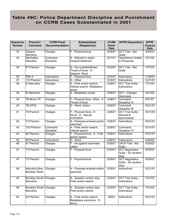| <b>Sequence</b><br><b>Number</b> | Precinct /<br><b>Command</b>                      | <b>CCRB Panel</b><br><b>Recommendation</b> | <b>Substantiated</b><br>Allegation(s)                             | <b>CCRB</b><br><b>Panel</b><br><b>Date</b> | <b>NYPD Disposition</b>                                | <b>NYPD</b><br><b>Closure</b><br><b>Date</b> |
|----------------------------------|---------------------------------------------------|--------------------------------------------|-------------------------------------------------------------------|--------------------------------------------|--------------------------------------------------------|----------------------------------------------|
| 33                               | Queens<br>Narcotics                               | Charges                                    | F - Physical force                                                | 2/28/01                                    | <b>DCT Trial - Not</b><br>Guilty                       | 4/30/03                                      |
| 34                               | Manhattan<br><b>Narcotics</b>                     | Command<br><b>Discipline</b>               | A - Refusal to obtain<br>medical treatment                        | 3/21/01                                    | <b>Department Unable</b><br>to Prosecute               | 5/31/02                                      |
| 35                               | 67 Precinct                                       | Charges                                    | A - Gun pointed/drawn,<br>Threat of force; D -<br>Gesture, Word   | 3/23/01                                    | <b>DCT Trial - Not</b><br>Guilty                       | 1/31/03                                      |
| 36                               | PSA <sub>4</sub>                                  | Instructions                               | F - Physical force                                                | 3/23/01                                    | Instructions                                           | 11/30/01                                     |
| $\overline{37}$                  | 110 Precinct                                      | Instructions                               | D - Other                                                         | 3/23/01                                    | Instructions                                           | 12/31/01                                     |
| 38                               | <b>SI Narcotics</b>                               | Charges                                    | A - Frisk and/or search,<br>Vehicle search, Retaliatory<br>arrest | 3/28/01                                    | <b>DCT Trial Guilty -</b><br>Instructions              | 7/31/03                                      |
| 38                               | <b>SI Narcotics</b>                               | Charges                                    | A - Retaliatory arrest                                            | 3/28/01                                    | <b>DCT</b> - Charges<br><b>Dismissed</b>               | 5/31/02                                      |
| $\overline{39}$                  | <b>TB Bronx TF</b>                                | Charges                                    | F - Physical force, Other; A<br>Threat of force                   | 3/28/01                                    | Command<br>Discipline 'A'                              | 8/31/01                                      |
| 40                               | TB DT02                                           | Charges                                    | D - Word, Action                                                  | 3/28/01                                    | Command<br>Discipline 'B'                              | 10/31/01                                     |
| $\overline{41}$                  | 79 Precinct                                       | Charges                                    | F - Physical force; D -<br>Word; O - Sexual<br>orientation        | 3/28/01                                    | <b>DCT Trial Guilty -</b><br>Warned &<br>Admonished    | 10/31/03                                     |
| 42                               | 73 Precinct                                       | Charges                                    | A - Premises entered and/or<br>searched                           | 3/28/01                                    | Instructions                                           | 10/31/01                                     |
| 43                               | 103 Precinct                                      | Command<br>Discipline                      | A - Frisk and/or search,<br>Vehicle search                        | 3/28/01                                    | Command<br>Discipline 'A'                              | 12/31/01                                     |
| 44                               | 94 Precinct                                       | Charges                                    | F - Physical force; A - Frisk<br>and/or search                    | 3/28/01                                    | Instructions                                           | 12/31/01                                     |
| 45                               | 48 Precinct                                       | Instructions                               | D - Word                                                          | 3/28/01                                    | Instructions                                           | 6/28/02                                      |
| 46                               | 47 Precinct                                       | Charges                                    | F - Hit against inanimate<br>object                               | 3/30/01                                    | <b>OATH Trial - Not</b><br>Guilty                      | 4/30/02                                      |
| $\overline{47}$                  | <b>73 Precinct</b>                                | Charges                                    | F - Physical force                                                | 3/30/01                                    | <b>DCT Negotiation</b><br>Guilty - 20 vacation<br>days | 9/30/02                                      |
| $\overline{47}$                  | <b>73 Precinct</b>                                | Charges                                    | F - Physical force                                                | 3/30/01                                    | <b>DCT Negotiation</b><br>Guilty - 25 vacation<br>days | 9/30/02                                      |
| 48                               | Narcotics Boro<br><b>Brooklyn North</b>           | Charges                                    | A - Premises entered and/or<br>searched                           | 3/30/01                                    | Instructions                                           | 10/31/01                                     |
| 49                               | <b>Brooklyn South Charges</b><br><b>Narcotics</b> |                                            | A - Question and/or stop,<br>Frisk and/or search                  | 3/30/01                                    | <b>DCT Trial Guilty -</b><br>Instructions              | 7/31/03                                      |
| 49                               | <b>Brooklyn South Charges</b><br>Narcotics        |                                            | A - Question and/or stop,<br>Frisk and/or search                  | 3/30/01                                    | <b>DCT Trial Guilty -</b><br>Instructions              | 7/31/03                                      |
| 50                               | 43 Precinct                                       | Charges                                    | A - Frisk and/or search,<br>Retaliatory summons; D -<br>Word      | 4/6/01                                     | Instructions                                           | 10/31/01                                     |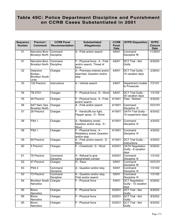| <b>Sequence</b><br><b>Number</b> | Precinct /<br><b>Command</b>                 | <b>CCRB Panel</b><br><b>Recommendation</b> | <b>Substantiated</b><br>Allegation(s)     | <b>CCRB</b><br>Panel | <b>NYPD Disposition</b>                       | <b>NYPD</b><br><b>Closure</b> |
|----------------------------------|----------------------------------------------|--------------------------------------------|-------------------------------------------|----------------------|-----------------------------------------------|-------------------------------|
|                                  |                                              |                                            |                                           | <b>Date</b>          |                                               | <b>Date</b>                   |
| 51                               | Narcotics Boro                               | Command                                    | A - Frisk and/or search                   | 4/6/01               | Command                                       | 11/30/01                      |
|                                  | <b>Brooklyn North</b>                        | <b>Discipline</b>                          |                                           |                      | Discipline 'B'                                |                               |
| 51                               | Narcotics Boro                               | Command                                    | F - Physical force; A - Frisk             | 4/6/01               | <b>DCT Trial - Not</b>                        | 6/30/03                       |
|                                  | <b>Brooklyn North</b>                        | <b>Discipline</b>                          | and/or search, Threat of<br>force         |                      | Guilty                                        |                               |
| 52                               | Detective                                    | Charges                                    | A - Premises entered and/or               | 4/6/01               | <b>DCT Trial Guilty -</b>                     | 2/28/03                       |
|                                  | <b>Bureau</b><br><b>Brooklyn South</b>       |                                            | searched, Question and/or<br>stop         |                      | 10 vacation days                              |                               |
|                                  | Units                                        |                                            |                                           |                      |                                               |                               |
| $\overline{53}$                  | 120 Precinct                                 | Instructions                               | A - Vehicle search                        | 4/6/01               | <b>Department Unable</b>                      | 7/31/01                       |
|                                  |                                              |                                            |                                           |                      | to Prosecute                                  |                               |
| 54                               | TB DT01                                      | Charges                                    | F - Physical force; D - Word              | 4/6/01               | <b>DCT Trial Guilty -</b><br>30 vacation days | 1/31/04                       |
| 55                               | <b>46 Precinct</b>                           | Charges                                    | F - Physical force; A - Frisk             | 4/19/01              | <b>Filed - Retired</b>                        | 8/30/02                       |
|                                  |                                              |                                            | and/or search                             |                      |                                               |                               |
| 56                               | <b>SAT Narc Ops</b><br><b>Brooklyn North</b> | Charges                                    | A - Frisk and/or search                   | 4/19/01              | Command<br>Discipline 'A'                     | 10/31/01                      |
| 57                               | 26 Precinct                                  | Charges                                    | F - Handcuffs too tight,                  | 4/19/01              | <b>OATH Trial Guilty -</b>                    | 8/30/02                       |
|                                  |                                              |                                            | Pepper spray; D - Word                    |                      | 15 suspension days                            |                               |
| 58                               | PSA <sub>1</sub>                             | Charges                                    | A - Retaliatory arrest,                   | 4/19/01              | Command                                       | 4/30/02                       |
|                                  |                                              |                                            | Question and/or stop; D -                 |                      | Discipline 'A'                                |                               |
| 58                               | PSA <sub>1</sub>                             | Charges                                    | Word<br>F - Physical force; A -           | 4/19/01              | Command                                       | 4/30/02                       |
|                                  |                                              |                                            | Retaliatory arrest, Question              |                      | Discipline 'A'                                |                               |
|                                  |                                              |                                            | and/or stop                               |                      |                                               |                               |
| 59                               | 69 Precinct                                  | Charges                                    | A - Frisk and/or search; D -              | 4/19/01              | <b>DCT Trial Guilty -</b>                     | 4/30/03                       |
| 60                               | 5 Precinct                                   | Charges                                    | Word<br>F - Chokehold; D - Word           | 4/20/01              | Instructions<br><b>OATH Negotiation</b>       | 6/28/02                       |
|                                  |                                              |                                            |                                           |                      | Guilty - 8 vacation                           |                               |
|                                  |                                              |                                            |                                           |                      | days                                          |                               |
| 61                               | 78 Precinct                                  | Command                                    | A - Refusal to give                       | 4/20/01              | Command                                       | 1/31/02                       |
| 62                               | 47 Precinct                                  | <b>Discipline</b>                          | name/shield number                        | 5/9/01               | Discipline 'A'<br>Command                     | 10/31/01                      |
|                                  |                                              | Charges                                    | O - Race                                  |                      | Discipline 'B'                                |                               |
| 63                               | PSA <sub>2</sub>                             | Command                                    | A - Question and/or stop                  | 5/9/01               | Command                                       | 1/31/02                       |
|                                  |                                              | Discipline                                 |                                           |                      | Discipline 'A'                                |                               |
| 63                               | 73 Precinct                                  | Command                                    | A - Question and/or stop,                 | 5/9/01               | Command                                       | 1/31/02                       |
| 64                               | <b>Brooklyn South Charges</b>                | Discipline                                 | Frisk and/or search<br>F - Physical force | 5/9/01               | Discipline 'A'<br><b>DCT Negotiation</b>      | 6/28/02                       |
|                                  | <b>Narcotics</b>                             |                                            |                                           |                      | Guilty - 10 vacation                          |                               |
| 65                               | <b>Bronx</b>                                 | Charges                                    | F - Physical force                        | 5/25/01              | days<br><b>DCT Trial - Not</b>                | 8/30/02                       |
|                                  | Narcotics                                    |                                            |                                           |                      | Guilty                                        |                               |
| 65                               | <b>Bronx</b>                                 | Charges                                    | F - Physical force                        | 5/25/01              | <b>DCT Trial - Not</b>                        | 8/30/02                       |
|                                  | <b>Narcotics</b>                             |                                            |                                           |                      | Guilty                                        |                               |
| 65                               | <b>Bronx</b><br>Narcotics                    | Charges                                    | F - Physical force                        | 5/25/01              | <b>DCT Trial - Not</b><br>Guilty              | 8/30/02                       |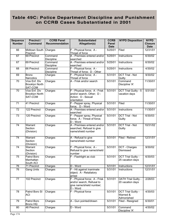| <b>Sequence</b><br><b>Number</b> | Precinct /<br><b>Command</b>                      | <b>CCRB Panel</b><br><b>Recommendation</b> | <b>Substantiated</b><br>Allegation(s)                                                              | <b>CCRB</b><br>Panel<br><b>Date</b> | <b>NYPD Disposition</b>                             | <b>NYPD</b><br><b>Closure</b><br><b>Date</b> |
|----------------------------------|---------------------------------------------------|--------------------------------------------|----------------------------------------------------------------------------------------------------|-------------------------------------|-----------------------------------------------------|----------------------------------------------|
| 66                               | <b>Midtown South</b><br>Precinct                  | Charges                                    | F - Physical force; A -<br>Threat of force                                                         | 5/25/01                             | Filed                                               | 12/31/01                                     |
| 67                               | 69 Precinct                                       | Command<br><b>Discipline</b>               | A - Premises entered and/or<br>searched                                                            | 5/25/01                             | Instructions                                        | 6/30/02                                      |
| 67                               | 69 Precinct                                       | Command<br>Discipline                      | A - Premises entered and/or<br>searched                                                            | 5/25/01                             | Instructions                                        | 6/30/02                                      |
| 68                               | 66 Precinct                                       | Command<br><b>Discipline</b>               | F - Physical force; A -<br>Threat of force; D - Other                                              | 5/25/01                             | Instructions                                        | 4/30/02                                      |
| 69                               | <b>Bronx</b><br><b>Narcotics</b>                  | Charges                                    | F - Physical force; A -<br>Threat of force                                                         | 5/31/01                             | <b>DCT Trial - Not</b><br>Guilty                    | 9/30/02                                      |
| $\overline{70}$                  | Vice Enf. Div<br><b>Brooklyn North</b><br>SAT-COM | Charges                                    | A - Frisk and/or search                                                                            | 5/31/01                             | Command<br>Discipline 'A'                           | 11/30/01                                     |
| $\overline{70}$                  | Vice Enf. Div<br><b>Brooklyn North</b><br>SAT-COM | Charges                                    | F - Physical force; A - Frisk<br>and/or search, Other; D -<br>Action; O - Sexual<br>orientation    | 5/31/01                             | <b>DCT Trial Guilty - 5</b><br>vacation days        | 5/31/03                                      |
| $\overline{71}$                  | 41 Precinct                                       | Charges                                    | F - Pepper spray, Physical<br>force; D - Word                                                      | 5/31/01                             | Filed                                               | 11/30/01                                     |
| 72                               | 122 Precinct                                      | Charges                                    | A - Premises entered and/or<br>searched                                                            | 5/31/01                             | Instructions                                        | 11/30/01                                     |
| 73                               | 120 Precinct                                      | Charges                                    | F - Pepper spray, Physical<br>force; A - Threat of force;<br>D - Word                              | 5/31/01                             | <b>DCT Trial - Not</b><br>Guilty                    | 6/30/03                                      |
| 74                               | Warrant<br>Section<br>(Division)                  | Charges                                    | A - Premises entered and/or<br>searched, Refusal to give<br>name/shield number                     | 5/31/01                             | <b>DCT Trial - Not</b><br>Guilty                    | 10/31/02                                     |
| $\overline{74}$                  | Warrant<br>Section<br>(Division)                  | Charges                                    | A - Refusal to give<br>name/shield number                                                          | 5/31/01                             | <b>Filed - Retired</b>                              | 12/31/01                                     |
| $\overline{74}$                  | Warrant<br>Section<br>(Division)                  | Charges                                    | F - Physical force; A -<br>Refusal to give name/shield<br>number                                   | 5/31/01                             | <b>DCT</b> - Charges<br>Dismissed                   | 9/30/02                                      |
| 75                               | Patrol Boro<br>Manhattan<br>South ACI             | Charges                                    | F - Flashlight as club                                                                             | 5/31/01                             | <b>DCT Trial Guilty -</b><br>25 vacation days       | 6/30/03                                      |
| 76                               | <b>71 Precinct</b>                                | Charges                                    | D - Word                                                                                           | 5/31/01                             | Instructions                                        | 12/31/01                                     |
| 76                               | <b>Gang Units</b>                                 | Charges                                    | F - Hit against inanimate<br>object; A - Retaliatory<br>arrest                                     | 5/31/01                             | Instructions                                        | 12/31/01                                     |
| 77                               | 102 Precinct                                      | Charges                                    | F - Physical force; A - Frisk<br>and/or search, Refusal to<br>give name/shield number;<br>D - Word | 5/31/01                             | <b>OATH Trial Guilty -</b><br>20 vacation days      | 2/28/03                                      |
| 78                               | Patrol Boro SI<br>ACI                             | Charges                                    | F - Physical force                                                                                 | 5/31/01                             | <b>DCT Trial Guilty -</b><br>Warned &<br>Admonished | 4/30/03                                      |
| 79                               | Patrol Boro<br><b>Bronx HQ</b>                    | Charges                                    | A - Gun pointed/drawn                                                                              | 5/31/01                             | Filed - Resigned                                    | 6/30/01                                      |
| 80                               | 48 Precinct                                       | Charges                                    | D - Word                                                                                           | 5/31/01                             | Command<br>Discipline 'A'                           | 4/30/02                                      |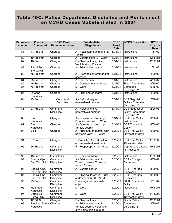| <b>Sequence</b><br><b>Number</b> | Precinct /<br><b>Command</b>           | <b>CCRB Panel</b><br><b>Recommendation</b> | <b>Substantiated</b><br>Allegation(s)                                             | <b>CCRB</b><br>Panel<br><b>Date</b> | <b>NYPD Disposition</b>                                      | <b>NYPD</b><br><b>Closure</b><br><b>Date</b> |
|----------------------------------|----------------------------------------|--------------------------------------------|-----------------------------------------------------------------------------------|-------------------------------------|--------------------------------------------------------------|----------------------------------------------|
| 81                               | 47 Precinct                            | Charges                                    | A - Retaliatory summons; D<br>Word                                                | 5/31/01                             | Instructions                                                 | 1/31/02                                      |
| 82                               | 10 Precinct                            | Charges                                    | A - Vehicle stop; D - Word                                                        | 5/31/01                             | Instructions                                                 | 12/31/01                                     |
| 82                               | 10 Precinct                            | Charges                                    | F - Physical force; A -<br>Vehicle stop; D - Word                                 | 5/31/01                             | Instructions                                                 | 12/31/01                                     |
| 83                               | <b>Patrol Boro</b><br><b>Bronx ACI</b> | Charges                                    | A - Frisk and/or search                                                           | 5/31/01                             | Instructions                                                 | 1/31/02                                      |
| 84                               | 75 Precinct                            | Charges                                    | A - Premises entered and/or<br>searched                                           | 5/31/01                             | Instructions                                                 | 4/30/02                                      |
| 84                               | 75 Precinct                            | Charges                                    | A - Strip search                                                                  | 5/31/01                             | Instructions                                                 | 4/30/02                                      |
| 85                               | 46 Precinct                            | Charges                                    | A - Gun pointed/gun drawn                                                         | 5/31/01                             | Filed - Terminated                                           | 4/30/02                                      |
| 86                               | 76 Precinct                            | Charges                                    | D - Word                                                                          | 5/31/01                             | Command<br>Discipline 'A'                                    | 6/28/02                                      |
| 87                               | Queens<br>Narcotics                    | Charges                                    | A - Frisk and/or search                                                           | 5/31/01                             | Instructions                                                 | 4/30/02                                      |
| 88                               | 23 Precinct                            | Command<br><b>Discipline</b>               | A - Refusal to give<br>name/shield number                                         | 5/31/01                             | <b>DCT Negotiation</b><br>Guilty - Command<br>Discipline 'A' | 2/28/03                                      |
| 88                               | 23 Precinct                            | Command<br>Discipline                      | A - Refusal to give<br>name/shield number                                         | 5/31/01                             | <b>DCT</b> Negotiation<br>Guilty - Command<br>Discipline 'A' | 2/28/03                                      |
| 89                               | <b>Bronx</b><br>Narcotics              | Charges                                    | A - Question and/or stop,<br>Frisk and/or search, Other                           | 5/31/01                             | <b>DCT Trial Guilty -</b><br>Instructions                    | 6/30/03                                      |
| 89                               | <b>Bronx</b><br>Narcotics              | Charges                                    | A - Question and/or stop,<br>Vehicle search                                       | 5/31/01                             | <b>DCT Trial - Not</b><br>Guilty                             | 6/30/03                                      |
| 90                               | Vice                                   | Charges                                    | A - Frisk and/or search, Gun<br>pointed/drawn; D - Word                           | 6/20/01                             | <b>DCT Trial Guilty -</b><br>90 vacation days                | 6/30/03                                      |
| 91                               | 67 Precinct                            | Charges                                    | F - Vehicle; A - Refusal to<br>obtain medical treatment                           | 6/20/01                             | <b>DCT Trial Guilty -</b><br>15 vacation days                | 11/30/03                                     |
| 92                               | 26 Precinct                            | Command<br><b>Discipline</b>               | F - Pepper spray; D - Word                                                        | 6/20/01                             | <b>Department Unable</b><br>to Prosecute                     | 10/31/01                                     |
| 93                               | 48 Precinct                            | Instructions                               | D - Demeanor/tone                                                                 | 6/20/01                             | Instructions                                                 | 11/30/01                                     |
| 94                               | Special Ops.<br>Div. Taxi Unit         | Command<br><b>Discipline</b>               | A - Frisk and/or search,<br>Threat of arrest, Threat of<br>force; D - Word        | 6/20/01                             | <b>DCT</b> - Charges<br><b>Dismissed</b>                     | 8/30/02                                      |
| 94                               | Special Ops.<br>Div. Taxi Unit         | Command<br>Discipline                      | A - Vehicle search                                                                | 6/20/01                             | <b>DCT</b> - Charges<br>Dismissed                            | 8/30/02                                      |
| 94                               | Special Ops.<br>Div. Taxi Unit         | Command<br><b>Discipline</b>               | F - Physical force; A - Frisk<br>and/or search; D - Word                          | 6/20/01                             | <b>DCT</b> - Charges<br>Dismissed                            | 8/30/02                                      |
| 95                               | 25 Precinct                            | Command<br>Discipline                      | F - Hit against inanimate<br>object                                               | 6/20/01                             | <b>OATH Trial - Not</b><br>Guilty                            | 5/31/02                                      |
| 96                               | Manhattan<br>Narcotics                 | Command<br>Discipline                      | D - Word                                                                          | 6/20/01                             | Instructions                                                 | 10/31/01                                     |
| 97                               | Detective<br><b>Bureau HQ</b>          | Command<br>Discipline                      | D - Word                                                                          | 6/20/01                             | <b>DCT Trial Guilty -</b><br>10 vacation days                | 11/30/02                                     |
| 98                               | TB DT32                                | Charges                                    | F - Physical force                                                                | 6/20/01                             | Filed - Retired                                              | 12/31/01                                     |
| 99                               | <b>Brooklyn South</b><br>Narcotics     | Charges                                    | A - Frisk and/or search,<br>Vehicle search, Refusal to<br>give name/shield number | 6/20/01                             | Command<br>Discipline 'B'                                    | 4/30/02                                      |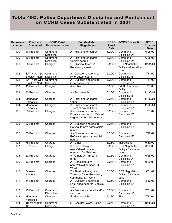| <b>Sequence</b><br><b>Number</b> | Precinct /<br><b>Command</b>                 | <b>CCRB Panel</b><br><b>Recommendation</b> | <b>Substantiated</b><br>Allegation(s)                                                   | <b>CCRB</b><br>Panel<br><b>Date</b> | <b>NYPD Disposition</b>                                | <b>NYPD</b><br><b>Closure</b><br><b>Date</b> |
|----------------------------------|----------------------------------------------|--------------------------------------------|-----------------------------------------------------------------------------------------|-------------------------------------|--------------------------------------------------------|----------------------------------------------|
| 100                              | 46 Precinct                                  | Command<br>Discipline                      | A - Frisk and/or search                                                                 | 6/20/01                             | Command<br>Discipline 'A'                              | 6/28/02                                      |
| 100                              | 46 Precinct                                  | Command<br><b>Discipline</b>               | A - Frisk and/or search,<br>Vehicle search                                              | 6/20/01                             | Command<br>Discipline 'A'                              | 6/28/02                                      |
| 101                              | 28 Precinct                                  | Charges                                    | F - Physical force; A -<br>Retaliatory arrest                                           | 6/20/01                             | <b>DCT Negotiation</b><br>Guilty - 40 vacation<br>days | 12/31/01                                     |
| 102                              | <b>SAT Narc Ops</b><br><b>Brooklyn North</b> | Command<br><b>Discipline</b>               | A - Question and/or stop,<br>Frisk and/or search                                        | 6/20/01                             | Command<br>Discipline 'B'                              | 7/31/02                                      |
| 102                              | <b>SAT Narc Ops</b><br><b>Brooklyn North</b> | Command<br><b>Discipline</b>               | A - Question and/or stop,<br>Frisk and/or search                                        | 6/20/01                             | Command<br>Discipline 'B'                              | 7/31/02                                      |
| 103                              | 43 Precinct                                  | Charges                                    | A - Other                                                                               | 6/26/01                             | <b>OATH Trial - Not</b><br>Guilty                      | 1/31/03                                      |
| 103                              | 43 Precinct                                  | Charges                                    | A - Strip search                                                                        | 6/26/01                             | Command<br>Discipline 'B'                              | 11/30/01                                     |
| 104                              | Manhattan<br><b>Narcotics</b>                | Charges                                    | A - Frisk and/or search,<br>Other                                                       | 6/26/01                             | Command<br>Discipline 'B'                              | 11/30/01                                     |
| 104                              | Manhattan<br><b>Narcotics</b>                | Charges                                    | A - Frisk and/or search,<br>Threat of arrest, Other                                     | 6/26/01                             | Command<br>Discipline 'B'                              | 11/30/01                                     |
| 105                              | 83 Precinct                                  | Charges                                    | A - Question and/or stop,<br>Frisk and/or search, Refusal<br>to give name/shield number | 6/26/01                             | Command<br>Discipline 'B'                              | 1/31/02                                      |
| 105                              | 83 Precinct                                  | Charges                                    | A - Question and/or stop,<br>Refusal to give name/shield<br>number                      | 6/26/01                             | Command<br>Discipline 'B'                              | 1/31/02                                      |
| 105                              | 83 Precinct                                  | Charges                                    | A - Question and/or stop,<br>Refusal to give name/shield<br>number                      | 6/26/01                             | Command<br>Discipline 'B'                              | 2/28/02                                      |
| 106                              | <b>75 Precinct</b>                           | Charges                                    | A - Other                                                                               | 6/26/01                             | Instructions                                           | 9/30/02                                      |
| 107                              | 9 Precinct                                   | Charges                                    | A - Refusal to give<br>name/shield number<br>number; D - Gesture                        | 6/26/01                             | <b>DCT Negotiation</b><br>Guilty - 5 vacation<br>days  | 6/30/03                                      |
| 108                              | 52 Precinct                                  | Charges                                    | F - Other; A - Threat of<br>force                                                       | 6/26/01                             | Command<br>Discipline 'A'                              | 6/28/02                                      |
| 109                              | 43 Precinct                                  | Charges                                    | A - Refusal to give<br>name/shield number; D -<br>Word                                  | 6/26/01                             | Command<br>Discipline 'B'                              | 9/30/03                                      |
| 110                              | Queens<br><b>Narcotics</b>                   | Charges                                    | F - Physical force; A -<br>Threat of force, Retaliatory<br>summons; D - Word            | 6/26/01                             | <b>DCT Negotiation</b><br>Guilty - 5 vacation<br>days  | 3/31/02                                      |
| 111                              | 34 Precinct                                  | Charges                                    | A - Question and/or stop,<br>Frisk and/or search, Vehicle<br>search                     | 6/26/01                             | Command<br>Discipline 'B'                              | 8/30/02                                      |
| 112                              | 23 Precinct                                  | Command<br>Discipline                      | A - Premises entered and/or<br>searched                                                 | 6/26/01                             | Command<br>Discipline 'A'                              | 7/31/02                                      |
| 113                              | Manhattan<br>Narcotics                       | Charges                                    | F - Gun as club                                                                         | 6/27/01                             | Filed                                                  | 7/31/01                                      |
| 114                              | <b>TB Manhattan</b><br><b>TF</b>             | Command<br><b>Discipline</b>               | D - Gesture, Word, Action                                                               | 6/27/01                             | Command<br>Discipline 'B'                              | 10/31/01                                     |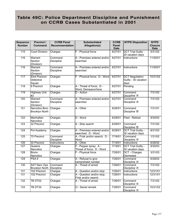| <b>Sequence</b><br><b>Number</b> | Precinct /<br><b>Command</b>     | <b>CCRB Panel</b><br><b>Recommendation</b> | <b>Substantiated</b><br><b>Allegation(s)</b>      | <b>CCRB</b><br><b>Panel</b> | <b>NYPD Disposition</b>                       | <b>NYPD</b><br><b>Closure</b> |
|----------------------------------|----------------------------------|--------------------------------------------|---------------------------------------------------|-----------------------------|-----------------------------------------------|-------------------------------|
|                                  |                                  |                                            |                                                   | <b>Date</b>                 |                                               | <b>Date</b>                   |
| 115                              | <b>Court Division</b>            | Charges                                    | F - Physical force                                | 6/27/01                     | <b>DCT Trial Guilty -</b><br>20 vacation days | 5/31/02                       |
| 116                              | Warrant                          | Command                                    | A - Premises entered and/or                       | 6/27/01                     | Instructions                                  | 11/30/01                      |
|                                  | Section                          | <b>Discipline</b>                          | searched                                          |                             |                                               |                               |
|                                  | (Division)                       |                                            |                                                   |                             |                                               |                               |
| 116                              | Warrant                          | Command                                    | A - Premises entered and/or                       | 6/27/01                     | Instructions                                  | 11/30/01                      |
|                                  | Section                          | <b>Discipline</b>                          | searched                                          |                             |                                               |                               |
|                                  | (Division)                       |                                            |                                                   |                             |                                               |                               |
| 117                              | 83rd Precinct                    | Charges                                    | F - Physical force; D - Word                      | 6/27/01                     | <b>DCT Negotiation</b>                        | 10/31/02                      |
|                                  | Detective                        |                                            |                                                   |                             | Guilty - 30 vacation                          |                               |
| 118                              | Squad<br>9 Precinct              |                                            | A - Threat of force; D -                          | 6/27/01                     | days<br>Pending                               |                               |
|                                  |                                  | Charges                                    | Word, Demeanor/tone                               |                             |                                               |                               |
| 119                              | <b>Highway Unit</b><br>#3        | Charges                                    | D - Action                                        | 6/27/01                     | Command<br>Discipline 'A'                     | 7/31/02                       |
| 120                              | Warrant                          | Command                                    | A - Premises entered and/or                       | 6/27/01                     | Command                                       | 7/31/02                       |
|                                  | Section                          | <b>Discipline</b>                          | searched                                          |                             | Discipline 'A'                                |                               |
|                                  | (Division)                       |                                            |                                                   |                             |                                               |                               |
| 121                              | Narcotics Boro                   | Charges                                    | A - Other                                         | 6/28/01                     | Command                                       | 7/31/01                       |
|                                  | <b>Brooklyn North</b>            |                                            |                                                   |                             | Discipline 'B'                                |                               |
| 122                              | Manhattan                        | Charges                                    | D - Word                                          | 6/28/01                     | Filed - Retired                               | 9/30/02                       |
|                                  | Narcotics                        |                                            |                                                   |                             |                                               |                               |
| 123                              | 32 Precinct                      | Charges                                    | A - Strip search                                  | 6/28/01                     | Command<br>Discipline 'B'                     | 7/31/02                       |
| 124                              | Pol Academy                      | Charges                                    | A - Premises entered and/or<br>searched; D - Word | 6/28/01                     | <b>DCT Trial Guilty -</b><br>30 vacation days | 8/31/03                       |
| 125                              | <b>75 Precinct</b>               | Command                                    | A - Frisk and/or search; D -                      | 7/19/01                     | Command                                       | 1/31/02                       |
|                                  |                                  | <b>Discipline</b>                          | Word                                              |                             | Discipline 'A'                                |                               |
| 126                              | 30 Precinct                      | Instructions                               | A - Other                                         | 7/19/01                     | Instructions                                  | 6/28/02                       |
| 127                              | Queens                           | Charges                                    | F - Pepper spray; A -                             | 7/19/01                     | <b>DCT Trial Guilty -</b>                     | 9/30/03                       |
|                                  | Narcotics                        |                                            | Threat of force; D - Word                         |                             | 30 vacation days                              |                               |
| 128                              | <b>Bronx</b>                     | Charges                                    | F - Physical force                                | 7/26/01                     | <b>DCT</b> - Charges                          | 3/31/03                       |
|                                  | Narcotics                        |                                            |                                                   |                             | <b>Dismissed</b>                              |                               |
| 129                              | PSA <sub>6</sub>                 | Charges                                    | A - Refusal to give                               | 7/26/01                     | Command                                       | 6/28/02                       |
| 130                              | SAT Narc Ops Command             |                                            | name/shield number<br>A - Threat of arrest        | 7/26/01                     | Discipline 'A'<br>Command                     | 7/31/02                       |
|                                  | <b>Brooklyn North Discipline</b> |                                            |                                                   |                             | Discipline 'A'                                |                               |
| 131                              | 102 Precinct                     | Charges                                    | A - Question and/or stop                          | 7/26/01                     | Instructions                                  | 12/31/01                      |
| 131                              | 102 Precinct                     | Charges                                    | A - Question and/or stop,                         | 7/26/01                     | Instructions                                  | 12/31/01                      |
|                                  |                                  |                                            | Frisk and/or search                               |                             |                                               |                               |
| 132                              | TB DT02                          | Charges                                    | A - Threat of arrest                              | 7/26/01                     | Command                                       | 7/31/02                       |
|                                  |                                  |                                            |                                                   |                             | Discipline 'A'                                |                               |
| 133                              | TB DT34                          | Charges                                    | O - Sexist remark                                 | 7/26/01                     | Command                                       | 10/31/02                      |
|                                  |                                  |                                            |                                                   |                             | Discipline 'A'                                |                               |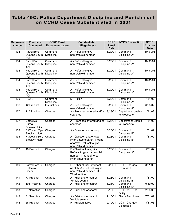| <b>Sequence</b><br><b>Number</b> | Precinct /<br><b>Command</b>                 | <b>CCRB Panel</b><br><b>Recommendation</b> | <b>Substantiated</b><br>Allegation(s)                                                                        | <b>CCRB</b><br>Panel<br><b>Date</b> | <b>NYPD Disposition</b>                  | <b>NYPD</b><br><b>Closure</b><br><b>Date</b> |
|----------------------------------|----------------------------------------------|--------------------------------------------|--------------------------------------------------------------------------------------------------------------|-------------------------------------|------------------------------------------|----------------------------------------------|
| 134                              | Patrol Boro<br>Queens South<br><b>ACI</b>    | Command<br><b>Discipline</b>               | A - Refusal to give<br>name/shield number                                                                    | 8/20/01                             | Command<br>Discipline 'A'                | 10/31/01                                     |
| 134                              | Patrol Boro<br>Queens South<br>ACI           | Command<br><b>Discipline</b>               | A - Refusal to give<br>name/shield number                                                                    | 8/20/01                             | Command<br>Discipline 'A'                | 10/31/01                                     |
| 134                              | Patrol Boro<br>Queens South<br><b>ACI</b>    | Command<br><b>Discipline</b>               | A - Refusal to give<br>name/shield number                                                                    | 8/20/01                             | Command<br>Discipline 'A'                | 10/31/01                                     |
| 134                              | Patrol Boro<br>Queens South<br><b>ACI</b>    | Command<br><b>Discipline</b>               | A - Refusal to give<br>name/shield number                                                                    | 8/20/01                             | Command<br>Discipline 'A'                | 10/31/01                                     |
| 134                              | Patrol Boro<br>Queens South<br><b>ACI</b>    | Command<br><b>Discipline</b>               | A - Refusal to give<br>name/shield number                                                                    | 8/20/01                             | Command<br>Discipline 'A'                | 10/31/01                                     |
| 135                              | PSA <sub>3</sub>                             | Command<br><b>Discipline</b>               | D - Action                                                                                                   | 8/20/01                             | Command<br>Discipline 'A'                | 7/31/02                                      |
| 136                              | 42 Precinct                                  | Instructions                               | A - Refusal to give<br>name/shield number                                                                    | 8/20/01                             | Command<br>Discipline 'A'                | 6/28/02                                      |
| 137                              | 115 Precinct                                 | Charges                                    | A - Premises entered and/or<br>searched                                                                      | 8/23/01                             | <b>Department Unable</b><br>to Prosecute | 1/31/02                                      |
| 137                              | Detective<br><b>Bureau</b><br>Queens Units   | Charges                                    | A - Premises entered and/or<br>searched                                                                      | 8/23/01                             | <b>Department Unable</b><br>to Prosecute | 1/31/02                                      |
| 138                              | <b>SAT Narc Ops</b><br><b>Brooklyn North</b> | Charges                                    | A - Question and/or stop                                                                                     | 8/23/01                             | Command<br>Discipline 'B'                | 1/31/02                                      |
| 138                              | Narcotics Boro<br><b>Brooklyn North</b>      | Charges                                    | A - Question and/or stop,<br>Frisk and/or search, Threat<br>of arrest, Refusal to give<br>name/shield number | 8/23/01                             | Command<br>Discipline 'B'                | 1/31/02                                      |
| 139                              | 48 Precinct                                  | Charges                                    | F - Physical force; A -<br>Refusal to give name/shield<br>number, Threat of force,<br>Frisk and/or search    | 8/23/01                             | Command<br>Discipline 'A'                | 5/31/02                                      |
| 140                              | Patrol Boro SI<br>Detective<br>Opers         | Charges                                    | F - Other blunt instrument<br>as club A - Refusal to give<br>name/shield number; D -<br>Word, Action         | 8/23/01                             | <b>DCT</b> - Charges<br>Dismissed        | 3/31/03                                      |
| 141                              | 73 Precinct                                  | Charges                                    | A - Frisk and/or search,<br>Vehicle search                                                                   | 8/23/01                             | Command<br>Discipline 'B'                | 7/31/02                                      |
| 142                              | 103 Precinct                                 | Charges                                    | A - Frisk and/or search                                                                                      | 8/23/01                             | Command<br>Discipline 'B'                | 9/30/02                                      |
| 143                              | <b>SI Narcotics</b>                          | Charges                                    | A - Frisk and/or search                                                                                      | 9/10/01                             | <b>DCT Trial - Not</b><br>Guilty         | 2/28/03                                      |
| 143                              | <b>SI Narcotics</b>                          | Charges                                    | A - Frisk and/or search,<br>Vehicle search                                                                   | 9/10/01                             | Filed - Terminated                       | 7/31/02                                      |
| 144                              | 68 Precinct                                  | Charges                                    | F - Physical force                                                                                           | 9/10/01                             | <b>DCT</b> - Charges<br>Dismissed        | 3/31/03                                      |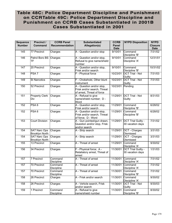#### **Table 48C: Police Department Discipline and Punishment on CCRTable 49C: Police Department Discipline and Punishment on CCRB Cases Substantiated in 2001B Cases Substantiated in 2001**

| <b>Sequence</b><br><b>Number</b> | Precinct /<br><b>Command</b>                 | <b>CCRB Panel</b><br><b>Recommendation</b> | <b>Substantiated</b><br>Allegation(s)                                                  | <b>CCRB</b><br><b>Panel</b><br><b>Date</b> | <b>NYPD Disposition</b>                       | <b>NYPD</b><br><b>Closure</b><br><b>Date</b> |
|----------------------------------|----------------------------------------------|--------------------------------------------|----------------------------------------------------------------------------------------|--------------------------------------------|-----------------------------------------------|----------------------------------------------|
| 145                              | 77 Precinct                                  | Charges                                    | A - Question and/or stop                                                               | 9/10/01                                    | Command<br>Discipline 'B'                     | 7/31/02                                      |
| 146                              | Patrol Boro BS<br>ΙTΕ                        | Charges                                    | A - Question and/or stop,<br>Refusal to give name/shield<br>number                     | 9/10/01                                    | Command<br>Discipline 'A'                     | 12/31/01                                     |
| 147                              | 20 Precinct                                  | Charges                                    | A - Question and/or stop,<br>Frisk and/or search                                       | 9/10/01                                    | Command<br>Discipline 'B'                     | 10/31/02                                     |
| 148                              | PSA <sub>7</sub>                             | Charges                                    | F - Physical force                                                                     | 10/23/01                                   | <b>DCT Trial - Not</b><br>Guilty              | 7/31/03                                      |
| 149                              | <b>SI Narcotics</b>                          | Charges                                    | F - Chokehold, Other blunt<br>instrument                                               | 10/23/01                                   | <b>DCT Trial - Not</b><br>Guilty              | 7/31/03                                      |
| 150                              | 52 Precinct                                  | Charges                                    | A - Question and/or stop,<br>Frisk and/or search, Threat<br>of arrest, Threat of force | 10/23/01                                   | Pending                                       |                                              |
| 151                              | <b>Property Clerk</b><br>Div                 | Charges                                    | A - Refusal to give<br>name/shield number; D -<br>Word                                 | 11/29/01                                   | <b>DCT Trial - Not</b><br>Guilty              | 8/31/03                                      |
| 152                              | PSA <sub>6</sub>                             | Charges                                    | A - Question and/or stop,<br>Frisk and/or search                                       | 11/29/01                                   | Command<br>Discipline 'B'                     | 6/28/02                                      |
| 152                              | PSA <sub>6</sub>                             | Charges                                    | A - Question and/or stop,<br>Frisk and/or search, Threat<br>of force; D - Word         | 11/29/01                                   | Command<br>Discipline 'B'                     | 6/28/02                                      |
| 153                              | <b>Court Division</b>                        | Charges                                    | A - Gun pointed/gun drawn,<br>Question and/or stop, Frisk<br>and/or search             | 11/29/01                                   | <b>DCT Trial Guilty -</b><br>30 vacation days | 7/31/02                                      |
| 154                              | <b>SAT Narc Ops</b><br><b>Brooklyn North</b> | Charges                                    | A - Strip search                                                                       | 11/29/01                                   | <b>DCT</b> - Charges<br><b>Dismissed</b>      | 3/31/03                                      |
| 154                              | <b>SAT Narc Ops</b><br><b>Brooklyn North</b> | Charges                                    | A - Strip search                                                                       | 11/29/01                                   | <b>DCT</b> - Charges<br><b>Dismissed</b>      | 3/31/03                                      |
| 155                              | 13 Precinct                                  | Charges                                    | A - Threat of arrest                                                                   | 11/29/01                                   | Command<br>Discipline 'A'                     | 9/30/02                                      |
| 156                              | 34 Precinct                                  | Charges                                    | F - Physical force; A -<br>Retaliatory arrest, Threat of<br>arrest                     | 11/30/01                                   | <b>DCT Trial Guilty -</b><br>30 vacation days | 1/31/03                                      |
| 157                              | 7 Precinct                                   | Command<br>Discipline                      | A - Threat of arrest                                                                   | 11/30/01                                   | Command<br>Discipline 'A'                     | 7/31/02                                      |
| 157                              | 70 Precinct                                  | Command<br><b>Discipline</b>               | A - Threat of arrest                                                                   | 11/30/01                                   | Command<br>Discipline 'A'                     | 7/31/02                                      |
| 157                              | <b>70 Precinct</b>                           | Command<br><b>Discipline</b>               | A - Threat of arrest                                                                   | 11/30/01                                   | Command<br>Discipline 'B'                     | 7/31/02                                      |
| 158                              | 26 Precinct                                  | Charges                                    | A - Frisk and/or search                                                                | 11/30/01                                   | Command<br>Discipline 'A'                     | 9/30/02                                      |
| 158                              | 26 Precinct                                  | Charges                                    | A - Vehicle search, Frisk<br>and/or search                                             | 11/30/01                                   | <b>DCT Trial - Not</b><br>Guilty              | 9/30/03                                      |
| 159                              | 1 Precinct                                   | Command<br><b>Discipline</b>               | A - Refusal to give<br>name/shield number                                              | 11/30/01                                   | Command<br>Discipline 'B'                     | 8/30/02                                      |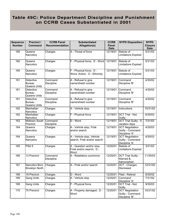| <b>Sequence</b><br><b>Number</b> | Precinct /<br><b>Command</b>                      | <b>CCRB Panel</b><br><b>Recommendation</b> | <b>Substantiated</b><br>Allegation(s)                         | <b>CCRB</b><br><b>Panel</b><br><b>Date</b> | <b>NYPD Disposition</b>                                      | <b>NYPD</b><br><b>Closure</b><br><b>Date</b> |
|----------------------------------|---------------------------------------------------|--------------------------------------------|---------------------------------------------------------------|--------------------------------------------|--------------------------------------------------------------|----------------------------------------------|
| 160                              | Queens<br>Narcotics                               | Charges                                    | A - Threat of force                                           | 12/19/01                                   | Statute of<br><b>Limitations Expired</b>                     | 5/31/03                                      |
| 160                              | Queens<br><b>Narcotics</b>                        | Charges                                    | F - Physical force; D - Word                                  | 12/19/01                                   | Statute of<br><b>Limitations Expired</b>                     | 5/31/03                                      |
| 160                              | Queens<br><b>Narcotics</b>                        | Charges                                    | F - Physical force; D -<br>Word, Action; O - Ethnicity        | 12/19/01                                   | Statute of<br><b>Limitations Expired</b>                     | 5/31/03                                      |
| 161                              | Detective<br><b>Bureau</b><br>Queens Units        | Command<br><b>Discipline</b>               | A - Refusal to give<br>name/shield number                     | 12/19/01                                   | Command<br>Discipline 'B'                                    | 4/30/02                                      |
| 161                              | Detective<br><b>Bureau</b><br><b>Queens Units</b> | Command<br><b>Discipline</b>               | A - Refusal to give<br>name/shield number                     | 12/19/01                                   | Command<br>Discipline 'B'                                    | 4/30/02                                      |
| 161                              | Detective<br><b>Bureau</b><br>Queens Units        | Command<br><b>Discipline</b>               | A - Refusal to give<br>name/shield number                     | 12/19/01                                   | Command<br>Discipline 'B'                                    | 4/30/02                                      |
| 162                              | Manhattan<br><b>Narcotics</b>                     | Charges                                    | A - Vehicle stop                                              | 12/19/01                                   | Instructions                                                 | 10/31/02                                     |
| 162                              | Manhattan<br><b>Narcotics</b>                     | Charges                                    | F - Physical force                                            | 12/19/01                                   | <b>DCT Trial - Not</b><br>Guilty                             | 6/30/03                                      |
| 163                              | <b>Midtown South</b><br>Precinct                  | Command<br><b>Discipline</b>               | D - Word                                                      | 12/19/01                                   | <b>DCT Trial Guilty - 5</b><br>vacation days                 | 7/31/03                                      |
| 164                              | Queens<br><b>Narcotics</b>                        | Charges                                    | A - Vehicle stop, Frisk<br>and/or search                      | 12/19/01                                   | <b>DCT Negotiation</b><br>Guilty - Command<br>Discipline 'A' | 4/30/03                                      |
| 164                              | Queens<br><b>Narcotics</b>                        | Charges                                    | A - Vehicle stop, Vehicle<br>search, Frisk and/or search      | 12/19/01                                   | <b>DCT Negotiation</b><br>Guilty - Command<br>Discipline 'A' | 4/30/03                                      |
| 165                              | PSA <sub>5</sub>                                  | Charges                                    | A - Question and/or stop,<br>Frisk and/or search; D -<br>Word | 12/20/01                                   | Statute of<br><b>Limitations Expired</b>                     | 3/31/03                                      |
| 166                              | 13 Precinct                                       | Command<br><b>Discipline</b>               | A - Retaliatory summons                                       | 12/20/01                                   | <b>DCT Trial Guilty -</b><br>Warned &<br>Admonished          | 11/30/03                                     |
| 167                              | Narcotics Boro Charges<br><b>Brooklyn North</b>   |                                            | A - Frisk and/or search                                       | 12/20/01                                   | <b>DCT</b> - Charges<br><b>Dismissed</b>                     | 12/31/02                                     |
| 168                              | 19 Precinct                                       | Charges                                    | D - Word                                                      | 12/20/01                                   | Filed - Retired                                              | 8/30/02                                      |
| 169                              | <b>Gang Units</b>                                 | Charges                                    | A - Vehicle stop                                              | 12/20/01                                   | Command<br>Discipline 'A'                                    | 7/31/02                                      |
| 169                              | <b>Gang Units</b>                                 | Charges                                    | F - Physical force                                            | 12/20/01                                   | <b>DCT Trial - Not</b><br>Guilty                             | 9/30/03                                      |
| 170                              | 75 Precinct                                       | Charges                                    | A - Property damaged; D -<br>Word                             | 12/20/01                                   | <b>DCT Negotiation</b><br>Guilty - Command<br>Discipline 'B' | 10/31/02                                     |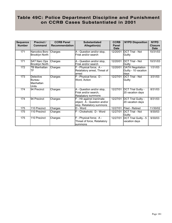| <b>Sequence</b><br><b>Number</b> | Precinct /<br>Command                        | <b>CCRB Panel</b><br><b>Recommendation</b> | <b>Substantiated</b><br>Allegation(s)                                                 | <b>CCRB</b><br>Panel<br>Date | <b>NYPD Disposition</b>                                 | <b>NYPD</b><br><b>Closure</b><br><b>Date</b> |
|----------------------------------|----------------------------------------------|--------------------------------------------|---------------------------------------------------------------------------------------|------------------------------|---------------------------------------------------------|----------------------------------------------|
| 171                              | Narcotics Boro<br><b>Brooklyn North</b>      | Charges                                    | A - Question and/or stop,<br>Frisk and/or search                                      | 12/20/01                     | <b>DCT Trial - Not</b><br>Guilty                        | 10/31/03                                     |
| 171                              | <b>SAT Narc Ops</b><br><b>Brooklyn North</b> | Charges                                    | A - Question and/or stop,<br>Frisk and/or search                                      | 12/20/01                     | <b>DCT Trial - Not</b><br>Guilty                        | 10/31/03                                     |
| 172                              | <b>TB Manhattan</b><br>TF                    | Charges                                    | F - Physical force; A -<br>Retaliatory arrest, Threat of<br>arrest                    | 12/20/01                     | <b>OATH Negotiation</b><br>Guilty - 10 vacation<br>days | 1/31/03                                      |
| 173                              | Detective<br>Bureau<br>Manhattan<br>Units    | Charges                                    | F - Physical force; D -<br>Word, Action                                               | 12/27/01                     | <b>DCT Trial - Not</b><br>Guilty                        | 3/31/03                                      |
| 174                              | 94 Precinct                                  | Charges                                    | A - Question and/or stop,<br>Frisk and/or search,<br>Retaliatory summons              | 12/27/01                     | <b>DCT Trial Guilty -</b><br>20 vacation days           | 8/31/03                                      |
| 174                              | 94 Precinct                                  | Charges                                    | F - Hit against inanimate<br>object; A - Question and/or<br>stop, Retaliatory summons | 12/27/01                     | <b>DCT Trial Guilty -</b><br>20 vacation days           | 8/31/03                                      |
| 175                              | 110 Precinct                                 | Charges                                    | D - Word                                                                              | 12/27/01                     | Filed - Retired                                         | 11/30/02                                     |
| 175                              | 110 Precinct                                 | Charges                                    | F - Chokehold; D - Word                                                               | 12/27/01                     | <b>DCT Trial - Not</b><br>Guilty                        | 9/30/03                                      |
| 175                              | 110 Precinct                                 | Charges                                    | F - Physical force; A -<br>Threat of force, Retaliatory<br>summons                    | 12/27/01                     | DCT Trial Guilty - 5<br>vacation days                   | 9/30/03                                      |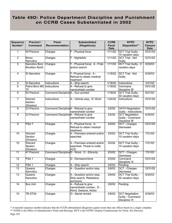| <b>Sequence</b><br>Number* | Precinct /<br><b>Command</b>            | <b>Panel</b><br><b>Recommendation</b>  | <b>Substantiated</b><br>Allegation(s)                                   | <b>CCRB</b><br>Panel<br><b>Date</b> | <b>NYPD</b><br>Disposition**                                 | <b>NYPD</b><br><b>Closure</b><br><b>Date</b> |
|----------------------------|-----------------------------------------|----------------------------------------|-------------------------------------------------------------------------|-------------------------------------|--------------------------------------------------------------|----------------------------------------------|
| 1                          | 40 Precinct                             | Charges                                | F - Physical force                                                      | 1/11/02                             | <b>DCT Trial Guilty -</b><br>10 vacation days                | 10/31/03                                     |
| $\overline{2}$             | <b>Bronx</b><br><b>Narcotics</b>        | Charges                                | F - Nightstick                                                          | 1/11/02                             | <b>DCT Trial - Not</b><br>Guilty                             | 12/31/03                                     |
| 3                          | Narcotics Boro<br><b>Brooklyn North</b> | Charges                                | F - Physical force; A - Frisk<br>and/or search                          | 1/11/02                             | DCT Trial Guilty - 5<br>vacation days                        | 6/30/03                                      |
| $\overline{4}$             | <b>SI Narcotics</b>                     | Charges                                | F- Physical force; A -<br>Refusal to obtain medical<br>treatment        | 1/18/02                             | <b>DCT Trial - Not</b><br>Guilty                             | 6/30/03                                      |
| 4                          | <b>SI Narcotics</b>                     | Instructions                           | A - Strip search                                                        | 1/18/02                             | Instructions                                                 | 3/31/02                                      |
| $\overline{5}$             | Patrol Boro MS<br>lTF                   | Instructions                           | A - Refusal to give<br>name/shield number                               | 1/18/02                             | Command<br>Discipline 'B'                                    | 10/31/02                                     |
| $\overline{6}$             | 63 Precinct                             | Command Discipline A - Gun pointed     |                                                                         | 1/18/02                             | <b>DCT Trial Guilty -</b><br>30 vacation days                | 8/31/03                                      |
| $\overline{7}$             | Warrant<br>Section<br>(Division)        | Instructions                           | A - Vehicle stop; D: Word                                               | 1/24/02                             | Instructions                                                 | 10/31/02                                     |
| $\overline{8}$             | 23 Precinct                             | Command Discipline A - Refusal to give | name/shield number                                                      | 2/5/02                              | <b>OATH Negotiation</b><br>Guilty - Instructions             | 12/31/02                                     |
| $\overline{8}$             | 23 Precinct                             | Command Discipline A - Refusal to give | name/shield number                                                      | 2/5/02                              | <b>DCT</b> Negotiation<br>Guilty - Command<br>Discipline 'B' | 6/30/03                                      |
| $\overline{9}$             | PSA <sub>7</sub>                        | Charges                                | F - Physical force; A:<br>Refusal to obtain medical<br>treatment        | 2/5/02                              | DCT - Charges<br>Dismissed                                   | 12/31/02                                     |
| 10                         | Warrant<br>Section<br>(Division)        | Charges                                | A - Premises entered and/or<br>searched                                 | 2/5/02                              | <b>DCT Trial Guilty -</b><br>10 vacation days                | 7/31/03                                      |
| 10                         | Warrant<br>Section<br>(Division)        | Charges                                | A - Premises entered and/or<br>searched, Threat to notify<br><b>ACS</b> | 2/5/02                              | <b>DCT Trial Guilty -</b><br>15 vacation days                | 7/31/03                                      |
| 11                         | 47 Precinct                             |                                        | Command Discipline D - Word; O - Ethnicity                              | 2/5/02                              | <b>DCT</b> - Charges<br><b>Dismissed</b>                     | 7/31/03                                      |
| 12                         | PSA <sub>1</sub>                        | Charges                                | D - Demeanor/tone                                                       | 2/5/02                              | Command<br>Discipline 'A'                                    | 10/31/02                                     |
| 12                         | PSA <sub>1</sub>                        | Charges                                | A - Strip search                                                        | 2/5/02                              | Pending                                                      |                                              |
| 13                         | Queens<br>Narcotics                     | Charges                                | A - Question and/or stop                                                | 2/8/02                              | DCT - Charges<br>Dismissed                                   | 12/31/02                                     |
| 13                         | Queens<br>Narcotics                     | Charges                                | A - Question and/or stop,<br>Strip search, Retaliatory<br>summons       | $\frac{2}{8}{02}$                   | <b>DCT Trial Guilty -</b><br>30 vacation days                | 9/30/03                                      |
| 14                         | <b>Bus Unit</b>                         | Charges                                | A - Refusal to give<br>name/shield number; D -<br>Word, Gesture, Action | 2/8/02                              | Pending                                                      |                                              |
| 15                         | TB DT04                                 | Charges                                | O - Sexist remark                                                       | 2/8/02                              | <b>DCT Negotiation</b><br>Guilty - Command<br>Discipline 'A' | 6/30/03                                      |

Page 182 \* A repeated sequence number indicates that the CCCB substantiated allegations against more than one officer based on a single complant. \*\* OATH is the Office of Administrative Trials and Hearings; DCT is the NYPD's Deputy Commissioner for Trials. See Glossary.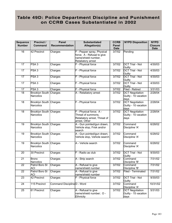| <b>Sequence</b><br><b>Number</b> | Precinct /<br><b>Command</b>                      | <b>Panel</b><br>Recommendation | <b>Substantiated</b><br>Allegation(s)                                                                 | <b>CCRB</b><br><b>Panel</b><br><b>Date</b> | <b>NYPD Disposition</b>                                | <b>NYPD</b><br><b>Closure</b><br><b>Date</b> |
|----------------------------------|---------------------------------------------------|--------------------------------|-------------------------------------------------------------------------------------------------------|--------------------------------------------|--------------------------------------------------------|----------------------------------------------|
| 16                               | 42 Precinct                                       | Charges                        | F - Pepper spray, Physical<br>force; A - Refusal to give<br>name/shield number,<br>Retaliatory arrest | 3/7/02                                     | Pending                                                |                                              |
| 17                               | PSA <sub>3</sub>                                  | Charges                        | F - Physical force                                                                                    | 3/7/02                                     | <b>DCT Trial - Not</b><br>Guilty                       | 4/30/03                                      |
| $\overline{17}$                  | PSA <sub>3</sub>                                  | Charges                        | F - Physical force                                                                                    | 3/7/02                                     | <b>DCT Trial - Not</b><br>Guilty                       | 4/30/03                                      |
| $\overline{17}$                  | PSA <sub>3</sub>                                  | Charges                        | F - Physical force                                                                                    | 3/7/02                                     | <b>DCT Trial - Not</b><br>Guilty                       | 4/30/03                                      |
| 17                               | PSA <sub>3</sub>                                  | Charges                        | F - Physical force                                                                                    | $\frac{1}{377/02}$                         | <b>DCT Trial - Not</b><br>Guilty                       | 4/30/03                                      |
| $\overline{17}$                  | PSA <sub>3</sub>                                  | Charges                        | F - Physical force                                                                                    | 3/7/02                                     | <b>Filed - Retired</b>                                 | 3/31/03                                      |
| 18                               | <b>Brooklyn South</b><br><b>Narcotics</b>         | Charges                        | A - Retaliatory arrest                                                                                | 3/7/02                                     | <b>DCT Negotiation</b><br>Guilty - 10 vacation<br>days | 2/28/04                                      |
| $\overline{18}$                  | <b>Brooklyn South Charges</b><br><b>Narcotics</b> |                                | F - Physical force                                                                                    | 3/7/02                                     | <b>DCT</b> Negotiation<br>Guilty - 10 vacation<br>days | 2/28/04                                      |
| 18                               | <b>Brooklyn South Charges</b><br><b>Narcotics</b> |                                | F - Physical force; A -<br>Threat of summons,<br>Retaliatory arrest, Threat of<br>arrest, Other       | 3/7/02                                     | <b>DCT Negotiation</b><br>Guilty - 10 vacation<br>days | 2/28/04                                      |
| 19                               | <b>Brooklyn South Charges</b><br>Narcotics        |                                | A - Gun pointed/gun drawn,<br>Vehicle stop, Frisk and/or<br>search                                    | 3/7/02                                     | Command<br>Discipline 'A'                              | 6/28/02                                      |
| 19                               | <b>Brooklyn South Charges</b><br><b>Narcotics</b> |                                | A - Gun pointed/gun drawn,<br>Vehicle stop, Vehicle search                                            | $\frac{1}{377/02}$                         | Command<br>Discipline 'A'                              | 6/28/02                                      |
| $\overline{19}$                  | <b>Brooklyn South Charges</b><br><b>Narcotics</b> |                                | A - Vehicle search                                                                                    | 3/7/02                                     | Command<br>Discipline 'A'                              | 6/28/02                                      |
| 20                               | 30 Precinct                                       | Charges                        | F - Radio as club                                                                                     | 3/7/02                                     | <b>DCT Trial - Not</b><br>Guilty                       | 9/30/03                                      |
| $\overline{21}$                  | <b>Bronx</b><br>Narcotics                         | Charges                        | A - Strip search                                                                                      | 3/7/02                                     | Command<br>Discipline 'B'                              | 7/31/02                                      |
| $\overline{22}$                  | Patrol Boro SI<br><b>ACI</b>                      | Charges                        | A - Refusal to give<br>name/shield number                                                             | 3/7/02                                     | Command<br>Discipline 'B'                              | 7/31/02                                      |
| $\overline{22}$                  | Patrol Boro SI<br>ACI                             | Charges                        | A - Refusal to give<br>name/shield number                                                             | 3/7/02                                     | Filed - Terminated                                     | 7/31/02                                      |
| 23                               | 42 Precinct                                       | Charges                        | F - Physical force                                                                                    | 3/7/02                                     | <b>DCT Trial - Not</b><br>Guilty                       | 9/30/03                                      |
| 24                               | 115 Precinct                                      | Command Discipline D - Word    |                                                                                                       | 3/7/02                                     | Command<br>Discipline 'A'                              | 10/31/02                                     |
| 25                               | 61 Precinct                                       | Charges                        | A - Refusal to give<br>name/shield number; O -<br>Ethnicity                                           | 3/7/02                                     | <b>DCT Negotiation</b><br>Guilty - 15 vacation<br>days | 5/31/03                                      |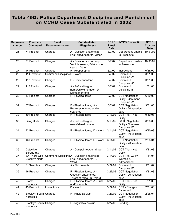| <b>Sequence</b><br><b>Number</b> | Precinct /<br><b>Command</b>                 | Panel<br>Recommendation     | <b>Substantiated</b><br>Allegation(s)                                            | <b>CCRB</b><br>Panel<br><b>Date</b> | <b>NYPD Disposition</b>                                       | <b>NYPD</b><br><b>Closure</b><br><b>Date</b> |
|----------------------------------|----------------------------------------------|-----------------------------|----------------------------------------------------------------------------------|-------------------------------------|---------------------------------------------------------------|----------------------------------------------|
| 26                               | 71 Precinct                                  | Charges                     | A - Question and/or stop,<br>Frisk and/or search, Other                          | 3/7/02                              | Department Unable<br>to Prosecute                             | 10/31/02                                     |
| 26                               | 71 Precinct                                  | Charges                     | A - Question and/or stop,<br>Vehicle search, Frisk and/or<br>search, Other       | 3/7/02                              | Department Unable<br>to Prosecute                             | 10/31/02                                     |
| 27                               | 44 Precinct                                  | Charges                     | F - Pepper spray                                                                 | 3/7/02                              | Instructions                                                  | 6/28/02                                      |
| 28                               | 111 Precinct                                 | Command Discipline D - Word |                                                                                  | 3/7/02                              | Command<br>Discipline 'A'                                     | 3/31/03                                      |
| 29                               | 113 Precinct                                 | Charges                     | D - Demeanor/tone                                                                | 3/7/02                              | Command<br>Discipline 'A'                                     | 3/31/03                                      |
| 29                               | 113 Precinct                                 | Charges                     | A - Refusal to give<br>name/shield number; D -<br>Demeanor/tone                  | 3/7/02                              | Command<br>Discipline 'B'                                     | 1/31/03                                      |
| 30                               | 47 Precinct                                  | Charges                     | F - Physical force                                                               | 3/7/02                              | <b>DCT Negotiation</b><br>Guilty - Command<br>Discipline 'A'  | 6/30/03                                      |
| 31                               | 67 Precinct                                  | Charges                     | F - Physical force; A -<br>Premises entered and/or<br>searched                   | 3/7/02                              | <b>DCT Negotiation</b><br>Guilty - 20 vacation<br>days        | 3/31/03                                      |
| $\overline{32}$                  | 50 Precinct                                  | Charges                     | F - Physical force                                                               | 3/13/02                             | <b>DCT Trial - Not</b><br>Guilty                              | 9/30/03                                      |
| 33                               | <b>Gang Units</b>                            | Charges                     | A - Refusal to give<br>name/shield number                                        | 3/13/02                             | <b>OATH Negotiation</b><br>Guilty - Command<br>Discipline 'B' | 6/30/03                                      |
| 34                               | <b>72 Precinct</b>                           | Charges                     | F - Physical force; D - Word                                                     | 3/14/02                             | <b>DCT Negotiation</b><br>Guilty - 10 vacation<br>days        | 9/30/03                                      |
| 35                               | 46 Precinct                                  | Charges                     | F - Physical force; D - Word                                                     | 3/14/02                             | <b>DCT</b> Negotiation<br>Guilty - 20 vacation<br>days        | 2/28/04                                      |
| 36                               | <b>Detective</b><br>Bureau HQ                | Charges                     | A - Gun pointed/gun drawn                                                        | 3/14/02                             | DCT Trial - Not<br>Guilty                                     | 3/31/03                                      |
| $\overline{37}$                  | <b>SAT Narc Ops</b><br><b>Brooklyn North</b> |                             | Command Discipline A - Question and/or stop,<br>Frisk and/or search; D -<br>Word | 3/14/02                             | <b>DCT Trial Guilty -</b><br>Warned &<br>Admonished           | 1/31/04                                      |
| 38                               | <b>SI Narcotics</b>                          | Charges                     | A - Strip search                                                                 | 3/27/02                             | Command<br>Discipline 'B'                                     | 5/31/02                                      |
| 39                               | 46 Precinct                                  | Charges                     | F - Physical force; A -<br>Question and/or stop,<br>Threat of force; D - Word    | $\sqrt{3}/27/02$                    | <b>DCT Negotiation</b><br>Guilty - 20 vacation<br>days        | 3/31/03                                      |
| 40                               | <b>Bronx</b><br><b>Narcotics</b>             | Charges                     | F - Physical force; A - Frisk<br>and/or search                                   | 3/27/02                             | <b>DCT Trial - Not</b><br>Guilty                              | 1/31/03                                      |
| 41                               | 43 Precinct                                  | Instructions                | D - Word                                                                         | 3/27/02                             | <b>DCT</b> - Charges<br>Dismissed                             | 7/31/03                                      |
| 42                               | Brooklyn South Charges<br><b>Narcotics</b>   |                             | F - Radio as club                                                                | 3/27/02                             | <b>DCT Negotiation</b><br>Guilty - 10 vacation<br>days        | 2/28/04                                      |
| 42                               | Brooklyn South Charges<br><b>Narcotics</b>   |                             | F - Nightstick as club                                                           | 3/27/02                             | Pending                                                       |                                              |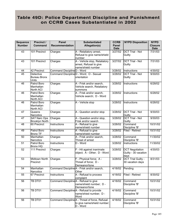| <b>Sequence</b><br><b>Number</b> | Precinct /<br><b>Command</b>                 | Panel<br>Recommendation                | <b>Substantiated</b><br>Allegation(s)                                                      | <b>CCRB</b><br>Panel<br><b>Date</b> | <b>NYPD Disposition</b>                                | <b>NYPD</b><br><b>Closure</b><br><b>Date</b> |
|----------------------------------|----------------------------------------------|----------------------------------------|--------------------------------------------------------------------------------------------|-------------------------------------|--------------------------------------------------------|----------------------------------------------|
| 43                               | 101 Precinct                                 | Charges                                | A - Retaliatory arrest,<br>Refusal to give name/shield<br>number                           | 3/27/02                             | <b>DCT Trial - Not</b><br>Guilty                       | 7/31/03                                      |
| 43                               | 101 Precinct                                 | Charges                                | A - Vehicle stop, Retaliatory<br>arrest, Refusal to give<br>name/shield number             | 3/27/02                             | <b>DCT Trial - Not</b><br>Guilty                       | 7/31/03                                      |
| 44                               | 42 Precinct                                  | Command Discipline D - Word            |                                                                                            | 3/28/02                             | Instructions                                           | 4/30/02                                      |
| 45                               | Detective<br><b>Bureau Bronx</b><br>Units    |                                        | Command Discipline D - Word; O - Sexual<br>orientation                                     | 3/28/02                             | <b>DCT Trial - Not</b><br>Guilty                       | 9/30/03                                      |
| 46                               | <b>Patrol Boro</b><br>Manhattan<br>North ACI | Charges                                | A - Frisk and/or search,<br>Vehicle search, Retaliatory<br>summons                         | 3/28/02                             | Instructions                                           | 6/28/02                                      |
| 46                               | Patrol Boro<br>Manhattan<br>North ACI        | Charges                                | A - Frisk and/or search,<br>Vehicle search; D - Word                                       | 3/28/02                             | Instructions                                           | 6/28/02                                      |
| 46                               | Patrol Boro<br>Manhattan<br>North ACI        | Charges                                | A - Vehicle stop                                                                           | 3/28/02                             | Instructions                                           | 6/28/02                                      |
| $\overline{47}$                  | Queens<br><b>Narcotics</b>                   | Charges                                | A - Question and/or stop                                                                   | 3/28/02                             | <b>DCT Trial - Not</b><br>Guilty                       | 9/30/03                                      |
| 47                               | <b>SAT Narc Ops</b><br><b>Brooklyn North</b> | Charges                                | A - Question and/or stop,<br>Frisk and/or search                                           | 3/28/02                             | <b>DCT Trial - Not</b><br>Guilty                       | 9/30/03                                      |
| 48                               | 60 Precinct                                  | Instructions                           | A - Refusal to give<br>name/shield number                                                  | 3/28/02                             | Command<br>Discipline 'B'                              | 10/31/02                                     |
| 49                               | Patrol Boro<br><b>Bronx TF</b>               | Instructions                           | A - Refusal to give<br>name/shield number                                                  | 3/28/02                             | <b>Filed - Retired</b>                                 | 10/31/02                                     |
| 50                               | Manhattan<br>Narcotics                       | Charges                                | A - Frisk and/or search,<br>Threat of arrest                                               | 3/28/02                             | Command<br>Discipline 'B'                              | 11/30/02                                     |
| 51                               | Patrol Boro<br><b>Bronx HQ</b>               | Instructions                           | D - Word                                                                                   | 3/28/02                             | Instructions                                           | 11/30/02                                     |
| 52                               | 111 Precinct                                 | Charges                                | F - Hit against inanimate<br>object; A - Other; D - Word                                   | 3/28/02                             | <b>DCT Negotiation</b><br>Guilty - 30 vacation<br>days | 4/30/03                                      |
| $\overline{53}$                  | <b>Midtown North</b><br>Precinct             | Charges                                | F - Physical force; A -<br>Threat of force; D -<br>Demeanor/tone                           | 3/28/02                             | <b>DCT Trial Guilty -</b><br>30 vacation days          | 8/31/03                                      |
| 54                               | Manhattan<br>Narcotics                       |                                        | Command Discipline A - Frisk and/or search,<br>Other                                       | 4/18/02                             | Pending                                                |                                              |
| 55                               | 67 Precinct                                  | Instructions                           | A - Refusal to process<br>complaint                                                        | 4/18/02                             | Filed - Retired                                        | 8/30/02                                      |
| 56                               | TB DT01                                      | Command Discipline A - Refusal to give | name/shield number; D -<br>Demeanor/tone                                                   | 4/18/02                             | Command<br>Discipline 'B'                              | 10/31/02                                     |
| 56                               | TB DT01                                      |                                        | Command Discipline A - Refusal to provide<br>name/shied number; D -<br>Word                | 4/18/02                             | Command<br>Discipline 'B'                              | 10/31/02                                     |
| 56                               | TB DT01                                      |                                        | Command Discipline A - Threat of force, Refusal<br>to give name/shield number;<br>D - Word | 4/18/02                             | Command<br>Discipline 'B'                              | 10/31/02                                     |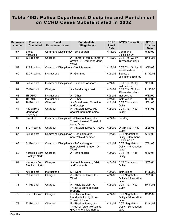| <b>Sequence</b><br><b>Number</b> | Precinct /<br><b>Command</b>                   | <b>Panel</b><br><b>Recommendation</b>  | <b>Substantiated</b><br><b>Allegation(s)</b>                                              | <b>CCRB</b><br><b>Panel</b><br><b>Date</b> | <b>NYPD Disposition</b>                                      | <b>NYPD</b><br><b>Closure</b><br><b>Date</b> |
|----------------------------------|------------------------------------------------|----------------------------------------|-------------------------------------------------------------------------------------------|--------------------------------------------|--------------------------------------------------------------|----------------------------------------------|
| 57                               | <b>Bronx</b><br>Narcotics                      | Command Discipline A - Strip search    |                                                                                           | 4/18/02                                    | Command<br>Discipline 'A'                                    | 9/30/02                                      |
| 58                               | 46 Precinct                                    | Charges                                | A - Threat of force, Threat of<br>arrest; D - Demeanor/tone,<br>Word                      | 4/18/02                                    | <b>DCT Trial Guilty -</b><br>10 vacation days                | 10/31/03                                     |
| 59                               | 113 Precinct                                   | Command Discipline A - Vehicle search  |                                                                                           | 4/18/02                                    | DCT Trial Guilty - 5<br>vacation days                        | 9/30/03                                      |
| 60                               | 120 Precinct                                   | Instructions                           | F - Gun fired                                                                             | 4/24/02                                    | Statute of<br><b>Limitaitons Expired</b>                     | 11/30/03                                     |
| 61                               | 24 Precinct                                    |                                        | Command Discipline A - Frisk and/or search                                                | 4/24/02                                    | <b>DCT Trial Guilty -</b><br>Instructions                    | 9/30/03                                      |
| 62                               | 83 Precinct                                    | Charges                                | A - Retaliatory arrest                                                                    | 4/24/02                                    | <b>DCT Trial Guilty -</b><br>15 vacation days                | 11/30/03                                     |
| 63                               | TB DT02                                        | Instructions                           | A - Other                                                                                 | 4/24/02                                    | Instructions                                                 | 9/30/02                                      |
| 63                               | TB DT02                                        | Instructions                           | A - Other                                                                                 | 4/24/02                                    | Instructions                                                 | 9/30/02                                      |
| 64                               | 26 Precinct                                    | Charges                                | A - Gun drawn, Question<br>and/or stop                                                    | 4/24/02                                    | <b>DCT Trial - Not</b><br>Guilty                             | 5/31/03                                      |
| 64                               | Patrol Boro<br>Manhattan<br>North ACI          | Charges                                | F - Physical force, Hit<br>against inanimate object                                       | 4/24/02                                    | <b>DCT Trial - Not</b><br>Guilty                             | 5/31/03                                      |
| 65                               | <b>Bus Unit</b>                                |                                        | Command Discipline F - Physical force; A -<br>Threat of arrest, Threat of<br>force, Other | 4/24/02                                    | Pending                                                      |                                              |
| 66                               | 110 Precinct                                   | Charges                                | F - Physical force; O - Race                                                              | 4/24/02                                    | <b>OATH Trial - Not</b><br>Guilty                            | 2/28/03                                      |
| 67                               | 23 Precinct                                    | Command Discipline A - Refusal to give | name/shield number                                                                        | 4/24/02                                    | <b>DCT Negotiation</b><br>Guilty - Command<br>Discipline 'B' | 6/30/03                                      |
| 68                               | 71 Precinct                                    | Command Discipline A - Refusal to give | name/shield number; D-<br>Word                                                            | 4/24/02                                    | <b>DCT Negotiation</b><br>Guilty - 15 vacation<br>days       | 7/31/03                                      |
| 69                               | <b>Narcotics Boro</b><br><b>Brooklyn North</b> | Charges                                | A - Strip search                                                                          | 4/24/02                                    | <b>DCT Trial - Not</b><br>Guilty                             | 9/30/03                                      |
| 69                               | Narcotics Boro<br><b>Brooklyn North</b>        | Charges                                | A - Vehicle search, Frisk<br>and/or search                                                | 4/24/02                                    | <b>DCT Trial - Not</b><br>Guilty                             | 9/30/03                                      |
| 70                               | 70 Precinct                                    | Instructions                           | D - Word                                                                                  | 4/24/02                                    | Instructions                                                 | 11/30/02                                     |
| $\overline{71}$                  | 71 Precinct                                    | Charges                                | A - Threat of force; D -<br>Word                                                          | 4/24/02                                    | <b>DCT Negotiation</b><br>Guilty - 15 vacation<br>days       | 7/31/03                                      |
| 71                               | 71 Precinct                                    | Charges                                | F - Radio as club; A -<br>Threat to damage/seize<br>property                              | 4/24/02                                    | <b>DCT Trial - Not</b><br>Guilty                             | 10/31/03                                     |
| 72                               | <b>Court Division</b>                          | Charges                                | F - Physical force,<br>Handcuffs too tight; A -<br>Threat of force                        | 4/24/02                                    | <b>DCT Negotiation</b><br>Guilty - 30 vacation<br>days       | 12/31/02                                     |
| 73                               | 72 Precinct                                    | Charges                                | F - Physical force; A -<br>Threat of force, Refusal to<br>give name/shield number         | 4/24/02                                    | <b>DCT Negotiation</b><br>Guilty - 30 vacation<br>days       | 12/31/02                                     |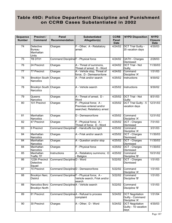| <b>Sequence</b><br><b>Number</b> | Precinct /<br><b>Command</b>                            | <b>Panel</b><br>Recommendation        | <b>Substantiated</b><br>Allegation(s)                                                | <b>CCRB</b><br><b>Panel</b><br><b>Date</b> | <b>NYPD Disposition</b>                                      | <b>NYPD</b><br><b>Closure</b><br><b>Date</b> |
|----------------------------------|---------------------------------------------------------|---------------------------------------|--------------------------------------------------------------------------------------|--------------------------------------------|--------------------------------------------------------------|----------------------------------------------|
| 74                               | Detective<br><b>Bureau</b><br>Manhattan<br><b>Units</b> | Charges                               | F - Other; A - Retaliatory<br>arrest                                                 | 4/24/02                                    | <b>DCT Trial Guilty -</b><br>20 vacation days                | 4/30/03                                      |
| 75                               | TB DT01                                                 | Command Discipline F - Physical force |                                                                                      | 4/24/02                                    | OATH - Charges<br>Dismissed                                  | 2/28/03                                      |
| 76                               | 24 Precinct                                             | Charges                               | A - Threat of summons,<br>Threat of arrest; D - Word                                 | 4/24/02                                    | <b>DCT Trial - Not</b><br>Guilty                             | 11/30/03                                     |
| 77                               | <b>77 Precinct</b>                                      | Charges                               | A - Vehicle stop, Threat of<br>force; D - Demeanor/tone                              | 4/24/02                                    | Command<br>Discipline 'A'                                    | 1/31/03                                      |
| $\overline{78}$                  | <b>Brooklyn South Charges</b><br><b>Narcotics</b>       |                                       | A - Frisk and/or search                                                              | 4/25/02                                    | Instructions                                                 | 9/30/02                                      |
| $\overline{78}$                  | <b>Brooklyn South Charges</b><br><b>Narcotics</b>       |                                       | A - Vehicle search                                                                   | 4/25/02                                    | Instructions                                                 | 9/30/02                                      |
| 79                               | Queens<br>Narcotics                                     | Charges                               | A - Threat of arrest; D -<br>Word                                                    | 4/25/02                                    | <b>DCT Trial - Not</b><br>Guilty                             | 8/31/03                                      |
| 80                               | 101 Precinct                                            | Charges                               | F - Physical force; A -<br>Premises entered and/or<br>searched, Retaliatory arrest   | 4/25/02                                    | DCT Trial Guilty - 5<br>vacation days                        | 12/31/03                                     |
| 81                               | Manhattan<br>Narcotics                                  | Charges                               | D - Demeanor/tone                                                                    | 4/25/02                                    | Command<br>Discipline 'A'                                    | 12/31/02                                     |
| $\overline{82}$                  | 47 Precinct                                             | Charges                               | F - Physical force; A -<br>Threat of force; D - Word                                 | 4/25/02                                    | <b>DCT</b> - Charges<br><b>Dismissed</b>                     | 7/31/03                                      |
| 83                               | 6 Precinct                                              |                                       | Command Discipline F - Handcuffs too tight                                           | 4/25/02                                    | Command<br>Discipline 'A'                                    | 3/31/03                                      |
| 84                               | Manhattan<br><b>Narcotics</b>                           | Charges                               | A - Frisk and/or search                                                              | 4/25/02                                    | <b>DCT</b> - Charges<br><b>Dismissed</b>                     | 11/30/03                                     |
| 84                               | Manhattan<br>Narcotics                                  | Charges                               | A - Question and/or stop                                                             | 4/25/02                                    | DCT - Charges<br>Dismissed                                   | 11/30/03                                     |
| 84                               | Manhattan<br>Narcotics                                  | Charges                               | F - Physical force                                                                   | 4/25/02                                    | <b>DCT</b> - Charges<br>Dismissed                            | 11/30/03                                     |
| 85                               | Manhattan<br><b>Traffic TF</b>                          | Instructions                          | A - Retaliatory summons; O<br>- Religion                                             | 4/25/02                                    | Command<br>Discipline 'B'                                    | 10/31/02                                     |
| 86                               | 122th Precinct<br>Detective<br>Squad                    | Command Discipline D - Word           |                                                                                      | 5/22/02                                    | DCT - Charges<br>Dismissed                                   | 1/31/03                                      |
| 87                               | 70 Precinct                                             | Command DisciplineD - Demeanor/tone   |                                                                                      | 5/22/02                                    | Command<br>Discipline 'A'                                    | 1/31/03                                      |
| 88                               | Brooklyn Narc.<br>District                              |                                       | Command Discipline F - Physical force; A -<br>Vehicle search, Frisk and/or<br>search | 5/22/02                                    | Command<br>Discipline 'B'                                    | 1/31/03                                      |
| 88                               | Narcotics Boro<br><b>Brooklyn North</b>                 | Command Discipline A - Vehicle search |                                                                                      | 5/22/02                                    | Command<br>Discipline 'B'                                    | 1/31/03                                      |
| 89                               | 81 Precinct                                             |                                       | Command Discipline A - Refusal to process<br>complaint                               | 5/24/02                                    | <b>DCT Negotiation</b><br>Guilty - Command<br>Discipline 'A' | 1/31/04                                      |
| 90                               | 30 Precinct                                             | Charges                               | A - Other; D - Word                                                                  | 5/24/02                                    | <b>DCT Negotiation</b><br>Guilty - 10 vacation<br>days       | 4/30/03                                      |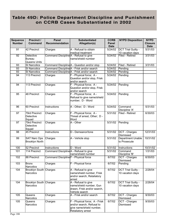| <b>Sequence</b><br><b>Number</b> | Precinct /<br><b>Command</b>                      | <b>Panel</b><br><b>Recommendation</b>  | <b>Substantiated</b><br>Allegation(s)                                                                        | <b>CCRB</b><br><b>Panel</b><br><b>Date</b> | <b>NYPD Disposition</b>                       | <b>NYPD</b><br><b>Closure</b><br><b>Date</b> |
|----------------------------------|---------------------------------------------------|----------------------------------------|--------------------------------------------------------------------------------------------------------------|--------------------------------------------|-----------------------------------------------|----------------------------------------------|
| 91                               | 42 Precinct                                       | Charges                                | A - Refusal to obtain<br>medical treatment                                                                   | 5/24/02                                    | <b>DCT Trial Guilty -</b><br>10 vacation days | 5/31/03                                      |
| 92                               | Detective<br><b>Bureau</b><br>Queens Units        | Command Discipline A - Refusal to give | name/shield number                                                                                           | 5/24/02                                    | <b>Filed - Retired</b>                        | 3/31/03                                      |
| 93                               | <b>SI Narcotics</b>                               |                                        | Command Discipline A - Question and/or stop                                                                  | 5/24/02                                    | <b>Filed - Retired</b>                        | 3/31/03                                      |
| 93                               | <b>SI Narcotics</b>                               |                                        | Command Discipline A - Frisk and/or search                                                                   | 5/24/02                                    | Pending                                       |                                              |
| 93                               | <b>SI Narcotics</b>                               |                                        | Command Discipline A - Frisk and/or search                                                                   | 5/24/02                                    | Pending                                       |                                              |
| 94                               | 113 Precinct                                      | Charges                                | F - Physical force; A -<br>Question and/or stop, Frisk<br>and/or search                                      | 5/24/02                                    | Pending                                       |                                              |
| 94                               | 113 Precinct                                      | Charges                                | F - Physical force; A -<br>Question and/or stop, Frisk<br>and/or search                                      | 5/24/02                                    | Pending                                       |                                              |
| 95                               | 48 Precinct                                       | Charges                                | F - Physical force; A -<br>Refusal to give name/shield<br>number; D - Word                                   | 5/24/02                                    | Pending                                       |                                              |
| 96                               | 60 Precinct                                       | Instructions                           | A - Other; D - Word                                                                                          | 5/24/02                                    | Command<br>Discipline 'A'                     | 5/31/03                                      |
| 97                               | 79rd Precinct<br>Detective<br>Squad               | Charges                                | F - Physical force; A -<br>Threat of arrest, Other; D -<br>Word                                              | 5/31/02                                    | Filed - Retired                               | 6/30/03                                      |
| 97                               | <b>79rd Precinct</b><br>Detective<br>Squad        | Charges                                | A - Other                                                                                                    | 5/31/02                                    | Pending                                       |                                              |
| 98                               | 45 Precinct                                       | Instructions                           | D - Demeanor/tone                                                                                            | 5/31/02                                    | DCT - Charges<br><b>Dismissed</b>             | 12/31/03                                     |
| 99                               | <b>SAT Narc Ops</b><br><b>Brooklyn North</b>      | Charges                                | A - Vehicle stop                                                                                             | 5/31/02                                    | Department Unable<br>to Prosecute             | 10/31/02                                     |
| 100                              | 52 Precinct                                       | Instructions                           | D - Word                                                                                                     | 5/31/02                                    | Instructions                                  | 10/31/02                                     |
| 101                              | 114 Precinct                                      | Command Discipline A - Refusal to give | name/shield number                                                                                           | 5/31/02                                    | Command<br>Discipline 'B'                     | 1/31/03                                      |
| 102                              | 88 Precinct                                       | Command Discipline F - Physical force  |                                                                                                              | 6/7/02                                     | <b>DCT</b> - Charges<br>Dismissed             | 6/30/03                                      |
| 103                              | <b>Bronx</b><br><b>Narcotics</b>                  | Charges                                | F - Physical force                                                                                           | 6/7/02                                     | Pending                                       |                                              |
| 104                              | <b>Brooklyn South Charges</b><br><b>Narcotics</b> |                                        | A - Refusal to give<br>name/shield number, Frisk<br>and/or search, Retaliatory<br>arrest                     | 6/7/02                                     | <b>DCT Trial Guilty -</b><br>10 vacation days | 2/28/04                                      |
| 104                              | <b>Brooklyn South Charges</b><br><b>Narcotics</b> |                                        | A - Refusal to give<br>name/shield number, Gun<br>drawn, Frisk and/or search,<br>Vehicle search              | 6/7/02                                     | <b>DCT Trial Guilty -</b><br>10 vacation days | 2/28/04                                      |
| 105                              | Queens<br>Narcotics                               | Charges                                | A - Frisk and/or search                                                                                      | 6/7/02                                     | <b>DCT</b> - Charges<br><b>Dismissed</b>      | 9/30/03                                      |
| 105                              | Queens<br><b>Narcotics</b>                        | Charges                                | F - Physical force; A - Frisk<br>and/or search, Refusal to<br>give name/shield number,<br>Retaliatory arrest | 6/7/02                                     | <b>DCT</b> - Charges<br><b>Dismissed</b>      | $\frac{1}{9/30/03}$                          |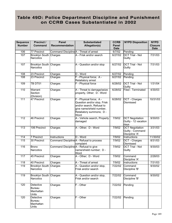| <b>Sequence</b><br><b>Number</b> | Precinct /<br><b>Command</b>                            | <b>Panel</b><br><b>Recommendation</b>   | <b>Substantiated</b><br>Allegation(s)                                                                                                               | <b>CCRB</b><br><b>Panel</b><br><b>Date</b> | <b>NYPD Disposition</b>                                      | <b>NYPD</b><br><b>Closure</b><br><b>Date</b> |
|----------------------------------|---------------------------------------------------------|-----------------------------------------|-----------------------------------------------------------------------------------------------------------------------------------------------------|--------------------------------------------|--------------------------------------------------------------|----------------------------------------------|
| 106                              | 77 Precinct                                             | Command Discipline A - Threat of arrest |                                                                                                                                                     | 6/7/02                                     | Pending                                                      |                                              |
| 107                              | <b>Brooklyn South</b><br><b>Narcotics</b>               | Charges                                 | A - Frisk and/or search                                                                                                                             | 6/27/02                                    | <b>DCT Trial - Not</b><br>Guilty                             | 7/31/03                                      |
| 107                              | <b>Brooklyn South Charges</b><br><b>Narcotics</b>       |                                         | A - Question and/or stop                                                                                                                            | 6/27/02                                    | <b>DCT Trial - Not</b><br>Guilty                             | 7/31/03                                      |
| 108                              | 23 Precinct                                             | Charges                                 | D - Word                                                                                                                                            | 6/27/02                                    | Pending                                                      |                                              |
| 108                              | 23 Precinct                                             | Charges                                 | F - Physical force; A -<br>Retaliatory arrest                                                                                                       | 6/27/02                                    | Pending                                                      |                                              |
| 109                              | TB DT01                                                 | Charges                                 | F - Physical force                                                                                                                                  | 6/28/02                                    | <b>DCT Trial - Not</b><br>Guilty                             | 1/31/04                                      |
| 110                              | Warrant<br>Section<br>(Division)                        | Charges                                 | A - Threat to damage/seize<br>property, Other; D - Word                                                                                             | 6/28/02                                    | Filed - Terminated                                           | 4/30/03                                      |
| 111                              | 47 Precinct                                             | Charges                                 | F - Physical force; A -<br>Question and/or stop, Frisk<br>and/or search, Refusal to<br>give name/shield number,<br>Retaliatory summons; D -<br>Word | 6/28/02                                    | <b>DCT</b> - Charges<br>Dismissed                            | 10/31/03                                     |
| 112                              | 46 Precinct                                             | Charges                                 | A - Vehicle search, Property<br>damaged                                                                                                             | 7/9/02                                     | <b>DCT Negotiation</b><br>Guilty - 12 vacation<br>days       | 9/30/03                                      |
| 113                              | 106 Precinct                                            | Charges                                 | A - Other; D - Word                                                                                                                                 | 7/9/02                                     | <b>DCT Negotiation</b><br>Guilty - Command<br>Discipline 'A' | 3/31/03                                      |
| 114                              | 7 Precinct                                              | Instructions                            | D - Word                                                                                                                                            | 7/9/02                                     | Instructions                                                 | 11/30/02                                     |
| 115                              | 30 Precinct                                             |                                         | Command Discipline A - Refusal to process<br>complaint                                                                                              | 7/9/02                                     | DCT - Charges<br><b>Dismissed</b>                            | 8/31/03                                      |
| 116                              | <b>Bronx</b><br><b>Narcotics</b>                        | Command Discipline A - Refusal to give  | name/shield number; D -<br>Word                                                                                                                     | 7/9/02                                     | <b>DCT Trial - Not</b><br>Guilty                             | 9/30/03                                      |
| 117                              | 45 Precinct                                             | Charges                                 | A - Other; D - Word                                                                                                                                 | 7/9/02                                     | Command<br>Discipline 'A'                                    | 2/28/03                                      |
| 118                              | 40 Precinct                                             | Charges                                 | A - Threat of arrest                                                                                                                                | 7/9/02                                     | Instructions                                                 | 7/31/03                                      |
| 119                              | <b>Brooklyn South Charges</b><br><b>Narcotics</b>       |                                         | A - Question and/or stop,<br>Frisk and/or search                                                                                                    | 7/22/02                                    | Command<br>Discipline 'B'                                    | 9/30/02                                      |
| 119                              | <b>Brooklyn South Charges</b><br><b>Narcotics</b>       |                                         | A - Question and/or stop,<br>Frisk and/or search                                                                                                    | 7/22/02                                    | Command<br>Discipline 'B'                                    | 9/30/02                                      |
| 120                              | Detective<br><b>Bureau</b><br>Manhattan<br><b>Units</b> | Charges                                 | F - Other                                                                                                                                           | 7/22/02                                    | Pending                                                      |                                              |
| 120                              | Detective<br><b>Bureau</b><br>Manhattan<br>Units        | Charges                                 | F - Other                                                                                                                                           | 7/22/02                                    | Pending                                                      |                                              |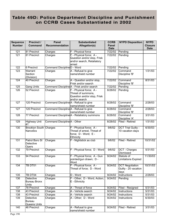| <b>Sequence</b><br><b>Number</b> | Precinct /<br><b>Command</b>                      | <b>Panel</b><br><b>Recommendation</b>  | <b>Substantiated</b><br><b>Allegation(s)</b>                                                   | <b>CCRB</b><br><b>Panel</b><br><b>Date</b> | <b>NYPD Disposition</b>                                 | <b>NYPD</b><br><b>Closure</b><br><b>Date</b> |
|----------------------------------|---------------------------------------------------|----------------------------------------|------------------------------------------------------------------------------------------------|--------------------------------------------|---------------------------------------------------------|----------------------------------------------|
| 121                              | 81 Precinct                                       | Charges                                | F - Physical force                                                                             | 7/22/02                                    | Pending                                                 |                                              |
| 121                              | 81 Precinct                                       | Charges                                | F - Physical force; A -<br>Question and/or stop, Frisk<br>and/or search, Retaliatory<br>arrest | 7/22/02                                    | Pending                                                 |                                              |
| 122                              | 6 Precinct                                        | Command Discipline D - Word            |                                                                                                | 7/22/02                                    | Pending                                                 |                                              |
| 123                              | Warrant<br>Section<br>(Division)                  | Charges                                | A - Refusal to give<br>name/shield number                                                      | 7/22/02                                    | Command<br>Discipline 'B'                               | 1/31/03                                      |
| 124                              | 40 Precinct                                       | Charges                                | A - Question and/or stop,<br>Frisk and/or search                                               | 7/22/02                                    | Command<br>Discipline 'B'                               | 8/31/03                                      |
| 125                              | <b>Gang Units</b>                                 |                                        | Command Discipline A - Frisk and/or search                                                     | 7/22/02                                    | Pending                                                 |                                              |
| 126                              | 52 Precinct                                       | Charges                                | F - Physical force; A -<br>Threat of summons,<br>Question and/or stop, Frisk<br>and/or search  | 8/28/02                                    | Pending                                                 |                                              |
| 127                              | 120 Precinct                                      | Command Discipline A - Refusal to give | name/shield number                                                                             | 8/28/02                                    | Command<br>Discipline 'B'                               | 2/28/03                                      |
| 127                              | 120 Precinct                                      | Command Discipline A - Refusal to give | name/shield number                                                                             | 8/28/02                                    | Command<br>Discipline 'B'                               | 2/28/03                                      |
| 128                              | <b>77 Precinct</b>                                |                                        | Command Discipline A - Retaliatory summons                                                     | 8/28/02                                    | Command<br>Discipline 'A'                               | 3/31/03                                      |
| 129                              | <b>Highway Unit</b><br>#1                         | Command Discipline A - Other           |                                                                                                | 8/28/02                                    | Filed - Retired                                         | 1/31/03                                      |
| 130                              | <b>Brooklyn South Charges</b><br><b>Narcotics</b> |                                        | F - Physical force; A -<br>Threat of arrest, Threat of<br>force; D - Word; E -<br>Ethnicity    | 9/6/02                                     | <b>DCT Trial Guilty -</b><br>10 vacation days           | 6/30/03                                      |
| 131                              | Patrol Boro SI<br>Detective<br>Opers              | Charges                                | F - Nightstick as club                                                                         | 9/6/02                                     | <b>Filed - Retired</b>                                  | 10/31/02                                     |
| 132                              | <b>79 Precinct</b>                                | Charges                                | F - Physical force; D - Word                                                                   | 9/6/02                                     | <b>DCT</b> - Charges<br><b>Dismissed</b>                | 5/31/03                                      |
| 133                              | 94 Precinct                                       | Charges                                | F - Physical force; A - Gun<br>pointed/gun drawn; D -<br>Word                                  | 9/24/02                                    | Statute of<br><b>Limitations Expired</b>                | 11/30/03                                     |
| 134                              | TB DT01                                           | Charges                                | F - Physical force; A -<br>Threat of force; D - Word                                           |                                            | 9/24/02 DCT Negotiation<br>Guilty - 20 vacation<br>days | 10/31/03                                     |
| 135                              | TB DT04                                           | Charges                                | D - Word                                                                                       | 9/24/02                                    | Instructions                                            | 2/28/03                                      |
| 136                              | <b>Detective</b><br><b>Bureau Bronx</b><br>Units  | Charges                                | F - Other; D - Word, Action;<br>E - Ethnicity                                                  | 9/24/02                                    | Pending                                                 |                                              |
| 137                              | <b>78 Precinct</b>                                | Charges                                | A - Threat of force                                                                            | 9/24/02                                    | Filed - Resigned                                        | 5/31/03                                      |
| 138                              | 43 Precinct                                       | Charges                                | A - Vehicle search                                                                             | 9/24/02                                    | Instructions                                            | 5/31/03                                      |
| 138                              | 43 Precinct                                       | Charges                                | A - Vehicle search                                                                             | 9/24/02                                    | Instructions                                            | 5/31/03                                      |
| 139                              | Detective<br><b>Bureau</b><br>Queens Units        | Charges                                | A - Other; D - Word                                                                            | 9/24/02                                    | Instructions                                            | 6/30/03                                      |
| 140                              | 46 Precinct                                       | Charges                                | A - Refusal to give<br>name/shield number                                                      | 9/24/02                                    | Filed - Retired                                         | 3/31/03                                      |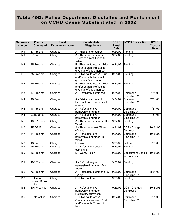| <b>Sequence</b><br><b>Number</b> | Precinct /<br><b>Command</b>                     | Panel<br>Recommendation | <b>Substantiated</b><br>Allegation(s)                                                       | <b>CCRB</b><br><b>Panel</b><br><b>Date</b> | <b>NYPD Disposition</b>           | <b>NYPD</b><br><b>Closure</b><br><b>Date</b> |
|----------------------------------|--------------------------------------------------|-------------------------|---------------------------------------------------------------------------------------------|--------------------------------------------|-----------------------------------|----------------------------------------------|
| 141                              | 67 Precinct                                      | Charges                 | A - Frisk and/or search                                                                     | 9/24/02                                    | Pending                           |                                              |
| $\overline{141}$                 | 67 Precinct                                      | Charges                 | A - Threat of summons,<br>Threat of arrest, Property<br>seized                              | 9/24/02                                    | Pending                           |                                              |
| 142                              | 75 Precinct                                      | Charges                 | F - Physical force; A - Frisk<br>and/or search, Refusal to<br>give name/shield number       | 9/24/02                                    | Pending                           |                                              |
| 142                              | 75 Precinct                                      | Charges                 | F - Physical force; A - Frisk<br>and/or search, Refusal to<br>give name/shield number       | 9/24/02                                    | Pending                           |                                              |
| $\overline{142}$                 | 75 Precinct                                      | Charges                 | F - Physical force; A - Frisk<br>and/or search, Refusal to<br>give name/shield number       | 9/24/02                                    | Pending                           |                                              |
| 143                              | 47 Precinct                                      | Charges                 | A - Retaliatory summons                                                                     | 9/24/02                                    | Command<br>Discipline 'A'         | 7/31/03                                      |
| 144                              | 46 Precinct                                      | Charges                 | A - Frisk and/or search,<br>Refusal to give name/shield<br>number                           | 9/24/02                                    | Command<br>Discipline 'A'         | 7/31/03                                      |
| 144                              | 46 Precinct                                      | Charges                 | A - Refusal to give<br>name/shield number                                                   | 9/24/02                                    | Command<br>Discipline 'A'         | 7/31/03                                      |
| 144                              | <b>Gang Units</b>                                | Charges                 | A - Refusal to give<br>name/shield number                                                   | 9/24/02                                    | Command<br>Discipline 'A'         | 7/31/03                                      |
| 145                              | 103 Precinct                                     | Charges                 | A - Threat of summons; D -<br>Word                                                          | 9/24/02                                    | Pending                           |                                              |
| 146                              | TB DT02                                          | Charges                 | A - Threat of arrest, Threat<br>of force                                                    | 9/24/02                                    | DCT - Charges<br><b>Dismissed</b> | 10/31/03                                     |
| 147                              | 44 Precinct                                      | Charges                 | A - Refusal to give<br>name/shield number; D -<br>Word                                      | 9/24/02                                    | Command<br>Discipline 'B'         | 10/31/03                                     |
| 148                              | 48 Precinct                                      | Charges                 | D - Word                                                                                    | 9/25/02                                    | Instructions                      | 1/31/03                                      |
| 149                              | 46 Precinct                                      | Charges                 | A - Refusal to process<br>complaint                                                         | 9/25/02                                    | Pending                           |                                              |
| 150                              | 46 Precinct                                      | Charges                 | D - Word, Action                                                                            | 9/25/02                                    | Department Unable<br>to Prosecute | 10/31/03                                     |
| 151                              | 100 Precinct                                     | Charges                 | A - Refusal to give<br>name/shield number; D -<br>Word                                      | 9/25/02                                    | Pending                           |                                              |
| 152                              | 76 Precinct                                      | Charges                 | A - Retaliatory summons; D<br>Word                                                          | 9/25/02                                    | Command<br>Discipline 'B'         | 8/31/03                                      |
| 153                              | Detective<br><b>Bureau Bronx</b><br><b>Units</b> | Charges                 | F - Physical force                                                                          | 9/25/02                                    | Pending                           |                                              |
| 154                              | 104 Precinct                                     | Charges                 | A - Refusal to give<br>name/shield number,<br>Retaliatory summons                           | 9/25/02                                    | <b>DCT</b> - Charges<br>Dismissed | 10/31/03                                     |
| 155                              | <b>SI Narcotics</b>                              | Charges                 | F - Physical force; A -<br>Question and/or stop, Frisk<br>and/or search, Threat of<br>force | 9/27/02                                    | Command<br>Discipline 'B'         | 1/31/03                                      |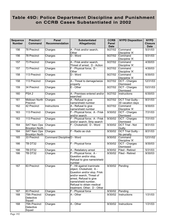| <b>Sequence</b> | Precinct /                                   | Panel                       | <b>Substantiated</b>                                                                                                                                                                                                         | <b>CCRB</b>          | <b>NYPD Disposition</b>                       | <b>NYPD</b>                   |
|-----------------|----------------------------------------------|-----------------------------|------------------------------------------------------------------------------------------------------------------------------------------------------------------------------------------------------------------------------|----------------------|-----------------------------------------------|-------------------------------|
| <b>Number</b>   | <b>Command</b>                               | Recommendation              | Allegation(s)                                                                                                                                                                                                                | Panel<br><b>Date</b> |                                               | <b>Closure</b><br><b>Date</b> |
| 156             | 78 Precinct                                  | Charges                     | A - Frisk and/or search,<br>Other                                                                                                                                                                                            | 9/27/02              | Command<br>Discipline 'A'                     | 5/31/03                       |
| 156             | <b>78 Precinct</b>                           | Charges                     | D - Word                                                                                                                                                                                                                     | 9/27/02              | Command<br>Discipline 'A'                     | 5/31/03                       |
| 157             | <b>73 Precinct</b>                           | Charges                     | A - Frisk and/or search,<br>Threat of arrest; D - Action                                                                                                                                                                     | 9/27/02              | Command<br>Discipline 'A'                     | 4/30/03                       |
| 157             | <b>73 Precinct</b>                           | Charges                     | F - Physical force; D -<br>Other                                                                                                                                                                                             | 9/27/02              | Command<br>Discipline 'A'                     | 4/30/03                       |
| 158             | 113 Precinct                                 | Charges                     | D - Word                                                                                                                                                                                                                     | 9/27/02              | Command<br>Discipline 'A'                     | 6/30/03                       |
| 158             | 113 Precinct                                 | Charges                     | A - Threat to damage/seize<br>property                                                                                                                                                                                       | 9/27/02              | <b>DCT</b> - Charges<br><b>Dismissed</b>      | 12/31/03                      |
| 159             | 34 Precinct                                  | Charges                     | E - Other                                                                                                                                                                                                                    | 9/27/02              | DCT - Charges<br><b>Dismissed</b>             | 10/31/03                      |
| 160             | PSA <sub>2</sub>                             | Charges                     | A - Premises entered and/or<br>searched                                                                                                                                                                                      | 9/27/02              | Instructions                                  | 6/30/03                       |
| 161             | Midtown North<br>Precinct                    | Charges                     | A - Refusal to give<br>name/shield number                                                                                                                                                                                    | 9/27/02              | <b>DCT Trial Guilty -</b><br>30 vacation days | 8/31/03                       |
| 162             | 42 Precinct                                  | Instructions                | A - Refusal to give<br>name/shield number                                                                                                                                                                                    | 9/27/02              | Command<br>Discipline 'A'                     | 9/30/03                       |
| 163             | 113 Precinct                                 | Charges                     | F - Physical force; A - Frisk<br>and/or search                                                                                                                                                                               | 9/30/02              | <b>DCT</b> - Charges<br><b>Dismissed</b>      | 7/31/03                       |
| 163             | 113 Precinct                                 | Charges                     | F - Physical force; A - Frisk<br>and/or search, Strip search                                                                                                                                                                 | 9/30/02              | DCT - Charges<br><b>Dismissed</b>             | 7/31/03                       |
| 164             | <b>SAT Narc Ops</b><br><b>Brooklyn North</b> | Charges                     | F - Chokehold; D - Word                                                                                                                                                                                                      | 9/30/02              | <b>DCT Trial - Not</b><br>Guilty              | 8/31/03                       |
| 164             | <b>SAT Narc Ops</b><br><b>Brooklyn North</b> | Charges                     | F - Radio as club                                                                                                                                                                                                            | 9/30/02              | <b>DCT Trial Guilty -</b><br>No penalty       | 8/31/03                       |
| 165             | 33 Precinct                                  | Command Discipline D - Word |                                                                                                                                                                                                                              | 9/30/02              | Command<br>Discipline 'A'                     | 12/31/02                      |
| 166             | TB DT32                                      | Charges                     | F - Physical force                                                                                                                                                                                                           | 9/30/02              | <b>DCT</b> - Charges<br>Dismissed             | 9/30/03                       |
| 166             | TB DT32                                      | Charges                     | A - Retaliatory arrest                                                                                                                                                                                                       | 9/30/02              | <b>Filed - Retired</b>                        | 5/31/03                       |
| 166             | TB DT32                                      | Charges                     | F - Physical force; A -<br>Question and/or stop,<br>Refusal to give name/shield<br>number                                                                                                                                    | 9/30/02              | Filed - Retired                               | 9/30/03                       |
| 167             | 83 Precinct                                  | Charges                     | F - Hit against inanimate<br>object, Chokehold; A -<br>Question and/or stop, Frisk<br>and/or search, Threat of<br>arrest, Refusal to give<br>name/shield number,<br>Refusal to obtain medical<br>treatment, Other; D - Other | 9/30/02 Pending      |                                               |                               |
| 167             | 83 Precinct                                  | Charges                     | F - Physical force                                                                                                                                                                                                           | 9/30/02              | Pending                                       |                               |
| 168             | 75th Precinct<br>Detective<br>Squad          | Charges                     | A - Other                                                                                                                                                                                                                    | 9/30/02              | Instructions                                  | 1/31/03                       |
| 168             | 75th Precinct<br>Detective<br>Squad          | Charges                     | A - Other                                                                                                                                                                                                                    | 9/30/02              | Instructions                                  | 1/31/03                       |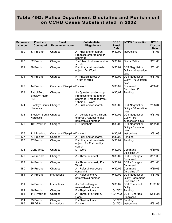| <b>Sequence</b><br><b>Number</b> | Precinct /<br><b>Command</b>                      | <b>Panel</b><br>Recommendation | <b>Substantiated</b><br>Allegation(s)                                                                  | <b>CCRB</b><br><b>Panel</b><br><b>Date</b> | <b>NYPD Disposition</b>                                      | <b>NYPD</b><br><b>Closure</b><br><b>Date</b> |
|----------------------------------|---------------------------------------------------|--------------------------------|--------------------------------------------------------------------------------------------------------|--------------------------------------------|--------------------------------------------------------------|----------------------------------------------|
| 169                              | 67 Precinct                                       | Charges                        | A - Frisk and/or search,<br>Premises entered and/or<br>searched                                        | 9/30/02                                    | Instructions                                                 | 1/31/03                                      |
| 170                              | 62 Precinct                                       | Charges                        | F - Other blunt intrument as<br>a club                                                                 | 9/30/02                                    | <b>Filed - Retired</b>                                       | 3/31/03                                      |
| 171                              | <b>78 Precinct</b>                                | Charges                        | F - Hit against inanimate<br>object; D - Word                                                          | 9/30/02                                    | <b>DCT Negotiation</b><br>Guilty - 10 vacation<br>days       | 5/31/03                                      |
| 171                              | <b>78 Precinct</b>                                | Charges                        | F - Physical force; A -<br>Threat of force                                                             | 9/30/02                                    | <b>DCT</b> Negotiation<br>Guilty - 10 vacation<br>days       | 5/31/03                                      |
| 172                              | 44 Precinct                                       | Command Discipline D - Word    |                                                                                                        | 9/30/02                                    | Command<br>Discipline 'A'                                    | 4/30/03                                      |
| 173                              | Patrol Boro<br><b>Brooklyn North</b><br>ACI       | Charges                        | A - Question and/or stop,<br>Premises entered and/or<br>searched, Threat of arrest,<br>Other; D - Word | 9/30/02                                    | Pending                                                      |                                              |
| 174                              | <b>Brooklyn South Charges</b><br><b>Narcotics</b> |                                | A - Frisk and/or search                                                                                | 9/30/02                                    | <b>DCT Negotiation</b><br>Guilty - 10 vacation<br>days       | 2/28/04                                      |
| 174                              | <b>Brooklyn South Charges</b><br><b>Narcotics</b> |                                | A - Vehicle search, Threat<br>of arrest, Refusal to give<br>name/shield number                         | 9/30/02                                    | <b>DCT</b> Negotiation<br>Guilty - 60<br>suspension days     | 5/31/03                                      |
| 175                              | 106 Precinct                                      | Charges                        | F - Chokehold                                                                                          | 9/30/02                                    | <b>DCT Negotiation</b><br>Guilty - 5 vacation<br>days        | 12/31/03                                     |
| 176                              | 114 Precinct                                      | Command Discipline D - Word    |                                                                                                        | 9/30/02                                    | Instructions                                                 | 3/31/03                                      |
| 177                              | 77 Precinct                                       | Charges                        | A - Frisk and/or search                                                                                | 9/30/02                                    | Pending                                                      |                                              |
| 177                              | 77 Precinct                                       | Charges                        | F - Hit against inanimate<br>object; A - Frisk and/or<br>search                                        | 9/30/02                                    | Pending                                                      |                                              |
| 178                              | Gang Units                                        | Charges                        | D - Word                                                                                               | 9/30/02                                    | Command<br>Discipline 'A'                                    | 6/30/03                                      |
| 179                              | $\overline{24}$ Precinct                          | Charges                        | A - Threat of arrest                                                                                   | 9/30/02                                    | <b>DCT</b> - Charges<br>Dismissed                            | 8/31/03                                      |
| 179                              | 24 Precinct                                       | Charges                        | A - Threat of arrest; D -<br>Word                                                                      | 9/30/02                                    | DCT - Charges<br>Dismissed                                   | 8/31/03                                      |
| 180                              | 26 Precinct                                       | Charges                        | A - Refusal to process<br>complaint                                                                    | 9/30/02                                    | Command<br>Discipline 'A'                                    | 9/30/03                                      |
| 181                              | 24 Precinct                                       | <b>Instructions</b>            | A - Refusal to give<br>name/shield number                                                              | 9/30/02                                    | <b>DCT Negotiation</b><br>Guilty - Command<br>Discipline 'B' | 8/31/03                                      |
| 181                              | 24 Precinct                                       | Instructions                   | A - Refusal to give<br>name/shield number                                                              | 9/30/02                                    | <b>DCT Trial - Not</b><br>Guilty                             | 11/30/03                                     |
| 182                              | 49 Precinct                                       | Charges                        | F - Physical force                                                                                     | 10/17/02                                   | Pending                                                      |                                              |
| 183                              | 113 Precinct                                      | Charges                        | A - Threat of arrest; O -<br>Race                                                                      | 10/17/02                                   | <b>DCT</b> - Charges<br><b>Dismissed</b>                     | 12/31/03                                     |
| 184                              | 75 Precinct                                       | Charges                        | F - Physical force                                                                                     | 10/17/02                                   | Pending                                                      |                                              |
| 185                              | TB DT34                                           | Instructions                   | D - Word                                                                                               |                                            | 10/17/02 Instructions                                        | 5/31/03                                      |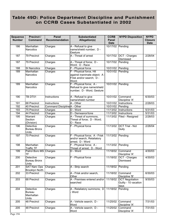| <b>Sequence</b><br><b>Number</b> | Precinct /<br><b>Command</b>                            | <b>Panel</b><br><b>Recommendation</b> | <b>Substantiated</b><br><b>Allegation(s)</b>                                                | <b>CCRB</b><br><b>Panel</b><br><b>Date</b> | <b>NYPD Disposition</b>                                  | <b>NYPD</b><br><b>Closure</b><br><b>Date</b> |
|----------------------------------|---------------------------------------------------------|---------------------------------------|---------------------------------------------------------------------------------------------|--------------------------------------------|----------------------------------------------------------|----------------------------------------------|
| 186                              | Manhattan<br><b>Narcotics</b>                           | Charges                               | A - Refusal to give<br>name/shield number; D -<br>Gesture                                   | 10/17/02 Pending                           |                                                          |                                              |
| 187                              | 79 Precinct                                             | Charges                               | A - Threat of arrest                                                                        |                                            | 10/17/02   DCT - Charges<br><b>Dismissed</b>             | 2/28/04                                      |
| 187                              | 79 Precinct                                             | Charges                               | A - Threat of force; D -<br>Word; O - Race                                                  | 10/17/02                                   | Pending                                                  |                                              |
| 188                              | <b>SI Narcotics</b>                                     | Charges                               | F - Physical force                                                                          | 10/31/02 Pending                           |                                                          |                                              |
| 189                              | Manhattan<br><b>Narcotics</b>                           | Charges                               | F - Physical force, Hit<br>against inanimate object; A<br>Frisk and/or search; D -<br>Word; | 10/31/02 Pending                           |                                                          |                                              |
| 189                              | Manhattan<br><b>Narcotics</b>                           | Charges                               | F - Physical force; A -<br>Refusal to give name/shield<br>number; D - Word, Gesture         | 10/31/02 Pending                           |                                                          |                                              |
| 190                              | TB DT01                                                 | Instructions                          | A - Refusal to give<br>name/shield number                                                   | 10/31/02                                   | Command<br>Discipline 'A'                                | 6/30/03                                      |
| 191                              | 68 Precinct                                             | Instructions                          | A - Other                                                                                   |                                            | 10/31/02 Instructions                                    | 2/28/03                                      |
| 192                              | 40 Precinct                                             | Command Discipline A - Other          |                                                                                             | 10/31/02 Pending                           |                                                          |                                              |
| 193                              | 75 Precinct                                             | Charges                               | D - Word                                                                                    |                                            | 11/13/02 Instructions                                    | 5/31/03                                      |
| 194                              | 44 Precinct                                             | Charges                               | D - Demeanor/tone                                                                           |                                            | 11/13/02 Instructions                                    | 5/31/03                                      |
| 195                              | Warrant<br>Section<br>(Division)                        | Charges                               | A - Threat of summons,<br>Threat of force; D - Word;<br>O - Race                            |                                            | 11/13/02 Filed - Resigned                                | 2/28/03                                      |
| 196                              | Detective<br><b>Bureau Bronx</b><br><b>Units</b>        | Charges                               | F - Physical force                                                                          | 11/13/02                                   | <b>DCT Trial - Not</b><br>Guily                          | 2/28/04                                      |
| 197                              | 70 Precinct                                             | Charges                               | F - Physical force; A - Frisk<br>and/or search, Retaliatory<br>arrest; D - Word             | 11/13/02 Pending                           |                                                          |                                              |
| 198                              | Manhattan<br><b>Traffic TF</b>                          | Charges                               | F - Physical force; A -<br>Threat of arrest; D - Word                                       | 11/13/02 Pending                           |                                                          |                                              |
| 199                              | Patrol Boro MS Charges<br>lTF                           |                                       | D - Word                                                                                    |                                            | 11/18/02 Command<br>Discipline 'A'                       | 4/30/03                                      |
| 200                              | <b>Detective</b><br><b>Bureau Bronx</b><br><b>Units</b> | Charges                               | F - Physical force                                                                          | 11/18/02                                   | DCT - Charges<br>Dismissed                               | 4/30/03                                      |
| 201                              | <b>SAT Narc Ops</b><br><b>Brooklyn North</b>            | Charges                               | A - Strip search                                                                            | 11/18/02 Pending                           |                                                          |                                              |
| 202                              | 33 Precinct                                             | Charges                               | A - Frisk and/or search,<br>Other                                                           |                                            | 11/18/02 Command<br>Discipline 'B'                       | 6/30/03                                      |
| 203                              | 68 Precinct                                             | Charges                               | A - Premises entered and/or<br>searched                                                     |                                            | 11/18/02 DCT Negotiation<br>Guilty - 10 vacation<br>days | 9/30/03                                      |
| 204                              | Detective<br><b>Bureau</b><br>Manhattan<br>Units        | Charges                               | A - Retaliatory summons; D<br>- Word                                                        | 11/18/02                                   | Pending                                                  |                                              |
| 205                              | <b>48 Precinct</b>                                      | Charges                               | A - Vehicle search; D -<br>Word                                                             | 11/25/02                                   | Command<br>Discipline 'A'                                | 7/31/03                                      |
| 205                              | 48 Precinct                                             | Charges                               | A - Vehicle search; D -<br><b>Word</b>                                                      | 11/25/02                                   | Command<br>Discipline 'A'                                | 7/31/03                                      |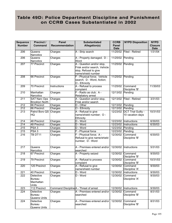| <b>Sequence</b><br><b>Number</b> | Precinct /<br><b>Command</b>                     | <b>Panel</b><br>Recommendation          | <b>Substantiated</b><br>Allegation(s)                                                                    | <b>CCRB</b><br>Panel<br><b>Date</b> | <b>NYPD Disposition</b>                         | <b>NYPD</b><br><b>Closure</b><br><b>Date</b> |
|----------------------------------|--------------------------------------------------|-----------------------------------------|----------------------------------------------------------------------------------------------------------|-------------------------------------|-------------------------------------------------|----------------------------------------------|
| 206                              | Queens<br>Narcotics                              | Charges                                 | A - Strip search                                                                                         | 11/25/02                            | Filed - Retired                                 | 1/31/04                                      |
| 206                              | Queens<br><b>Narcotics</b>                       | Charges                                 | A - Property damaged; D -<br>Word                                                                        | 11/25/02 Pending                    |                                                 |                                              |
| 207                              | <b>77 Precinct</b>                               | Charges                                 | A - Question and/or stop,<br>Frisk and/or search, Vehicle<br>stop, Refusal to give<br>name/shield number | 11/25/02 Pending                    |                                                 |                                              |
| 208                              | 66 Precinct                                      | Charges                                 | F - Physical force; Vehicle<br>search; D - Word, Action;<br>O - Ethnicity                                | 11/25/02 Pending                    |                                                 |                                              |
| 209                              | 70 Precinct                                      | Instructions                            | A - Refusal to process<br>complaint                                                                      | 11/25/02                            | Command<br>Discipline 'B'                       | 11/30/03                                     |
| 210                              | Manhattan<br>Narcotics                           | Charges                                 | F - Radio as club; A -<br>Retaliatory arrest                                                             | 12/13/02                            | Pending                                         |                                              |
| $\overline{211}$                 | <b>SAT Narc Ops</b><br><b>Brooklyn North</b>     | Charges                                 | A - Question and/or stop,<br>Frisk and/or search                                                         |                                     | 12/13/02 Filed - Retired                        | 3/31/03                                      |
| $\overline{212}$                 | 66 Precinct                                      | Charges                                 | D - Other                                                                                                | 12/13/02                            | Pending                                         |                                              |
| 212                              | 66 Precinct                                      | Charges                                 | O - Ethnicity                                                                                            | 12/13/02 Pending                    |                                                 |                                              |
| 213                              | Patrol Boro QS Charges<br>HQ                     |                                         | A - Refusal to give<br>name/shield number; O -<br>Ethnicity                                              |                                     | 12/23/02 DCT Trial Guilty -<br>10 vacation days | 10/31/03                                     |
| 214                              | <b>48 Precinct</b>                               | Charges                                 | D - Word                                                                                                 | 12/23/02                            | Instructions                                    | 6/30/03                                      |
| 214                              | <b>48 Precinct</b>                               | Charges                                 | D - Word                                                                                                 | 12/23/02                            | Instructions                                    | 6/30/03                                      |
| 215                              | PSA <sub>3</sub>                                 | Charges                                 | D - Word                                                                                                 | 12/23/02                            | Pending                                         |                                              |
| 215                              | PSA <sub>3</sub>                                 | Charges                                 | F - Physical force                                                                                       | 12/23/02                            | Pending                                         |                                              |
| 216                              | TB DT11                                          | Charges                                 | F - Physical force; A -<br>Refusal to give name/shield<br>number; D - Word                               | 12/30/02                            | Command<br>Discipline 'B'                       | 6/30/03                                      |
| 217                              | Queens<br><b>Narcotics</b>                       | Charges                                 | A - Premises entered and/or<br>searched                                                                  | 12/30/02                            | Instructions                                    | 5/31/03                                      |
| 218                              | 67 Precinct                                      | Charges                                 | A - Property seized                                                                                      | 12/30/02                            | Command<br>Discipline 'B'                       | 9/30/03                                      |
| 219                              | <b>79 Precinct</b>                               | Charges                                 | A - Refusal to process<br>complaint                                                                      | 12/30/02                            | Command<br>Discipline 'B'                       | 10/31/03                                     |
| 220                              | 120 Precinct                                     | Charges                                 | A - Refusal to give<br>name/shield number                                                                |                                     | 12/30/02 Command<br>Discipline 'A'              | 9/30/03                                      |
| 221                              | 40 Precinct                                      | Charges                                 | D - Word                                                                                                 | 12/30/02                            | Instructions                                    | 9/30/03                                      |
| 222                              | Detective<br><b>Bureau</b><br>Manhattan<br>Units | Charges                                 | D - Word                                                                                                 | 12/30/02                            | Command<br>Discipline 'A'                       | 9/30/03                                      |
| 223                              | 112 Precinct                                     | Command Discipline A - Threat of arrest |                                                                                                          | 12/30/02                            | Instructions                                    | 9/30/03                                      |
| 224                              | Detective<br><b>Bureau</b><br>Queens Units       | Charges                                 | A - Premises entered and/or<br>searched                                                                  |                                     | 12/30/02 Command<br>Discipline 'B'              | 8/31/03                                      |
| 224                              | Detective<br><b>Bureau</b><br>Queens Units       | Charges                                 | A - Premises entered and/or<br>searched                                                                  | 12/30/02                            | Command<br>Discipline 'B'                       | 8/31/03                                      |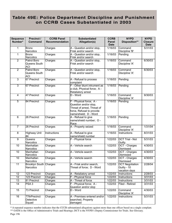| <b>Sequence</b><br>Number* | Precinct /<br><b>Command</b>                      | <b>CCRB Panel</b><br><b>Recommendation</b> | <b>Substantiated</b><br>Allegation(s)                                                                                                 | <b>CCRB</b><br>Panel<br><b>Date</b> | <b>NYPD</b><br>Disposition**                           | <b>NYPD</b><br><b>Closure</b><br><b>Date</b> |
|----------------------------|---------------------------------------------------|--------------------------------------------|---------------------------------------------------------------------------------------------------------------------------------------|-------------------------------------|--------------------------------------------------------|----------------------------------------------|
| $\mathbf{1}$               | <b>Bronx</b><br>Narcotics                         | Charges                                    | A - Question and/or stop,<br>Frisk and/or search                                                                                      | 1/16/03                             | Command<br>Discipline 'B'                              | 5/31/03                                      |
| $\mathbf{1}$               | <b>Bronx</b><br><b>Narcotics</b>                  | Charges                                    | A - Question and/or stop,<br>Frisk and/or search                                                                                      | 1/16/03                             | Pending                                                |                                              |
| $\overline{2}$             | Patrol Boro<br>Queens South<br><b>ACI</b>         | Charges                                    | A - Question and/or stop,<br>Frisk and/or search                                                                                      | 1/16/03                             | Command<br>Discipline 'A'                              | 6/30/03                                      |
| $\overline{2}$             | <b>Patrol Boro</b><br>Queens South<br><b>ACI</b>  | Charges                                    | A - Question and/or stop,<br>Frisk and/or search                                                                                      | 1/16/03                             | Command<br>Discipline 'A'                              | 6/30/03                                      |
| $\overline{3}$             | 67 Precinct                                       | Charges                                    | A - Refusal to process<br>complaint                                                                                                   | 1/16/03                             | Pending                                                |                                              |
| 3                          | 67 Precinct                                       | Charges                                    | F - Other blunt intrument as<br>a club, Physical force; A -<br>Retaliatory arrest                                                     | 1/16/03                             | Pending                                                |                                              |
| $\overline{4}$             | 47 Precinct                                       | Charges                                    | D - Word                                                                                                                              | 1/16/03                             | Command<br>Discipline 'A'                              | 9/30/03                                      |
| $\overline{5}$             | 84 Precinct                                       | Charges                                    | F - Physical force; A -<br>Question and/or stop,<br>Threat of arrest, Threat of<br>force, Refusal to provide<br>name/shield; D - Word | 1/16/03                             | Pending                                                |                                              |
| $6\phantom{1}$             | 26 Precinct                                       | Charges                                    | A - Refusal to give<br>name/shield number; O -<br>Race                                                                                | 1/16/03                             | Pending                                                |                                              |
| $\overline{7}$             | 26 Precinct                                       | Charges                                    | A - Property seized                                                                                                                   | 1/16/03                             | Command<br>Discipline 'A'                              | 1/31/04                                      |
| 8                          | <b>Highway Unit</b><br>#4                         | Instructions                               | A - Refusal to give<br>name/shield number                                                                                             | 1/16/03                             | Instructions                                           | 8/31/03                                      |
| $\overline{9}$             | Queens<br>Narcotics                               | Charges                                    | F - Physical force                                                                                                                    | 1/22/03                             | <b>DCT Trial - Not</b><br>Guilty                       | 5/31/03                                      |
| 10                         | Manhattan<br><b>Narcotics</b>                     | Charges                                    | A - Vehicle search                                                                                                                    | 1/22/03                             | <b>DCT</b> - Charges<br>Dismissed                      | 4/30/03                                      |
| 10                         | Manhattan<br><b>Narcotics</b>                     | Charges                                    | A - Vehicle search                                                                                                                    | 1/22/03                             | <b>DCT</b> - Charges<br><b>Dismissed</b>               | 4/30/03                                      |
| 10                         | Manhattan<br><b>Narcotics</b>                     | Charges                                    | A - Vehicle search                                                                                                                    | 1/22/03                             | DCT - Charges<br>Dismissed                             | 4/30/03                                      |
| $\overline{11}$            | <b>Brooklyn South Charges</b><br><b>Narcotics</b> |                                            | A - Frisk and/or search,<br>Threat of force; D - Word                                                                                 | 1/22/03                             | <b>DCT Negotiation</b><br>Guilty - 10<br>vacation days | 2/28/04                                      |
| $\overline{12}$            | 123 Precinct                                      | Charges                                    | A - Retaliatory arrest                                                                                                                | 1/22/03                             | Instructions                                           | 2/28/03                                      |
| $\overline{12}$            | 123 Precinct                                      | Charges                                    | F - Physical force                                                                                                                    | 1/22/03                             | Instructions                                           | 3/31/03                                      |
| 13                         | 81 Precinct                                       | Charges                                    | A - Threat of force                                                                                                                   | 1/22/03                             | Instructions                                           | 3/31/03                                      |
| 14                         | PSA <sub>3</sub>                                  | Charges                                    | F - Physical force; A -<br>Question and/or stop                                                                                       | 1/22/03                             | Filed - Retired                                        | 3/31/03                                      |
| 15                         | 73 Precinct                                       | Charges                                    | D - Word                                                                                                                              | 1/22/03                             | Command<br>Discipline 'A'                              | 4/30/03                                      |
| 16                         | 77thPrecinct<br>Detective<br>Squad                | Charges                                    | A - Premises entered and/or<br>searched, Property<br>damaged                                                                          | 1/22/03                             | Instructions                                           | 5/31/03                                      |

\* A repeated sequence number indicates that the CCCB substantiated allegations against more than one officer based on a single complant. \*\* OATH is the Office of Administrative Trials and Hearings; DCT is the NYPD's Deputy Commissioner for Trials. See Glossary.

Page 196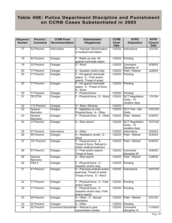| <b>Sequence</b><br><b>Number</b> | Precinct /<br><b>Command</b> | <b>CCRB Panel</b><br><b>Recommendation</b> | <b>Substantiated</b><br>Allegation(s)                                                   | <b>CCRB</b><br>Panel<br><b>Date</b> | <b>NYPD</b><br><b>Disposition</b>                      | <b>NYPD</b><br><b>Closure</b><br><b>Date</b> |
|----------------------------------|------------------------------|--------------------------------------------|-----------------------------------------------------------------------------------------|-------------------------------------|--------------------------------------------------------|----------------------------------------------|
| 17                               | 52 Precinct                  | Instructions                               | A - Improper dissemination<br>of medical information                                    | 1/22/03                             | Instructions                                           | 3/31/03                                      |
| 18                               | 42 Precinct                  | Charges                                    | F - Radio as club, Hit<br>against inanimate object                                      | 1/22/03                             | Pending                                                |                                              |
| 19                               | 33 Precinct                  | Charges                                    | D - Word                                                                                | 1/22/03                             | Command<br>Discipline 'A'                              | 6/30/03                                      |
| 20                               | <b>77 Precinct</b>           | Charges                                    | A - Question and/or stop                                                                | 1/22/03                             | Filed - Retired                                        | 2/28/04                                      |
| 20                               | 77 Precinct                  | Charges                                    | F - Hit against inanimate<br>object; A - Frisk and/or<br>search, Threat of arrest       | 1/22/03                             | Pending                                                |                                              |
| 20                               | <b>77 Precinct</b>           | Charges                                    | F - Hit against inanimate<br>object; A - Threat of force;<br>D - Word                   | 1/22/03                             | Pending                                                |                                              |
| $\overline{20}$                  | <b>77 Precinct</b>           | Charges                                    | F - Physical force                                                                      | 1/22/03                             | Pending                                                |                                              |
| $\overline{21}$                  | TB DT04                      | Charges                                    | F - Physical force; D - Word                                                            | 1/22/03                             | <b>DCT</b> Negotiation<br>Guilty - 15<br>vacation days | 1/31/04                                      |
| $\overline{22}$                  | 113 Precinct                 | Charges                                    | O - Race, Ethnicity                                                                     | 1/22/03                             |                                                        |                                              |
| 23                               | Queens<br>Narcotics          | Charges                                    | F - Nightstick as club,<br>Physical force; A - Other                                    | 1/22/03                             | <b>DCT Trial - Not</b><br>Guilty                       | 12/31/03                                     |
| $\overline{23}$                  | Queens<br>Narcotics          | Charges                                    | F - Physical force; A - Other                                                           | 1/22/03                             | <b>Filed - Retired</b>                                 | 6/30/03                                      |
| 24                               | $\overline{13}$ Precinct     | Charges                                    | A - Strip search                                                                        | 1/22/03                             | <b>DCT Negotiation</b><br>Guilty - 10<br>vacation days | 12/31/03                                     |
| 25                               | 47 Precinct                  | Instructions                               | A - Other                                                                               | 1/22/03                             | Instructions                                           | 9/30/03                                      |
| $\overline{26}$                  | 48 Precinct                  | Charges                                    | A - Retaliatory arrest; D -<br>Word                                                     | 1/22/03                             | Filed - Retired                                        | 9/30/03                                      |
| 27                               | 107 Precinct                 | Charges                                    | F - Physical force; A -<br>Threat of force, Refusal to<br>obtain medical treatment      | 1/22/03                             | Filed - Retired                                        | 6/30/03                                      |
| 28                               | 67 Precinct                  | Charges                                    | A - Frisk and/or search,<br>Threat of force                                             | 1/22/03                             | Command<br>Discipline 'B'                              | 9/30/03                                      |
| 29                               | Queens<br>Narcotics          | Charges                                    | A - Strip search                                                                        | 1/22/03                             | Filed - Retired                                        | 2/28/04                                      |
| 30                               | PSA <sub>5</sub>             | Charges                                    | F - Physical force; A -<br>Question and/or stop                                         | 1/22/03 Pending                     |                                                        |                                              |
| $\overline{31}$                  | 47 Precinct                  | Charges                                    | A - Premises entered and/or<br>searched, Threat of arrest,<br>Threat of force; D - Word | 1/22/03                             | Instructions                                           | 10/31/03                                     |
| 32                               | <b>77 Precinct</b>           | Charges                                    | F - Physical force; A - Frisk<br>and/or search                                          | 1/22/03                             | Pending                                                |                                              |
| 32                               | 77 Precinct                  | Charges                                    | F - Physical force; A -<br>Question and/or stop, Frisk<br>and/or search                 | 1/22/03                             | Pending                                                |                                              |
| 33                               | 20 Precinct                  | Charges                                    | A - Other; O - Sexual<br>orientation                                                    | 1/22/03                             | Filed - Retired                                        | 5/31/03                                      |
| 33                               | 20 Precinct                  | Charges                                    | A - Other                                                                               | 1/22/03                             | Pending                                                |                                              |
| $\overline{34}$                  | 32 Precinct                  | Command Discipline A - Refusal to give     | name/shield number                                                                      | 1/22/03                             | Command<br>Discipline 'A'                              | 11/30/03                                     |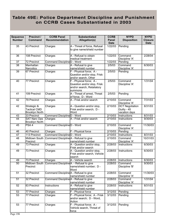| <b>Sequence</b><br><b>Number</b> | Precinct /<br><b>Command</b>                                | <b>CCRB Panel</b><br><b>Recommendation</b>           | <b>Substantiated</b><br>Allegation(s)                                                           | <b>CCRB</b><br>Panel | <b>NYPD</b><br><b>Disposition</b>                      | <b>NYPD</b><br><b>Closure</b> |
|----------------------------------|-------------------------------------------------------------|------------------------------------------------------|-------------------------------------------------------------------------------------------------|----------------------|--------------------------------------------------------|-------------------------------|
|                                  |                                                             |                                                      |                                                                                                 | <b>Date</b>          |                                                        | <b>Date</b>                   |
| 35                               | 43 Precinct                                                 | Charges                                              | A - Threat of force, Refusal<br>to give name/shield number                                      | 1/22/03              | Pending                                                |                               |
| 36                               | 108 Precinct                                                | Charges                                              | A - Refusal to obtain<br>medical treatment                                                      | 1/22/03              | Command<br>Discipline 'A'                              | 2/28/04                       |
| $\overline{37}$                  | <b>72 Precinct</b>                                          | Command Discipline D - Word                          |                                                                                                 | 1/22/03              | Pending                                                |                               |
| 38                               | Manhattan<br>Narcotics                                      | Charges                                              | A - Refusal to give<br>name/shield number                                                       | 2/5/03               | Command<br>Discipline 'A'                              | 6/30/03                       |
| 39                               | 67 Precinct                                                 | Charges                                              | F - Physical force; A -<br>Question and/or stop, Frisk<br>and/or search, Other                  | 2/5/03               | Pending                                                |                               |
| 40                               | 77 Precinct                                                 | Charges                                              | F - Physical force; A -<br>Question and/or stop, Frisk<br>and/or search, Retaliatory<br>summons | 2/5/03               | Command<br>Discipline 'A'                              | 1/31/04                       |
| 41                               | 109 Precinct                                                | Charges                                              | A - Threat of arrest, Threat<br>of force; D - Word                                              | 2/5/03               | Pending                                                |                               |
| 42                               | 79 Precinct                                                 | Charges                                              | A - Frisk and/or search                                                                         | 2/10/03              | Command<br>Discipline 'A'                              | 7/31/03                       |
| 42                               | Strategic &<br><b>Tactical CMD</b><br><b>Brooklyn North</b> | Charges                                              | A - Question and/or stop,<br>Frisk and/or search; D -<br>Word                                   | 2/10/03              | <b>DCT Negotiation</b><br>Guilty - 45<br>vacation days | 8/31/03                       |
| 43                               | 33 Precinct                                                 | Command Discipline D - Word                          |                                                                                                 | 2/10/03              | Instructions                                           | 8/31/03                       |
| 44                               | <b>SAT Narc Ops</b><br><b>Brooklyn North</b>                | Charges                                              | A - Frisk and/or search                                                                         | 2/10/03              | Instructions                                           | 9/30/03                       |
| 45                               | PSA <sub>4</sub>                                            | Command Discipline D - Word                          |                                                                                                 | 2/10/03              | Command<br>Discipline 'A'                              | 11/30/03                      |
| 46                               | 40 Precinct                                                 | Charges                                              | F - Physical force                                                                              | 2/10/03              | Pending                                                |                               |
| $\overline{47}$                  | 113 Precinct                                                | Command Discipline D - Word                          |                                                                                                 | 2/10/03              | Instructions                                           | 8/31/03                       |
| 48                               | <b>Midtown South</b><br>Precinct                            | Command Discipline A - Refusal to give               | name/shield number                                                                              | 2/10/03              | Command<br>Discipline 'A'                              | 10/31/03                      |
| 49                               | 73 Precinct                                                 | Charges                                              | A - Question and/or stop,<br>Frisk and/or search                                                | 2/28/03              | Instructions                                           | 6/30/03                       |
| 49                               | 73 Precinct                                                 | Charges                                              | A - Question and/or stop,<br>Frisk and/or search, Vehicle<br>search                             | 2/28/03              | Instructions                                           | 6/30/03                       |
| 49                               | <b>73 Precinct</b>                                          | Charges                                              | A - Vehicle search                                                                              |                      | 2/28/03 Instructions                                   | 6/30/03                       |
| 50                               | Precinct                                                    | Midtown South Command Discipline A - Refusal to give | name/shield number; D -<br>Word                                                                 | 2/28/03              | Command<br>Discipline 'B'                              | 9/30/03                       |
| 51                               | 32 Precinct                                                 | Command Discipline A - Refusal to give               | name/shield number                                                                              | 2/28/03              | Command<br>Discipline 'A'                              | 11/30/03                      |
| 51                               | 32 Precinct                                                 | Command Discipline A - Refusal to give               | name/shield number                                                                              | 2/28/03              | Command<br>Discipline 'A'                              | 1/31/04                       |
| 52                               | 83 Precinct                                                 | Instructions                                         | A - Refusal to give<br>name/shield number                                                       | 2/28/03              | Instructions                                           | 8/31/03                       |
| 53                               | 77 Precinct                                                 | Charges                                              | F - Physical force                                                                              | 3/12/03              | Pending                                                |                               |
| 53                               | 77 Precinct                                                 | Charges                                              | F - Physical force; A - Frisk<br>and/or search; D - Word,<br>Action                             | 3/12/03              | Pending                                                |                               |
| 53                               | 77 Precinct                                                 | Charges                                              | F - Physical force; A -<br>Vehicle search, Threat of<br>force                                   | 3/12/03              | Pending                                                |                               |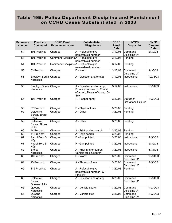| <b>Sequence</b><br><b>Number</b> | Precinct /<br><b>Command</b>                      | <b>CCRB Panel</b><br><b>Recommendation</b> | <b>Substantiated</b><br>Allegation(s)                                                            | <b>CCRB</b><br>Panel<br><b>Date</b> | <b>NYPD</b><br><b>Disposition</b>        | <b>NYPD</b><br><b>Closure</b><br><b>Date</b> |
|----------------------------------|---------------------------------------------------|--------------------------------------------|--------------------------------------------------------------------------------------------------|-------------------------------------|------------------------------------------|----------------------------------------------|
| $\overline{54}$                  | 101 Precinct                                      | Charges                                    | A - Refusal to give                                                                              | 3/12/03                             | Command                                  | 9/30/03                                      |
|                                  |                                                   |                                            | name/shield number                                                                               |                                     | Discipline 'A'                           |                                              |
| 54                               | 101 Precinct                                      | Command Discipline A - Refusal to give     |                                                                                                  | 3/12/03                             | Pending                                  |                                              |
|                                  |                                                   |                                            | name/shield number                                                                               |                                     |                                          |                                              |
| 54                               | 101 Precinct                                      | Command Discipline A - Refusal to give     |                                                                                                  | 3/12/03                             | Pending                                  |                                              |
|                                  |                                                   |                                            | name/shield number                                                                               |                                     |                                          |                                              |
| 55                               | 63 Precinct                                       | Charges                                    | D - Word                                                                                         | 3/12/03                             | Command<br>Discipline 'A'                | 9/30/03                                      |
| $\overline{56}$                  | <b>Brooklyn South Charges</b><br><b>Narcotics</b> |                                            | A - Question and/or stop                                                                         | 3/12/03                             | Instructions                             | 10/31/03                                     |
| 56                               | <b>Brooklyn South Charges</b><br><b>Narcotics</b> |                                            | A - Question and/or stop,<br>Frisk and/or search, Threat<br>of arrest, Threat of force; O<br>Sex | 3/12/03                             | Instructions                             | 10/31/03                                     |
| $\overline{57}$                  | 104 Precinct                                      | Charges                                    | F - Pepper spray                                                                                 | 3/20/03                             | Statute of<br><b>Limitations Expired</b> | 11/30/03                                     |
| 58                               | 67 Precinct                                       | Charges                                    | F - Physical force                                                                               | 3/20/03                             | Pending                                  |                                              |
| 59                               | Detective<br><b>Bureau Bronx</b>                  | Charges                                    | A - Other                                                                                        | 3/20/03                             | Pending                                  |                                              |
| 59                               | Units<br>Detective                                |                                            | A - Other                                                                                        |                                     |                                          |                                              |
|                                  | <b>Bureau Bronx</b><br><b>Units</b>               | Charges                                    |                                                                                                  | 3/20/03                             | Pending                                  |                                              |
| 60                               | 44 Precinct                                       | Charges                                    | A - Frisk and/or search                                                                          | 3/20/03                             | Pending                                  |                                              |
| 60                               | 44 Precinct                                       | Charges                                    | A - Strip search                                                                                 | 3/20/03                             | Pending                                  |                                              |
| 61                               | Patrol Boro SI<br>HQ                              | Charges                                    | F - Gun pointed                                                                                  | 3/20/03                             | Instructions                             | 9/30/03                                      |
| 61                               | Patrol Boro SI<br>HQ                              | Charges                                    | F - Gun pointed                                                                                  | 3/20/03                             | Instructions                             | 9/30/03                                      |
| 62                               | <b>Bronx</b><br>Narcotics                         | Charges                                    | A - Frisk and/or search,<br>Vehicle stop & search                                                | 3/20/03                             | Instructions                             | 5/31/03                                      |
| 63                               | 40 Precinct                                       | Charges                                    | D - Word                                                                                         | 3/20/03                             | Command<br>Discipline 'A'                | 10/31/03                                     |
| 64                               | 23 Precinct                                       | Charges                                    | A - Threat of force                                                                              | 3/20/03                             | Command<br>Discipline 'A'                | 9/30/03                                      |
| 65                               | 112 Precinct                                      | Charges                                    | A - Refusal to give<br>name/shield number; O -<br>Ethnicity                                      | 3/20/03                             | Pending                                  |                                              |
| 66                               | Detective<br><b>Bureau</b><br>Queens Units        | Charges                                    | A - Question and/or stop                                                                         | 3/20/03                             | Command<br>Discipline 'A'                | 10/31/03                                     |
| 66                               | Queens<br>Narcotics                               | Charges                                    | A - Vehicle search                                                                               | 3/20/03                             | Command<br>Discipline 'A'                | 11/30/03                                     |
| 66                               | Queens<br>Narcotics                               | Charges                                    | A - Vehicle stop                                                                                 | 3/20/03                             | Command<br>Discipline 'A'                | 11/30/03                                     |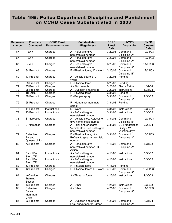| <b>Sequence</b><br><b>Number</b> | Precinct /<br><b>Command</b>                     | <b>CCRB Panel</b><br><b>Recommendation</b> | <b>Substantiated</b><br>Allegation(s)                                           | <b>CCRB</b><br>Panel<br><b>Date</b> | <b>NYPD</b><br><b>Disposition</b>                      | <b>NYPD</b><br><b>Closure</b><br><b>Date</b> |
|----------------------------------|--------------------------------------------------|--------------------------------------------|---------------------------------------------------------------------------------|-------------------------------------|--------------------------------------------------------|----------------------------------------------|
| 67                               | PSA <sub>7</sub>                                 | Charges                                    | A - Refusal to give<br>name/shield number                                       | 3/20/03                             | Command<br>Discipline 'A'                              | 10/31/03                                     |
| 67                               | PSA <sub>7</sub>                                 | Charges                                    | A - Refusal to give<br>name/shield number                                       | 3/20/03                             | Command<br>Discipline 'A'                              | 10/31/03                                     |
| 67                               | PSA <sub>7</sub>                                 | Charges                                    | A - Refusal to give<br>name/shield number                                       | 3/20/03                             | Command<br>Discipline 'A'                              | 11/30/03                                     |
| 68                               | 84 Precinct                                      | Charges                                    | F - Physical force; D - Word                                                    | 3/20/03                             | Command<br>Discipline 'B'                              | 12/31/03                                     |
| 69                               | 43 Precinct                                      | Charges                                    | A - Vehicle search; D -<br>Word                                                 | 3/20/03                             | Pending                                                |                                              |
| 70                               | 28 Precinct                                      | Charges                                    | F - Physical force                                                              | 3/20/03                             | Pending                                                |                                              |
| $\overline{71}$                  | 75 Precinct                                      | Charges                                    | A - Strip search                                                                | 3/20/03                             | <b>Filed - Retired</b>                                 | 1/31/04                                      |
| $\overline{72}$                  | 28 Precinct                                      | Charges                                    | A - Question and/or stop                                                        | 3/20/03                             | Instructions                                           | 8/31/03                                      |
| 73                               | TB DT03                                          | Charges                                    | F - Physical force                                                              | 3/31/03                             | Pending                                                |                                              |
| $\overline{74}$                  | 76 Precinct                                      | Charges                                    | F - Pepper spray                                                                | 3/31/03                             | Command<br>Discipline 'A'                              | 9/30/03                                      |
| $\overline{75}$                  | 68 Precinct                                      | Charges                                    | F - Hit against inanimate<br>object                                             | 3/31/03                             | Pending                                                |                                              |
| 76                               | 44 Precinct                                      | Instructions                               | D - Word                                                                        | 3/31/03                             | Instructions                                           | 6/30/03                                      |
| $\overline{77}$                  | 23 Precinct                                      | Instructions                               | A - Refusal to give<br>name/shield number                                       | 3/31/03                             | Instructions                                           | 6/30/03                                      |
| $\overline{78}$                  | <b>SI Narcotics</b>                              | Charges                                    | A - Vehicle stop, Refusal to<br>give name/shield number                         | 3/31/03                             | Command<br>Discipline 'B'                              | 12/31/03                                     |
| 78                               | <b>SI Narcotics</b>                              | Charges                                    | A - Frisk and/or search,<br>Vehicle stop, Refusal to give<br>name/shield number | 3/31/03                             | <b>DCT Negotiation</b><br>Guilty - 12<br>vacation days | 2/28/04                                      |
| 79                               | Detective<br><b>Bureau</b><br>Queens Units       | Charges                                    | F - Physical force; A -<br>Refusal to give name/shield<br>number                | 3/31/03                             | Command<br>Discipline 'A'                              | 10/31/03                                     |
| 80                               | 73 Precinct                                      | Charges                                    | A - Refusal to give<br>name/shield number; D -<br>Action                        | 4/18/03                             | Command<br>Discipline 'A'                              | 8/31/03                                      |
| 81                               | Patrol Boro<br><b>Bronx TF</b>                   | Instructions                               | A - Refusal to give<br>name/shield number                                       | 4/18/03                             | Instructions                                           | 6/30/03                                      |
| 81                               | Patrol Boro<br><b>Bronx TF</b>                   | Instructions                               | A - Refusal to give<br>name/shield number                                       | 4/18/03                             | Instructions                                           | 6/30/03                                      |
| 82                               | 63 Precinct                                      | Charges                                    | F - Physical force                                                              |                                     | 4/18/03 Pending                                        |                                              |
| 83                               | 42 Precinct                                      | Charges                                    | F - Physical force; D - Word                                                    | 4/18/03                             | Command<br>Discipline 'A'                              | 10/31/03                                     |
| 84                               | In-Service<br>Training<br>Section                | Charges                                    | A - Threat of force                                                             | 4/18/03                             | Instructions                                           | 9/30/03                                      |
| 85                               | 43 Precinct                                      | Charges                                    | A - Other                                                                       | 4/21/03                             | Instructions                                           | 9/30/03                                      |
| 86                               | Detective<br><b>Bureau</b><br>Manhattan<br>Units | Charges                                    | A - Other                                                                       | 4/21/03                             | Command<br>Discipline 'A'                              | 11/30/03                                     |
| 86                               | 26 Precinct                                      | Charges                                    | A - Question and/or stop,<br>Frisk and/or search, Other                         | 4/21/03                             | Command<br>Discipline 'A'                              | 1/31/04                                      |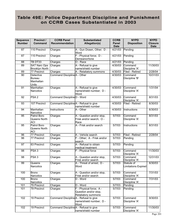| <b>Sequence</b><br><b>Number</b> | Precinct /<br><b>Command</b>                     | <b>CCRB Panel</b><br><b>Recommendation</b> | <b>Substantiated</b><br>Allegation(s)                                   | <b>CCRB</b><br>Panel<br><b>Date</b> | <b>NYPD</b><br><b>Disposition</b>        | <b>NYPD</b><br><b>Closure</b><br><b>Date</b> |
|----------------------------------|--------------------------------------------------|--------------------------------------------|-------------------------------------------------------------------------|-------------------------------------|------------------------------------------|----------------------------------------------|
| 87                               | 110 Precinct                                     | Charges                                    | A - Gun Drawn, Other; D -<br>Word                                       | 4/21/03                             | Pending                                  |                                              |
| 87                               | 110 Precinct                                     | Charges                                    | F - Physical force; D -<br>Demeanor/tone                                | 4/21/03                             | Pending                                  |                                              |
| 88                               | TB DT33                                          | Charges                                    | O - Race                                                                | 4/21/03                             | Pending                                  |                                              |
| 89                               | <b>SAT Narc Ops</b><br><b>Brooklyn North</b>     | Charges                                    | A - Refusal to give<br>name/shield number                               | 4/30/03                             | Command<br>Discipline 'A'                | 11/30/03                                     |
| 89                               | <b>77 Precinct</b>                               | Charges                                    | A - Retaliatory summons                                                 | 4/30/03                             | <b>Filed - Retired</b>                   | 2/28/04                                      |
| 90                               | Detective<br><b>Bureau</b><br>Manhattan<br>Units | Command Discipline A - Other               |                                                                         | 4/30/03                             | Command<br>Discipline 'B'                | 10/31/03                                     |
| 91                               | Manhattan<br><b>Narcotics</b>                    | Charges                                    | A - Refusal to give<br>name/shield number; D -<br>Word                  | 4/30/03                             | Command<br>Discipline 'A'                | 1/31/04                                      |
| 92                               | PSA <sub>2</sub>                                 | Command Discipline D - Word                |                                                                         | 4/30/03                             | Command<br>Discipline 'A'                | 8/31/03                                      |
| 93                               | 107 Precinct                                     | Command Discipline A - Refusal to give     | name/shield number                                                      | 4/30/03                             | <b>Filed - Retired</b>                   | 6/30/03                                      |
| 94                               | Manhattan<br><b>Narcotics</b>                    | Instructions                               | A - Other                                                               | 4/30/03                             | Instructions                             | 6/30/03                                      |
| 95                               | Patrol Boro<br>Queens North<br>ACI               | Charges                                    | A - Question and/or stop,<br>Frisk and/or search; O -<br>Race           | 5/7/03                              | Command<br>Discipline 'A'                | 8/31/03                                      |
| 95                               | <b>Patrol Boro</b><br>Queens North<br><b>ACI</b> | Charges                                    | A - Frisk and/or search                                                 | 5/7/03                              | Instructions                             | 8/31/03                                      |
| 96                               | <b>77 Precinct</b>                               | Charges                                    | A - Vehicle search                                                      | 5/7/03                              | Filed - Retired                          | 2/28/04                                      |
| 96                               | 77 Precinct                                      | Charges                                    | F - Other; A - Frisk and/or<br>search                                   | 5/7/03                              | Pending                                  |                                              |
| 97                               | 83 Precinct                                      | Charges                                    | A - Refusal to obtain<br>medical treatment                              | 5/7/03                              | Pending                                  |                                              |
| 98                               | $PSA$ 3                                          | Charges                                    | F - Physical force                                                      | 5/7/03                              | Command<br>Discipline 'A'                | 11/30/03                                     |
| 98                               | PSA <sub>3</sub>                                 | Charges                                    | A - Question and/or stop,<br>Frisk and/or search                        | 5/7/03                              | Command<br>Discipline 'A'                | 12/31/03                                     |
| 99                               | Queens<br><b>Narcotics</b>                       | Charges                                    | A - Threat of arrest; D -<br>Word                                       | 5/7/03                              | Statute of<br><b>Limitations Expired</b> | 6/30/03                                      |
| 100                              | <b>Bronx</b><br>Narcotics                        | Charges                                    | A - Question and/or stop,<br>Frisk and/or search                        | 5/7/03                              | Command<br>Discipline 'A'                | 7/31/03                                      |
| 100                              | <b>Bronx</b><br><b>Narcotics</b>                 | Charges                                    | D - Word                                                                | 5/7/03                              | Command<br>Discipline 'A'                | 7/31/03                                      |
| 101                              | 79 Precinct                                      | Charges                                    | D - Word                                                                | 5/7/03                              | Pending                                  |                                              |
| 101                              | 79 Precinct                                      | Charges                                    | F - Physical force; A -<br>Question and/or stop,<br>Retaliatory summons | 5/7/03                              | Pending                                  |                                              |
| 102                              | 19 Precinct                                      | Command Discipline A - Refusal to give     | name/shield number; D -<br>Word                                         | 5/7/03                              | Command<br>Discipline 'A'                | 9/30/03                                      |
| 102                              | 19 Precinct                                      | Command Discipline A - Refusal to give     | name/shield number                                                      | 5/7/03                              | Command<br>Discipline 'A'                | 11/30/03                                     |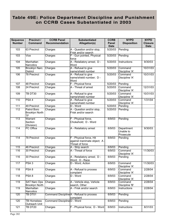| <b>Sequence</b><br><b>Number</b> | Precinct /<br><b>Command</b>                 | <b>CCRB Panel</b><br><b>Recommendation</b> | <b>Substantiated</b><br>Allegation(s)                                       | <b>CCRB</b><br>Panel<br><b>Date</b> | <b>NYPD</b><br><b>Disposition</b>    | <b>NYPD</b><br><b>Closure</b><br><b>Date</b> |
|----------------------------------|----------------------------------------------|--------------------------------------------|-----------------------------------------------------------------------------|-------------------------------------|--------------------------------------|----------------------------------------------|
| 103                              | 63 Precinct                                  | Charges                                    | A - Question and/or stop,<br>Frisk and/or search                            | 5/20/03                             | Pending                              |                                              |
| 103                              | Vice                                         | Charges                                    | F - Gun pointed, Physical<br>force                                          | 5/20/03                             | Pending                              |                                              |
| 104                              | Manhattan<br><b>Narcotics</b>                | Charges                                    | A - Retaliatory arrest; D -<br>Word                                         | 5/20/03                             | <b>Instructions</b>                  | 9/30/03                                      |
| 105                              | Brooklyn Narc.<br><b>District</b>            | Charges                                    | A - Refusal to give<br>name/shield number                                   | 5/20/03                             | Command<br>Discipline 'A'            | 10/31/03                                     |
| 106                              | <b>78 Precinct</b>                           | Charges                                    | A - Refusal to give<br>name/shield number; D -<br>Word                      | 5/20/03                             | Command<br>Discipline 'A'            | 10/31/03                                     |
| 107                              | 48 Precinct                                  | Charges                                    | F - Physical force                                                          | $\sqrt{5/20/03}$                    | Pending                              |                                              |
| 108                              | 24 Precinct                                  | Charges                                    | A - Threat of arrest                                                        | 5/20/03                             | Command<br>Discipline 'A'            | 12/31/03                                     |
| 109                              | TB DT30                                      | Charges                                    | A - Refusal to give<br>name/shield number                                   | 5/20/03                             | Command<br>Discipline 'A'            | 10/31/03                                     |
| 110                              | PSA <sub>4</sub>                             | Charges                                    | A - Refusal to give<br>name/shield number                                   | 5/20/03                             | Command<br>Discipline 'A'            | 1/31/04                                      |
| 111                              | 49 Precinct                                  | Charges                                    | D - Word                                                                    | 5/20/03                             | Pending                              |                                              |
| 112                              | Patrol Boro<br><b>Brooklyn North</b><br>lTF  | Charges                                    | A - Question and/or stop,<br>Frisk and/or search                            | 5/20/03                             | Pending                              |                                              |
| 113                              | Warrant<br>Section<br>(Division)             | Charges                                    | F - Physical force,<br>Chokehold; D - Word                                  | 6/9/03                              | Pending                              |                                              |
| 114                              | <b>PC</b> Office                             | Charges                                    | A - Retaliatory arrest                                                      | 6/9/03                              | Department<br>Unable to<br>Prosecute | 9/30/03                                      |
| 114                              | <b>78 Precinct</b>                           | Charges                                    | F - Physical force, Hit<br>against inanimate object; A -<br>Threat of force | 6/9/03                              | Pending                              |                                              |
| 115                              | 46 Precinct                                  | Charges                                    | A - Strip search                                                            | 6/9/03                              | Pending                              |                                              |
| 116                              | 30 Precinct                                  | Charges                                    | A - Threat of force                                                         | 6/9/03                              | Command<br>Discipline 'A'            | 11/30/03                                     |
| 116                              | 30 Precinct                                  | Charges                                    | A - Retaliatory arrest; D -<br>Word; O - Race                               | 6/9/03                              | Pending                              |                                              |
| 117                              | PSA <sub>3</sub>                             | Charges                                    | D - Word, Action                                                            | 6/9/03                              | Command<br>Discipline 'A'            | 11/30/03                                     |
| 118                              | PSA <sub>8</sub>                             | Charges                                    | A - Refusal to process<br>complaint                                         | 6/9/03                              | Command<br>Discipline 'A'            | 2/28/04                                      |
| 118                              | PSA <sub>8</sub>                             | Charges                                    | D - Word                                                                    | 6/9/03                              | Command<br>Discipline 'A'            | 2/28/04                                      |
| 119                              | <b>SAT Narc Ops</b><br><b>Brooklyn North</b> | Charges                                    | A - Vehicle stop, Vehicle<br>search, Other                                  | 6/9/03                              | Command<br>Discipline 'B'            | 2/28/04                                      |
| 119                              | Manhattan<br><b>Narcotics</b>                | Charges                                    | A - Frisk and/or search                                                     | 6/9/03                              | Instructions                         | 2/28/04                                      |
| 120                              | TB DT01                                      |                                            | Command Discipline A - Refusal to process<br>complaint                      | 6/9/03                              | Pending                              |                                              |
| 120                              | <b>TB Homeless</b><br>Outreach Unit          | Command Discipline D - Word                |                                                                             | 6/9/03                              | Pending                              |                                              |
| 121                              | TB DT20                                      | Charges                                    | F - Physical force; D - Word                                                | 6/9/03                              | Instructions                         | 8/31/03                                      |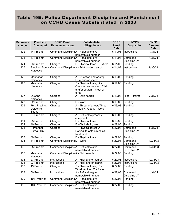| <b>Sequence</b><br><b>Number</b> | Precinct /<br><b>Command</b>              | <b>CCRB Panel</b><br><b>Recommendation</b> | <b>Substantiated</b><br>Allegation(s)              | <b>CCRB</b><br>Panel | <b>NYPD</b><br><b>Disposition</b> | <b>NYPD</b><br><b>Closure</b> |
|----------------------------------|-------------------------------------------|--------------------------------------------|----------------------------------------------------|----------------------|-----------------------------------|-------------------------------|
|                                  |                                           |                                            |                                                    | <b>Date</b>          |                                   | <b>Date</b>                   |
| 122                              | 44 Precinct                               | Command Discipline A - Refusal to give     |                                                    | 6/11/03              | Instructions                      | 1/31/04                       |
| 123                              |                                           | Command Discipline A - Refusal to give     | name/shield number                                 |                      | Command                           | 1/31/04                       |
|                                  | 47 Precinct                               |                                            |                                                    | 6/11/03              |                                   |                               |
| 124                              | 23 Precinct                               | Charges                                    | name/shield number<br>F - Physical force, D - Word | 6/11/03              | Discipline 'A'<br>Pending         |                               |
| 125                              |                                           |                                            | Command Discipline A - Frisk and/or search         | 6/11/03              |                                   | 9/30/03                       |
|                                  | <b>Brooklyn South</b><br><b>Narcotics</b> |                                            |                                                    |                      | Instructions                      |                               |
| 126                              | Manhattan                                 | Charges                                    | A - Question and/or stop,                          | 6/19/03              | Pending                           |                               |
|                                  | Narcotics                                 |                                            | Frisk and/or search                                |                      |                                   |                               |
| 126                              | Manhattan                                 | Charges                                    | F - Physical force; A -                            | 6/19/03              | Pending                           |                               |
|                                  | <b>Narcotics</b>                          |                                            | Question and/or stop, Frisk                        |                      |                                   |                               |
|                                  |                                           |                                            | and/or search, Threat of                           |                      |                                   |                               |
|                                  |                                           |                                            | force                                              |                      |                                   |                               |
| 127                              | Queens<br><b>Narcotics</b>                | Charges                                    | A - Strip search                                   | 6/19/03              | Filed - Retired                   | 7/31/03                       |
| 128                              | 62 Precinct                               | Charges                                    | D - Word                                           | 6/19/03              | Pending                           |                               |
| 129                              | 79rd Precinct                             | Charges                                    | A - Threat of arrest, Threat                       | 6/19/03              | Pending                           |                               |
|                                  | Detective                                 |                                            | to notify ACS; D - Word                            |                      |                                   |                               |
|                                  | Squad                                     |                                            |                                                    |                      |                                   |                               |
| 130                              | 67 Precinct                               | Charges                                    | A - Refusal to process                             | 6/19/03              | Pending                           |                               |
|                                  |                                           |                                            | complaint                                          |                      |                                   |                               |
| 131                              | 73 Precinct                               | Charges                                    | F - Physical force                                 | 6/19/03              | Pending                           |                               |
| 132                              | 40 Precinct                               | Charges                                    | F - Chokehold, Word                                | 6/27/03              | Pending                           |                               |
| 133                              | Personnel                                 | Charges                                    | F - Physical force; A -                            | 6/27/03              | Command                           | 8/31/03                       |
|                                  | Bureau HQ                                 |                                            | Refusal to obtain medical                          |                      | Discipline 'A'                    |                               |
|                                  |                                           |                                            | treatment                                          |                      |                                   |                               |
| 133                              | 30 Precinct                               | Charges                                    | F - Physical force                                 | 6/27/03              | Pending                           |                               |
| 134                              | 81 Precinct                               | Command DisciplineD - Word                 |                                                    | 6/27/03              | Command                           | 12/31/03                      |
|                                  |                                           |                                            |                                                    |                      | Discipline 'A'                    |                               |
| 135                              | 25 Precinct                               | Command Discipline A - Refusal to give     |                                                    | 6/27/03              | Command                           | 12/31/03                      |
|                                  |                                           |                                            | name/shield number                                 |                      | Discipline 'A'                    |                               |
| 135                              | Manhattan                                 | Command Discipline A - Strip search        |                                                    | 6/27/03              | Pending                           |                               |
|                                  | Narcotics                                 |                                            |                                                    |                      |                                   |                               |
| 136                              | 23 Precinct                               | Instructions                               | A - Frisk and/or search                            | 6/27/03              | Instructions                      | 10/31/03                      |
| 136                              | 23 Precinct                               | Instructions                               | A - Frisk and/or search                            | 6/27/03              | Instructions                      | 10/31/03                      |
| 137                              | 49 Precinct                               | Charges                                    | F - Physical force; D -                            | 6/27/03              | Pending                           |                               |
|                                  |                                           |                                            | Word, Action; O - Race                             |                      |                                   |                               |
| 138                              | 60 Precinct                               | Instructions                               | A - Refusal to give                                | 6/27/03              | Command                           | 1/31/04                       |
|                                  |                                           |                                            | name/shield number                                 |                      | Discipline 'A'                    |                               |
| 139                              | 104 Precinct                              | Command Discipline A - Refusal to give     |                                                    | 6/27/03              | Pending                           |                               |
|                                  |                                           |                                            | name/shield number                                 |                      |                                   |                               |
| 139                              | 104 Precinct                              | Command Discipline A - Refusal to give     |                                                    | 6/27/03              | Pending                           |                               |
|                                  |                                           |                                            | name/shield number                                 |                      |                                   |                               |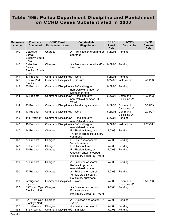| <b>Sequence</b><br><b>Number</b> | Precinct /<br>Command                                        | <b>CCRB Panel</b><br><b>Recommendation</b> | <b>Substantiated</b><br>Allegation(s)                                               | <b>CCRB</b><br>Panel<br><b>Date</b> | <b>NYPD</b><br><b>Disposition</b> | <b>NYPD</b><br><b>Closure</b><br><b>Date</b> |
|----------------------------------|--------------------------------------------------------------|--------------------------------------------|-------------------------------------------------------------------------------------|-------------------------------------|-----------------------------------|----------------------------------------------|
| 140                              | Detective<br><b>Bureau</b><br><b>Brooklyn South</b><br>Units | Charges                                    | A - Premises entered and/or<br>searched                                             | 6/27/03                             | Pending                           |                                              |
| 140                              | Detective<br><b>Bureau</b><br><b>Brooklyn South</b><br>Units | Charges                                    | A - Premises entered and/or<br>searched                                             | 6/27/03                             | Pending                           |                                              |
| 141                              | 17 Precinct                                                  | Command Discipline D - Word                |                                                                                     | 6/27/03                             | Pending                           |                                              |
| 142                              | <b>Central Park</b><br>Precinct                              | Command Discipline D - Gesture             |                                                                                     | 6/27/03                             | Instructions                      | 12/31/03                                     |
| 143                              | <b>73 Precinct</b>                                           | Command Discipline A - Refusal to give     | name/shield number; D -<br>Demeanor/tone                                            | 6/27/03                             | Pending                           |                                              |
| 144                              | 43 Precinct                                                  | Command Discipline A - Refusal to give     | name/shield number; D -<br>Word                                                     | 6/27/03                             | Command<br>Discipline 'A'         | 10/31/03                                     |
| 144                              | 43 Precinct                                                  |                                            | Command Discipline A - Retaliatory summons                                          | 6/27/03                             | Command<br>Discipline 'A'         | 10/31/03                                     |
| 144                              | 43 Precinct                                                  | Command Discipline D - Word                |                                                                                     | 6/27/03                             | Command<br>Discipline 'A'         | 10/31/03                                     |
| 145                              | 111 Precinct                                                 | Command Discipline A - Refusal to give     | name/shield number                                                                  | 6/27/03                             | Pending                           |                                              |
| 146                              | 49 Precinct                                                  | Command Discipline A - Refusal to give     | name/shield number                                                                  | 6/27/03                             | Instructions                      | 2/28/04                                      |
| 147                              | 44 Precinct                                                  | Charges                                    | F - Physical force; A -<br>Threat of arrest, Retaliatory<br>summons                 | 7/7/03                              | Pending                           |                                              |
| 148                              | 77 Precinct                                                  | Charges                                    | F - Frisk and/or search,<br>Vehicle search                                          | 7/7/03                              | Pending                           |                                              |
| 148                              | <b>77 Precinct</b>                                           | Charges                                    | F - Physical force                                                                  | 7/7/03                              | Pending                           |                                              |
| 149                              | <b>70 Precinct</b>                                           | Charges                                    | F - Physical force; A -<br>Question and/or stooped,<br>Retaliatory arrest; D - Word | 7/7/03                              | Pending                           |                                              |
| 150                              | <b>77 Precinct</b>                                           | Charges                                    | A - Frisk and/or search,<br>Refusal to provide<br>name/shield number                | 7/7/03                              | Pending                           |                                              |
| 150                              | <b>77 Precinct</b>                                           | Charges                                    | A - Frisk and/or search,<br>Vehicle stop & search,<br>Retaliatory summons           | 7/7/03                              | Pending                           |                                              |
| 151                              | Intelligence<br>Division                                     | Command Discipline D - Word                |                                                                                     | 7/7/03                              | Command<br>Discipline 'A'         | 11/30/03                                     |
| 152                              | <b>SAT Narc Ops</b><br><b>Brooklyn North</b>                 | Charges                                    | A - Question and/or stop,<br>Frisk and/or search,<br>Retaliatory arrest; D - Word   | 7/7/03                              | Pending                           |                                              |
| 152                              | <b>SAT Narc Ops</b><br><b>Brooklyn North</b>                 | Charges                                    | A - Question and/or stop; D<br>- Word                                               | 7/7/03                              | Pending                           |                                              |
| 152                              | Undetermined                                                 | Charges                                    | A - Frisk and/or search                                                             | 7/7/03                              | Pending                           |                                              |
| 153                              | 115 Precinct                                                 | Command Discipline O - Ethnicity           |                                                                                     | 7/7/03                              | Pending                           |                                              |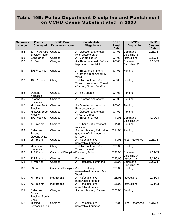| <b>Sequence</b><br><b>Number</b> | Precinct /<br><b>Command</b>                          | <b>CCRB Panel</b><br><b>Recommendation</b> | <b>Substantiated</b><br>Allegation(s)                                              | <b>CCRB</b><br><b>Panel</b><br><b>Date</b> | <b>NYPD</b><br><b>Disposition</b> | <b>NYPD</b><br><b>Closure</b><br><b>Date</b> |
|----------------------------------|-------------------------------------------------------|--------------------------------------------|------------------------------------------------------------------------------------|--------------------------------------------|-----------------------------------|----------------------------------------------|
| 154                              | <b>SAT Narc Ops</b><br><b>Brooklyn North</b>          | Charges                                    | A - Question and/or stop,<br>Frisk and/or search                                   | 7/7/03                                     | Command<br>Discipline 'B'         | 2/28/04                                      |
| 155                              | <b>Gang Units</b>                                     | Charges                                    | A - Vehicle search                                                                 | 7/7/03                                     | Instructions                      | 9/30/03                                      |
| 156                              | 71 Precinct                                           | Charges                                    | A - Threat of arrest, Refusal<br>to process complaint                              | 7/7/03                                     | Command<br>Discipline 'A'         | 11/30/03                                     |
| 157                              | 103 Precinct                                          | Charges                                    | A - Threat of summons,<br>Threat of arrest, Other; D -<br>Word                     | 7/7/03                                     | Pending                           |                                              |
| 157                              | 103 Precinct                                          | Charges                                    | F - Physical force; A -<br>Threat of summons, Threat<br>of arrest, Other; D - Word | 7/7/03                                     | Pending                           |                                              |
| 158                              | Queens<br><b>Narcotics</b>                            | Charges                                    | A - Strip search                                                                   | 7/7/03                                     | Pending                           |                                              |
| 159                              | Queens<br>Narcotics                                   | Charges                                    | A - Question and/or stop                                                           | 7/7/03                                     | Pending                           |                                              |
| 160                              | Midtown South<br>Precinct                             | Charges                                    | A - Question and/or stop,<br>Frisk and/or search                                   | 7/7/03                                     | Pending                           |                                              |
| 160                              | <b>Midtown South</b><br>Precinct                      | Charges                                    | A - Question and/or stop,<br>Threat of arrest                                      | 7/7/03                                     | Pending                           |                                              |
| 161                              | 102 Precinct                                          | Charges                                    | A - Threat of arrest                                                               | 7/11/03                                    | Command<br>Discipline 'A'         | 11/30/03                                     |
| 162                              | 44 Precinct                                           | Charges                                    | F - Other blunt instrument<br>as a club                                            | 7/11/03                                    | Pending                           |                                              |
| 163                              | Detective<br><b>Bureau</b><br>Queens Units            | Charges                                    | A - Vehicle stop, Refusal to<br>give name/shield number;<br>D - Word               | 7/11/03                                    | Pending                           |                                              |
| 164                              | 25 Precinct                                           | Charges                                    | A - Refusal to give<br>name/shield number                                          | 7/11/03                                    | Filed - Resigned                  | 2/28/04                                      |
| 165                              | Manhattan<br><b>Narcotics</b>                         | Charges                                    | F - Physical force; A -<br>Threat of arrest                                        | 7/28/03                                    | Pending                           |                                              |
| 166                              | 114 Precinct                                          | Command Discipline D - Word, Action        |                                                                                    | 7/28/03                                    | Command<br>Discipline 'A'         | 12/31/03                                     |
| 167                              | 122 Precinct                                          | Charges                                    | D - Word                                                                           | 7/28/03                                    | Instructions                      | 12/31/03                                     |
| 168                              | 6 Precinct                                            | Charges                                    | A - Retaliatory summons                                                            | 7/28/03                                    | Command<br>Discipline 'A'         | 2/28/04                                      |
| 169                              | 28 Precinct                                           | Command Discipline A - Refusal to give     | name/shield number; D -<br>Word                                                    | 7/28/03                                    | Pending                           |                                              |
| 170                              | <b>76 Precinct</b>                                    | Instructions                               | A - Refusal to give<br>name/shield number                                          | 7/28/03                                    | Instructions                      | 10/31/03                                     |
| 170                              | 76 Precinct                                           | Instructions                               | A - Refusal to give<br>name/shield number                                          | 7/28/03                                    | Instructions                      | 10/31/03                                     |
| 171                              | Detective<br><b>Bureau</b><br>Brooklyn South<br>Units | Charges                                    | A - Vehicle stop; D - Word                                                         | 7/28/03                                    | Pending                           |                                              |
| 172                              | Missing<br>Persons Squad                              | Charges                                    | A - Refusal to give<br>name/shield number                                          | 7/28/03                                    | Filed - Deceased                  | 8/31/03                                      |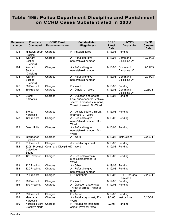| <b>Sequence</b><br><b>Number</b> | Precinct /<br><b>Command</b>            | <b>CCRB Panel</b><br><b>Recommendation</b> | <b>Substantiated</b><br>Allegation(s)                                                                                 | <b>CCRB</b><br><b>Panel</b><br><b>Date</b> | <b>NYPD</b><br><b>Disposition</b> | <b>NYPD</b><br><b>Closure</b><br><b>Date</b> |
|----------------------------------|-----------------------------------------|--------------------------------------------|-----------------------------------------------------------------------------------------------------------------------|--------------------------------------------|-----------------------------------|----------------------------------------------|
| 173                              | Midtown South<br>Precinct               | Charges                                    | F - Physical force                                                                                                    | 8/13/03                                    | Pending                           |                                              |
| 174                              | Warrant<br>Section<br>(Division)        | Charges                                    | A - Refusal to give<br>name/shield number                                                                             | 8/13/03                                    | Command<br>Discipline 'A'         | 12/31/03                                     |
| 174                              | Warrant<br>Section<br>(Division)        | Charges                                    | A - Refusal to give<br>name/shield number                                                                             | 8/13/03                                    | Command<br>Discipline 'A'         | 12/31/03                                     |
| 174                              | Warrant<br>Section<br>(Division)        | Charges                                    | A - Refusal to give<br>name/shield number                                                                             | 8/13/03                                    | Command<br>Discipline 'A'         | 12/31/03                                     |
| 175                              | 30 Precinct                             | Charges                                    | D - Word                                                                                                              | 8/13/03                                    | Pending                           |                                              |
| 176                              | 19 Precinct                             | Charges                                    | A - Other; D - Word                                                                                                   | 8/13/03                                    | Command<br>Discipline 'A'         | 2/28/04                                      |
| 177                              | <b>Bronx</b><br><b>Narcotics</b>        | Charges                                    | A - Question and/or stop,<br>Frisk and/or search, Vehicle<br>search, Threat of summons,<br>Threat of arrest; D - Word | 8/13/03                                    | Pending                           |                                              |
| 177                              | <b>Bronx</b><br><b>Narcotics</b>        | Charges                                    | A - Vehicle search, Threat<br>of arrest; D - Word                                                                     | 8/13/03                                    | Pending                           |                                              |
| 178                              | 42 Precinct                             | Charges                                    | A - Refusal to give<br>name/shield number; D -<br>Word                                                                | 8/13/03                                    | Pending                           |                                              |
| 179                              | <b>Gang Units</b>                       | Charges                                    | A - Refusal to give<br>name/shield number; D -<br>Word                                                                | 8/13/03                                    | Pending                           |                                              |
| 180                              | Intelligence<br><b>Division</b>         | Charges                                    | A - Word                                                                                                              | 8/13/03                                    | Instructions                      | 2/28/04                                      |
| 181                              | 71 Precinct                             | Charges                                    | A - Retaliatory arrest                                                                                                | 8/13/03                                    | Pending                           |                                              |
| 182                              | 120th Precinct<br>Detective<br>Squad    | Command Discipline D - Word                |                                                                                                                       | 8/19/03                                    | Pending                           |                                              |
| 183                              | 120 Precinct                            | Charges                                    | A - Refusal to obtain<br>medical treatment; D -<br>Word                                                               | 8/19/03                                    | Pending                           |                                              |
| 183                              | 120 Precinct                            | Charges                                    | A - Other                                                                                                             |                                            | 8/19/03 Pending                   |                                              |
| 183                              | 120 Precinct                            | Charges                                    | A - Refusal to give<br>name/shield number                                                                             | 8/19/03                                    | Pending                           |                                              |
| 184                              | 81 Precinct                             | Charges                                    | F - Chokehold                                                                                                         | 8/19/03                                    | <b>DCT</b> - Charges<br>Dismissed | 2/28/04                                      |
| 185                              | 90 Precinct                             | Charges                                    | D - Word                                                                                                              | 8/19/03                                    | Pending                           |                                              |
| 186                              | 109 Precinct                            | Charges                                    | A - Question and/or stop,<br>Threat of arrest, Threat of<br>force                                                     | 8/19/03                                    | Pending                           |                                              |
| 187                              | 79 Precinct                             | Charges                                    | D - Action                                                                                                            | 8/19/03                                    | Pending                           |                                              |
| 188                              | Manhattan<br>Narcotics                  | Charges                                    | A - Retaliatory arrest; D -<br>Word                                                                                   | 9/2/03                                     | Instructions                      | 2/28/04                                      |
| 189                              | Narcotics Boro<br><b>Brooklyn North</b> | Charges                                    | F - Hit against inanimate<br>object, Physical force                                                                   | 9/2/03                                     | Pending                           |                                              |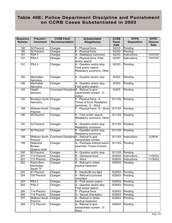| <b>Sequence</b><br><b>Number</b> | Precinct /<br><b>Command</b>                      | <b>CCRB Panel</b><br><b>Recommendation</b> | <b>Substantiated</b><br><b>Allegation(s)</b>                                    | <b>CCRB</b><br><b>Panel</b><br><b>Date</b> | <b>NYPD</b><br><b>Disposition</b> | <b>NYPD</b><br><b>Closure</b><br><b>Date</b> |
|----------------------------------|---------------------------------------------------|--------------------------------------------|---------------------------------------------------------------------------------|--------------------------------------------|-----------------------------------|----------------------------------------------|
| 190                              | 52 Precinct                                       | Charges                                    | F - Physical force                                                              | 9/2/03                                     | Pending                           |                                              |
| 190                              | 52 Precinct                                       | Charges                                    | F - Physical force                                                              | 9/2/03                                     | Pending                           |                                              |
| 191                              | PSA <sub>3</sub>                                  | Charges                                    | A - Retaliatory summons                                                         | 9/2/03                                     | Instructions                      | 12/31/03                                     |
| 191                              | PSA <sub>3</sub>                                  | Charges                                    | F - Physical force, Frisk<br>and/or search                                      | 9/2/03                                     | Instructions                      | 12/31/03                                     |
| 191                              | PSA <sub>3</sub>                                  | Charges                                    | A - Question and/or stop,<br>Frisk and/or search,<br>Retaliatory summons, Other | 9/2/03                                     | Pending                           |                                              |
| 192                              | Manhattan<br>Narcotics                            | Charges                                    | A - Question and/or stop                                                        | 9/2/03                                     | Pending                           |                                              |
| 192                              | Manhattan<br>Narcotics                            | Charges                                    | A - Question and/or stop,<br>Frisk and/or search                                | 9/2/03                                     | Pending                           |                                              |
| 193                              | Health<br>Services                                | Command Discipline A - Refusal to give     | name/shield number; D -<br>Action                                               | 9/2/03                                     | Pending                           |                                              |
| 194                              | <b>Brooklyn South Charges</b><br><b>Narcotics</b> |                                            | F - Physical force; A -<br>Threat of force, Retaliatory<br>summons; D - Word    | 9/11/03                                    | Pending                           |                                              |
| 195                              | Midtown South<br>Precinct                         | Charges                                    | F - Physical force; D - Word                                                    | 9/11/03                                    | Pending                           |                                              |
| 196                              | 48 Precinct                                       | Charges                                    | A - Frisk and/or search,<br>Retaliatory summons, Other                          | 9/11/03                                    | Pending                           |                                              |
| 197                              | 42 Precinct                                       | Charges                                    | A - Question and/or stop,<br>Retaliatory summons                                | 9/11/03                                    | Pending                           |                                              |
| 197                              | 42 Precinct                                       | Charges                                    | A - Question and/or stop,<br>Retaliatory summons                                | 9/11/03                                    | Pending                           |                                              |
| 198                              | <b>Midtown South</b><br>Precinct                  | Command Discipline A - Refusal to give     | name/shield number                                                              | 9/11/03                                    | Instructions                      | 2/28/04                                      |
| 199                              | Detective<br><b>Bureau</b><br>Queens Units        | Charges                                    | A - Premises entered and/or<br>searched, Threat of arrest                       | 9/11/03                                    | Pending                           |                                              |
| 200                              | 83 Precinct                                       | Charges                                    | A - Question and/or stop                                                        | 9/11/03                                    | Pending                           |                                              |
| 201                              | 112 Precinct                                      | Charges                                    | D - Demeanor/tone                                                               | 9/29/03                                    | Instructions                      | 11/30/03                                     |
| 201                              | 112 Precinct                                      | Charges                                    | D - Word                                                                        | 9/29/03                                    | Instructions                      | 11/30/03                                     |
| 202                              | Patrol Boro<br>Manhattan<br>South TF              | Charges                                    | A - Refusal to obtain<br>medical treatment                                      | 9/29/03 Pending                            |                                   |                                              |
| 203                              | 81 Precinct                                       | Charges                                    | F - Handcuffs too tight                                                         | 9/29/03                                    | Pending                           |                                              |
| 204                              | 100 Precinct                                      | Charges                                    | A - Refusal to process<br>complaint                                             | 9/29/03                                    | Pending                           |                                              |
| 205                              | PSA <sub>2</sub>                                  | Charges                                    | A - Frisk and/or search                                                         | 9/29/03                                    | Pending                           |                                              |
| 205                              | PSA <sub>2</sub>                                  | Charges                                    | A - Question and/or stop,<br>Frisk and/or search                                | 9/29/03                                    | Pending                           |                                              |
| 206                              | 114 Precinct                                      | Charges                                    | F - Physical force                                                              | 9/29/03                                    | Pending                           |                                              |
| 206                              | 114 Precinct                                      | Charges                                    | O - Sexual Orientation                                                          | 9/29/03                                    | Pending                           |                                              |
| 207                              | Midtown South<br>Precinct                         | Charges                                    | A - Refusal to obtain<br>medical treatment                                      | 9/29/03                                    | Pending                           |                                              |
| 208                              | 113 Precinct                                      | Charges                                    | A - Refusal to give<br>name/shield number; D -<br>Word                          | 9/29/03                                    | Pending                           |                                              |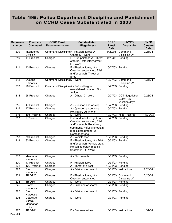| <b>Sequence</b><br><b>Number</b> | Precinct /<br><b>Command</b>                     | <b>CCRB Panel</b><br><b>Recommendation</b> | <b>Substantiated</b><br>Allegation(s)                                                                                                                              | <b>CCRB</b><br>Panel<br><b>Date</b> | <b>NYPD</b><br><b>Disposition</b>                        | <b>NYPD</b><br><b>Closure</b><br><b>Date</b> |
|----------------------------------|--------------------------------------------------|--------------------------------------------|--------------------------------------------------------------------------------------------------------------------------------------------------------------------|-------------------------------------|----------------------------------------------------------|----------------------------------------------|
| 209                              | Intelligence<br><b>Division</b>                  |                                            | Command Discipline F - Physical force; A -<br>Other; D - Word                                                                                                      | 9/29/03                             | Command<br>Discipline 'A'                                | 2/28/04                                      |
| 210                              | 44 Precinct                                      | Charges                                    | F - Gun pointed; A - Threat<br>of force, Retaliatory arrest;<br>D - Word                                                                                           | 9/29/03                             | Pending                                                  |                                              |
| 211                              | 43 Precinct                                      | Charges                                    | F - Physical force; A -<br>Question and/or stop, Frisk<br>and/or search, Threat of<br>force                                                                        | 10/27/03 Pending                    |                                                          |                                              |
| 212                              | Queens<br><b>Narcotics</b>                       | Command Discipline D - Word                |                                                                                                                                                                    | 10/27/03                            | Command<br>Discipline 'A'                                | 1/31/04                                      |
| 213                              | 20 Precinct                                      | Command Discipline A - Refusal to give     | name/shield number; D -<br>Action                                                                                                                                  | 10/27/03                            | Pending                                                  |                                              |
| 214                              | <b>68 Precinct</b>                               | Charges                                    | A - Other; D - Word                                                                                                                                                |                                     | 10/27/03 DCT Negotiation<br>Guilty - 35<br>vacation days | 2/28/04                                      |
| 215                              | 47 Precinct                                      | Charges                                    | A - Question and/or stop                                                                                                                                           | 10/27/03                            | Pending                                                  |                                              |
| 215                              | 47 Precinct                                      | Charges                                    | A - Question and/or stop,<br>Retaliatory summons                                                                                                                   | 10/27/03                            | Pending                                                  |                                              |
| 216                              | 105 Precinct                                     | Charges                                    | D - Word                                                                                                                                                           |                                     | 10/27/03 Filed - Retired                                 | 11/30/03                                     |
| 217                              | 9 Precinct                                       | Charges                                    | F - Handcuffs too tight; A -<br>Question and/or stop, Frisk<br>and/or search, Retaliatory<br>summons, Refusal to obtain<br>medical treatment; D -<br>Demeanor/tone | 10/27/03                            | Pending                                                  |                                              |
| 218                              | 79 Precinct                                      | Charges                                    | A - Vehicle stop                                                                                                                                                   | 10/31/03 Pending                    |                                                          |                                              |
| 218                              | 83 Precinct                                      | Charges                                    | F - Physical force; A - Frisk<br>and/or search, Vehicle stop,<br>Refusal to obtain medical<br>treatment; D - Word                                                  | 10/31/03                            | Pending                                                  |                                              |
| 219                              | Manhattan<br><b>Narcotics</b>                    | Charges                                    | A - Strip search                                                                                                                                                   | 10/31/03 Pending                    |                                                          |                                              |
| 220                              | 47 Precinct                                      | Charges                                    | F - Physical force                                                                                                                                                 | 10/31/03 Pending                    |                                                          |                                              |
| $\overline{221}$                 | 120 Precinct                                     | Charges                                    | A - Threat of arrest                                                                                                                                               | 10/31/03 Pending                    |                                                          |                                              |
| 222                              | Bronx<br>Narcotics                               | Charges                                    | A - Frisk and/or search                                                                                                                                            |                                     | 10/31/03 Instructions                                    | 2/28/04                                      |
| 223                              | TB DT20                                          | Charges                                    | F - Physical force; A -<br>Question and/or stop                                                                                                                    | 10/31/03                            | Command<br>Discipline 'A'                                | 2/28/04                                      |
| 224                              | TB DT01                                          | Charges                                    | D - Word                                                                                                                                                           | 10/31/03                            | Pending                                                  |                                              |
| 225                              | <b>Bronx</b><br>Narcotics                        | Charges                                    | A - Frisk and/or search                                                                                                                                            | 10/31/03                            | Pending                                                  |                                              |
| 225                              | <b>Bronx</b><br>Narcotics                        | Charges                                    | A - Frisk and/or search                                                                                                                                            | 10/31/03                            | Pending                                                  |                                              |
| 226                              | Detective<br><b>Bureau</b><br>Manhattan<br>Units | Charges                                    | D - Word                                                                                                                                                           | 10/31/03 Pending                    |                                                          |                                              |
| $\overline{227}$                 | TB DT01                                          | Charges                                    | D - Demeanor/tone                                                                                                                                                  |                                     | 10/31/03 Instructions                                    | 1/31/04                                      |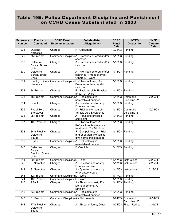| <b>Sequence</b><br><b>Number</b> | Precinct /<br><b>Command</b>                                 | <b>CCRB Panel</b><br><b>Recommendation</b> | <b>Substantiated</b><br>Allegation(s)                                                            | <b>CCRB</b><br>Panel<br><b>Date</b> | <b>NYPD</b><br><b>Disposition</b> | <b>NYPD</b><br><b>Closure</b><br><b>Date</b> |
|----------------------------------|--------------------------------------------------------------|--------------------------------------------|--------------------------------------------------------------------------------------------------|-------------------------------------|-----------------------------------|----------------------------------------------|
| 228                              | Queens<br>Narcotics                                          | Charges                                    | F - Chokehold                                                                                    | 10/31/03                            | Pending                           |                                              |
| 229                              | 75 Precinct                                                  |                                            | Command Discipline A - Premises entered and/or<br>searched                                       | 11/13/03 Pending                    |                                   |                                              |
| 230                              | <b>Detective</b><br><b>Bureau Bronx</b><br>Units             | Charges                                    | A - Premises entered and/or<br>searched                                                          | 11/13/03 Pending                    |                                   |                                              |
| 230                              | <b>Detective</b><br><b>Bureau Bronx</b><br>Units             | Charges                                    | A - Premises entered and/or<br>searched, Threat of arrest,<br>Other; D - Word                    | 11/13/03 Pending                    |                                   |                                              |
| 231                              | <b>Narcotics</b>                                             |                                            | Brooklyn South Command Discipline F - Physical force; A -<br>Premises entered and/or<br>searched | 11/13/03 Pending                    |                                   |                                              |
| 232                              | 34 Precinct                                                  | Charges                                    | F - Radio as club, Physical<br>force; D - Word                                                   | 11/13/03 Pending                    |                                   |                                              |
| 233                              | <b>48 Precinct</b>                                           | Command Discipline A - Refusal to give     | name/shield number                                                                               | 11/13/03                            | Command<br>Discipline 'A'         | 2/28/04                                      |
| 234                              | PSA <sub>4</sub>                                             | Charges                                    | A - Question and/or stop,<br>Frisk and/or search                                                 | 11/13/03                            | Pending                           |                                              |
| 235                              | Patrol Boro<br><b>Bronx ACI</b>                              | Charges                                    | A - Frisk and/or search,<br>Vehicle stop & searched                                              | 11/13/03                            | Command<br>Discipline 'B'         | 12/31/03                                     |
| 236                              | 25 Precinct                                                  | Charges                                    | A - Refusal to process<br>complaint                                                              | 11/13/03                            | Pending                           |                                              |
| 237                              | 108 Precinct                                                 | Charges                                    | F - Physical force; A -<br>Refusal to obtain medical<br>treatment; O - Ethnicity                 | 11/13/03 Pending                    |                                   |                                              |
| 238                              | 84th Precinct<br>Detective<br>Squad                          | Charges                                    | F - Gun pointed; A - Frisk<br>and/or search, Refusal to<br>give name/shield number               | 11/13/03 Pending                    |                                   |                                              |
| 239                              | PSA <sub>2</sub>                                             | Command Discipline A - Refusal to give     | name/shield number                                                                               | 11/13/03 Pending                    |                                   |                                              |
| 240                              | Detective<br><b>Bureau</b><br><b>Brooklyn South</b><br>Units | Charges                                    | F - Vehicle                                                                                      | 11/17/03 Pending                    |                                   |                                              |
| 241                              | 20 Precinct                                                  | Command Discipline D - Other               |                                                                                                  | 11/17/03                            | Instructions                      | 2/28/04                                      |
| 242                              | <b>SI Narcotics</b>                                          | Charges                                    | A - Question and/or stop,<br>Frisk and/or search                                                 |                                     | 11/17/03 Instructions             | 2/28/04                                      |
| 242                              | <b>SI Narcotics</b>                                          | Charges                                    | A - Question and/or stop,<br>Frisk and/or search                                                 |                                     | 11/17/03 Instructions             | 2/28/04                                      |
| 243                              | 52 Precinct                                                  | Command Discipline D - Word                |                                                                                                  | 11/17/03 Pending                    |                                   |                                              |
| 244                              | 107 Precinct                                                 | Command Discipline D - Word                |                                                                                                  | 11/19/03                            | Pending                           |                                              |
| 245                              | PSA <sub>7</sub>                                             | Charges                                    | A - Threat of arrest; D -<br>Demeanor/tone; O -<br>Ethnicity                                     | 11/19/03 Pending                    |                                   |                                              |
| 246                              | 63 Precinct                                                  | Command Discipline A - Refusal to give     | name/shield number                                                                               | 11/19/03                            | Pending                           |                                              |
| 247                              | 81 Precinct                                                  | Command Discipline A - Strip search        |                                                                                                  | 11/24/03                            | Command<br>Discipline 'A'         | 12/31/03                                     |
| 248                              | 77th Precinct<br>Detective<br>Squad                          | Charges                                    | A - Threat of force, Other                                                                       | 11/24/03                            | Filed - Retired                   | 1/31/04                                      |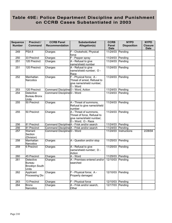| <b>Sequence</b><br><b>Number</b> | Precinct /<br><b>Command</b>                                 | <b>CCRB Panel</b><br><b>Recommendation</b> | <b>Substantiated</b><br>Allegation(s)                                                                   | <b>CCRB</b><br>Panel<br><b>Date</b> | <b>NYPD</b><br><b>Disposition</b> | <b>NYPD</b><br><b>Closure</b><br><b>Date</b> |
|----------------------------------|--------------------------------------------------------------|--------------------------------------------|---------------------------------------------------------------------------------------------------------|-------------------------------------|-----------------------------------|----------------------------------------------|
| 249                              | PSA <sub>8</sub>                                             | Charges                                    | F - Chokehold, Physical<br>force                                                                        | 11/24/03                            | Pending                           |                                              |
| 250                              | 33 Precinct                                                  | Charges                                    | F - Pepper spray                                                                                        | 11/24/03                            | Pending                           |                                              |
| 251                              | 120 Precinct                                                 | Charges                                    | A - Refusal to give<br>name/shield number                                                               | 11/24/03 Pending                    |                                   |                                              |
| 251                              | 120 Precinct                                                 | Charges                                    | A - Refusal to give<br>name/shield number; O -<br>Race                                                  | 11/24/03 Pending                    |                                   |                                              |
| 252                              | Manhattan<br><b>Narcotics</b>                                | Charges                                    | F - Physical force; A -<br>Threat of arrest, Refusal to<br>give name/shield number;<br>D - Word         | 11/24/03 Pending                    |                                   |                                              |
| 253                              | 120 Precinct                                                 | Command Discipline D - Word, Action        |                                                                                                         | 11/24/03 Pending                    |                                   |                                              |
| 254                              | <b>Detective</b><br><b>Bureau Bronx</b><br>Units             | Command Discipline D - Word                |                                                                                                         | 11/24/03                            | Pending                           |                                              |
| 255                              | 50 Precinct                                                  | Charges                                    | A - Threat of summons,<br>Refusal to give name/shield<br>number                                         | 11/24/03 Pending                    |                                   |                                              |
| 255                              | 50 Precinct                                                  | Charges                                    | A - Threat of summons,<br>Threat of force, Refusal to<br>give name/shield number;<br>D - Word; O - Race | 11/24/03 Pending                    |                                   |                                              |
| 256                              | 81 Precinct                                                  |                                            | Command Discipline A - Frisk and/or search                                                              | 11/24/03                            | Pending                           |                                              |
| 256                              | 81 Precinct                                                  |                                            | Command Discipline A - Frisk and/or search                                                              | 11/24/03                            | Pending                           |                                              |
| 257                              | Warrant<br>Section<br>(Division)                             | Command Discipline D - Word                |                                                                                                         | 11/24/03                            | Instructions                      | 2/28/04                                      |
| 258                              | Manhattan<br><b>Narcotics</b>                                | Charges                                    | A - Question and/or stop                                                                                | 11/25/03 Pending                    |                                   |                                              |
| 259                              | 6 Precinct                                                   | Charges                                    | A - Refusal to give<br>name/shield number; D -<br>Action                                                | 11/25/03 Pending                    |                                   |                                              |
| 260                              | 45 Precinct                                                  | Charges                                    | A - Word                                                                                                | 11/25/03 Pending                    |                                   |                                              |
| 261                              | Detective<br><b>Bureau</b><br><b>Brooklyn South</b><br>Units | Charges                                    | A - Premises entered and/or<br>searched                                                                 | 12/10/03 Pending                    |                                   |                                              |
| 262                              | Applicant<br>Processing Div                                  | Charges                                    | F - Physical force; A -<br>Property damaged                                                             | 12/10/03                            | Pending                           |                                              |
| 263                              | 13 Precinct                                                  | Charges                                    | F - Physical force                                                                                      | 12/10/03                            | Pending                           |                                              |
| 264                              | <b>Bronx</b><br>Narcotics                                    | Charges                                    | A - Frisk and/or search,<br>Other                                                                       | 12/17/03                            | Pending                           |                                              |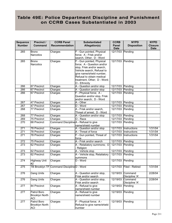| <b>Sequence</b><br><b>Number</b> | Precinct /<br><b>Command</b>                | <b>CCRB Panel</b><br><b>Recommendation</b> | <b>Substantiated</b><br>Allegation(s)                                                                                                                                                                                        | <b>CCRB</b><br>Panel<br><b>Date</b> | <b>NYPD</b><br><b>Disposition</b> | <b>NYPD</b><br><b>Closure</b><br><b>Date</b> |
|----------------------------------|---------------------------------------------|--------------------------------------------|------------------------------------------------------------------------------------------------------------------------------------------------------------------------------------------------------------------------------|-------------------------------------|-----------------------------------|----------------------------------------------|
| 265                              | <b>Bronx</b><br><b>Narcotics</b>            | Charges                                    | F - Gun pointed, Physical<br>force; A - Frisk and/or<br>search, Other; D - Word                                                                                                                                              | 12/17/03                            | Pending                           |                                              |
| 265                              | <b>Bronx</b><br><b>Narcotics</b>            | Charges                                    | F - Gun pointed, Physical<br>force; A - Question and/or<br>stop, Frisk and/or search,<br>Vehicle search, Refusal to<br>give name/shield number,<br>Refusal to obtain medical<br>treatment, Other; D - Word;<br>O - Ethnicity | 12/17/03 Pending                    |                                   |                                              |
| 266                              | 67 Precinct                                 | Charges                                    | A - Question and/or stop                                                                                                                                                                                                     | 12/17/03                            | Pending                           |                                              |
| 266                              | 67 Precinct                                 | Charges                                    | A - Question and/or stop                                                                                                                                                                                                     | 12/17/03                            | Pending                           |                                              |
| 266                              | 67 Precinct                                 | Charges                                    | F - Physical force; A -<br>Question and/or stop, Frisk<br>and/or search; D - Word                                                                                                                                            | 12/17/03                            | Pending                           |                                              |
| 267                              | 47 Precinct                                 | Charges                                    | A - Other                                                                                                                                                                                                                    | 12/17/03                            | Pending                           |                                              |
| 267                              | 47 Precinct                                 | Charges                                    | D - Word                                                                                                                                                                                                                     | 12/17/03                            | Pending                           |                                              |
| 268                              | 77 Precinct                                 | Charges                                    | A - Frisk and/or search,<br>Threat of arrest; D - Word                                                                                                                                                                       | 12/17/03                            | Pending                           |                                              |
| 268                              | 77 Precinct                                 | Charges                                    | A - Question and/or stop                                                                                                                                                                                                     | 12/17/03                            | Pending                           |                                              |
| 269                              | 75 Precinct                                 | Charges                                    | O - Race                                                                                                                                                                                                                     | 12/17/03                            | Pending                           |                                              |
| 270                              | 68 Precinct                                 | Command Discipline A - Refusal to give     | name/shield number                                                                                                                                                                                                           | 12/17/03                            | Pending                           |                                              |
| 271                              | <b>78 Precinct</b>                          | Charges                                    | A - Question and/or stop                                                                                                                                                                                                     | 12/17/03                            | Instructions                      | 1/31/04                                      |
| 271                              | <b>78 Precinct</b>                          | Charges                                    | A - Threat of force                                                                                                                                                                                                          | 12/17/03                            | Instructions                      | 1/31/04                                      |
| 271                              | 78 Precinct                                 | Charges                                    | F - Gun pointed, Threat of<br>force                                                                                                                                                                                          | 12/17/03                            | <b>Instructions</b>               | 1/31/04                                      |
| 272                              | 75 Precinct                                 | Charges                                    | A - Frisk and/or search                                                                                                                                                                                                      | 12/17/03                            | Pending                           |                                              |
| 273                              | 62 Precinct                                 | Charges                                    | A - Retaliatory summons; O<br>Religion                                                                                                                                                                                       | 12/17/03                            | Pending                           |                                              |
| 273                              | 62 Precinct                                 | Charges                                    | A - Vehicle stop                                                                                                                                                                                                             | 12/17/03 Pending                    |                                   |                                              |
| $\overline{273}$                 | 62 Precinct                                 | Charges                                    | A - Vehicle stop, Retaliatory<br>summons                                                                                                                                                                                     | 12/17/03                            | Pending                           |                                              |
| 274                              | <b>Highway Unit</b><br>#2                   | Charges                                    | D - Word                                                                                                                                                                                                                     | 12/17/03 Pending                    |                                   |                                              |
| 275                              |                                             | TB Brooklyn TF Command Discipline D - Word |                                                                                                                                                                                                                              |                                     | 12/17/03  Filed - Retired         | 1/31/04                                      |
| 276                              | <b>Gang Units</b>                           | Charges                                    | A - Question and/or stop,<br>Frisk and/or search                                                                                                                                                                             | 12/19/03                            | Command<br>Discipline 'A'         | 2/28/04                                      |
| 276                              | <b>Gang Units</b>                           | Charges                                    | A - Question and/or stop,<br>Frisk and/or search                                                                                                                                                                             | 12/19/03                            | Command<br>Discipline 'A'         | 2/28/04                                      |
| 277                              | 84 Precinct                                 | Charges                                    | A - Refusal to give<br>name/shield number                                                                                                                                                                                    | 12/19/03                            | Pending                           |                                              |
| 277                              | Patrol Boro<br><b>Brooklyn North</b><br>ACI | Charges                                    | A - Refusal to give<br>name/shield number                                                                                                                                                                                    | 12/19/03                            | Pending                           |                                              |
| 277                              | Patrol Boro<br><b>Brooklyn North</b><br>ACI | Charges                                    | F - Physical force; A -<br>Refusal to give name/shield<br>number                                                                                                                                                             | 12/19/03 Pending                    |                                   |                                              |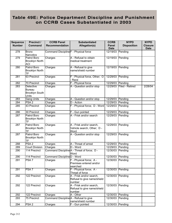| <b>Sequence</b><br><b>Number</b> | Precinct /<br><b>Command</b>                                 | <b>CCRB Panel</b><br><b>Recommendation</b> | <b>Substantiated</b><br>Allegation(s)                             | <b>CCRB</b><br>Panel<br><b>Date</b> | <b>NYPD</b><br><b>Disposition</b> | <b>NYPD</b><br><b>Closure</b><br><b>Date</b> |
|----------------------------------|--------------------------------------------------------------|--------------------------------------------|-------------------------------------------------------------------|-------------------------------------|-----------------------------------|----------------------------------------------|
| 278                              | <b>Bronx</b><br>Narcotics                                    | Command Discipline F - Physical force      |                                                                   | 12/19/03                            | Pending                           |                                              |
| 279                              | Patrol Boro<br><b>Brooklyn North</b><br><b>ACI</b>           | Charges                                    | A - Refusal to obtain<br>medical treatment                        | 12/19/03 Pending                    |                                   |                                              |
| 280                              | Patrol Boro<br><b>Brooklyn North</b><br>TF                   | Charges                                    | A - Refusal to give<br>name/shield number                         | 12/19/03 Pending                    |                                   |                                              |
| 281                              | 63 Precinct                                                  | Charges                                    | F - Physical force, Other; O<br>Race                              | 12/29/03 Pending                    |                                   |                                              |
| 282                              | <b>70 Precinct</b>                                           | Charges                                    | F - Physical force                                                | 12/29/03 Pending                    |                                   |                                              |
| 283                              | Detective<br><b>Bureau</b><br><b>Brooklyn South</b><br>Units | Charges                                    | A - Question and/or stop                                          | 12/29/03                            | <b>Filed - Retired</b>            | 2/28/04                                      |
| 283                              | Gang Units                                                   | Charges                                    | A - Question and/or stop                                          | 12/29/03 Pending                    |                                   |                                              |
| 284                              | PSA <sub>2</sub>                                             | Charges                                    | D - Action                                                        | 12/29/03                            | Pending                           |                                              |
| 285                              | 43 Precinct                                                  | Charges                                    | F - Physical force; D - Word                                      | 12/29/03                            | Pending                           |                                              |
| 286                              | 30 Precinct                                                  | Charges                                    | F - Gun pointed                                                   | 12/29/03                            | Pending                           |                                              |
| 287                              | Patrol Boro<br><b>Brooklyn North</b><br>TF                   | Charges                                    | A - Frisk and/or search                                           | 12/29/03                            | Pending                           |                                              |
| 287                              | Patrol Boro<br><b>Brooklyn North</b><br>TF                   | Charges                                    | A - Frisk and/or search,<br>Vehicle search, Other; D -<br>Word    | 12/29/03 Pending                    |                                   |                                              |
| 287                              | Patrol Boro<br><b>Brooklyn North</b><br>ΠF                   | Charges                                    | A - Question and/or stop                                          | 12/29/03 Pending                    |                                   |                                              |
| 288                              | PSA <sub>2</sub>                                             | Charges                                    | A - Threat of arrest                                              | 12/29/03 Pending                    |                                   |                                              |
| 289                              | <b>Court Division</b>                                        | Charges                                    | D - Word                                                          | 12/29/03                            | Pending                           |                                              |
| 290                              | 114 Precinct                                                 |                                            | Command Discipline A - Threat of force; D -<br>Word               | 12/30/03                            | Pending                           |                                              |
| 290                              | 114 Precinct                                                 | Command Discipline D - Word                |                                                                   | 12/30/03                            | Pending                           |                                              |
| 291                              | PSA <sub>7</sub>                                             | Charges                                    | F - Physical force; A -<br>Premises entered and/or<br>searched    | 12/30/03                            | Pending                           |                                              |
| 291                              | PSA <sub>7</sub>                                             | Charges                                    | F - Physical force; A -<br>Threat of force                        | 12/30/03 Pending                    |                                   |                                              |
| 292                              | 122 Precinct                                                 | Charges                                    | A - Frisk and/or search,<br>Refusal to give name/shield<br>number | 12/30/03 Pending                    |                                   |                                              |
| 292                              | 122 Precinct                                                 | Charges                                    | A - Frisk and/or search,<br>Refusal to give name/shield<br>number | 12/30/03 Pending                    |                                   |                                              |
| 292                              | 122 Precinct                                                 | Charges                                    | A - Other                                                         | 12/30/03                            | Pending                           |                                              |
| 293                              | 75 Precinct                                                  | Command Discipline A - Refusal to give     | name/shield number                                                | 12/30/03                            | Pending                           |                                              |
| 294                              | PSA <sub>2</sub>                                             | Charges                                    | F - Gun pointed                                                   | 12/30/03 Pending                    |                                   |                                              |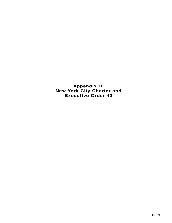**Appendix D: New York City Charter and Executive Order 40**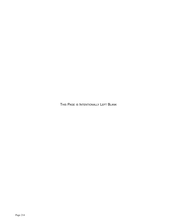THIS PAGE IS INTENTIONALLY LEFT BLANK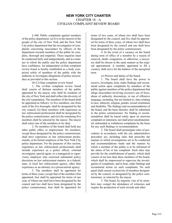#### **NEW YORK CITY CHARTER** CHAPTER 18 - A CIVILIAN COMPLAINT REVIEW BOARD

§ 440. Public complaints against members of the police department. (a) It is in the interest of the people of the city of New York and the New York City police department that the investigation of complaints concerning misconduct by officers of the department towards members of the public be complete, thorough and impartial. These inquiries must be conducted fairly and independently, and in a manner in which the public and the police department have confidence. An independent civilian complaint review board is hereby established as a body comprised solely of members of the public with the authority to investigate allegations of police misconduct as provided in this section.

(b) Civilian complaint review board

1. The civilian complaint review board shall consist of thirteen members of the public appointed by the mayor, who shall be residents of the city of New York and shall reflect the diversity of the city's population. The members of the board shall be appointed as follows: (i) five members, one from each of the five boroughs, shall be designated by the city council; (ii) three members with experience as law enforcement professional shall be designated by the police commissioner; and (iii) the remaining five members shall be selected by the mayor. The mayor shall select one of the members to be chair.

2. No members of the board shall hold any other public office or employment. No members, except those designated by the police commissioner, shall have experience as law enforcement professionals, or be former employee of the New York City police department. For the purposes of this section, experience as law enforcement professionals shall include experience as a police officer, criminal investigator, special agent, or a managerial or supervisory employee who exercised substantial policy discretion on law enforcement matters, in a federal, state, or local law enforcement agency, other than experience as an attorney in a prosecutorial agency.

3. The members shall be appointed for terms of three years, except that of the members first appointed, four shall be appointed for terms of one year, of whom one shall have been designated by the council and two shall have been designated by the police commissioner, four shall be appointed for terms of two years, of whom two shall have been designated by the council, and five shall be appointed for terms of three years, of whom two shall have been designated by the council and one shall have been designated by the police commissioner.

4. In the event of a vacancy on the board during term of office of a member by a reason of removal, death, resignation, or otherwise, a successor shall be chosen in the same manner as the original appointment. A member appointed to fill a vacancy shall serve for the balance of the unexpired term.

(c) Powers and duties of the board.

1. The board shall have the power to receive, investigate, hear, make findings and recommend action upon complaints by members of the public against members of the police department that allege misconduct involving excessive use of force, abuse of authority, discourtesy, or use of offensive language, including, but not limited to, slurs relating to race, ethnicity, religion, gender, sexual orientation and disability. The findings and recommendations of the board, and the basis therefor, shall be submitted to the police commissioner. No finding or recommendation shall be based solely upon an unsworn complaint or statement, nor shall prior unsubstantiated, unfounded or withdrawn complaints be the basis for any such findings or recommendation.

2. The board shall promulgate rules of procedures in accordance with the city administrative procedure act, including rules that prescribe the manner in which investigations are to be conducted and recommendations made and the manner by which a member of the public is to be informed of the status of his or her complaint. Such rules may provide for the establishment of panels, which shall consist of not less than three members of the board, which shall be empowered to supervise the investigation of complaints, and to hear, make findings and recommend action on such complaints. No such panel shall consist exclusively of members designated by the council, or designated by the police commissioner, or selected by the mayor.

3. The board, by majority vote of its members may compel the attendance of witnesses and require the production of such records and other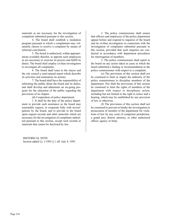materials as are necessary for the investigation of complaints submitted pursuant to this section.

4. The board shall establish a mediation program pursuant to which a complainant may voluntarily choose to resolve a complaint by means of informal conciliation.

5. The board is authorized, within appropriations available therefor, to appoint such employees as are necessary to exercise its powers and fulfill its duties. The board shall employ civilian investigators to investigate all complaints.

6. The board shall issue to the mayor and the city council a semi-annual report which describe its activities and summarize its actions.

7. The board shall have the responsibility of informing the public about the board and its duties, and shall develop and administer an on-going program for the education of the public regarding the provisions of its chapter.

(d) Cooperation of police department.

1. It shall be the duty of the police department to provide such assistance as the board may reasonably request, to cooperate fully with investigations by the board, and to provide to the board upon request records and other materials which are necessary for the investigation of complaints submitted pursuant to this section, except such records or materials that cannot be disclosed by law.

2. The police commissioner shall ensure that officers and employees of the police department appear before and respond to inquiries of the board and its civilian investigators in connection with the investigation of complaints submitted pursuant to this section, provided that such inquiries are conducted in accordance with department procedures for interrogation of members.

3. The police commissioner shall report to the board on any action taken in cases in which the board submitted a finding or recommendation to the police commissioner with respect to a complaint.

(e) The provisions of this section shall not be construed to limit or impair the authority of the police commissioner to discipline members of the department. Nor shall the provisions of this section be construed to limit the rights of members of the department with respect to disciplinary action, including but not limited to the right to notice and a hearing, which may be established by any provision of law or otherwise.

(f) The provisions of this section shall not be construed to prevent or hinder the investigation or prosecution of member of the department for violations of law by any court of competent jurisdiction, a grand jury, district attorney, or other authorized officer, agency or body.

HISTORICAL NOTE Section added LL 1/1993 § 1 eff. July 4, 1993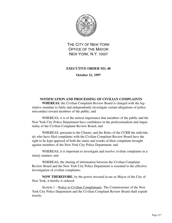

THE CITY OF NEW YORK OFFICE OF THE MAYOR NEW YORK, N.Y. 10007

#### **EXECUTIVE ORDER NO. 40**

**October 21, 1997**

#### **NOTIFICATION AND PROCESSING OF CIVILIAN COMPLAINTS**

**WHEREAS**, the Civilian Complaint Review Board is charged with the legislative mandate to fairly and independently investigate certain allegations of police misconduct toward members of the public; and

WHEREAS, it is of the utmost importance that members of the public and the New York City Police Department have confidence in the professionalism and impartiality of the Civilian Complaint Review Board; and

WHEREAS, pursuant to the Charter, and the Rules of the CCRB the individuals who have filed complaints with the Civilian Complaint Review Board have the right to be kept apprised of both the status and results of their complaints brought against members of the New York City Police Department; and

WHEREAS, it is important to investigate and resolve civilian complaints in a timely manner; and

WHEREAS, the sharing of information between the Civilian Complaint Review Board and the New York City Police Department is essential to the effective investigation of civilian complaints;

**NOW THEREFORE**, by the power invested in me as Mayor of the City of New York, it hereby is ordered:

Section 1 - Notice to Civilian Complainants. The Commissioner of the New York City Police Department and the Civilian Complaint Review Board shall expeditiously: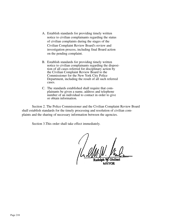- A. Establish standards for providing timely written notice to civilian complainants regarding the status of civilian complaints during the stages of the Civilian Complaint Review Board's review and investigation process, including final Board action on the pending complaint.
- B. Establish standards for providing timely written notice to civilian complainants regarding the disposition of all cases referred for disciplinary action by the Civilian Complaint Review Board to the Commissioner for the New York City Police Department, including the result of all such referred cases.
- C. The standards established shall require that complainants be given a name, address and telephone number of an individual to contact in order to give or obtain information.

Section 2. The Police Commissioner and the Civilian Complaint Review Board shall establish standards for the timely processing and resolution of civilian complaints and the sharing of necessary information between the agencies.

Section 3.This order shall take effect immediately.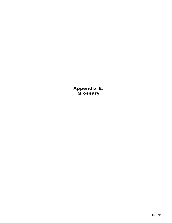**Appendix E: Glossary**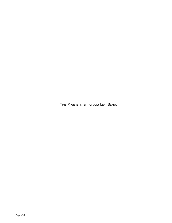THIS PAGE IS INTENTIONALLY LEFT BLANK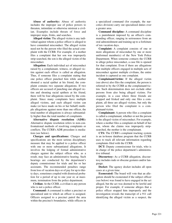**Abuse of authority:** Abuse of authority includes the improper use of police powers to threaten, intimidate or otherwise mistreat a civilian. Examples include threats of force and improper stops, frisks, and searches.

**Alleged victim:** The alleged victim is any individual against whom a police officer is alleged to have committed misconduct. The alleged victim need not be the person who filed the actual complaint with the CCRB. For example, if a mother files a complaint that her son was improperly strip-searched, the son is the alleged victim of the misconduct.

**Allegation:** Each individual act of misconduct raised by a complainant, witness, or alleged victim against each officer is called an allegation. Thus, if someone files a complaint stating that one police officer punched him while another shouted a racial epithet at his friend, the complaint contains two separate allegations. If two officers are accused of punching one alleged victim and shouting racial epithets at his friend, there will be four allegations raised by the complaint. Since many complaints have multiple alleged victims, and each alleged victim can make (or have made on his or her behalf) multiple allegations against more than one officer, the total number of allegations is always substantially higher than the total number of complaints.

**Alternative dispute resolution (ADR):** Alternative dispute resolution refers to non-confrontational methods of resolving complaints or conflicts. The CCRB's ADR procedure is mediation (see below).

**Charges and specifications:** Charges and specifications are the most serious disciplinary measure that may be applied to a police officer with one or more substantiated allegations. It involves the lodging of formal administrative charges against the subject officer who, as a result, may face an administrative hearing. Such hearings are conducted by the department's deputy commissioner for trials and his or her assistants. The recommended penalties range from loss of vacation days or of pay for up to thirty days, sometimes coupled with dismissal probation for a period of up to one year or, at maximum, termination from the police department.

**Civilian**: At the CCRB, a civilian is any person who is not a police officer.

**Command:** A command is either a precinct or specialized unit to which an officer is assigned. Officers assigned to a precinct patrol the area within the precinct's boundaries, while officers in

a specialized command (for example, the narcotics division) carry out specialized duties over a greater area.

**Command discipline:** A command discipline is a punishment imposed by an officer's commanding officer, ranging in seriousness from an oral admonishment and training up to a forfeiture of ten vacation days.

**Complaint:** A complaint consists of one or more allegations of misconduct by one or more uniformed member(s) of the New York Police Department. When someone contacts the CCRB to allege police misconduct, a case file is opened for that complaint. Even if there are allegations that multiple officers engaged in multiple acts of misconduct against multiple civilians, the entire incident is captured as one complaint.

**Complainant/victim:** If the alleged victim (see above) also files the complaint, the person is referred to by the CCRB as the complainant/victim. Such determination does not exclude other persons from also being alleged victims. For example, in a case where three friends are stopped and frisked and only one files a complaint, all three are alleged victims, but only the person who filed the complaint is a complainant/victim.

**Complainant:** A person who files a complaint is called a complainant, whether or not the person is the alleged victim of misconduct. For example, where a mother files a complaint on behalf of her son, whom she claims was improperly stripsearched, the mother is the complainant.

**CTS:** The CCRB's complaint tracking system is an in-house database program that the CCRB uses to track all relevant information regarding complaints filed with the CCRB.

**DCT:** Deputy commissioner for trials, who is in charge of the police department's administrative tribunal.

**Discourtesy:** As a CCRB allegation, discourtesy includes rude or obscene gestures and/or language.

**Docket:** The agency docket includes all open cases at a given time.

**Exonerated:** The board will vote that an allegation should be exonerated if the subject officer (see below) was found to have engaged in the act alleged, but the act was deemed to be lawful and proper. For example, if someone alleges that a police officer stopped him improperly and the investigation reveals the transcript of a 911 call identifying the alleged victim as a suspect, the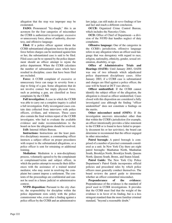allegation that the stop was improper may be exonerated.

FADO: Pronounced "fey-dough," this is an acronym for the four categories of misconduct the CCRB is authorized to investigate: excessive or unnecessary force, abuse of authority, discourtesy, and offensive language.

**Filed:** If a police officer against whom the CCRB substantiated allegations leaves the police force before charges can be instituted against him or her, the substantiated case is said to be filed. Filed cases can be re-opened by the police department should an officer attempt to rejoin the police department. When the CCRB calculates the number of substantiated cases which have resulted in discipline, cases that have been filed are excluded.

**Force:** A CCRB complaint of excessive or unnecessary force can range in severity from a slap to firing of a gun. Some allegations that do not involve contact but imply physical force, such as pointing a gun, are classified as force complaints by the CCRB.

**Full investigation:** A case in which the CCRB was able to carry out a complete inquiry is called a full investigation. Fully investigated cases contain data collected from interviews with police officers, civilians, and witnesses. These cases also contain the final written report of the CCRB investigator, who had to evaluate the available evidence and make recommendations to the board on how the allegations should be resolved.

**IAB:** Internal Affairs Bureau.

**Instructions:** Instructions are the least punitive disciplinary measure; a commanding officer instructs a subject officer on proper procedures with respect to the substantiated allegations, or a police officer is sent for retraining or additional training.

**Mediation:** Mediation is a non-disciplinary process, voluntarily agreed to by the complainant or complainant/victim and subject officer, in which the parties attempt to reconcile their differences with the assistance of a trained neutral mediator, who may assist in resolving the complaint but cannot impose a settlement. The contents of the proceedings are confidential and cannot be used in a future judicial or administrative context.

**NYPD disposition:** Pursuant to the city charter, the responsibility for discipline within the police department rests solely with the police commissioner who, even after a finding against a police officer by the CCRB and an administrative law judge, can still make *de novo* findings of law and fact and reach a different conclusion.

**OCCB:** Organized Crime Control Bureau, which includes the Narcotics Units.

**OCD:** Office of Chief of Department—a division of the NYPD that handles neglect of duty complaints.

**Offensive language:** One of the categories in the CCRB's jurisdiction, offensive language refers to any allegation where an officer used language that was derogatory with regard to race, religion, nationality, ethnicity, gender, sexual orientation, disability, or age.

**Office of Administrative Trials and Hearings (OATH):** Until January 2003, OATH was one of two tribunals which adjudicated police department disciplinary cases. After January 2003, if a CCRB case is substantiated and charges are filed against a police officer, the case will be heard at DCT (see above).

**Officer unidentified:** If the CCRB cannot identify the subject officer of the allegation, the allegation is closed as officer unidentified. Cases closed with this disposition are considered a fully investigated case although the finding "officer unidentified" does not constitute a findings on the merits.

**Other misconduct noted (OMN):** If the investigation uncovers misconduct other than that within the CCRB's jurisdiction (for example, an officer intentionally provides a false statement to the CCRB or is found to have failed to properly document his or her activities), the board can determine to recommend that the officer engaged in other misconduct.

**Patrol borough:** A patrol borough is comprised of a number of precinct commands considered as a unit. In New York City there are eight patrol boroughs: Manhattan North, Manhattan South, Brooklyn North, Brooklyn South, Queens North, Queens South, Bronx, and Staten Island.

**Patrol Guide:** The New York City Police Department's Patrol Guide incorporates official policies and procedural rules by which police officers must generally conduct themselves. The board reviews the patrol guide to determine whether an officer committed misconduct.

**Preponderance of the evidence:** Preponderance of the evidence is the standard of proof used in CCRB investigations. It provides that the CCRB must find that the weight of the evidence is in favor of its finding, but is a less stringent standard than the more familiar criminal standard, "beyond a reasonable doubt."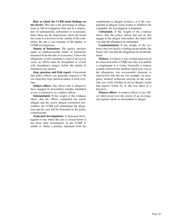**Rate at which the CCRB made findings on the merits:** This rate is the percentage of allegations in full investigations that end in a disposition of substantiated, unfounded or exonerated. Since these are the dispositions where the board has come to a decision on the validity of the complaint, the rate is one measure of the quality of CCRB investigations.

**Statute of limitations:** The agency operates under an eighteen-month statute of limitations measured from the date of occurrence. Unless the allegations would constitute a crime if proven in court, an officer must be disciplined or served with disciplinary charges before the statute of limitations has passed.

**Stop, question, and frisk report:** A document that police officers are generally required to fill out when they stop, question and/or or frisk civilians.

**Subject officer:** The officer who is alleged to have engaged in misconduct, whether identified or not, is referred to as a subject officer.

**Substantiated:** If the weight of the evidence shows that the officer committed the action alleged, and the action alleged constituted misconduct, the CCRB will substantiate the allegation and the case will be forwarded to the police commissioner.

**Truncated investigations:** A truncated investigation is one where the case is closed before it has been fully investigated. If the CCRB is unable to obtain a primary statement from the

complainant or alleged victim(s), or if the complainant or alleged victim wishes to withdraw the complaint, the investigation is truncated.

**Unfounded:** If the weight of the evidence shows that the police officer did not in fact engage in the alleged misconduct, the board will vote that the allegation be unfounded.

**Unsubstantiated:** If the weight of the evidence does not lead to a finding on the merits, the board will vote that the allegations be unsubstantiated.

**Witness:** A witness is any civilian interviewed in connection with a CCRB case who was neither a complainant or a victim. Generally, a witness actually observed the incident which gave rise to the allegations, but occasionally someone is interviewed who did not (for example, an emergency medical technician arriving on the scene who can verify whether or not an alleged victim had injuries before he or she was taken to a precinct).

**Witness officer:** A witness officer is any officer interviewed over the course of an investigation against whom no misconduct is alleged.